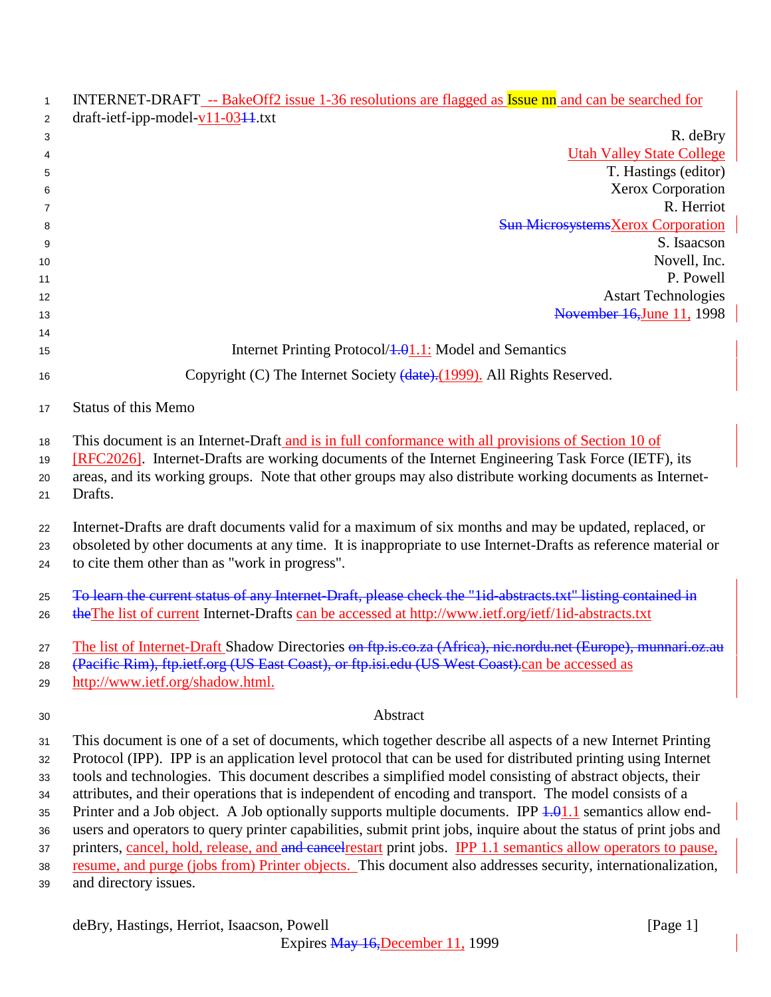| $\mathbf{1}$ | INTERNET-DRAFT -- BakeOff2 issue 1-36 resolutions are flagged as Issue nn and can be searched for                                                               |
|--------------|-----------------------------------------------------------------------------------------------------------------------------------------------------------------|
| 2            | draft-ietf-ipp-model- $v11-03+1$ .txt                                                                                                                           |
| 3<br>4       | R. deBry<br><b>Utah Valley State College</b>                                                                                                                    |
| 5            | T. Hastings (editor)                                                                                                                                            |
| 6            | Xerox Corporation                                                                                                                                               |
| 7            | R. Herriot                                                                                                                                                      |
| 8            | <b>Sun MicrosystemsXerox Corporation</b>                                                                                                                        |
| 9            | S. Isaacson                                                                                                                                                     |
| 10           | Novell, Inc.                                                                                                                                                    |
| 11           | P. Powell                                                                                                                                                       |
| 12           | <b>Astart Technologies</b>                                                                                                                                      |
| 13           | November 16, June 11, 1998                                                                                                                                      |
| 14<br>15     | Internet Printing Protocol/ <del>1.0</del> 1.1: Model and Semantics                                                                                             |
|              | Copyright (C) The Internet Society (date). (1999). All Rights Reserved.                                                                                         |
| 16           |                                                                                                                                                                 |
| 17           | <b>Status of this Memo</b>                                                                                                                                      |
| 18           | This document is an Internet-Draft and is in full conformance with all provisions of Section 10 of                                                              |
| 19           | [RFC2026]. Internet-Drafts are working documents of the Internet Engineering Task Force (IETF), its                                                             |
| 20           | areas, and its working groups. Note that other groups may also distribute working documents as Internet-                                                        |
| 21           | Drafts.                                                                                                                                                         |
|              |                                                                                                                                                                 |
| 22           | Internet-Drafts are draft documents valid for a maximum of six months and may be updated, replaced, or                                                          |
| 23<br>24     | obsoleted by other documents at any time. It is inappropriate to use Internet-Drafts as reference material or<br>to cite them other than as "work in progress". |
| 25           | To learn the current status of any Internet Draft, please check the "lid-abstracts.txt" listing contained in                                                    |
| 26           | the The list of current Internet-Drafts can be accessed at http://www.ietf.org/ietf/1id-abstracts.txt                                                           |
| 27           | The list of Internet-Draft Shadow Directories on ftp.is.co.za (Africa), nic.nordu.net (Europe), munnari.oz.au                                                   |
| 28           | (Pacific Rim), ftp.ietf.org (US East Coast), or ftp.isi.edu (US West Coast).can be accessed as                                                                  |
| 29           | http://www.ietf.org/shadow.html.                                                                                                                                |
| 30           | Abstract                                                                                                                                                        |
|              | This document is one of a set of documents, which together describe all aspects of a new Internet Printing                                                      |
| 31           | Protocol (IPP). IPP is an application level protocol that can be used for distributed printing using Internet                                                   |
| 32<br>33     | tools and technologies. This document describes a simplified model consisting of abstract objects, their                                                        |
| 34           | attributes, and their operations that is independent of encoding and transport. The model consists of a                                                         |
| 35           | Printer and a Job object. A Job optionally supports multiple documents. IPP $\frac{1.01 \cdot 1}{1.1}$ semantics allow end-                                     |
| 36           | users and operators to query printer capabilities, submit print jobs, inquire about the status of print jobs and                                                |
| 37           | printers, cancel, hold, release, and and cancel restart print jobs. IPP 1.1 semantics allow operators to pause,                                                 |
| 38           | resume, and purge (jobs from) Printer objects. This document also addresses security, internationalization,                                                     |
| 39           | and directory issues.                                                                                                                                           |
|              |                                                                                                                                                                 |
|              | deBry, Hastings, Herriot, Isaacson, Powell<br>[Page $1$ ]                                                                                                       |

Expires May 16,December 11, 1999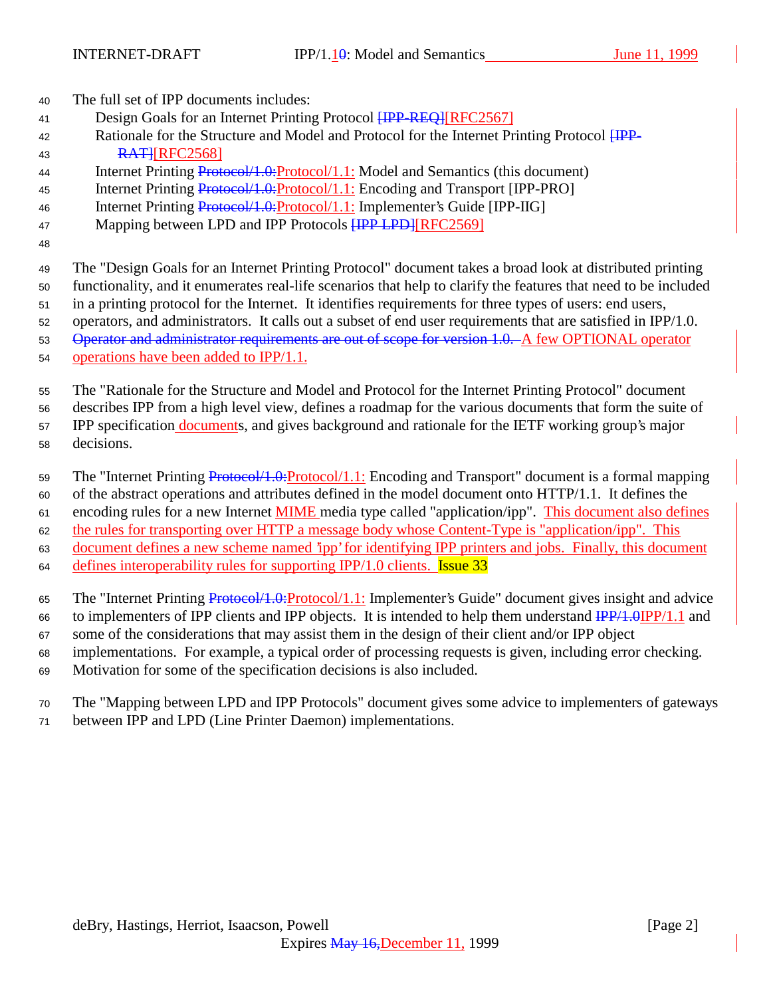<sup>40</sup> The full set of IPP documents includes:

- 41 Design Goals for an Internet Printing Protocol **[IPP-REQ]**[RFC2567]
- 42 Rationale for the Structure and Model and Protocol for the Internet Printing Protocol  $HPP-$ 43 **RATHREC2568**
- 44 Internet Printing Protocol/1.0: Protocol/1.1: Model and Semantics (this document)
- 45 Internet Printing Protocol/1.0:Protocol/1.1: Encoding and Transport [IPP-PRO]
- 46 Internet Printing Protocol/1.0: Protocol/1.1: Implementer's Guide [IPP-IIG]
- 47 Mapping between LPD and IPP Protocols **[IPP LPD]**[RFC2569]
- 48

<sup>49</sup> The "Design Goals for an Internet Printing Protocol" document takes a broad look at distributed printing

<sup>50</sup> functionality, and it enumerates real-life scenarios that help to clarify the features that need to be included

<sup>51</sup> in a printing protocol for the Internet. It identifies requirements for three types of users: end users,

<sup>52</sup> operators, and administrators. It calls out a subset of end user requirements that are satisfied in IPP/1.0.

53 Operator and administrator requirements are out of scope for version 1.0. A few OPTIONAL operator

<sup>54</sup> operations have been added to IPP/1.1.

<sup>55</sup> The "Rationale for the Structure and Model and Protocol for the Internet Printing Protocol" document

<sup>56</sup> describes IPP from a high level view, defines a roadmap for the various documents that form the suite of

57 IPP specification documents, and gives background and rationale for the IETF working group's major

<sup>58</sup> decisions.

59 The "Internet Printing Protocol/1.0: Protocol/1.1: Encoding and Transport" document is a formal mapping

<sup>60</sup> of the abstract operations and attributes defined in the model document onto HTTP/1.1. It defines the

61 encoding rules for a new Internet **MIME** media type called "application/ipp". This document also defines

<sup>62</sup> the rules for transporting over HTTP a message body whose Content-Type is "application/ipp". This

<sup>63</sup> document defines a new scheme named 'ipp' for identifying IPP printers and jobs. Finally, this document

64 defines interoperability rules for supporting IPP/1.0 clients. **Issue 33** 

65 The "Internet Printing Protocol/1.0:Protocol/1.1: Implementer's Guide" document gives insight and advice

- 66 to implementers of IPP clients and IPP objects. It is intended to help them understand  $\frac{IPP}{1.0}$  IPP/1.1 and
- <sup>67</sup> some of the considerations that may assist them in the design of their client and/or IPP object
- <sup>68</sup> implementations. For example, a typical order of processing requests is given, including error checking.
- <sup>69</sup> Motivation for some of the specification decisions is also included.
- <sup>70</sup> The "Mapping between LPD and IPP Protocols" document gives some advice to implementers of gateways
- <sup>71</sup> between IPP and LPD (Line Printer Daemon) implementations.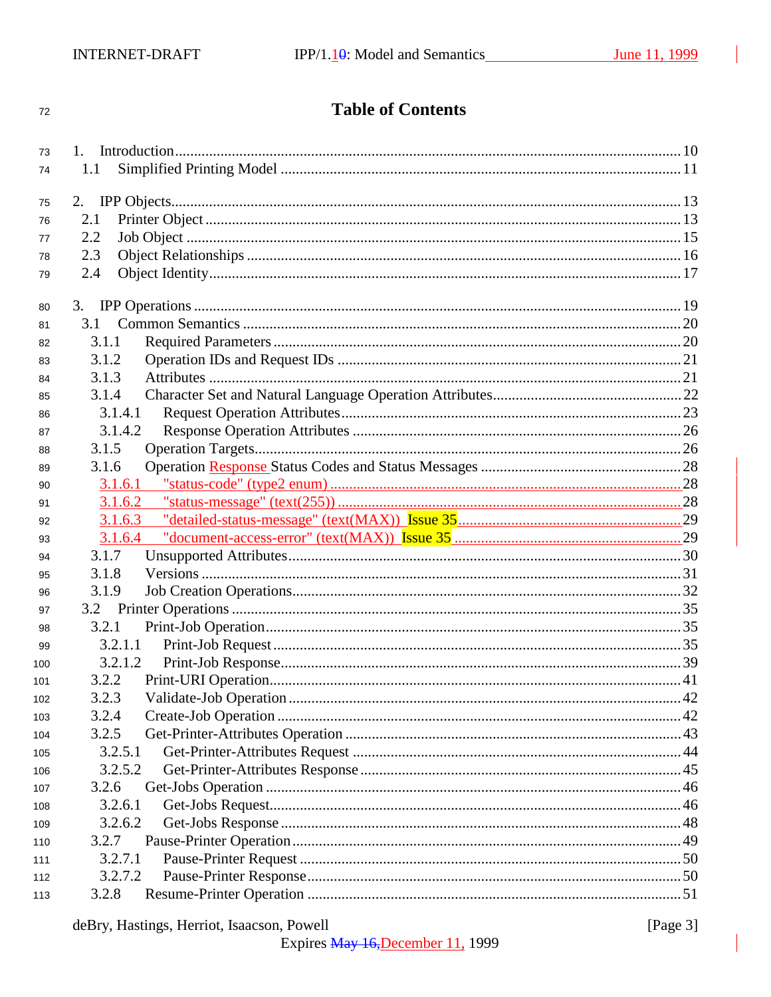#### $72\,$

# **Table of Contents**

| 73  |                  |  |
|-----|------------------|--|
| 74  | 1.1              |  |
| 75  | 2.               |  |
| 76  | 2.1              |  |
| 77  | 2.2              |  |
| 78  | 2.3              |  |
| 79  | 2.4              |  |
|     |                  |  |
| 80  |                  |  |
| 81  | 3.1              |  |
| 82  | 3.1.1            |  |
| 83  | 3.1.2            |  |
| 84  | 3.1.3            |  |
| 85  | 3.1.4            |  |
| 86  | 3.1.4.1          |  |
| 87  | 3.1.4.2          |  |
| 88  | 3.1.5            |  |
| 89  | 3.1.6            |  |
| 90  | 3.1.6.1          |  |
| 91  | 3.1.6.2          |  |
| 92  |                  |  |
|     |                  |  |
| 93  | 3.1.6.4          |  |
| 94  | 3.1.7            |  |
| 95  | 3.1.8            |  |
| 96  | 3.1.9            |  |
| 97  |                  |  |
| 98  | 3.2.1            |  |
| 99  | 3.2.1.1          |  |
| 100 | 3.2.1.2          |  |
| 101 | 3.2.2            |  |
| 102 | 3.2.3            |  |
| 103 | 3.2.4            |  |
| 104 | 3.2.5            |  |
| 105 | 3.2.5.1          |  |
| 106 | 3.2.5.2          |  |
| 107 | 3.2.6            |  |
| 108 | 3.2.6.1          |  |
| 109 | 3.2.6.2          |  |
| 110 | 3.2.7            |  |
| 111 | 3.2.7.1          |  |
| 112 | 3.2.7.2<br>3.2.8 |  |

[Page  $3$ ]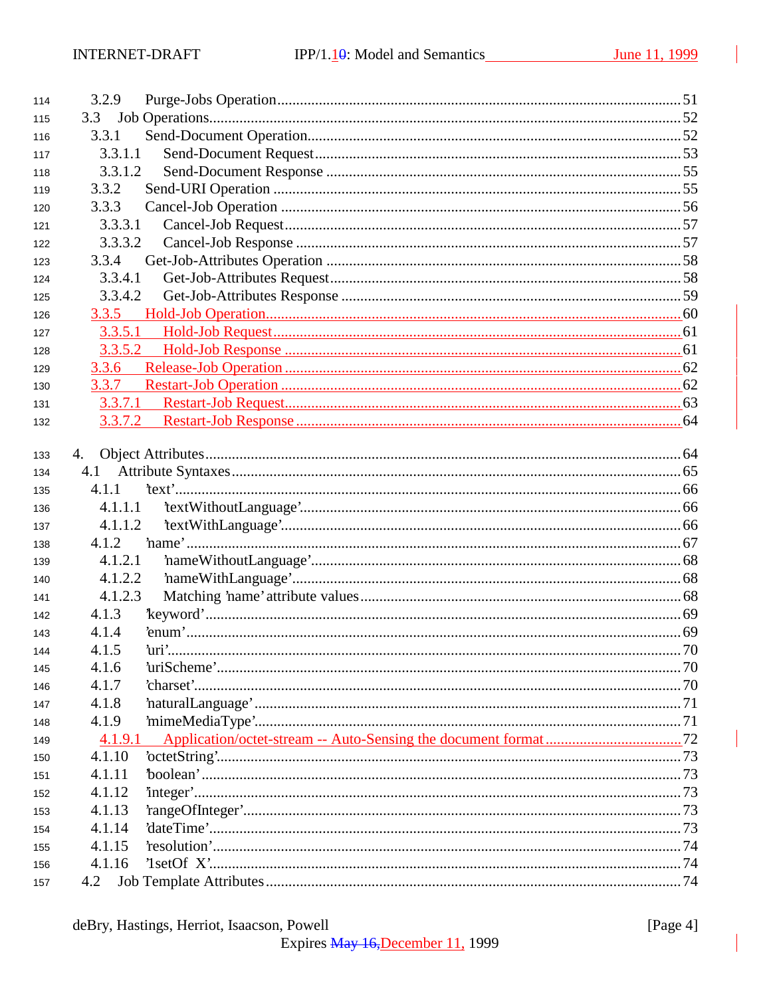| 114 | 3.2.9   |  |
|-----|---------|--|
| 115 | 3.3     |  |
| 116 | 3.3.1   |  |
| 117 | 3.3.1.1 |  |
| 118 | 3.3.1.2 |  |
| 119 | 3.3.2   |  |
| 120 | 3.3.3   |  |
| 121 | 3.3.3.1 |  |
| 122 | 3.3.3.2 |  |
| 123 | 3.3.4   |  |
| 124 | 3.3.4.1 |  |
| 125 | 3.3.4.2 |  |
| 126 |         |  |
| 127 | 3.3.5.1 |  |
| 128 | 3.3.5.2 |  |
| 129 | 3.3.6   |  |
| 130 | 3.3.7   |  |
| 131 | 3.3.7.1 |  |
| 132 | 3.3.7.2 |  |
|     |         |  |
| 133 | 4.      |  |
| 134 | 4.1     |  |
| 135 | 4.1.1   |  |
| 136 | 4.1.1.1 |  |
| 137 | 4.1.1.2 |  |
| 138 | 4.1.2   |  |
| 139 | 4.1.2.1 |  |
| 140 | 4.1.2.2 |  |
| 141 | 4.1.2.3 |  |
| 142 | 4.1.3   |  |
| 143 | 4.1.4   |  |
| 144 | 4.1.5   |  |
| 145 | 4.1.6   |  |
| 146 | 4.1.7   |  |
| 147 | 4.1.8   |  |
| 148 | 4.1.9   |  |
| 149 | 4.1.9.1 |  |
| 150 | 4.1.10  |  |
| 151 | 4.1.11  |  |
| 152 | 4.1.12  |  |
| 153 | 4.1.13  |  |
| 154 | 4.1.14  |  |
| 155 | 4.1.15  |  |
| 156 | 4.1.16  |  |
| 157 | 4.2     |  |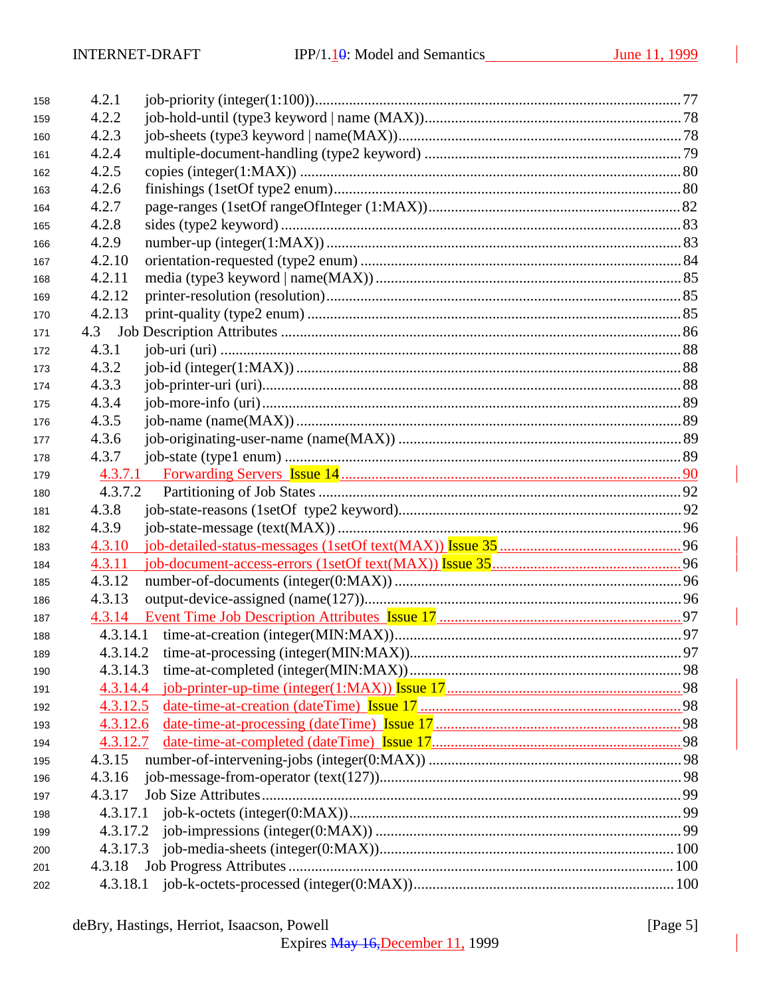| 158 | 4.2.1    |     |
|-----|----------|-----|
| 159 | 4.2.2    |     |
| 160 | 4.2.3    |     |
| 161 | 4.2.4    |     |
| 162 | 4.2.5    |     |
| 163 | 4.2.6    |     |
| 164 | 4.2.7    |     |
| 165 | 4.2.8    |     |
| 166 | 4.2.9    |     |
| 167 | 4.2.10   |     |
| 168 | 4.2.11   |     |
| 169 | 4.2.12   |     |
| 170 | 4.2.13   |     |
| 171 |          |     |
| 172 | 4.3.1    |     |
| 173 | 4.3.2    |     |
| 174 | 4.3.3    |     |
| 175 | 4.3.4    |     |
| 176 | 4.3.5    |     |
| 177 | 4.3.6    |     |
| 178 | 4.3.7    |     |
| 179 |          |     |
| 180 | 4.3.7.2  |     |
| 181 | 4.3.8    |     |
| 182 | 4.3.9    |     |
| 183 | 4.3.10   |     |
| 184 | 4.3.11   |     |
| 185 | 4.3.12   |     |
| 186 | 4.3.13   |     |
| 187 |          |     |
| 188 |          |     |
| 189 |          | .97 |
| 190 | 4.3.14.3 |     |
| 191 | 4.3.14.4 |     |
| 192 | 4.3.12.5 |     |
| 193 | 4.3.12.6 |     |
| 194 | 4.3.12.7 |     |
| 195 | 4.3.15   |     |
| 196 | 4.3.16   |     |
| 197 | 4.3.17   |     |
| 198 |          |     |
| 199 | 4.3.17.2 |     |
| 200 | 4.3.17.3 |     |
| 201 |          |     |
| 202 |          |     |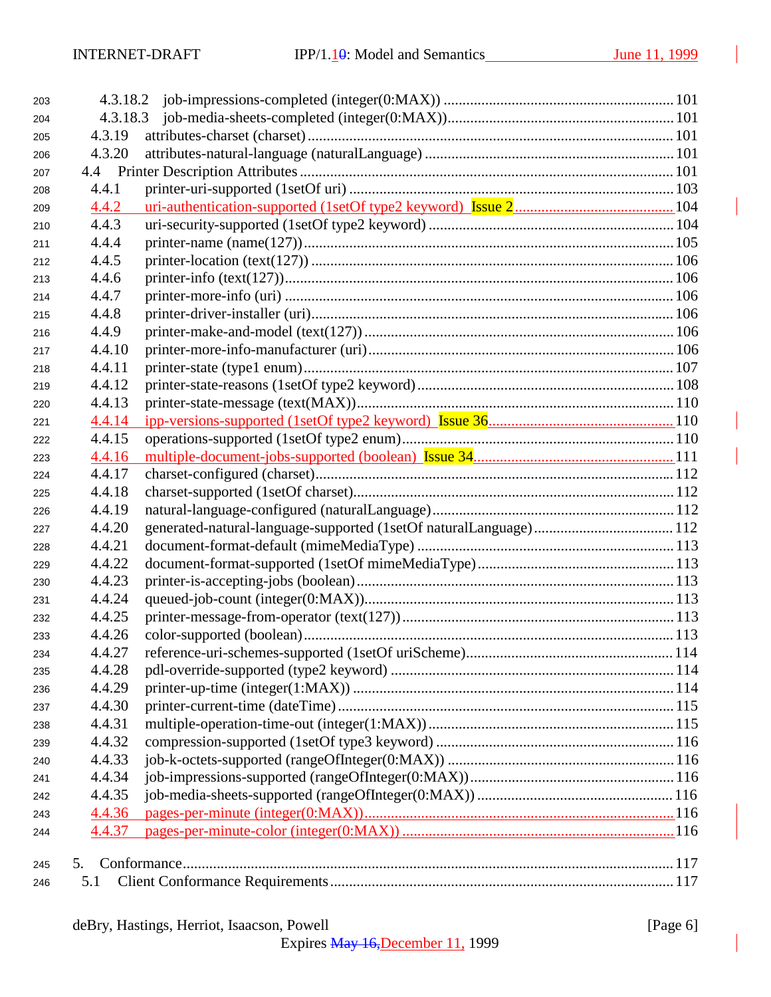| 203 |        |  |
|-----|--------|--|
| 204 |        |  |
| 205 | 4.3.19 |  |
| 206 | 4.3.20 |  |
| 207 |        |  |
| 208 | 4.4.1  |  |
| 209 | 4.4.2  |  |
| 210 | 4.4.3  |  |
| 211 | 4.4.4  |  |
| 212 | 4.4.5  |  |
| 213 | 4.4.6  |  |
| 214 | 4.4.7  |  |
| 215 | 4.4.8  |  |
| 216 | 4.4.9  |  |
| 217 | 4.4.10 |  |
| 218 | 4.4.11 |  |
| 219 | 4.4.12 |  |
| 220 | 4.4.13 |  |
| 221 | 4.4.14 |  |
| 222 | 4.4.15 |  |
| 223 | 4.4.16 |  |
| 224 | 4.4.17 |  |
| 225 | 4.4.18 |  |
| 226 | 4.4.19 |  |
| 227 | 4.4.20 |  |
| 228 | 4.4.21 |  |
| 229 | 4.4.22 |  |
| 230 | 4.4.23 |  |
| 231 | 4.4.24 |  |
| 232 | 4.4.25 |  |
| 233 | 4.4.26 |  |
| 234 | 4.4.27 |  |
| 235 | 4.4.28 |  |
| 236 | 4.4.29 |  |
| 237 | 4.4.30 |  |
| 238 | 4.4.31 |  |
| 239 | 4.4.32 |  |
| 240 | 4.4.33 |  |
| 241 | 4.4.34 |  |
| 242 | 4.4.35 |  |
| 243 | 4.4.36 |  |
| 244 | 4.4.37 |  |
|     |        |  |
| 245 | 5.     |  |
| 246 | 5.1    |  |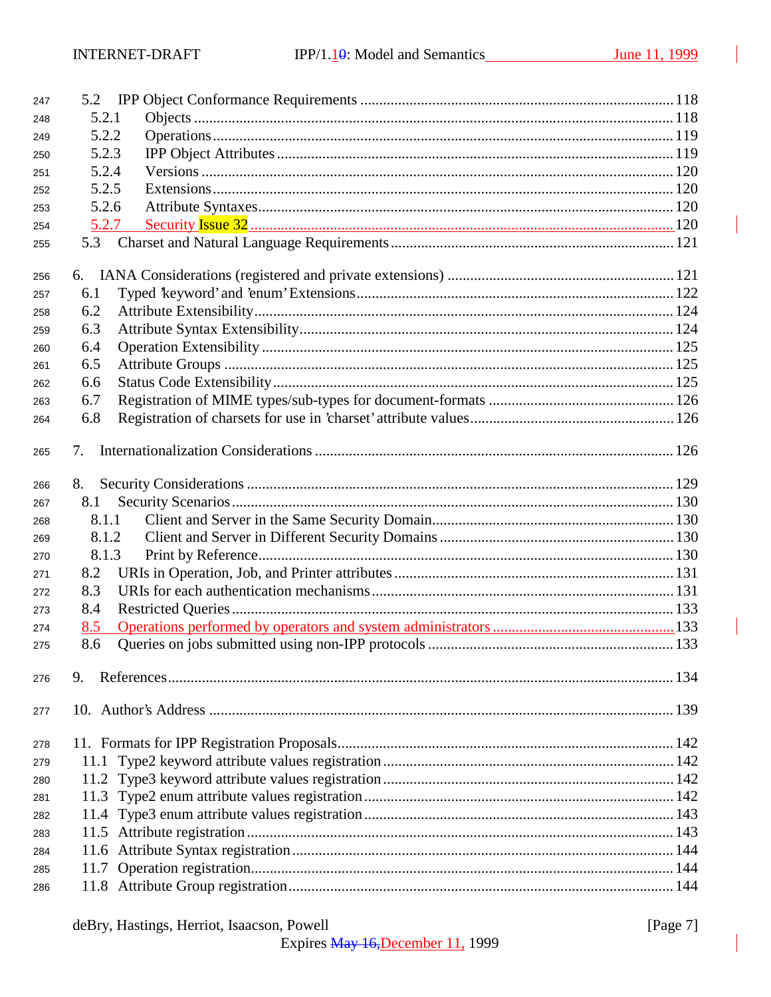| 247 | 5.2   |  |
|-----|-------|--|
| 248 | 5.2.1 |  |
| 249 | 5.2.2 |  |
| 250 | 5.2.3 |  |
| 251 | 5.2.4 |  |
| 252 | 5.2.5 |  |
| 253 | 5.2.6 |  |
| 254 | 5.2.7 |  |
| 255 | 5.3   |  |
| 256 |       |  |
| 257 | 6.1   |  |
| 258 | 6.2   |  |
| 259 | 6.3   |  |
| 260 | 6.4   |  |
| 261 | 6.5   |  |
| 262 | 6.6   |  |
| 263 | 6.7   |  |
| 264 | 6.8   |  |
|     |       |  |
| 265 | 7.    |  |
| 266 | 8.    |  |
| 267 | 8.1   |  |
| 268 | 8.1.1 |  |
| 269 | 8.1.2 |  |
| 270 | 8.1.3 |  |
| 271 | 8.2   |  |
| 272 | 8.3   |  |
| 273 | 8.4   |  |
| 274 | 8.5   |  |
| 275 | 8.6   |  |
| 276 | 9.    |  |
| 277 |       |  |
| 278 |       |  |
| 279 | 11.1  |  |
| 280 |       |  |
| 281 |       |  |
| 282 |       |  |
| 283 |       |  |
| 284 |       |  |
| 285 |       |  |
| 286 |       |  |

[Page 7]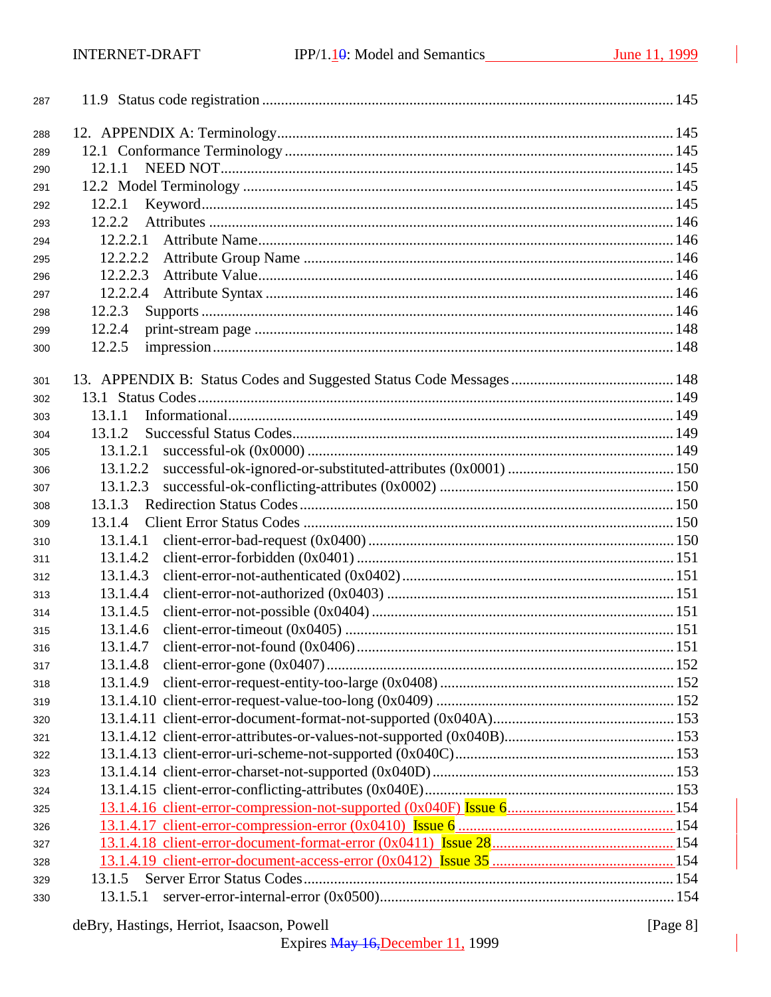| 287 |          |  |
|-----|----------|--|
| 288 |          |  |
| 289 |          |  |
| 290 | 12.1.1   |  |
| 291 |          |  |
| 292 | 12.2.1   |  |
| 293 | 12.2.2   |  |
| 294 | 12.2.2.1 |  |
| 295 | 12.2.2.2 |  |
| 296 | 12.2.2.3 |  |
| 297 | 12.2.2.4 |  |
| 298 | 12.2.3   |  |
| 299 | 12.2.4   |  |
| 300 | 12.2.5   |  |
|     |          |  |
| 301 |          |  |
| 302 |          |  |
| 303 | 13.1.1   |  |
| 304 | 13.1.2   |  |
| 305 | 13.1.2.1 |  |
| 306 | 13.1.2.2 |  |
| 307 | 13.1.2.3 |  |
| 308 | 13.1.3   |  |
| 309 | 13.1.4   |  |
| 310 | 13.1.4.1 |  |
| 311 | 13.1.4.2 |  |
| 312 | 13.1.4.3 |  |
| 313 | 13.1.4.4 |  |
| 314 | 13.1.4.5 |  |
| 315 | 13.1.4.6 |  |
| 316 | 13.1.4.7 |  |
| 317 | 13.1.4.8 |  |
| 318 | 13.1.4.9 |  |
| 319 |          |  |
| 320 |          |  |
| 321 |          |  |
| 322 |          |  |
| 323 |          |  |
| 324 |          |  |
| 325 |          |  |
| 326 |          |  |
| 327 |          |  |
| 328 |          |  |
| 329 | 13.1.5   |  |
| 330 | 13.1.5.1 |  |
|     |          |  |

# deBry, Hastings, Herriot, Isaacson, Powell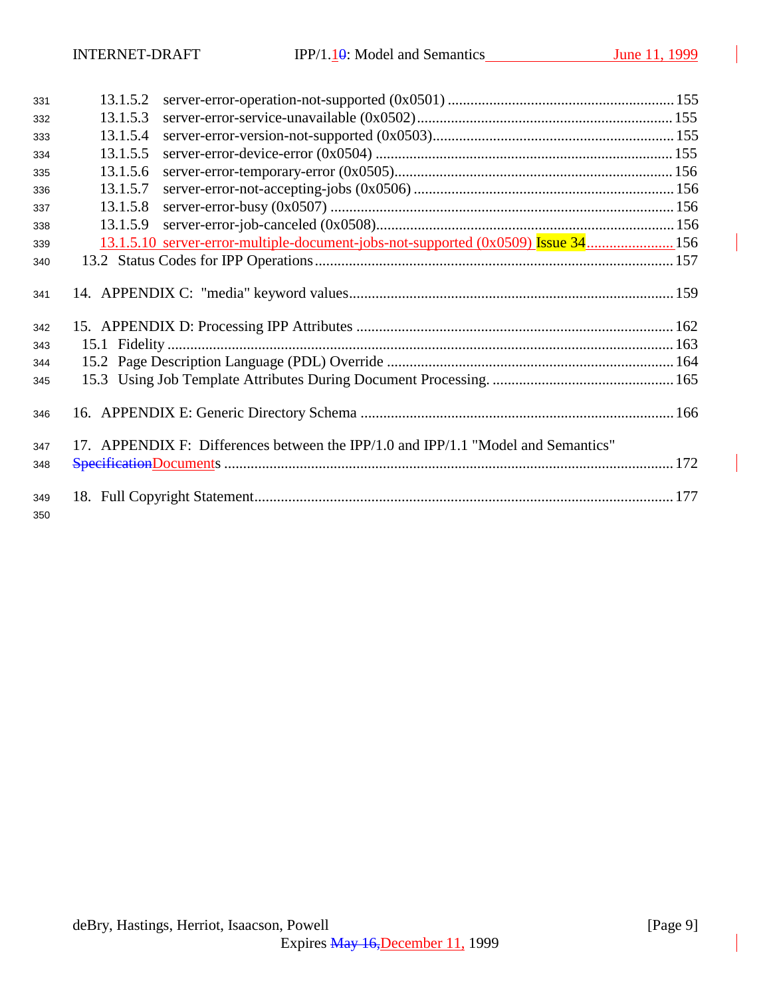| 331        | 13.1.5.2 |                                                                                   |  |
|------------|----------|-----------------------------------------------------------------------------------|--|
| 332        | 13.1.5.3 |                                                                                   |  |
| 333        | 13.1.5.4 |                                                                                   |  |
| 334        | 13.1.5.5 |                                                                                   |  |
| 335        | 13.1.5.6 |                                                                                   |  |
| 336        | 13.1.5.7 |                                                                                   |  |
| 337        | 13.1.5.8 |                                                                                   |  |
| 338        | 13.1.5.9 |                                                                                   |  |
| 339        |          | 13.1.5.10 server-error-multiple-document-jobs-not-supported (0x0509) Issue 34 156 |  |
| 340        |          |                                                                                   |  |
| 341        |          |                                                                                   |  |
| 342        |          |                                                                                   |  |
| 343        |          |                                                                                   |  |
| 344        |          |                                                                                   |  |
| 345        |          |                                                                                   |  |
| 346        |          |                                                                                   |  |
| 347        |          | 17. APPENDIX F: Differences between the IPP/1.0 and IPP/1.1 "Model and Semantics" |  |
| 348        |          |                                                                                   |  |
| 349<br>350 |          |                                                                                   |  |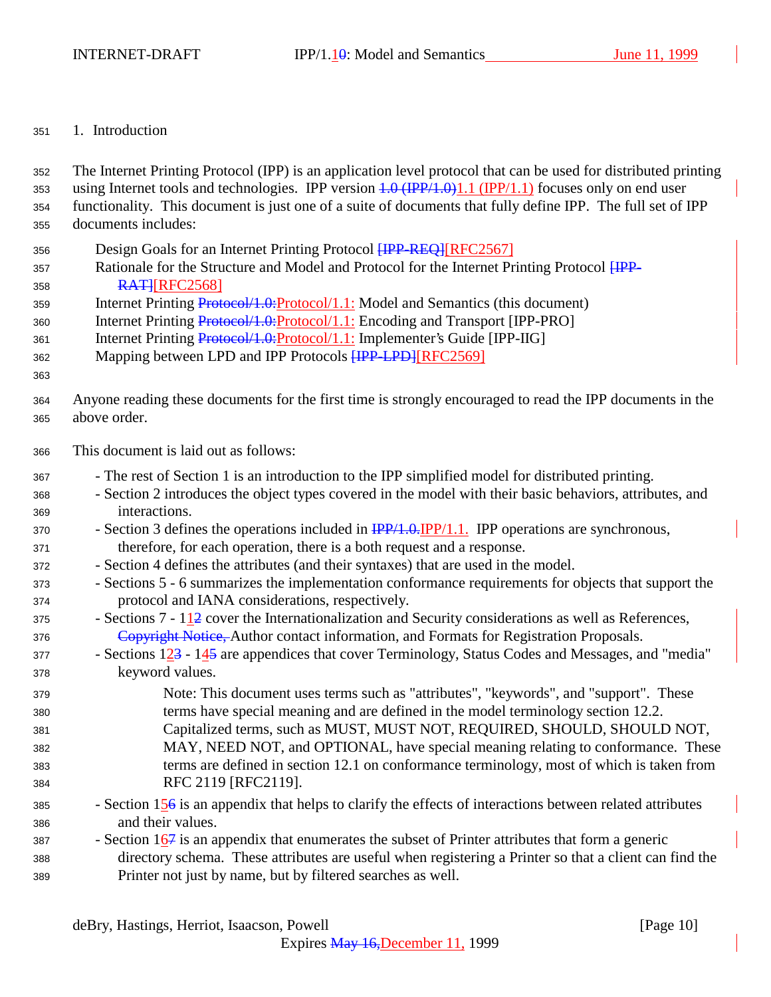#### 1. Introduction

 The Internet Printing Protocol (IPP) is an application level protocol that can be used for distributed printing 353 using Internet tools and technologies. IPP version  $1.0 \text{ (IPP/1.0)}1.1 \text{ (IPP/1.1)}$  focuses only on end user functionality. This document is just one of a suite of documents that fully define IPP. The full set of IPP documents includes: 356 Design Goals for an Internet Printing Protocol **[IPP-REQ]**[RFC2567] 357 Rationale for the Structure and Model and Protocol for the Internet Printing Protocol *HPP-***RATHRFC2568** 359 Internet Printing Protocol/1.0: Protocol/1.1: Model and Semantics (this document) 360 Internet Printing Protocol/1.0: Protocol/1.1: Encoding and Transport [IPP-PRO] 361 Internet Printing Protocol/1.0: Protocol/1.1: Implementer's Guide [IPP-IIG] 362 Mapping between LPD and IPP Protocols **[IPP-LPD]**[RFC2569] Anyone reading these documents for the first time is strongly encouraged to read the IPP documents in the above order. This document is laid out as follows: - The rest of Section 1 is an introduction to the IPP simplified model for distributed printing. - Section 2 introduces the object types covered in the model with their basic behaviors, attributes, and interactions. 370 - Section 3 defines the operations included in  $\frac{IPP}{1.0}$ . IPP/1.1. IPP operations are synchronous, therefore, for each operation, there is a both request and a response. - Section 4 defines the attributes (and their syntaxes) that are used in the model. - Sections 5 - 6 summarizes the implementation conformance requirements for objects that support the protocol and IANA considerations, respectively. - Sections  $7 - 112$  cover the Internationalization and Security considerations as well as References, 376 Copyright Notice, Author contact information, and Formats for Registration Proposals. - Sections 123 - 145 are appendices that cover Terminology, Status Codes and Messages, and "media" keyword values. Note: This document uses terms such as "attributes", "keywords", and "support". These terms have special meaning and are defined in the model terminology section 12.2. Capitalized terms, such as MUST, MUST NOT, REQUIRED, SHOULD, SHOULD NOT, MAY, NEED NOT, and OPTIONAL, have special meaning relating to conformance. These terms are defined in section 12.1 on conformance terminology, most of which is taken from RFC 2119 [RFC2119]. - Section 156 is an appendix that helps to clarify the effects of interactions between related attributes and their values. - Section  $167$  is an appendix that enumerates the subset of Printer attributes that form a generic directory schema. These attributes are useful when registering a Printer so that a client can find the Printer not just by name, but by filtered searches as well.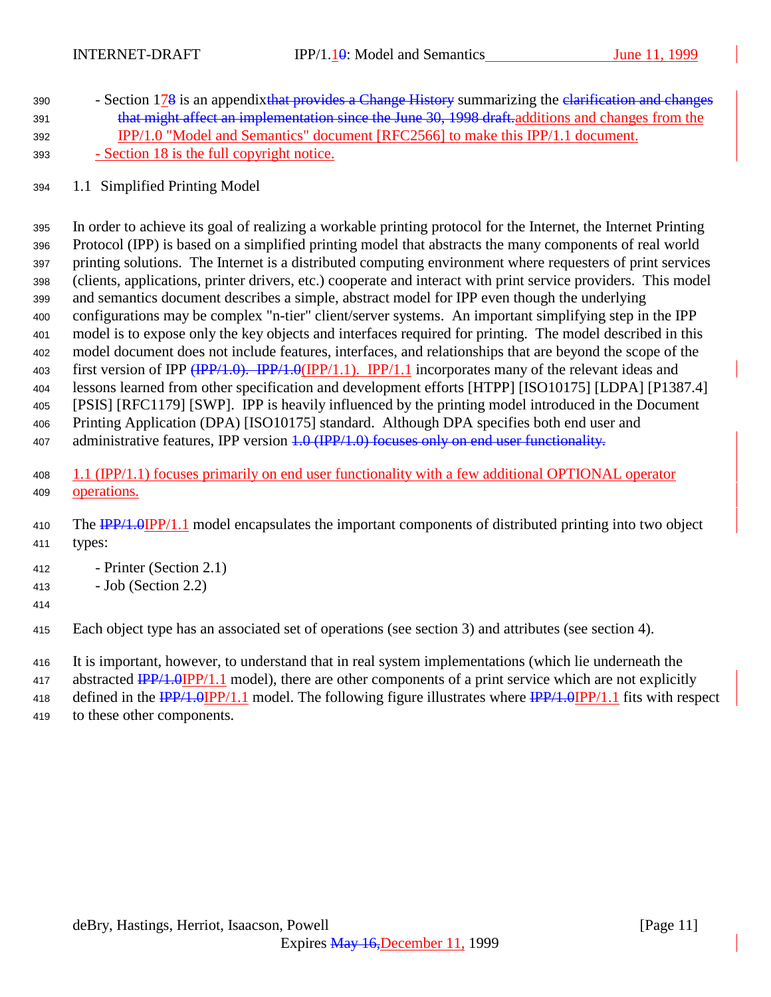- 390 Section 178 is an appendixt that provides a Change History summarizing the elarification and changes 391 that might affect an implementation since the June 30, 1998 draft. additions and changes from the IPP/1.0 "Model and Semantics" document [RFC2566] to make this IPP/1.1 document. - Section 18 is the full copyright notice.
- 1.1 Simplified Printing Model

 In order to achieve its goal of realizing a workable printing protocol for the Internet, the Internet Printing Protocol (IPP) is based on a simplified printing model that abstracts the many components of real world printing solutions. The Internet is a distributed computing environment where requesters of print services (clients, applications, printer drivers, etc.) cooperate and interact with print service providers. This model and semantics document describes a simple, abstract model for IPP even though the underlying configurations may be complex "n-tier" client/server systems. An important simplifying step in the IPP model is to expose only the key objects and interfaces required for printing. The model described in this model document does not include features, interfaces, and relationships that are beyond the scope of the 403 first version of IPP (IPP/1.0). IPP/1.0(IPP/1.1). IPP/1.1 incorporates many of the relevant ideas and lessons learned from other specification and development efforts [HTPP] [ISO10175] [LDPA] [P1387.4] [PSIS] [RFC1179] [SWP]. IPP is heavily influenced by the printing model introduced in the Document Printing Application (DPA) [ISO10175] standard. Although DPA specifies both end user and 407 administrative features, IPP version 4.0 (IPP/1.0) focuses only on end user functionality.

- 1.1 (IPP/1.1) focuses primarily on end user functionality with a few additional OPTIONAL operator **operations**.
- 410 The IPP/1.0IPP/1.1 model encapsulates the important components of distributed printing into two object types:
- Printer (Section 2.1)
- Job (Section 2.2)
- 
- Each object type has an associated set of operations (see section 3) and attributes (see section 4).
- It is important, however, to understand that in real system implementations (which lie underneath the
- 417 abstracted  $\frac{IPP}{1.0}$  IPP/1.1 model), there are other components of a print service which are not explicitly
- 418 defined in the IPP/1.0IPP/1.1 model. The following figure illustrates where IPP/1.0IPP/1.1 fits with respect

to these other components.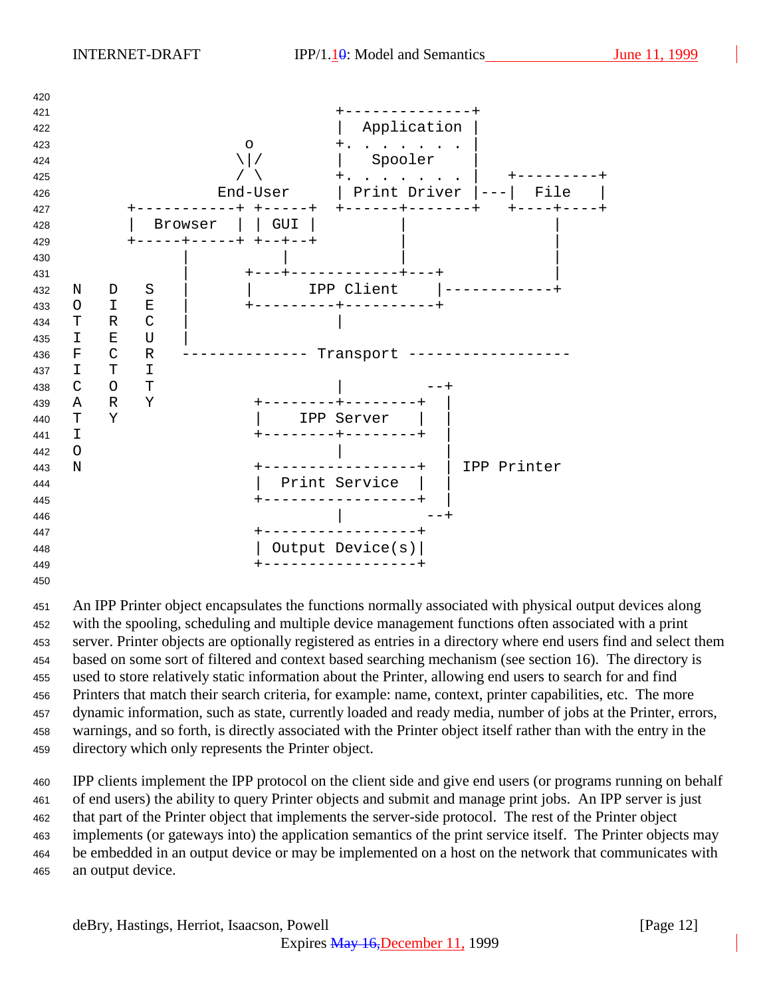

 An IPP Printer object encapsulates the functions normally associated with physical output devices along with the spooling, scheduling and multiple device management functions often associated with a print server. Printer objects are optionally registered as entries in a directory where end users find and select them based on some sort of filtered and context based searching mechanism (see section 16). The directory is used to store relatively static information about the Printer, allowing end users to search for and find Printers that match their search criteria, for example: name, context, printer capabilities, etc. The more dynamic information, such as state, currently loaded and ready media, number of jobs at the Printer, errors, warnings, and so forth, is directly associated with the Printer object itself rather than with the entry in the directory which only represents the Printer object.

 IPP clients implement the IPP protocol on the client side and give end users (or programs running on behalf of end users) the ability to query Printer objects and submit and manage print jobs. An IPP server is just that part of the Printer object that implements the server-side protocol. The rest of the Printer object implements (or gateways into) the application semantics of the print service itself. The Printer objects may be embedded in an output device or may be implemented on a host on the network that communicates with an output device.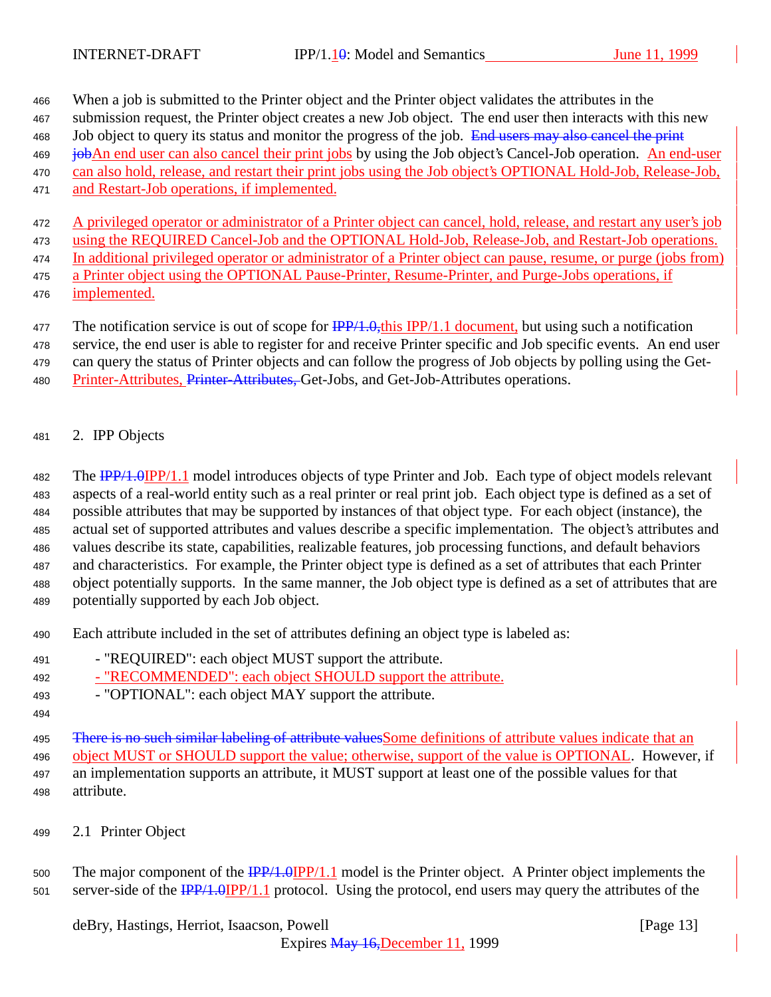When a job is submitted to the Printer object and the Printer object validates the attributes in the

- submission request, the Printer object creates a new Job object. The end user then interacts with this new
- 468 Job object to query its status and monitor the progress of the job. End users may also cancel the print
- **job**An end user can also cancel their print jobs by using the Job object's Cancel-Job operation. An end-user can also hold, release, and restart their print jobs using the Job object's OPTIONAL Hold-Job, Release-Job,
- 
- and Restart-Job operations, if implemented.

 A privileged operator or administrator of a Printer object can cancel, hold, release, and restart any user's job using the REQUIRED Cancel-Job and the OPTIONAL Hold-Job, Release-Job, and Restart-Job operations.

- In additional privileged operator or administrator of a Printer object can pause, resume, or purge (jobs from) a Printer object using the OPTIONAL Pause-Printer, Resume-Printer, and Purge-Jobs operations, if
- implemented.

477 The notification service is out of scope for  $\frac{IPP}{1.0}$ , this IPP/1.1 document, but using such a notification

service, the end user is able to register for and receive Printer specific and Job specific events. An end user

- can query the status of Printer objects and can follow the progress of Job objects by polling using the Get-
- 480 Printer-Attributes, Printer-Attributes, Get-Jobs, and Get-Job-Attributes operations.
- 2. IPP Objects

482 The **IPP/1.0IPP/1.1** model introduces objects of type Printer and Job. Each type of object models relevant aspects of a real-world entity such as a real printer or real print job. Each object type is defined as a set of possible attributes that may be supported by instances of that object type. For each object (instance), the actual set of supported attributes and values describe a specific implementation. The object's attributes and values describe its state, capabilities, realizable features, job processing functions, and default behaviors and characteristics. For example, the Printer object type is defined as a set of attributes that each Printer object potentially supports. In the same manner, the Job object type is defined as a set of attributes that are potentially supported by each Job object.

- Each attribute included in the set of attributes defining an object type is labeled as:
- "REQUIRED": each object MUST support the attribute.
- "RECOMMENDED": each object SHOULD support the attribute.
- "OPTIONAL": each object MAY support the attribute.
- 

495 There is no such similar labeling of attribute values Some definitions of attribute values indicate that an object MUST or SHOULD support the value; otherwise, support of the value is OPTIONAL. However, if an implementation supports an attribute, it MUST support at least one of the possible values for that attribute.

2.1 Printer Object

500 The major component of the  $\frac{IPP}{1.0}$  IPP/1.1 model is the Printer object. A Printer object implements the 501 server-side of the  $\frac{IPP}{1.0}$  IPP/1.1 protocol. Using the protocol, end users may query the attributes of the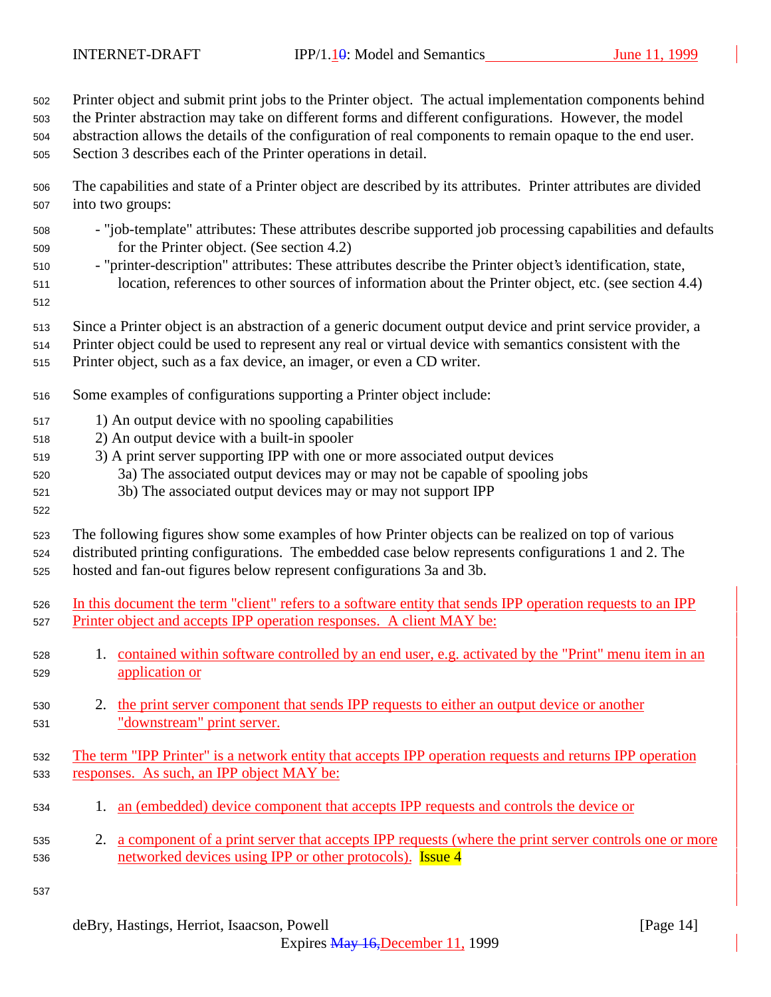Printer object and submit print jobs to the Printer object. The actual implementation components behind

the Printer abstraction may take on different forms and different configurations. However, the model

 abstraction allows the details of the configuration of real components to remain opaque to the end user. Section 3 describes each of the Printer operations in detail.

- The capabilities and state of a Printer object are described by its attributes. Printer attributes are divided into two groups:
- "job-template" attributes: These attributes describe supported job processing capabilities and defaults for the Printer object. (See section 4.2)
- "printer-description" attributes: These attributes describe the Printer object's identification, state, location, references to other sources of information about the Printer object, etc. (see section 4.4)
- 

- Since a Printer object is an abstraction of a generic document output device and print service provider, a
- Printer object could be used to represent any real or virtual device with semantics consistent with the
- Printer object, such as a fax device, an imager, or even a CD writer.
- Some examples of configurations supporting a Printer object include:
- 1) An output device with no spooling capabilities
- 2) An output device with a built-in spooler
- 3) A print server supporting IPP with one or more associated output devices
- 3a) The associated output devices may or may not be capable of spooling jobs
- 3b) The associated output devices may or may not support IPP
- The following figures show some examples of how Printer objects can be realized on top of various distributed printing configurations. The embedded case below represents configurations 1 and 2. The hosted and fan-out figures below represent configurations 3a and 3b.
- In this document the term "client" refers to a software entity that sends IPP operation requests to an IPP Printer object and accepts IPP operation responses. A client MAY be:
- 1. contained within software controlled by an end user, e.g. activated by the "Print" menu item in an application or
- 530 2. the print server component that sends IPP requests to either an output device or another "downstream" print server.
- The term "IPP Printer" is a network entity that accepts IPP operation requests and returns IPP operation responses. As such, an IPP object MAY be:
- 1. an (embedded) device component that accepts IPP requests and controls the device or
- 2. a component of a print server that accepts IPP requests (where the print server controls one or more 536 networked devices using IPP or other protocols). **Issue 4**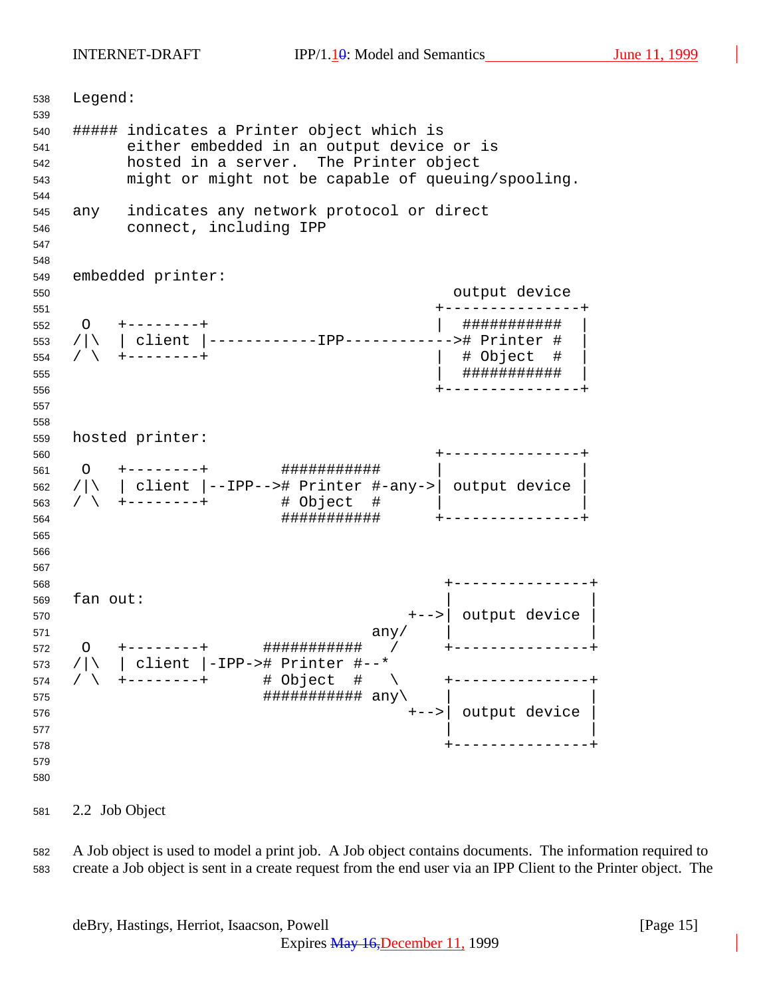INTERNET-DRAFT IPP/1.10: Model and Semantics June 11, 1999

 Legend: ##### indicates a Printer object which is either embedded in an output device or is hosted in a server. The Printer object might or might not be capable of queuing/spooling. any indicates any network protocol or direct connect, including IPP embedded printer: output device +---------------+ O +--------+ | ########### | /|\ | client |------------IPP------------># Printer # | / \ +--------+ | # Object # | | ########### | +---------------+ hosted printer: +---------------+ O +--------+ ########### | | /|\ | client |--IPP--># Printer #-any->| output device | / \ +--------+ # Object # | | ########### +---------------+ +---------------+ fan out: +-->| output device | any  $\vert$  any  $\vert$  any  $\vert$   $\vert$ 572 〇 +-------+ <mark>################</mark> / +---------------- /|\ | client |-IPP-># Printer #--\* / \ +--------+ # Object # \ +---------------+  $\# \# \# \# \# \# \# \# \# \# \# \# \text{ any } \setminus$  +-->| output device |  $\qquad \qquad \begin{array}{c} \end{array}$  +---------------+ 

2.2 Job Object

 A Job object is used to model a print job. A Job object contains documents. The information required to create a Job object is sent in a create request from the end user via an IPP Client to the Printer object. The

deBry, Hastings, Herriot, Isaacson, Powell [Page 15]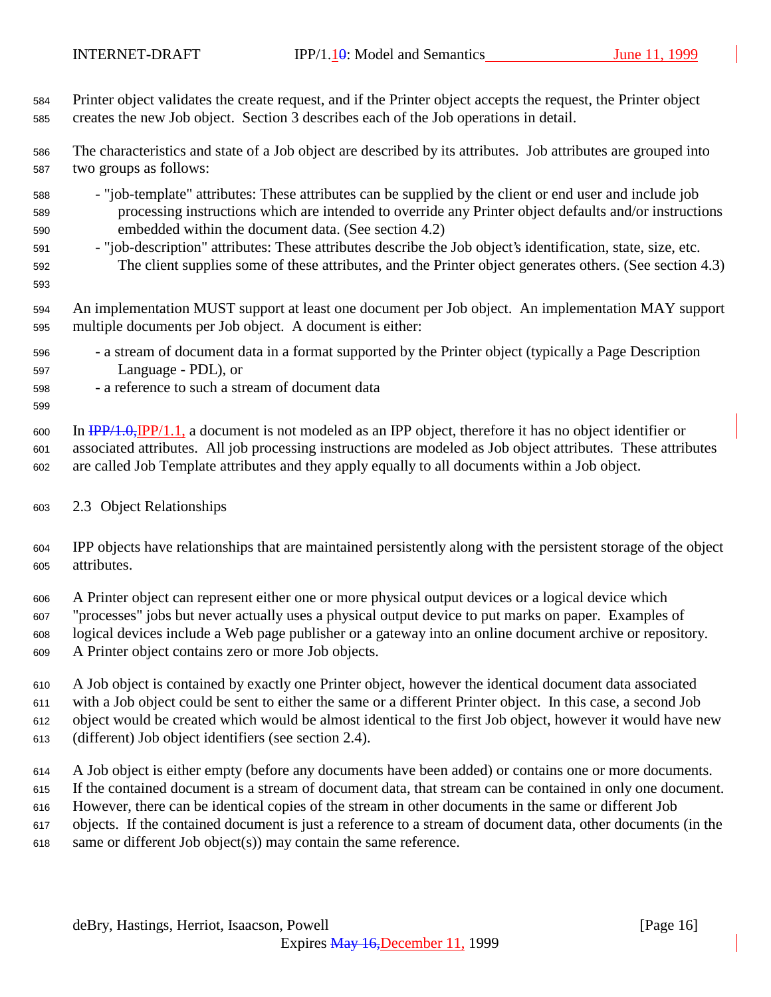Printer object validates the create request, and if the Printer object accepts the request, the Printer object creates the new Job object. Section 3 describes each of the Job operations in detail.

 The characteristics and state of a Job object are described by its attributes. Job attributes are grouped into two groups as follows:

- "job-template" attributes: These attributes can be supplied by the client or end user and include job processing instructions which are intended to override any Printer object defaults and/or instructions embedded within the document data. (See section 4.2)
- "job-description" attributes: These attributes describe the Job object's identification, state, size, etc. The client supplies some of these attributes, and the Printer object generates others. (See section 4.3)
- An implementation MUST support at least one document per Job object. An implementation MAY support multiple documents per Job object. A document is either:
- a stream of document data in a format supported by the Printer object (typically a Page Description Language - PDL), or
- a reference to such a stream of document data

 In IPP/1.0,IPP/1.1, a document is not modeled as an IPP object, therefore it has no object identifier or associated attributes. All job processing instructions are modeled as Job object attributes. These attributes are called Job Template attributes and they apply equally to all documents within a Job object.

#### 2.3 Object Relationships

 IPP objects have relationships that are maintained persistently along with the persistent storage of the object attributes.

 A Printer object can represent either one or more physical output devices or a logical device which "processes" jobs but never actually uses a physical output device to put marks on paper. Examples of logical devices include a Web page publisher or a gateway into an online document archive or repository. A Printer object contains zero or more Job objects.

 A Job object is contained by exactly one Printer object, however the identical document data associated with a Job object could be sent to either the same or a different Printer object. In this case, a second Job object would be created which would be almost identical to the first Job object, however it would have new (different) Job object identifiers (see section 2.4).

 A Job object is either empty (before any documents have been added) or contains one or more documents. If the contained document is a stream of document data, that stream can be contained in only one document. However, there can be identical copies of the stream in other documents in the same or different Job objects. If the contained document is just a reference to a stream of document data, other documents (in the

same or different Job object(s)) may contain the same reference.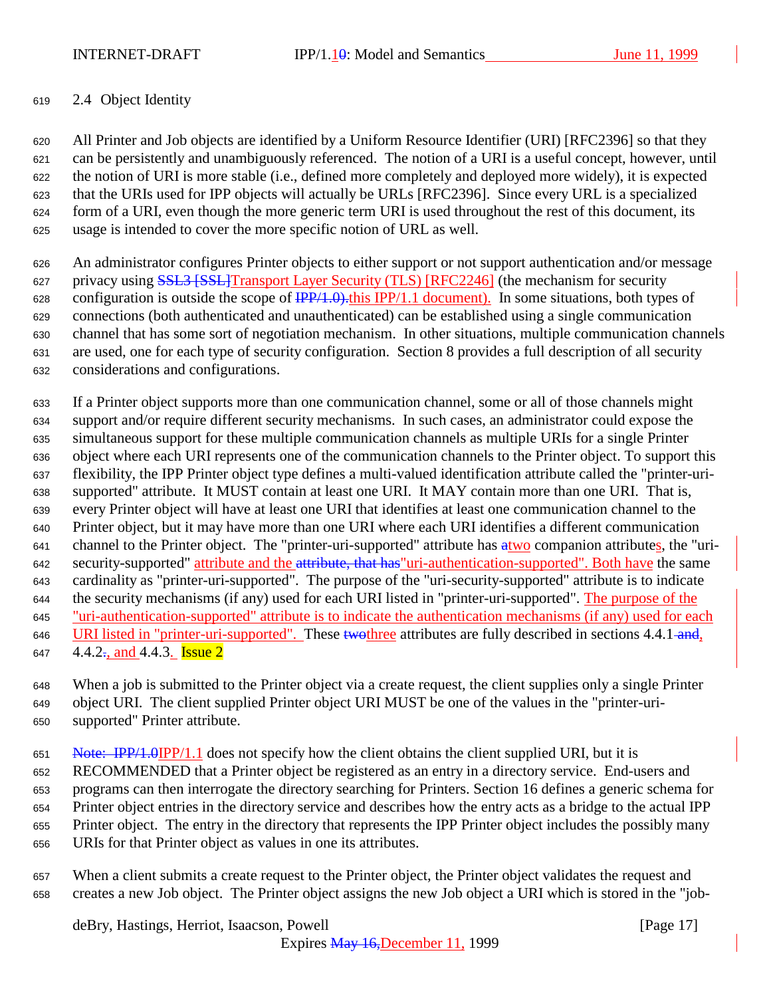INTERNET-DRAFT **IPP/1.10:** Model and Semantics June 11, 1999

### 2.4 Object Identity

 All Printer and Job objects are identified by a Uniform Resource Identifier (URI) [RFC2396] so that they can be persistently and unambiguously referenced. The notion of a URI is a useful concept, however, until the notion of URI is more stable (i.e., defined more completely and deployed more widely), it is expected that the URIs used for IPP objects will actually be URLs [RFC2396]. Since every URL is a specialized form of a URI, even though the more generic term URI is used throughout the rest of this document, its usage is intended to cover the more specific notion of URL as well.

 An administrator configures Printer objects to either support or not support authentication and/or message 627 privacy using **SSL3 [SSL]Transport Layer Security (TLS)** [RFC2246] (the mechanism for security 628 configuration is outside the scope of  $\frac{IPP}{1.0}$ . this IPP/1.1 document). In some situations, both types of connections (both authenticated and unauthenticated) can be established using a single communication channel that has some sort of negotiation mechanism. In other situations, multiple communication channels are used, one for each type of security configuration. Section 8 provides a full description of all security considerations and configurations.

 If a Printer object supports more than one communication channel, some or all of those channels might support and/or require different security mechanisms. In such cases, an administrator could expose the simultaneous support for these multiple communication channels as multiple URIs for a single Printer object where each URI represents one of the communication channels to the Printer object. To support this flexibility, the IPP Printer object type defines a multi-valued identification attribute called the "printer-uri- supported" attribute. It MUST contain at least one URI. It MAY contain more than one URI. That is, every Printer object will have at least one URI that identifies at least one communication channel to the Printer object, but it may have more than one URI where each URI identifies a different communication 641 channel to the Printer object. The "printer-uri-supported" attribute has atwo companion attributes, the "uri-642 security-supported" attribute and the attribute, that has "uri-authentication-supported". Both have the same cardinality as "printer-uri-supported". The purpose of the "uri-security-supported" attribute is to indicate 644 the security mechanisms (if any) used for each URI listed in "printer-uri-supported". The purpose of the "uri-authentication-supported" attribute is to indicate the authentication mechanisms (if any) used for each 646 URI listed in "printer-uri-supported". These two three attributes are fully described in sections 4.4.1 and, 647 4.4.2<sup>-</sup>, and 4.4.3. **Issue 2** 

 When a job is submitted to the Printer object via a create request, the client supplies only a single Printer object URI. The client supplied Printer object URI MUST be one of the values in the "printer-uri-supported" Printer attribute.

651 Note: IPP/1.0IPP/1.1 does not specify how the client obtains the client supplied URI, but it is RECOMMENDED that a Printer object be registered as an entry in a directory service. End-users and programs can then interrogate the directory searching for Printers. Section 16 defines a generic schema for Printer object entries in the directory service and describes how the entry acts as a bridge to the actual IPP Printer object. The entry in the directory that represents the IPP Printer object includes the possibly many URIs for that Printer object as values in one its attributes.

 When a client submits a create request to the Printer object, the Printer object validates the request and creates a new Job object. The Printer object assigns the new Job object a URI which is stored in the "job-

deBry, Hastings, Herriot, Isaacson, Powell [Page 17]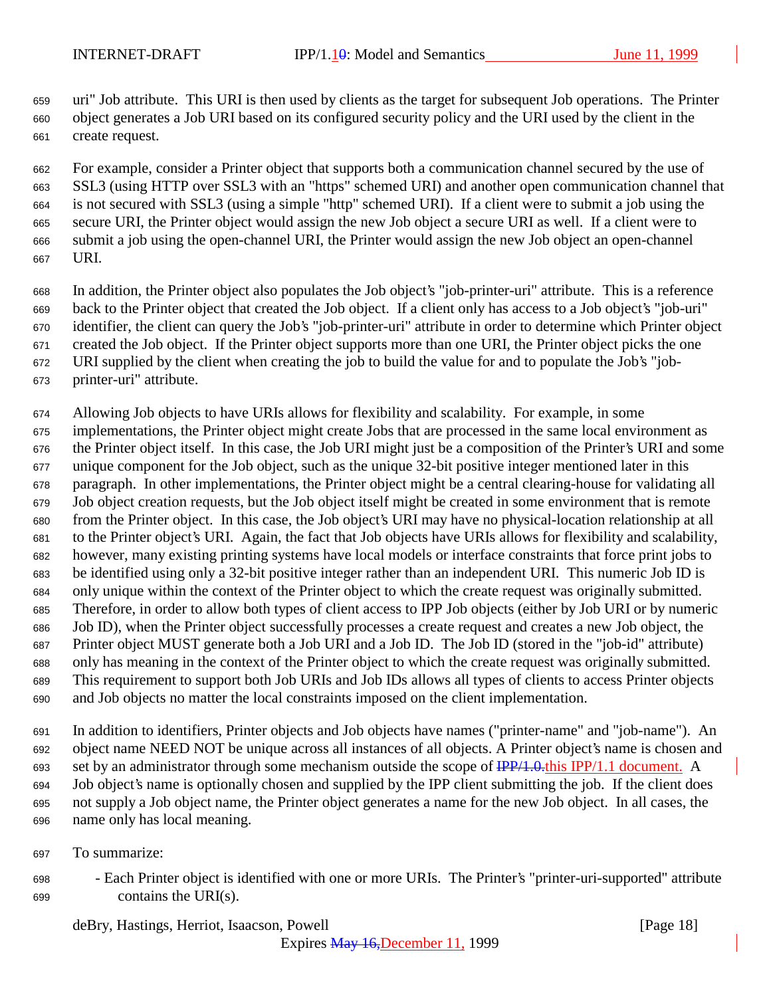uri" Job attribute. This URI is then used by clients as the target for subsequent Job operations. The Printer object generates a Job URI based on its configured security policy and the URI used by the client in the create request.

 For example, consider a Printer object that supports both a communication channel secured by the use of SSL3 (using HTTP over SSL3 with an "https" schemed URI) and another open communication channel that is not secured with SSL3 (using a simple "http" schemed URI). If a client were to submit a job using the secure URI, the Printer object would assign the new Job object a secure URI as well. If a client were to submit a job using the open-channel URI, the Printer would assign the new Job object an open-channel URI.

- In addition, the Printer object also populates the Job object's "job-printer-uri" attribute. This is a reference back to the Printer object that created the Job object. If a client only has access to a Job object's "job-uri" identifier, the client can query the Job's "job-printer-uri" attribute in order to determine which Printer object created the Job object. If the Printer object supports more than one URI, the Printer object picks the one URI supplied by the client when creating the job to build the value for and to populate the Job's "job-printer-uri" attribute.
- Allowing Job objects to have URIs allows for flexibility and scalability. For example, in some
- implementations, the Printer object might create Jobs that are processed in the same local environment as the Printer object itself. In this case, the Job URI might just be a composition of the Printer's URI and some unique component for the Job object, such as the unique 32-bit positive integer mentioned later in this paragraph. In other implementations, the Printer object might be a central clearing-house for validating all Job object creation requests, but the Job object itself might be created in some environment that is remote from the Printer object. In this case, the Job object's URI may have no physical-location relationship at all to the Printer object's URI. Again, the fact that Job objects have URIs allows for flexibility and scalability, however, many existing printing systems have local models or interface constraints that force print jobs to be identified using only a 32-bit positive integer rather than an independent URI. This numeric Job ID is only unique within the context of the Printer object to which the create request was originally submitted. Therefore, in order to allow both types of client access to IPP Job objects (either by Job URI or by numeric Job ID), when the Printer object successfully processes a create request and creates a new Job object, the Printer object MUST generate both a Job URI and a Job ID. The Job ID (stored in the "job-id" attribute) only has meaning in the context of the Printer object to which the create request was originally submitted. This requirement to support both Job URIs and Job IDs allows all types of clients to access Printer objects and Job objects no matter the local constraints imposed on the client implementation.
- In addition to identifiers, Printer objects and Job objects have names ("printer-name" and "job-name"). An object name NEED NOT be unique across all instances of all objects. A Printer object's name is chosen and 693 set by an administrator through some mechanism outside the scope of  $\frac{IPP}{1.0.0}$ this IPP/1.1 document. A Job object's name is optionally chosen and supplied by the IPP client submitting the job. If the client does not supply a Job object name, the Printer object generates a name for the new Job object. In all cases, the name only has local meaning.
- To summarize:
- Each Printer object is identified with one or more URIs. The Printer's "printer-uri-supported" attribute contains the URI(s).

deBry, Hastings, Herriot, Isaacson, Powell **Example 20** (Page 18)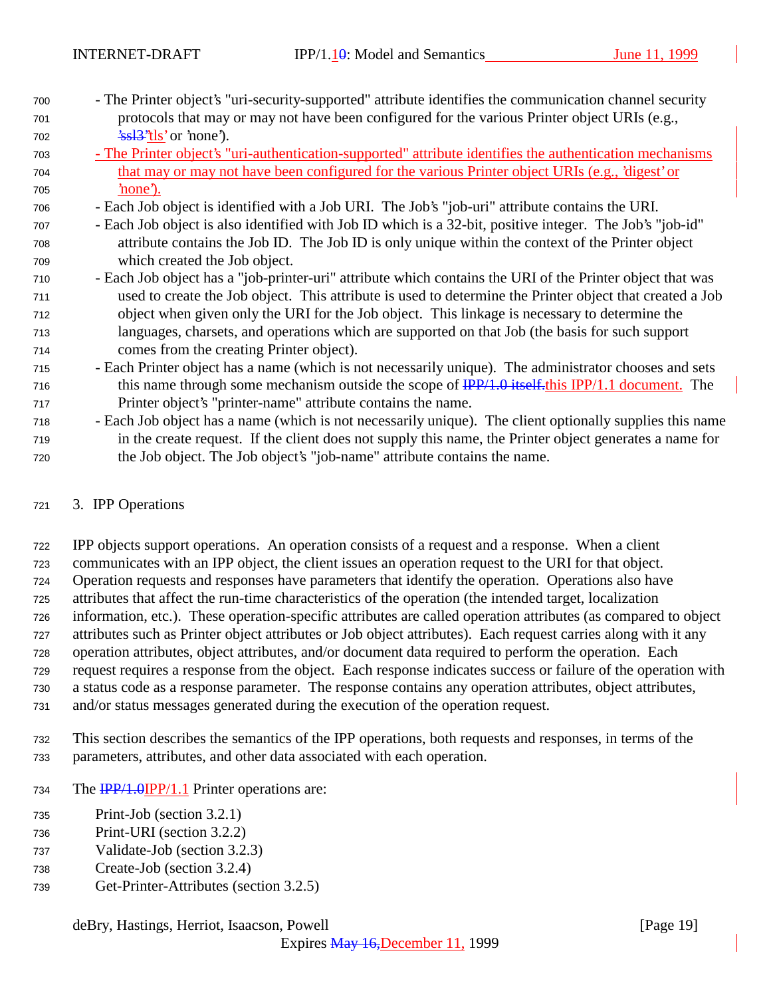- The Printer object's "uri-security-supported" attribute identifies the communication channel security protocols that may or may not have been configured for the various Printer object URIs (e.g., 'ssl3''tls' or 'none').
- The Printer object's "uri-authentication-supported" attribute identifies the authentication mechanisms that may or may not have been configured for the various Printer object URIs (e.g., 'digest' or 'none').
- Each Job object is identified with a Job URI. The Job's "job-uri" attribute contains the URI.
- Each Job object is also identified with Job ID which is a 32-bit, positive integer. The Job's "job-id" attribute contains the Job ID. The Job ID is only unique within the context of the Printer object which created the Job object.
- Each Job object has a "job-printer-uri" attribute which contains the URI of the Printer object that was used to create the Job object. This attribute is used to determine the Printer object that created a Job object when given only the URI for the Job object. This linkage is necessary to determine the languages, charsets, and operations which are supported on that Job (the basis for such support comes from the creating Printer object).
- Each Printer object has a name (which is not necessarily unique). The administrator chooses and sets 716 this name through some mechanism outside the scope of  $\frac{IPP}{1.0}$  itself. this IPP/1.1 document. The Printer object's "printer-name" attribute contains the name.
- Each Job object has a name (which is not necessarily unique). The client optionally supplies this name in the create request. If the client does not supply this name, the Printer object generates a name for the Job object. The Job object's "job-name" attribute contains the name.

## 3. IPP Operations

 IPP objects support operations. An operation consists of a request and a response. When a client communicates with an IPP object, the client issues an operation request to the URI for that object. Operation requests and responses have parameters that identify the operation. Operations also have attributes that affect the run-time characteristics of the operation (the intended target, localization information, etc.). These operation-specific attributes are called operation attributes (as compared to object attributes such as Printer object attributes or Job object attributes). Each request carries along with it any operation attributes, object attributes, and/or document data required to perform the operation. Each request requires a response from the object. Each response indicates success or failure of the operation with a status code as a response parameter. The response contains any operation attributes, object attributes, and/or status messages generated during the execution of the operation request.

- This section describes the semantics of the IPP operations, both requests and responses, in terms of the parameters, attributes, and other data associated with each operation.
- 734 The **IPP/1.0IPP/1.1** Printer operations are:
- Print-Job (section 3.2.1)
- Print-URI (section 3.2.2)
- Validate-Job (section 3.2.3)
- Create-Job (section 3.2.4)
- Get-Printer-Attributes (section 3.2.5)

# deBry, Hastings, Herriot, Isaacson, Powell [Page 19]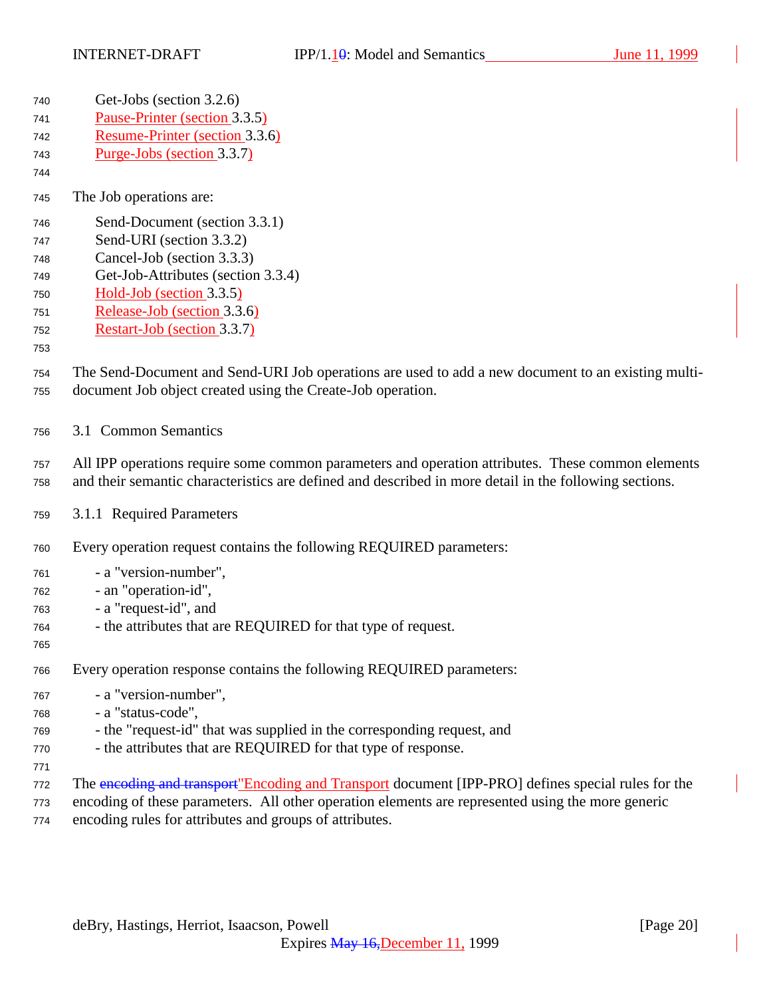| 740 | Get-Jobs (section 3.2.6)                                                                               |
|-----|--------------------------------------------------------------------------------------------------------|
| 741 | Pause-Printer (section 3.3.5)                                                                          |
| 742 | Resume-Printer (section 3.3.6)                                                                         |
| 743 | Purge-Jobs (section 3.3.7)                                                                             |
| 744 |                                                                                                        |
| 745 | The Job operations are:                                                                                |
| 746 | Send-Document (section 3.3.1)                                                                          |
| 747 | Send-URI (section 3.3.2)                                                                               |
| 748 | Cancel-Job (section 3.3.3)                                                                             |
| 749 | Get-Job-Attributes (section 3.3.4)                                                                     |
| 750 | $Hold-Job$ (section 3.3.5)                                                                             |
| 751 | Release-Job (section 3.3.6)                                                                            |
| 752 | Restart-Job (section 3.3.7)                                                                            |
| 753 |                                                                                                        |
| 754 | The Send-Document and Send-URI Job operations are used to add a new document to an existing multi-     |
| 755 | document Job object created using the Create-Job operation.                                            |
|     |                                                                                                        |
| 756 | 3.1 Common Semantics                                                                                   |
| 757 | All IPP operations require some common parameters and operation attributes. These common elements      |
| 758 | and their semantic characteristics are defined and described in more detail in the following sections. |
|     |                                                                                                        |
| 759 | 3.1.1 Required Parameters                                                                              |
|     |                                                                                                        |
| 760 | Every operation request contains the following REQUIRED parameters:                                    |

- a "version-number",
- an "operation-id",
- a "request-id", and
- the attributes that are REQUIRED for that type of request.
- 

Every operation response contains the following REQUIRED parameters:

- a "version-number",
- a "status-code",
- the "request-id" that was supplied in the corresponding request, and
- the attributes that are REQUIRED for that type of response.
- 772 The encoding and transport"Encoding and Transport document [IPP-PRO] defines special rules for the
- encoding of these parameters. All other operation elements are represented using the more generic
- encoding rules for attributes and groups of attributes.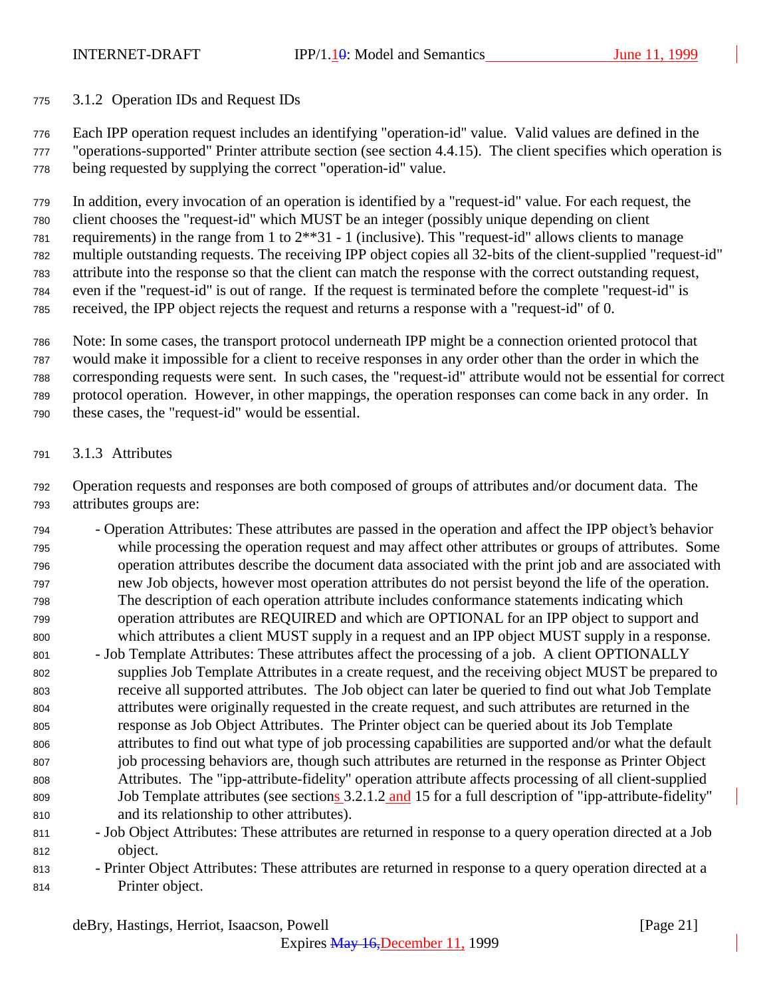### 3.1.2 Operation IDs and Request IDs

 Each IPP operation request includes an identifying "operation-id" value. Valid values are defined in the "operations-supported" Printer attribute section (see section 4.4.15). The client specifies which operation is being requested by supplying the correct "operation-id" value.

 In addition, every invocation of an operation is identified by a "request-id" value. For each request, the client chooses the "request-id" which MUST be an integer (possibly unique depending on client requirements) in the range from 1 to 2\*\*31 - 1 (inclusive). This "request-id" allows clients to manage multiple outstanding requests. The receiving IPP object copies all 32-bits of the client-supplied "request-id" attribute into the response so that the client can match the response with the correct outstanding request, even if the "request-id" is out of range. If the request is terminated before the complete "request-id" is received, the IPP object rejects the request and returns a response with a "request-id" of 0.

 Note: In some cases, the transport protocol underneath IPP might be a connection oriented protocol that would make it impossible for a client to receive responses in any order other than the order in which the corresponding requests were sent. In such cases, the "request-id" attribute would not be essential for correct protocol operation. However, in other mappings, the operation responses can come back in any order. In these cases, the "request-id" would be essential.

3.1.3 Attributes

 Operation requests and responses are both composed of groups of attributes and/or document data. The attributes groups are:

- Operation Attributes: These attributes are passed in the operation and affect the IPP object's behavior while processing the operation request and may affect other attributes or groups of attributes. Some operation attributes describe the document data associated with the print job and are associated with new Job objects, however most operation attributes do not persist beyond the life of the operation. The description of each operation attribute includes conformance statements indicating which operation attributes are REQUIRED and which are OPTIONAL for an IPP object to support and which attributes a client MUST supply in a request and an IPP object MUST supply in a response.
- Job Template Attributes: These attributes affect the processing of a job. A client OPTIONALLY supplies Job Template Attributes in a create request, and the receiving object MUST be prepared to receive all supported attributes. The Job object can later be queried to find out what Job Template attributes were originally requested in the create request, and such attributes are returned in the response as Job Object Attributes. The Printer object can be queried about its Job Template attributes to find out what type of job processing capabilities are supported and/or what the default job processing behaviors are, though such attributes are returned in the response as Printer Object Attributes. The "ipp-attribute-fidelity" operation attribute affects processing of all client-supplied 809 Job Template attributes (see sections 3.2.1.2 and 15 for a full description of "ipp-attribute-fidelity" and its relationship to other attributes).
- Job Object Attributes: These attributes are returned in response to a query operation directed at a Job object.
- Printer Object Attributes: These attributes are returned in response to a query operation directed at a Printer object.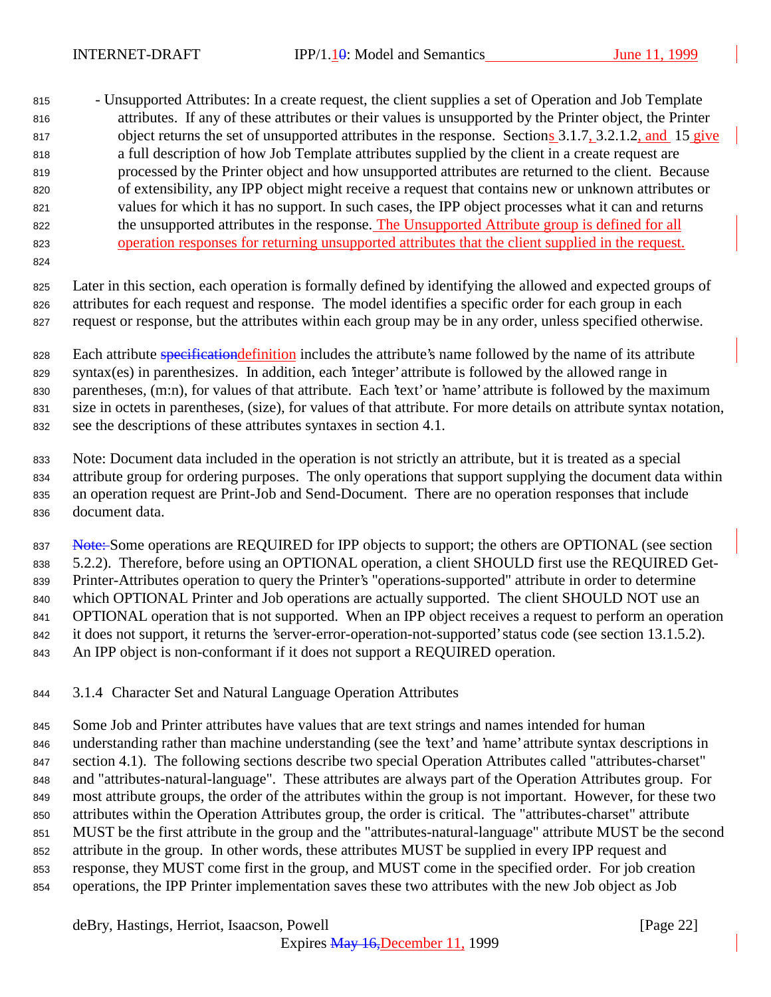- Unsupported Attributes: In a create request, the client supplies a set of Operation and Job Template attributes. If any of these attributes or their values is unsupported by the Printer object, the Printer 817 object returns the set of unsupported attributes in the response. Sections 3.1.7, 3.2.1.2, and 15 give a full description of how Job Template attributes supplied by the client in a create request are processed by the Printer object and how unsupported attributes are returned to the client. Because of extensibility, any IPP object might receive a request that contains new or unknown attributes or values for which it has no support. In such cases, the IPP object processes what it can and returns the unsupported attributes in the response. The Unsupported Attribute group is defined for all operation responses for returning unsupported attributes that the client supplied in the request.

 Later in this section, each operation is formally defined by identifying the allowed and expected groups of attributes for each request and response. The model identifies a specific order for each group in each request or response, but the attributes within each group may be in any order, unless specified otherwise.

828 Each attribute specification definition includes the attribute's name followed by the name of its attribute syntax(es) in parenthesizes. In addition, each 'integer' attribute is followed by the allowed range in parentheses, (m:n), for values of that attribute. Each 'text' or 'name' attribute is followed by the maximum size in octets in parentheses, (size), for values of that attribute. For more details on attribute syntax notation, see the descriptions of these attributes syntaxes in section 4.1.

 Note: Document data included in the operation is not strictly an attribute, but it is treated as a special attribute group for ordering purposes. The only operations that support supplying the document data within an operation request are Print-Job and Send-Document. There are no operation responses that include document data.

837 Note: Some operations are REQUIRED for IPP objects to support; the others are OPTIONAL (see section 5.2.2). Therefore, before using an OPTIONAL operation, a client SHOULD first use the REQUIRED Get- Printer-Attributes operation to query the Printer's "operations-supported" attribute in order to determine which OPTIONAL Printer and Job operations are actually supported. The client SHOULD NOT use an OPTIONAL operation that is not supported. When an IPP object receives a request to perform an operation it does not support, it returns the 'server-error-operation-not-supported' status code (see section 13.1.5.2). An IPP object is non-conformant if it does not support a REQUIRED operation.

3.1.4 Character Set and Natural Language Operation Attributes

845 Some Job and Printer attributes have values that are text strings and names intended for human understanding rather than machine understanding (see the 'text' and 'name' attribute syntax descriptions in section 4.1). The following sections describe two special Operation Attributes called "attributes-charset" and "attributes-natural-language". These attributes are always part of the Operation Attributes group. For most attribute groups, the order of the attributes within the group is not important. However, for these two attributes within the Operation Attributes group, the order is critical. The "attributes-charset" attribute MUST be the first attribute in the group and the "attributes-natural-language" attribute MUST be the second attribute in the group. In other words, these attributes MUST be supplied in every IPP request and response, they MUST come first in the group, and MUST come in the specified order. For job creation operations, the IPP Printer implementation saves these two attributes with the new Job object as Job

deBry, Hastings, Herriot, Isaacson, Powell [Page 22]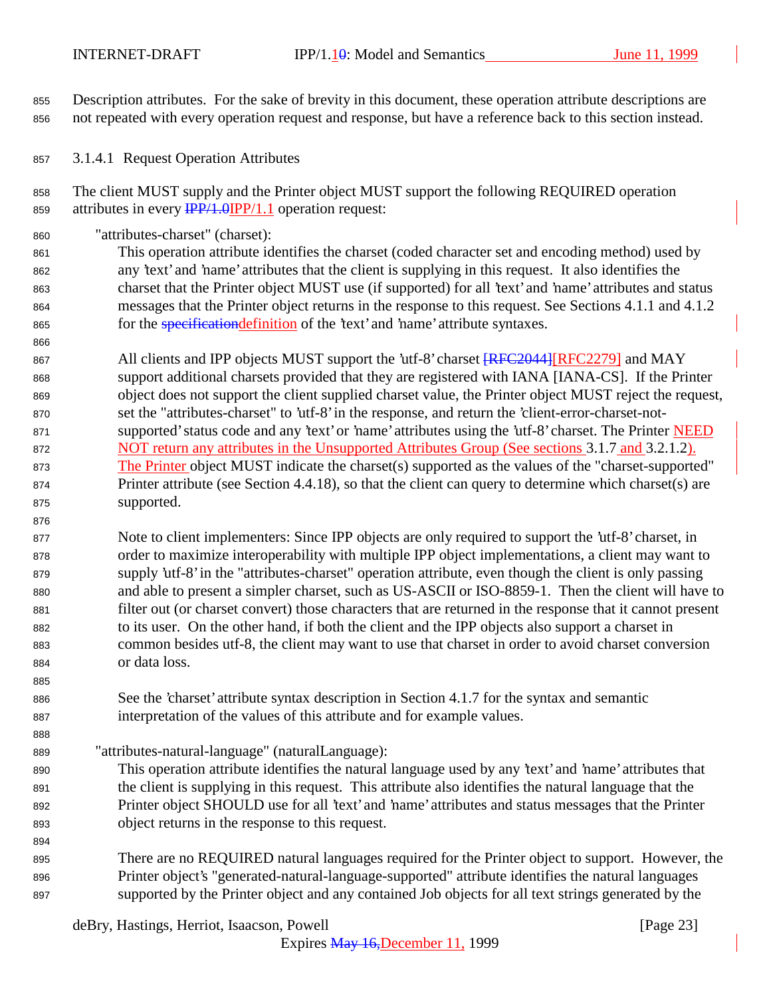Description attributes. For the sake of brevity in this document, these operation attribute descriptions are not repeated with every operation request and response, but have a reference back to this section instead.

3.1.4.1 Request Operation Attributes

 The client MUST supply and the Printer object MUST support the following REQUIRED operation 859 attributes in every  $\frac{IPP}{1.0}$  (IPP/1.1 operation request:

"attributes-charset" (charset):

 This operation attribute identifies the charset (coded character set and encoding method) used by any 'text' and 'name' attributes that the client is supplying in this request. It also identifies the charset that the Printer object MUST use (if supported) for all 'text' and 'name' attributes and status messages that the Printer object returns in the response to this request. See Sections 4.1.1 and 4.1.2 865 for the *specification definition* of the 'text' and 'name' attribute syntaxes.

867 All clients and IPP objects MUST support the 'utf-8' charset  $RFC2044$  [RFC2279] and MAY support additional charsets provided that they are registered with IANA [IANA-CS]. If the Printer object does not support the client supplied charset value, the Printer object MUST reject the request, set the "attributes-charset" to 'utf-8' in the response, and return the 'client-error-charset-not-871 supported' status code and any 'text' or 'name' attributes using the 'utf-8' charset. The Printer NEED 872 NOT return any attributes in the Unsupported Attributes Group (See sections 3.1.7 and 3.2.1.2). 873 The Printer object MUST indicate the charset(s) supported as the values of the "charset-supported" 874 Printer attribute (see Section 4.4.18), so that the client can query to determine which charset(s) are supported.

 Note to client implementers: Since IPP objects are only required to support the 'utf-8' charset, in order to maximize interoperability with multiple IPP object implementations, a client may want to supply 'utf-8' in the "attributes-charset" operation attribute, even though the client is only passing and able to present a simpler charset, such as US-ASCII or ISO-8859-1. Then the client will have to filter out (or charset convert) those characters that are returned in the response that it cannot present to its user. On the other hand, if both the client and the IPP objects also support a charset in common besides utf-8, the client may want to use that charset in order to avoid charset conversion or data loss.

- See the 'charset' attribute syntax description in Section 4.1.7 for the syntax and semantic interpretation of the values of this attribute and for example values.
- "attributes-natural-language" (naturalLanguage):
- This operation attribute identifies the natural language used by any 'text' and 'name' attributes that the client is supplying in this request. This attribute also identifies the natural language that the Printer object SHOULD use for all 'text' and 'name' attributes and status messages that the Printer object returns in the response to this request.
- There are no REQUIRED natural languages required for the Printer object to support. However, the Printer object's "generated-natural-language-supported" attribute identifies the natural languages supported by the Printer object and any contained Job objects for all text strings generated by the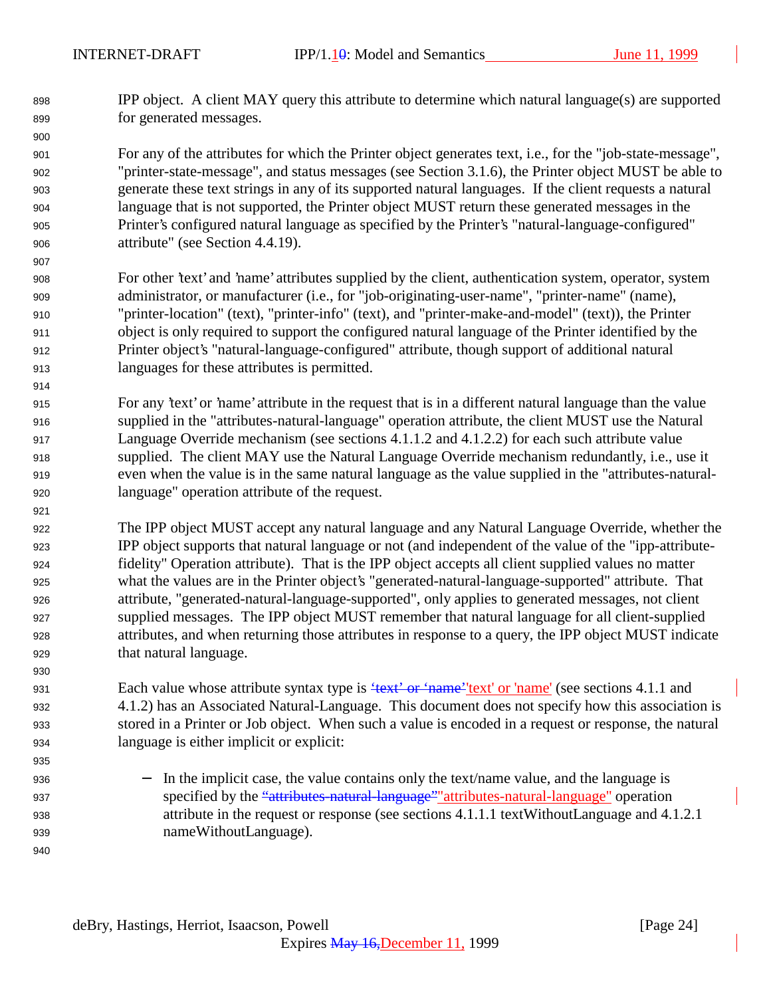IPP object. A client MAY query this attribute to determine which natural language(s) are supported for generated messages.

 For any of the attributes for which the Printer object generates text, i.e., for the "job-state-message", "printer-state-message", and status messages (see Section 3.1.6), the Printer object MUST be able to generate these text strings in any of its supported natural languages. If the client requests a natural language that is not supported, the Printer object MUST return these generated messages in the Printer's configured natural language as specified by the Printer's "natural-language-configured" attribute" (see Section 4.4.19).

- For other 'text' and 'name' attributes supplied by the client, authentication system, operator, system administrator, or manufacturer (i.e., for "job-originating-user-name", "printer-name" (name), "printer-location" (text), "printer-info" (text), and "printer-make-and-model" (text)), the Printer object is only required to support the configured natural language of the Printer identified by the Printer object's "natural-language-configured" attribute, though support of additional natural languages for these attributes is permitted.
- For any 'text' or 'name' attribute in the request that is in a different natural language than the value supplied in the "attributes-natural-language" operation attribute, the client MUST use the Natural Language Override mechanism (see sections 4.1.1.2 and 4.1.2.2) for each such attribute value supplied. The client MAY use the Natural Language Override mechanism redundantly, i.e., use it even when the value is in the same natural language as the value supplied in the "attributes-natural-language" operation attribute of the request.
- The IPP object MUST accept any natural language and any Natural Language Override, whether the IPP object supports that natural language or not (and independent of the value of the "ipp-attribute- fidelity" Operation attribute). That is the IPP object accepts all client supplied values no matter what the values are in the Printer object's "generated-natural-language-supported" attribute. That attribute, "generated-natural-language-supported", only applies to generated messages, not client supplied messages. The IPP object MUST remember that natural language for all client-supplied attributes, and when returning those attributes in response to a query, the IPP object MUST indicate that natural language.

931 Each value whose attribute syntax type is "text" or 'name' text' or 'name' (see sections 4.1.1 and 4.1.2) has an Associated Natural-Language. This document does not specify how this association is stored in a Printer or Job object. When such a value is encoded in a request or response, the natural language is either implicit or explicit:

936 − In the implicit case, the value contains only the text/name value, and the language is 937 specified by the "attributes-natural-language" attributes-natural-language" operation attribute in the request or response (see sections 4.1.1.1 textWithoutLanguage and 4.1.2.1 nameWithoutLanguage).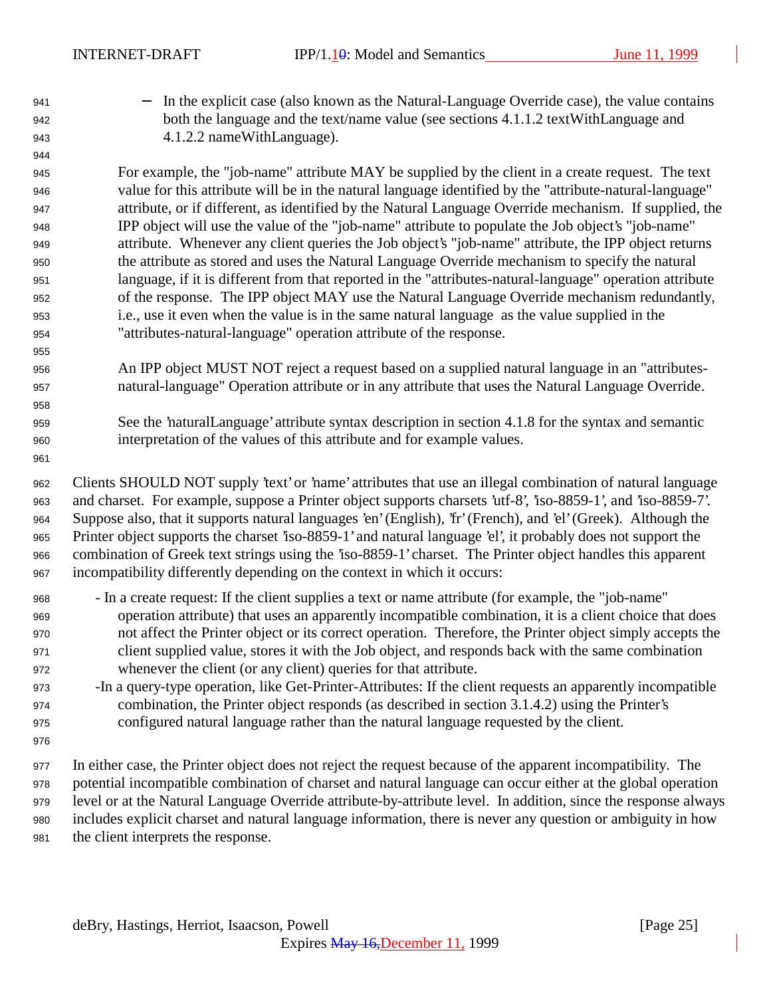941 − In the explicit case (also known as the Natural-Language Override case), the value contains both the language and the text/name value (see sections 4.1.1.2 textWithLanguage and 4.1.2.2 nameWithLanguage).

 For example, the "job-name" attribute MAY be supplied by the client in a create request. The text value for this attribute will be in the natural language identified by the "attribute-natural-language" attribute, or if different, as identified by the Natural Language Override mechanism. If supplied, the IPP object will use the value of the "job-name" attribute to populate the Job object's "job-name" attribute. Whenever any client queries the Job object's "job-name" attribute, the IPP object returns the attribute as stored and uses the Natural Language Override mechanism to specify the natural language, if it is different from that reported in the "attributes-natural-language" operation attribute of the response. The IPP object MAY use the Natural Language Override mechanism redundantly, i.e., use it even when the value is in the same natural language as the value supplied in the "attributes-natural-language" operation attribute of the response.

- An IPP object MUST NOT reject a request based on a supplied natural language in an "attributes-natural-language" Operation attribute or in any attribute that uses the Natural Language Override.
- See the 'naturalLanguage' attribute syntax description in section 4.1.8 for the syntax and semantic interpretation of the values of this attribute and for example values.

 Clients SHOULD NOT supply 'text' or 'name' attributes that use an illegal combination of natural language and charset. For example, suppose a Printer object supports charsets 'utf-8', 'iso-8859-1', and 'iso-8859-7'. Suppose also, that it supports natural languages 'en' (English), 'fr' (French), and 'el' (Greek). Although the Printer object supports the charset 'iso-8859-1' and natural language 'el', it probably does not support the combination of Greek text strings using the 'iso-8859-1' charset. The Printer object handles this apparent incompatibility differently depending on the context in which it occurs:

- In a create request: If the client supplies a text or name attribute (for example, the "job-name" operation attribute) that uses an apparently incompatible combination, it is a client choice that does not affect the Printer object or its correct operation. Therefore, the Printer object simply accepts the client supplied value, stores it with the Job object, and responds back with the same combination whenever the client (or any client) queries for that attribute.
- -In a query-type operation, like Get-Printer-Attributes: If the client requests an apparently incompatible combination, the Printer object responds (as described in section 3.1.4.2) using the Printer's configured natural language rather than the natural language requested by the client.
- 

 In either case, the Printer object does not reject the request because of the apparent incompatibility. The potential incompatible combination of charset and natural language can occur either at the global operation level or at the Natural Language Override attribute-by-attribute level. In addition, since the response always includes explicit charset and natural language information, there is never any question or ambiguity in how the client interprets the response.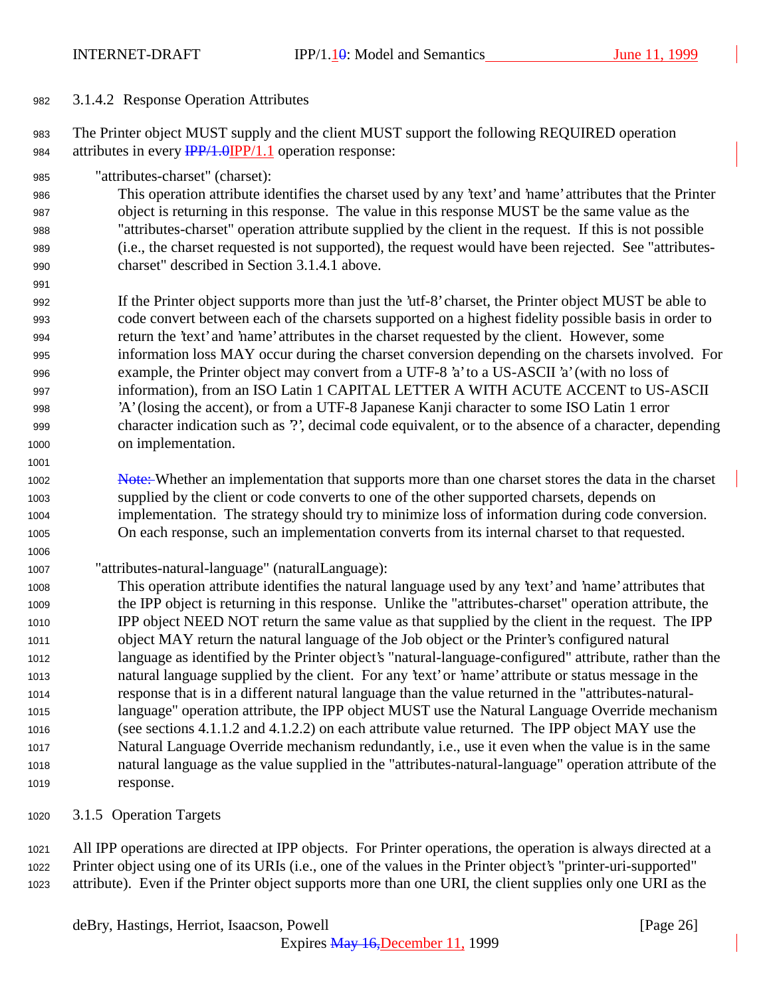#### 3.1.4.2 Response Operation Attributes

 The Printer object MUST supply and the client MUST support the following REQUIRED operation 984 attributes in every  $\frac{IPP}{1.0}$  (PP/1.1 operation response:

"attributes-charset" (charset):

 This operation attribute identifies the charset used by any 'text' and 'name' attributes that the Printer object is returning in this response. The value in this response MUST be the same value as the "attributes-charset" operation attribute supplied by the client in the request. If this is not possible (i.e., the charset requested is not supported), the request would have been rejected. See "attributes-charset" described in Section 3.1.4.1 above.

 If the Printer object supports more than just the 'utf-8' charset, the Printer object MUST be able to code convert between each of the charsets supported on a highest fidelity possible basis in order to return the 'text' and 'name' attributes in the charset requested by the client. However, some information loss MAY occur during the charset conversion depending on the charsets involved. For example, the Printer object may convert from a UTF-8 'a' to a US-ASCII 'a' (with no loss of information), from an ISO Latin 1 CAPITAL LETTER A WITH ACUTE ACCENT to US-ASCII 'A' (losing the accent), or from a UTF-8 Japanese Kanji character to some ISO Latin 1 error character indication such as '?', decimal code equivalent, or to the absence of a character, depending on implementation.

 Note: Whether an implementation that supports more than one charset stores the data in the charset supplied by the client or code converts to one of the other supported charsets, depends on implementation. The strategy should try to minimize loss of information during code conversion. On each response, such an implementation converts from its internal charset to that requested.

"attributes-natural-language" (naturalLanguage):

 This operation attribute identifies the natural language used by any 'text' and 'name' attributes that the IPP object is returning in this response. Unlike the "attributes-charset" operation attribute, the IPP object NEED NOT return the same value as that supplied by the client in the request. The IPP object MAY return the natural language of the Job object or the Printer's configured natural language as identified by the Printer object's "natural-language-configured" attribute, rather than the natural language supplied by the client. For any 'text' or 'name' attribute or status message in the response that is in a different natural language than the value returned in the "attributes-natural- language" operation attribute, the IPP object MUST use the Natural Language Override mechanism (see sections 4.1.1.2 and 4.1.2.2) on each attribute value returned. The IPP object MAY use the Natural Language Override mechanism redundantly, i.e., use it even when the value is in the same natural language as the value supplied in the "attributes-natural-language" operation attribute of the response.

3.1.5 Operation Targets

 All IPP operations are directed at IPP objects. For Printer operations, the operation is always directed at a Printer object using one of its URIs (i.e., one of the values in the Printer object's "printer-uri-supported" attribute). Even if the Printer object supports more than one URI, the client supplies only one URI as the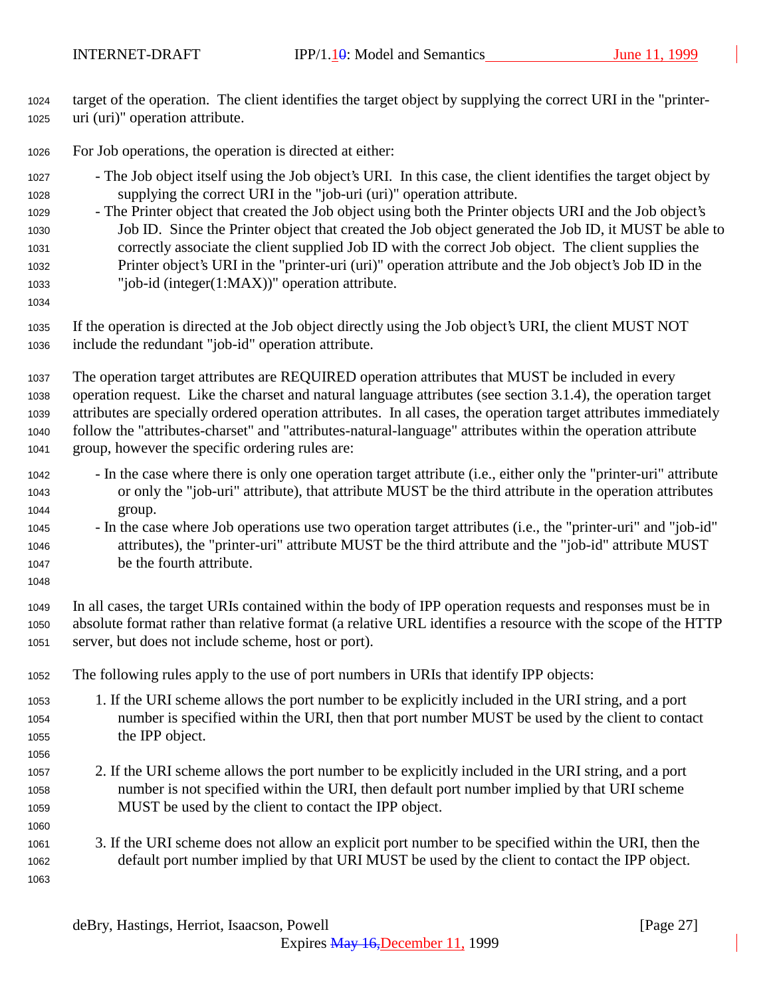- target of the operation. The client identifies the target object by supplying the correct URI in the "printer-uri (uri)" operation attribute.
- For Job operations, the operation is directed at either:
- The Job object itself using the Job object's URI. In this case, the client identifies the target object by supplying the correct URI in the "job-uri (uri)" operation attribute.
- The Printer object that created the Job object using both the Printer objects URI and the Job object's Job ID. Since the Printer object that created the Job object generated the Job ID, it MUST be able to correctly associate the client supplied Job ID with the correct Job object. The client supplies the Printer object's URI in the "printer-uri (uri)" operation attribute and the Job object's Job ID in the "job-id (integer(1:MAX))" operation attribute.
- 

 If the operation is directed at the Job object directly using the Job object's URI, the client MUST NOT include the redundant "job-id" operation attribute.

 The operation target attributes are REQUIRED operation attributes that MUST be included in every operation request. Like the charset and natural language attributes (see section 3.1.4), the operation target attributes are specially ordered operation attributes. In all cases, the operation target attributes immediately follow the "attributes-charset" and "attributes-natural-language" attributes within the operation attribute group, however the specific ordering rules are:

- In the case where there is only one operation target attribute (i.e., either only the "printer-uri" attribute or only the "job-uri" attribute), that attribute MUST be the third attribute in the operation attributes group.
- In the case where Job operations use two operation target attributes (i.e., the "printer-uri" and "job-id" attributes), the "printer-uri" attribute MUST be the third attribute and the "job-id" attribute MUST be the fourth attribute.
- In all cases, the target URIs contained within the body of IPP operation requests and responses must be in absolute format rather than relative format (a relative URL identifies a resource with the scope of the HTTP server, but does not include scheme, host or port).
- The following rules apply to the use of port numbers in URIs that identify IPP objects:
- 1. If the URI scheme allows the port number to be explicitly included in the URI string, and a port number is specified within the URI, then that port number MUST be used by the client to contact the IPP object.
- 2. If the URI scheme allows the port number to be explicitly included in the URI string, and a port number is not specified within the URI, then default port number implied by that URI scheme MUST be used by the client to contact the IPP object.
- 3. If the URI scheme does not allow an explicit port number to be specified within the URI, then the default port number implied by that URI MUST be used by the client to contact the IPP object.
	- deBry, Hastings, Herriot, Isaacson, Powell [Page 27]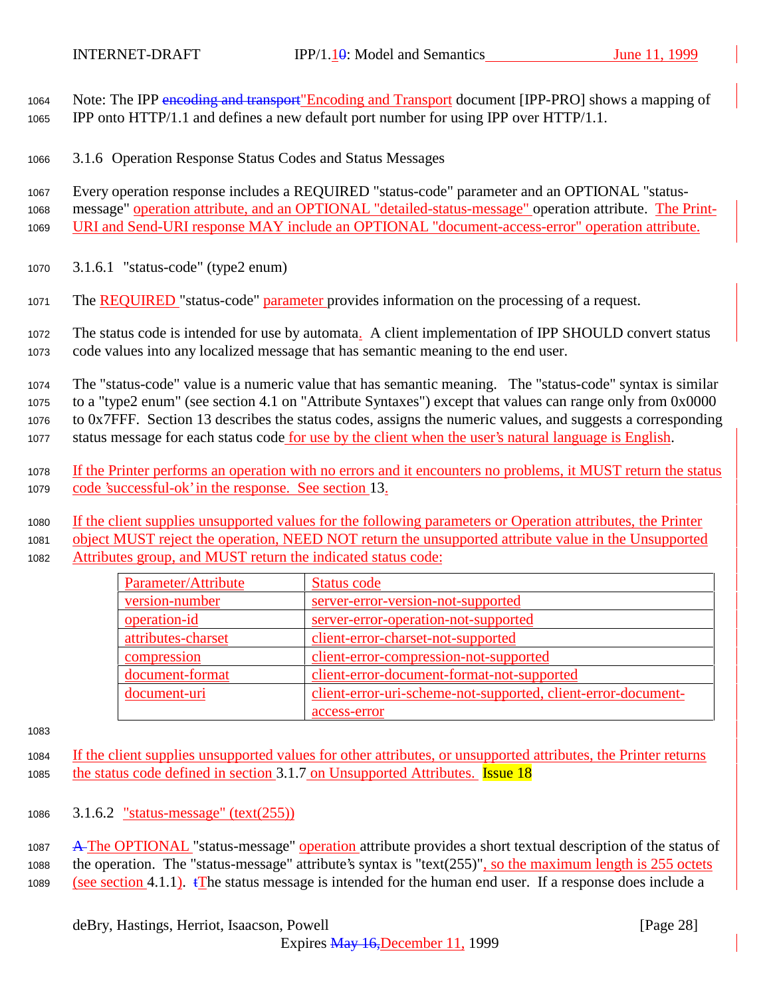1064 Note: The IPP encoding and transport" Encoding and Transport document [IPP-PRO] shows a mapping of <sup>1065</sup> IPP onto HTTP/1.1 and defines a new default port number for using IPP over HTTP/1.1.

<sup>1066</sup> 3.1.6 Operation Response Status Codes and Status Messages

<sup>1067</sup> Every operation response includes a REQUIRED "status-code" parameter and an OPTIONAL "status-<sup>1068</sup> message" operation attribute, and an OPTIONAL "detailed-status-message" operation attribute. The Print-<sup>1069</sup> URI and Send-URI response MAY include an OPTIONAL "document-access-error" operation attribute.

- <sup>1070</sup> 3.1.6.1 "status-code" (type2 enum)
- 1071 The REQUIRED "status-code" parameter provides information on the processing of a request.

<sup>1072</sup> The status code is intended for use by automata. A client implementation of IPP SHOULD convert status <sup>1073</sup> code values into any localized message that has semantic meaning to the end user.

 The "status-code" value is a numeric value that has semantic meaning. The "status-code" syntax is similar to a "type2 enum" (see section 4.1 on "Attribute Syntaxes") except that values can range only from 0x0000 to 0x7FFF. Section 13 describes the status codes, assigns the numeric values, and suggests a corresponding status message for each status code for use by the client when the user's natural language is English.

- <sup>1078</sup> If the Printer performs an operation with no errors and it encounters no problems, it MUST return the status <sup>1079</sup> code 'successful-ok' in the response. See section 13.
- <sup>1080</sup> If the client supplies unsupported values for the following parameters or Operation attributes, the Printer

<sup>1081</sup> object MUST reject the operation, NEED NOT return the unsupported attribute value in the Unsupported <sup>1082</sup> Attributes group, and MUST return the indicated status code:

| Parameter/Attribute | Status code                                                   |
|---------------------|---------------------------------------------------------------|
| version-number      | server-error-version-not-supported                            |
| operation-id        | server-error-operation-not-supported                          |
| attributes-charset  | client-error-charset-not-supported                            |
| compression         | client-error-compression-not-supported                        |
| document-format     | client-error-document-format-not-supported                    |
| document-uri        | client-error-uri-scheme-not-supported, client-error-document- |
|                     | access-error                                                  |

1083

<sup>1084</sup> If the client supplies unsupported values for other attributes, or unsupported attributes, the Printer returns 1085 the status code defined in section 3.1.7 on Unsupported Attributes. **Issue 18** 

<sup>1086</sup> 3.1.6.2 "status-message" (text(255))

1087 A The OPTIONAL "status-message" operation attribute provides a short textual description of the status of <sup>1088</sup> the operation. The "status-message" attribute's syntax is "text(255)", so the maximum length is 255 octets 1089 (see section 4.1.1).  $\mathbf{f}$  The status message is intended for the human end user. If a response does include a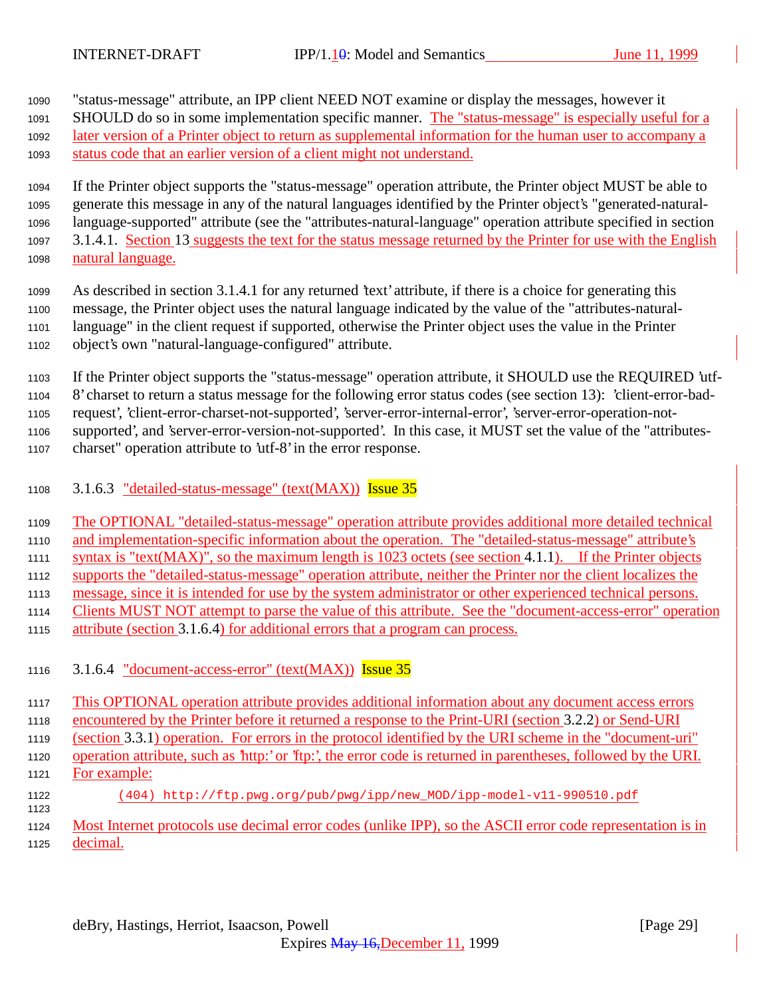"status-message" attribute, an IPP client NEED NOT examine or display the messages, however it

1091 SHOULD do so in some implementation specific manner. The "status-message" is especially useful for a

later version of a Printer object to return as supplemental information for the human user to accompany a

status code that an earlier version of a client might not understand.

 If the Printer object supports the "status-message" operation attribute, the Printer object MUST be able to generate this message in any of the natural languages identified by the Printer object's "generated-natural- language-supported" attribute (see the "attributes-natural-language" operation attribute specified in section 3.1.4.1. Section 13 suggests the text for the status message returned by the Printer for use with the English natural language.

 As described in section 3.1.4.1 for any returned 'text' attribute, if there is a choice for generating this message, the Printer object uses the natural language indicated by the value of the "attributes-natural- language" in the client request if supported, otherwise the Printer object uses the value in the Printer object's own "natural-language-configured" attribute.

If the Printer object supports the "status-message" operation attribute, it SHOULD use the REQUIRED 'utf-

8' charset to return a status message for the following error status codes (see section 13): 'client-error-bad-

request', 'client-error-charset-not-supported', 'server-error-internal-error', 'server-error-operation-not-

supported', and 'server-error-version-not-supported'. In this case, it MUST set the value of the "attributes-

- charset" operation attribute to 'utf-8' in the error response.
- 3.1.6.3 "detailed-status-message" (text(MAX)) Issue 35

 The OPTIONAL "detailed-status-message" operation attribute provides additional more detailed technical and implementation-specific information about the operation. The "detailed-status-message" attribute's syntax is "text(MAX)", so the maximum length is 1023 octets (see section 4.1.1). If the Printer objects supports the "detailed-status-message" operation attribute, neither the Printer nor the client localizes the message, since it is intended for use by the system administrator or other experienced technical persons. Clients MUST NOT attempt to parse the value of this attribute. See the "document-access-error" operation attribute (section 3.1.6.4) for additional errors that a program can process.

3.1.6.4 "document-access-error" (text(MAX)) Issue 35

 This OPTIONAL operation attribute provides additional information about any document access errors encountered by the Printer before it returned a response to the Print-URI (section 3.2.2) or Send-URI (section 3.3.1) operation. For errors in the protocol identified by the URI scheme in the "document-uri" operation attribute, such as 'http:' or 'ftp:', the error code is returned in parentheses, followed by the URI. For example: (404) http://ftp.pwg.org/pub/pwg/ipp/new\_MOD/ipp-model-v11-990510.pdf Most Internet protocols use decimal error codes (unlike IPP), so the ASCII error code representation is in

decimal.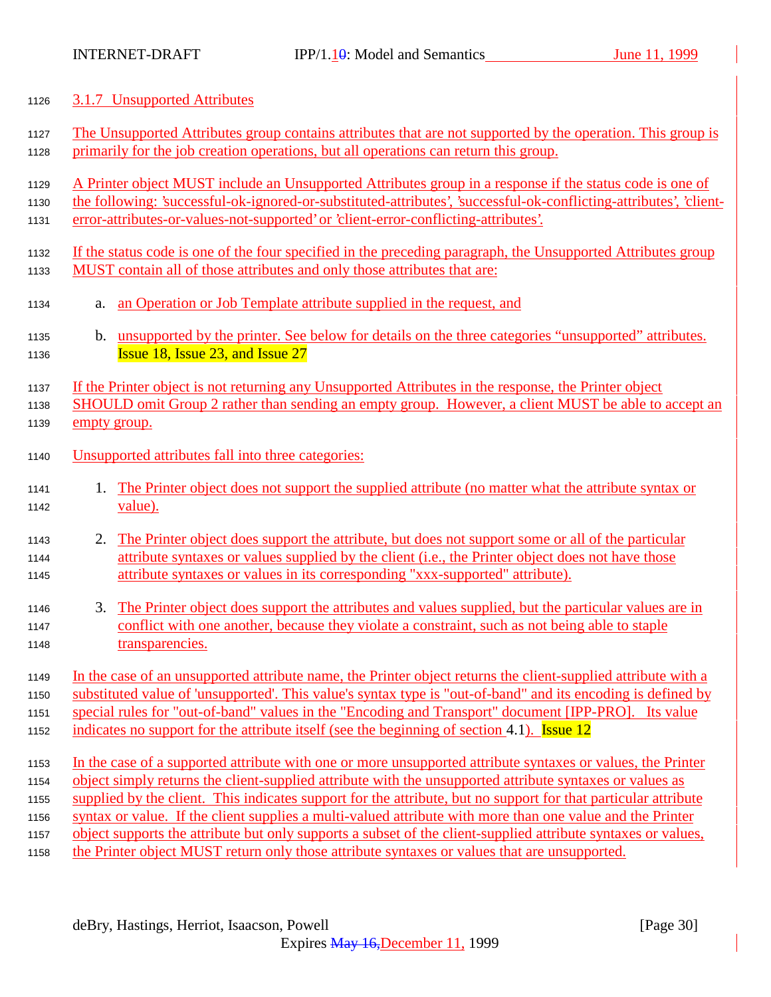### 3.1.7 Unsupported Attributes

- The Unsupported Attributes group contains attributes that are not supported by the operation. This group is primarily for the job creation operations, but all operations can return this group.
- A Printer object MUST include an Unsupported Attributes group in a response if the status code is one of
- the following: 'successful-ok-ignored-or-substituted-attributes', 'successful-ok-conflicting-attributes', 'client-error-attributes-or-values-not-supported' or 'client-error-conflicting-attributes'.
- If the status code is one of the four specified in the preceding paragraph, the Unsupported Attributes group MUST contain all of those attributes and only those attributes that are:
- a. an Operation or Job Template attribute supplied in the request, and
- b. unsupported by the printer. See below for details on the three categories "unsupported" attributes. **Issue 18, Issue 23, and Issue 27**

1137 If the Printer object is not returning any Unsupported Attributes in the response, the Printer object

- SHOULD omit Group 2 rather than sending an empty group. However, a client MUST be able to accept an empty group.
- Unsupported attributes fall into three categories:
- 1. The Printer object does not support the supplied attribute (no matter what the attribute syntax or value).
- 1143 2. The Printer object does support the attribute, but does not support some or all of the particular attribute syntaxes or values supplied by the client (i.e., the Printer object does not have those attribute syntaxes or values in its corresponding "xxx-supported" attribute).
- 3. The Printer object does support the attributes and values supplied, but the particular values are in conflict with one another, because they violate a constraint, such as not being able to staple transparencies.
- In the case of an unsupported attribute name, the Printer object returns the client-supplied attribute with a substituted value of 'unsupported'. This value's syntax type is "out-of-band" and its encoding is defined by special rules for "out-of-band" values in the "Encoding and Transport" document [IPP-PRO]. Its value
- 1152 indicates no support for the attribute itself (see the beginning of section 4.1). Issue 12
- In the case of a supported attribute with one or more unsupported attribute syntaxes or values, the Printer
- object simply returns the client-supplied attribute with the unsupported attribute syntaxes or values as
- supplied by the client. This indicates support for the attribute, but no support for that particular attribute
- syntax or value. If the client supplies a multi-valued attribute with more than one value and the Printer
- object supports the attribute but only supports a subset of the client-supplied attribute syntaxes or values,
- the Printer object MUST return only those attribute syntaxes or values that are unsupported.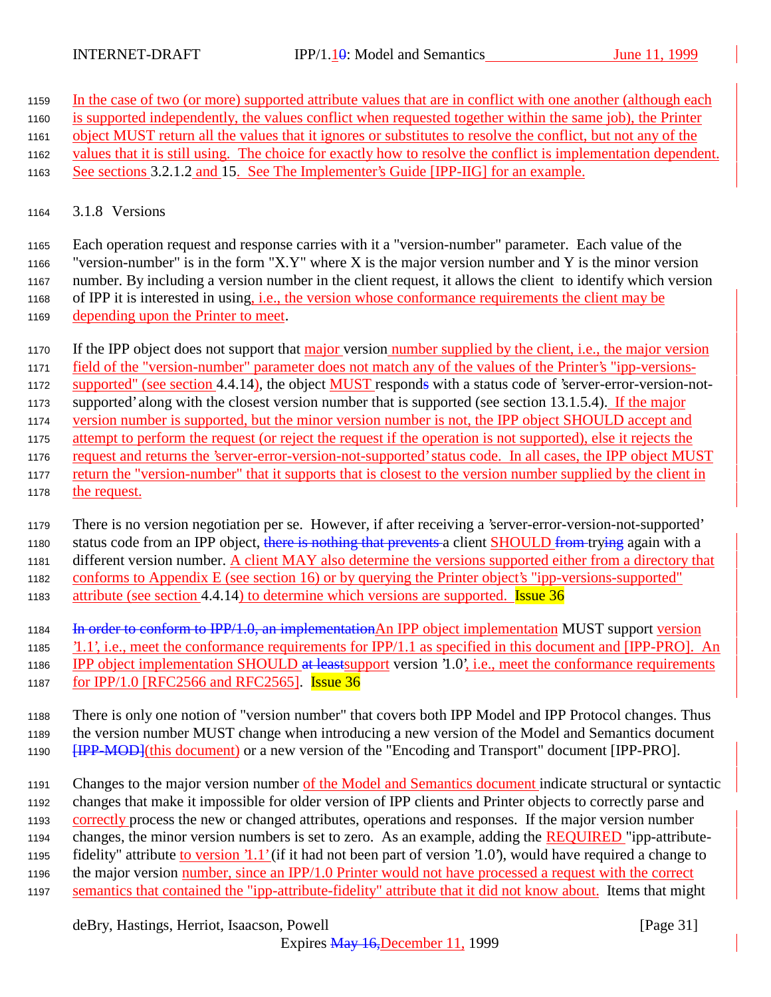In the case of two (or more) supported attribute values that are in conflict with one another (although each

- is supported independently, the values conflict when requested together within the same job), the Printer
- object MUST return all the values that it ignores or substitutes to resolve the conflict, but not any of the
- values that it is still using. The choice for exactly how to resolve the conflict is implementation dependent.
- See sections 3.2.1.2 and 15. See The Implementer's Guide [IPP-IIG] for an example.
- 3.1.8 Versions

 Each operation request and response carries with it a "version-number" parameter. Each value of the "version-number" is in the form "X.Y" where X is the major version number and Y is the minor version number. By including a version number in the client request, it allows the client to identify which version of IPP it is interested in using, i.e., the version whose conformance requirements the client may be depending upon the Printer to meet.

- If the IPP object does not support that major version number supplied by the client, i.e., the major version
- field of the "version-number" parameter does not match any of the values of the Printer's "ipp-versions-
- 1172 supported" (see section 4.4.14), the object MUST responds with a status code of 'server-error-version-not-
- supported' along with the closest version number that is supported (see section 13.1.5.4). If the major
- version number is supported, but the minor version number is not, the IPP object SHOULD accept and
- attempt to perform the request (or reject the request if the operation is not supported), else it rejects the request and returns the 'server-error-version-not-supported' status code. In all cases, the IPP object MUST
- return the "version-number" that it supports that is closest to the version number supplied by the client in the request.
- There is no version negotiation per se. However, if after receiving a 'server-error-version-not-supported' 1180 status code from an IPP object, there is nothing that prevents a client SHOULD from trying again with a different version number. A client MAY also determine the versions supported either from a directory that
- conforms to Appendix E (see section 16) or by querying the Printer object's "ipp-versions-supported"
- 1183 attribute (see section 4.4.14) to determine which versions are supported. **Issue 36**
- 1184 In order to conform to IPP/1.0, an implementation An IPP object implementation MUST support version
- '1.1', i.e., meet the conformance requirements for IPP/1.1 as specified in this document and [IPP-PRO]. An 1186 IPP object implementation SHOULD at least support version '1.0', i.e., meet the conformance requirements
- for IPP/1.0 [RFC2566 and RFC2565]. Issue 36
- There is only one notion of "version number" that covers both IPP Model and IPP Protocol changes. Thus the version number MUST change when introducing a new version of the Model and Semantics document **[IPP-MOD]**(this document) or a new version of the "Encoding and Transport" document [IPP-PRO].
- Changes to the major version number of the Model and Semantics document indicate structural or syntactic changes that make it impossible for older version of IPP clients and Printer objects to correctly parse and correctly process the new or changed attributes, operations and responses. If the major version number changes, the minor version numbers is set to zero. As an example, adding the REQUIRED "ipp-attribute-fidelity" attribute to version '1.1' (if it had not been part of version '1.0'), would have required a change to
- the major version number, since an IPP/1.0 Printer would not have processed a request with the correct
- 1197 semantics that contained the "ipp-attribute-fidelity" attribute that it did not know about. Items that might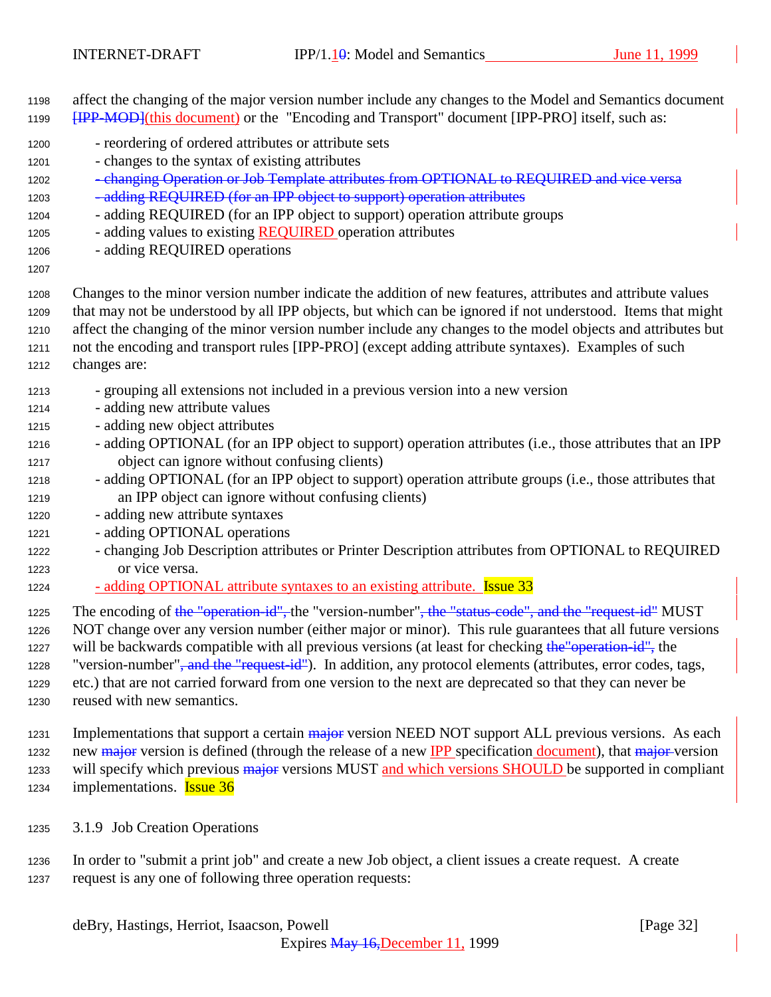affect the changing of the major version number include any changes to the Model and Semantics document **[IPP-MOD]**(this document) or the "Encoding and Transport" document [IPP-PRO] itself, such as:

- reordering of ordered attributes or attribute sets
- changes to the syntax of existing attributes
- 1202 changing Operation or Job Template attributes from OPTIONAL to REQUIRED and vice versa 1203 - adding REQUIRED (for an IPP object to support) operation attributes
- adding REQUIRED (for an IPP object to support) operation attribute groups
- 1205 adding values to existing REQUIRED operation attributes
- adding REQUIRED operations
- 
- Changes to the minor version number indicate the addition of new features, attributes and attribute values that may not be understood by all IPP objects, but which can be ignored if not understood. Items that might affect the changing of the minor version number include any changes to the model objects and attributes but not the encoding and transport rules [IPP-PRO] (except adding attribute syntaxes). Examples of such changes are:
- grouping all extensions not included in a previous version into a new version
- adding new attribute values
- adding new object attributes
- adding OPTIONAL (for an IPP object to support) operation attributes (i.e., those attributes that an IPP object can ignore without confusing clients)
- adding OPTIONAL (for an IPP object to support) operation attribute groups (i.e., those attributes that an IPP object can ignore without confusing clients)
- adding new attribute syntaxes
- adding OPTIONAL operations
- changing Job Description attributes or Printer Description attributes from OPTIONAL to REQUIRED or vice versa.
- 1224 adding OPTIONAL attribute syntaxes to an existing attribute. **Issue 33**
- 1225 The encoding of the "operation-id", the "version-number", the "status-code", and the "request-id" MUST
- NOT change over any version number (either major or minor). This rule guarantees that all future versions 1227 will be backwards compatible with all previous versions (at least for checking the "operation-id", the

1228 "version-number"<del>, and the "request-id"</del>). In addition, any protocol elements (attributes, error codes, tags, etc.) that are not carried forward from one version to the next are deprecated so that they can never be

- reused with new semantics.
- 1231 Implementations that support a certain major version NEED NOT support ALL previous versions. As each 1232 new major version is defined (through the release of a new IPP specification document), that major version 1233 will specify which previous major versions MUST and which versions SHOULD be supported in compliant 1234 implementations. **Issue 36**
- 3.1.9 Job Creation Operations
- In order to "submit a print job" and create a new Job object, a client issues a create request. A create request is any one of following three operation requests: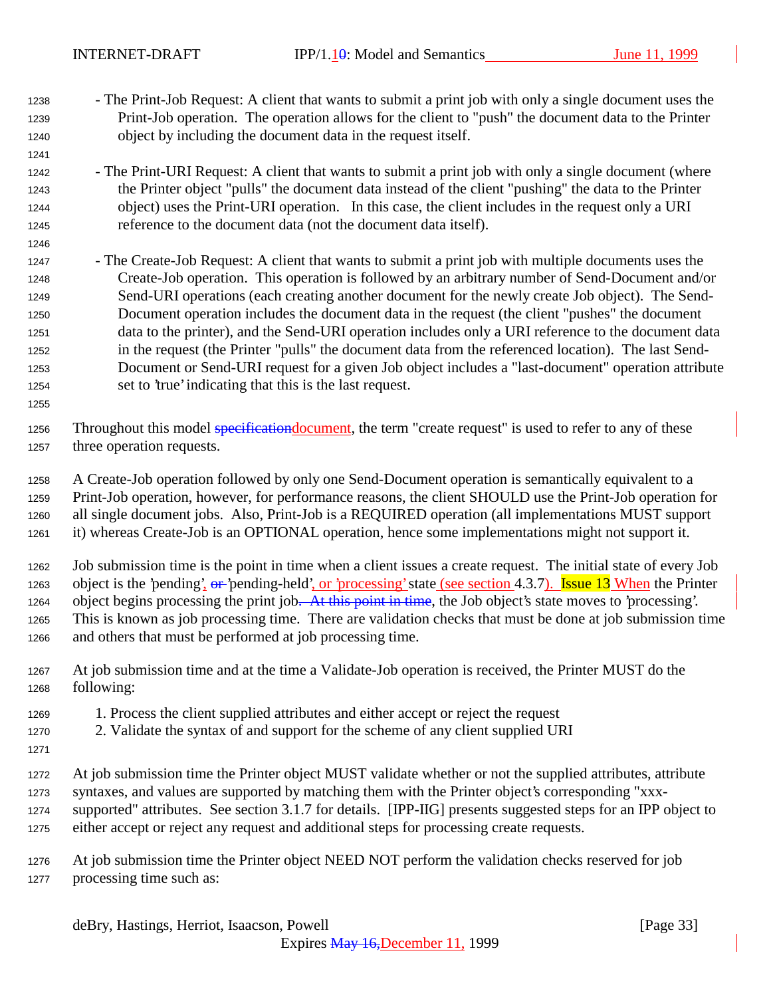- The Print-Job Request: A client that wants to submit a print job with only a single document uses the Print-Job operation. The operation allows for the client to "push" the document data to the Printer object by including the document data in the request itself.
- The Print-URI Request: A client that wants to submit a print job with only a single document (where the Printer object "pulls" the document data instead of the client "pushing" the data to the Printer object) uses the Print-URI operation. In this case, the client includes in the request only a URI reference to the document data (not the document data itself).
- The Create-Job Request: A client that wants to submit a print job with multiple documents uses the Create-Job operation. This operation is followed by an arbitrary number of Send-Document and/or Send-URI operations (each creating another document for the newly create Job object). The Send- Document operation includes the document data in the request (the client "pushes" the document data to the printer), and the Send-URI operation includes only a URI reference to the document data in the request (the Printer "pulls" the document data from the referenced location). The last Send- Document or Send-URI request for a given Job object includes a "last-document" operation attribute set to 'true' indicating that this is the last request.
- 

1256 Throughout this model specification document, the term "create request" is used to refer to any of these three operation requests.

 A Create-Job operation followed by only one Send-Document operation is semantically equivalent to a Print-Job operation, however, for performance reasons, the client SHOULD use the Print-Job operation for all single document jobs. Also, Print-Job is a REQUIRED operation (all implementations MUST support it) whereas Create-Job is an OPTIONAL operation, hence some implementations might not support it.

 Job submission time is the point in time when a client issues a create request. The initial state of every Job 1263 object is the 'pending',  $\theta$  - 'pending-held', or 'processing' state (see section 4.3.7). Issue 13 When the Printer 1264 object begins processing the print job. At this point in time, the Job object's state moves to 'processing'. This is known as job processing time. There are validation checks that must be done at job submission time and others that must be performed at job processing time.

- At job submission time and at the time a Validate-Job operation is received, the Printer MUST do the following:
- 1. Process the client supplied attributes and either accept or reject the request
- 2. Validate the syntax of and support for the scheme of any client supplied URI
- 
- At job submission time the Printer object MUST validate whether or not the supplied attributes, attribute syntaxes, and values are supported by matching them with the Printer object's corresponding "xxx- supported" attributes. See section 3.1.7 for details. [IPP-IIG] presents suggested steps for an IPP object to either accept or reject any request and additional steps for processing create requests.
- At job submission time the Printer object NEED NOT perform the validation checks reserved for job processing time such as: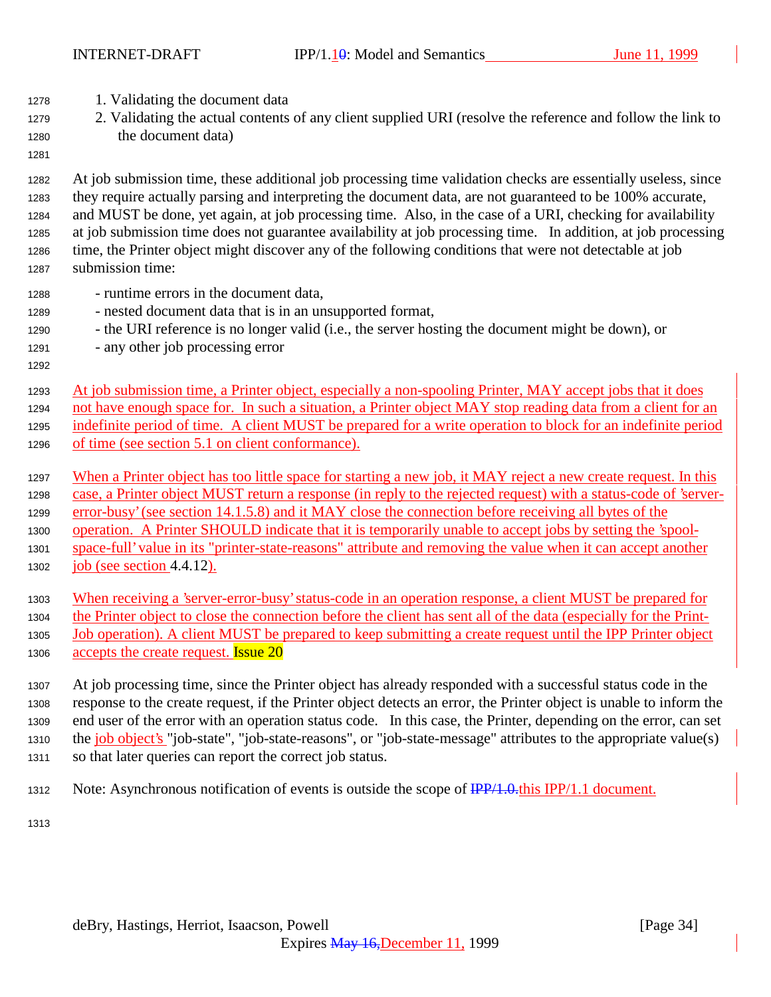- 1. Validating the document data
- 2. Validating the actual contents of any client supplied URI (resolve the reference and follow the link to the document data)
- 

 At job submission time, these additional job processing time validation checks are essentially useless, since they require actually parsing and interpreting the document data, are not guaranteed to be 100% accurate, and MUST be done, yet again, at job processing time. Also, in the case of a URI, checking for availability at job submission time does not guarantee availability at job processing time. In addition, at job processing time, the Printer object might discover any of the following conditions that were not detectable at job submission time:

- runtime errors in the document data,
- nested document data that is in an unsupported format,
- the URI reference is no longer valid (i.e., the server hosting the document might be down), or
- any other job processing error
- At job submission time, a Printer object, especially a non-spooling Printer, MAY accept jobs that it does not have enough space for. In such a situation, a Printer object MAY stop reading data from a client for an indefinite period of time. A client MUST be prepared for a write operation to block for an indefinite period of time (see section 5.1 on client conformance).
	- 1297 When a Printer object has too little space for starting a new job, it MAY reject a new create request. In this case, a Printer object MUST return a response (in reply to the rejected request) with a status-code of 'server- error-busy' (see section 14.1.5.8) and it MAY close the connection before receiving all bytes of the operation. A Printer SHOULD indicate that it is temporarily unable to accept jobs by setting the 'spool-space-full' value in its "printer-state-reasons" attribute and removing the value when it can accept another
- job (see section 4.4.12).
	- When receiving a 'server-error-busy' status-code in an operation response, a client MUST be prepared for
	- the Printer object to close the connection before the client has sent all of the data (especially for the Print-
	- Job operation). A client MUST be prepared to keep submitting a create request until the IPP Printer object 1306 accepts the create request. **Issue 20**
	- At job processing time, since the Printer object has already responded with a successful status code in the response to the create request, if the Printer object detects an error, the Printer object is unable to inform the end user of the error with an operation status code. In this case, the Printer, depending on the error, can set 1310 the job object's "job-state", "job-state-reasons", or "job-state-message" attributes to the appropriate value(s) so that later queries can report the correct job status.
	- 1312 Note: Asynchronous notification of events is outside the scope of  $\frac{IPP}{1.0.0}$ this IPP/1.1 document.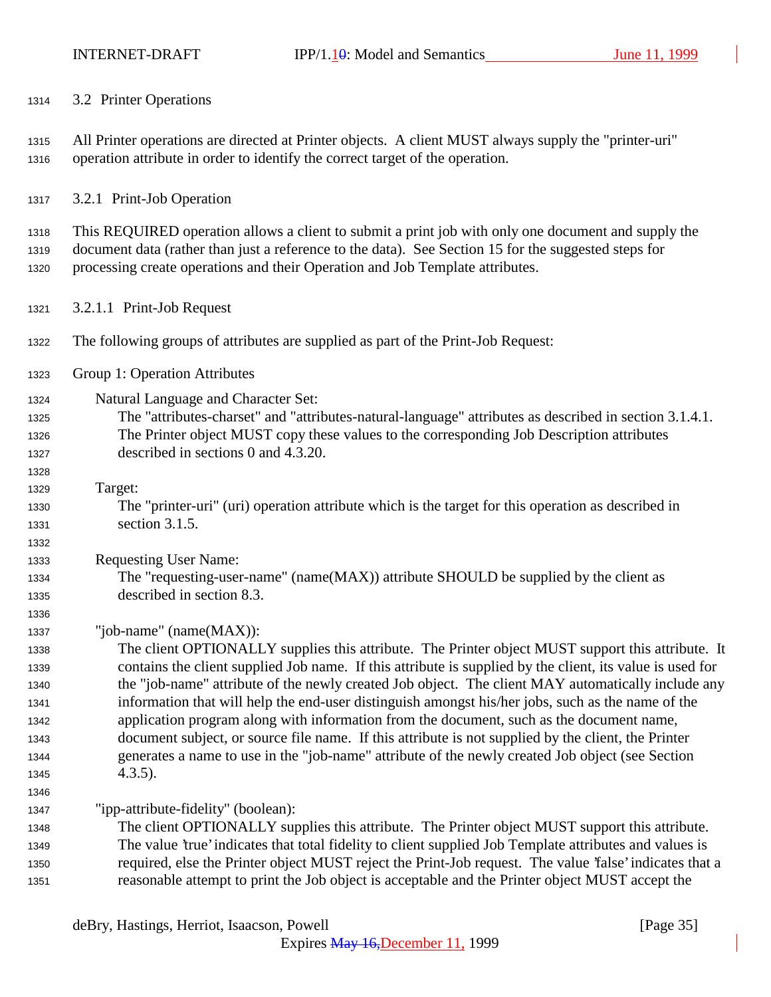| 1314 |  | 3.2 Printer Operations |
|------|--|------------------------|
|------|--|------------------------|

 All Printer operations are directed at Printer objects. A client MUST always supply the "printer-uri" operation attribute in order to identify the correct target of the operation.

3.2.1 Print-Job Operation

 This REQUIRED operation allows a client to submit a print job with only one document and supply the document data (rather than just a reference to the data). See Section 15 for the suggested steps for processing create operations and their Operation and Job Template attributes.

- 3.2.1.1 Print-Job Request
- The following groups of attributes are supplied as part of the Print-Job Request:
- Group 1: Operation Attributes

Natural Language and Character Set:

- The "attributes-charset" and "attributes-natural-language" attributes as described in section 3.1.4.1. The Printer object MUST copy these values to the corresponding Job Description attributes described in sections 0 and 4.3.20.
- Target:

 The "printer-uri" (uri) operation attribute which is the target for this operation as described in section 3.1.5.

Requesting User Name:

 The "requesting-user-name" (name(MAX)) attribute SHOULD be supplied by the client as described in section 8.3.

"job-name" (name(MAX)):

 The client OPTIONALLY supplies this attribute. The Printer object MUST support this attribute. It contains the client supplied Job name. If this attribute is supplied by the client, its value is used for the "job-name" attribute of the newly created Job object. The client MAY automatically include any information that will help the end-user distinguish amongst his/her jobs, such as the name of the application program along with information from the document, such as the document name, document subject, or source file name. If this attribute is not supplied by the client, the Printer generates a name to use in the "job-name" attribute of the newly created Job object (see Section 4.3.5).

"ipp-attribute-fidelity" (boolean):

 The client OPTIONALLY supplies this attribute. The Printer object MUST support this attribute. The value 'true' indicates that total fidelity to client supplied Job Template attributes and values is required, else the Printer object MUST reject the Print-Job request. The value 'false' indicates that a reasonable attempt to print the Job object is acceptable and the Printer object MUST accept the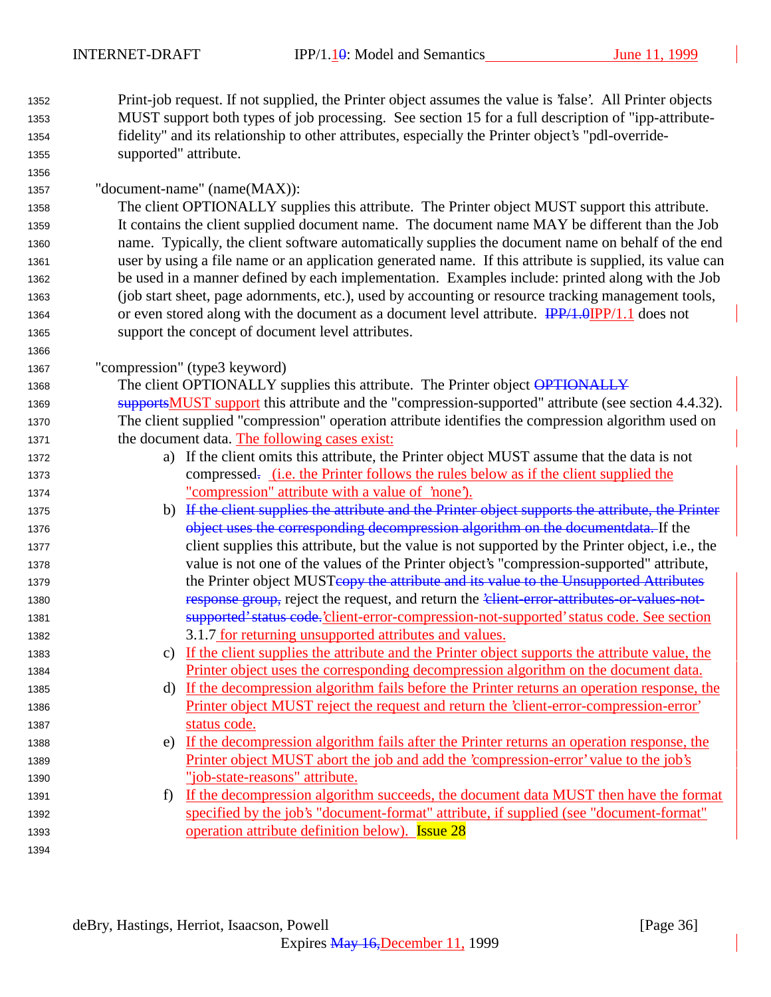| 1352 | Print-job request. If not supplied, the Printer object assumes the value is 'false'. All Printer objects |
|------|----------------------------------------------------------------------------------------------------------|
| 1353 | MUST support both types of job processing. See section 15 for a full description of "ipp-attribute-      |
| 1354 | fidelity" and its relationship to other attributes, especially the Printer object's "pdl-override-       |
| 1355 | supported" attribute.                                                                                    |

| 1357 | "document-name" (name(MAX)): |  |
|------|------------------------------|--|
|------|------------------------------|--|

 The client OPTIONALLY supplies this attribute. The Printer object MUST support this attribute. It contains the client supplied document name. The document name MAY be different than the Job name. Typically, the client software automatically supplies the document name on behalf of the end user by using a file name or an application generated name. If this attribute is supplied, its value can be used in a manner defined by each implementation. Examples include: printed along with the Job (job start sheet, page adornments, etc.), used by accounting or resource tracking management tools, 1364 or even stored along with the document as a document level attribute.  $\frac{IPP}{1.0}IPP/1.1$  does not support the concept of document level attributes.

"compression" (type3 keyword)

1368 The client OPTIONALLY supplies this attribute. The Printer object OPTIONALLY 1369 supportsMUST support this attribute and the "compression-supported" attribute (see section 4.4.32). The client supplied "compression" operation attribute identifies the compression algorithm used on the document data. The following cases exist:

- a) If the client omits this attribute, the Printer object MUST assume that the data is not 1373 compressed. (i.e. the Printer follows the rules below as if the client supplied the "compression" attribute with a value of 'none').
- b) If the client supplies the attribute and the Printer object supports the attribute, the Printer **object uses the corresponding decompression algorithm on the documentdata.** If the client supplies this attribute, but the value is not supported by the Printer object, i.e., the value is not one of the values of the Printer object's "compression-supported" attribute, 1379 the Printer object MUSTeopy the attribute and its value to the Unsupported Attributes 1380 **response group, reject the request, and return the '<del>client error attributes or values not</del>-** supported' status code.'client-error-compression-not-supported' status code. See section 3.1.7 for returning unsupported attributes and values.
- c) If the client supplies the attribute and the Printer object supports the attribute value, the Printer object uses the corresponding decompression algorithm on the document data.
- d) If the decompression algorithm fails before the Printer returns an operation response, the Printer object MUST reject the request and return the 'client-error-compression-error' 1387 status code.
- e) If the decompression algorithm fails after the Printer returns an operation response, the Printer object MUST abort the job and add the 'compression-error' value to the job's "job-state-reasons" attribute.
- f) If the decompression algorithm succeeds, the document data MUST then have the format specified by the job's "document-format" attribute, if supplied (see "document-format" 1393 operation attribute definition below). **Issue 28**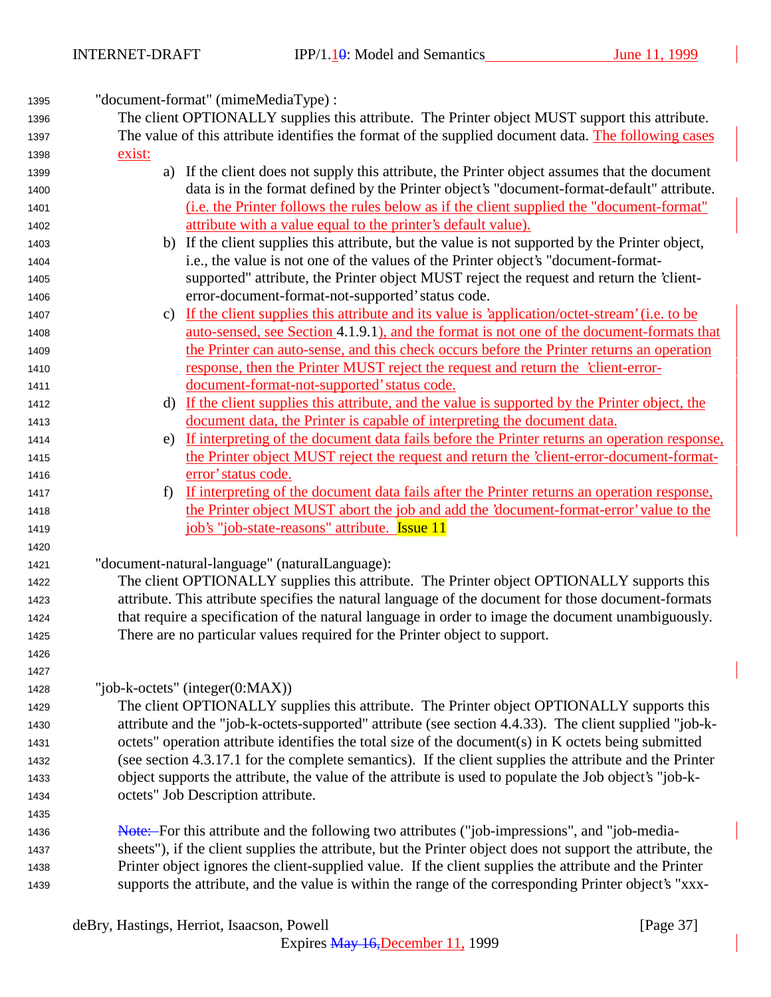"document-format" (mimeMediaType) : The client OPTIONALLY supplies this attribute. The Printer object MUST support this attribute. The value of this attribute identifies the format of the supplied document data. The following cases exist: a) If the client does not supply this attribute, the Printer object assumes that the document data is in the format defined by the Printer object's "document-format-default" attribute. (i.e. the Printer follows the rules below as if the client supplied the "document-format" attribute with a value equal to the printer's default value). b) If the client supplies this attribute, but the value is not supported by the Printer object, i.e., the value is not one of the values of the Printer object's "document-format- supported" attribute, the Printer object MUST reject the request and return the 'client- error-document-format-not-supported' status code. c) If the client supplies this attribute and its value is 'application/octet-stream' (i.e. to be auto-sensed, see Section 4.1.9.1), and the format is not one of the document-formats that the Printer can auto-sense, and this check occurs before the Printer returns an operation response, then the Printer MUST reject the request and return the 'client-error- document-format-not-supported' status code. d) If the client supplies this attribute, and the value is supported by the Printer object, the document data, the Printer is capable of interpreting the document data. e) If interpreting of the document data fails before the Printer returns an operation response, the Printer object MUST reject the request and return the 'client-error-document-format- error' status code. f) If interpreting of the document data fails after the Printer returns an operation response, the Printer object MUST abort the job and add the 'document-format-error' value to the 1419 iob's "job-state-reasons" attribute. **Issue 11**  "document-natural-language" (naturalLanguage): The client OPTIONALLY supplies this attribute. The Printer object OPTIONALLY supports this attribute. This attribute specifies the natural language of the document for those document-formats that require a specification of the natural language in order to image the document unambiguously. There are no particular values required for the Printer object to support. "job-k-octets" (integer(0:MAX)) The client OPTIONALLY supplies this attribute. The Printer object OPTIONALLY supports this attribute and the "job-k-octets-supported" attribute (see section 4.4.33). The client supplied "job-k- octets" operation attribute identifies the total size of the document(s) in K octets being submitted (see section 4.3.17.1 for the complete semantics). If the client supplies the attribute and the Printer object supports the attribute, the value of the attribute is used to populate the Job object's "job-k- octets" Job Description attribute. Note: For this attribute and the following two attributes ("job-impressions", and "job-media- sheets"), if the client supplies the attribute, but the Printer object does not support the attribute, the Printer object ignores the client-supplied value. If the client supplies the attribute and the Printer supports the attribute, and the value is within the range of the corresponding Printer object's "xxx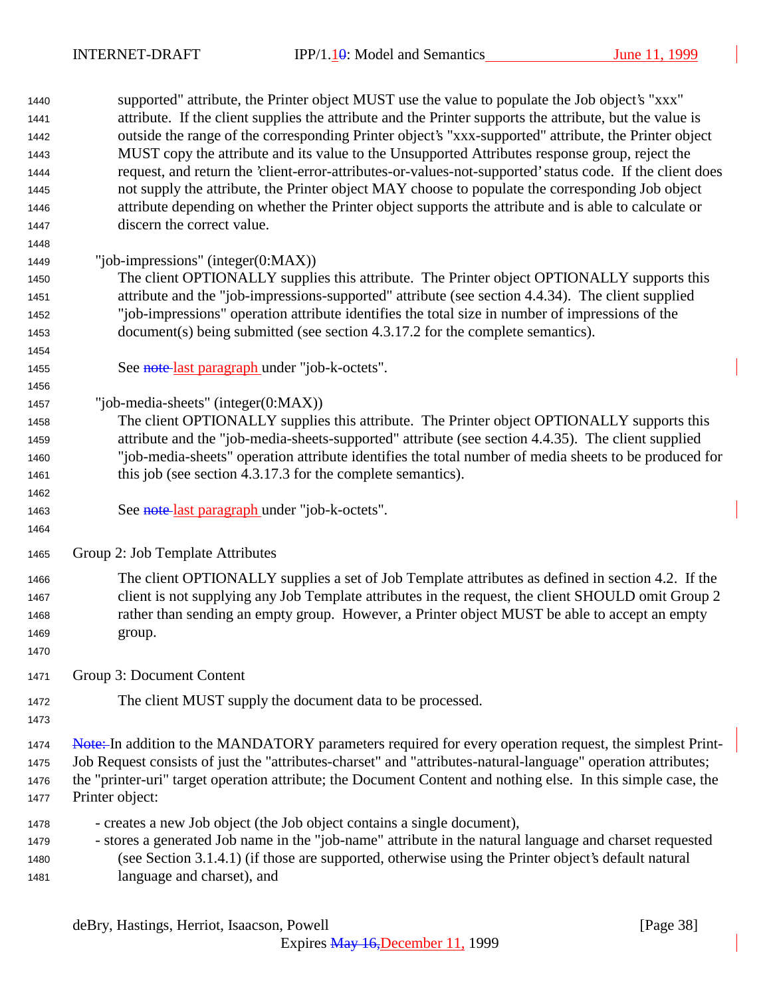supported" attribute, the Printer object MUST use the value to populate the Job object's "xxx" attribute. If the client supplies the attribute and the Printer supports the attribute, but the value is outside the range of the corresponding Printer object's "xxx-supported" attribute, the Printer object MUST copy the attribute and its value to the Unsupported Attributes response group, reject the request, and return the 'client-error-attributes-or-values-not-supported' status code. If the client does not supply the attribute, the Printer object MAY choose to populate the corresponding Job object attribute depending on whether the Printer object supports the attribute and is able to calculate or discern the correct value. "job-impressions" (integer(0:MAX)) The client OPTIONALLY supplies this attribute. The Printer object OPTIONALLY supports this attribute and the "job-impressions-supported" attribute (see section 4.4.34). The client supplied "job-impressions" operation attribute identifies the total size in number of impressions of the document(s) being submitted (see section 4.3.17.2 for the complete semantics). 1455 See note last paragraph under "job-k-octets". "job-media-sheets" (integer(0:MAX)) The client OPTIONALLY supplies this attribute. The Printer object OPTIONALLY supports this attribute and the "job-media-sheets-supported" attribute (see section 4.4.35). The client supplied "job-media-sheets" operation attribute identifies the total number of media sheets to be produced for this job (see section 4.3.17.3 for the complete semantics). 1463 See note last paragraph under "job-k-octets". Group 2: Job Template Attributes The client OPTIONALLY supplies a set of Job Template attributes as defined in section 4.2. If the client is not supplying any Job Template attributes in the request, the client SHOULD omit Group 2 rather than sending an empty group. However, a Printer object MUST be able to accept an empty group. Group 3: Document Content The client MUST supply the document data to be processed. 1474 Note: In addition to the MANDATORY parameters required for every operation request, the simplest Print- Job Request consists of just the "attributes-charset" and "attributes-natural-language" operation attributes; the "printer-uri" target operation attribute; the Document Content and nothing else. In this simple case, the Printer object: - creates a new Job object (the Job object contains a single document), - stores a generated Job name in the "job-name" attribute in the natural language and charset requested (see Section 3.1.4.1) (if those are supported, otherwise using the Printer object's default natural language and charset), and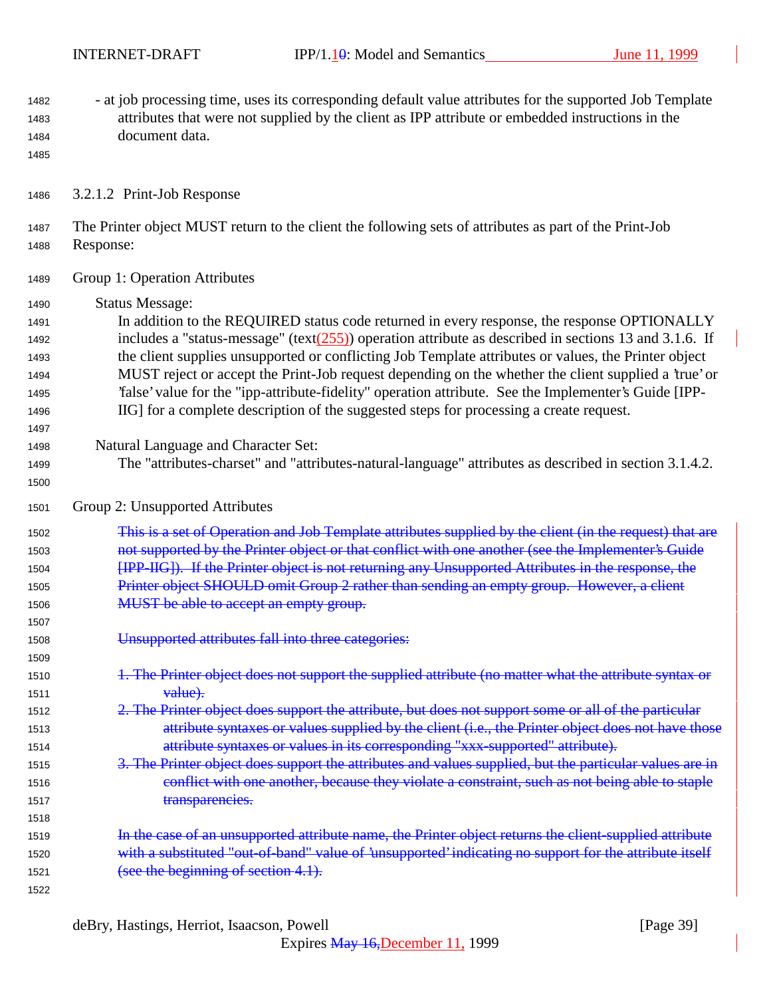- at job processing time, uses its corresponding default value attributes for the supported Job Template attributes that were not supplied by the client as IPP attribute or embedded instructions in the document data.

3.2.1.2 Print-Job Response

 The Printer object MUST return to the client the following sets of attributes as part of the Print-Job Response:

- Group 1: Operation Attributes
- Status Message:

 In addition to the REQUIRED status code returned in every response, the response OPTIONALLY 1492 includes a "status-message" (text( $\frac{255}{2}$ ) operation attribute as described in sections 13 and 3.1.6. If the client supplies unsupported or conflicting Job Template attributes or values, the Printer object MUST reject or accept the Print-Job request depending on the whether the client supplied a 'true' or 'false' value for the "ipp-attribute-fidelity" operation attribute. See the Implementer's Guide [IPP-IIG] for a complete description of the suggested steps for processing a create request.

- Natural Language and Character Set:
- The "attributes-charset" and "attributes-natural-language" attributes as described in section 3.1.4.2.
- Group 2: Unsupported Attributes

 This is a set of Operation and Job Template attributes supplied by the client (in the request) that are **1503** not supported by the Printer object or that conflict with one another (see the Implementer's Guide [IPP-IIG]). If the Printer object is not returning any Unsupported Attributes in the response, the 1505 Printer object SHOULD omit Group 2 rather than sending an empty group. However, a client 1506 MUST be able to accept an empty group.

- Unsupported attributes fall into three categories:
- 1510 1510 1. The Printer object does not support the supplied attribute (no matter what the attribute syntax or 1511 value).
- 2. The Printer object does support the attribute, but does not support some or all of the particular 1513 attribute syntaxes or values supplied by the client (i.e., the Printer object does not have those attribute syntaxes or values in its corresponding "xxx-supported" attribute).
- 3. The Printer object does support the attributes and values supplied, but the particular values are in 1516 conflict with one another, because they violate a constraint, such as not being able to staple 1517 transparencies.
- **In the case of an unsupported attribute name, the Printer object returns the client-supplied attribute**  with a substituted "out-of-band" value of 'unsupported' indicating no support for the attribute itself 1521 (see the beginning of section 4.1).
	- deBry, Hastings, Herriot, Isaacson, Powell [Page 39]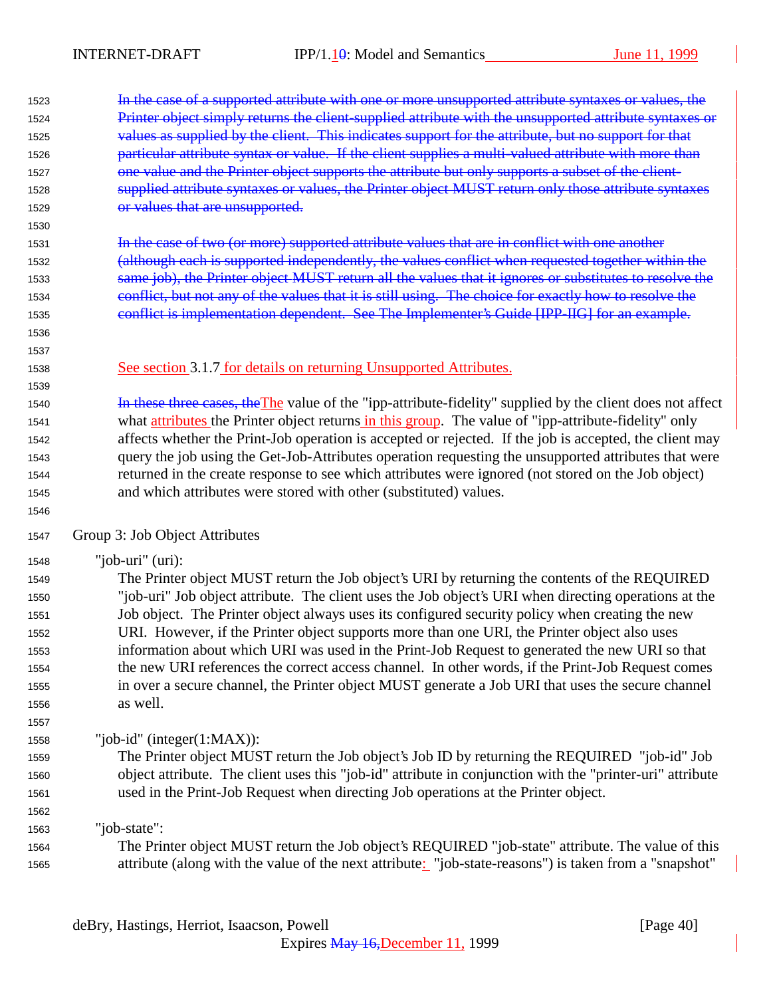| 1523         | In the case of a supported attribute with one or more unsupported attribute syntaxes or values, the                                                                                                         |
|--------------|-------------------------------------------------------------------------------------------------------------------------------------------------------------------------------------------------------------|
| 1524         | Printer object simply returns the client-supplied attribute with the unsupported attribute syntaxes or                                                                                                      |
| 1525         | values as supplied by the client. This indicates support for the attribute, but no support for that                                                                                                         |
| 1526         | particular attribute syntax or value. If the client supplies a multi-valued attribute with more than                                                                                                        |
| 1527         | one value and the Printer object supports the attribute but only supports a subset of the client-                                                                                                           |
| 1528         | supplied attribute syntaxes or values, the Printer object MUST return only those attribute syntaxes                                                                                                         |
| 1529         | or values that are unsupported.                                                                                                                                                                             |
| 1530         |                                                                                                                                                                                                             |
| 1531         | In the case of two (or more) supported attribute values that are in conflict with one another                                                                                                               |
| 1532         | (although each is supported independently, the values conflict when requested together within the                                                                                                           |
| 1533         | same job), the Printer object MUST return all the values that it ignores or substitutes to resolve the                                                                                                      |
| 1534         | conflict, but not any of the values that it is still using. The choice for exactly how to resolve the                                                                                                       |
| 1535         | conflict is implementation dependent. See The Implementer's Guide [IPP-IIG] for an example.                                                                                                                 |
| 1536         |                                                                                                                                                                                                             |
| 1537         |                                                                                                                                                                                                             |
| 1538         | See section 3.1.7 for details on returning Unsupported Attributes.                                                                                                                                          |
| 1539         |                                                                                                                                                                                                             |
| 1540         | In these three cases, the The value of the "ipp-attribute-fidelity" supplied by the client does not affect                                                                                                  |
| 1541         | what attributes the Printer object returns in this group. The value of "ipp-attribute-fidelity" only                                                                                                        |
| 1542         | affects whether the Print-Job operation is accepted or rejected. If the job is accepted, the client may                                                                                                     |
| 1543         | query the job using the Get-Job-Attributes operation requesting the unsupported attributes that were                                                                                                        |
| 1544         | returned in the create response to see which attributes were ignored (not stored on the Job object)                                                                                                         |
| 1545         | and which attributes were stored with other (substituted) values.                                                                                                                                           |
| 1546         |                                                                                                                                                                                                             |
| 1547         | Group 3: Job Object Attributes                                                                                                                                                                              |
| 1548         | "job-uri" $(i)$ :                                                                                                                                                                                           |
| 1549         | The Printer object MUST return the Job object's URI by returning the contents of the REQUIRED                                                                                                               |
| 1550         | "job-uri" Job object attribute. The client uses the Job object's URI when directing operations at the                                                                                                       |
| 1551         | Job object. The Printer object always uses its configured security policy when creating the new                                                                                                             |
| 1552         | URI. However, if the Printer object supports more than one URI, the Printer object also uses                                                                                                                |
| 1553         | information about which URI was used in the Print-Job Request to generated the new URI so that                                                                                                              |
| 1554         | the new URI references the correct access channel. In other words, if the Print-Job Request comes                                                                                                           |
| 1555         | in over a secure channel, the Printer object MUST generate a Job URI that uses the secure channel                                                                                                           |
| 1556         | as well.                                                                                                                                                                                                    |
| 1557         |                                                                                                                                                                                                             |
|              |                                                                                                                                                                                                             |
|              |                                                                                                                                                                                                             |
| 1558         | "job-id" (integer $(1:MAX)$ ):                                                                                                                                                                              |
| 1559         | The Printer object MUST return the Job object's Job ID by returning the REQUIRED "job-id" Job                                                                                                               |
| 1560         | object attribute. The client uses this "job-id" attribute in conjunction with the "printer-uri" attribute                                                                                                   |
| 1561         | used in the Print-Job Request when directing Job operations at the Printer object.                                                                                                                          |
| 1562         |                                                                                                                                                                                                             |
| 1563         | "job-state":                                                                                                                                                                                                |
| 1564<br>1565 | The Printer object MUST return the Job object's REQUIRED "job-state" attribute. The value of this<br>attribute (along with the value of the next attribute: "job-state-reasons") is taken from a "snapshot" |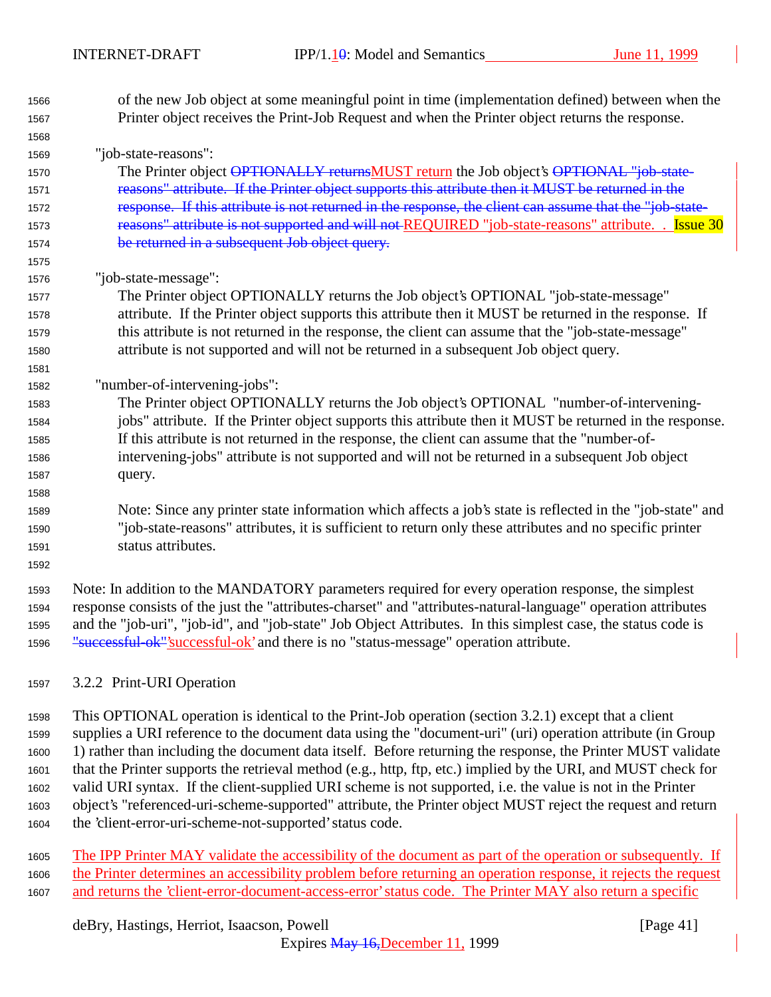- of the new Job object at some meaningful point in time (implementation defined) between when the Printer object receives the Print-Job Request and when the Printer object returns the response. "job-state-reasons": 1570 The Printer object OPTIONALLY returnsMUST return the Job object's OPTIONAL "job-state- reasons" attribute. If the Printer object supports this attribute then it MUST be returned in the 1572 response. If this attribute is not returned in the response, the client can assume that the "job-state-1573 reasons" attribute is not supported and will not REQUIRED "job-state-reasons" attribute. . Issue 30 be returned in a subsequent Job object query. "job-state-message": The Printer object OPTIONALLY returns the Job object's OPTIONAL "job-state-message" attribute. If the Printer object supports this attribute then it MUST be returned in the response. If this attribute is not returned in the response, the client can assume that the "job-state-message" attribute is not supported and will not be returned in a subsequent Job object query. "number-of-intervening-jobs": The Printer object OPTIONALLY returns the Job object's OPTIONAL "number-of-intervening- jobs" attribute. If the Printer object supports this attribute then it MUST be returned in the response. If this attribute is not returned in the response, the client can assume that the "number-of- intervening-jobs" attribute is not supported and will not be returned in a subsequent Job object query. Note: Since any printer state information which affects a job's state is reflected in the "job-state" and "job-state-reasons" attributes, it is sufficient to return only these attributes and no specific printer status attributes. Note: In addition to the MANDATORY parameters required for every operation response, the simplest response consists of the just the "attributes-charset" and "attributes-natural-language" operation attributes and the "job-uri", "job-id", and "job-state" Job Object Attributes. In this simplest case, the status code is 1596 "successful-ok"'successful-ok' and there is no "status-message" operation attribute.
- 3.2.2 Print-URI Operation

 This OPTIONAL operation is identical to the Print-Job operation (section 3.2.1) except that a client supplies a URI reference to the document data using the "document-uri" (uri) operation attribute (in Group 1) rather than including the document data itself. Before returning the response, the Printer MUST validate that the Printer supports the retrieval method (e.g., http, ftp, etc.) implied by the URI, and MUST check for valid URI syntax. If the client-supplied URI scheme is not supported, i.e. the value is not in the Printer object's "referenced-uri-scheme-supported" attribute, the Printer object MUST reject the request and return the 'client-error-uri-scheme-not-supported' status code.

 The IPP Printer MAY validate the accessibility of the document as part of the operation or subsequently. If the Printer determines an accessibility problem before returning an operation response, it rejects the request 1607 and returns the 'client-error-document-access-error' status code. The Printer MAY also return a specific

# deBry, Hastings, Herriot, Isaacson, Powell [Page 41]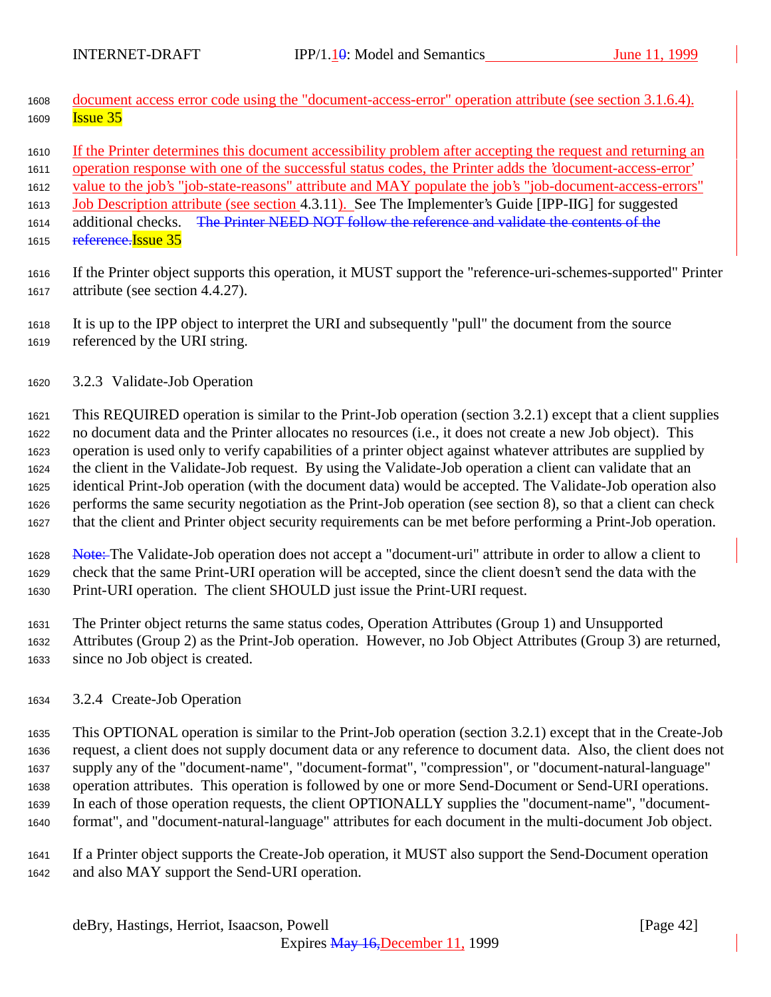- document access error code using the "document-access-error" operation attribute (see section 3.1.6.4). **Issue 35**
- If the Printer determines this document accessibility problem after accepting the request and returning an

operation response with one of the successful status codes, the Printer adds the 'document-access-error'

value to the job's "job-state-reasons" attribute and MAY populate the job's "job-document-access-errors"

Job Description attribute (see section 4.3.11). See The Implementer's Guide [IPP-IIG] for suggested

1614 additional checks. The Printer NEED NOT follow the reference and validate the contents of the

- 1615 reference. Issue 35
- If the Printer object supports this operation, it MUST support the "reference-uri-schemes-supported" Printer attribute (see section 4.4.27).
- It is up to the IPP object to interpret the URI and subsequently "pull" the document from the source referenced by the URI string.
- 3.2.3 Validate-Job Operation

 This REQUIRED operation is similar to the Print-Job operation (section 3.2.1) except that a client supplies no document data and the Printer allocates no resources (i.e., it does not create a new Job object). This operation is used only to verify capabilities of a printer object against whatever attributes are supplied by the client in the Validate-Job request. By using the Validate-Job operation a client can validate that an identical Print-Job operation (with the document data) would be accepted. The Validate-Job operation also performs the same security negotiation as the Print-Job operation (see section 8), so that a client can check that the client and Printer object security requirements can be met before performing a Print-Job operation.

1628 Note: The Validate-Job operation does not accept a "document-uri" attribute in order to allow a client to check that the same Print-URI operation will be accepted, since the client doesn't send the data with the Print-URI operation. The client SHOULD just issue the Print-URI request.

 The Printer object returns the same status codes, Operation Attributes (Group 1) and Unsupported Attributes (Group 2) as the Print-Job operation. However, no Job Object Attributes (Group 3) are returned, since no Job object is created.

3.2.4 Create-Job Operation

 This OPTIONAL operation is similar to the Print-Job operation (section 3.2.1) except that in the Create-Job request, a client does not supply document data or any reference to document data. Also, the client does not supply any of the "document-name", "document-format", "compression", or "document-natural-language" operation attributes. This operation is followed by one or more Send-Document or Send-URI operations. In each of those operation requests, the client OPTIONALLY supplies the "document-name", "document-format", and "document-natural-language" attributes for each document in the multi-document Job object.

 If a Printer object supports the Create-Job operation, it MUST also support the Send-Document operation and also MAY support the Send-URI operation.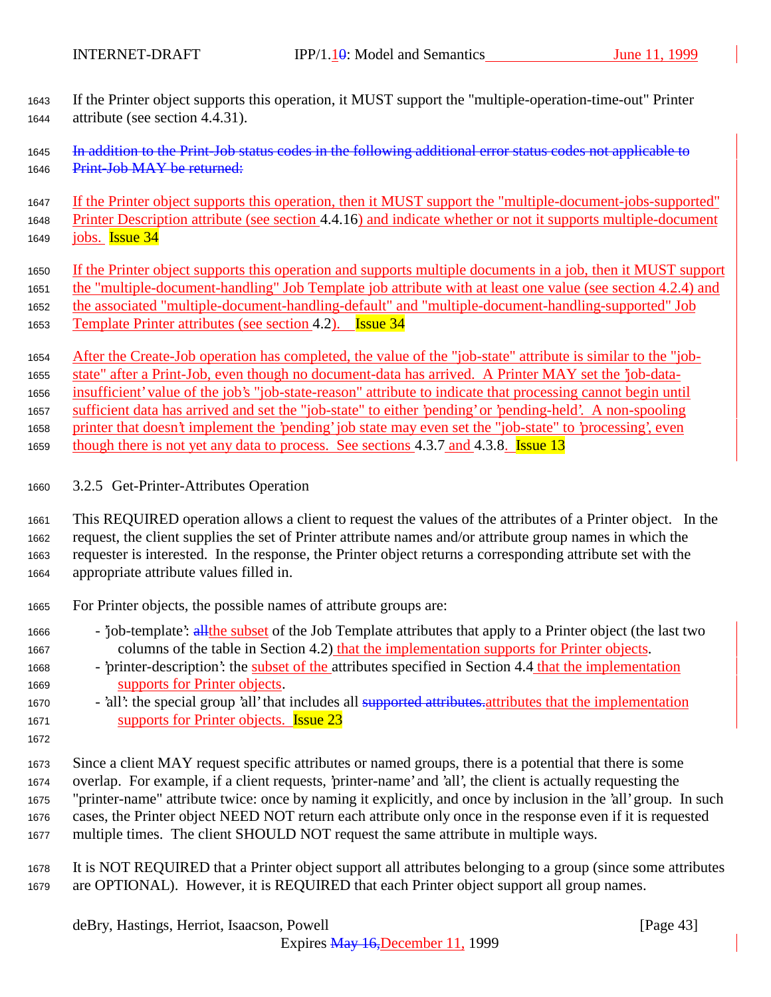If the Printer object supports this operation, it MUST support the "multiple-operation-time-out" Printer attribute (see section 4.4.31).

1645 In addition to the Print-Job status codes in the following additional error status codes not applicable to 1646 Print-Job MAY be returned:

 If the Printer object supports this operation, then it MUST support the "multiple-document-jobs-supported" Printer Description attribute (see section 4.4.16) and indicate whether or not it supports multiple-document 1649  $i$ obs. Issue  $34$ 

- If the Printer object supports this operation and supports multiple documents in a job, then it MUST support the "multiple-document-handling" Job Template job attribute with at least one value (see section 4.2.4) and the associated "multiple-document-handling-default" and "multiple-document-handling-supported" Job Template Printer attributes (see section 4.2). Issue 34
- After the Create-Job operation has completed, the value of the "job-state" attribute is similar to the "job-

 state" after a Print-Job, even though no document-data has arrived. A Printer MAY set the 'job-data- insufficient' value of the job's "job-state-reason" attribute to indicate that processing cannot begin until sufficient data has arrived and set the "job-state" to either 'pending' or 'pending-held'. A non-spooling printer that doesn't implement the 'pending' job state may even set the "job-state" to 'processing', even 1659 though there is not yet any data to process. See sections 4.3.7 and 4.3.8. **Issue 13** 

- 
- 3.2.5 Get-Printer-Attributes Operation
- This REQUIRED operation allows a client to request the values of the attributes of a Printer object. In the request, the client supplies the set of Printer attribute names and/or attribute group names in which the requester is interested. In the response, the Printer object returns a corresponding attribute set with the appropriate attribute values filled in.
- For Printer objects, the possible names of attribute groups are:
- <sup>1666</sup> 'job-template': all the subset of the Job Template attributes that apply to a Printer object (the last two columns of the table in Section 4.2) that the implementation supports for Printer objects.
- 'printer-description': the subset of the attributes specified in Section 4.4 that the implementation supports for Printer objects.
- 1670 'all': the special group 'all' that includes all supported attributes attributes that the implementation supports for Printer objects. Issue 23
- 

 Since a client MAY request specific attributes or named groups, there is a potential that there is some overlap. For example, if a client requests, 'printer-name' and 'all', the client is actually requesting the "printer-name" attribute twice: once by naming it explicitly, and once by inclusion in the 'all' group. In such cases, the Printer object NEED NOT return each attribute only once in the response even if it is requested multiple times. The client SHOULD NOT request the same attribute in multiple ways.

 It is NOT REQUIRED that a Printer object support all attributes belonging to a group (since some attributes are OPTIONAL). However, it is REQUIRED that each Printer object support all group names.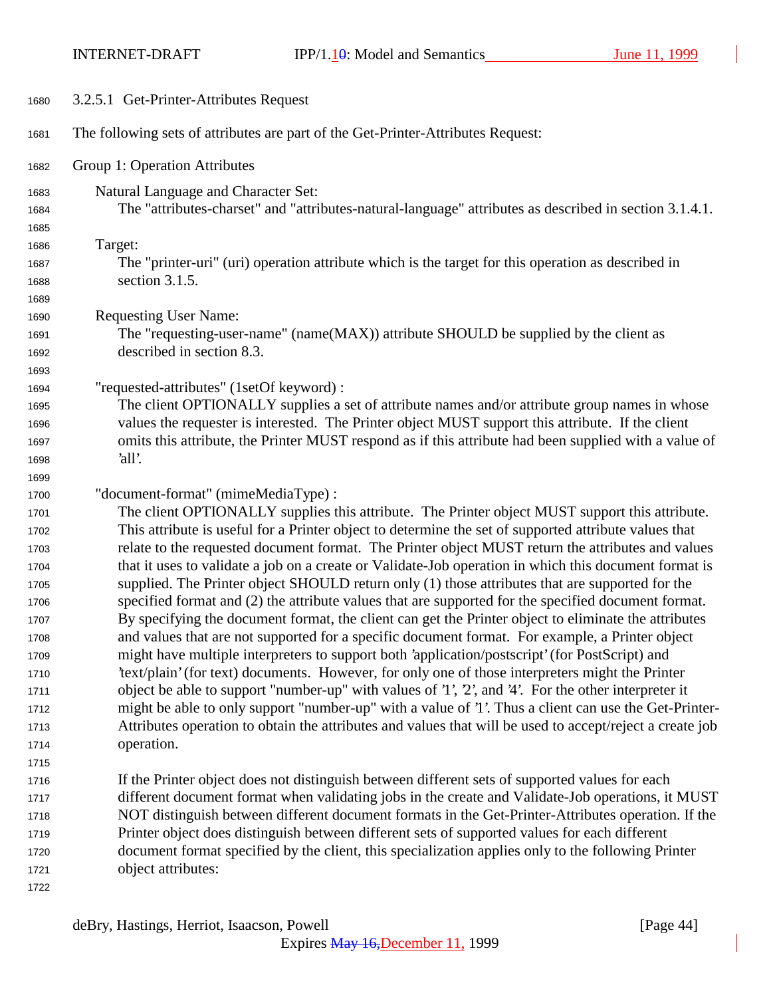INTERNET-DRAFT IPP/1.10: Model and Semantics June 11, 1999

| 1680         | 3.2.5.1 Get-Printer-Attributes Request                                                                                                                                                                     |
|--------------|------------------------------------------------------------------------------------------------------------------------------------------------------------------------------------------------------------|
| 1681         | The following sets of attributes are part of the Get-Printer-Attributes Request:                                                                                                                           |
| 1682         | Group 1: Operation Attributes                                                                                                                                                                              |
| 1683         | Natural Language and Character Set:                                                                                                                                                                        |
| 1684         | The "attributes-charset" and "attributes-natural-language" attributes as described in section 3.1.4.1.                                                                                                     |
| 1685         |                                                                                                                                                                                                            |
| 1686         | Target:                                                                                                                                                                                                    |
| 1687         | The "printer-uri" (uri) operation attribute which is the target for this operation as described in                                                                                                         |
| 1688         | section 3.1.5.                                                                                                                                                                                             |
| 1689         |                                                                                                                                                                                                            |
| 1690         | <b>Requesting User Name:</b>                                                                                                                                                                               |
| 1691         | The "requesting-user-name" (name(MAX)) attribute SHOULD be supplied by the client as                                                                                                                       |
| 1692         | described in section 8.3.                                                                                                                                                                                  |
| 1693         |                                                                                                                                                                                                            |
| 1694         | "requested-attributes" (1setOf keyword) :                                                                                                                                                                  |
| 1695         | The client OPTIONALLY supplies a set of attribute names and/or attribute group names in whose                                                                                                              |
| 1696         | values the requester is interested. The Printer object MUST support this attribute. If the client                                                                                                          |
| 1697         | omits this attribute, the Printer MUST respond as if this attribute had been supplied with a value of                                                                                                      |
| 1698         | 'all'.                                                                                                                                                                                                     |
| 1699         |                                                                                                                                                                                                            |
| 1700         | "document-format" (mimeMediaType) :                                                                                                                                                                        |
| 1701         | The client OPTIONALLY supplies this attribute. The Printer object MUST support this attribute.                                                                                                             |
| 1702         | This attribute is useful for a Printer object to determine the set of supported attribute values that<br>relate to the requested document format. The Printer object MUST return the attributes and values |
| 1703<br>1704 | that it uses to validate a job on a create or Validate-Job operation in which this document format is                                                                                                      |
| 1705         | supplied. The Printer object SHOULD return only (1) those attributes that are supported for the                                                                                                            |
| 1706         | specified format and (2) the attribute values that are supported for the specified document format.                                                                                                        |
| 1707         | By specifying the document format, the client can get the Printer object to eliminate the attributes                                                                                                       |
| 1708         | and values that are not supported for a specific document format. For example, a Printer object                                                                                                            |
| 1709         | might have multiple interpreters to support both 'application/postscript' (for PostScript) and                                                                                                             |
| 1710         | 'text/plain' (for text) documents. However, for only one of those interpreters might the Printer                                                                                                           |
| 1711         | object be able to support "number-up" with values of '1', '2', and '4'. For the other interpreter it                                                                                                       |
| 1712         | might be able to only support "number-up" with a value of '1'. Thus a client can use the Get-Printer-                                                                                                      |
| 1713         | Attributes operation to obtain the attributes and values that will be used to accept/reject a create job                                                                                                   |
| 1714         | operation.                                                                                                                                                                                                 |
| 1715         |                                                                                                                                                                                                            |
| 1716         | If the Printer object does not distinguish between different sets of supported values for each                                                                                                             |
| 1717         | different document format when validating jobs in the create and Validate-Job operations, it MUST                                                                                                          |
| 1718         | NOT distinguish between different document formats in the Get-Printer-Attributes operation. If the                                                                                                         |
| 1719         | Printer object does distinguish between different sets of supported values for each different                                                                                                              |
| 1720         | document format specified by the client, this specialization applies only to the following Printer                                                                                                         |
| 1721         | object attributes:                                                                                                                                                                                         |
| 1722         |                                                                                                                                                                                                            |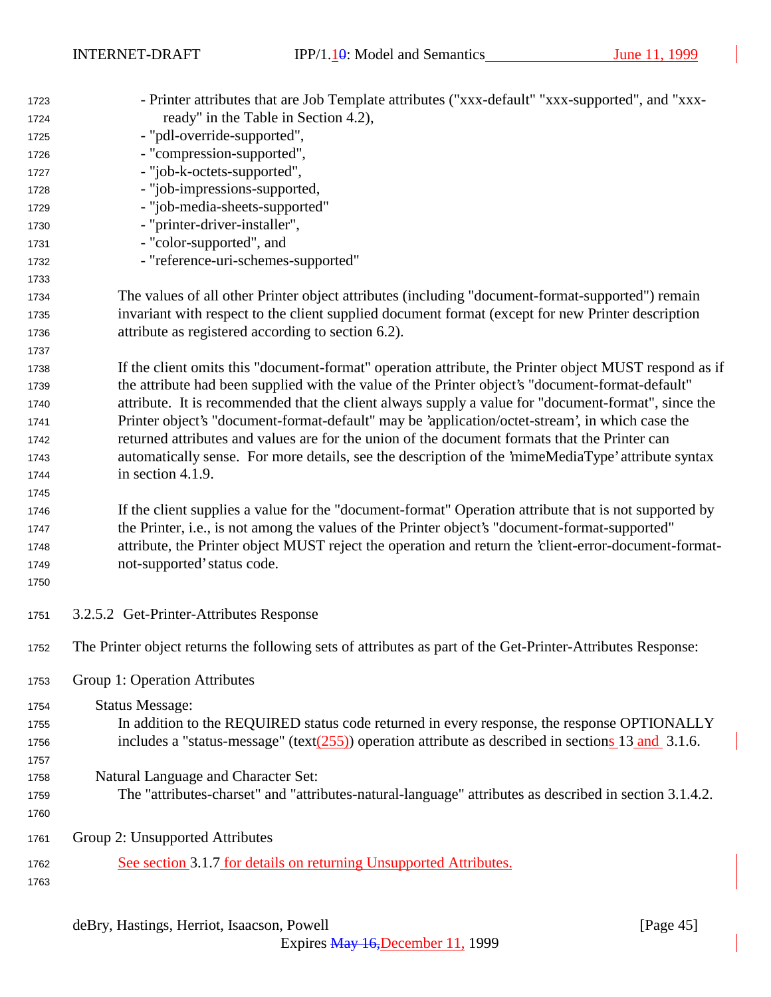| 1723 | - Printer attributes that are Job Template attributes ("xxx-default" "xxx-supported", and "xxx-             |
|------|-------------------------------------------------------------------------------------------------------------|
| 1724 | ready" in the Table in Section 4.2),                                                                        |
| 1725 | - "pdl-override-supported",                                                                                 |
| 1726 | - "compression-supported",                                                                                  |
| 1727 | - "job-k-octets-supported",                                                                                 |
| 1728 | - "job-impressions-supported,                                                                               |
| 1729 | - "job-media-sheets-supported"                                                                              |
| 1730 | - "printer-driver-installer",                                                                               |
| 1731 | - "color-supported", and                                                                                    |
| 1732 | - "reference-uri-schemes-supported"                                                                         |
| 1733 |                                                                                                             |
| 1734 | The values of all other Printer object attributes (including "document-format-supported") remain            |
| 1735 | invariant with respect to the client supplied document format (except for new Printer description           |
| 1736 | attribute as registered according to section 6.2).                                                          |
| 1737 |                                                                                                             |
| 1738 | If the client omits this "document-format" operation attribute, the Printer object MUST respond as if       |
| 1739 | the attribute had been supplied with the value of the Printer object's "document-format-default"            |
| 1740 | attribute. It is recommended that the client always supply a value for "document-format", since the         |
| 1741 | Printer object's "document-format-default" may be 'application/octet-stream', in which case the             |
| 1742 | returned attributes and values are for the union of the document formats that the Printer can               |
| 1743 | automatically sense. For more details, see the description of the 'mimeMediaType' attribute syntax          |
| 1744 | in section 4.1.9.                                                                                           |
| 1745 |                                                                                                             |
| 1746 | If the client supplies a value for the "document-format" Operation attribute that is not supported by       |
| 1747 | the Printer, i.e., is not among the values of the Printer object's "document-format-supported"              |
| 1748 | attribute, the Printer object MUST reject the operation and return the 'client-error-document-format-       |
| 1749 | not-supported' status code.                                                                                 |
| 1750 |                                                                                                             |
| 1751 | 3.2.5.2 Get-Printer-Attributes Response                                                                     |
| 1752 | The Printer object returns the following sets of attributes as part of the Get-Printer-Attributes Response: |
| 1753 | Group 1: Operation Attributes                                                                               |
| 1754 | <b>Status Message:</b>                                                                                      |
| 1755 | In addition to the REQUIRED status code returned in every response, the response OPTIONALLY                 |
| 1756 | includes a "status-message" (text $(255)$ ) operation attribute as described in sections 13 and 3.1.6.      |
| 1757 |                                                                                                             |
| 1758 | Natural Language and Character Set:                                                                         |
| 1759 | The "attributes-charset" and "attributes-natural-language" attributes as described in section 3.1.4.2.      |
| 1760 |                                                                                                             |
| 1761 | Group 2: Unsupported Attributes                                                                             |
| 1762 | See section 3.1.7 for details on returning Unsupported Attributes.                                          |
| 1763 |                                                                                                             |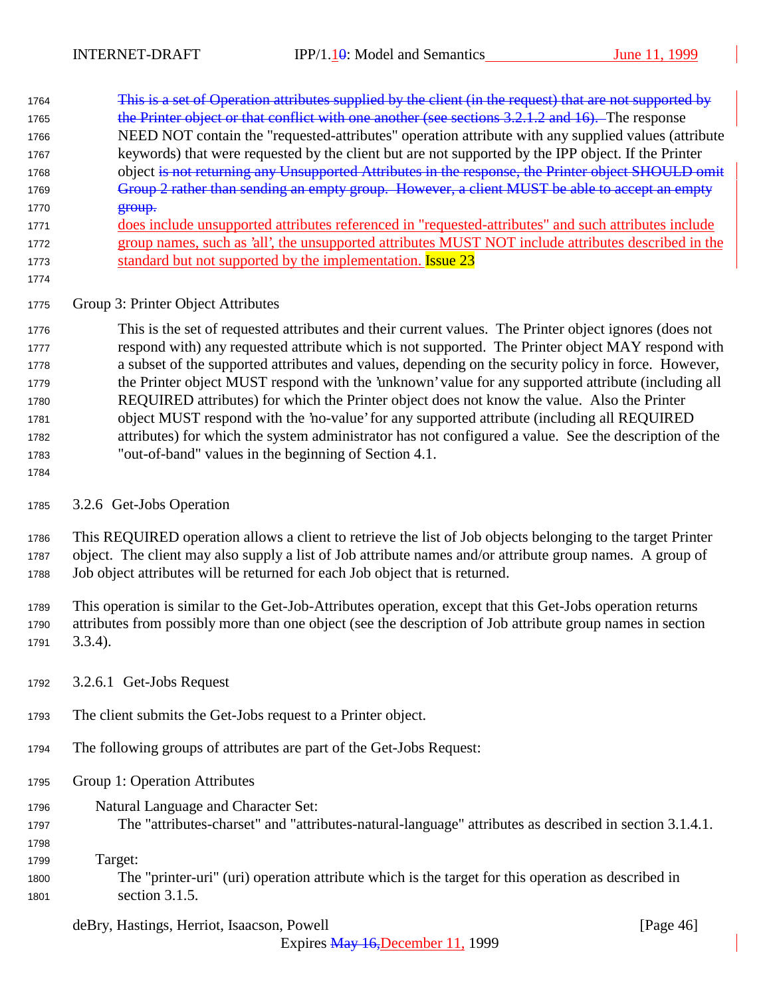| 1764 | This is a set of Operation attributes supplied by the client (in the request) that are not supported by |
|------|---------------------------------------------------------------------------------------------------------|
| 1765 | the Printer object or that conflict with one another (see sections 3.2.1.2 and 16). The response        |
| 1766 | NEED NOT contain the "requested-attributes" operation attribute with any supplied values (attribute     |
| 1767 | keywords) that were requested by the client but are not supported by the IPP object. If the Printer     |
| 1768 | object is not returning any Unsupported Attributes in the response, the Printer object SHOULD omit      |
| 1769 | Group 2 rather than sending an empty group. However, a client MUST be able to accept an empty           |
| 1770 | $error$                                                                                                 |
| 1771 | does include unsupported attributes referenced in "requested-attributes" and such attributes include    |
| 1772 | group names, such as 'all', the unsupported attributes MUST NOT include attributes described in the     |
| 1773 | standard but not supported by the implementation. <b>Issue 23</b>                                       |

#### Group 3: Printer Object Attributes

 This is the set of requested attributes and their current values. The Printer object ignores (does not respond with) any requested attribute which is not supported. The Printer object MAY respond with a subset of the supported attributes and values, depending on the security policy in force. However, the Printer object MUST respond with the 'unknown' value for any supported attribute (including all REQUIRED attributes) for which the Printer object does not know the value. Also the Printer object MUST respond with the 'no-value' for any supported attribute (including all REQUIRED attributes) for which the system administrator has not configured a value. See the description of the "out-of-band" values in the beginning of Section 4.1.

### 3.2.6 Get-Jobs Operation

 This REQUIRED operation allows a client to retrieve the list of Job objects belonging to the target Printer object. The client may also supply a list of Job attribute names and/or attribute group names. A group of Job object attributes will be returned for each Job object that is returned.

 This operation is similar to the Get-Job-Attributes operation, except that this Get-Jobs operation returns attributes from possibly more than one object (see the description of Job attribute group names in section 3.3.4).

- 3.2.6.1 Get-Jobs Request
- The client submits the Get-Jobs request to a Printer object.
- The following groups of attributes are part of the Get-Jobs Request:
- Group 1: Operation Attributes
- Natural Language and Character Set:
- The "attributes-charset" and "attributes-natural-language" attributes as described in section 3.1.4.1.
- 

Target:

 The "printer-uri" (uri) operation attribute which is the target for this operation as described in section 3.1.5.

### deBry, Hastings, Herriot, Isaacson, Powell [Page 46]

Expires May 16,December 11, 1999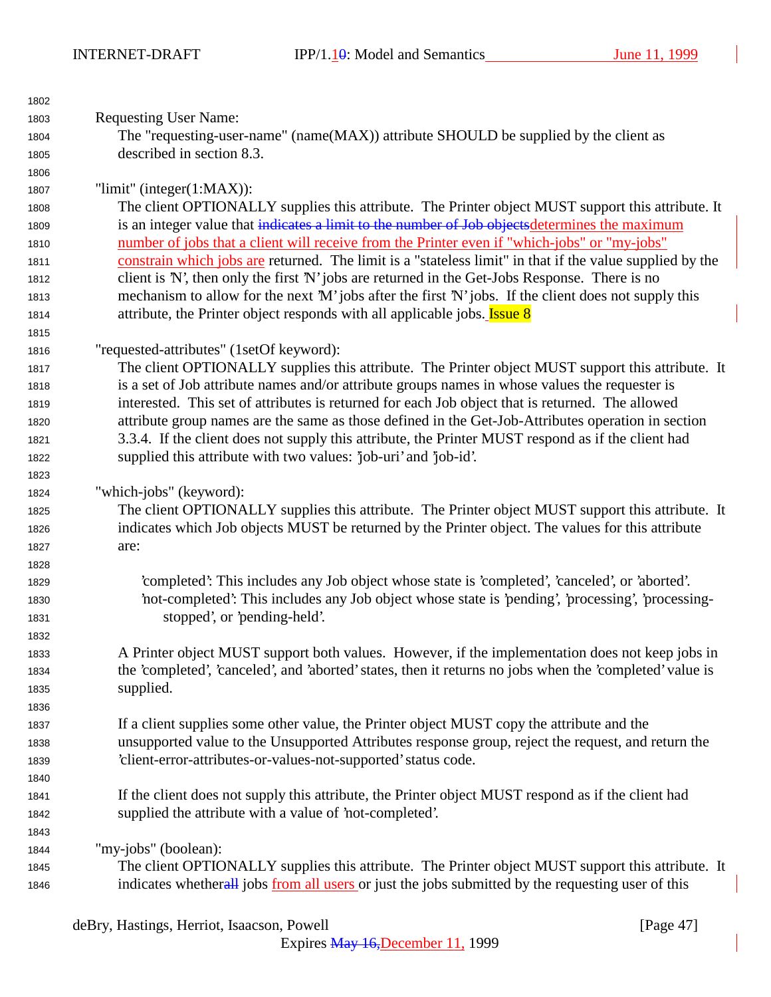INTERNET-DRAFT IPP/1.10: Model and Semantics June 11, 1999

| 1802 |                                                                                                          |
|------|----------------------------------------------------------------------------------------------------------|
| 1803 | <b>Requesting User Name:</b>                                                                             |
| 1804 | The "requesting-user-name" (name(MAX)) attribute SHOULD be supplied by the client as                     |
| 1805 | described in section 8.3.                                                                                |
| 1806 |                                                                                                          |
| 1807 | "limit" (integer $(1:MAX)$ ):                                                                            |
| 1808 | The client OPTIONALLY supplies this attribute. The Printer object MUST support this attribute. It        |
| 1809 | is an integer value that indicates a limit to the number of Job objects determines the maximum           |
| 1810 | number of jobs that a client will receive from the Printer even if "which-jobs" or "my-jobs"             |
| 1811 | constrain which jobs are returned. The limit is a "stateless limit" in that if the value supplied by the |
| 1812 | client is 'N', then only the first 'N' jobs are returned in the Get-Jobs Response. There is no           |
| 1813 | mechanism to allow for the next 'M' jobs after the first 'N' jobs. If the client does not supply this    |
| 1814 | attribute, the Printer object responds with all applicable jobs. <b>Issue 8</b>                          |
| 1815 |                                                                                                          |
| 1816 | "requested-attributes" (1setOf keyword):                                                                 |
| 1817 | The client OPTIONALLY supplies this attribute. The Printer object MUST support this attribute. It        |
| 1818 | is a set of Job attribute names and/or attribute groups names in whose values the requester is           |
| 1819 | interested. This set of attributes is returned for each Job object that is returned. The allowed         |
| 1820 | attribute group names are the same as those defined in the Get-Job-Attributes operation in section       |
| 1821 | 3.3.4. If the client does not supply this attribute, the Printer MUST respond as if the client had       |
| 1822 | supplied this attribute with two values: 'job-uri' and 'job-id'.                                         |
| 1823 |                                                                                                          |
| 1824 | "which-jobs" (keyword):                                                                                  |
| 1825 | The client OPTIONALLY supplies this attribute. The Printer object MUST support this attribute. It        |
| 1826 | indicates which Job objects MUST be returned by the Printer object. The values for this attribute        |
| 1827 | are:                                                                                                     |
| 1828 |                                                                                                          |
| 1829 | 'completed': This includes any Job object whose state is 'completed', 'canceled', or 'aborted'.          |
| 1830 | not-completed: This includes any Job object whose state is 'pending', 'processing', 'processing-         |
| 1831 | stopped', or 'pending-held'.                                                                             |
| 1832 |                                                                                                          |
| 1833 | A Printer object MUST support both values. However, if the implementation does not keep jobs in          |
| 1834 | the 'completed', 'canceled', and 'aborted' states, then it returns no jobs when the 'completed' value is |
| 1835 | supplied.                                                                                                |
| 1836 |                                                                                                          |
| 1837 | If a client supplies some other value, the Printer object MUST copy the attribute and the                |
| 1838 | unsupported value to the Unsupported Attributes response group, reject the request, and return the       |
| 1839 | 'client-error-attributes-or-values-not-supported' status code.                                           |
| 1840 |                                                                                                          |
| 1841 | If the client does not supply this attribute, the Printer object MUST respond as if the client had       |
| 1842 | supplied the attribute with a value of 'not-completed'.                                                  |
| 1843 |                                                                                                          |
| 1844 | "my-jobs" (boolean):                                                                                     |
| 1845 | The client OPTIONALLY supplies this attribute. The Printer object MUST support this attribute. It        |
| 1846 | indicates whetherall jobs from all users or just the jobs submitted by the requesting user of this       |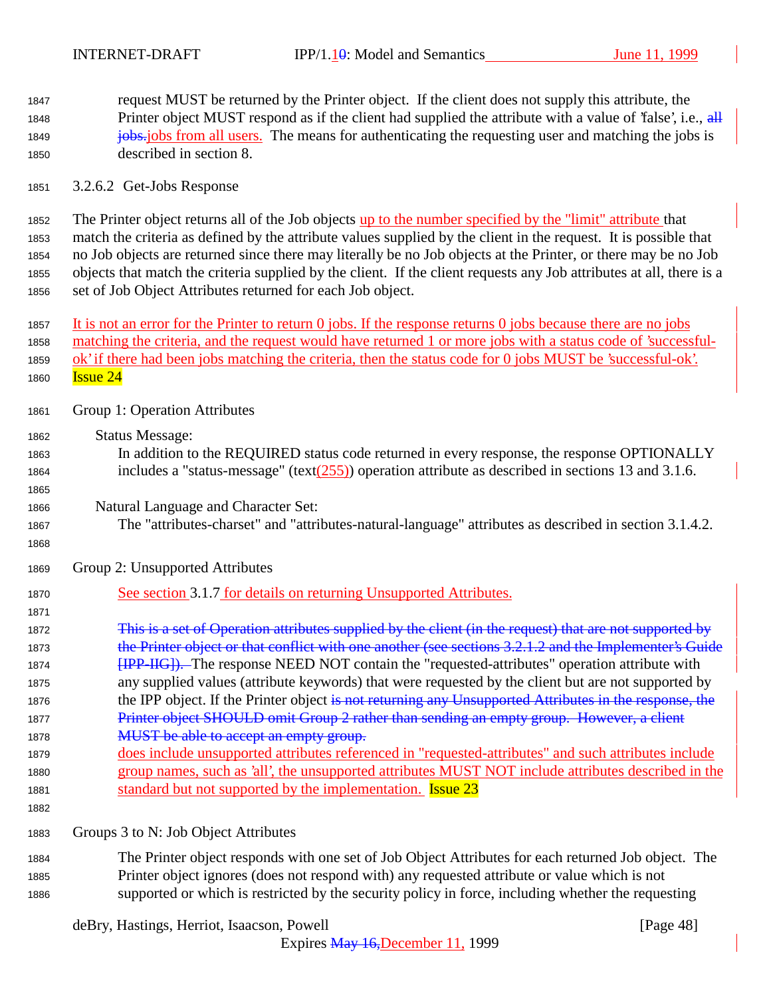request MUST be returned by the Printer object. If the client does not supply this attribute, the 1848 Printer object MUST respond as if the client had supplied the attribute with a value of 'false', i.e., all **jobs.** jobs from all users. The means for authenticating the requesting user and matching the jobs is described in section 8.

3.2.6.2 Get-Jobs Response

 The Printer object returns all of the Job objects up to the number specified by the "limit" attribute that match the criteria as defined by the attribute values supplied by the client in the request. It is possible that no Job objects are returned since there may literally be no Job objects at the Printer, or there may be no Job objects that match the criteria supplied by the client. If the client requests any Job attributes at all, there is a set of Job Object Attributes returned for each Job object.

 It is not an error for the Printer to return 0 jobs. If the response returns 0 jobs because there are no jobs matching the criteria, and the request would have returned 1 or more jobs with a status code of 'successful-1859 ok' if there had been jobs matching the criteria, then the status code for 0 jobs MUST be 'successful-ok'. **Issue 24** 

- Group 1: Operation Attributes
- Status Message:
- In addition to the REQUIRED status code returned in every response, the response OPTIONALLY 1864 includes a "status-message" (text( $\frac{255}{2}$ ) operation attribute as described in sections 13 and 3.1.6.
- Natural Language and Character Set:
- The "attributes-charset" and "attributes-natural-language" attributes as described in section 3.1.4.2.
- 

Group 2: Unsupported Attributes

See section 3.1.7 for details on returning Unsupported Attributes.

 This is a set of Operation attributes supplied by the client (in the request) that are not supported by 1873 the Printer object or that conflict with one another (see sections 3.2.1.2 and the Implementer's Guide **[IPP-IIG]**). The response NEED NOT contain the "requested-attributes" operation attribute with any supplied values (attribute keywords) that were requested by the client but are not supported by 1876 the IPP object. If the Printer object is not returning any Unsupported Attributes in the response, the 1877 Printer object SHOULD omit Group 2 rather than sending an empty group. However, a client 1878 MUST be able to accept an empty group.

 does include unsupported attributes referenced in "requested-attributes" and such attributes include group names, such as 'all', the unsupported attributes MUST NOT include attributes described in the 1881 standard but not supported by the implementation. **Issue 23** 

Groups 3 to N: Job Object Attributes

 The Printer object responds with one set of Job Object Attributes for each returned Job object. The Printer object ignores (does not respond with) any requested attribute or value which is not supported or which is restricted by the security policy in force, including whether the requesting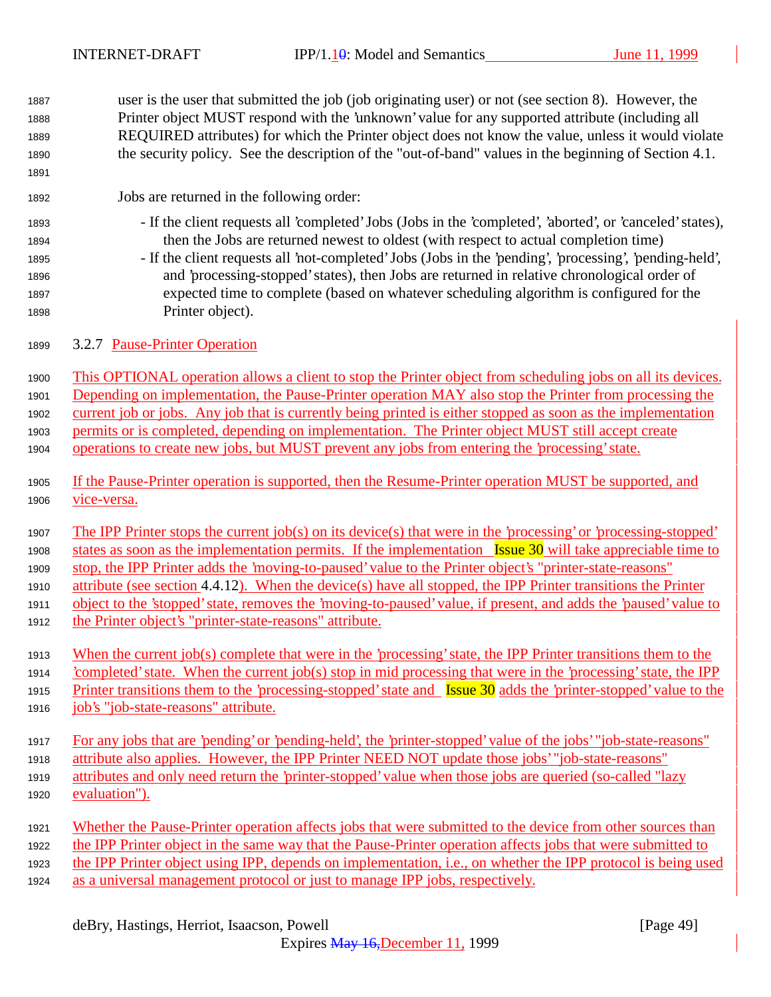| 1887 | user is the user that submitted the job (job originating user) or not (see section 8). However, the                                          |
|------|----------------------------------------------------------------------------------------------------------------------------------------------|
| 1888 | Printer object MUST respond with the 'unknown' value for any supported attribute (including all                                              |
| 1889 | REQUIRED attributes) for which the Printer object does not know the value, unless it would violate                                           |
| 1890 | the security policy. See the description of the "out-of-band" values in the beginning of Section 4.1.                                        |
| 1891 |                                                                                                                                              |
| 1892 | Jobs are returned in the following order:                                                                                                    |
| 1893 | - If the client requests all 'completed' Jobs (Jobs in the 'completed', 'aborted', or 'canceled' states),                                    |
| 1894 | then the Jobs are returned newest to oldest (with respect to actual completion time)                                                         |
| 1895 | - If the client requests all 'not-completed' Jobs (Jobs in the 'pending', 'processing', 'pending-held',                                      |
| 1896 | and 'processing-stopped' states), then Jobs are returned in relative chronological order of                                                  |
| 1897 | expected time to complete (based on whatever scheduling algorithm is configured for the                                                      |
| 1898 | Printer object).                                                                                                                             |
| 1899 | 3.2.7 Pause-Printer Operation                                                                                                                |
| 1900 | This OPTIONAL operation allows a client to stop the Printer object from scheduling jobs on all its devices.                                  |
| 1901 | Depending on implementation, the Pause-Printer operation MAY also stop the Printer from processing the                                       |
| 1902 | current job or jobs. Any job that is currently being printed is either stopped as soon as the implementation                                 |
| 1903 | permits or is completed, depending on implementation. The Printer object MUST still accept create                                            |
| 1904 | operations to create new jobs, but MUST prevent any jobs from entering the 'processing' state.                                               |
|      |                                                                                                                                              |
| 1905 | If the Pause-Printer operation is supported, then the Resume-Printer operation MUST be supported, and                                        |
| 1906 | vice-versa.                                                                                                                                  |
| 1907 | The IPP Printer stops the current job(s) on its device(s) that were in the 'processing' or 'processing-stopped'                              |
| 1908 | states as soon as the implementation permits. If the implementation Issue 30 will take appreciable time to                                   |
| 1909 | stop, the IPP Printer adds the 'moving-to-paused' value to the Printer object's "printer-state-reasons"                                      |
| 1910 | attribute (see section 4.4.12). When the device(s) have all stopped, the IPP Printer transitions the Printer                                 |
| 1911 | object to the 'stopped' state, removes the 'moving-to-paused' value, if present, and adds the 'paused' value to                              |
| 1912 | the Printer object's "printer-state-reasons" attribute.                                                                                      |
|      |                                                                                                                                              |
| 1913 | When the current job(s) complete that were in the 'processing' state, the IPP Printer transitions them to the                                |
| 1914 | completed' state. When the current job(s) stop in mid processing that were in the 'processing' state, the IPP                                |
| 1915 | Printer transitions them to the 'processing-stopped' state and $\frac{I_{\text{S}S}}{I_{\text{S}S}}$ adds the 'printer-stopped' value to the |
| 1916 | job's "job-state-reasons" attribute.                                                                                                         |
| 1917 | For any jobs that are 'pending' or 'pending-held', the 'printer-stopped' value of the jobs' "job-state-reasons"                              |
| 1918 | attribute also applies. However, the IPP Printer NEED NOT update those jobs' "job-state-reasons"                                             |
| 1919 | attributes and only need return the 'printer-stopped' value when those jobs are queried (so-called "lazy                                     |
| 1920 | evaluation").                                                                                                                                |
| 1921 | Whether the Pause-Printer operation affects jobs that were submitted to the device from other sources than                                   |
| 1922 | the IPP Printer object in the same way that the Pause-Printer operation affects jobs that were submitted to                                  |
| 1923 | the IPP Printer object using IPP, depends on implementation, i.e., on whether the IPP protocol is being used                                 |
| 1924 | as a universal management protocol or just to manage IPP jobs, respectively.                                                                 |
|      |                                                                                                                                              |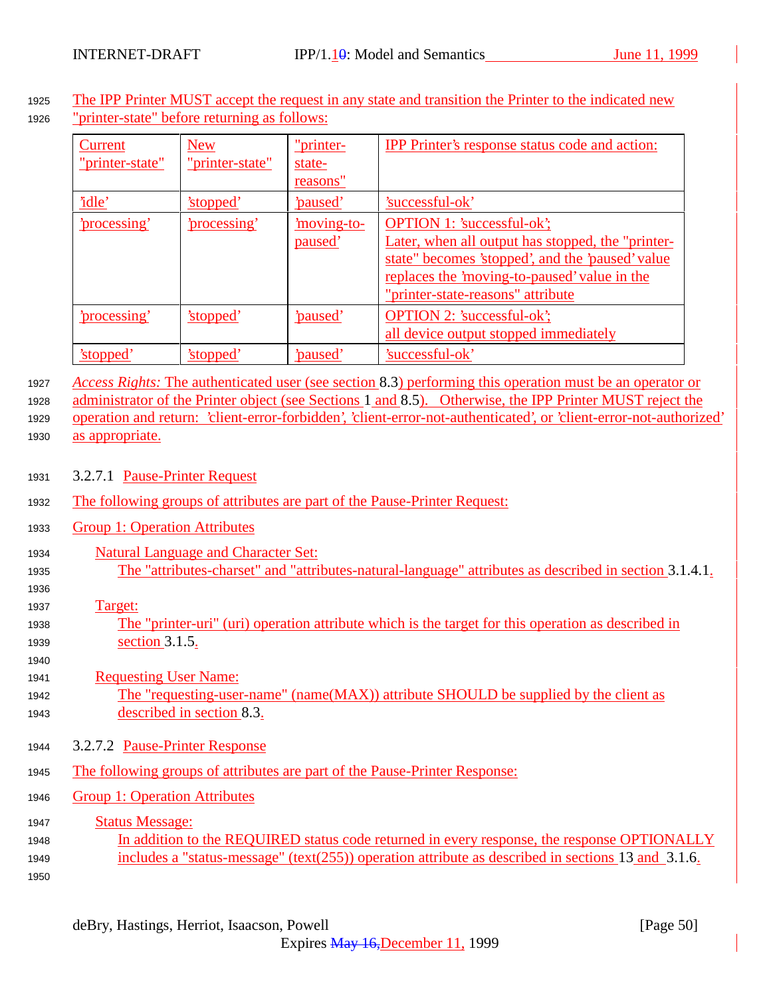<sup>1925</sup> The IPP Printer MUST accept the request in any state and transition the Printer to the indicated new <sup>1926</sup> "printer-state" before returning as follows:

| Current<br>"printer-state" | <b>New</b><br>"printer-state" | "printer-<br>state-<br>reasons" | <b>IPP</b> Printer's response status code and action:                                                                                                                                                                           |
|----------------------------|-------------------------------|---------------------------------|---------------------------------------------------------------------------------------------------------------------------------------------------------------------------------------------------------------------------------|
| 'idle'                     | 'stopped'                     | <u>'paused'</u>                 | 'successful-ok'                                                                                                                                                                                                                 |
| 'processing'               | 'processing'                  | <u>moving-to-</u><br>paused'    | <b>OPTION 1: 'successful-ok';</b><br>Later, when all output has stopped, the "printer-<br>state" becomes 'stopped', and the 'paused' value<br>replaces the 'moving-to-paused' value in the<br>"printer-state-reasons" attribute |
| <u>'processing'</u>        | 'stopped'                     | 'paused'                        | <b>OPTION 2: 'successful-ok';</b><br>all device output stopped immediately                                                                                                                                                      |
| 'stopped                   | 'stopped'                     | <u>'paused'</u>                 | 'successful-ok'                                                                                                                                                                                                                 |

<sup>1927</sup> *Access Rights:* The authenticated user (see section 8.3) performing this operation must be an operator or

<sup>1928</sup> administrator of the Printer object (see Sections 1 and 8.5). Otherwise, the IPP Printer MUST reject the <sup>1929</sup> operation and return: 'client-error-forbidden', 'client-error-not-authenticated', or 'client-error-not-authorized' <sup>1930</sup> as appropriate.

- <sup>1931</sup> 3.2.7.1 Pause-Printer Request
- <sup>1932</sup> The following groups of attributes are part of the Pause-Printer Request:
- <sup>1933</sup> Group 1: Operation Attributes
- <sup>1934</sup> Natural Language and Character Set: <sup>1935</sup> The "attributes-charset" and "attributes-natural-language" attributes as described in section 3.1.4.1.
- 1936
- <sup>1937</sup> Target:
- <sup>1938</sup> The "printer-uri" (uri) operation attribute which is the target for this operation as described in <sup>1939</sup> section 3.1.5.
- 1940 <sup>1941</sup> Requesting User Name: <sup>1942</sup> The "requesting-user-name" (name(MAX)) attribute SHOULD be supplied by the client as <sup>1943</sup> described in section 8.3.
- <sup>1944</sup> 3.2.7.2 Pause-Printer Response
- <sup>1945</sup> The following groups of attributes are part of the Pause-Printer Response:
- <sup>1946</sup> Group 1: Operation Attributes
- 1947 **Status Message:** <sup>1948</sup> In addition to the REQUIRED status code returned in every response, the response OPTIONALLY <sup>1949</sup> includes a "status-message" (text(255)) operation attribute as described in sections 13 and 3.1.6. 1950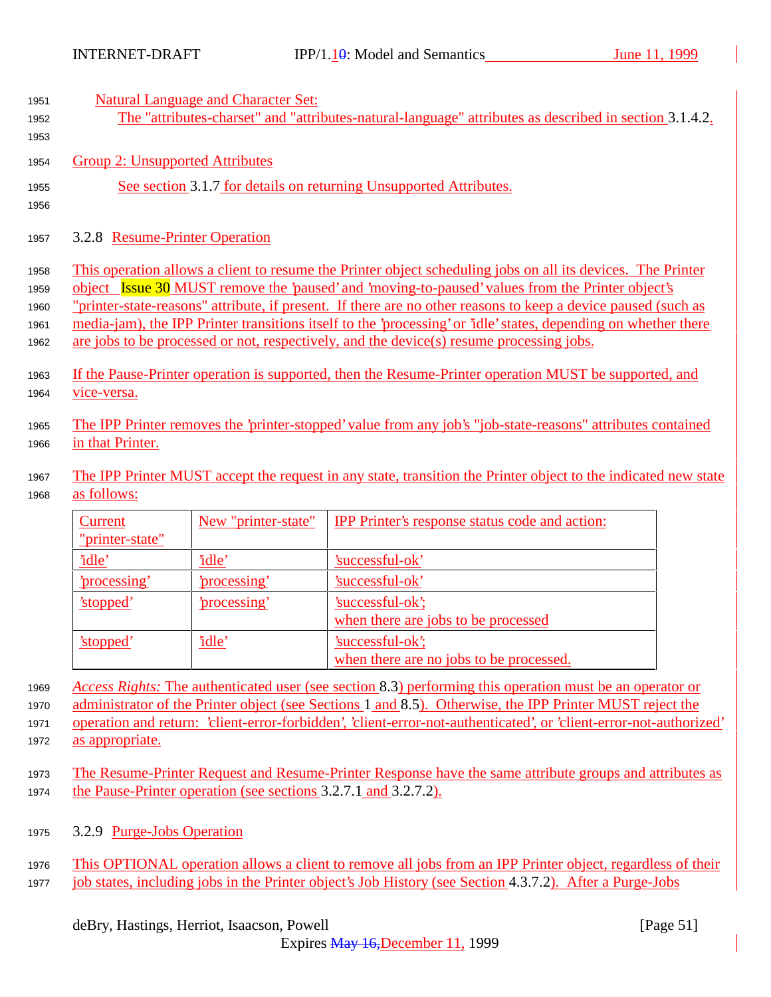| 1951 | <b>Natural Language and Character Set:</b>                                                                      |
|------|-----------------------------------------------------------------------------------------------------------------|
| 1952 | The "attributes-charset" and "attributes-natural-language" attributes as described in section 3.1.4.2.          |
| 1953 |                                                                                                                 |
| 1954 | Group 2: Unsupported Attributes                                                                                 |
| 1955 | See section 3.1.7 for details on returning Unsupported Attributes.                                              |
| 1956 |                                                                                                                 |
| 1957 | 3.2.8 Resume-Printer Operation                                                                                  |
| 1958 | This operation allows a client to resume the Printer object scheduling jobs on all its devices. The Printer     |
| 1959 | object Issue 30 MUST remove the 'paused' and 'moving-to-paused' values from the Printer object's                |
| 1960 | "printer-state-reasons" attribute, if present. If there are no other reasons to keep a device paused (such as   |
| 1961 | media-jam), the IPP Printer transitions itself to the 'processing' or 'idle' states, depending on whether there |
| 1962 | are jobs to be processed or not, respectively, and the device(s) resume processing jobs.                        |
| 1963 | If the Pause-Printer operation is supported, then the Resume-Printer operation MUST be supported, and           |
| 1964 | vice-versa.                                                                                                     |
| 1965 | The IPP Printer removes the 'printer-stopped' value from any job's "job-state-reasons" attributes contained     |
| 1966 | in that Printer.                                                                                                |
| 1967 | The IPP Printer MUST accept the request in any state, transition the Printer object to the indicated new state  |
| 1968 | as follows:                                                                                                     |
|      |                                                                                                                 |

| Current         | New "printer-state" | <b>IPP Printer's response status code and action:</b> |
|-----------------|---------------------|-------------------------------------------------------|
| "printer-state" |                     |                                                       |
| 'idle'          | <u>'idle'</u>       | 'successful-ok'                                       |
| 'processing'    | 'processing'        | 'successful-ok'                                       |
| 'stopped'       | 'processing'        | 'successful-ok';                                      |
|                 |                     | when there are jobs to be processed                   |
| 'stopped'       | 'idle'              | 'successful-ok';                                      |
|                 |                     | when there are no jobs to be processed.               |

<sup>1969</sup> *Access Rights:* The authenticated user (see section 8.3) performing this operation must be an operator or <sup>1970</sup> administrator of the Printer object (see Sections 1 and 8.5). Otherwise, the IPP Printer MUST reject the <sup>1971</sup> operation and return: 'client-error-forbidden', 'client-error-not-authenticated', or 'client-error-not-authorized'

- <sup>1972</sup> as appropriate.
- <sup>1973</sup> The Resume-Printer Request and Resume-Printer Response have the same attribute groups and attributes as <sup>1974</sup> the Pause-Printer operation (see sections 3.2.7.1 and 3.2.7.2).
- <sup>1975</sup> 3.2.9 Purge-Jobs Operation
- <sup>1976</sup> This OPTIONAL operation allows a client to remove all jobs from an IPP Printer object, regardless of their <sup>1977</sup> job states, including jobs in the Printer object's Job History (see Section 4.3.7.2). After a Purge-Jobs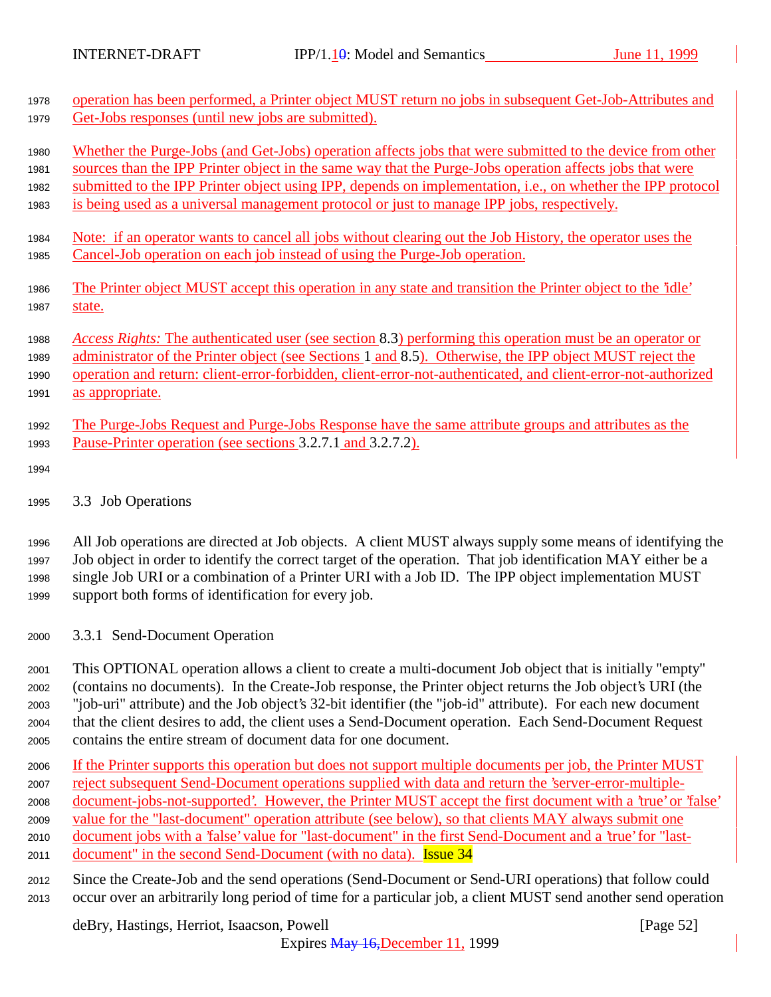| 1978                 | operation has been performed, a Printer object MUST return no jobs in subsequent Get-Job-Attributes and                                                            |
|----------------------|--------------------------------------------------------------------------------------------------------------------------------------------------------------------|
| 1979                 | Get-Jobs responses (until new jobs are submitted).                                                                                                                 |
| 1980                 | Whether the Purge-Jobs (and Get-Jobs) operation affects jobs that were submitted to the device from other                                                          |
| 1981                 | sources than the IPP Printer object in the same way that the Purge-Jobs operation affects jobs that were                                                           |
| 1982                 | submitted to the IPP Printer object using IPP, depends on implementation, i.e., on whether the IPP protocol                                                        |
| 1983                 | is being used as a universal management protocol or just to manage IPP jobs, respectively.                                                                         |
| 1984                 | <u>Note: if an operator wants to cancel all jobs without clearing out the Job History, the operator uses the</u>                                                   |
| 1985                 | Cancel-Job operation on each job instead of using the Purge-Job operation.                                                                                         |
| 1986                 | The Printer object MUST accept this operation in any state and transition the Printer object to the 'idle'                                                         |
| 1987                 | state.                                                                                                                                                             |
| 1988                 | Access Rights: The authenticated user (see section 8.3) performing this operation must be an operator or                                                           |
| 1989                 | administrator of the Printer object (see Sections 1 and 8.5). Otherwise, the IPP object MUST reject the                                                            |
| 1990                 | operation and return: client-error-forbidden, client-error-not-authenticated, and client-error-not-authorized                                                      |
| 1991                 | as appropriate.                                                                                                                                                    |
| 1992<br>1993<br>1994 | The Purge-Jobs Request and Purge-Jobs Response have the same attribute groups and attributes as the<br>Pause-Printer operation (see sections 3.2.7.1 and 3.2.7.2). |
| 1995                 | 3.3 Job Operations                                                                                                                                                 |

 All Job operations are directed at Job objects. A client MUST always supply some means of identifying the Job object in order to identify the correct target of the operation. That job identification MAY either be a single Job URI or a combination of a Printer URI with a Job ID. The IPP object implementation MUST support both forms of identification for every job.

<sup>2000</sup> 3.3.1 Send-Document Operation

 This OPTIONAL operation allows a client to create a multi-document Job object that is initially "empty" (contains no documents). In the Create-Job response, the Printer object returns the Job object's URI (the "job-uri" attribute) and the Job object's 32-bit identifier (the "job-id" attribute). For each new document that the client desires to add, the client uses a Send-Document operation. Each Send-Document Request contains the entire stream of document data for one document.

- <sup>2006</sup> If the Printer supports this operation but does not support multiple documents per job, the Printer MUST <sup>2007</sup> reject subsequent Send-Document operations supplied with data and return the 'server-error-multiple-<sup>2008</sup> document-jobs-not-supported'. However, the Printer MUST accept the first document with a 'true' or 'false' <sup>2009</sup> value for the "last-document" operation attribute (see below), so that clients MAY always submit one
- <sup>2010</sup> document jobs with a 'false' value for "last-document" in the first Send-Document and a 'true' for "last-
- 2011 document" in the second Send-Document (with no data). **Issue 34**
- <sup>2012</sup> Since the Create-Job and the send operations (Send-Document or Send-URI operations) that follow could <sup>2013</sup> occur over an arbitrarily long period of time for a particular job, a client MUST send another send operation

deBry, Hastings, Herriot, Isaacson, Powell [Page 52]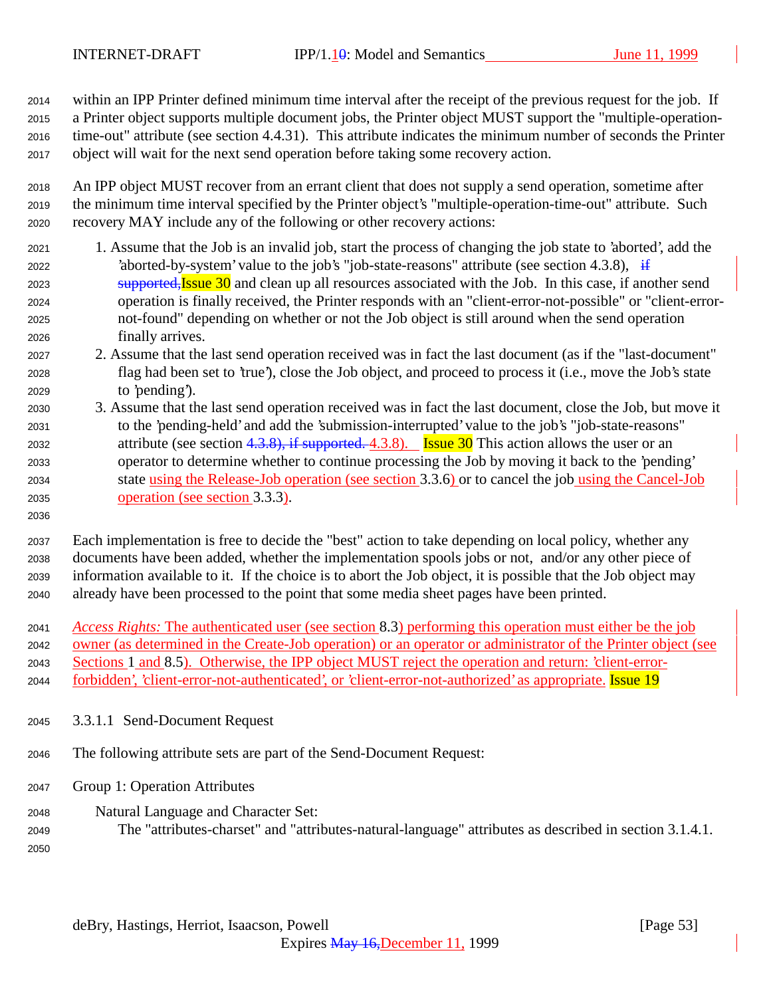within an IPP Printer defined minimum time interval after the receipt of the previous request for the job. If a Printer object supports multiple document jobs, the Printer object MUST support the "multiple-operation- time-out" attribute (see section 4.4.31). This attribute indicates the minimum number of seconds the Printer object will wait for the next send operation before taking some recovery action.

 An IPP object MUST recover from an errant client that does not supply a send operation, sometime after the minimum time interval specified by the Printer object's "multiple-operation-time-out" attribute. Such recovery MAY include any of the following or other recovery actions:

- 1. Assume that the Job is an invalid job, start the process of changing the job state to 'aborted', add the 2022 'aborted-by-system' value to the job's "job-state-reasons" attribute (see section 4.3.8),  $\frac{1}{11}$ 2023 supported, Issue and clean up all resources associated with the Job. In this case, if another send operation is finally received, the Printer responds with an "client-error-not-possible" or "client-error- not-found" depending on whether or not the Job object is still around when the send operation finally arrives.
- 2. Assume that the last send operation received was in fact the last document (as if the "last-document" flag had been set to 'true'), close the Job object, and proceed to process it (i.e., move the Job's state to 'pending').
- 3. Assume that the last send operation received was in fact the last document, close the Job, but move it to the 'pending-held' and add the 'submission-interrupted' value to the job's "job-state-reasons" 2032 attribute (see section  $4.3.8$ ), if supported. 4.3.8). Issue 30 This action allows the user or an operator to determine whether to continue processing the Job by moving it back to the 'pending' state using the Release-Job operation (see section 3.3.6) or to cancel the job using the Cancel-Job operation (see section 3.3.3).
- 

 Each implementation is free to decide the "best" action to take depending on local policy, whether any documents have been added, whether the implementation spools jobs or not, and/or any other piece of information available to it. If the choice is to abort the Job object, it is possible that the Job object may already have been processed to the point that some media sheet pages have been printed.

*Access Rights:* The authenticated user (see section 8.3) performing this operation must either be the job

owner (as determined in the Create-Job operation) or an operator or administrator of the Printer object (see

Sections 1 and 8.5). Otherwise, the IPP object MUST reject the operation and return: 'client-error-

2044 forbidden', 'client-error-not-authenticated', or 'client-error-not-authorized' as appropriate. Issue 19

3.3.1.1 Send-Document Request

The following attribute sets are part of the Send-Document Request:

- Group 1: Operation Attributes
- Natural Language and Character Set:
- The "attributes-charset" and "attributes-natural-language" attributes as described in section 3.1.4.1.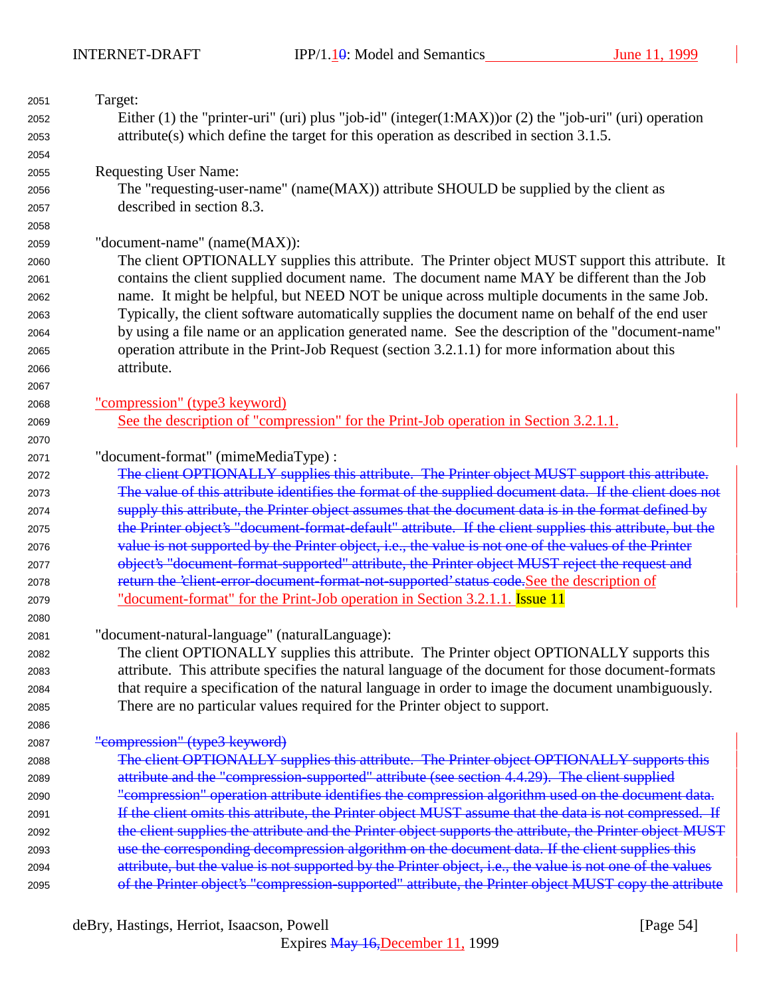| 2051 | Target:                                                                                                   |
|------|-----------------------------------------------------------------------------------------------------------|
| 2052 | Either (1) the "printer-uri" (uri) plus "job-id" (integer(1:MAX)) or (2) the "job-uri" (uri) operation    |
| 2053 | $attribute(s)$ which define the target for this operation as described in section 3.1.5.                  |
| 2054 |                                                                                                           |
| 2055 | <b>Requesting User Name:</b>                                                                              |
| 2056 | The "requesting-user-name" (name(MAX)) attribute SHOULD be supplied by the client as                      |
| 2057 | described in section 8.3.                                                                                 |
| 2058 |                                                                                                           |
| 2059 | "document-name" (name(MAX)):                                                                              |
| 2060 | The client OPTIONALLY supplies this attribute. The Printer object MUST support this attribute. It         |
| 2061 | contains the client supplied document name. The document name MAY be different than the Job               |
| 2062 | name. It might be helpful, but NEED NOT be unique across multiple documents in the same Job.              |
| 2063 | Typically, the client software automatically supplies the document name on behalf of the end user         |
| 2064 | by using a file name or an application generated name. See the description of the "document-name"         |
| 2065 | operation attribute in the Print-Job Request (section 3.2.1.1) for more information about this            |
| 2066 | attribute.                                                                                                |
| 2067 |                                                                                                           |
| 2068 | "compression" (type3 keyword)                                                                             |
| 2069 | See the description of "compression" for the Print-Job operation in Section 3.2.1.1.                      |
| 2070 |                                                                                                           |
| 2071 | "document-format" (mimeMediaType):                                                                        |
| 2072 | The client OPTIONALLY supplies this attribute. The Printer object MUST support this attribute.            |
| 2073 | The value of this attribute identifies the format of the supplied document data. If the client does not   |
| 2074 | supply this attribute, the Printer object assumes that the document data is in the format defined by      |
| 2075 | the Printer object's "document format default" attribute. If the client supplies this attribute, but the  |
| 2076 | value is not supported by the Printer object, i.e., the value is not one of the values of the Printer     |
| 2077 | object's "document-format-supported" attribute, the Printer object MUST reject the request and            |
| 2078 | return the 'client-error-document-format-not-supported' status code. See the description of               |
| 2079 | "document-format" for the Print-Job operation in Section 3.2.1.1. Issue 11                                |
| 2080 |                                                                                                           |
| 2081 | "document-natural-language" (naturalLanguage):                                                            |
| 2082 | The client OPTIONALLY supplies this attribute. The Printer object OPTIONALLY supports this                |
| 2083 | attribute. This attribute specifies the natural language of the document for those document-formats       |
| 2084 | that require a specification of the natural language in order to image the document unambiguously.        |
| 2085 | There are no particular values required for the Printer object to support.                                |
| 2086 |                                                                                                           |
| 2087 | "compression" (type3 keyword)                                                                             |
| 2088 | The client OPTIONALLY supplies this attribute. The Printer object OPTIONALLY supports this                |
| 2089 | attribute and the "compression-supported" attribute (see section 4.4.29). The client supplied             |
| 2090 | "compression" operation attribute identifies the compression algorithm used on the document data.         |
| 2091 | If the client omits this attribute, the Printer object MUST assume that the data is not compressed. If    |
| 2092 | the client supplies the attribute and the Printer object supports the attribute, the Printer object MUST  |
| 2093 | use the corresponding decompression algorithm on the document data. If the client supplies this           |
| 2094 | attribute, but the value is not supported by the Printer object, i.e., the value is not one of the values |
| 2095 | of the Printer object's "compression-supported" attribute, the Printer object MUST copy the attribute     |
|      |                                                                                                           |

deBry, Hastings, Herriot, Isaacson, Powell [Page 54]

Expires May 16,December 11, 1999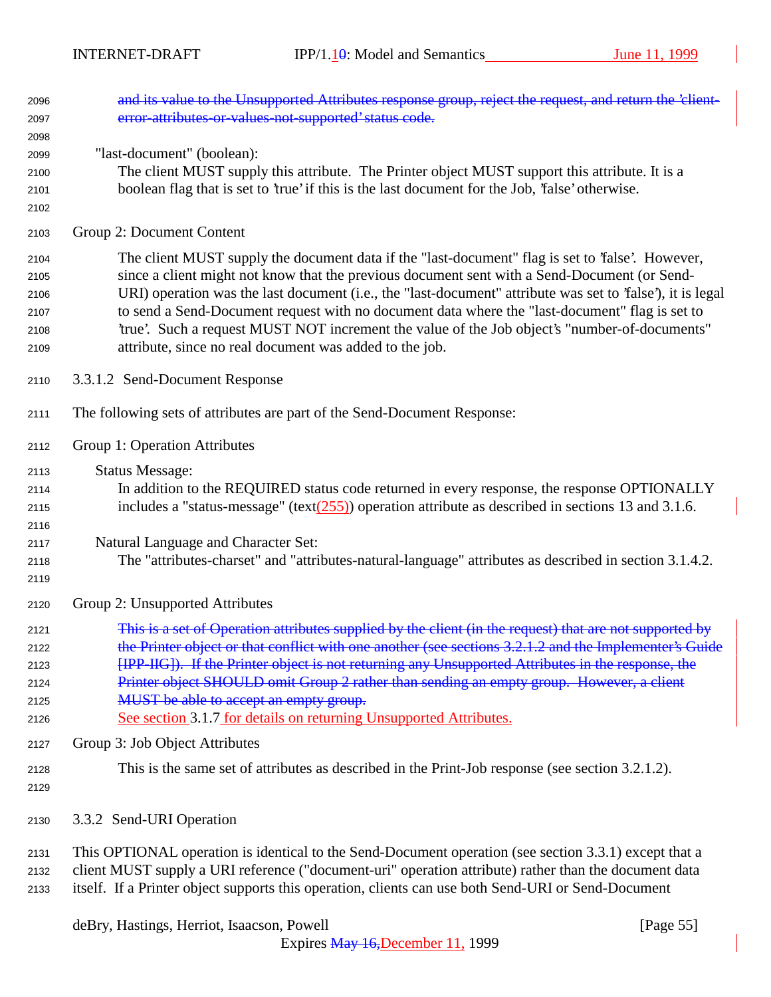| 2096<br>2097                                 | and its value to the Unsupported Attributes response group, reject the request, and return the 'client-<br>error-attributes-or-values-not-supported' status code.                                                                                                                                                                                                                                                                                                                                                                                                            |
|----------------------------------------------|------------------------------------------------------------------------------------------------------------------------------------------------------------------------------------------------------------------------------------------------------------------------------------------------------------------------------------------------------------------------------------------------------------------------------------------------------------------------------------------------------------------------------------------------------------------------------|
| 2098<br>2099<br>2100<br>2101<br>2102         | "last-document" (boolean):<br>The client MUST supply this attribute. The Printer object MUST support this attribute. It is a<br>boolean flag that is set to 'true' if this is the last document for the Job, 'false' otherwise.                                                                                                                                                                                                                                                                                                                                              |
| 2103                                         | Group 2: Document Content                                                                                                                                                                                                                                                                                                                                                                                                                                                                                                                                                    |
| 2104<br>2105<br>2106<br>2107<br>2108<br>2109 | The client MUST supply the document data if the "last-document" flag is set to 'false'. However,<br>since a client might not know that the previous document sent with a Send-Document (or Send-<br>URI) operation was the last document (i.e., the "last-document" attribute was set to 'false'), it is legal<br>to send a Send-Document request with no document data where the "last-document" flag is set to<br>'true'. Such a request MUST NOT increment the value of the Job object's "number-of-documents"<br>attribute, since no real document was added to the job. |
| 2110                                         | 3.3.1.2 Send-Document Response                                                                                                                                                                                                                                                                                                                                                                                                                                                                                                                                               |
| 2111                                         | The following sets of attributes are part of the Send-Document Response:                                                                                                                                                                                                                                                                                                                                                                                                                                                                                                     |
| 2112                                         | Group 1: Operation Attributes                                                                                                                                                                                                                                                                                                                                                                                                                                                                                                                                                |
| 2113<br>2114<br>2115<br>2116                 | <b>Status Message:</b><br>In addition to the REQUIRED status code returned in every response, the response OPTIONALLY<br>includes a "status-message" (text $(255)$ ) operation attribute as described in sections 13 and 3.1.6.                                                                                                                                                                                                                                                                                                                                              |
| 2117<br>2118<br>2119                         | Natural Language and Character Set:<br>The "attributes-charset" and "attributes-natural-language" attributes as described in section 3.1.4.2.                                                                                                                                                                                                                                                                                                                                                                                                                                |
| 2120                                         | Group 2: Unsupported Attributes                                                                                                                                                                                                                                                                                                                                                                                                                                                                                                                                              |
| 2121<br>2122<br>2123<br>2124<br>2125<br>2126 | This is a set of Operation attributes supplied by the client (in the request) that are not supported by<br>the Printer object or that conflict with one another (see sections 3.2.1.2 and the Implementer's Guide<br>[IPP-IIG]). If the Printer object is not returning any Unsupported Attributes in the response, the<br>Printer object SHOULD omit Group 2 rather than sending an empty group. However, a client<br>MUST be able to accept an empty group.<br>See section 3.1.7 for details on returning Unsupported Attributes.                                          |
| 2127                                         | Group 3: Job Object Attributes                                                                                                                                                                                                                                                                                                                                                                                                                                                                                                                                               |
| 2128<br>2129                                 | This is the same set of attributes as described in the Print-Job response (see section 3.2.1.2).                                                                                                                                                                                                                                                                                                                                                                                                                                                                             |
| 2130                                         | 3.3.2 Send-URI Operation                                                                                                                                                                                                                                                                                                                                                                                                                                                                                                                                                     |
| 2131<br>2132                                 | This OPTIONAL operation is identical to the Send-Document operation (see section 3.3.1) except that a<br>client MUST supply a URI reference ("document-uri" operation attribute) rather than the document data                                                                                                                                                                                                                                                                                                                                                               |

itself. If a Printer object supports this operation, clients can use both Send-URI or Send-Document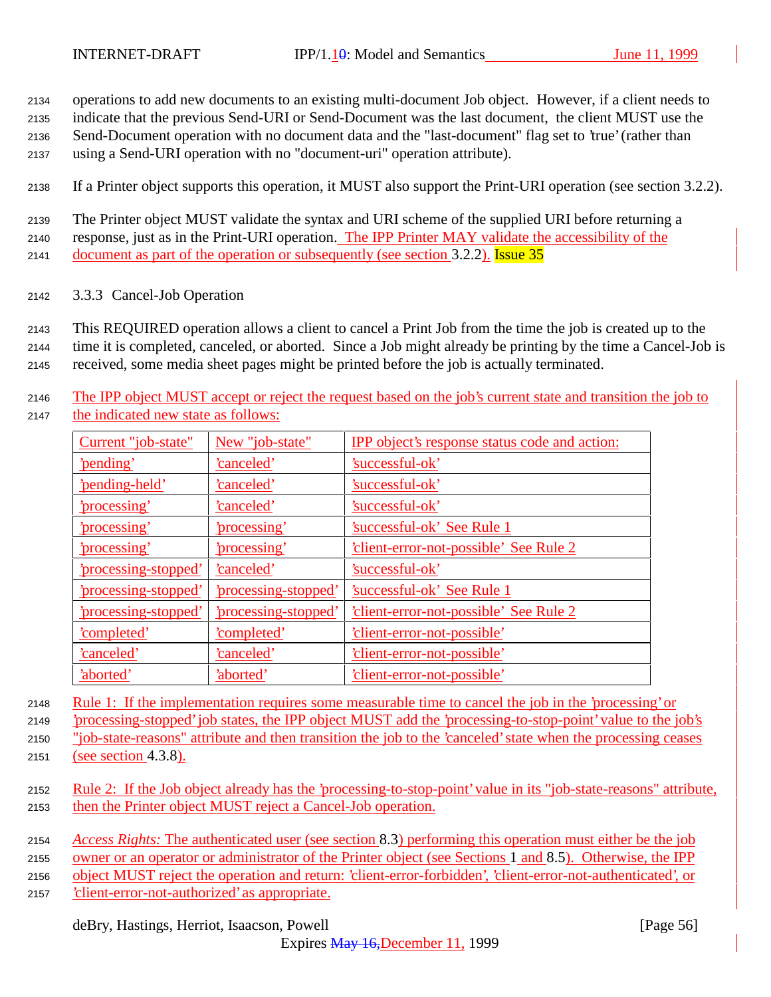<sup>2134</sup> operations to add new documents to an existing multi-document Job object. However, if a client needs to

<sup>2135</sup> indicate that the previous Send-URI or Send-Document was the last document, the client MUST use the

<sup>2136</sup> Send-Document operation with no document data and the "last-document" flag set to 'true' (rather than

<sup>2137</sup> using a Send-URI operation with no "document-uri" operation attribute).

<sup>2138</sup> If a Printer object supports this operation, it MUST also support the Print-URI operation (see section 3.2.2).

<sup>2139</sup> The Printer object MUST validate the syntax and URI scheme of the supplied URI before returning a <sup>2140</sup> response, just as in the Print-URI operation. The IPP Printer MAY validate the accessibility of the 2141 document as part of the operation or subsequently (see section 3.2.2). Issue 35

<sup>2142</sup> 3.3.3 Cancel-Job Operation

<sup>2143</sup> This REQUIRED operation allows a client to cancel a Print Job from the time the job is created up to the

<sup>2144</sup> time it is completed, canceled, or aborted. Since a Job might already be printing by the time a Cancel-Job is

<sup>2145</sup> received, some media sheet pages might be printed before the job is actually terminated.

<sup>2146</sup> The IPP object MUST accept or reject the request based on the job's current state and transition the job to <sup>2147</sup> the indicated new state as follows:

| Current "job-state"       | New "job-state"      | <b>IPP</b> object's response status code and action: |
|---------------------------|----------------------|------------------------------------------------------|
| 'pending'                 | 'canceled'           | 'successful-ok'                                      |
| 'pending-held'            | 'canceled'           | 'successful-ok'                                      |
| <u>'processing'</u>       | 'canceled'           | 'successful-ok'                                      |
| 'processing'              | 'processing'         | 'successful-ok' See Rule 1                           |
| 'processing'              | 'processing'         | 'client-error-not-possible' See Rule 2               |
| 'processing-stopped'      | <u>'canceled'</u>    | 'successful-ok'                                      |
| <u>processing-stopped</u> | 'processing-stopped' | 'successful-ok' See Rule 1                           |
| 'processing-stopped'      | 'processing-stopped' | client-error-not-possible' See Rule 2                |
| 'completed'               | 'completed'          | 'client-error-not-possible'                          |
| 'canceled'                | 'canceled'           | 'client-error-not-possible'                          |
| 'aborted'                 | 'aborted'            | 'client-error-not-possible'                          |

<sup>2148</sup> Rule 1: If the implementation requires some measurable time to cancel the job in the 'processing' or

<sup>2149</sup> 'processing-stopped' job states, the IPP object MUST add the 'processing-to-stop-point' value to the job's

<sup>2150</sup> "job-state-reasons" attribute and then transition the job to the 'canceled' state when the processing ceases <sup>2151</sup> (see section 4.3.8).

- - <sup>2152</sup> Rule 2: If the Job object already has the 'processing-to-stop-point' value in its "job-state-reasons" attribute, <sup>2153</sup> then the Printer object MUST reject a Cancel-Job operation.
	- <sup>2154</sup> *Access Rights:* The authenticated user (see section 8.3) performing this operation must either be the job
	- <sup>2155</sup> owner or an operator or administrator of the Printer object (see Sections 1 and 8.5). Otherwise, the IPP

<sup>2156</sup> object MUST reject the operation and return: 'client-error-forbidden', 'client-error-not-authenticated', or

<sup>2157</sup> 'client-error-not-authorized' as appropriate.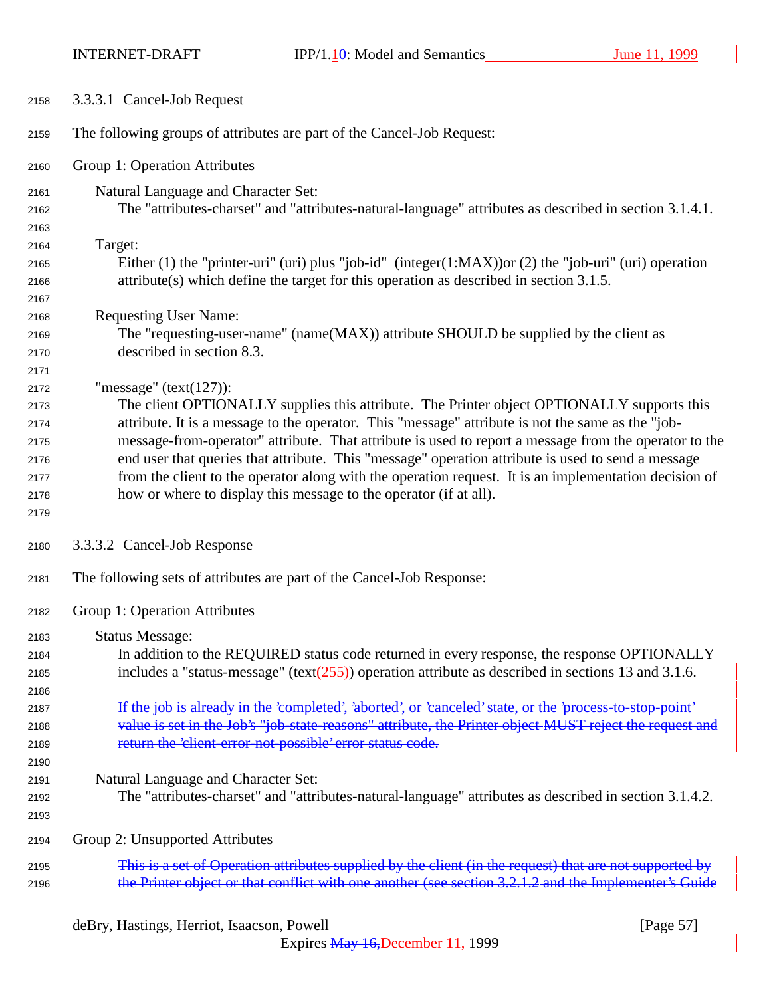INTERNET-DRAFT IPP/1.10: Model and Semantics June 11, 1999

| 2158 | 3.3.3.1 Cancel-Job Request                                                                               |
|------|----------------------------------------------------------------------------------------------------------|
| 2159 | The following groups of attributes are part of the Cancel-Job Request:                                   |
| 2160 | Group 1: Operation Attributes                                                                            |
| 2161 | Natural Language and Character Set:                                                                      |
| 2162 | The "attributes-charset" and "attributes-natural-language" attributes as described in section 3.1.4.1.   |
| 2163 |                                                                                                          |
| 2164 | Target:                                                                                                  |
| 2165 | Either (1) the "printer-uri" (uri) plus "job-id" (integer(1:MAX)) or (2) the "job-uri" (uri) operation   |
| 2166 | $attribute(s)$ which define the target for this operation as described in section 3.1.5.                 |
| 2167 |                                                                                                          |
| 2168 | <b>Requesting User Name:</b>                                                                             |
| 2169 | The "requesting-user-name" (name(MAX)) attribute SHOULD be supplied by the client as                     |
| 2170 | described in section 8.3.                                                                                |
| 2171 |                                                                                                          |
| 2172 | "message" $(text(127))$ :                                                                                |
| 2173 | The client OPTIONALLY supplies this attribute. The Printer object OPTIONALLY supports this               |
| 2174 | attribute. It is a message to the operator. This "message" attribute is not the same as the "job-        |
| 2175 | message-from-operator" attribute. That attribute is used to report a message from the operator to the    |
| 2176 | end user that queries that attribute. This "message" operation attribute is used to send a message       |
| 2177 | from the client to the operator along with the operation request. It is an implementation decision of    |
| 2178 | how or where to display this message to the operator (if at all).                                        |
| 2179 |                                                                                                          |
| 2180 | 3.3.3.2 Cancel-Job Response                                                                              |
| 2181 | The following sets of attributes are part of the Cancel-Job Response:                                    |
| 2182 | Group 1: Operation Attributes                                                                            |
| 2183 | <b>Status Message:</b>                                                                                   |
| 2184 | In addition to the REQUIRED status code returned in every response, the response OPTIONALLY              |
| 2185 | includes a "status-message" (text $(255)$ ) operation attribute as described in sections 13 and 3.1.6.   |
| 2186 |                                                                                                          |
| 2187 | If the job is already in the 'completed', 'aborted', or 'canceled' state, or the 'process to stop point' |
| 2188 | value is set in the Job's "job-state-reasons" attribute, the Printer object MUST reject the request and  |
| 2189 | return the 'client-error-not-possible' error status code.                                                |
| 2190 |                                                                                                          |
| 2191 | Natural Language and Character Set:                                                                      |
| 2192 | The "attributes-charset" and "attributes-natural-language" attributes as described in section 3.1.4.2.   |
| 2193 |                                                                                                          |
| 2194 | Group 2: Unsupported Attributes                                                                          |
| 2195 | This is a set of Operation attributes supplied by the client (in the request) that are not supported by  |
| 2196 | the Printer object or that conflict with one another (see section 3.2.1.2 and the Implementer's Guide    |

deBry, Hastings, Herriot, Isaacson, Powell [Page 57]

Expires May 16,December 11, 1999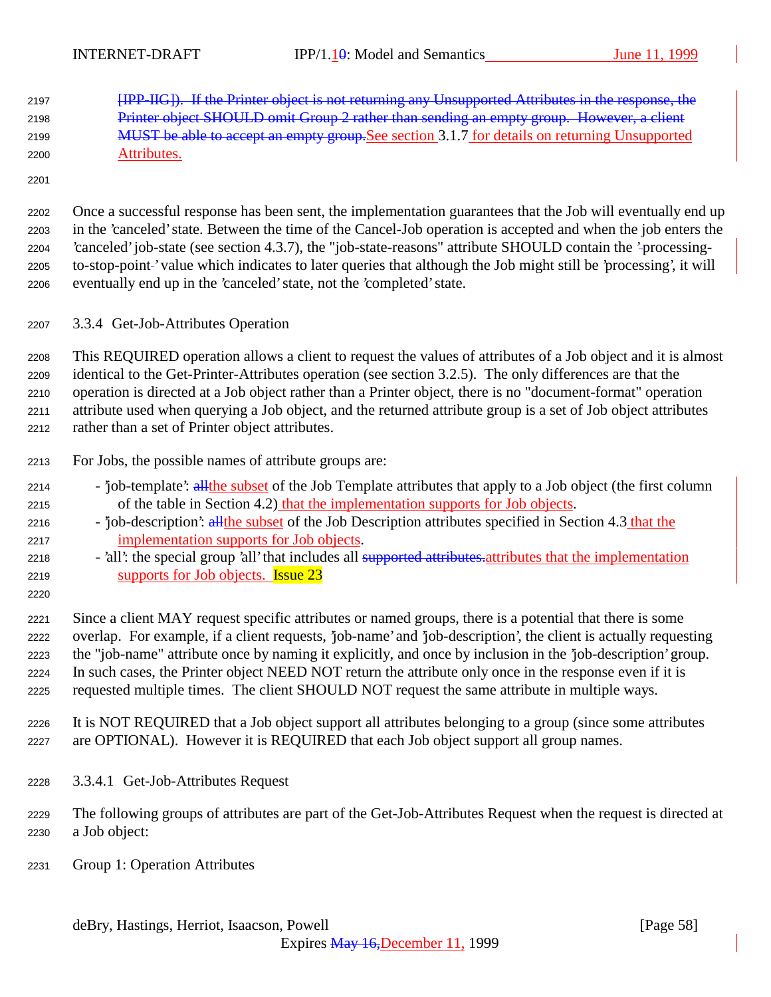[IPP-IIG]). If the Printer object is not returning any Unsupported Attributes in the response, the 2198 Printer object SHOULD omit Group 2 rather than sending an empty group. However, a client 2199 MUST be able to accept an empty group. See section 3.1.7 for details on returning Unsupported Attributes.

 Once a successful response has been sent, the implementation guarantees that the Job will eventually end up in the 'canceled' state. Between the time of the Cancel-Job operation is accepted and when the job enters the 'canceled' job-state (see section 4.3.7), the "job-state-reasons" attribute SHOULD contain the 'processing-2205 to-stop-point-' value which indicates to later queries that although the Job might still be 'processing', it will eventually end up in the 'canceled' state, not the 'completed' state.

3.3.4 Get-Job-Attributes Operation

 This REQUIRED operation allows a client to request the values of attributes of a Job object and it is almost identical to the Get-Printer-Attributes operation (see section 3.2.5). The only differences are that the operation is directed at a Job object rather than a Printer object, there is no "document-format" operation attribute used when querying a Job object, and the returned attribute group is a set of Job object attributes rather than a set of Printer object attributes.

- For Jobs, the possible names of attribute groups are:
- 2214 'job-template': all the subset of the Job Template attributes that apply to a Job object (the first column of the table in Section 4.2) that the implementation supports for Job objects.
- 2216 'job-description': all the subset of the Job Description attributes specified in Section 4.3 that the implementation supports for Job objects.
- 2218 'all': the special group 'all' that includes all supported attributes attributes that the implementation 2219 supports for Job objects. **Issue 23**
- 

 Since a client MAY request specific attributes or named groups, there is a potential that there is some overlap. For example, if a client requests, 'job-name' and 'job-description', the client is actually requesting the "job-name" attribute once by naming it explicitly, and once by inclusion in the 'job-description' group. In such cases, the Printer object NEED NOT return the attribute only once in the response even if it is requested multiple times. The client SHOULD NOT request the same attribute in multiple ways.

- It is NOT REQUIRED that a Job object support all attributes belonging to a group (since some attributes are OPTIONAL). However it is REQUIRED that each Job object support all group names.
- 3.3.4.1 Get-Job-Attributes Request
- The following groups of attributes are part of the Get-Job-Attributes Request when the request is directed at a Job object:
- Group 1: Operation Attributes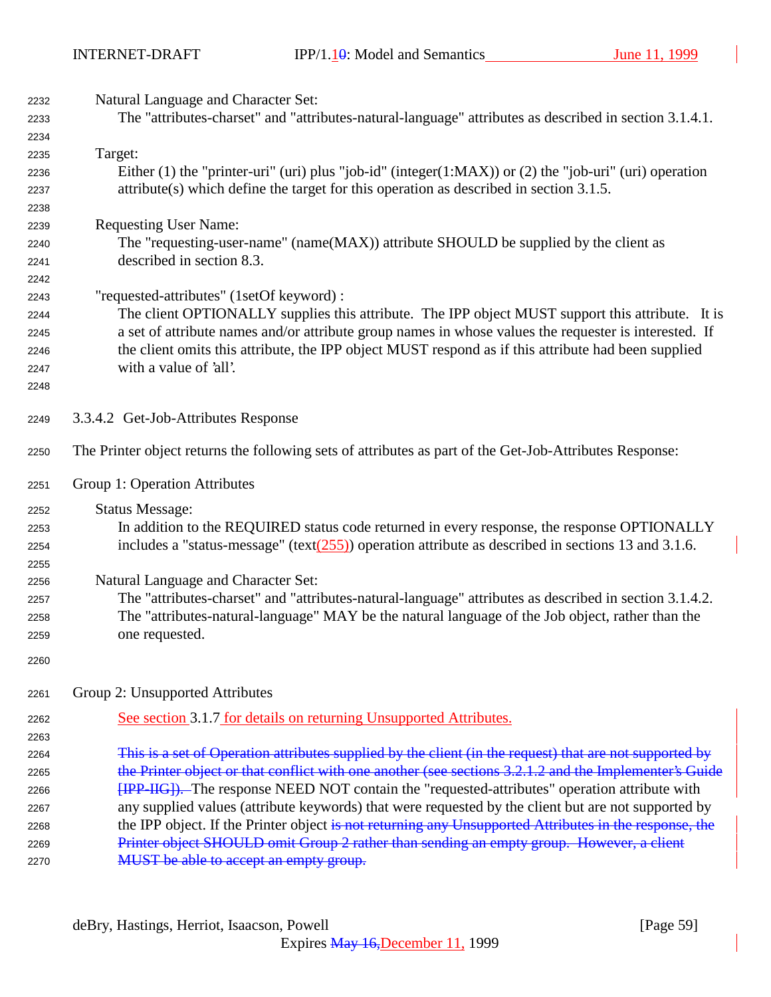| 2232 | Natural Language and Character Set:                                                                                                |
|------|------------------------------------------------------------------------------------------------------------------------------------|
| 2233 | The "attributes-charset" and "attributes-natural-language" attributes as described in section 3.1.4.1.                             |
| 2234 |                                                                                                                                    |
| 2235 | Target:                                                                                                                            |
| 2236 | Either (1) the "printer-uri" (uri) plus "job-id" (integer(1:MAX)) or (2) the "job-uri" (uri) operation                             |
| 2237 | $attribute(s)$ which define the target for this operation as described in section 3.1.5.                                           |
| 2238 |                                                                                                                                    |
| 2239 | <b>Requesting User Name:</b>                                                                                                       |
| 2240 | The "requesting-user-name" (name(MAX)) attribute SHOULD be supplied by the client as                                               |
| 2241 | described in section 8.3.                                                                                                          |
| 2242 |                                                                                                                                    |
| 2243 | "requested-attributes" (1setOf keyword) :                                                                                          |
| 2244 | The client OPTIONALLY supplies this attribute. The IPP object MUST support this attribute. It is                                   |
| 2245 | a set of attribute names and/or attribute group names in whose values the requester is interested. If                              |
| 2246 | the client omits this attribute, the IPP object MUST respond as if this attribute had been supplied                                |
| 2247 | with a value of 'all'.                                                                                                             |
| 2248 |                                                                                                                                    |
|      |                                                                                                                                    |
| 2249 | 3.3.4.2 Get-Job-Attributes Response                                                                                                |
| 2250 | The Printer object returns the following sets of attributes as part of the Get-Job-Attributes Response:                            |
| 2251 | Group 1: Operation Attributes                                                                                                      |
| 2252 | <b>Status Message:</b>                                                                                                             |
| 2253 | In addition to the REQUIRED status code returned in every response, the response OPTIONALLY                                        |
| 2254 | includes a "status-message" (text $(255)$ ) operation attribute as described in sections 13 and 3.1.6.                             |
| 2255 |                                                                                                                                    |
| 2256 | Natural Language and Character Set:                                                                                                |
| 2257 | The "attributes-charset" and "attributes-natural-language" attributes as described in section 3.1.4.2.                             |
| 2258 | The "attributes-natural-language" MAY be the natural language of the Job object, rather than the                                   |
| 2259 | one requested.                                                                                                                     |
|      |                                                                                                                                    |
| 2260 |                                                                                                                                    |
| 2261 | Group 2: Unsupported Attributes                                                                                                    |
| 2262 | See section 3.1.7 for details on returning Unsupported Attributes.                                                                 |
| 2263 |                                                                                                                                    |
| 2264 | This is a set of Operation attributes supplied by the client (in the request) that are not supported by                            |
| 2265 | the Printer object or that conflict with one another (see sections 3.2.1.2 and the Implementer's Guide                             |
| 2266 | <b>[IPP-IIG]</b> ). The response NEED NOT contain the "requested-attributes" operation attribute with                              |
| 2267 | any supplied values (attribute keywords) that were requested by the client but are not supported by                                |
| 2268 | the IPP object. If the Printer object is not returning any Unsupported Attributes in the response, the                             |
| 2269 |                                                                                                                                    |
|      |                                                                                                                                    |
| 2270 | Printer object SHOULD omit Group 2 rather than sending an empty group. However, a client<br>MUST be able to accept an empty group. |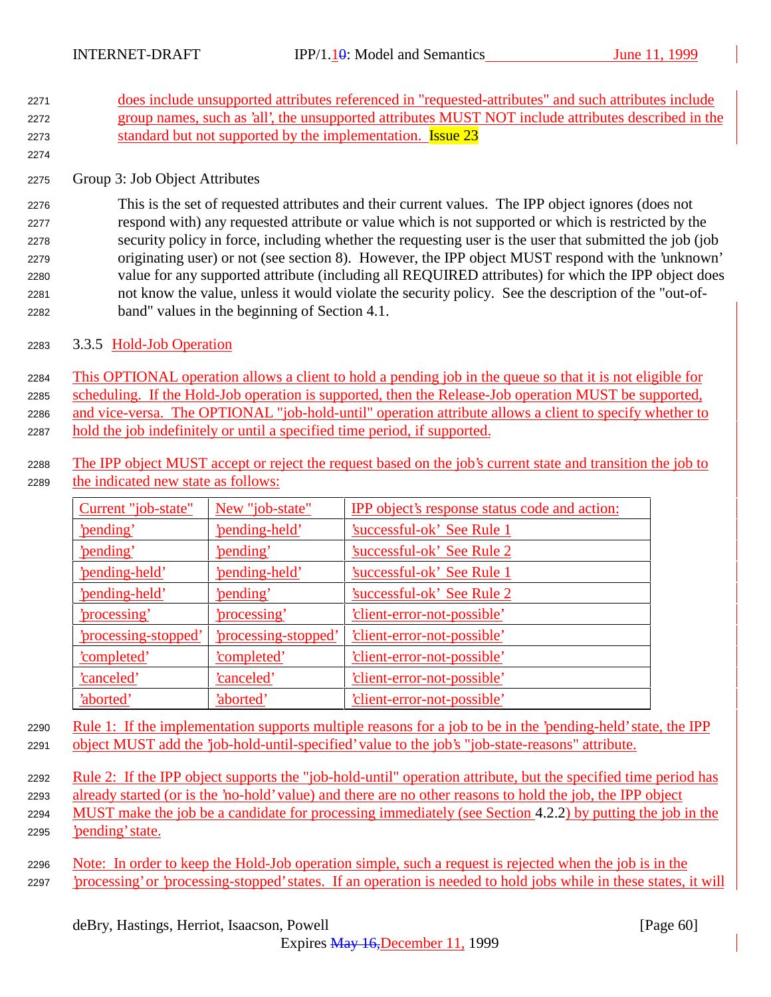- <sup>2271</sup> does include unsupported attributes referenced in "requested-attributes" and such attributes include <sup>2272</sup> group names, such as 'all', the unsupported attributes MUST NOT include attributes described in the 2273 standard but not supported by the implementation. **Issue 23**
- <sup>2275</sup> Group 3: Job Object Attributes

2274

 This is the set of requested attributes and their current values. The IPP object ignores (does not respond with) any requested attribute or value which is not supported or which is restricted by the security policy in force, including whether the requesting user is the user that submitted the job (job originating user) or not (see section 8). However, the IPP object MUST respond with the 'unknown' value for any supported attribute (including all REQUIRED attributes) for which the IPP object does not know the value, unless it would violate the security policy. See the description of the "out-of-band" values in the beginning of Section 4.1.

<sup>2283</sup> 3.3.5 Hold-Job Operation

 This OPTIONAL operation allows a client to hold a pending job in the queue so that it is not eligible for scheduling. If the Hold-Job operation is supported, then the Release-Job operation MUST be supported, 2286 and vice-versa. The OPTIONAL "job-hold-until" operation attribute allows a client to specify whether to hold the job indefinitely or until a specified time period, if supported.

<sup>2288</sup> The IPP object MUST accept or reject the request based on the job's current state and transition the job to <sup>2289</sup> the indicated new state as follows:

| Current "job-state"       | New "job-state"           | IPP object's response status code and action: |
|---------------------------|---------------------------|-----------------------------------------------|
| 'pending'                 | 'pending-held'            | 'successful-ok' See Rule 1                    |
| 'pending'                 | 'pending'                 | <b>Successful-ok' See Rule 2</b>              |
| 'pending-held'            | 'pending-held'            | 'successful-ok' See Rule 1                    |
| 'pending-held'            | 'pending'                 | 'successful-ok' See Rule 2                    |
| <u>'processing'</u>       | <u>'processing'</u>       | <u>'client-error-not-possible'</u>            |
| <u>processing-stopped</u> | <u>processing-stopped</u> | 'client-error-not-possible'                   |
| 'completed'               | 'completed'               | 'client-error-not-possible'                   |
| 'canceled'                | 'canceled'                | 'client-error-not-possible'                   |
| 'aborted'                 | 'aborted'                 | 'client-error-not-possible'                   |

<sup>2290</sup> Rule 1: If the implementation supports multiple reasons for a job to be in the 'pending-held' state, the IPP <sup>2291</sup> object MUST add the 'job-hold-until-specified' value to the job's "job-state-reasons" attribute.

2292 Rule 2: If the IPP object supports the "job-hold-until" operation attribute, but the specified time period has <sup>2293</sup> already started (or is the 'no-hold' value) and there are no other reasons to hold the job, the IPP object

- <sup>2294</sup> MUST make the job be a candidate for processing immediately (see Section 4.2.2) by putting the job in the <sup>2295</sup> 'pending' state.
- <sup>2296</sup> Note: In order to keep the Hold-Job operation simple, such a request is rejected when the job is in the <sup>2297</sup> 'processing' or 'processing-stopped' states. If an operation is needed to hold jobs while in these states, it will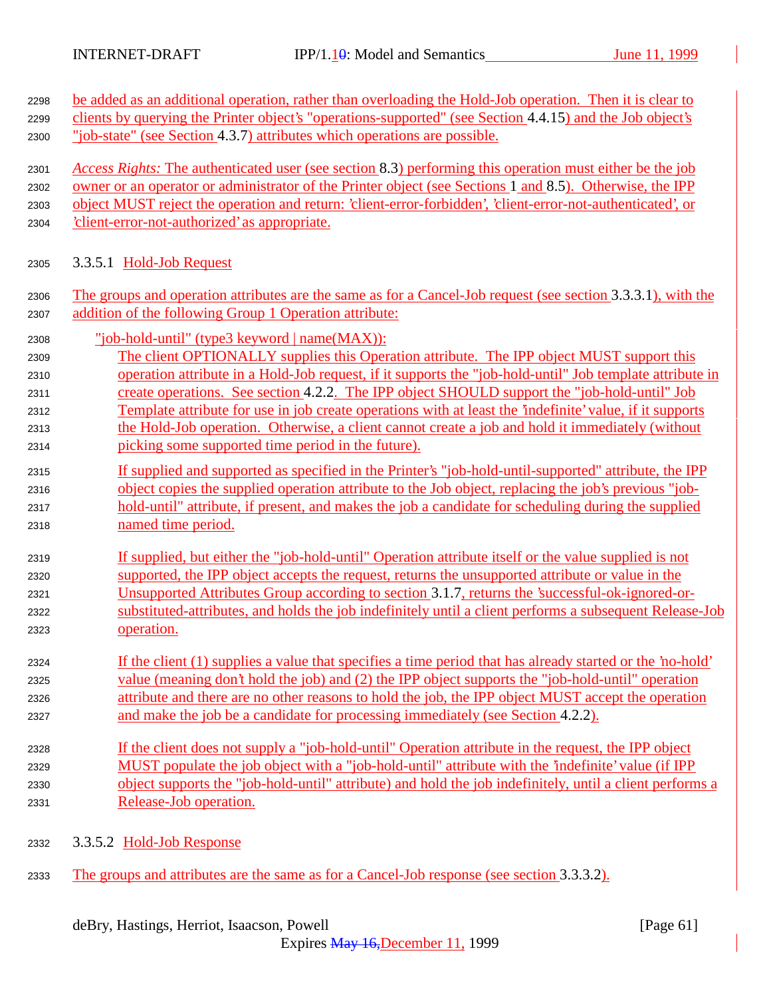| 2298 | be added as an additional operation, rather than overloading the Hold-Job operation. Then it is clear to     |
|------|--------------------------------------------------------------------------------------------------------------|
| 2299 | clients by querying the Printer object's "operations-supported" (see Section 4.4.15) and the Job object's    |
| 2300 | "job-state" (see Section 4.3.7) attributes which operations are possible.                                    |
| 2301 | Access Rights: The authenticated user (see section 8.3) performing this operation must either be the job     |
| 2302 | owner or an operator or administrator of the Printer object (see Sections 1 and 8.5). Otherwise, the IPP     |
| 2303 | object MUST reject the operation and return: 'client-error-forbidden', 'client-error-not-authenticated', or  |
| 2304 | 'client-error-not-authorized' as appropriate.                                                                |
| 2305 | 3.3.5.1 Hold-Job Request                                                                                     |
| 2306 | The groups and operation attributes are the same as for a Cancel-Job request (see section 3.3.3.1), with the |
| 2307 | addition of the following Group 1 Operation attribute:                                                       |
| 2308 | <u>"job-hold-until" (type3 keyword   name(MAX)):</u>                                                         |
| 2309 | The client OPTIONALLY supplies this Operation attribute. The IPP object MUST support this                    |
| 2310 | operation attribute in a Hold-Job request, if it supports the "job-hold-until" Job template attribute in     |
| 2311 | create operations. See section 4.2.2. The IPP object SHOULD support the "job-hold-until" Job                 |
| 2312 | Template attribute for use in job create operations with at least the 'indefinite' value, if it supports     |
| 2313 | the Hold-Job operation. Otherwise, a client cannot create a job and hold it immediately (without             |
| 2314 | picking some supported time period in the future).                                                           |
| 2315 | If supplied and supported as specified in the Printer's "job-hold-until-supported" attribute, the IPP        |
| 2316 | object copies the supplied operation attribute to the Job object, replacing the job's previous "job-         |
| 2317 | hold-until" attribute, if present, and makes the job a candidate for scheduling during the supplied          |
| 2318 | named time period.                                                                                           |
| 2319 | If supplied, but either the "job-hold-until" Operation attribute itself or the value supplied is not         |
| 2320 | supported, the IPP object accepts the request, returns the unsupported attribute or value in the             |
| 2321 | Unsupported Attributes Group according to section 3.1.7, returns the 'successful-ok-ignored-or-              |
| 2322 | substituted-attributes, and holds the job indefinitely until a client performs a subsequent Release-Job      |
| 2323 | operation.                                                                                                   |
| 2324 | If the client (1) supplies a value that specifies a time period that has already started or the 'no-hold'    |
| 2325 | value (meaning don't hold the job) and (2) the IPP object supports the "job-hold-until" operation            |
| 2326 | attribute and there are no other reasons to hold the job, the IPP object MUST accept the operation           |
| 2327 | and make the job be a candidate for processing immediately (see Section 4.2.2).                              |
| 2328 | If the client does not supply a "job-hold-until" Operation attribute in the request, the IPP object          |
| 2329 | MUST populate the job object with a "job-hold-until" attribute with the 'indefinite' value (if IPP           |
| 2330 | object supports the "job-hold-until" attribute) and hold the job indefinitely, until a client performs a     |
| 2331 | Release-Job operation.                                                                                       |
| 2332 | 3.3.5.2 Hold-Job Response                                                                                    |
|      |                                                                                                              |

2333 The groups and attributes are the same as for a Cancel-Job response (see section 3.3.3.2).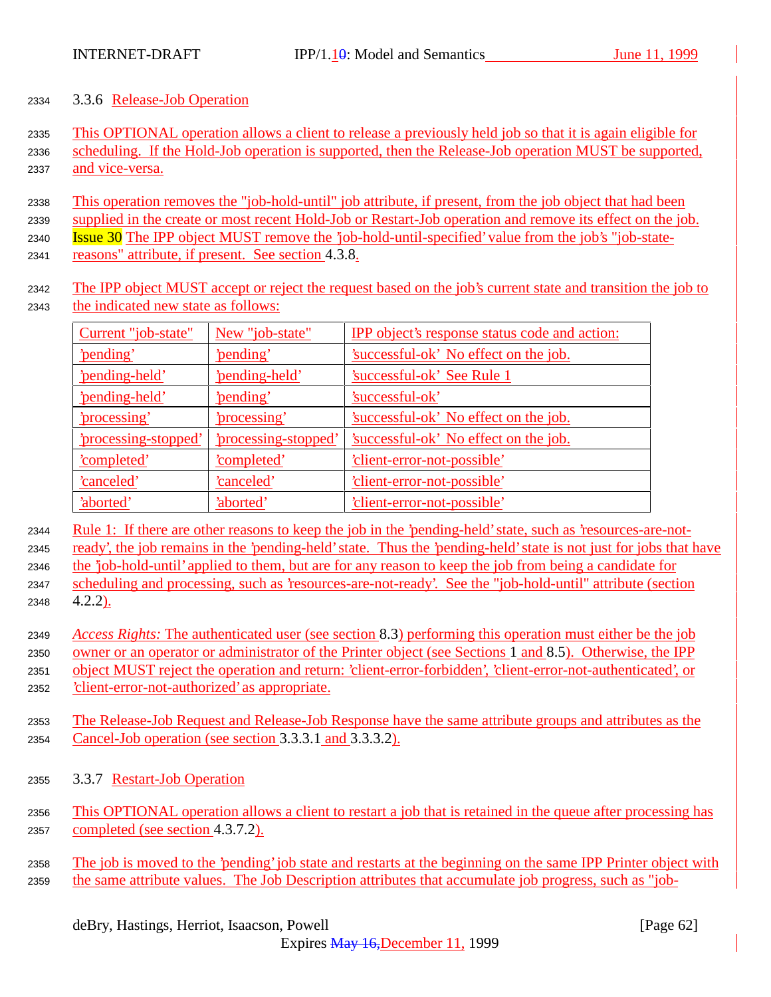## 3.3.6 Release-Job Operation

 This OPTIONAL operation allows a client to release a previously held job so that it is again eligible for scheduling. If the Hold-Job operation is supported, then the Release-Job operation MUST be supported, and vice-versa.

 This operation removes the "job-hold-until" job attribute, if present, from the job object that had been supplied in the create or most recent Hold-Job or Restart-Job operation and remove its effect on the job. Issue 30 The IPP object MUST remove the 'job-hold-until-specified' value from the job's "job-state-

- reasons" attribute, if present. See section 4.3.8.
- The IPP object MUST accept or reject the request based on the job's current state and transition the job to the indicated new state as follows:

| Current "job-state"  | New "job-state"      | <b>IPP</b> object's response status code and action: |
|----------------------|----------------------|------------------------------------------------------|
| 'pending'            | 'pending'            | 'successful-ok' No effect on the job.                |
| 'pending-held'       | 'pending-held'       | <u>'successful-ok' See Rule 1</u>                    |
| 'pending-held'       | 'pending'            | 'successful-ok'                                      |
| 'processing'         | 'processing'         | 'successful-ok' No effect on the job.                |
| 'processing-stopped' | 'processing-stopped' | 'successful-ok' No effect on the job.                |
| 'completed'          | 'completed'          | 'client-error-not-possible'                          |
| canceled'            | <u>'canceled'</u>    | 'client-error-not-possible'                          |
| 'aborted'            | 'aborted'            | 'client-error-not-possible'                          |

 Rule 1: If there are other reasons to keep the job in the 'pending-held' state, such as 'resources-are-not-ready', the job remains in the 'pending-held' state. Thus the 'pending-held' state is not just for jobs that have

the 'job-hold-until' applied to them, but are for any reason to keep the job from being a candidate for

- scheduling and processing, such as 'resources-are-not-ready'. See the "job-hold-until" attribute (section 4.2.2).
- *Access Rights:* The authenticated user (see section 8.3) performing this operation must either be the job owner or an operator or administrator of the Printer object (see Sections 1 and 8.5). Otherwise, the IPP object MUST reject the operation and return: 'client-error-forbidden', 'client-error-not-authenticated', or 'client-error-not-authorized' as appropriate.
- The Release-Job Request and Release-Job Response have the same attribute groups and attributes as the Cancel-Job operation (see section 3.3.3.1 and 3.3.3.2).
- 3.3.7 Restart-Job Operation
- This OPTIONAL operation allows a client to restart a job that is retained in the queue after processing has completed (see section 4.3.7.2).
- The job is moved to the 'pending' job state and restarts at the beginning on the same IPP Printer object with 2359 the same attribute values. The Job Description attributes that accumulate job progress, such as "job-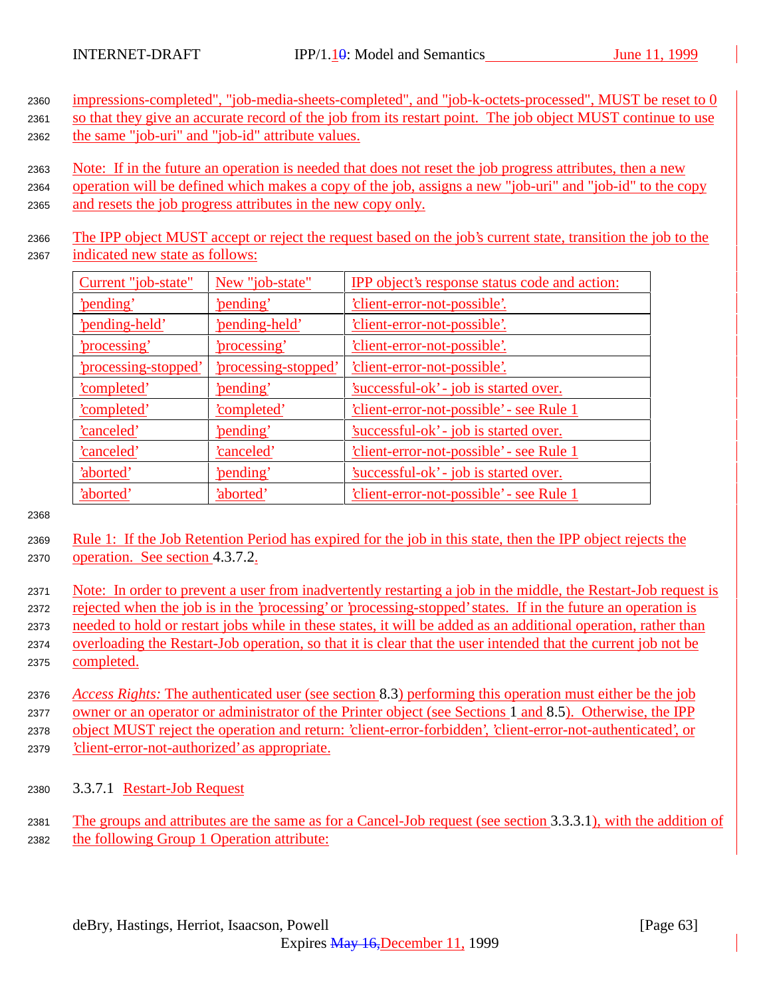<sup>2360</sup> impressions-completed", "job-media-sheets-completed", and "job-k-octets-processed", MUST be reset to 0 2361 so that they give an accurate record of the job from its restart point. The job object MUST continue to use

- <sup>2362</sup> the same "job-uri" and "job-id" attribute values.
- <sup>2363</sup> Note: If in the future an operation is needed that does not reset the job progress attributes, then a new
- <sup>2364</sup> operation will be defined which makes a copy of the job, assigns a new "job-uri" and "job-id" to the copy <sup>2365</sup> and resets the job progress attributes in the new copy only.
- <sup>2366</sup> The IPP object MUST accept or reject the request based on the job's current state, transition the job to the <sup>2367</sup> indicated new state as follows:

| Current "job-state"  | New "job-state"      | IPP object's response status code and action:   |
|----------------------|----------------------|-------------------------------------------------|
| 'pending'            | 'pending'            | <u>'client-error-not-possible'.</u>             |
| 'pending-held'       | 'pending-held'       | <u>'client-error-not-possible'.</u>             |
| 'processing'         | 'processing'         | 'client-error-not-possible'.                    |
| 'processing-stopped' | 'processing-stopped' | <u>'client-error-not-possible'.</u>             |
| <u>'completed'</u>   | 'pending'            | 'successful-ok' - job is started over.          |
| <u>'completed'</u>   | <u>'completed'</u>   | <u>'client-error-not-possible' - see Rule 1</u> |
| <u>'canceled'</u>    | 'pending'            | 'successful-ok' - job is started over.          |
| 'canceled'           | 'canceled'           | 'client-error-not-possible' - see Rule 1        |
| 'aborted'            | 'pending'            | 'successful-ok' - job is started over.          |
| 'aborted'            | 'aborted'            | 'client-error-not-possible' - see Rule 1        |

2368

- <sup>2369</sup> Rule 1: If the Job Retention Period has expired for the job in this state, then the IPP object rejects the <sup>2370</sup> operation. See section 4.3.7.2.
- <sup>2371</sup> Note: In order to prevent a user from inadvertently restarting a job in the middle, the Restart-Job request is <sup>2372</sup> rejected when the job is in the 'processing' or 'processing-stopped' states. If in the future an operation is <sup>2373</sup> needed to hold or restart jobs while in these states, it will be added as an additional operation, rather than <sup>2374</sup> overloading the Restart-Job operation, so that it is clear that the user intended that the current job not be <sup>2375</sup> completed.
- <sup>2376</sup> *Access Rights:* The authenticated user (see section 8.3) performing this operation must either be the job <sup>2377</sup> owner or an operator or administrator of the Printer object (see Sections 1 and 8.5). Otherwise, the IPP <sup>2378</sup> object MUST reject the operation and return: 'client-error-forbidden', 'client-error-not-authenticated', or <sup>2379</sup> 'client-error-not-authorized' as appropriate.
- <sup>2380</sup> 3.3.7.1 Restart-Job Request
- <sup>2381</sup> The groups and attributes are the same as for a Cancel-Job request (see section 3.3.3.1), with the addition of <sup>2382</sup> the following Group 1 Operation attribute: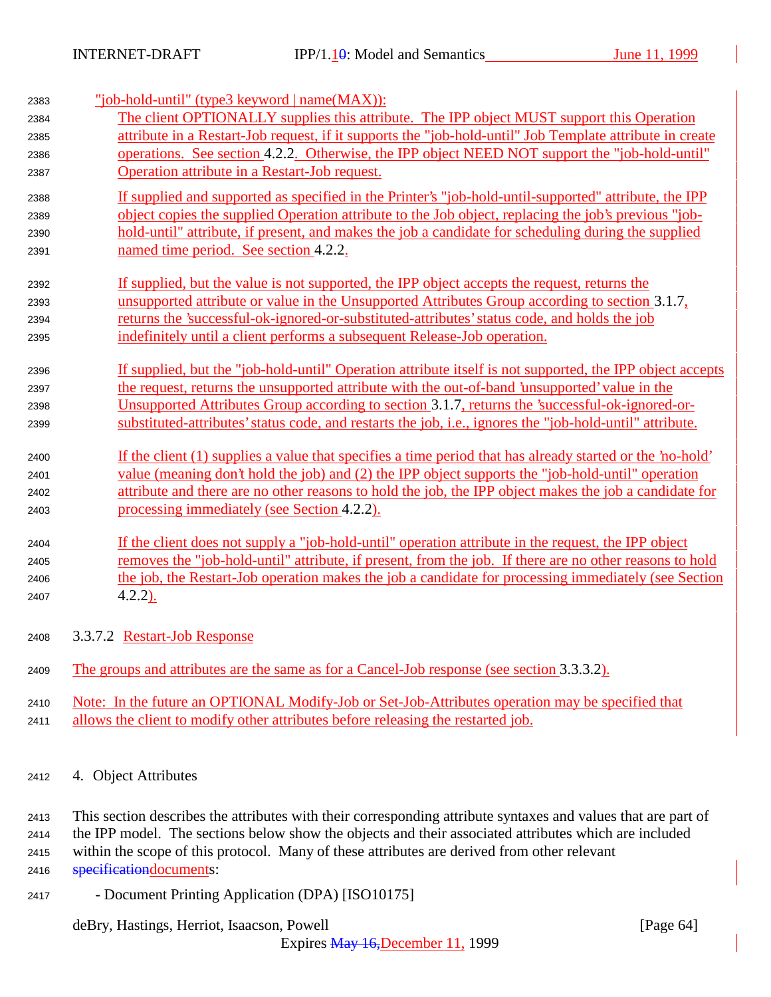| 2383 | "job-hold-until" (type3 keyword   name(MAX)):                                                             |
|------|-----------------------------------------------------------------------------------------------------------|
| 2384 | The client OPTIONALLY supplies this attribute. The IPP object MUST support this Operation                 |
| 2385 | attribute in a Restart-Job request, if it supports the "job-hold-until" Job Template attribute in create  |
| 2386 | operations. See section 4.2.2. Otherwise, the IPP object NEED NOT support the "job-hold-until"            |
| 2387 | Operation attribute in a Restart-Job request.                                                             |
| 2388 | If supplied and supported as specified in the Printer's "job-hold-until-supported" attribute, the IPP     |
| 2389 | object copies the supplied Operation attribute to the Job object, replacing the job's previous "job-      |
| 2390 | hold-until" attribute, if present, and makes the job a candidate for scheduling during the supplied       |
| 2391 | named time period. See section 4.2.2.                                                                     |
| 2392 | If supplied, but the value is not supported, the IPP object accepts the request, returns the              |
| 2393 | unsupported attribute or value in the Unsupported Attributes Group according to section 3.1.7,            |
| 2394 | returns the 'successful-ok-ignored-or-substituted-attributes' status code, and holds the job              |
| 2395 | indefinitely until a client performs a subsequent Release-Job operation.                                  |
| 2396 | If supplied, but the "job-hold-until" Operation attribute itself is not supported, the IPP object accepts |
| 2397 | the request, returns the unsupported attribute with the out-of-band 'unsupported' value in the            |
| 2398 | Unsupported Attributes Group according to section 3.1.7, returns the 'successful-ok-ignored-or-           |
| 2399 | substituted-attributes' status code, and restarts the job, i.e., ignores the "job-hold-until" attribute.  |
| 2400 | If the client (1) supplies a value that specifies a time period that has already started or the 'no-hold' |
| 2401 | value (meaning don't hold the job) and (2) the IPP object supports the "job-hold-until" operation         |
| 2402 | attribute and there are no other reasons to hold the job, the IPP object makes the job a candidate for    |
| 2403 | processing immediately (see Section 4.2.2).                                                               |
| 2404 | If the client does not supply a "job-hold-until" operation attribute in the request, the IPP object       |
| 2405 | removes the "job-hold-until" attribute, if present, from the job. If there are no other reasons to hold   |
| 2406 | the job, the Restart-Job operation makes the job a candidate for processing immediately (see Section      |
| 2407 | $4.2.2)$ .                                                                                                |
| 2408 | 3.3.7.2 Restart-Job Response                                                                              |
| 2409 | The groups and attributes are the same as for a Cancel-Job response (see section 3.3.3.2).                |
| 2410 | Note: In the future an OPTIONAL Modify-Job or Set-Job-Attributes operation may be specified that          |
| 2411 | allows the client to modify other attributes before releasing the restarted job.                          |

<sup>2412</sup> 4. Object Attributes

 This section describes the attributes with their corresponding attribute syntaxes and values that are part of the IPP model. The sections below show the objects and their associated attributes which are included within the scope of this protocol. Many of these attributes are derived from other relevant **specificationdocuments:** 

<sup>2417</sup> - Document Printing Application (DPA) [ISO10175]

deBry, Hastings, Herriot, Isaacson, Powell [Page 64]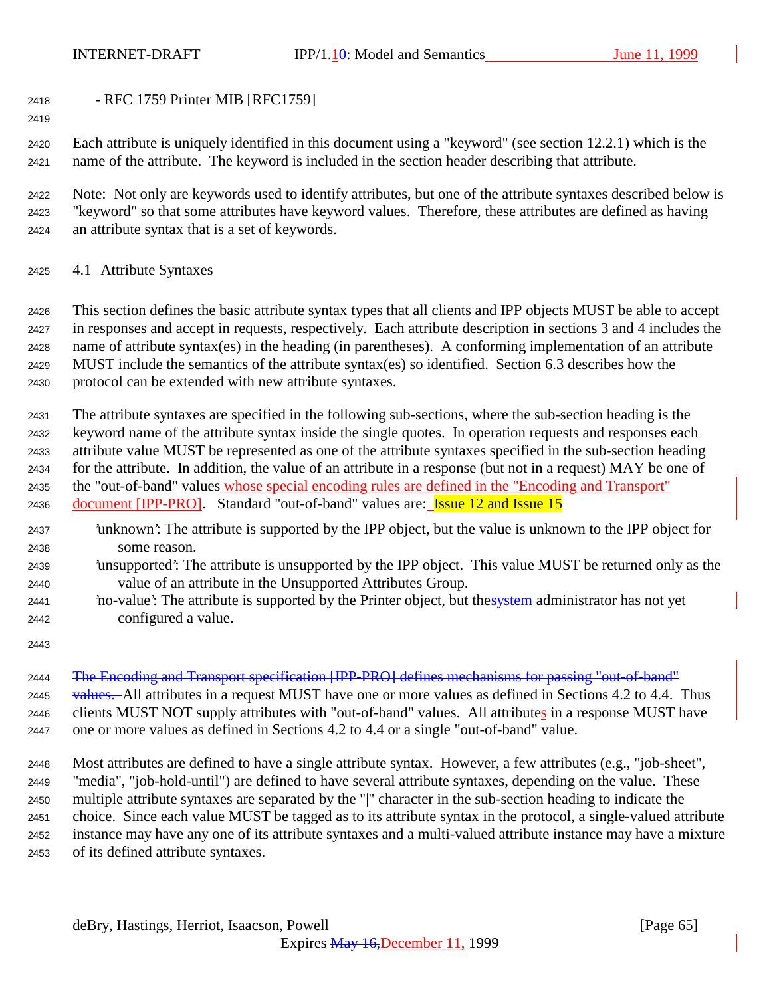- RFC 1759 Printer MIB [RFC1759]

 Each attribute is uniquely identified in this document using a "keyword" (see section 12.2.1) which is the name of the attribute. The keyword is included in the section header describing that attribute.

 Note: Not only are keywords used to identify attributes, but one of the attribute syntaxes described below is "keyword" so that some attributes have keyword values. Therefore, these attributes are defined as having an attribute syntax that is a set of keywords.

4.1 Attribute Syntaxes

 This section defines the basic attribute syntax types that all clients and IPP objects MUST be able to accept in responses and accept in requests, respectively. Each attribute description in sections 3 and 4 includes the name of attribute syntax(es) in the heading (in parentheses). A conforming implementation of an attribute MUST include the semantics of the attribute syntax(es) so identified. Section 6.3 describes how the protocol can be extended with new attribute syntaxes.

 The attribute syntaxes are specified in the following sub-sections, where the sub-section heading is the keyword name of the attribute syntax inside the single quotes. In operation requests and responses each attribute value MUST be represented as one of the attribute syntaxes specified in the sub-section heading for the attribute. In addition, the value of an attribute in a response (but not in a request) MAY be one of the "out-of-band" values whose special encoding rules are defined in the "Encoding and Transport" 2436 document [IPP-PRO]. Standard "out-of-band" values are: **Issue 12 and Issue 15** 

- 'unknown': The attribute is supported by the IPP object, but the value is unknown to the IPP object for some reason.
- 'unsupported': The attribute is unsupported by the IPP object. This value MUST be returned only as the value of an attribute in the Unsupported Attributes Group.
- 2441 'no-value': The attribute is supported by the Printer object, but the system administrator has not yet configured a value.
- 

 The Encoding and Transport specification [IPP-PRO] defines mechanisms for passing "out-of-band" 2445 values. All attributes in a request MUST have one or more values as defined in Sections 4.2 to 4.4. Thus 2446 clients MUST NOT supply attributes with "out-of-band" values. All attributes in a response MUST have one or more values as defined in Sections 4.2 to 4.4 or a single "out-of-band" value.

 Most attributes are defined to have a single attribute syntax. However, a few attributes (e.g., "job-sheet", "media", "job-hold-until") are defined to have several attribute syntaxes, depending on the value. These multiple attribute syntaxes are separated by the "|" character in the sub-section heading to indicate the choice. Since each value MUST be tagged as to its attribute syntax in the protocol, a single-valued attribute instance may have any one of its attribute syntaxes and a multi-valued attribute instance may have a mixture of its defined attribute syntaxes.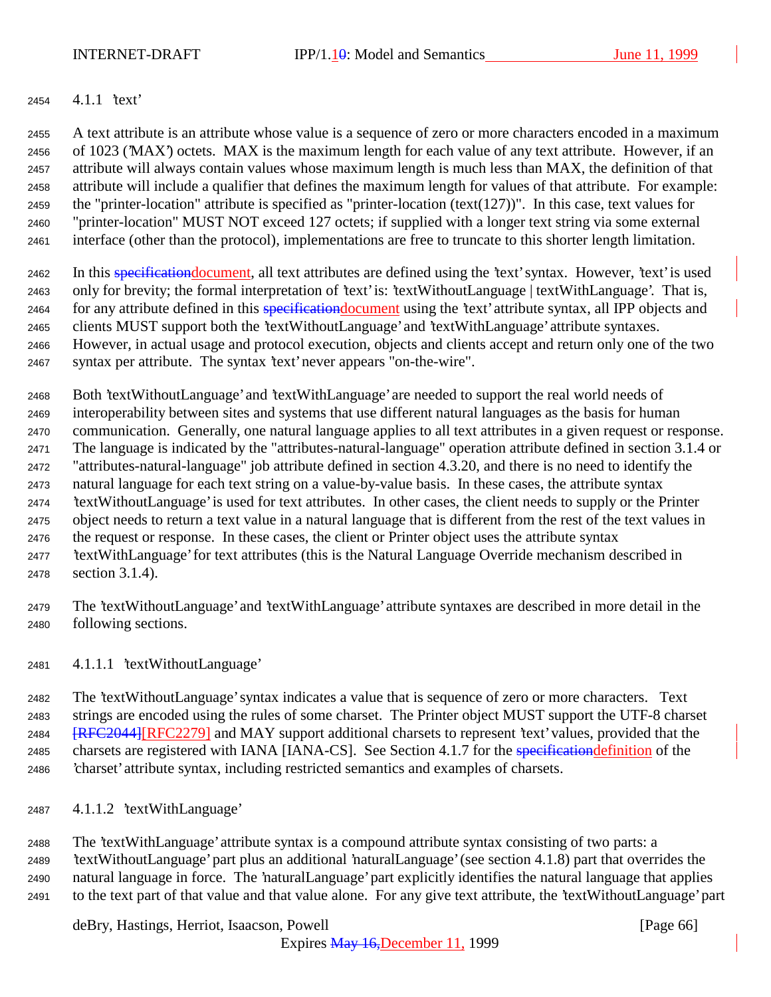### 4.1.1 'text'

 A text attribute is an attribute whose value is a sequence of zero or more characters encoded in a maximum of 1023 ('MAX') octets. MAX is the maximum length for each value of any text attribute. However, if an attribute will always contain values whose maximum length is much less than MAX, the definition of that attribute will include a qualifier that defines the maximum length for values of that attribute. For example: 2459 the "printer-location" attribute is specified as "printer-location (text(127))". In this case, text values for "printer-location" MUST NOT exceed 127 octets; if supplied with a longer text string via some external interface (other than the protocol), implementations are free to truncate to this shorter length limitation.

2462 In this specification document, all text attributes are defined using the 'text' syntax. However, 'text' is used only for brevity; the formal interpretation of 'text' is: 'textWithoutLanguage | textWithLanguage'. That is, 2464 for any attribute defined in this specification document using the 'text' attribute syntax, all IPP objects and clients MUST support both the 'textWithoutLanguage' and 'textWithLanguage' attribute syntaxes. However, in actual usage and protocol execution, objects and clients accept and return only one of the two syntax per attribute. The syntax 'text' never appears "on-the-wire".

 Both 'textWithoutLanguage' and 'textWithLanguage' are needed to support the real world needs of interoperability between sites and systems that use different natural languages as the basis for human communication. Generally, one natural language applies to all text attributes in a given request or response. The language is indicated by the "attributes-natural-language" operation attribute defined in section 3.1.4 or "attributes-natural-language" job attribute defined in section 4.3.20, and there is no need to identify the natural language for each text string on a value-by-value basis. In these cases, the attribute syntax 'textWithoutLanguage' is used for text attributes. In other cases, the client needs to supply or the Printer object needs to return a text value in a natural language that is different from the rest of the text values in the request or response. In these cases, the client or Printer object uses the attribute syntax 'textWithLanguage' for text attributes (this is the Natural Language Override mechanism described in section 3.1.4).

 The 'textWithoutLanguage' and 'textWithLanguage' attribute syntaxes are described in more detail in the following sections.

4.1.1.1 'textWithoutLanguage'

 The 'textWithoutLanguage' syntax indicates a value that is sequence of zero or more characters. Text strings are encoded using the rules of some charset. The Printer object MUST support the UTF-8 charset **[RFC2044]**[RFC2279] and MAY support additional charsets to represent 'text' values, provided that the 2485 charsets are registered with IANA [IANA-CS]. See Section 4.1.7 for the specification definition of the 'charset' attribute syntax, including restricted semantics and examples of charsets.

4.1.1.2 'textWithLanguage'

 The 'textWithLanguage' attribute syntax is a compound attribute syntax consisting of two parts: a 'textWithoutLanguage' part plus an additional 'naturalLanguage' (see section 4.1.8) part that overrides the natural language in force. The 'naturalLanguage' part explicitly identifies the natural language that applies to the text part of that value and that value alone. For any give text attribute, the 'textWithoutLanguage' part

deBry, Hastings, Herriot, Isaacson, Powell **Example 20** (Page 66)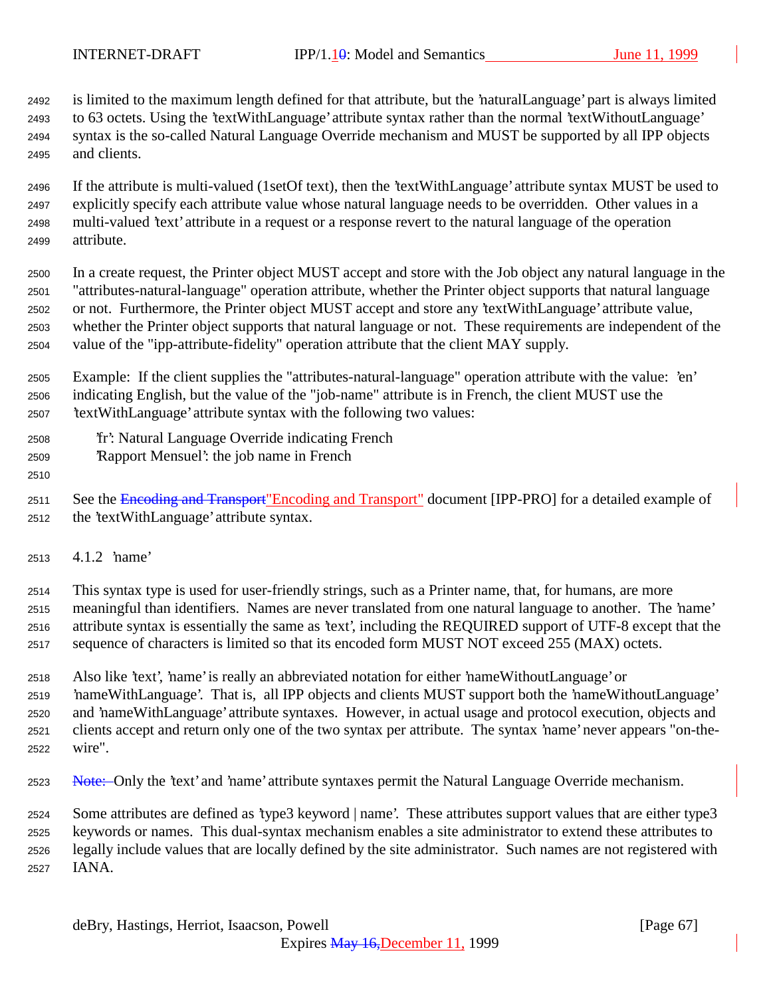is limited to the maximum length defined for that attribute, but the 'naturalLanguage' part is always limited to 63 octets. Using the 'textWithLanguage' attribute syntax rather than the normal 'textWithoutLanguage' syntax is the so-called Natural Language Override mechanism and MUST be supported by all IPP objects and clients.

 If the attribute is multi-valued (1setOf text), then the 'textWithLanguage' attribute syntax MUST be used to explicitly specify each attribute value whose natural language needs to be overridden. Other values in a multi-valued 'text' attribute in a request or a response revert to the natural language of the operation attribute.

 In a create request, the Printer object MUST accept and store with the Job object any natural language in the "attributes-natural-language" operation attribute, whether the Printer object supports that natural language or not. Furthermore, the Printer object MUST accept and store any 'textWithLanguage' attribute value, whether the Printer object supports that natural language or not. These requirements are independent of the value of the "ipp-attribute-fidelity" operation attribute that the client MAY supply.

 Example: If the client supplies the "attributes-natural-language" operation attribute with the value: 'en' indicating English, but the value of the "job-name" attribute is in French, the client MUST use the 'textWithLanguage' attribute syntax with the following two values:

- 'fr': Natural Language Override indicating French
- 'Rapport Mensuel': the job name in French

2511 See the Encoding and Transport"Encoding and Transport" document [IPP-PRO] for a detailed example of the 'textWithLanguage' attribute syntax.

4.1.2 'name'

 This syntax type is used for user-friendly strings, such as a Printer name, that, for humans, are more meaningful than identifiers. Names are never translated from one natural language to another. The 'name' attribute syntax is essentially the same as 'text', including the REQUIRED support of UTF-8 except that the sequence of characters is limited so that its encoded form MUST NOT exceed 255 (MAX) octets.

 Also like 'text', 'name' is really an abbreviated notation for either 'nameWithoutLanguage' or 'nameWithLanguage'. That is, all IPP objects and clients MUST support both the 'nameWithoutLanguage' and 'nameWithLanguage' attribute syntaxes. However, in actual usage and protocol execution, objects and clients accept and return only one of the two syntax per attribute. The syntax 'name' never appears "on-the-wire".

2523 Note: Only the 'text' and 'name' attribute syntaxes permit the Natural Language Override mechanism.

 Some attributes are defined as 'type3 keyword | name'. These attributes support values that are either type3 keywords or names. This dual-syntax mechanism enables a site administrator to extend these attributes to legally include values that are locally defined by the site administrator. Such names are not registered with IANA.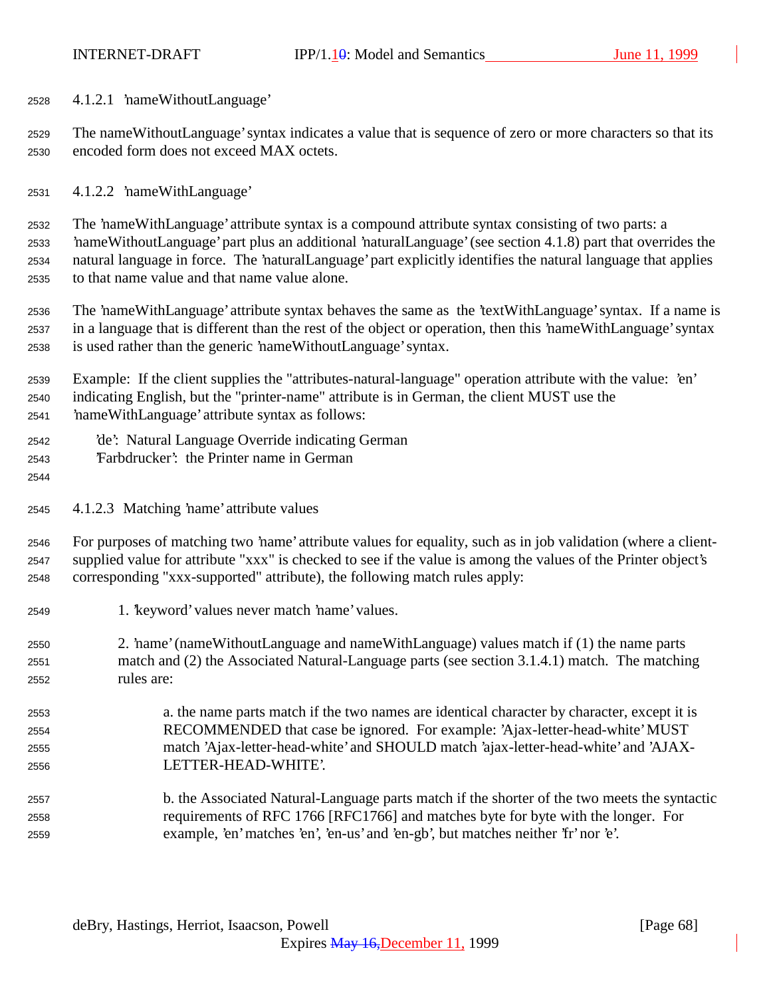4.1.2.1 'nameWithoutLanguage'

 The nameWithoutLanguage' syntax indicates a value that is sequence of zero or more characters so that its encoded form does not exceed MAX octets.

4.1.2.2 'nameWithLanguage'

 The 'nameWithLanguage' attribute syntax is a compound attribute syntax consisting of two parts: a 'nameWithoutLanguage' part plus an additional 'naturalLanguage' (see section 4.1.8) part that overrides the natural language in force. The 'naturalLanguage' part explicitly identifies the natural language that applies to that name value and that name value alone.

 The 'nameWithLanguage' attribute syntax behaves the same as the 'textWithLanguage' syntax. If a name is in a language that is different than the rest of the object or operation, then this 'nameWithLanguage' syntax is used rather than the generic 'nameWithoutLanguage' syntax.

 Example: If the client supplies the "attributes-natural-language" operation attribute with the value: 'en' indicating English, but the "printer-name" attribute is in German, the client MUST use the 'nameWithLanguage' attribute syntax as follows:

- 'de': Natural Language Override indicating German
- 'Farbdrucker': the Printer name in German
- 

4.1.2.3 Matching 'name' attribute values

 For purposes of matching two 'name' attribute values for equality, such as in job validation (where a client- supplied value for attribute "xxx" is checked to see if the value is among the values of the Printer object's corresponding "xxx-supported" attribute), the following match rules apply:

- 1. 'keyword' values never match 'name' values.
- 2. 'name' (nameWithoutLanguage and nameWithLanguage) values match if (1) the name parts match and (2) the Associated Natural-Language parts (see section 3.1.4.1) match. The matching rules are:
- a. the name parts match if the two names are identical character by character, except it is RECOMMENDED that case be ignored. For example: 'Ajax-letter-head-white' MUST match 'Ajax-letter-head-white' and SHOULD match 'ajax-letter-head-white' and 'AJAX-LETTER-HEAD-WHITE'.
- b. the Associated Natural-Language parts match if the shorter of the two meets the syntactic requirements of RFC 1766 [RFC1766] and matches byte for byte with the longer. For example, 'en' matches 'en', 'en-us' and 'en-gb', but matches neither 'fr' nor 'e'.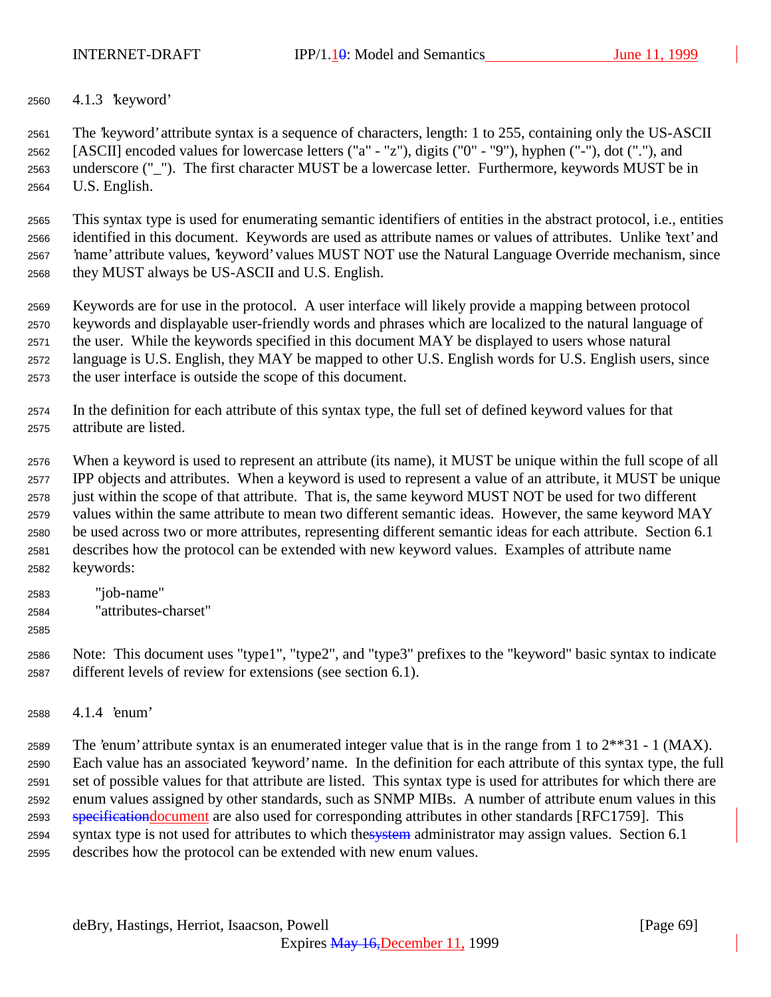INTERNET-DRAFT IPP/1.10: Model and Semantics June 11, 1999

4.1.3 'keyword'

 The 'keyword' attribute syntax is a sequence of characters, length: 1 to 255, containing only the US-ASCII [ASCII] encoded values for lowercase letters ("a" - "z"), digits ("0" - "9"), hyphen ("-"), dot ("."), and underscore ("\_"). The first character MUST be a lowercase letter. Furthermore, keywords MUST be in U.S. English.

 This syntax type is used for enumerating semantic identifiers of entities in the abstract protocol, i.e., entities identified in this document. Keywords are used as attribute names or values of attributes. Unlike 'text' and 'name' attribute values, 'keyword' values MUST NOT use the Natural Language Override mechanism, since they MUST always be US-ASCII and U.S. English.

 Keywords are for use in the protocol. A user interface will likely provide a mapping between protocol keywords and displayable user-friendly words and phrases which are localized to the natural language of the user. While the keywords specified in this document MAY be displayed to users whose natural language is U.S. English, they MAY be mapped to other U.S. English words for U.S. English users, since the user interface is outside the scope of this document.

 In the definition for each attribute of this syntax type, the full set of defined keyword values for that attribute are listed.

 When a keyword is used to represent an attribute (its name), it MUST be unique within the full scope of all IPP objects and attributes. When a keyword is used to represent a value of an attribute, it MUST be unique just within the scope of that attribute. That is, the same keyword MUST NOT be used for two different values within the same attribute to mean two different semantic ideas. However, the same keyword MAY be used across two or more attributes, representing different semantic ideas for each attribute. Section 6.1 describes how the protocol can be extended with new keyword values. Examples of attribute name keywords:

- "job-name"
- "attributes-charset"

 Note: This document uses "type1", "type2", and "type3" prefixes to the "keyword" basic syntax to indicate different levels of review for extensions (see section 6.1).

4.1.4 'enum'

2589 The 'enum' attribute syntax is an enumerated integer value that is in the range from 1 to  $2^{**}31 - 1$  (MAX). Each value has an associated 'keyword' name. In the definition for each attribute of this syntax type, the full set of possible values for that attribute are listed. This syntax type is used for attributes for which there are enum values assigned by other standards, such as SNMP MIBs. A number of attribute enum values in this 2593 specificationdocument are also used for corresponding attributes in other standards [RFC1759]. This 2594 syntax type is not used for attributes to which thesystem administrator may assign values. Section 6.1 describes how the protocol can be extended with new enum values.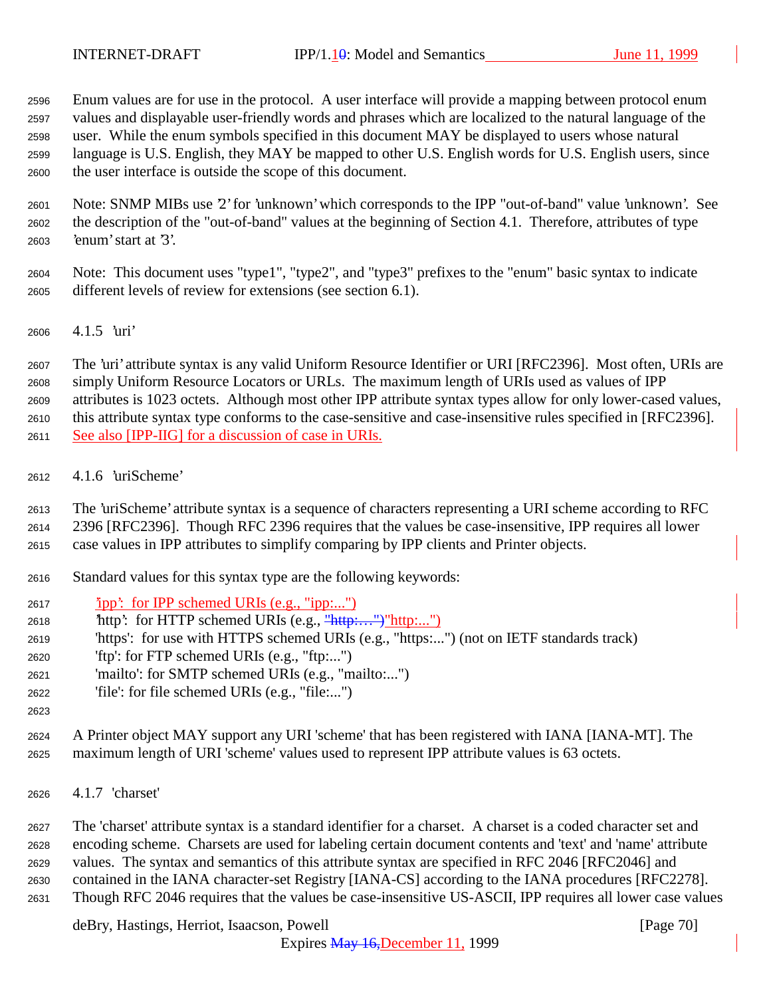Enum values are for use in the protocol. A user interface will provide a mapping between protocol enum values and displayable user-friendly words and phrases which are localized to the natural language of the user. While the enum symbols specified in this document MAY be displayed to users whose natural language is U.S. English, they MAY be mapped to other U.S. English words for U.S. English users, since the user interface is outside the scope of this document.

 Note: SNMP MIBs use '2' for 'unknown' which corresponds to the IPP "out-of-band" value 'unknown'. See the description of the "out-of-band" values at the beginning of Section 4.1. Therefore, attributes of type 'enum' start at '3'.

 Note: This document uses "type1", "type2", and "type3" prefixes to the "enum" basic syntax to indicate different levels of review for extensions (see section 6.1).

4.1.5 'uri'

 The 'uri' attribute syntax is any valid Uniform Resource Identifier or URI [RFC2396]. Most often, URIs are simply Uniform Resource Locators or URLs. The maximum length of URIs used as values of IPP attributes is 1023 octets. Although most other IPP attribute syntax types allow for only lower-cased values, this attribute syntax type conforms to the case-sensitive and case-insensitive rules specified in [RFC2396]. See also [IPP-IIG] for a discussion of case in URIs.

4.1.6 'uriScheme'

The 'uriScheme' attribute syntax is a sequence of characters representing a URI scheme according to RFC

2396 [RFC2396]. Though RFC 2396 requires that the values be case-insensitive, IPP requires all lower

case values in IPP attributes to simplify comparing by IPP clients and Printer objects.

- Standard values for this syntax type are the following keywords:
- 'ipp': for IPP schemed URIs (e.g., "ipp:...")
- 'http': for HTTP schemed URIs (e.g., "http:…")"http:...")
- 'https': for use with HTTPS schemed URIs (e.g., "https:...") (not on IETF standards track)
- 'ftp': for FTP schemed URIs (e.g., "ftp:...")
- 'mailto': for SMTP schemed URIs (e.g., "mailto:...")
- 'file': for file schemed URIs (e.g., "file:...")
- 

 A Printer object MAY support any URI 'scheme' that has been registered with IANA [IANA-MT]. The maximum length of URI 'scheme' values used to represent IPP attribute values is 63 octets.

4.1.7 'charset'

 The 'charset' attribute syntax is a standard identifier for a charset. A charset is a coded character set and encoding scheme. Charsets are used for labeling certain document contents and 'text' and 'name' attribute values. The syntax and semantics of this attribute syntax are specified in RFC 2046 [RFC2046] and contained in the IANA character-set Registry [IANA-CS] according to the IANA procedures [RFC2278]. Though RFC 2046 requires that the values be case-insensitive US-ASCII, IPP requires all lower case values

deBry, Hastings, Herriot, Isaacson, Powell [Page 70]

Expires May 16,December 11, 1999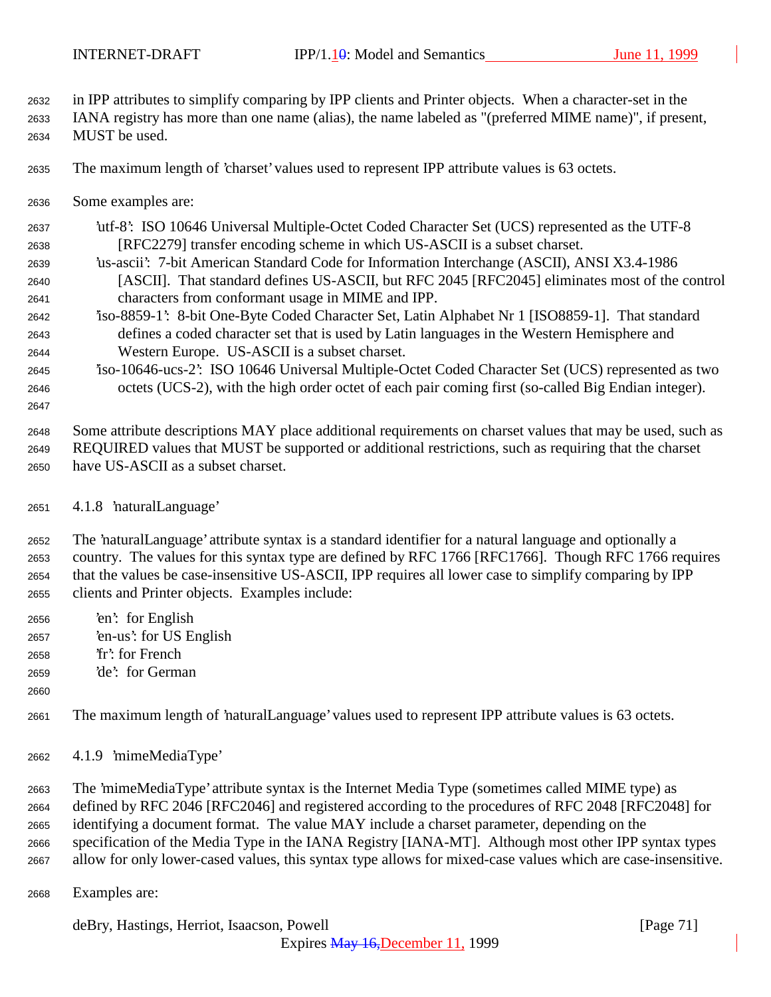in IPP attributes to simplify comparing by IPP clients and Printer objects. When a character-set in the

 IANA registry has more than one name (alias), the name labeled as "(preferred MIME name)", if present, MUST be used.

The maximum length of 'charset' values used to represent IPP attribute values is 63 octets.

Some examples are:

 'utf-8': ISO 10646 Universal Multiple-Octet Coded Character Set (UCS) represented as the UTF-8 [RFC2279] transfer encoding scheme in which US-ASCII is a subset charset.

- 'us-ascii': 7-bit American Standard Code for Information Interchange (ASCII), ANSI X3.4-1986 [ASCII]. That standard defines US-ASCII, but RFC 2045 [RFC2045] eliminates most of the control characters from conformant usage in MIME and IPP.
- 'iso-8859-1': 8-bit One-Byte Coded Character Set, Latin Alphabet Nr 1 [ISO8859-1]. That standard defines a coded character set that is used by Latin languages in the Western Hemisphere and Western Europe. US-ASCII is a subset charset.
- 'iso-10646-ucs-2': ISO 10646 Universal Multiple-Octet Coded Character Set (UCS) represented as two octets (UCS-2), with the high order octet of each pair coming first (so-called Big Endian integer).

 Some attribute descriptions MAY place additional requirements on charset values that may be used, such as REQUIRED values that MUST be supported or additional restrictions, such as requiring that the charset have US-ASCII as a subset charset.

4.1.8 'naturalLanguage'

 The 'naturalLanguage' attribute syntax is a standard identifier for a natural language and optionally a country. The values for this syntax type are defined by RFC 1766 [RFC1766]. Though RFC 1766 requires that the values be case-insensitive US-ASCII, IPP requires all lower case to simplify comparing by IPP clients and Printer objects. Examples include:

- 'en': for English 'en-us': for US English
- 'fr': for French
- 'de': for German
- 

The maximum length of 'naturalLanguage' values used to represent IPP attribute values is 63 octets.

4.1.9 'mimeMediaType'

 The 'mimeMediaType' attribute syntax is the Internet Media Type (sometimes called MIME type) as defined by RFC 2046 [RFC2046] and registered according to the procedures of RFC 2048 [RFC2048] for identifying a document format. The value MAY include a charset parameter, depending on the specification of the Media Type in the IANA Registry [IANA-MT]. Although most other IPP syntax types allow for only lower-cased values, this syntax type allows for mixed-case values which are case-insensitive.

Examples are:

deBry, Hastings, Herriot, Isaacson, Powell [Page 71]

Expires May 16,December 11, 1999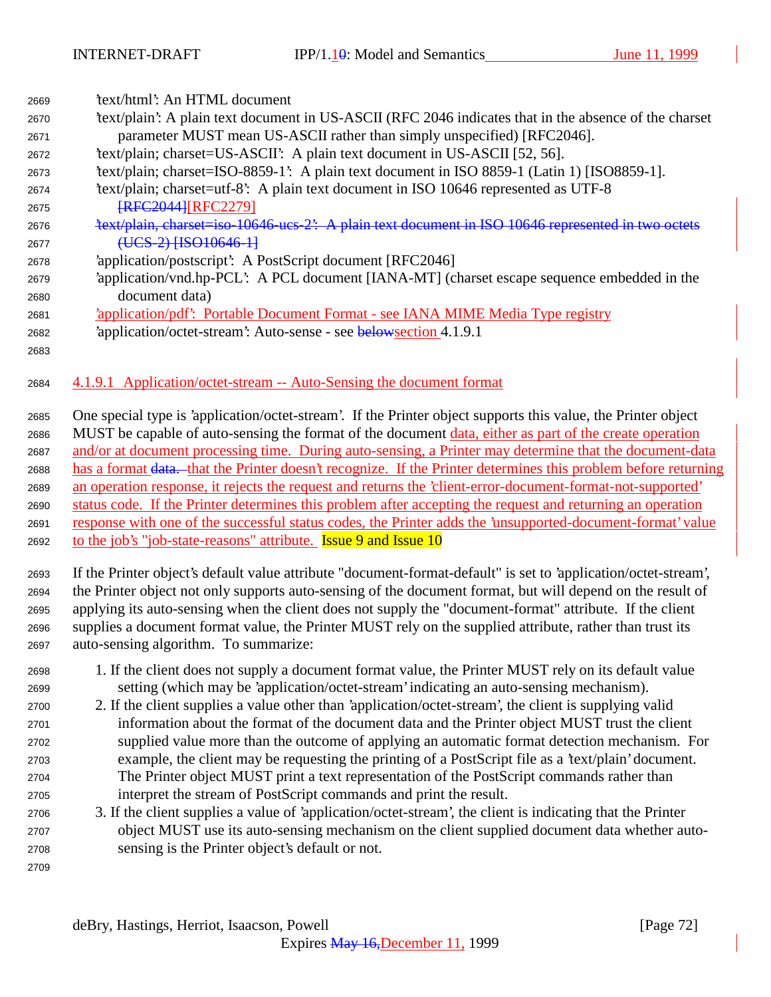| 2669 | 'text/html': An HTML document                                                                         |
|------|-------------------------------------------------------------------------------------------------------|
| 2670 | text/plain': A plain text document in US-ASCII (RFC 2046 indicates that in the absence of the charset |
| 2671 | parameter MUST mean US-ASCII rather than simply unspecified) [RFC2046].                               |
| 2672 | 'text/plain; charset=US-ASCII': A plain text document in US-ASCII [52, 56].                           |
| 2673 | 'text/plain; charset=ISO-8859-1': A plain text document in ISO 8859-1 (Latin 1) [ISO8859-1].          |
| 2674 | text/plain; charset=utf-8: A plain text document in ISO 10646 represented as UTF-8                    |
| 2675 | <b>FRFC2044 FRFC22791</b>                                                                             |
| 2676 | 'text/plain, charset=iso-10646-ucs-2': A plain text document in ISO 10646 represented in two octets   |
| 2677 | (UCS-2) [ISO10646-1]                                                                                  |
| 2678 | 'application/postscript': A PostScript document [RFC2046]                                             |
| 2679 | 'application/vnd.hp-PCL': A PCL document [IANA-MT] (charset escape sequence embedded in the           |
| 2680 | document data)                                                                                        |
| 2681 | <i><u><b>'application/pdf':</b></u></i> Portable Document Format - see IANA MIME Media Type registry  |
| 2682 | 'application/octet-stream': Auto-sense - see belows ection 4.1.9.1                                    |
| 2683 |                                                                                                       |
|      |                                                                                                       |
| 2684 | 4.1.9.1 Application/octet-stream -- Auto-Sensing the document format                                  |
|      |                                                                                                       |

 One special type is 'application/octet-stream'. If the Printer object supports this value, the Printer object MUST be capable of auto-sensing the format of the document data, either as part of the create operation and/or at document processing time. During auto-sensing, a Printer may determine that the document-data has a format data. that the Printer doesn't recognize. If the Printer determines this problem before returning an operation response, it rejects the request and returns the 'client-error-document-format-not-supported' status code. If the Printer determines this problem after accepting the request and returning an operation response with one of the successful status codes, the Printer adds the 'unsupported-document-format' value 2692 to the job's "job-state-reasons" attribute. **Issue 9 and Issue 10** 

 If the Printer object's default value attribute "document-format-default" is set to 'application/octet-stream', the Printer object not only supports auto-sensing of the document format, but will depend on the result of applying its auto-sensing when the client does not supply the "document-format" attribute. If the client supplies a document format value, the Printer MUST rely on the supplied attribute, rather than trust its auto-sensing algorithm. To summarize:

- 1. If the client does not supply a document format value, the Printer MUST rely on its default value setting (which may be 'application/octet-stream' indicating an auto-sensing mechanism).
- 2. If the client supplies a value other than 'application/octet-stream', the client is supplying valid information about the format of the document data and the Printer object MUST trust the client supplied value more than the outcome of applying an automatic format detection mechanism. For example, the client may be requesting the printing of a PostScript file as a 'text/plain' document. The Printer object MUST print a text representation of the PostScript commands rather than interpret the stream of PostScript commands and print the result.
- 3. If the client supplies a value of 'application/octet-stream', the client is indicating that the Printer object MUST use its auto-sensing mechanism on the client supplied document data whether auto- sensing is the Printer object's default or not.
	- deBry, Hastings, Herriot, Isaacson, Powell [Page 72] Expires May 16,December 11, 1999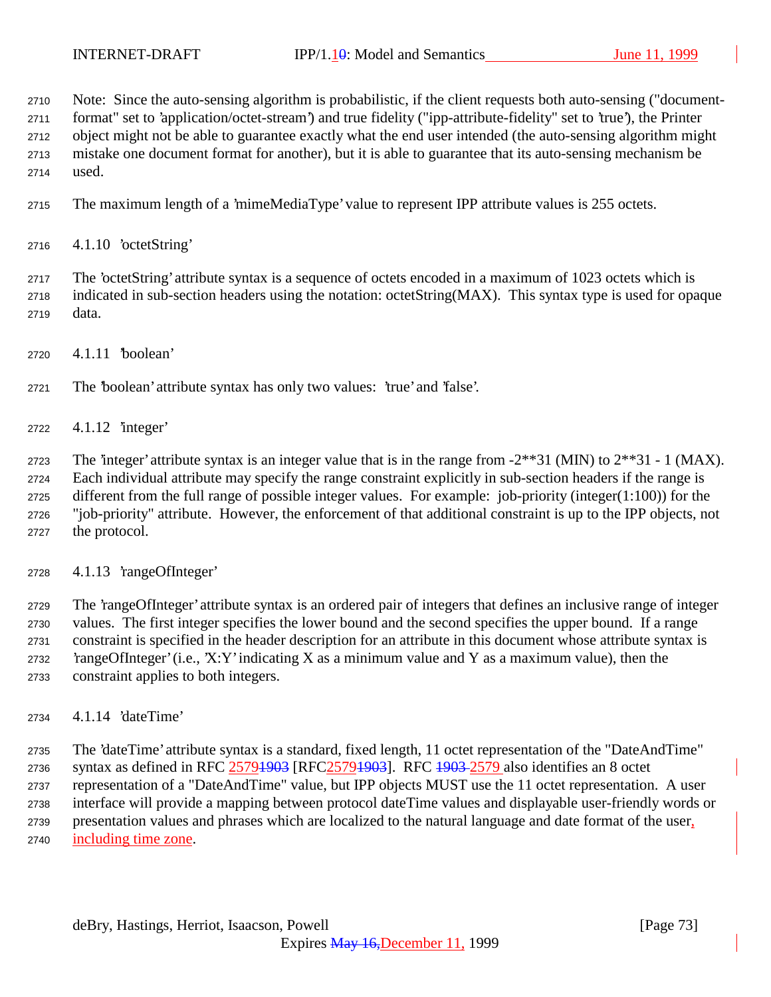Note: Since the auto-sensing algorithm is probabilistic, if the client requests both auto-sensing ("document-

format" set to 'application/octet-stream') and true fidelity ("ipp-attribute-fidelity" set to 'true'), the Printer

object might not be able to guarantee exactly what the end user intended (the auto-sensing algorithm might

 mistake one document format for another), but it is able to guarantee that its auto-sensing mechanism be used.

The maximum length of a 'mimeMediaType' value to represent IPP attribute values is 255 octets.

4.1.10 'octetString'

 The 'octetString' attribute syntax is a sequence of octets encoded in a maximum of 1023 octets which is indicated in sub-section headers using the notation: octetString(MAX). This syntax type is used for opaque data.

4.1.11 'boolean'

The 'boolean' attribute syntax has only two values: 'true' and 'false'.

4.1.12 'integer'

2723 The 'integer' attribute syntax is an integer value that is in the range from  $-2**31$  (MIN) to  $2**31 - 1$  (MAX). Each individual attribute may specify the range constraint explicitly in sub-section headers if the range is different from the full range of possible integer values. For example: job-priority (integer(1:100)) for the "job-priority" attribute. However, the enforcement of that additional constraint is up to the IPP objects, not the protocol.

4.1.13 'rangeOfInteger'

 The 'rangeOfInteger' attribute syntax is an ordered pair of integers that defines an inclusive range of integer values. The first integer specifies the lower bound and the second specifies the upper bound. If a range constraint is specified in the header description for an attribute in this document whose attribute syntax is 2732 'rangeOfInteger' (i.e., 'X:Y' indicating X as a minimum value and Y as a maximum value), then the constraint applies to both integers.

4.1.14 'dateTime'

 The 'dateTime' attribute syntax is a standard, fixed length, 11 octet representation of the "DateAndTime" 2736 syntax as defined in RFC 25791903 [RFC25791903]. RFC 1903-2579 also identifies an 8 octet representation of a "DateAndTime" value, but IPP objects MUST use the 11 octet representation. A user interface will provide a mapping between protocol dateTime values and displayable user-friendly words or presentation values and phrases which are localized to the natural language and date format of the user, including time zone.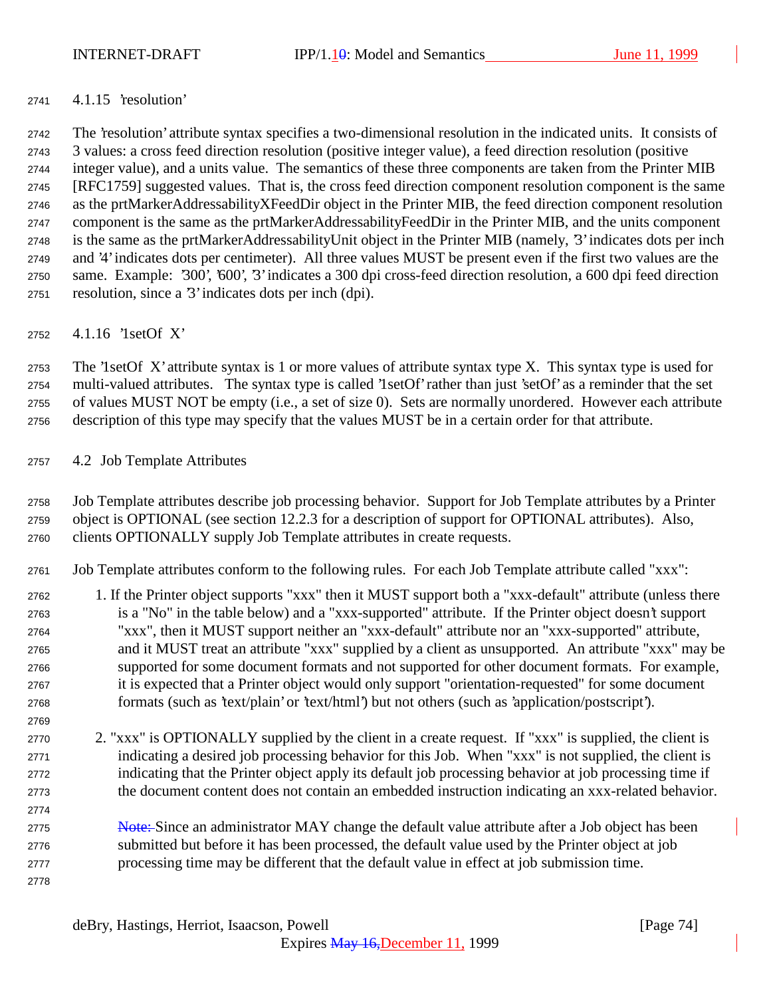## 4.1.15 'resolution'

 The 'resolution' attribute syntax specifies a two-dimensional resolution in the indicated units. It consists of 3 values: a cross feed direction resolution (positive integer value), a feed direction resolution (positive integer value), and a units value. The semantics of these three components are taken from the Printer MIB [RFC1759] suggested values. That is, the cross feed direction component resolution component is the same as the prtMarkerAddressabilityXFeedDir object in the Printer MIB, the feed direction component resolution component is the same as the prtMarkerAddressabilityFeedDir in the Printer MIB, and the units component is the same as the prtMarkerAddressabilityUnit object in the Printer MIB (namely, '3' indicates dots per inch and '4' indicates dots per centimeter). All three values MUST be present even if the first two values are the same. Example: '300', '600', '3' indicates a 300 dpi cross-feed direction resolution, a 600 dpi feed direction resolution, since a '3' indicates dots per inch (dpi).

4.1.16 '1setOf X'

 The '1setOf X' attribute syntax is 1 or more values of attribute syntax type X. This syntax type is used for multi-valued attributes. The syntax type is called '1setOf' rather than just 'setOf' as a reminder that the set of values MUST NOT be empty (i.e., a set of size 0). Sets are normally unordered. However each attribute description of this type may specify that the values MUST be in a certain order for that attribute.

## 4.2 Job Template Attributes

 Job Template attributes describe job processing behavior. Support for Job Template attributes by a Printer object is OPTIONAL (see section 12.2.3 for a description of support for OPTIONAL attributes). Also, clients OPTIONALLY supply Job Template attributes in create requests.

Job Template attributes conform to the following rules. For each Job Template attribute called "xxx":

- 1. If the Printer object supports "xxx" then it MUST support both a "xxx-default" attribute (unless there is a "No" in the table below) and a "xxx-supported" attribute. If the Printer object doesn't support "xxx", then it MUST support neither an "xxx-default" attribute nor an "xxx-supported" attribute, and it MUST treat an attribute "xxx" supplied by a client as unsupported. An attribute "xxx" may be supported for some document formats and not supported for other document formats. For example, it is expected that a Printer object would only support "orientation-requested" for some document formats (such as 'text/plain' or 'text/html') but not others (such as 'application/postscript').
- 2. "xxx" is OPTIONALLY supplied by the client in a create request. If "xxx" is supplied, the client is indicating a desired job processing behavior for this Job. When "xxx" is not supplied, the client is indicating that the Printer object apply its default job processing behavior at job processing time if the document content does not contain an embedded instruction indicating an xxx-related behavior.
- 2775 Note: Since an administrator MAY change the default value attribute after a Job object has been submitted but before it has been processed, the default value used by the Printer object at job processing time may be different that the default value in effect at job submission time.
-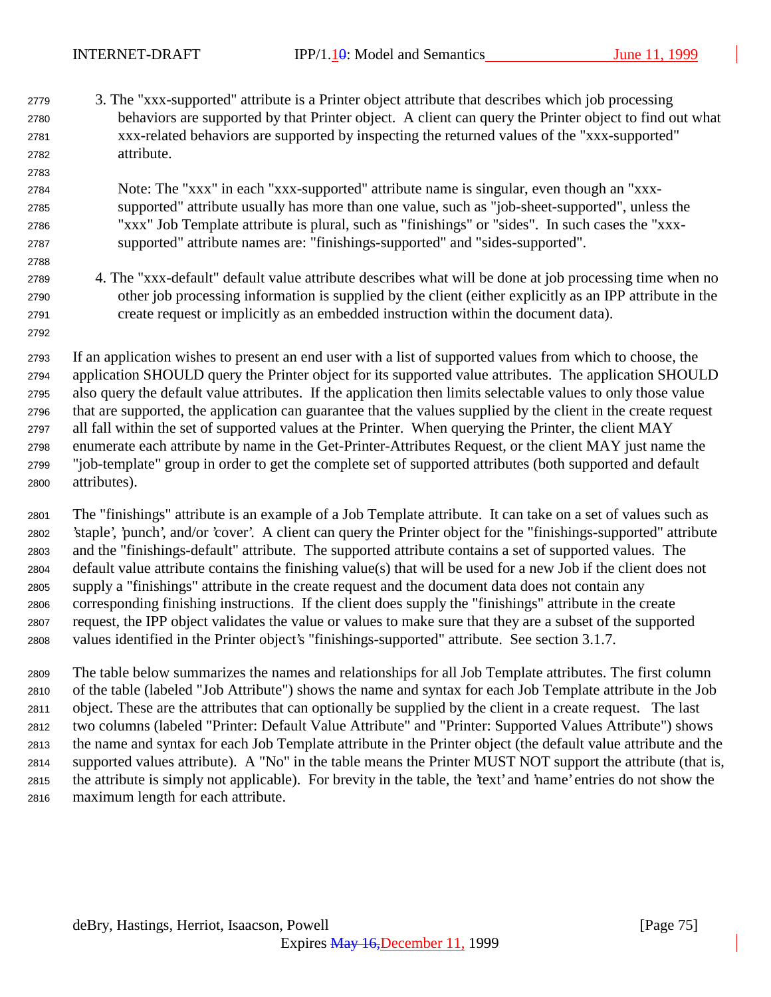3. The "xxx-supported" attribute is a Printer object attribute that describes which job processing behaviors are supported by that Printer object. A client can query the Printer object to find out what xxx-related behaviors are supported by inspecting the returned values of the "xxx-supported" attribute.

## Note: The "xxx" in each "xxx-supported" attribute name is singular, even though an "xxx- supported" attribute usually has more than one value, such as "job-sheet-supported", unless the "xxx" Job Template attribute is plural, such as "finishings" or "sides". In such cases the "xxx-supported" attribute names are: "finishings-supported" and "sides-supported".

 4. The "xxx-default" default value attribute describes what will be done at job processing time when no other job processing information is supplied by the client (either explicitly as an IPP attribute in the create request or implicitly as an embedded instruction within the document data).

 If an application wishes to present an end user with a list of supported values from which to choose, the application SHOULD query the Printer object for its supported value attributes. The application SHOULD also query the default value attributes. If the application then limits selectable values to only those value that are supported, the application can guarantee that the values supplied by the client in the create request all fall within the set of supported values at the Printer. When querying the Printer, the client MAY enumerate each attribute by name in the Get-Printer-Attributes Request, or the client MAY just name the "job-template" group in order to get the complete set of supported attributes (both supported and default attributes).

 The "finishings" attribute is an example of a Job Template attribute. It can take on a set of values such as 'staple', 'punch', and/or 'cover'. A client can query the Printer object for the "finishings-supported" attribute and the "finishings-default" attribute. The supported attribute contains a set of supported values. The default value attribute contains the finishing value(s) that will be used for a new Job if the client does not supply a "finishings" attribute in the create request and the document data does not contain any corresponding finishing instructions. If the client does supply the "finishings" attribute in the create request, the IPP object validates the value or values to make sure that they are a subset of the supported values identified in the Printer object's "finishings-supported" attribute. See section 3.1.7.

 The table below summarizes the names and relationships for all Job Template attributes. The first column of the table (labeled "Job Attribute") shows the name and syntax for each Job Template attribute in the Job object. These are the attributes that can optionally be supplied by the client in a create request. The last two columns (labeled "Printer: Default Value Attribute" and "Printer: Supported Values Attribute") shows the name and syntax for each Job Template attribute in the Printer object (the default value attribute and the supported values attribute). A "No" in the table means the Printer MUST NOT support the attribute (that is, the attribute is simply not applicable). For brevity in the table, the 'text' and 'name' entries do not show the maximum length for each attribute.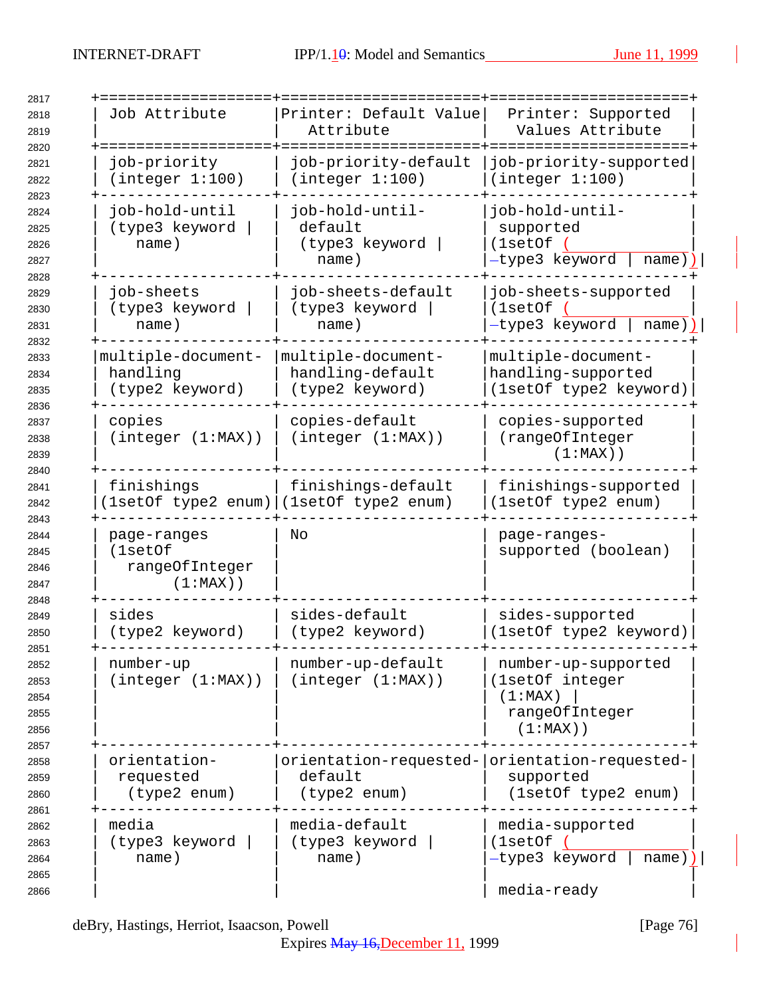| Job Attribute                                           | Printer: Default Value<br>Attribute                                      | Printer: Supported<br>Values Attribute                                             |
|---------------------------------------------------------|--------------------------------------------------------------------------|------------------------------------------------------------------------------------|
| job-priority<br>(integer 1:100)                         | job-priority-default<br>(integer 1:100)                                  | job-priority-supported<br>(integer 1:100)                                          |
| job-hold-until<br>(type3 keyword<br>name)               | job-hold-until-<br>default<br>(type3 keyword<br>name)                    | job-hold-until-<br>supported<br>(1setOf<br>-type3 keyword<br>name)                 |
| job-sheets<br>(type3 keyword<br>name)                   | job-sheets-default<br>(type3 keyword<br>name)                            | job-sheets-supported<br>(1setOf<br>-type3 keyword<br>name))                        |
| multiple-document-<br>handling<br>(type2 keyword)       | multiple-document-<br>handling-default<br>(type2 keyword)                | multiple-document-<br>handling-supported<br>(1setOf type2 keyword)                 |
| copies<br>(integer (1:MAX))                             | copies-default<br>(integer (1:MAX))                                      | copies-supported<br>(rangeOfInteger<br>$(1:MAX)$ )                                 |
| finishings                                              | finishings-default<br>1setOf type2 enum) (1setOf type2 enum)             | finishings-supported<br>(1setOf type2 enum)                                        |
| page-ranges<br>(1setOf<br>rangeOfInteger<br>$(1:MAX)$ ) | No                                                                       | page-ranges-<br>supported (boolean)                                                |
| sides<br>(type2 keyword)                                | sides-default<br>(type2 keyword)                                         | sides-supported<br>(1setOf type2 keyword)                                          |
| number-up<br>(integer (1:MAX))                          | number-up-default<br>(integer (1:MAX))                                   | number-up-supported<br>(1setOf integer<br>(1:MAX)<br>rangeOfInteger<br>$(1:MAX)$ ) |
| orientation-<br>requested<br>(type2 enum)               | orientation-requested- orientation-requested-<br>default<br>(type2 enum) | supported<br>(1setOf type2 enum)                                                   |
| media<br>(type3 keyword<br>name)                        | media-default<br>(type3 keyword<br>name)                                 | media-supported<br>(1setOf (<br>-type3 keyword<br>$name)$ )  <br>media-ready       |

deBry, Hastings, Herriot, Isaacson, Powell [Page 76]

Expires May 16,December 11, 1999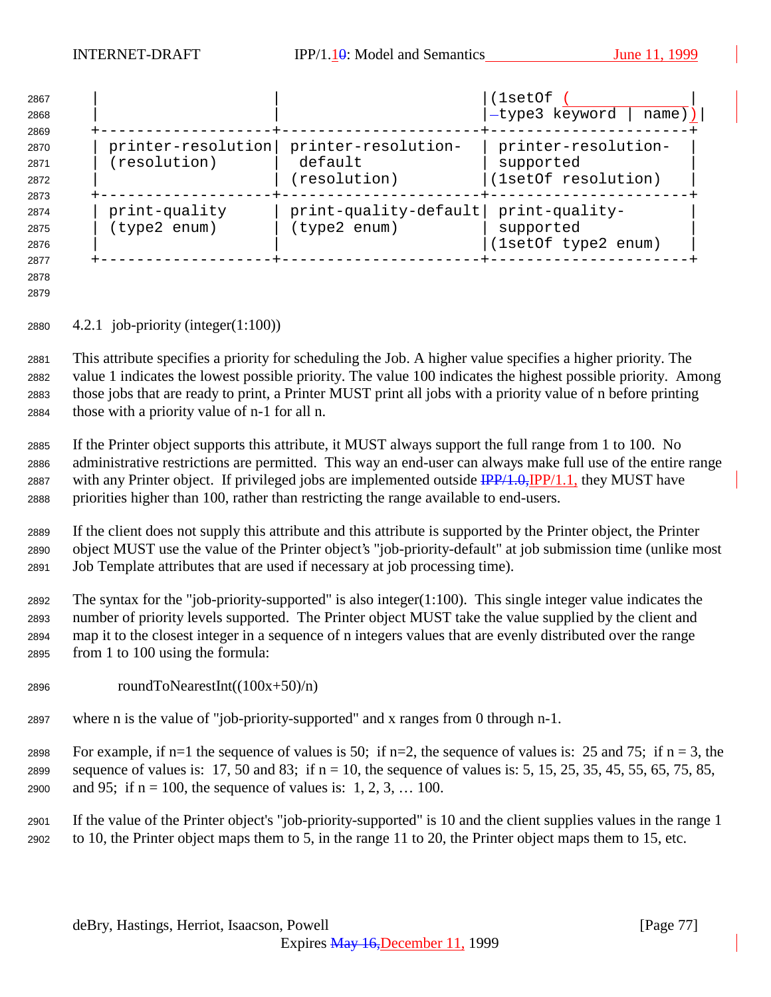| 2867<br>2868                 |                               |                                       | (1setOf<br>-type3 keyword<br>name))                |
|------------------------------|-------------------------------|---------------------------------------|----------------------------------------------------|
| 2869<br>2870                 | printer-resolution            | printer-resolution-                   | printer-resolution-                                |
| 2871                         | (resolution)                  | default                               | supported                                          |
| 2872                         |                               | (resolution)                          | (1setOf resolution)                                |
| 2873<br>2874<br>2875<br>2876 | print-quality<br>(type2 enum) | print-quality-default<br>(type2 enum) | print-quality-<br>supported<br>(1setOf type2 enum) |
| 2877                         |                               |                                       |                                                    |

 

4.2.1 job-priority (integer(1:100))

 This attribute specifies a priority for scheduling the Job. A higher value specifies a higher priority. The value 1 indicates the lowest possible priority. The value 100 indicates the highest possible priority. Among those jobs that are ready to print, a Printer MUST print all jobs with a priority value of n before printing those with a priority value of n-1 for all n.

 If the Printer object supports this attribute, it MUST always support the full range from 1 to 100. No administrative restrictions are permitted. This way an end-user can always make full use of the entire range 2887 with any Printer object. If privileged jobs are implemented outside  $\frac{IPP}{4.0}$ ,  $IPP/1.1$ , they MUST have priorities higher than 100, rather than restricting the range available to end-users.

 If the client does not supply this attribute and this attribute is supported by the Printer object, the Printer object MUST use the value of the Printer object's "job-priority-default" at job submission time (unlike most Job Template attributes that are used if necessary at job processing time).

 The syntax for the "job-priority-supported" is also integer(1:100). This single integer value indicates the number of priority levels supported. The Printer object MUST take the value supplied by the client and map it to the closest integer in a sequence of n integers values that are evenly distributed over the range from 1 to 100 using the formula:

- 2896 roundToNearestInt( $(100x+50)/n$ )
- where n is the value of "job-priority-supported" and x ranges from 0 through n-1.

2898 For example, if n=1 the sequence of values is 50; if n=2, the sequence of values is: 25 and 75; if n = 3, the 2899 sequence of values is: 17, 50 and 83; if  $n = 10$ , the sequence of values is: 5, 15, 25, 35, 45, 55, 65, 75, 85, 2900 and 95; if  $n = 100$ , the sequence of values is: 1, 2, 3, ... 100.

 If the value of the Printer object's "job-priority-supported" is 10 and the client supplies values in the range 1 to 10, the Printer object maps them to 5, in the range 11 to 20, the Printer object maps them to 15, etc.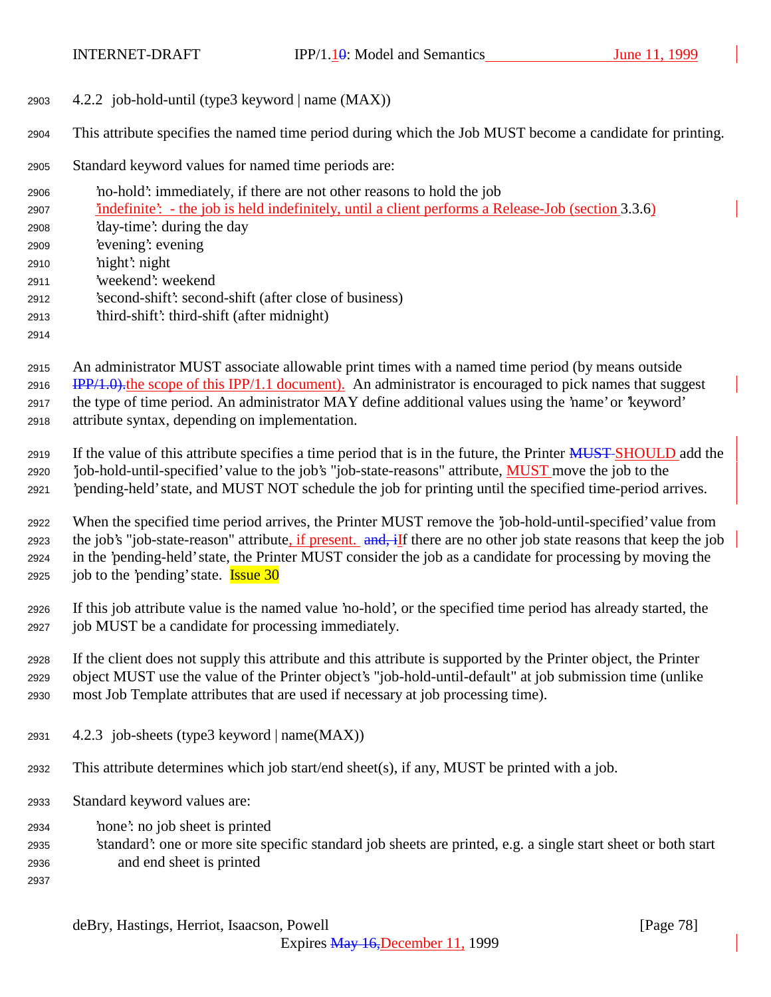- 4.2.2 job-hold-until (type3 keyword | name (MAX))
- This attribute specifies the named time period during which the Job MUST become a candidate for printing.

Standard keyword values for named time periods are:

- 'no-hold': immediately, if there are not other reasons to hold the job 'indefinite': - the job is held indefinitely, until a client performs a Release-Job (section 3.3.6) 'day-time': during the day 'evening': evening 'night': night 'weekend': weekend 'second-shift': second-shift (after close of business) 'third-shift': third-shift (after midnight)
- An administrator MUST associate allowable print times with a named time period (by means outside IPP/1.0). the scope of this IPP/1.1 document). An administrator is encouraged to pick names that suggest the type of time period. An administrator MAY define additional values using the 'name' or 'keyword' attribute syntax, depending on implementation.
- 2919 If the value of this attribute specifies a time period that is in the future, the Printer MUST SHOULD add the 2920 'job-hold-until-specified' value to the job's "job-state-reasons" attribute, **MUST** move the job to the 'pending-held' state, and MUST NOT schedule the job for printing until the specified time-period arrives.
- When the specified time period arrives, the Printer MUST remove the 'job-hold-until-specified' value from 2923 the job's "job-state-reason" attribute, if present. and, if there are no other job state reasons that keep the job in the 'pending-held' state, the Printer MUST consider the job as a candidate for processing by moving the 2925 job to the 'pending' state. **Issue 30**
- If this job attribute value is the named value 'no-hold', or the specified time period has already started, the job MUST be a candidate for processing immediately.
- If the client does not supply this attribute and this attribute is supported by the Printer object, the Printer object MUST use the value of the Printer object's "job-hold-until-default" at job submission time (unlike most Job Template attributes that are used if necessary at job processing time).
- 2931  $4.2.3$  job-sheets (type3 keyword | name(MAX))
- This attribute determines which job start/end sheet(s), if any, MUST be printed with a job.
- Standard keyword values are:
- 'none': no job sheet is printed
- 'standard': one or more site specific standard job sheets are printed, e.g. a single start sheet or both start and end sheet is printed
-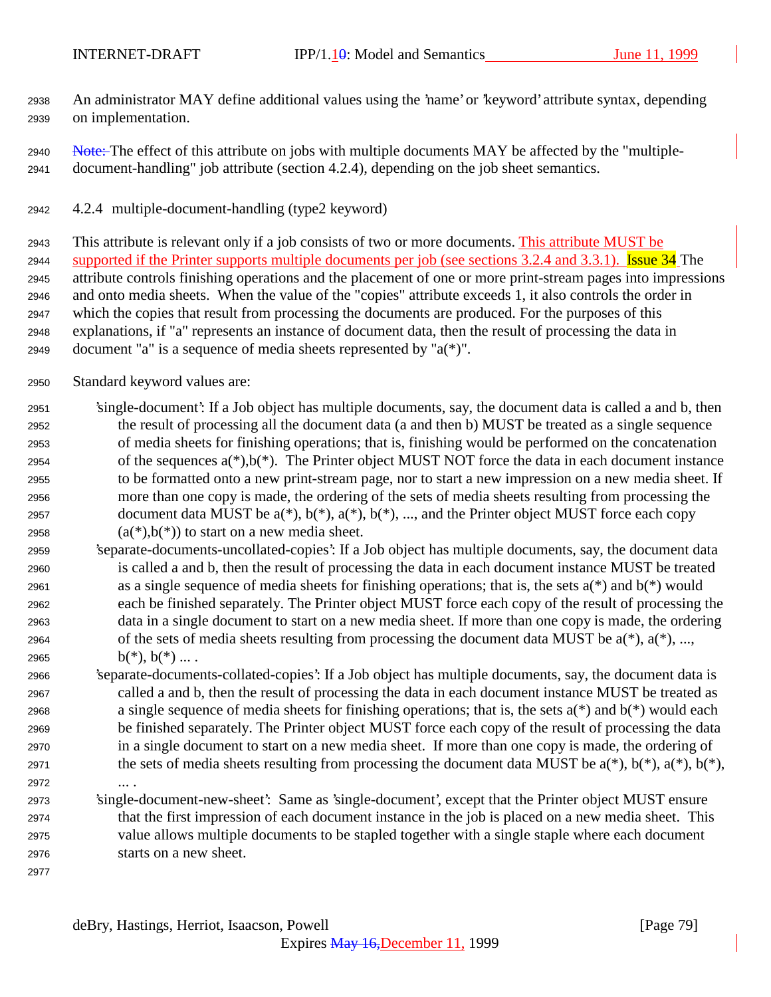An administrator MAY define additional values using the 'name' or 'keyword' attribute syntax, depending on implementation.

- 2940 Note: The effect of this attribute on jobs with multiple documents MAY be affected by the "multiple-document-handling" job attribute (section 4.2.4), depending on the job sheet semantics.
- 4.2.4 multiple-document-handling (type2 keyword)

 This attribute is relevant only if a job consists of two or more documents. This attribute MUST be 2944 supported if the Printer supports multiple documents per job (see sections 3.2.4 and 3.3.1). Issue 34 The attribute controls finishing operations and the placement of one or more print-stream pages into impressions and onto media sheets. When the value of the "copies" attribute exceeds 1, it also controls the order in which the copies that result from processing the documents are produced. For the purposes of this explanations, if "a" represents an instance of document data, then the result of processing the data in 2949 document "a" is a sequence of media sheets represented by " $a(*)$ ".

- Standard keyword values are:
- 'single-document': If a Job object has multiple documents, say, the document data is called a and b, then the result of processing all the document data (a and then b) MUST be treated as a single sequence of media sheets for finishing operations; that is, finishing would be performed on the concatenation 2954 of the sequences  $a(*)$ ,  $b(*)$ . The Printer object MUST NOT force the data in each document instance to be formatted onto a new print-stream page, nor to start a new impression on a new media sheet. If more than one copy is made, the ordering of the sets of media sheets resulting from processing the 2957 document data MUST be  $a(*)$ ,  $b(*)$ ,  $a(*)$ ,  $b(*)$ , ..., and the Printer object MUST force each copy 2958  $(a(*),b(*))$  to start on a new media sheet.
- 'separate-documents-uncollated-copies': If a Job object has multiple documents, say, the document data is called a and b, then the result of processing the data in each document instance MUST be treated 2961 as a single sequence of media sheets for finishing operations; that is, the sets  $a(*)$  and  $b(*)$  would each be finished separately. The Printer object MUST force each copy of the result of processing the data in a single document to start on a new media sheet. If more than one copy is made, the ordering 2964 of the sets of media sheets resulting from processing the document data MUST be  $a(*)$ ,  $a(*)$ , ..., 2965  $b(*)$ ,  $b(*)$  ....
- 'separate-documents-collated-copies': If a Job object has multiple documents, say, the document data is called a and b, then the result of processing the data in each document instance MUST be treated as a single sequence of media sheets for finishing operations; that is, the sets a(\*) and b(\*) would each be finished separately. The Printer object MUST force each copy of the result of processing the data in a single document to start on a new media sheet. If more than one copy is made, the ordering of 2971 the sets of media sheets resulting from processing the document data MUST be  $a(*)$ ,  $b(*)$ ,  $a(*)$ ,  $b(*)$ ,  $b(*)$ , ... .
- 'single-document-new-sheet': Same as 'single-document', except that the Printer object MUST ensure that the first impression of each document instance in the job is placed on a new media sheet. This value allows multiple documents to be stapled together with a single staple where each document starts on a new sheet.
	- deBry, Hastings, Herriot, Isaacson, Powell [Page 79]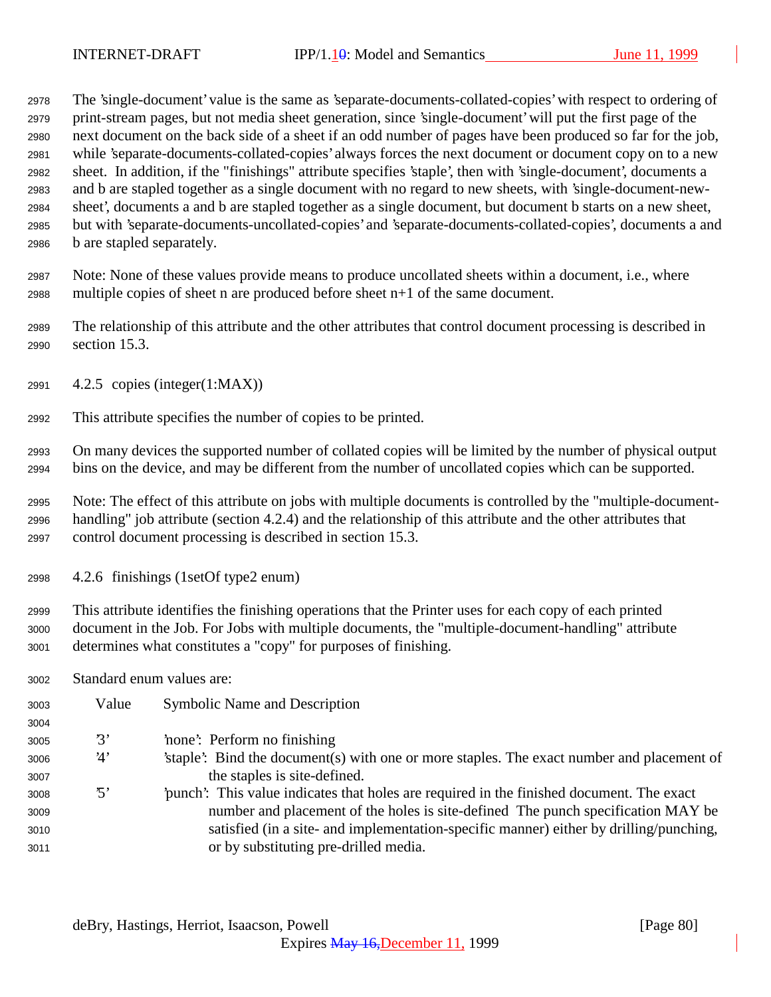The 'single-document' value is the same as 'separate-documents-collated-copies' with respect to ordering of print-stream pages, but not media sheet generation, since 'single-document' will put the first page of the next document on the back side of a sheet if an odd number of pages have been produced so far for the job, while 'separate-documents-collated-copies' always forces the next document or document copy on to a new sheet. In addition, if the "finishings" attribute specifies 'staple', then with 'single-document', documents a and b are stapled together as a single document with no regard to new sheets, with 'single-document-new- sheet', documents a and b are stapled together as a single document, but document b starts on a new sheet, but with 'separate-documents-uncollated-copies' and 'separate-documents-collated-copies', documents a and b are stapled separately.

 Note: None of these values provide means to produce uncollated sheets within a document, i.e., where multiple copies of sheet n are produced before sheet n+1 of the same document.

 The relationship of this attribute and the other attributes that control document processing is described in section 15.3.

- 4.2.5 copies (integer(1:MAX))
- This attribute specifies the number of copies to be printed.

 On many devices the supported number of collated copies will be limited by the number of physical output bins on the device, and may be different from the number of uncollated copies which can be supported.

 Note: The effect of this attribute on jobs with multiple documents is controlled by the "multiple-document- handling" job attribute (section 4.2.4) and the relationship of this attribute and the other attributes that control document processing is described in section 15.3.

4.2.6 finishings (1setOf type2 enum)

 This attribute identifies the finishing operations that the Printer uses for each copy of each printed document in the Job. For Jobs with multiple documents, the "multiple-document-handling" attribute determines what constitutes a "copy" for purposes of finishing.

Standard enum values are:

| 3003 | Value                   | <b>Symbolic Name and Description</b>                                                     |
|------|-------------------------|------------------------------------------------------------------------------------------|
| 3004 |                         |                                                                                          |
| 3005 | $\mathfrak{B}^{\prime}$ | 'none': Perform no finishing                                                             |
| 3006 | '4'                     | staple. Bind the document(s) with one or more staples. The exact number and placement of |
| 3007 |                         | the staples is site-defined.                                                             |
| 3008 | $\cdot$ 5'              | punch. This value indicates that holes are required in the finished document. The exact  |
| 3009 |                         | number and placement of the holes is site-defined The punch specification MAY be         |
| 3010 |                         | satisfied (in a site- and implementation-specific manner) either by drilling/punching,   |
| 3011 |                         | or by substituting pre-drilled media.                                                    |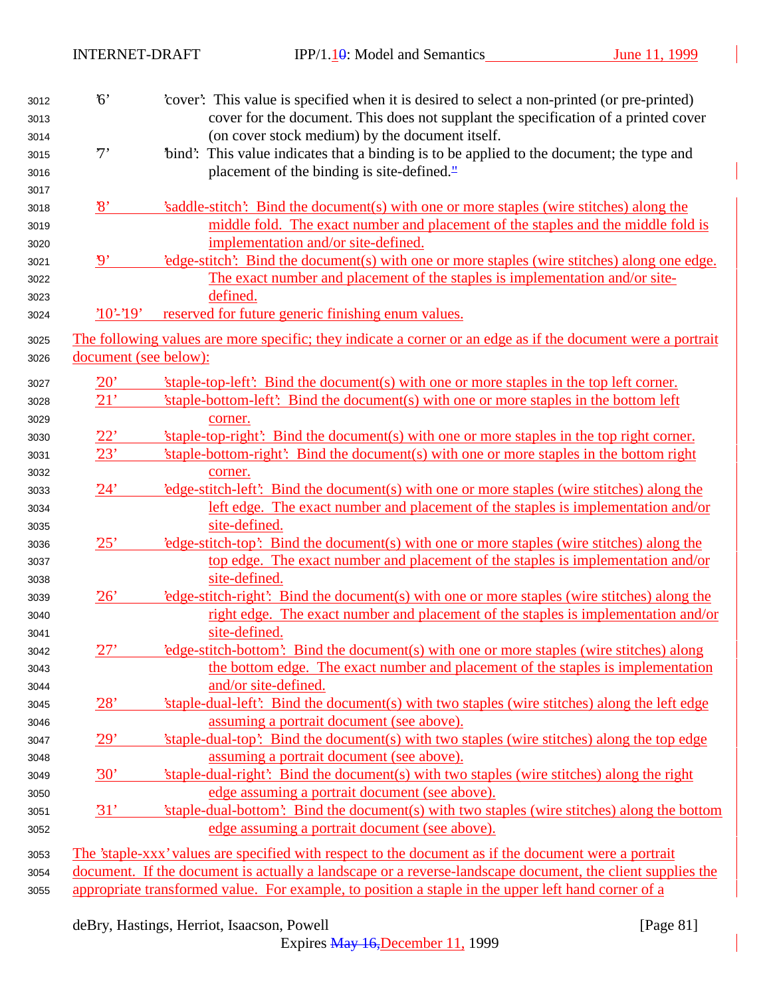| 3012<br>3013 | 6'                       | cover. This value is specified when it is desired to select a non-printed (or pre-printed)<br>cover for the document. This does not supplant the specification of a printed cover |
|--------------|--------------------------|-----------------------------------------------------------------------------------------------------------------------------------------------------------------------------------|
| 3014         |                          | (on cover stock medium) by the document itself.                                                                                                                                   |
| 3015         | 7'                       | "bind": This value indicates that a binding is to be applied to the document; the type and                                                                                        |
| 3016<br>3017 |                          | placement of the binding is site-defined."                                                                                                                                        |
| 3018         | $\mathcal{S}'$           | 's addle-stitch': Bind the document(s) with one or more staples (wire stitches) along the                                                                                         |
| 3019         |                          | middle fold. The exact number and placement of the staples and the middle fold is                                                                                                 |
| 3020         |                          | implementation and/or site-defined.                                                                                                                                               |
| 3021         | $\boldsymbol{\vartheta}$ | 'edge-stitch': Bind the document(s) with one or more staples (wire stitches) along one edge.                                                                                      |
| 3022         |                          | The exact number and placement of the staples is implementation and/or site-                                                                                                      |
| 3023         |                          | defined.                                                                                                                                                                          |
| 3024         | $'10'$ -'19'             | reserved for future generic finishing enum values.                                                                                                                                |
| 3025         |                          | The following values are more specific; they indicate a corner or an edge as if the document were a portrait                                                                      |
| 3026         | document (see below):    |                                                                                                                                                                                   |
| 3027         | 20'                      | 'staple-top-left': Bind the document(s) with one or more staples in the top left corner.                                                                                          |
| 3028         | <u>21'</u>               | 'staple-bottom-left': Bind the document(s) with one or more staples in the bottom left                                                                                            |
| 3029         |                          | corner.                                                                                                                                                                           |
| 3030         | 22'                      | 'staple-top-right': Bind the document(s) with one or more staples in the top right corner.                                                                                        |
| 3031         | 23'                      | 'staple-bottom-right': Bind the document(s) with one or more staples in the bottom right                                                                                          |
| 3032         |                          | corner.                                                                                                                                                                           |
| 3033         | 24'                      | edge-stitch-left. Bind the document(s) with one or more staples (wire stitches) along the                                                                                         |
| 3034         |                          | left edge. The exact number and placement of the staples is implementation and/or                                                                                                 |
| 3035         |                          | site-defined.                                                                                                                                                                     |
| 3036         | 25'                      | edge-stitch-top': Bind the document(s) with one or more staples (wire stitches) along the                                                                                         |
| 3037         |                          | top edge. The exact number and placement of the staples is implementation and/or                                                                                                  |
| 3038         |                          | site-defined.                                                                                                                                                                     |
| 3039         | 26'                      | 'edge-stitch-right': Bind the document(s) with one or more staples (wire stitches) along the                                                                                      |
| 3040         |                          | right edge. The exact number and placement of the staples is implementation and/or                                                                                                |
| 3041         |                          | site-defined.                                                                                                                                                                     |
| 3042         | 27'                      | edge-stitch-bottom': Bind the document(s) with one or more staples (wire stitches) along                                                                                          |
| 3043         |                          | the bottom edge. The exact number and placement of the staples is implementation                                                                                                  |
| 3044         |                          | and/or site-defined.                                                                                                                                                              |
| 3045         | 28'                      | 'staple-dual-left': Bind the document(s) with two staples (wire stitches) along the left edge                                                                                     |
| 3046         |                          | assuming a portrait document (see above).                                                                                                                                         |
| 3047         | 29'                      | 'staple-dual-top': Bind the document(s) with two staples (wire stitches) along the top edge                                                                                       |
| 3048         |                          | assuming a portrait document (see above).                                                                                                                                         |
| 3049         | 30'                      | 'staple-dual-right': Bind the document(s) with two staples (wire stitches) along the right                                                                                        |
| 3050         |                          | edge assuming a portrait document (see above).                                                                                                                                    |
| 3051         | 31'                      | 'staple-dual-bottom': Bind the document(s) with two staples (wire stitches) along the bottom                                                                                      |
| 3052         |                          | edge assuming a portrait document (see above).                                                                                                                                    |
| 3053         |                          | The 'staple-xxx' values are specified with respect to the document as if the document were a portrait                                                                             |
| 3054         |                          | document. If the document is actually a landscape or a reverse-landscape document, the client supplies the                                                                        |
| 3055         |                          | appropriate transformed value. For example, to position a staple in the upper left hand corner of a                                                                               |

deBry, Hastings, Herriot, Isaacson, Powell [Page 81]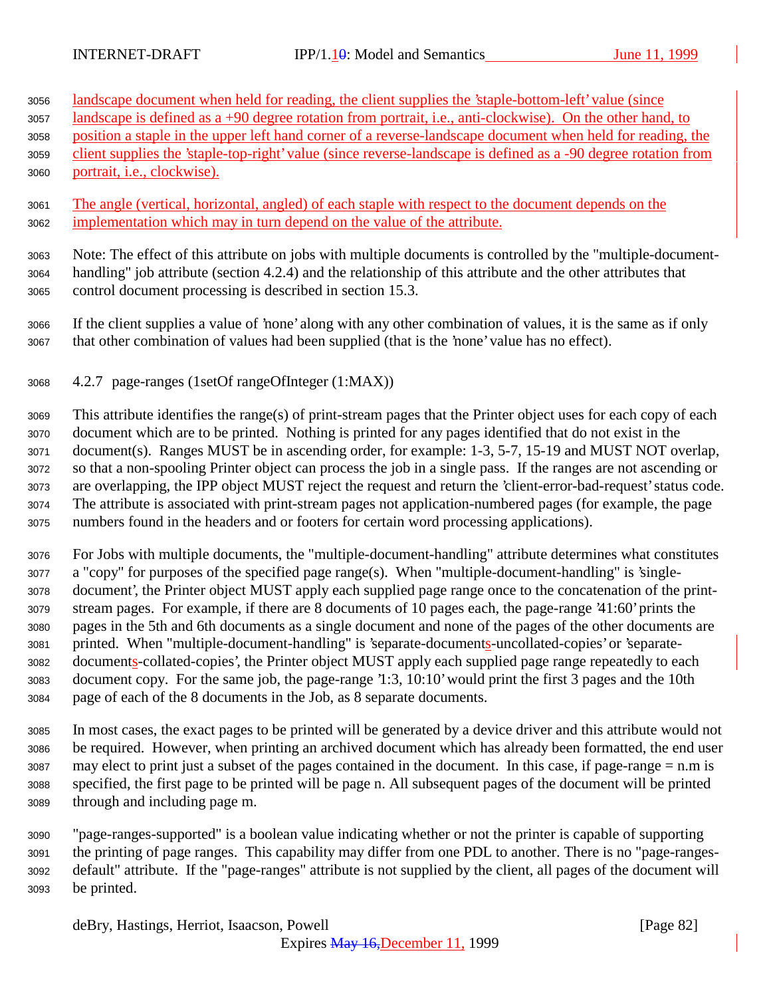landscape document when held for reading, the client supplies the 'staple-bottom-left' value (since

- landscape is defined as a +90 degree rotation from portrait, i.e., anti-clockwise). On the other hand, to
- position a staple in the upper left hand corner of a reverse-landscape document when held for reading, the

 client supplies the 'staple-top-right' value (since reverse-landscape is defined as a -90 degree rotation from portrait, i.e., clockwise).

 The angle (vertical, horizontal, angled) of each staple with respect to the document depends on the implementation which may in turn depend on the value of the attribute.

 Note: The effect of this attribute on jobs with multiple documents is controlled by the "multiple-document- handling" job attribute (section 4.2.4) and the relationship of this attribute and the other attributes that control document processing is described in section 15.3.

 If the client supplies a value of 'none' along with any other combination of values, it is the same as if only that other combination of values had been supplied (that is the 'none' value has no effect).

4.2.7 page-ranges (1setOf rangeOfInteger (1:MAX))

 This attribute identifies the range(s) of print-stream pages that the Printer object uses for each copy of each document which are to be printed. Nothing is printed for any pages identified that do not exist in the document(s). Ranges MUST be in ascending order, for example: 1-3, 5-7, 15-19 and MUST NOT overlap, so that a non-spooling Printer object can process the job in a single pass. If the ranges are not ascending or are overlapping, the IPP object MUST reject the request and return the 'client-error-bad-request' status code. The attribute is associated with print-stream pages not application-numbered pages (for example, the page numbers found in the headers and or footers for certain word processing applications).

 For Jobs with multiple documents, the "multiple-document-handling" attribute determines what constitutes a "copy" for purposes of the specified page range(s). When "multiple-document-handling" is 'single- document', the Printer object MUST apply each supplied page range once to the concatenation of the print- stream pages. For example, if there are 8 documents of 10 pages each, the page-range '41:60' prints the pages in the 5th and 6th documents as a single document and none of the pages of the other documents are printed. When "multiple-document-handling" is 'separate-documents-uncollated-copies' or 'separate- documents-collated-copies', the Printer object MUST apply each supplied page range repeatedly to each document copy. For the same job, the page-range '1:3, 10:10' would print the first 3 pages and the 10th page of each of the 8 documents in the Job, as 8 separate documents.

 In most cases, the exact pages to be printed will be generated by a device driver and this attribute would not be required. However, when printing an archived document which has already been formatted, the end user may elect to print just a subset of the pages contained in the document. In this case, if page-range = n.m is specified, the first page to be printed will be page n. All subsequent pages of the document will be printed through and including page m.

 "page-ranges-supported" is a boolean value indicating whether or not the printer is capable of supporting the printing of page ranges. This capability may differ from one PDL to another. There is no "page-ranges- default" attribute. If the "page-ranges" attribute is not supplied by the client, all pages of the document will be printed.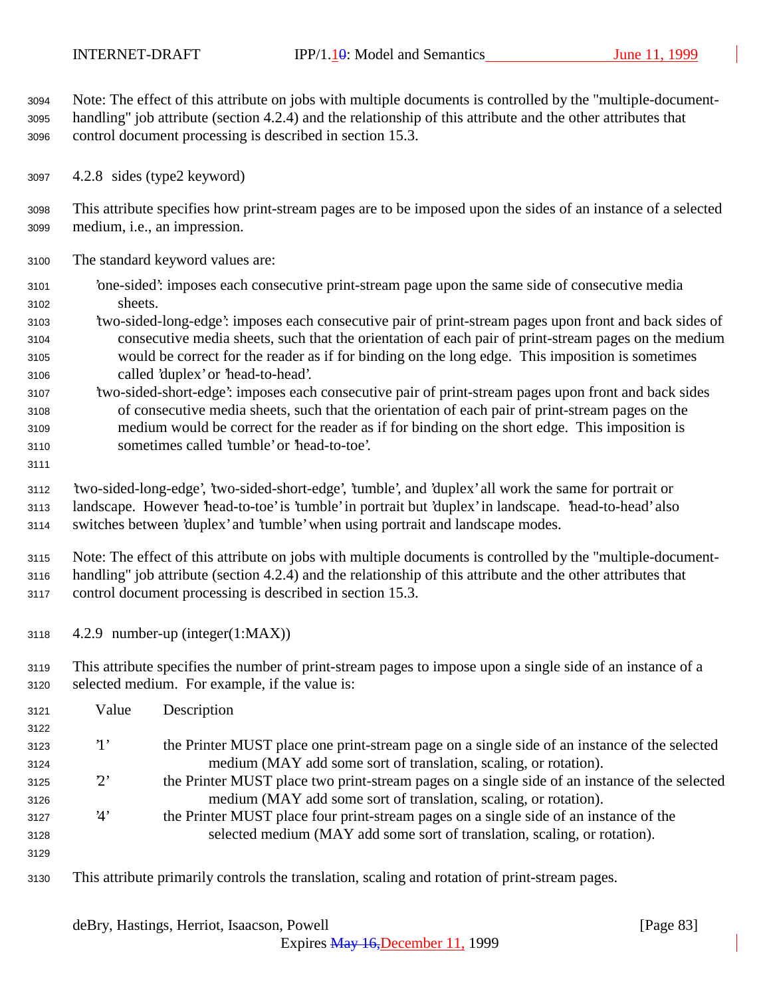Note: The effect of this attribute on jobs with multiple documents is controlled by the "multiple-document- handling" job attribute (section 4.2.4) and the relationship of this attribute and the other attributes that control document processing is described in section 15.3.

4.2.8 sides (type2 keyword)

 This attribute specifies how print-stream pages are to be imposed upon the sides of an instance of a selected medium, i.e., an impression.

- The standard keyword values are:
- 'one-sided': imposes each consecutive print-stream page upon the same side of consecutive media sheets.
- 'two-sided-long-edge': imposes each consecutive pair of print-stream pages upon front and back sides of consecutive media sheets, such that the orientation of each pair of print-stream pages on the medium would be correct for the reader as if for binding on the long edge. This imposition is sometimes called 'duplex' or 'head-to-head'.
- 'two-sided-short-edge': imposes each consecutive pair of print-stream pages upon front and back sides of consecutive media sheets, such that the orientation of each pair of print-stream pages on the medium would be correct for the reader as if for binding on the short edge. This imposition is sometimes called 'tumble' or 'head-to-toe'.
- 

 'two-sided-long-edge', 'two-sided-short-edge', 'tumble', and 'duplex' all work the same for portrait or landscape. However 'head-to-toe' is 'tumble' in portrait but 'duplex' in landscape. 'head-to-head' also switches between 'duplex' and 'tumble' when using portrait and landscape modes.

 Note: The effect of this attribute on jobs with multiple documents is controlled by the "multiple-document- handling" job attribute (section 4.2.4) and the relationship of this attribute and the other attributes that control document processing is described in section 15.3.

- 4.2.9 number-up (integer(1:MAX))
- This attribute specifies the number of print-stream pages to impose upon a single side of an instance of a selected medium. For example, if the value is:

| 3121 | Value       | Description                                                                                    |
|------|-------------|------------------------------------------------------------------------------------------------|
| 3122 |             |                                                                                                |
| 3123 | $\cdot_1$   | the Printer MUST place one print-stream page on a single side of an instance of the selected   |
| 3124 |             | medium (MAY add some sort of translation, scaling, or rotation).                               |
| 3125 | $2^{\circ}$ | the Printer MUST place two print-stream pages on a single side of an instance of the selected  |
| 3126 |             | medium (MAY add some sort of translation, scaling, or rotation).                               |
| 3127 | 4'          | the Printer MUST place four print-stream pages on a single side of an instance of the          |
| 3128 |             | selected medium (MAY add some sort of translation, scaling, or rotation).                      |
| 3129 |             |                                                                                                |
| 3130 |             | This attribute primarily controls the translation, scaling and rotation of print-stream pages. |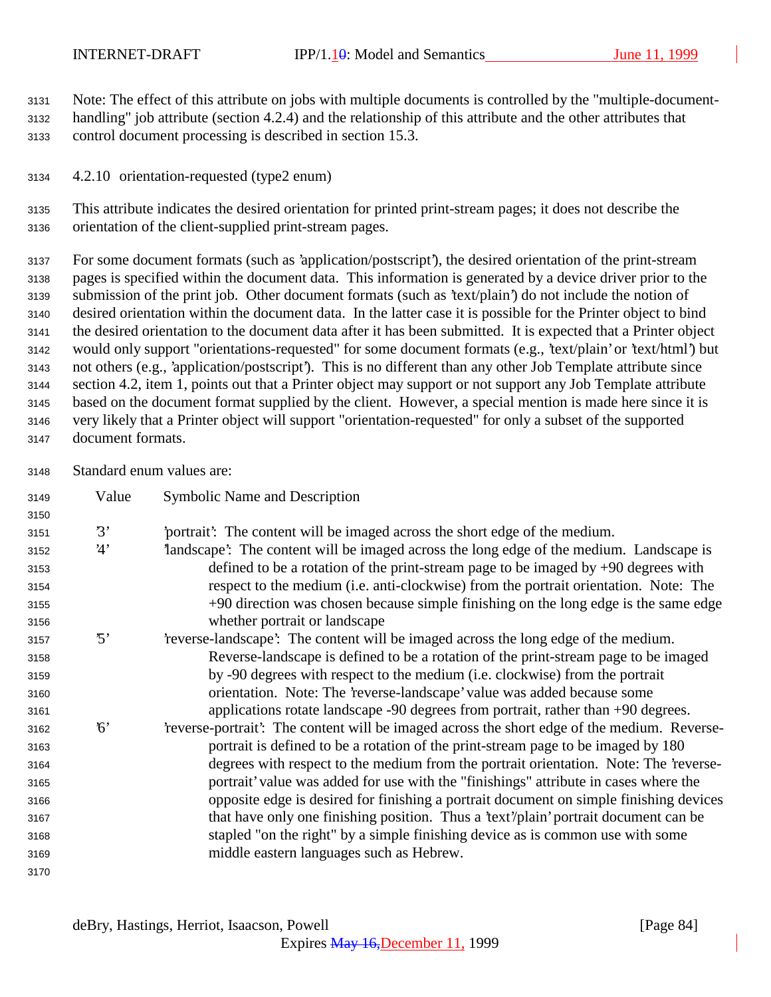Note: The effect of this attribute on jobs with multiple documents is controlled by the "multiple-document- handling" job attribute (section 4.2.4) and the relationship of this attribute and the other attributes that control document processing is described in section 15.3.

4.2.10 orientation-requested (type2 enum)

 This attribute indicates the desired orientation for printed print-stream pages; it does not describe the orientation of the client-supplied print-stream pages.

 For some document formats (such as 'application/postscript'), the desired orientation of the print-stream pages is specified within the document data. This information is generated by a device driver prior to the submission of the print job. Other document formats (such as 'text/plain') do not include the notion of desired orientation within the document data. In the latter case it is possible for the Printer object to bind the desired orientation to the document data after it has been submitted. It is expected that a Printer object would only support "orientations-requested" for some document formats (e.g., 'text/plain' or 'text/html') but not others (e.g., 'application/postscript'). This is no different than any other Job Template attribute since section 4.2, item 1, points out that a Printer object may support or not support any Job Template attribute based on the document format supplied by the client. However, a special mention is made here since it is very likely that a Printer object will support "orientation-requested" for only a subset of the supported document formats.

Standard enum values are:

| 3149 | Value    | Symbolic Name and Description                                                                |
|------|----------|----------------------------------------------------------------------------------------------|
| 3150 |          |                                                                                              |
| 3151 | 3'       | portrait? The content will be imaged across the short edge of the medium.                    |
| 3152 | 4'       | landscape': The content will be imaged across the long edge of the medium. Landscape is      |
| 3153 |          | defined to be a rotation of the print-stream page to be imaged by $+90$ degrees with         |
| 3154 |          | respect to the medium (i.e. anti-clockwise) from the portrait orientation. Note: The         |
| 3155 |          | +90 direction was chosen because simple finishing on the long edge is the same edge          |
| 3156 |          | whether portrait or landscape                                                                |
| 3157 | '5'      | reverse-landscape': The content will be imaged across the long edge of the medium.           |
| 3158 |          | Reverse-landscape is defined to be a rotation of the print-stream page to be imaged          |
| 3159 |          | by -90 degrees with respect to the medium (i.e. clockwise) from the portrait                 |
| 3160 |          | orientation. Note: The 'reverse-landscape' value was added because some                      |
| 3161 |          | applications rotate landscape -90 degrees from portrait, rather than +90 degrees.            |
| 3162 | $\kappa$ | 'reverse-portrait': The content will be imaged across the short edge of the medium. Reverse- |
| 3163 |          | portrait is defined to be a rotation of the print-stream page to be imaged by 180            |
| 3164 |          | degrees with respect to the medium from the portrait orientation. Note: The 'reverse-        |
| 3165 |          | portrait' value was added for use with the "finishings" attribute in cases where the         |
| 3166 |          | opposite edge is desired for finishing a portrait document on simple finishing devices       |
| 3167 |          | that have only one finishing position. Thus a 'text'/plain' portrait document can be         |
| 3168 |          | stapled "on the right" by a simple finishing device as is common use with some               |
| 3169 |          | middle eastern languages such as Hebrew.                                                     |
| 3170 |          |                                                                                              |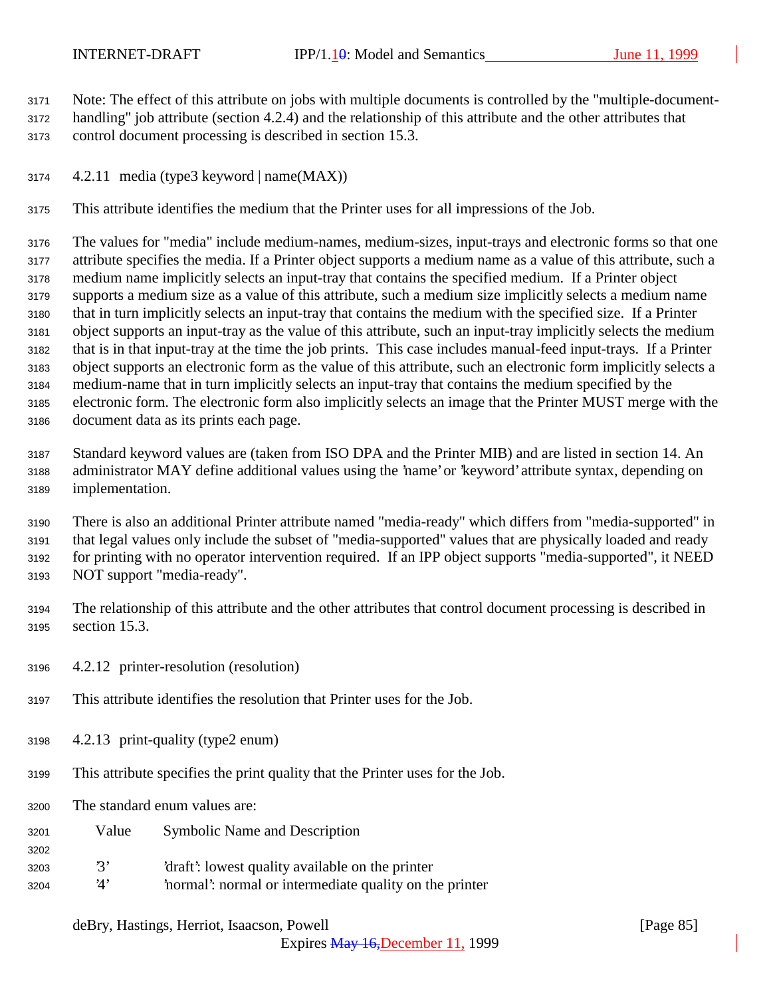Note: The effect of this attribute on jobs with multiple documents is controlled by the "multiple-document-

 handling" job attribute (section 4.2.4) and the relationship of this attribute and the other attributes that control document processing is described in section 15.3.

4.2.11 media (type3 keyword | name(MAX))

This attribute identifies the medium that the Printer uses for all impressions of the Job.

 The values for "media" include medium-names, medium-sizes, input-trays and electronic forms so that one attribute specifies the media. If a Printer object supports a medium name as a value of this attribute, such a medium name implicitly selects an input-tray that contains the specified medium. If a Printer object supports a medium size as a value of this attribute, such a medium size implicitly selects a medium name that in turn implicitly selects an input-tray that contains the medium with the specified size. If a Printer object supports an input-tray as the value of this attribute, such an input-tray implicitly selects the medium that is in that input-tray at the time the job prints. This case includes manual-feed input-trays. If a Printer object supports an electronic form as the value of this attribute, such an electronic form implicitly selects a medium-name that in turn implicitly selects an input-tray that contains the medium specified by the electronic form. The electronic form also implicitly selects an image that the Printer MUST merge with the document data as its prints each page.

 Standard keyword values are (taken from ISO DPA and the Printer MIB) and are listed in section 14. An administrator MAY define additional values using the 'name' or 'keyword' attribute syntax, depending on implementation.

 There is also an additional Printer attribute named "media-ready" which differs from "media-supported" in that legal values only include the subset of "media-supported" values that are physically loaded and ready for printing with no operator intervention required. If an IPP object supports "media-supported", it NEED NOT support "media-ready".

 The relationship of this attribute and the other attributes that control document processing is described in section 15.3.

- 4.2.12 printer-resolution (resolution)
- This attribute identifies the resolution that Printer uses for the Job.
- 4.2.13 print-quality (type2 enum)
- This attribute specifies the print quality that the Printer uses for the Job.
- The standard enum values are:

- Value Symbolic Name and Description
- '3' 'draft': lowest quality available on the printer
- '4' 'normal': normal or intermediate quality on the printer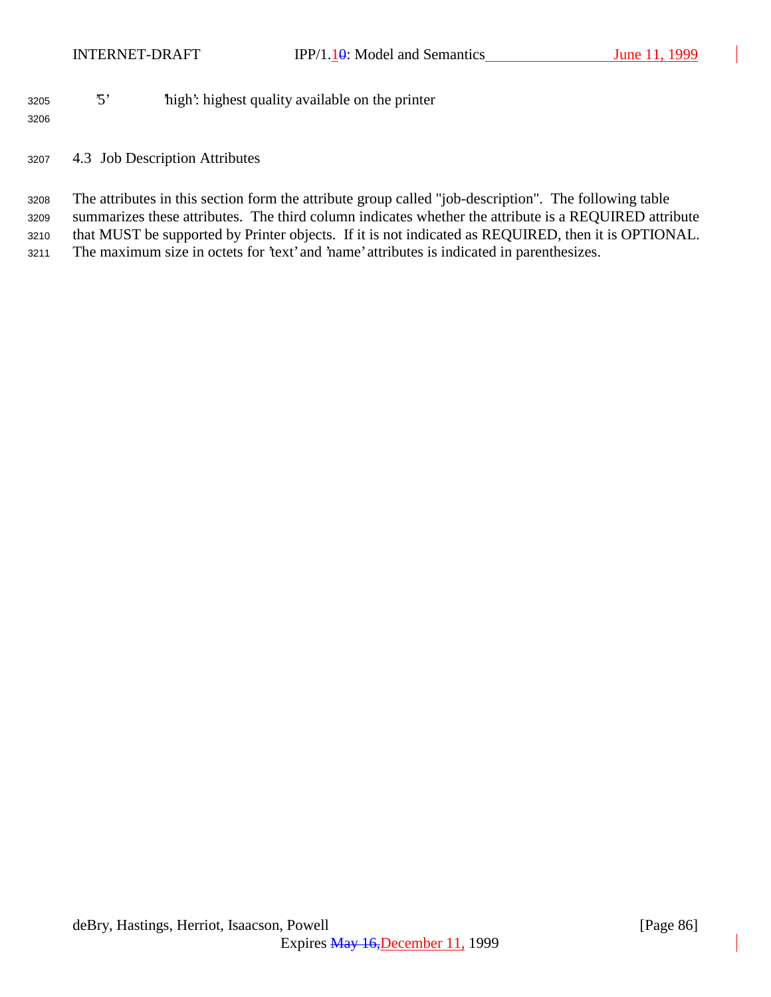# '5' 'high': highest quality available on the printer

4.3 Job Description Attributes

 The attributes in this section form the attribute group called "job-description". The following table summarizes these attributes. The third column indicates whether the attribute is a REQUIRED attribute that MUST be supported by Printer objects. If it is not indicated as REQUIRED, then it is OPTIONAL. The maximum size in octets for 'text' and 'name' attributes is indicated in parenthesizes.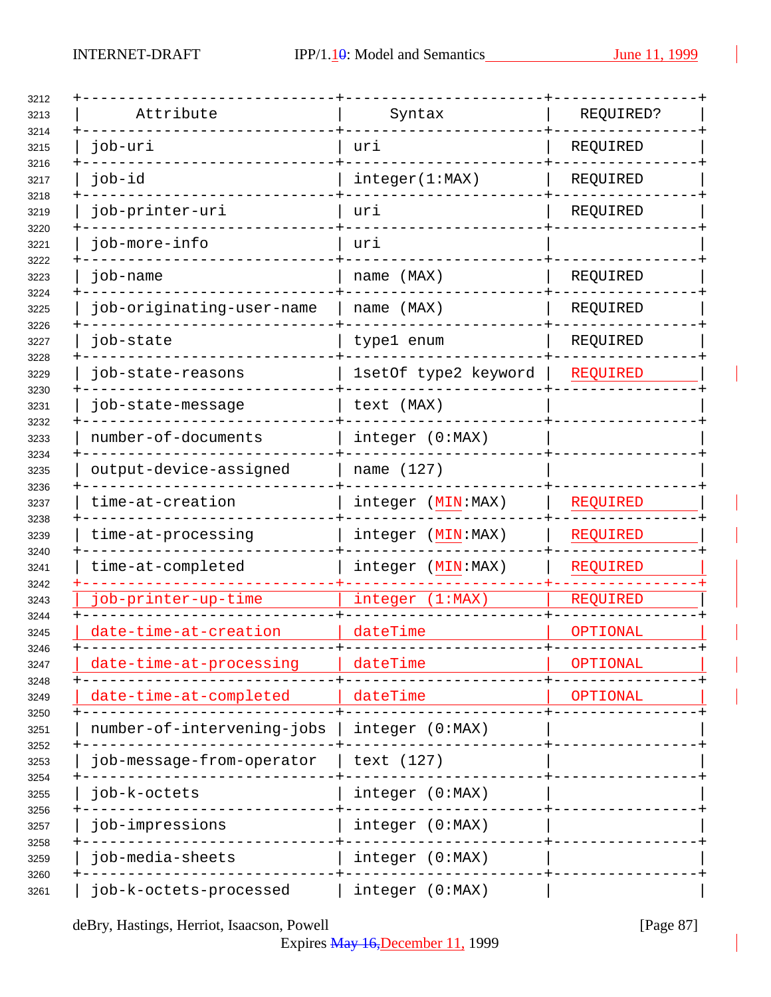| Attribute                  | Syntax               | REQUIRED?       |
|----------------------------|----------------------|-----------------|
| job-uri                    | uri                  | REQUIRED        |
| job-id                     | integer(1:MAX)       | REQUIRED        |
| job-printer-uri            | uri                  | REQUIRED        |
| job-more-info              | uri                  |                 |
| job-name                   | name (MAX)           | REQUIRED        |
| job-originating-user-name  | name (MAX)           | REQUIRED        |
| job-state                  | type1 enum           | REQUIRED        |
| job-state-reasons          | 1setOf type2 keyword | <b>REQUIRED</b> |
| job-state-message          | text (MAX)           |                 |
| number-of-documents        | integer (0:MAX)      |                 |
| output-device-assigned     | name (127)           |                 |
| time-at-creation           | integer (MIN:MAX)    | REQUIRED        |
| time-at-processing         | integer (MIN: MAX)   | <b>REQUIRED</b> |
| time-at-completed          | integer (MIN:MAX)    | REQUIRED        |
| job-printer-up-time        | integer (1:MAX)      | REQUIRED        |
| date-time-at-creation      | dateTime             | OPTIONAL        |
| date-time-at-processing    | dateTime             | OPTIONAL        |
| date-time-at-completed     | dateTime             | OPTIONAL        |
| number-of-intervening-jobs | integer (0:MAX)      |                 |
| job-message-from-operator  | text (127)           |                 |
| job-k-octets               | integer (0:MAX)      |                 |
| job-impressions            | integer (0:MAX)      |                 |
| job-media-sheets           | integer (0:MAX)      |                 |
| job-k-octets-processed     | integer (0:MAX)      |                 |

deBry, Hastings, Herriot, Isaacson, Powell [Page 87]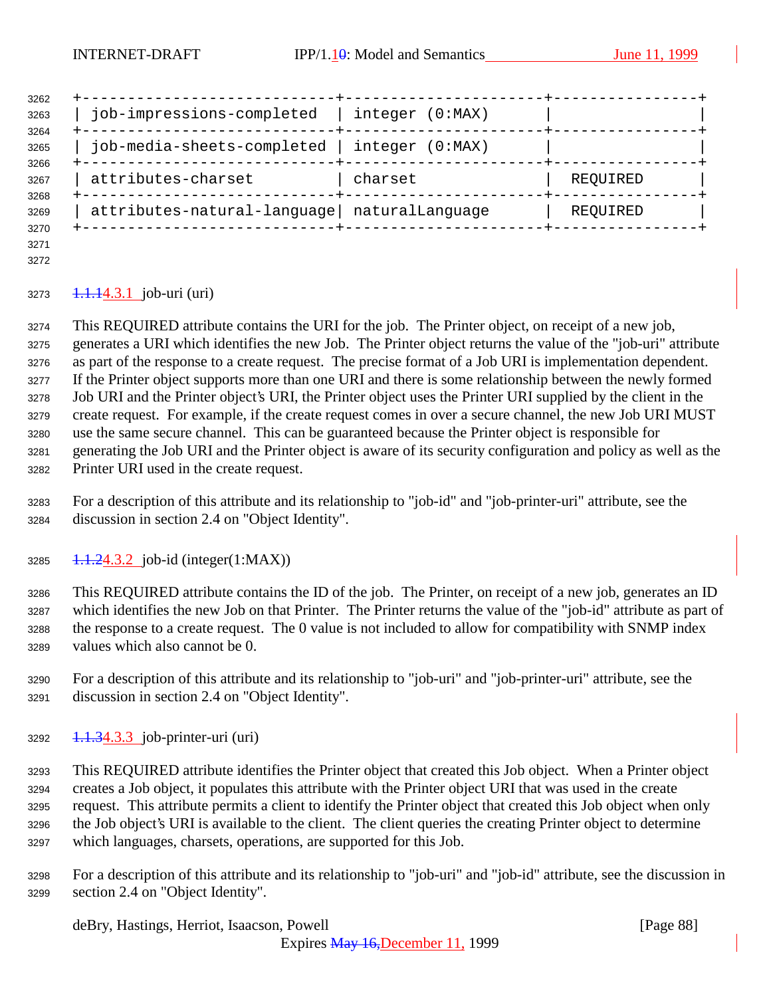| 3262         |                                             |                 |          |  |
|--------------|---------------------------------------------|-----------------|----------|--|
| 3263<br>3264 | job-impressions-completed                   | integer (0:MAX) |          |  |
| 3265         | job-media-sheets-completed                  | integer (0:MAX) |          |  |
| 3266<br>3267 | attributes-charset                          | charset         | REQUIRED |  |
| 3268<br>3269 | attributes-natural-language naturalLanguage |                 | REQUIRED |  |
| 3270         |                                             |                 |          |  |

 

## $1.1.14.3.1$  job-uri (uri)

 This REQUIRED attribute contains the URI for the job. The Printer object, on receipt of a new job, generates a URI which identifies the new Job. The Printer object returns the value of the "job-uri" attribute as part of the response to a create request. The precise format of a Job URI is implementation dependent. If the Printer object supports more than one URI and there is some relationship between the newly formed Job URI and the Printer object's URI, the Printer object uses the Printer URI supplied by the client in the create request. For example, if the create request comes in over a secure channel, the new Job URI MUST use the same secure channel. This can be guaranteed because the Printer object is responsible for generating the Job URI and the Printer object is aware of its security configuration and policy as well as the Printer URI used in the create request.

- For a description of this attribute and its relationship to "job-id" and "job-printer-uri" attribute, see the discussion in section 2.4 on "Object Identity".
- 3285 1.1.24.3.2 job-id (integer(1:MAX))

 This REQUIRED attribute contains the ID of the job. The Printer, on receipt of a new job, generates an ID which identifies the new Job on that Printer. The Printer returns the value of the "job-id" attribute as part of the response to a create request. The 0 value is not included to allow for compatibility with SNMP index values which also cannot be 0.

- For a description of this attribute and its relationship to "job-uri" and "job-printer-uri" attribute, see the discussion in section 2.4 on "Object Identity".
- 3292 <del>1.1.34.3.3</del> job-printer-uri (uri)

 This REQUIRED attribute identifies the Printer object that created this Job object. When a Printer object creates a Job object, it populates this attribute with the Printer object URI that was used in the create request. This attribute permits a client to identify the Printer object that created this Job object when only the Job object's URI is available to the client. The client queries the creating Printer object to determine which languages, charsets, operations, are supported for this Job.

 For a description of this attribute and its relationship to "job-uri" and "job-id" attribute, see the discussion in section 2.4 on "Object Identity".

deBry, Hastings, Herriot, Isaacson, Powell [Page 88]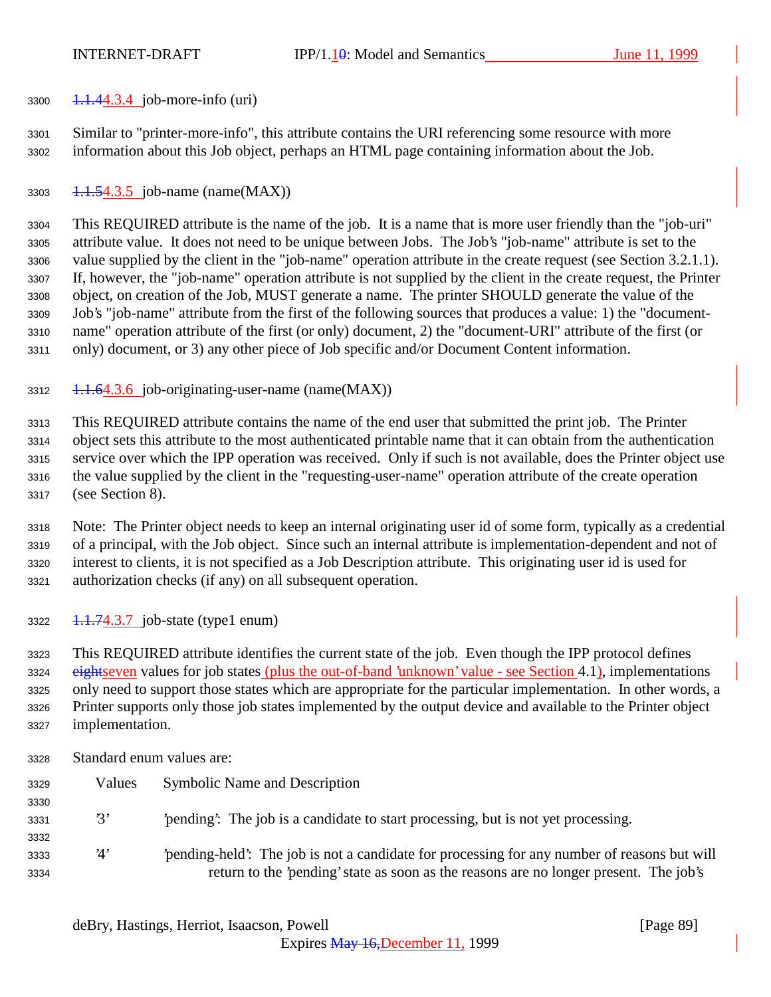$3300 \quad 1.1.44.3.4 \quad \text{job-more-info (uri)}$ 

 Similar to "printer-more-info", this attribute contains the URI referencing some resource with more information about this Job object, perhaps an HTML page containing information about the Job.

3303  $1.1.54.3.5$  job-name (name(MAX))

 This REQUIRED attribute is the name of the job. It is a name that is more user friendly than the "job-uri" attribute value. It does not need to be unique between Jobs. The Job's "job-name" attribute is set to the value supplied by the client in the "job-name" operation attribute in the create request (see Section 3.2.1.1). If, however, the "job-name" operation attribute is not supplied by the client in the create request, the Printer object, on creation of the Job, MUST generate a name. The printer SHOULD generate the value of the Job's "job-name" attribute from the first of the following sources that produces a value: 1) the "document- name" operation attribute of the first (or only) document, 2) the "document-URI" attribute of the first (or only) document, or 3) any other piece of Job specific and/or Document Content information.

1.1.64.3.6 job-originating-user-name (name(MAX))

 This REQUIRED attribute contains the name of the end user that submitted the print job. The Printer object sets this attribute to the most authenticated printable name that it can obtain from the authentication service over which the IPP operation was received. Only if such is not available, does the Printer object use the value supplied by the client in the "requesting-user-name" operation attribute of the create operation (see Section 8).

 Note: The Printer object needs to keep an internal originating user id of some form, typically as a credential of a principal, with the Job object. Since such an internal attribute is implementation-dependent and not of interest to clients, it is not specified as a Job Description attribute. This originating user id is used for authorization checks (if any) on all subsequent operation.

 $3322 \quad 1.1.74.3.7$  job-state (type1 enum)

 This REQUIRED attribute identifies the current state of the job. Even though the IPP protocol defines 3324 eightseven values for job states (plus the out-of-band 'unknown' value - see Section 4.1), implementations only need to support those states which are appropriate for the particular implementation. In other words, a Printer supports only those job states implemented by the output device and available to the Printer object implementation.

 Standard enum values are: Values Symbolic Name and Description '3' 'pending': The job is a candidate to start processing, but is not yet processing. '4' 'pending-held': The job is not a candidate for processing for any number of reasons but will return to the 'pending' state as soon as the reasons are no longer present. The job's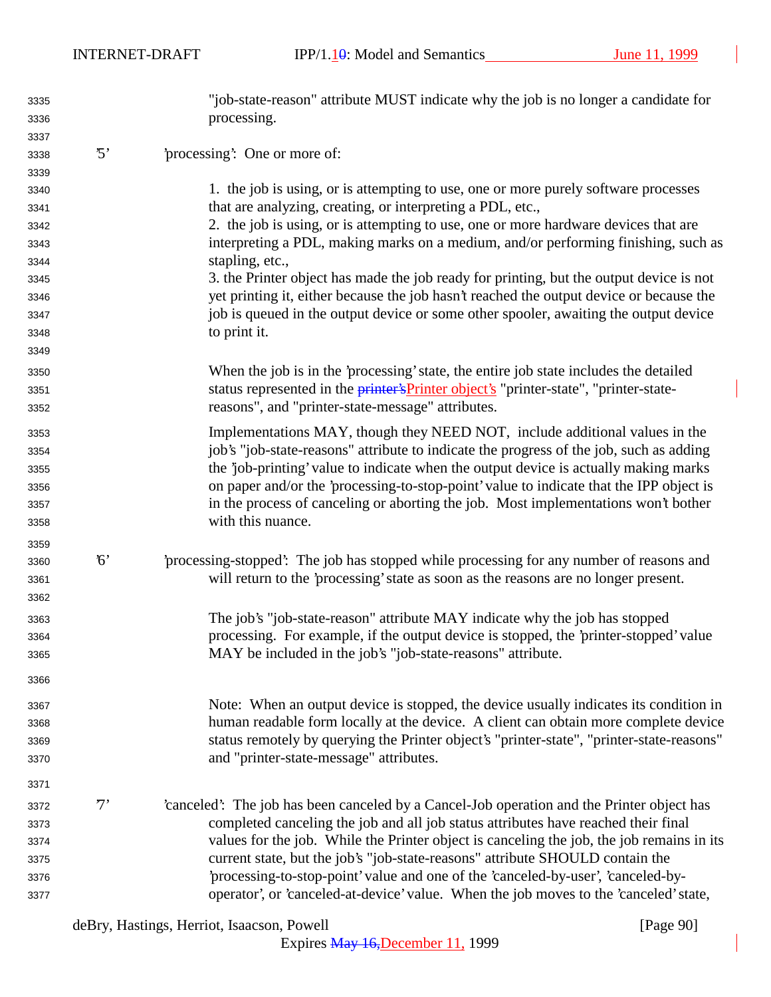INTERNET-DRAFT IPP/1.10: Model and Semantics June 11, 1999

| 3335 |             | "job-state-reason" attribute MUST indicate why the job is no longer a candidate for          |
|------|-------------|----------------------------------------------------------------------------------------------|
| 3336 |             | processing.                                                                                  |
| 3337 |             |                                                                                              |
| 3338 | $\cdot$ 5'  | 'processing': One or more of:                                                                |
| 3339 |             |                                                                                              |
| 3340 |             | 1. the job is using, or is attempting to use, one or more purely software processes          |
| 3341 |             | that are analyzing, creating, or interpreting a PDL, etc.,                                   |
| 3342 |             | 2. the job is using, or is attempting to use, one or more hardware devices that are          |
| 3343 |             | interpreting a PDL, making marks on a medium, and/or performing finishing, such as           |
| 3344 |             | stapling, etc.,                                                                              |
| 3345 |             | 3. the Printer object has made the job ready for printing, but the output device is not      |
| 3346 |             | yet printing it, either because the job hasn't reached the output device or because the      |
| 3347 |             | job is queued in the output device or some other spooler, awaiting the output device         |
| 3348 |             | to print it.                                                                                 |
| 3349 |             |                                                                                              |
| 3350 |             | When the job is in the 'processing' state, the entire job state includes the detailed        |
| 3351 |             | status represented in the <i>printer's Printer object's</i> "printer-state", "printer-state- |
| 3352 |             | reasons", and "printer-state-message" attributes.                                            |
| 3353 |             | Implementations MAY, though they NEED NOT, include additional values in the                  |
| 3354 |             | job's "job-state-reasons" attribute to indicate the progress of the job, such as adding      |
| 3355 |             | the 'job-printing' value to indicate when the output device is actually making marks         |
| 3356 |             | on paper and/or the 'processing-to-stop-point' value to indicate that the IPP object is      |
| 3357 |             | in the process of canceling or aborting the job. Most implementations won't bother           |
| 3358 |             | with this nuance.                                                                            |
| 3359 |             |                                                                                              |
| 3360 | $6^{\circ}$ | processing-stopped. The job has stopped while processing for any number of reasons and       |
| 3361 |             | will return to the 'processing' state as soon as the reasons are no longer present.          |
| 3362 |             |                                                                                              |
| 3363 |             | The job's "job-state-reason" attribute MAY indicate why the job has stopped                  |
| 3364 |             | processing. For example, if the output device is stopped, the 'printer-stopped' value        |
| 3365 |             | MAY be included in the job's "job-state-reasons" attribute.                                  |
| 3366 |             |                                                                                              |
| 3367 |             | Note: When an output device is stopped, the device usually indicates its condition in        |
| 3368 |             | human readable form locally at the device. A client can obtain more complete device          |
| 3369 |             | status remotely by querying the Printer object's "printer-state", "printer-state-reasons"    |
| 3370 |             | and "printer-state-message" attributes.                                                      |
| 3371 |             |                                                                                              |
| 3372 | $7^,$       | 'canceled': The job has been canceled by a Cancel-Job operation and the Printer object has   |
| 3373 |             | completed canceling the job and all job status attributes have reached their final           |
| 3374 |             | values for the job. While the Printer object is canceling the job, the job remains in its    |
| 3375 |             | current state, but the job's "job-state-reasons" attribute SHOULD contain the                |
| 3376 |             | 'processing-to-stop-point' value and one of the 'canceled-by-user', 'canceled-by-            |
| 3377 |             | operator', or 'canceled-at-device' value. When the job moves to the 'canceled' state,        |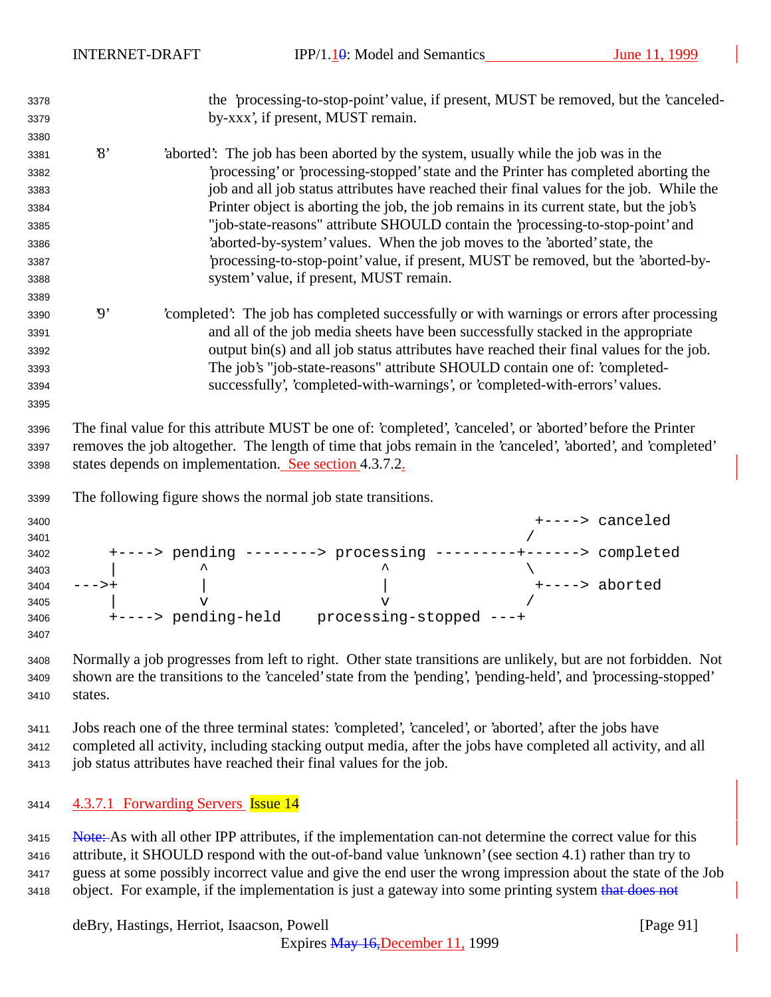| 3378                 |                          |                                                                    |                                                                            | the 'processing-to-stop-point' value, if present, MUST be removed, but the 'canceled-                                                                                                                                        |
|----------------------|--------------------------|--------------------------------------------------------------------|----------------------------------------------------------------------------|------------------------------------------------------------------------------------------------------------------------------------------------------------------------------------------------------------------------------|
| 3379                 |                          |                                                                    | by-xxx', if present, MUST remain.                                          |                                                                                                                                                                                                                              |
| 3380                 |                          |                                                                    |                                                                            |                                                                                                                                                                                                                              |
| 3381                 | $\mathcal{S}'$           |                                                                    |                                                                            | 'aborted': The job has been aborted by the system, usually while the job was in the                                                                                                                                          |
| 3382                 |                          |                                                                    |                                                                            | processing' or 'processing-stopped' state and the Printer has completed aborting the                                                                                                                                         |
| 3383                 |                          |                                                                    |                                                                            | job and all job status attributes have reached their final values for the job. While the                                                                                                                                     |
| 3384                 |                          |                                                                    |                                                                            | Printer object is aborting the job, the job remains in its current state, but the job's                                                                                                                                      |
| 3385                 |                          |                                                                    |                                                                            | "job-state-reasons" attribute SHOULD contain the 'processing-to-stop-point' and                                                                                                                                              |
| 3386                 |                          |                                                                    | 'aborted-by-system' values. When the job moves to the 'aborted' state, the |                                                                                                                                                                                                                              |
| 3387                 |                          |                                                                    |                                                                            | processing-to-stop-point' value, if present, MUST be removed, but the 'aborted-by-                                                                                                                                           |
| 3388                 |                          |                                                                    | system' value, if present, MUST remain.                                    |                                                                                                                                                                                                                              |
| 3389                 |                          |                                                                    |                                                                            |                                                                                                                                                                                                                              |
| 3390                 | $\boldsymbol{\vartheta}$ |                                                                    |                                                                            | completed: The job has completed successfully or with warnings or errors after processing                                                                                                                                    |
| 3391                 |                          |                                                                    |                                                                            | and all of the job media sheets have been successfully stacked in the appropriate                                                                                                                                            |
| 3392                 |                          |                                                                    |                                                                            | output bin(s) and all job status attributes have reached their final values for the job.                                                                                                                                     |
| 3393                 |                          |                                                                    |                                                                            | The job's "job-state-reasons" attribute SHOULD contain one of: 'completed-                                                                                                                                                   |
| 3394                 |                          |                                                                    |                                                                            | successfully', 'completed-with-warnings', or 'completed-with-errors' values.                                                                                                                                                 |
| 3395                 |                          |                                                                    |                                                                            |                                                                                                                                                                                                                              |
| 3396<br>3397<br>3398 |                          | states depends on implementation. See section 4.3.7.2.             |                                                                            | The final value for this attribute MUST be one of: 'completed', 'canceled', or 'aborted' before the Printer<br>removes the job altogether. The length of time that jobs remain in the 'canceled', 'aborted', and 'completed' |
| 3399                 |                          | The following figure shows the normal job state transitions.       |                                                                            |                                                                                                                                                                                                                              |
| 3400                 |                          |                                                                    |                                                                            | +----> canceled                                                                                                                                                                                                              |
| 3401                 |                          |                                                                    |                                                                            |                                                                                                                                                                                                                              |
| 3402                 |                          |                                                                    |                                                                            | +----> pending --------> processing ---------+------> completed                                                                                                                                                              |
| 3403                 |                          |                                                                    |                                                                            |                                                                                                                                                                                                                              |
| 3404                 | $--->+$                  |                                                                    |                                                                            | +----> aborted                                                                                                                                                                                                               |
| 3405                 |                          | $\overline{V}$                                                     | $\tau$<br>+----> pending-held    processing-stopped ---+                   |                                                                                                                                                                                                                              |
| 3406<br>3407         |                          |                                                                    |                                                                            |                                                                                                                                                                                                                              |
| 3408                 |                          |                                                                    |                                                                            | Normally a job progresses from left to right. Other state transitions are unlikely, but are not forbidden. Not                                                                                                               |
| 3409                 |                          |                                                                    |                                                                            | shown are the transitions to the 'canceled' state from the 'pending', 'pending-held', and 'processing-stopped'                                                                                                               |
| 3410                 | states.                  |                                                                    |                                                                            |                                                                                                                                                                                                                              |
|                      |                          |                                                                    |                                                                            |                                                                                                                                                                                                                              |
| 3411                 |                          |                                                                    |                                                                            | Jobs reach one of the three terminal states: 'completed', 'canceled', or 'aborted', after the jobs have                                                                                                                      |
| 3412                 |                          | job status attributes have reached their final values for the job. |                                                                            | completed all activity, including stacking output media, after the jobs have completed all activity, and all                                                                                                                 |
| 3413                 |                          |                                                                    |                                                                            |                                                                                                                                                                                                                              |
| 3414                 |                          | 4.3.7.1 Forwarding Servers Issue 14                                |                                                                            |                                                                                                                                                                                                                              |

3415 Note: As with all other IPP attributes, if the implementation can-not determine the correct value for this attribute, it SHOULD respond with the out-of-band value 'unknown' (see section 4.1) rather than try to guess at some possibly incorrect value and give the end user the wrong impression about the state of the Job 3418 object. For example, if the implementation is just a gateway into some printing system that does not

deBry, Hastings, Herriot, Isaacson, Powell [Page 91]

Expires May 16,December 11, 1999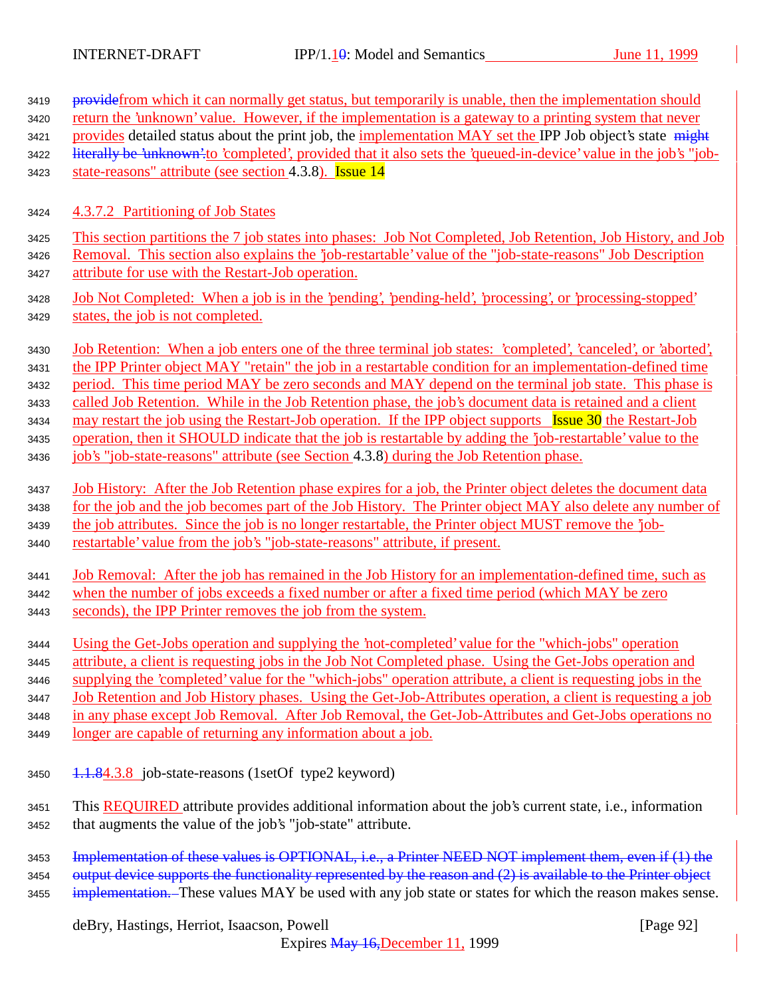| 3419 | provide from which it can normally get status, but temporarily is unable, then the implementation should             |
|------|----------------------------------------------------------------------------------------------------------------------|
| 3420 | return the 'unknown' value. However, if the implementation is a gateway to a printing system that never              |
| 3421 | provides detailed status about the print job, the implementation MAY set the IPP Job object's state might            |
| 3422 | literally be 'unknown' to 'completed', provided that it also sets the 'queued-in-device' value in the job's "job-    |
| 3423 | state-reasons" attribute (see section 4.3.8). Issue 14                                                               |
| 3424 | 4.3.7.2 Partitioning of Job States                                                                                   |
| 3425 | This section partitions the 7 job states into phases: Job Not Completed, Job Retention, Job History, and Job         |
| 3426 | Removal. This section also explains the 'job-restartable' value of the "job-state-reasons" Job Description           |
| 3427 | attribute for use with the Restart-Job operation.                                                                    |
| 3428 | <u>Job Not Completed: When a job is in the 'pending', 'pending-held', 'processing', or 'processing-stopped'</u>      |
| 3429 | states, the job is not completed.                                                                                    |
| 3430 | <u>Job Retention: When a job enters one of the three terminal job states: 'completed', 'canceled', or 'aborted',</u> |
| 3431 | the IPP Printer object MAY "retain" the job in a restartable condition for an implementation-defined time            |
| 3432 | period. This time period MAY be zero seconds and MAY depend on the terminal job state. This phase is                 |
| 3433 | called Job Retention. While in the Job Retention phase, the job's document data is retained and a client             |
| 3434 | may restart the job using the Restart-Job operation. If the IPP object supports Issue 30 the Restart-Job             |
| 3435 | operation, then it SHOULD indicate that the job is restartable by adding the 'job-restartable' value to the          |
| 3436 | job's "job-state-reasons" attribute (see Section 4.3.8) during the Job Retention phase.                              |
| 3437 | Job History: After the Job Retention phase expires for a job, the Printer object deletes the document data           |
| 3438 | for the job and the job becomes part of the Job History. The Printer object MAY also delete any number of            |
| 3439 | the job attributes. Since the job is no longer restartable, the Printer object MUST remove the job-                  |
| 3440 | restartable' value from the job's "job-state-reasons" attribute, if present.                                         |
| 3441 | Job Removal: After the job has remained in the Job History for an implementation-defined time, such as               |
| 3442 | when the number of jobs exceeds a fixed number or after a fixed time period (which MAY be zero                       |
| 3443 | seconds), the IPP Printer removes the job from the system.                                                           |
| 3444 | Using the Get-Jobs operation and supplying the 'not-completed' value for the "which-jobs" operation                  |
| 3445 | attribute, a client is requesting jobs in the Job Not Completed phase. Using the Get-Jobs operation and              |
| 3446 | supplying the 'completed' value for the "which-jobs" operation attribute, a client is requesting jobs in the         |
| 3447 | Job Retention and Job History phases. Using the Get-Job-Attributes operation, a client is requesting a job           |
| 3448 | in any phase except Job Removal. After Job Removal, the Get-Job-Attributes and Get-Jobs operations no                |
| 3449 | longer are capable of returning any information about a job.                                                         |
| 3450 | 1.1.84.3.8 job-state-reasons (1setOf type2 keyword)                                                                  |
| 3451 | This REQUIRED attribute provides additional information about the job's current state, i.e., information             |
| 3452 | that augments the value of the job's "job-state" attribute.                                                          |
| 3453 | Implementation of these values is OPTIONAL, i.e., a Printer NEED NOT implement them, even if (1) the                 |
| 3454 | output device supports the functionality represented by the reason and (2) is available to the Printer object        |
| 3455 | implementation. These values MAY be used with any job state or states for which the reason makes sense.              |

deBry, Hastings, Herriot, Isaacson, Powell [Page 92]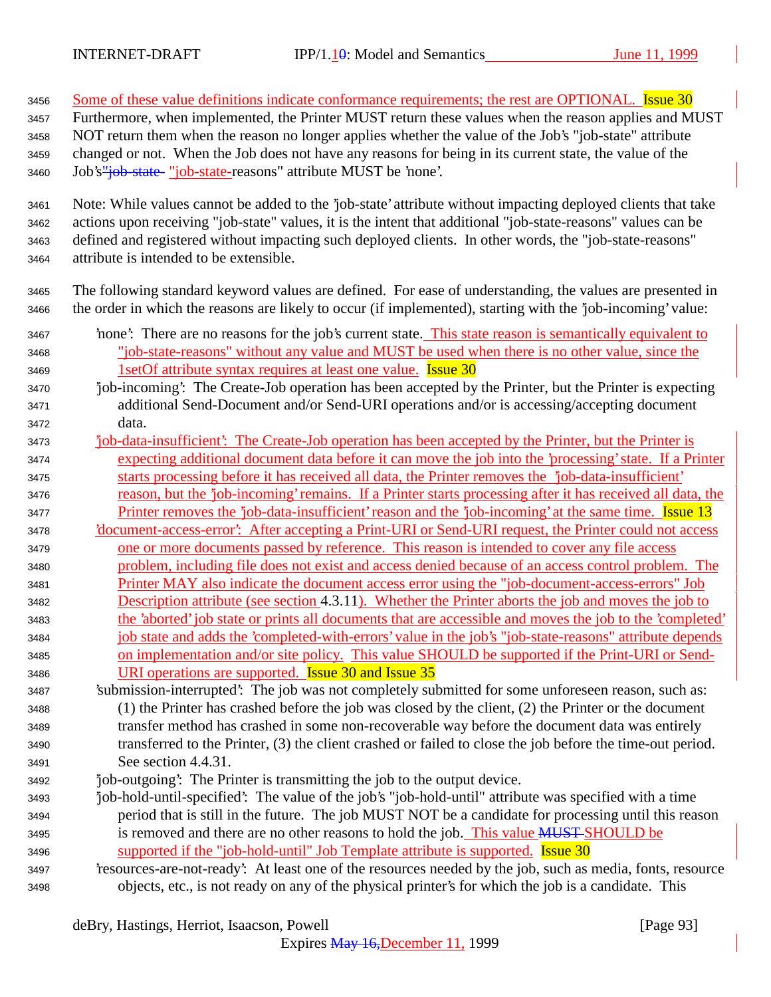3456 Some of these value definitions indicate conformance requirements; the rest are OPTIONAL. Issue 30 Furthermore, when implemented, the Printer MUST return these values when the reason applies and MUST NOT return them when the reason no longer applies whether the value of the Job's "job-state" attribute changed or not. When the Job does not have any reasons for being in its current state, the value of the 3460 Job's"job-state- "job-state-reasons" attribute MUST be 'none'. Note: While values cannot be added to the 'job-state' attribute without impacting deployed clients that take actions upon receiving "job-state" values, it is the intent that additional "job-state-reasons" values can be defined and registered without impacting such deployed clients. In other words, the "job-state-reasons" attribute is intended to be extensible. The following standard keyword values are defined. For ease of understanding, the values are presented in the order in which the reasons are likely to occur (if implemented), starting with the 'job-incoming' value: 'none': There are no reasons for the job's current state. This state reason is semantically equivalent to "job-state-reasons" without any value and MUST be used when there is no other value, since the 3469 1setOf attribute syntax requires at least one value. **Issue 30**  'job-incoming': The Create-Job operation has been accepted by the Printer, but the Printer is expecting additional Send-Document and/or Send-URI operations and/or is accessing/accepting document data. 'job-data-insufficient': The Create-Job operation has been accepted by the Printer, but the Printer is expecting additional document data before it can move the job into the 'processing' state. If a Printer starts processing before it has received all data, the Printer removes the 'job-data-insufficient' reason, but the 'job-incoming' remains. If a Printer starts processing after it has received all data, the 3477 Printer removes the 'job-data-insufficient' reason and the 'job-incoming' at the same time. Issue 13 'document-access-error': After accepting a Print-URI or Send-URI request, the Printer could not access one or more documents passed by reference. This reason is intended to cover any file access problem, including file does not exist and access denied because of an access control problem. The Printer MAY also indicate the document access error using the "job-document-access-errors" Job Description attribute (see section 4.3.11). Whether the Printer aborts the job and moves the job to the 'aborted' job state or prints all documents that are accessible and moves the job to the 'completed' job state and adds the 'completed-with-errors' value in the job's "job-state-reasons" attribute depends on implementation and/or site policy. This value SHOULD be supported if the Print-URI or Send- URI operations are supported. Issue 30 and Issue 35 'submission-interrupted': The job was not completely submitted for some unforeseen reason, such as: (1) the Printer has crashed before the job was closed by the client, (2) the Printer or the document transfer method has crashed in some non-recoverable way before the document data was entirely transferred to the Printer, (3) the client crashed or failed to close the job before the time-out period. See section 4.4.31. 'job-outgoing': The Printer is transmitting the job to the output device. 'job-hold-until-specified': The value of the job's "job-hold-until" attribute was specified with a time period that is still in the future. The job MUST NOT be a candidate for processing until this reason is removed and there are no other reasons to hold the job. This value MUST SHOULD be 3496 supported if the "job-hold-until" Job Template attribute is supported. **Issue 30**  'resources-are-not-ready': At least one of the resources needed by the job, such as media, fonts, resource objects, etc., is not ready on any of the physical printer's for which the job is a candidate. This

deBry, Hastings, Herriot, Isaacson, Powell [Page 93]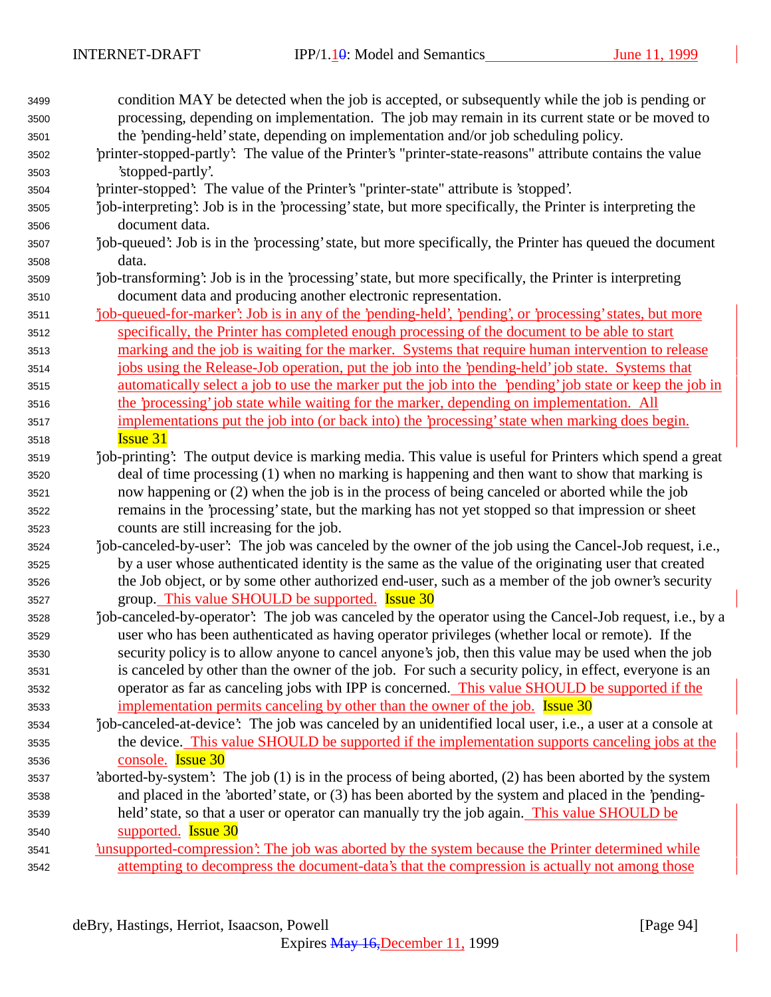| 3499 | condition MAY be detected when the job is accepted, or subsequently while the job is pending or             |
|------|-------------------------------------------------------------------------------------------------------------|
| 3500 | processing, depending on implementation. The job may remain in its current state or be moved to             |
| 3501 | the 'pending-held' state, depending on implementation and/or job scheduling policy.                         |
| 3502 | 'printer-stopped-partly': The value of the Printer's "printer-state-reasons" attribute contains the value   |
| 3503 | 'stopped-partly'.                                                                                           |
| 3504 | 'printer-stopped': The value of the Printer's "printer-state" attribute is 'stopped'.                       |
| 3505 | job-interpreting': Job is in the 'processing' state, but more specifically, the Printer is interpreting the |
| 3506 | document data.                                                                                              |
| 3507 | job-queued': Job is in the 'processing' state, but more specifically, the Printer has queued the document   |
| 3508 | data.                                                                                                       |
| 3509 | job-transforming: Job is in the 'processing' state, but more specifically, the Printer is interpreting      |
| 3510 | document data and producing another electronic representation.                                              |
| 3511 | job-queued-for-marker': Job is in any of the 'pending-held', 'pending', or 'processing' states, but more    |
| 3512 | specifically, the Printer has completed enough processing of the document to be able to start               |
| 3513 | marking and the job is waiting for the marker. Systems that require human intervention to release           |
| 3514 | jobs using the Release-Job operation, put the job into the 'pending-held' job state. Systems that           |
| 3515 | automatically select a job to use the marker put the job into the 'pending' job state or keep the job in    |
| 3516 | the 'processing' job state while waiting for the marker, depending on implementation. All                   |
| 3517 | implementations put the job into (or back into) the 'processing' state when marking does begin.             |
| 3518 | <b>Issue 31</b>                                                                                             |
| 3519 | job-printing': The output device is marking media. This value is useful for Printers which spend a great    |
| 3520 | deal of time processing (1) when no marking is happening and then want to show that marking is              |
| 3521 | now happening or (2) when the job is in the process of being canceled or aborted while the job              |
| 3522 | remains in the 'processing' state, but the marking has not yet stopped so that impression or sheet          |
| 3523 | counts are still increasing for the job.                                                                    |
| 3524 | job-canceled-by-user': The job was canceled by the owner of the job using the Cancel-Job request, i.e.,     |
| 3525 | by a user whose authenticated identity is the same as the value of the originating user that created        |
| 3526 | the Job object, or by some other authorized end-user, such as a member of the job owner's security          |
| 3527 | group. This value SHOULD be supported. Issue 30                                                             |
| 3528 | job-canceled-by-operator. The job was canceled by the operator using the Cancel-Job request, i.e., by a     |
| 3529 | user who has been authenticated as having operator privileges (whether local or remote). If the             |
| 3530 | security policy is to allow anyone to cancel anyone's job, then this value may be used when the job         |
| 3531 | is canceled by other than the owner of the job. For such a security policy, in effect, everyone is an       |
| 3532 | operator as far as canceling jobs with IPP is concerned. This value SHOULD be supported if the              |
| 3533 | implementation permits canceling by other than the owner of the job. <b>Issue 30</b>                        |
| 3534 | job-canceled-at-device': The job was canceled by an unidentified local user, i.e., a user at a console at   |
| 3535 | the device. This value SHOULD be supported if the implementation supports canceling jobs at the             |
| 3536 | console. Issue 30                                                                                           |
| 3537 | 'aborted-by-system': The job (1) is in the process of being aborted, (2) has been aborted by the system     |
| 3538 | and placed in the 'aborted' state, or (3) has been aborted by the system and placed in the 'pending-        |
| 3539 | held' state, so that a user or operator can manually try the job again. This value SHOULD be                |
| 3540 | supported. <b>Issue 30</b>                                                                                  |
| 3541 | <u>insupported-compression: The job was aborted by the system because the Printer determined while</u>      |
| 3542 | attempting to decompress the document-data's that the compression is actually not among those               |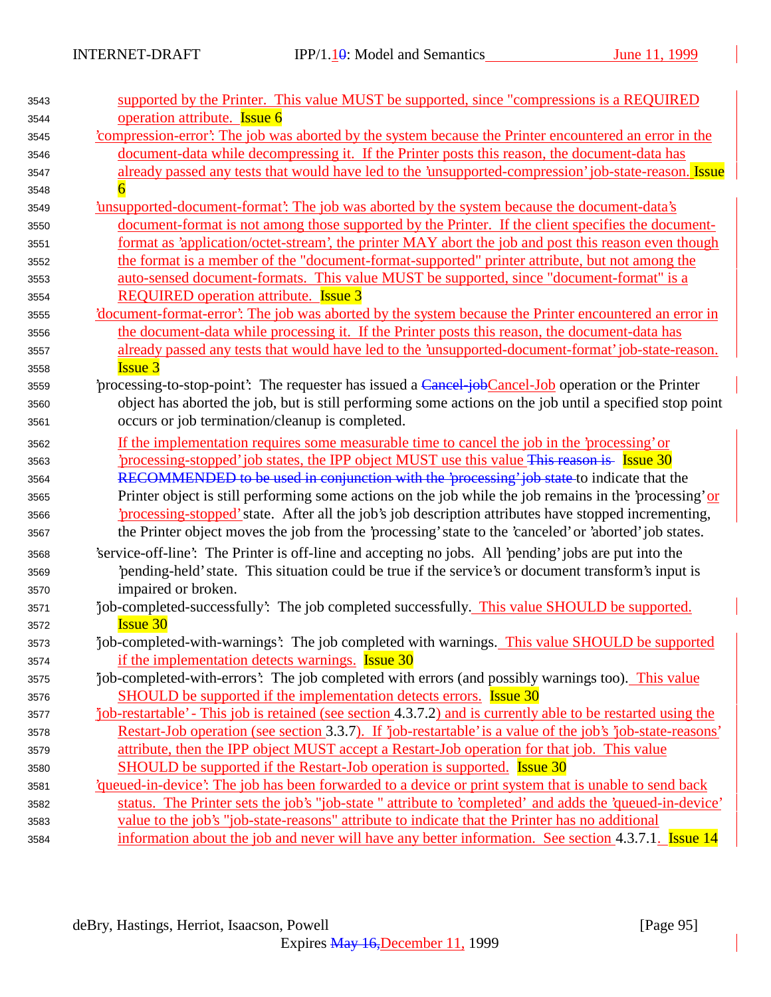| 3543 | supported by the Printer. This value MUST be supported, since "compressions is a REQUIRED                     |
|------|---------------------------------------------------------------------------------------------------------------|
| 3544 | operation attribute. Issue 6                                                                                  |
| 3545 | 'compression-error': The job was aborted by the system because the Printer encountered an error in the        |
| 3546 | document-data while decompressing it. If the Printer posts this reason, the document-data has                 |
| 3547 | already passed any tests that would have led to the 'unsupported-compression' job-state-reason. Issue         |
| 3548 |                                                                                                               |
| 3549 | insupported-document-format': The job was aborted by the system because the document-data's                   |
| 3550 | document-format is not among those supported by the Printer. If the client specifies the document-            |
| 3551 | format as 'application/octet-stream', the printer MAY abort the job and post this reason even though          |
| 3552 | the format is a member of the "document-format-supported" printer attribute, but not among the                |
| 3553 | auto-sensed document-formats. This value MUST be supported, since "document-format" is a                      |
| 3554 | <b>REQUIRED</b> operation attribute. <b>Issue 3</b>                                                           |
| 3555 | <u>document-format-error': The job was aborted by the system because the Printer encountered an error in</u>  |
| 3556 | the document-data while processing it. If the Printer posts this reason, the document-data has                |
| 3557 | already passed any tests that would have led to the 'unsupported-document-format' job-state-reason.           |
| 3558 | <b>Issue 3</b>                                                                                                |
| 3559 | processing-to-stop-point: The requester has issued a Cancel job Cancel-Job operation or the Printer           |
| 3560 | object has aborted the job, but is still performing some actions on the job until a specified stop point      |
| 3561 | occurs or job termination/cleanup is completed.                                                               |
| 3562 | If the implementation requires some measurable time to cancel the job in the 'processing' or                  |
| 3563 | processing-stopped job states, the IPP object MUST use this value This reason is Issue 30                     |
| 3564 | RECOMMENDED to be used in conjunction with the 'processing' job state to indicate that the                    |
| 3565 | Printer object is still performing some actions on the job while the job remains in the 'processing' or       |
| 3566 | processing-stopped' state. After all the job's job description attributes have stopped incrementing,          |
| 3567 | the Printer object moves the job from the 'processing' state to the 'canceled' or 'aborted' job states.       |
| 3568 | 'service-off-line': The Printer is off-line and accepting no jobs. All 'pending' jobs are put into the        |
| 3569 | pending-held' state. This situation could be true if the service's or document transform's input is           |
| 3570 | impaired or broken.                                                                                           |
| 3571 | job-completed-successfully: The job completed successfully. This value SHOULD be supported.                   |
| 3572 | <b>Issue 30</b>                                                                                               |
| 3573 | job-completed-with-warnings: The job completed with warnings. This value SHOULD be supported                  |
| 3574 | if the implementation detects warnings. <b>Issue 30</b>                                                       |
| 3575 | job-completed-with-errors': The job completed with errors (and possibly warnings too). This value             |
| 3576 | SHOULD be supported if the implementation detects errors. <b>Issue 30</b>                                     |
| 3577 | job-restartable' - This job is retained (see section 4.3.7.2) and is currently able to be restarted using the |
| 3578 | Restart-Job operation (see section 3.3.7). If 'job-restartable' is a value of the job's 'job-state-reasons'   |
| 3579 | attribute, then the IPP object MUST accept a Restart-Job operation for that job. This value                   |
| 3580 | SHOULD be supported if the Restart-Job operation is supported. <b>Issue 30</b>                                |
| 3581 | 'queued-in-device': The job has been forwarded to a device or print system that is unable to send back        |
| 3582 | status. The Printer sets the job's "job-state" attribute to 'completed' and adds the 'queued-in-device'       |
| 3583 | value to the job's "job-state-reasons" attribute to indicate that the Printer has no additional               |
| 3584 | information about the job and never will have any better information. See section 4.3.7.1. Issue 14           |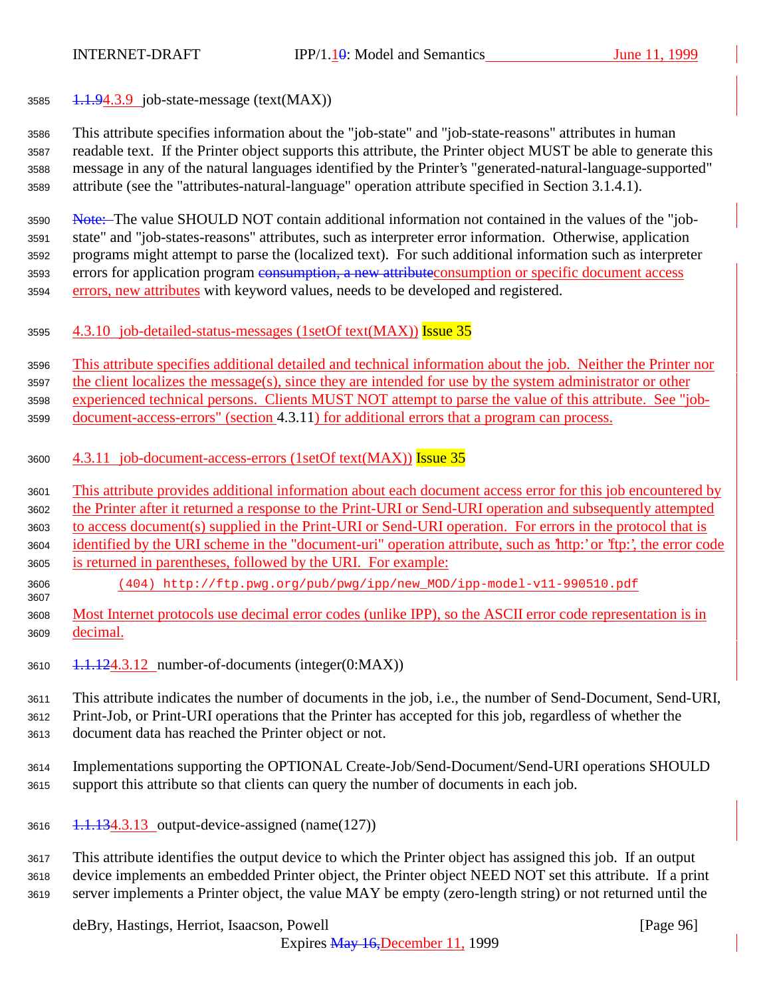3585  $1.1.94.3.9$  job-state-message (text(MAX))

 This attribute specifies information about the "job-state" and "job-state-reasons" attributes in human readable text. If the Printer object supports this attribute, the Printer object MUST be able to generate this message in any of the natural languages identified by the Printer's "generated-natural-language-supported" attribute (see the "attributes-natural-language" operation attribute specified in Section 3.1.4.1).

 Note: The value SHOULD NOT contain additional information not contained in the values of the "job- state" and "job-states-reasons" attributes, such as interpreter error information. Otherwise, application programs might attempt to parse the (localized text). For such additional information such as interpreter 3593 errors for application program consumption, a new attribute consumption or specific document access 3594 errors, new attributes with keyword values, needs to be developed and registered.

4.3.10 job-detailed-status-messages (1setOf text(MAX)) Issue 35

 This attribute specifies additional detailed and technical information about the job. Neither the Printer nor the client localizes the message(s), since they are intended for use by the system administrator or other experienced technical persons. Clients MUST NOT attempt to parse the value of this attribute. See "job-

- document-access-errors" (section 4.3.11) for additional errors that a program can process.
- 3600 4.3.11 job-document-access-errors (1setOf text(MAX)) Issue 35
- This attribute provides additional information about each document access error for this job encountered by the Printer after it returned a response to the Print-URI or Send-URI operation and subsequently attempted
- to access document(s) supplied in the Print-URI or Send-URI operation. For errors in the protocol that is
- identified by the URI scheme in the "document-uri" operation attribute, such as 'http:' or 'ftp:', the error code is returned in parentheses, followed by the URI. For example:
- (404) http://ftp.pwg.org/pub/pwg/ipp/new\_MOD/ipp-model-v11-990510.pdf
- Most Internet protocols use decimal error codes (unlike IPP), so the ASCII error code representation is in decimal.
- $1.1.124.3.12$  number-of-documents (integer(0:MAX))

This attribute indicates the number of documents in the job, i.e., the number of Send-Document, Send-URI,

 Print-Job, or Print-URI operations that the Printer has accepted for this job, regardless of whether the document data has reached the Printer object or not.

- Implementations supporting the OPTIONAL Create-Job/Send-Document/Send-URI operations SHOULD support this attribute so that clients can query the number of documents in each job.
- 1.1.134.3.13 output-device-assigned (name(127))

 This attribute identifies the output device to which the Printer object has assigned this job. If an output device implements an embedded Printer object, the Printer object NEED NOT set this attribute. If a print server implements a Printer object, the value MAY be empty (zero-length string) or not returned until the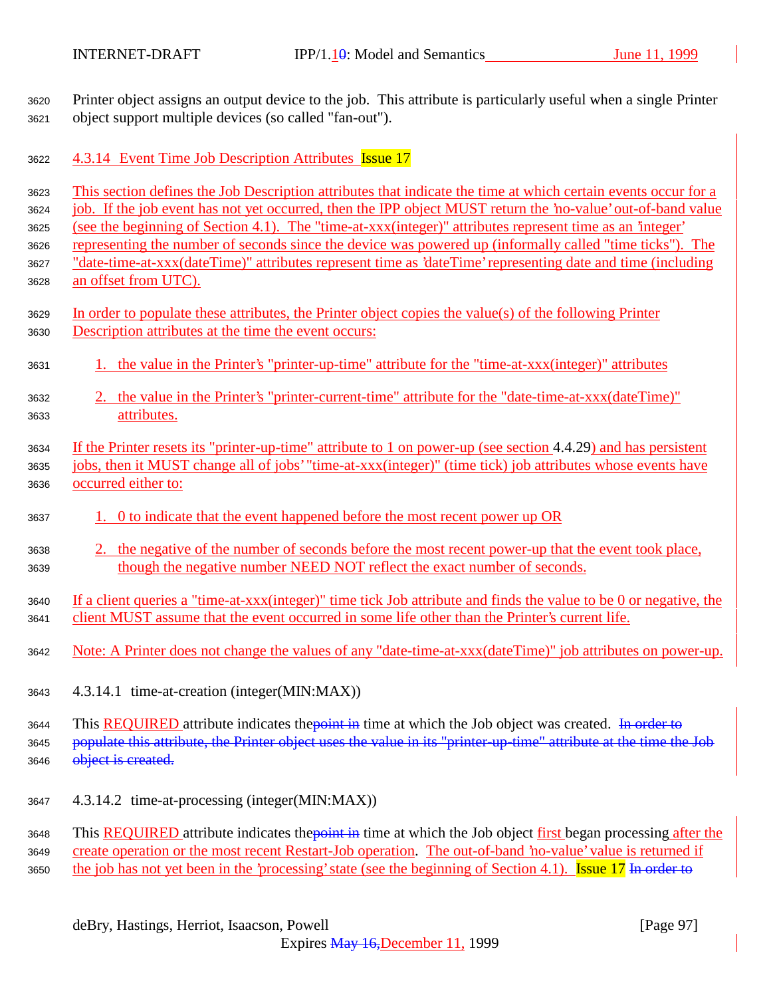Printer object assigns an output device to the job. This attribute is particularly useful when a single Printer object support multiple devices (so called "fan-out").

3622 4.3.14 Event Time Job Description Attributes Issue 17

 This section defines the Job Description attributes that indicate the time at which certain events occur for a job. If the job event has not yet occurred, then the IPP object MUST return the 'no-value' out-of-band value (see the beginning of Section 4.1). The "time-at-xxx(integer)" attributes represent time as an 'integer'

representing the number of seconds since the device was powered up (informally called "time ticks"). The

 "date-time-at-xxx(dateTime)" attributes represent time as 'dateTime' representing date and time (including an offset from UTC).

- In order to populate these attributes, the Printer object copies the value(s) of the following Printer Description attributes at the time the event occurs:
- 1. the value in the Printer's "printer-up-time" attribute for the "time-at-xxx(integer)" attributes
- 2. the value in the Printer's "printer-current-time" attribute for the "date-time-at-xxx(dateTime)" attributes.
- If the Printer resets its "printer-up-time" attribute to 1 on power-up (see section 4.4.29) and has persistent jobs, then it MUST change all of jobs' "time-at-xxx(integer)" (time tick) job attributes whose events have occurred either to:
- 1. 0 to indicate that the event happened before the most recent power up OR
- 2. the negative of the number of seconds before the most recent power-up that the event took place, though the negative number NEED NOT reflect the exact number of seconds.
- If a client queries a "time-at-xxx(integer)" time tick Job attribute and finds the value to be 0 or negative, the client MUST assume that the event occurred in some life other than the Printer's current life.
- Note: A Printer does not change the values of any "date-time-at-xxx(dateTime)" job attributes on power-up.
- 4.3.14.1 time-at-creation (integer(MIN:MAX))
- 3644 This REQUIRED attribute indicates the point in time at which the Job object was created. In order to 3645 populate this attribute, the Printer object uses the value in its "printer-up-time" attribute at the time the Job 3646 object is created.
- 4.3.14.2 time-at-processing (integer(MIN:MAX))

3648 This REQUIRED attribute indicates the point in time at which the Job object first began processing after the 3649 create operation or the most recent Restart-Job operation. The out-of-band 'no-value' value is returned if 3650 the job has not yet been in the 'processing' state (see the beginning of Section 4.1). **Issue 17** In order to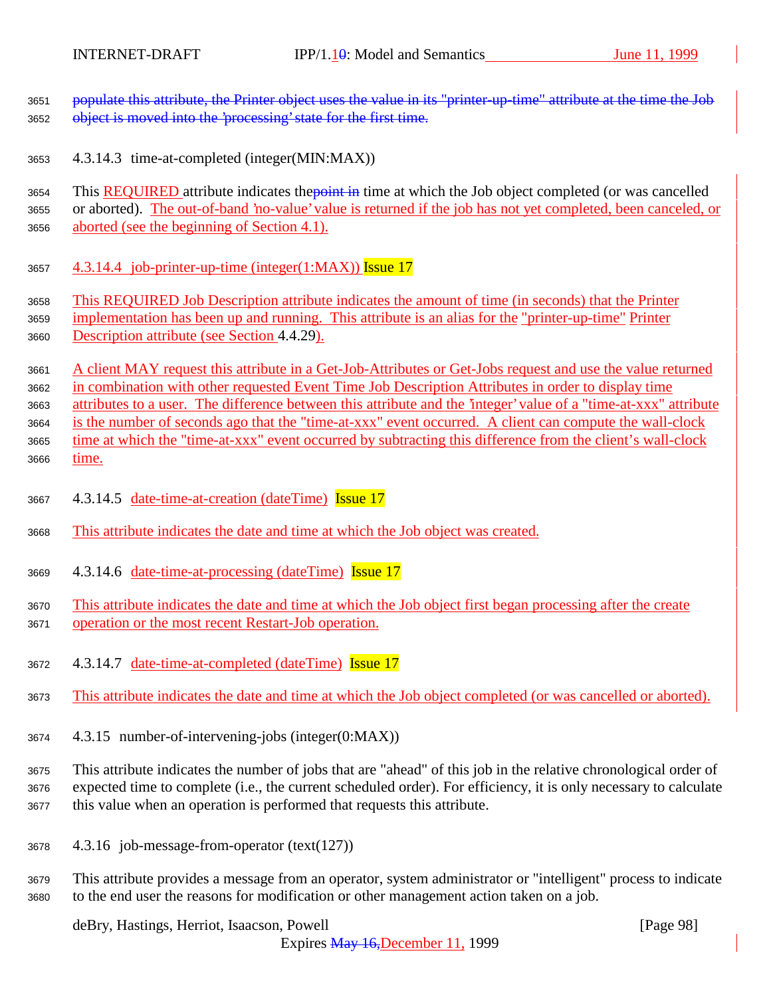populate this attribute, the Printer object uses the value in its "printer-up-time" attribute at the time the Job 3652 object is moved into the 'processing' state for the first time.

4.3.14.3 time-at-completed (integer(MIN:MAX))

3654 This REQUIRED attribute indicates the point in time at which the Job object completed (or was cancelled or aborted). The out-of-band 'no-value' value is returned if the job has not yet completed, been canceled, or aborted (see the beginning of Section 4.1).

3657  $\quad$  4.3.14.4 job-printer-up-time (integer(1:MAX)) Issue 17

This REQUIRED Job Description attribute indicates the amount of time (in seconds) that the Printer

 implementation has been up and running. This attribute is an alias for the "printer-up-time" Printer Description attribute (see Section 4.4.29).

 A client MAY request this attribute in a Get-Job-Attributes or Get-Jobs request and use the value returned in combination with other requested Event Time Job Description Attributes in order to display time

attributes to a user. The difference between this attribute and the 'integer' value of a "time-at-xxx" attribute

 is the number of seconds ago that the "time-at-xxx" event occurred. A client can compute the wall-clock time at which the "time-at-xxx" event occurred by subtracting this difference from the client's wall-clock

time.

- 4.3.14.5 date-time-at-creation (dateTime) Issue 17
- This attribute indicates the date and time at which the Job object was created.
- 4.3.14.6 date-time-at-processing (dateTime) Issue 17

 This attribute indicates the date and time at which the Job object first began processing after the create 3671 operation or the most recent Restart-Job operation.

- 3672 4.3.14.7 date-time-at-completed (dateTime) **Issue 17**
- This attribute indicates the date and time at which the Job object completed (or was cancelled or aborted).
- 4.3.15 number-of-intervening-jobs (integer(0:MAX))

 This attribute indicates the number of jobs that are "ahead" of this job in the relative chronological order of expected time to complete (i.e., the current scheduled order). For efficiency, it is only necessary to calculate this value when an operation is performed that requests this attribute.

- 4.3.16 job-message-from-operator (text(127))
- This attribute provides a message from an operator, system administrator or "intelligent" process to indicate to the end user the reasons for modification or other management action taken on a job.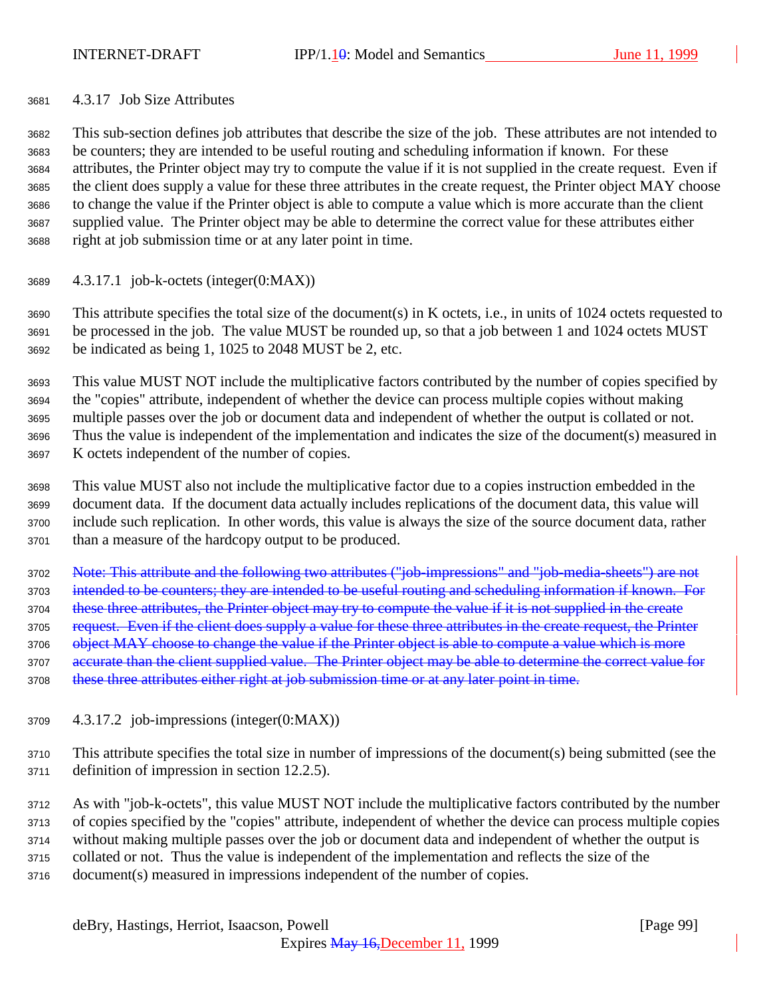### 4.3.17 Job Size Attributes

 This sub-section defines job attributes that describe the size of the job. These attributes are not intended to be counters; they are intended to be useful routing and scheduling information if known. For these attributes, the Printer object may try to compute the value if it is not supplied in the create request. Even if the client does supply a value for these three attributes in the create request, the Printer object MAY choose to change the value if the Printer object is able to compute a value which is more accurate than the client supplied value. The Printer object may be able to determine the correct value for these attributes either right at job submission time or at any later point in time.

4.3.17.1 job-k-octets (integer(0:MAX))

 This attribute specifies the total size of the document(s) in K octets, i.e., in units of 1024 octets requested to be processed in the job. The value MUST be rounded up, so that a job between 1 and 1024 octets MUST be indicated as being 1, 1025 to 2048 MUST be 2, etc.

 This value MUST NOT include the multiplicative factors contributed by the number of copies specified by the "copies" attribute, independent of whether the device can process multiple copies without making multiple passes over the job or document data and independent of whether the output is collated or not. Thus the value is independent of the implementation and indicates the size of the document(s) measured in K octets independent of the number of copies.

 This value MUST also not include the multiplicative factor due to a copies instruction embedded in the document data. If the document data actually includes replications of the document data, this value will include such replication. In other words, this value is always the size of the source document data, rather than a measure of the hardcopy output to be produced.

 Note: This attribute and the following two attributes ("job-impressions" and "job-media-sheets") are not 3703 intended to be counters; they are intended to be useful routing and scheduling information if known. For 3704 these three attributes, the Printer object may try to compute the value if it is not supplied in the create 3705 request. Even if the client does supply a value for these three attributes in the create request, the Printer 3706 object MAY choose to change the value if the Printer object is able to compute a value which is more 3707 accurate than the client supplied value. The Printer object may be able to determine the correct value for 3708 these three attributes either right at job submission time or at any later point in time.

4.3.17.2 job-impressions (integer(0:MAX))

 This attribute specifies the total size in number of impressions of the document(s) being submitted (see the definition of impression in section 12.2.5).

 As with "job-k-octets", this value MUST NOT include the multiplicative factors contributed by the number of copies specified by the "copies" attribute, independent of whether the device can process multiple copies without making multiple passes over the job or document data and independent of whether the output is collated or not. Thus the value is independent of the implementation and reflects the size of the document(s) measured in impressions independent of the number of copies.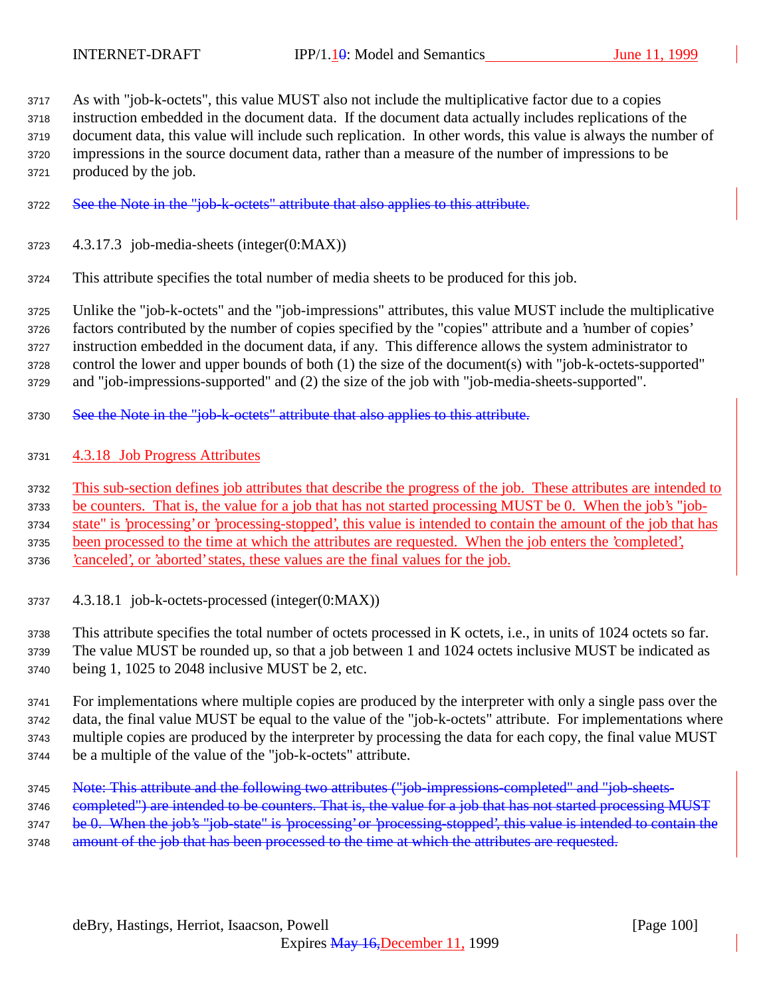As with "job-k-octets", this value MUST also not include the multiplicative factor due to a copies instruction embedded in the document data. If the document data actually includes replications of the document data, this value will include such replication. In other words, this value is always the number of impressions in the source document data, rather than a measure of the number of impressions to be produced by the job.

- See the Note in the "job-k-octets" attribute that also applies to this attribute.
- 4.3.17.3 job-media-sheets (integer(0:MAX))
- This attribute specifies the total number of media sheets to be produced for this job.

 Unlike the "job-k-octets" and the "job-impressions" attributes, this value MUST include the multiplicative factors contributed by the number of copies specified by the "copies" attribute and a 'number of copies' instruction embedded in the document data, if any. This difference allows the system administrator to control the lower and upper bounds of both (1) the size of the document(s) with "job-k-octets-supported" and "job-impressions-supported" and (2) the size of the job with "job-media-sheets-supported".

- 3730 See the Note in the "job-k-octets" attribute that also applies to this attribute.
- 4.3.18 Job Progress Attributes

This sub-section defines job attributes that describe the progress of the job. These attributes are intended to

be counters. That is, the value for a job that has not started processing MUST be 0. When the job's "job-

state" is 'processing' or 'processing-stopped', this value is intended to contain the amount of the job that has

been processed to the time at which the attributes are requested. When the job enters the 'completed',

'canceled', or 'aborted' states, these values are the final values for the job.

4.3.18.1 job-k-octets-processed (integer(0:MAX))

 This attribute specifies the total number of octets processed in K octets, i.e., in units of 1024 octets so far. The value MUST be rounded up, so that a job between 1 and 1024 octets inclusive MUST be indicated as being 1, 1025 to 2048 inclusive MUST be 2, etc.

 For implementations where multiple copies are produced by the interpreter with only a single pass over the data, the final value MUST be equal to the value of the "job-k-octets" attribute. For implementations where multiple copies are produced by the interpreter by processing the data for each copy, the final value MUST be a multiple of the value of the "job-k-octets" attribute.

- Note: This attribute and the following two attributes ("job-impressions-completed" and "job-sheets-
- 3746 completed") are intended to be counters. That is, the value for a job that has not started processing MUST
- 3747 be 0. When the job's "job-state" is 'processing' or 'processing-stopped', this value is intended to contain the
- 3748 amount of the job that has been processed to the time at which the attributes are requested.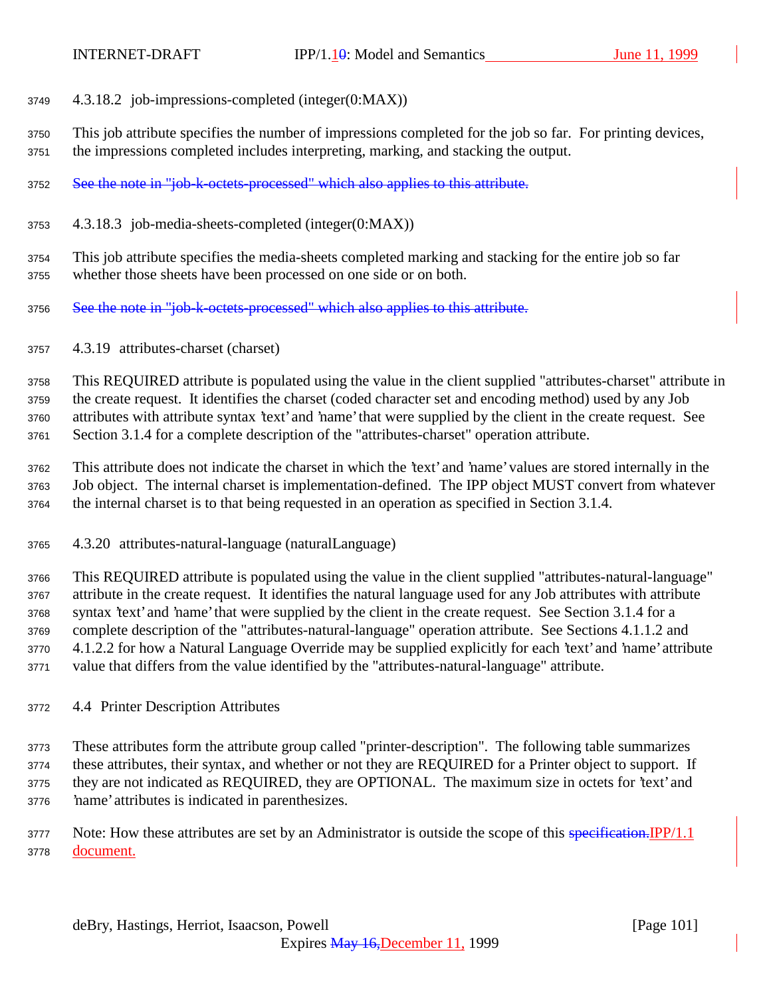- 4.3.18.2 job-impressions-completed (integer(0:MAX))
- This job attribute specifies the number of impressions completed for the job so far. For printing devices, the impressions completed includes interpreting, marking, and stacking the output.
- See the note in "job-k-octets-processed" which also applies to this attribute.
- 4.3.18.3 job-media-sheets-completed (integer(0:MAX))

 This job attribute specifies the media-sheets completed marking and stacking for the entire job so far whether those sheets have been processed on one side or on both.

- 3756 See the note in "job-k-octets-processed" which also applies to this attribute.
- 4.3.19 attributes-charset (charset)

 This REQUIRED attribute is populated using the value in the client supplied "attributes-charset" attribute in the create request. It identifies the charset (coded character set and encoding method) used by any Job attributes with attribute syntax 'text' and 'name' that were supplied by the client in the create request. See Section 3.1.4 for a complete description of the "attributes-charset" operation attribute.

 This attribute does not indicate the charset in which the 'text' and 'name' values are stored internally in the Job object. The internal charset is implementation-defined. The IPP object MUST convert from whatever the internal charset is to that being requested in an operation as specified in Section 3.1.4.

4.3.20 attributes-natural-language (naturalLanguage)

 This REQUIRED attribute is populated using the value in the client supplied "attributes-natural-language" attribute in the create request. It identifies the natural language used for any Job attributes with attribute syntax 'text' and 'name' that were supplied by the client in the create request. See Section 3.1.4 for a complete description of the "attributes-natural-language" operation attribute. See Sections 4.1.1.2 and 4.1.2.2 for how a Natural Language Override may be supplied explicitly for each 'text' and 'name' attribute value that differs from the value identified by the "attributes-natural-language" attribute.

4.4 Printer Description Attributes

 These attributes form the attribute group called "printer-description". The following table summarizes these attributes, their syntax, and whether or not they are REQUIRED for a Printer object to support. If they are not indicated as REQUIRED, they are OPTIONAL. The maximum size in octets for 'text' and 'name' attributes is indicated in parenthesizes.

3777 Note: How these attributes are set by an Administrator is outside the scope of this specification. IPP/1.1 document.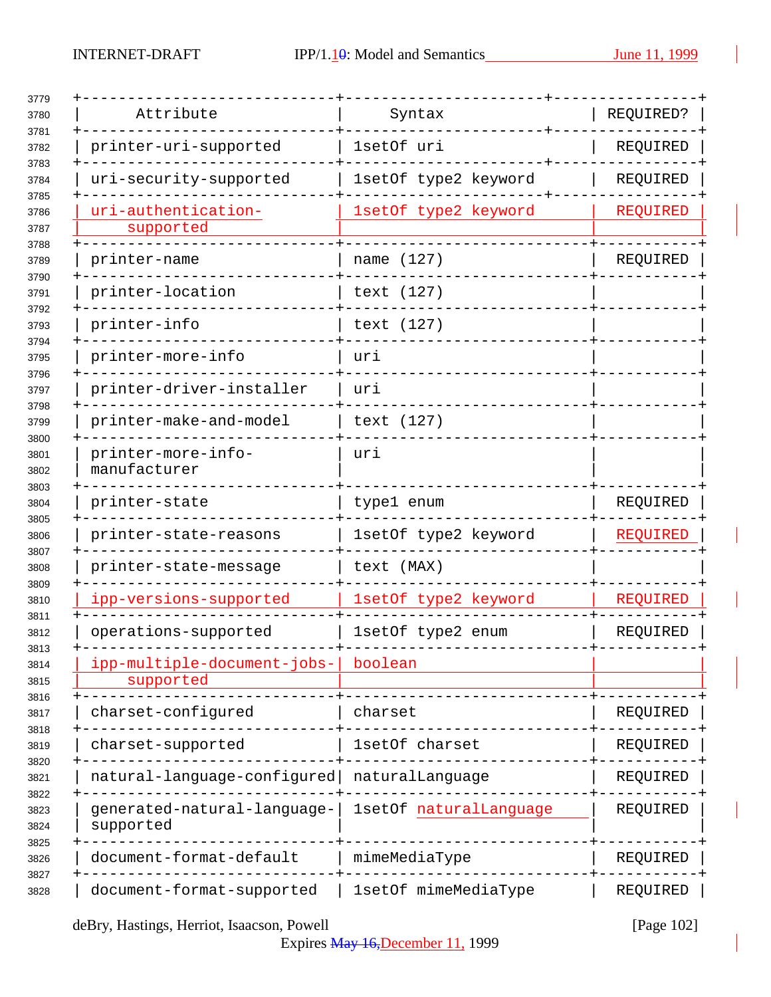| Attribute                                |                        |           |
|------------------------------------------|------------------------|-----------|
|                                          | Syntax                 | REQUIRED? |
| printer-uri-supported                    | 1setOf uri             | REQUIRED  |
| uri-security-supported                   | 1setOf type2 keyword   | REQUIRED  |
| uri-authentication-<br>supported         | 1setOf type2 keyword   | REQUIRED  |
|                                          |                        |           |
| printer-name                             | name (127)             | REQUIRED  |
| printer-location                         | text (127)             |           |
| printer-info                             | text (127)             |           |
| printer-more-info                        | uri                    |           |
| printer-driver-installer                 | uri                    |           |
| printer-make-and-model                   | text (127)             |           |
| printer-more-info-<br>manufacturer       | uri                    |           |
| printer-state                            | type1 enum             | REQUIRED  |
| printer-state-reasons                    | 1setOf type2 keyword   | REQUIRED  |
| printer-state-message                    | text (MAX)             |           |
| ipp-versions-supported                   | 1setOf type2 keyword   | REQUIRED  |
| operations-supported                     | 1setOf type2 enum      | REQUIRED  |
| ipp-multiple-document-jobs-              | boolean                |           |
| supported                                |                        |           |
| charset-configured                       | charset                | REQUIRED  |
| charset-supported                        | 1setOf charset         | REQUIRED  |
| natural-language-configured              | naturalLanguage        | REQUIRED  |
| generated-natural-language-<br>supported | 1setOf naturalLanguage | REQUIRED  |
| document-format-default                  | mimeMediaType          | REQUIRED  |
| document-format-supported                | 1setOf mimeMediaType   | REQUIRED  |

deBry, Hastings, Herriot, Isaacson, Powell [Page 102]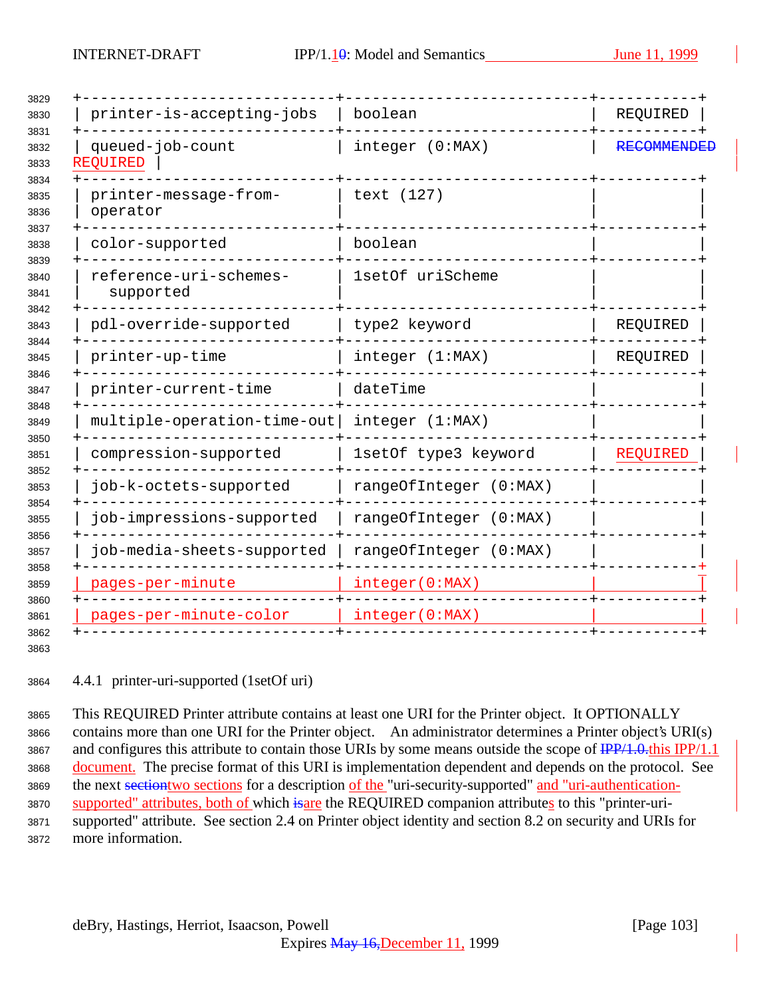| printer-is-accepting-jobs           | boolean                | REQUIRED           |
|-------------------------------------|------------------------|--------------------|
| queued-job-count<br><b>REQUIRED</b> | integer (0:MAX)        | <b>RECOMMENDEI</b> |
| printer-message-from-<br>operator   | text (127)             |                    |
| color-supported                     | boolean                |                    |
| reference-uri-schemes-<br>supported | 1setOf uriScheme       |                    |
| pdl-override-supported              | type2 keyword          | REQUIRED           |
| printer-up-time                     | integer (1:MAX)        | REQUIRED           |
| printer-current-time                | dateTime               |                    |
| multiple-operation-time-out         | integer (1:MAX)        |                    |
| compression-supported               | 1setOf type3 keyword   | <b>REQUIRED</b>    |
| job-k-octets-supported              | rangeOfInteger (0:MAX) |                    |
| job-impressions-supported           | rangeOfInteger (0:MAX) |                    |
| job-media-sheets-supported          | rangeOfInteger (0:MAX) |                    |
| pages-per-minute                    | integer(0:MAX)         |                    |
| pages-per-minute-color              | integer(0:MAX)         |                    |

4.4.1 printer-uri-supported (1setOf uri)

 This REQUIRED Printer attribute contains at least one URI for the Printer object. It OPTIONALLY contains more than one URI for the Printer object. An administrator determines a Printer object's URI(s) 3867 and configures this attribute to contain those URIs by some means outside the scope of  $\frac{IPP}{1.0.0}$ this IPP/1.1 document. The precise format of this URI is implementation dependent and depends on the protocol. See 3869 the next section two sections for a description of the "uri-security-supported" and "uri-authentication-3870 supported" attributes, both of which is are the REQUIRED companion attributes to this "printer-uri- supported" attribute. See section 2.4 on Printer object identity and section 8.2 on security and URIs for more information.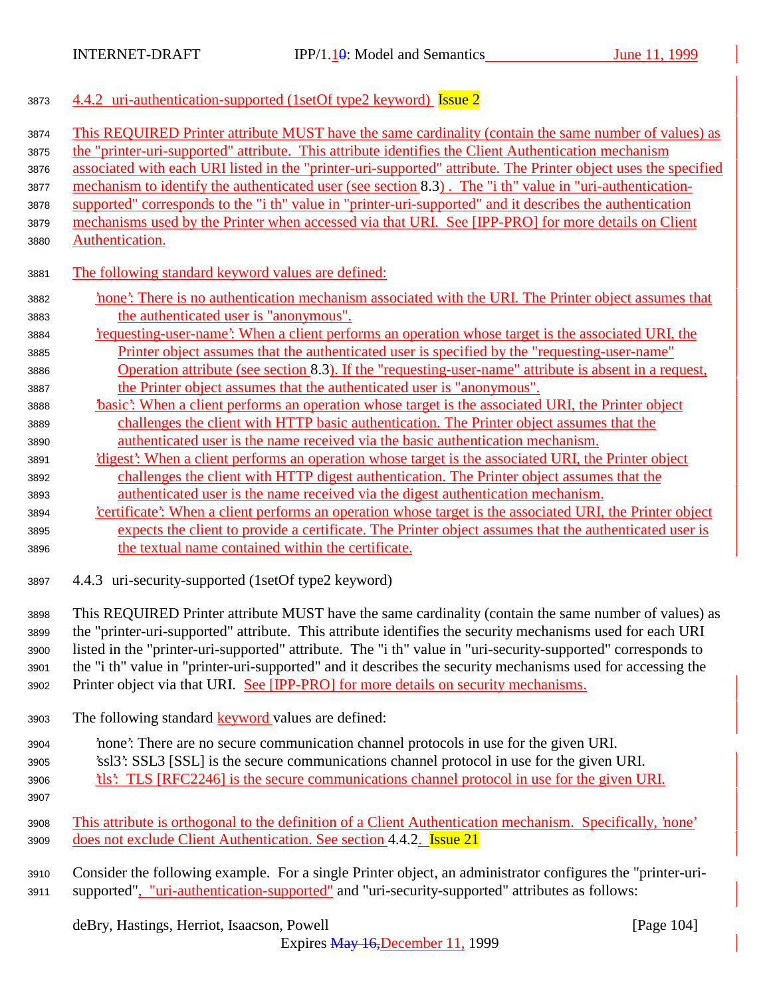| 3873 | 4.4.2 uri-authentication-supported (1setOf type2 keyword) Issue 2 |  |
|------|-------------------------------------------------------------------|--|
|      |                                                                   |  |

| 3874 | This REQUIRED Printer attribute MUST have the same cardinality (contain the same number of values) as           |
|------|-----------------------------------------------------------------------------------------------------------------|
| 3875 | the "printer-uri-supported" attribute. This attribute identifies the Client Authentication mechanism            |
| 3876 | associated with each URI listed in the "printer-uri-supported" attribute. The Printer object uses the specified |
| 3877 | mechanism to identify the authenticated user (see section 8.3). The "i th" value in "uri-authentication-        |
| 3878 | supported" corresponds to the "i th" value in "printer-uri-supported" and it describes the authentication       |
| 3879 | mechanisms used by the Printer when accessed via that URI. See [IPP-PRO] for more details on Client             |
| 3880 | Authentication.                                                                                                 |
| 3881 | The following standard keyword values are defined:                                                              |
| 3882 | none': There is no authentication mechanism associated with the URI. The Printer object assumes that            |
| 3883 | the authenticated user is "anonymous".                                                                          |
| 3884 | requesting-user-name? When a client performs an operation whose target is the associated URI, the               |
| 3885 | Printer object assumes that the authenticated user is specified by the "requesting-user-name"                   |
| 3886 | Operation attribute (see section 8.3). If the "requesting-user-name" attribute is absent in a request,          |
| 3887 | the Printer object assumes that the authenticated user is "anonymous".                                          |
| 3888 | basic': When a client performs an operation whose target is the associated URI, the Printer object              |
| 3889 | challenges the client with HTTP basic authentication. The Printer object assumes that the                       |
| 3890 | authenticated user is the name received via the basic authentication mechanism.                                 |
| 3891 | 'digest': When a client performs an operation whose target is the associated URI, the Printer object            |
| 3892 | challenges the client with HTTP digest authentication. The Printer object assumes that the                      |
| 3893 | authenticated user is the name received via the digest authentication mechanism.                                |
| 3894 | certificate': When a client performs an operation whose target is the associated URI, the Printer object        |
| 3895 | expects the client to provide a certificate. The Printer object assumes that the authenticated user is          |
| 3896 | the textual name contained within the certificate.                                                              |
|      |                                                                                                                 |
| 3897 | 4.4.3 uri-security-supported (1setOf type2 keyword)                                                             |
| 3898 | This REQUIRED Printer attribute MUST have the same cardinality (contain the same number of values) as           |
| 3899 | the "printer-uri-supported" attribute. This attribute identifies the security mechanisms used for each URI      |
| 3900 | listed in the "printer-uri-supported" attribute. The "i th" value in "uri-security-supported" corresponds to    |
| 3901 | the "i th" value in "printer-uri-supported" and it describes the security mechanisms used for accessing the     |
| 3902 | Printer object via that URI. See [IPP-PRO] for more details on security mechanisms.                             |
| 3903 | The following standard <b>keyword</b> values are defined:                                                       |
|      |                                                                                                                 |
| 3904 | none': There are no secure communication channel protocols in use for the given URI.                            |
| 3905 | 'ssl3': SSL3 [SSL] is the secure communications channel protocol in use for the given URI.                      |
| 3906 | the this?: TLS [RFC2246] is the secure communications channel protocol in use for the given URI.                |
| 3907 |                                                                                                                 |
| 3908 | This attribute is orthogonal to the definition of a Client Authentication mechanism. Specifically, 'none'       |
| 3909 | does not exclude Client Authentication. See section 4.4.2. Issue 21                                             |
|      |                                                                                                                 |
| 3910 | Consider the following example. For a single Printer object, an administrator configures the "printer-uri-      |
| 3911 | supported", "uri-authentication-supported" and "uri-security-supported" attributes as follows:                  |

deBry, Hastings, Herriot, Isaacson, Powell [Page 104]

Expires May 16,December 11, 1999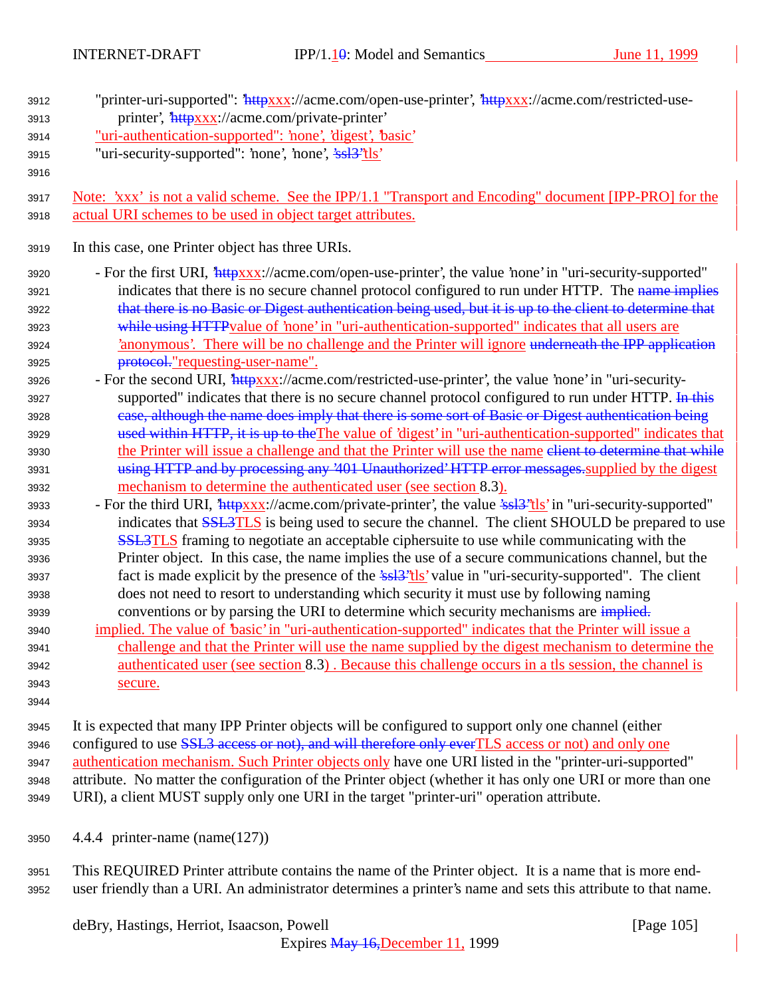| 3912 | "printer-uri-supported": "httpxxx://acme.com/open-use-printer', "httpxxx://acme.com/restricted-use-<br>printer', 'httpxxx://acme.com/private-printer' |
|------|-------------------------------------------------------------------------------------------------------------------------------------------------------|
| 3913 | "uri-authentication-supported": 'none', 'digest', 'basic'                                                                                             |
| 3914 | "uri-security-supported": 'none', 'none', 'ssl <sup>3''tls'</sup>                                                                                     |
| 3915 |                                                                                                                                                       |
| 3916 |                                                                                                                                                       |
| 3917 | Note: 'xxx' is not a valid scheme. See the IPP/1.1 "Transport and Encoding" document [IPP-PRO] for the                                                |
| 3918 | actual URI schemes to be used in object target attributes.                                                                                            |
| 3919 | In this case, one Printer object has three URIs.                                                                                                      |
| 3920 | - For the first URI, <i>httpxxx://acme.com/open-use-printer'</i> , the value 'none' in "uri-security-supported"                                       |
| 3921 | indicates that there is no secure channel protocol configured to run under HTTP. The name implies                                                     |
| 3922 | that there is no Basic or Digest authentication being used, but it is up to the client to determine that                                              |
| 3923 | while using HTTP value of 'none' in "uri-authentication-supported" indicates that all users are                                                       |
| 3924 | 'anonymous'. There will be no challenge and the Printer will ignore underneath the IPP application                                                    |
| 3925 | protocol."requesting-user-name".                                                                                                                      |
| 3926 | - For the second URI, <i>httpxxx</i> ://acme.com/restricted-use-printer', the value 'none' in "uri-security-                                          |
| 3927 | supported" indicates that there is no secure channel protocol configured to run under HTTP. In this                                                   |
| 3928 | case, although the name does imply that there is some sort of Basic or Digest authentication being                                                    |
| 3929 | used within HTTP, it is up to the The value of 'digest' in "uri-authentication-supported" indicates that                                              |
| 3930 | the Printer will issue a challenge and that the Printer will use the name elient to determine that while                                              |
| 3931 | using HTTP and by processing any '401 Unauthorized' HTTP error messages supplied by the digest                                                        |
| 3932 | mechanism to determine the authenticated user (see section 8.3).                                                                                      |
| 3933 | - For the third URI, <i>'httpxxx</i> ://acme.com/private-printer', the value 'ssl <sup>3"</sup> tls' in "uri-security-supported"                      |
| 3934 | indicates that <b>SSL3TLS</b> is being used to secure the channel. The client SHOULD be prepared to use                                               |
| 3935 | <b>SSL3TLS</b> framing to negotiate an acceptable ciphersuite to use while communicating with the                                                     |
| 3936 | Printer object. In this case, the name implies the use of a secure communications channel, but the                                                    |
| 3937 | fact is made explicit by the presence of the $\frac{2\cdot s}{s}$ value in "uri-security-supported". The client                                       |
| 3938 | does not need to resort to understanding which security it must use by following naming                                                               |
| 3939 | conventions or by parsing the URI to determine which security mechanisms are implied.                                                                 |
| 3940 | implied. The value of 'basic' in "uri-authentication-supported" indicates that the Printer will issue a                                               |
| 3941 | challenge and that the Printer will use the name supplied by the digest mechanism to determine the                                                    |
| 3942 | authenticated user (see section 8.3). Because this challenge occurs in a tls session, the channel is                                                  |
| 3943 | secure.                                                                                                                                               |
| 3944 |                                                                                                                                                       |
| 3945 | It is expected that many IPP Printer objects will be configured to support only one channel (either                                                   |

3946 configured to use **SSL3** access or not), and will therefore only ever TLS access or not) and only one 3947 authentication mechanism. Such Printer objects only have one URI listed in the "printer-uri-supported" <sup>3948</sup> attribute. No matter the configuration of the Printer object (whether it has only one URI or more than one <sup>3949</sup> URI), a client MUST supply only one URI in the target "printer-uri" operation attribute.

<sup>3950</sup> 4.4.4 printer-name (name(127))

<sup>3951</sup> This REQUIRED Printer attribute contains the name of the Printer object. It is a name that is more end-<sup>3952</sup> user friendly than a URI. An administrator determines a printer's name and sets this attribute to that name.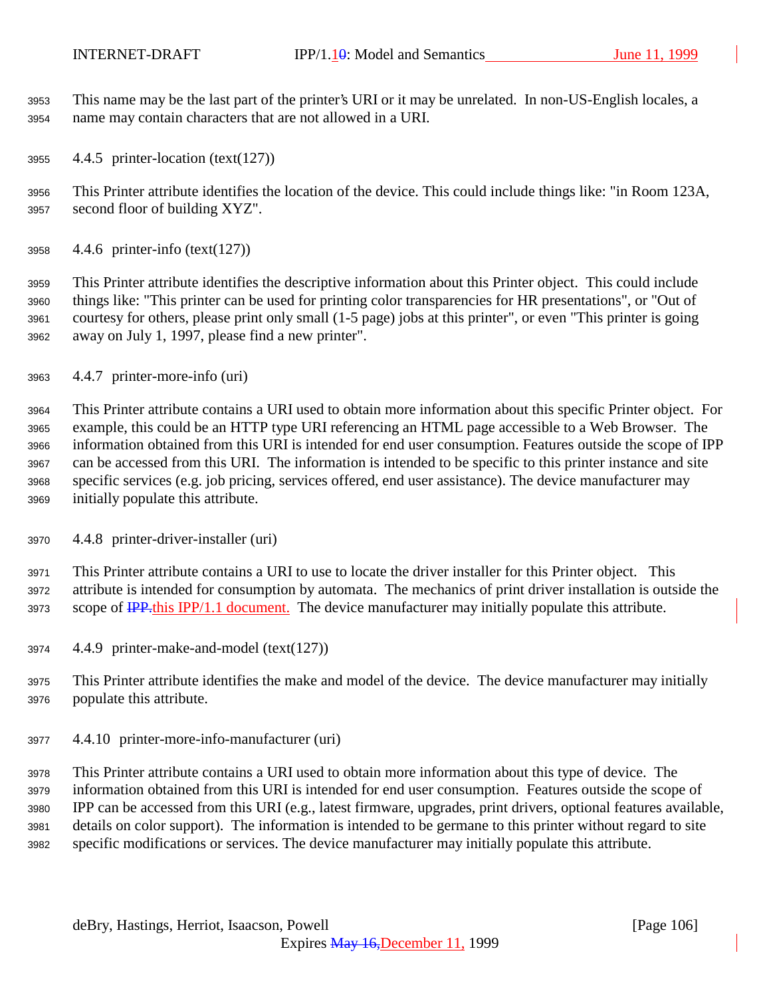This name may be the last part of the printer's URI or it may be unrelated. In non-US-English locales, a name may contain characters that are not allowed in a URI.

4.4.5 printer-location (text(127))

 This Printer attribute identifies the location of the device. This could include things like: "in Room 123A, second floor of building XYZ".

4.4.6 printer-info (text(127))

 This Printer attribute identifies the descriptive information about this Printer object. This could include things like: "This printer can be used for printing color transparencies for HR presentations", or "Out of courtesy for others, please print only small (1-5 page) jobs at this printer", or even "This printer is going away on July 1, 1997, please find a new printer".

4.4.7 printer-more-info (uri)

 This Printer attribute contains a URI used to obtain more information about this specific Printer object. For example, this could be an HTTP type URI referencing an HTML page accessible to a Web Browser. The information obtained from this URI is intended for end user consumption. Features outside the scope of IPP can be accessed from this URI. The information is intended to be specific to this printer instance and site specific services (e.g. job pricing, services offered, end user assistance). The device manufacturer may initially populate this attribute.

4.4.8 printer-driver-installer (uri)

 This Printer attribute contains a URI to use to locate the driver installer for this Printer object. This attribute is intended for consumption by automata. The mechanics of print driver installation is outside the 3973 scope of IPP.this IPP/1.1 document. The device manufacturer may initially populate this attribute.

- 4.4.9 printer-make-and-model (text(127))
- This Printer attribute identifies the make and model of the device. The device manufacturer may initially populate this attribute.
- 4.4.10 printer-more-info-manufacturer (uri)

 This Printer attribute contains a URI used to obtain more information about this type of device. The information obtained from this URI is intended for end user consumption. Features outside the scope of IPP can be accessed from this URI (e.g., latest firmware, upgrades, print drivers, optional features available, details on color support). The information is intended to be germane to this printer without regard to site specific modifications or services. The device manufacturer may initially populate this attribute.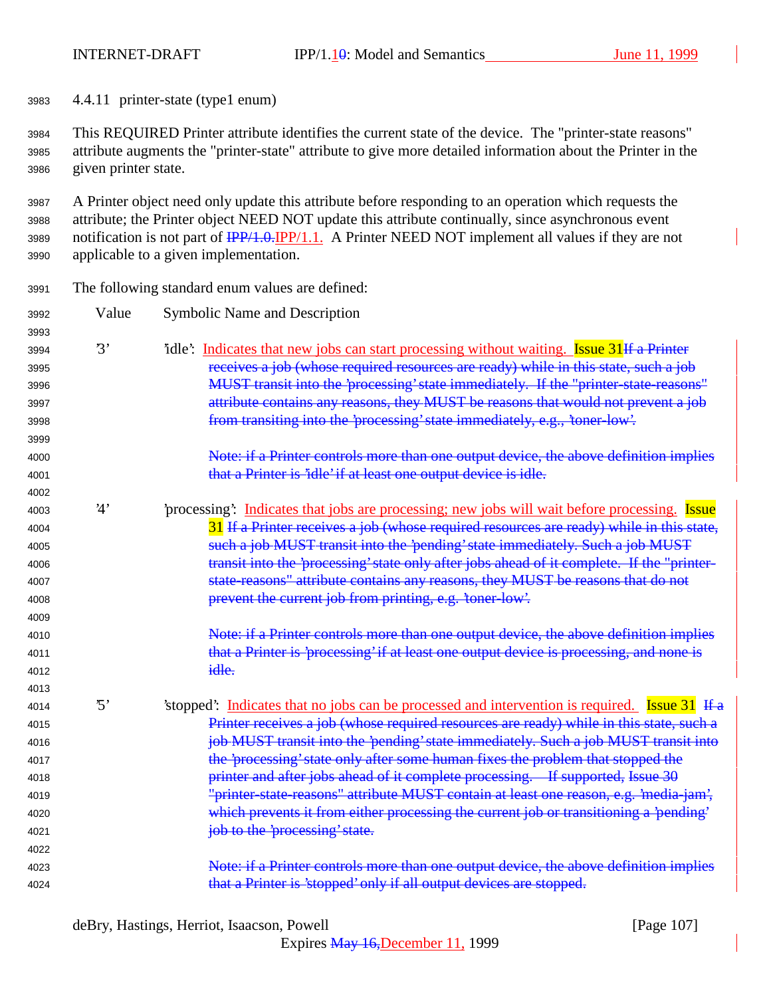4.4.11 printer-state (type1 enum)

 This REQUIRED Printer attribute identifies the current state of the device. The "printer-state reasons" attribute augments the "printer-state" attribute to give more detailed information about the Printer in the given printer state.

 A Printer object need only update this attribute before responding to an operation which requests the attribute; the Printer object NEED NOT update this attribute continually, since asynchronous event notification is not part of IPP/1.0.IPP/1.1. A Printer NEED NOT implement all values if they are not applicable to a given implementation.

| 3991 |            | The following standard enum values are defined:                                                |
|------|------------|------------------------------------------------------------------------------------------------|
| 3992 | Value      | <b>Symbolic Name and Description</b>                                                           |
| 3993 |            |                                                                                                |
| 3994 | 3'         | idle: Indicates that new jobs can start processing without waiting. Issue 31 If a Printer      |
| 3995 |            | receives a job (whose required resources are ready) while in this state, such a job            |
| 3996 |            | MUST transit into the 'processing' state immediately. If the "printer-state-reasons"           |
| 3997 |            | attribute contains any reasons, they MUST be reasons that would not prevent a job              |
| 3998 |            | from transiting into the 'processing' state immediately, e.g., 'toner-low'.                    |
| 3999 |            |                                                                                                |
| 4000 |            | Note: if a Printer controls more than one output device, the above definition implies          |
| 4001 |            | that a Printer is 'idle' if at least one output device is idle.                                |
| 4002 |            |                                                                                                |
| 4003 | 4'         | processing: Indicates that jobs are processing; new jobs will wait before processing. Issue    |
| 4004 |            | 31 If a Printer receives a job (whose required resources are ready) while in this state,       |
| 4005 |            | such a job MUST transit into the 'pending' state immediately. Such a job MUST                  |
| 4006 |            | transit into the 'processing' state only after jobs ahead of it complete. If the "printer-     |
| 4007 |            | state reasons" attribute contains any reasons, they MUST be reasons that do not                |
| 4008 |            | prevent the current job from printing, e.g. 'toner-low'.                                       |
| 4009 |            |                                                                                                |
| 4010 |            | Note: if a Printer controls more than one output device, the above definition implies          |
| 4011 |            | that a Printer is 'processing' if at least one output device is processing, and none is        |
| 4012 |            | idle.                                                                                          |
| 4013 |            |                                                                                                |
| 4014 | $\cdot$ 5' | 'stopped': Indicates that no jobs can be processed and intervention is required. Issue 31 If a |
| 4015 |            | Printer receives a job (whose required resources are ready) while in this state, such a        |
| 4016 |            | job MUST transit into the 'pending' state immediately. Such a job MUST transit into            |
| 4017 |            | the 'processing' state only after some human fixes the problem that stopped the                |
| 4018 |            | printer and after jobs ahead of it complete processing. If supported, Issue 30                 |
| 4019 |            | "printer-state-reasons" attribute MUST contain at least one reason, e.g. 'media-jam',          |
| 4020 |            | which prevents it from either processing the current job or transitioning a 'pending'          |
| 4021 |            | job to the 'processing' state.                                                                 |
| 4022 |            |                                                                                                |
| 4023 |            | Note: if a Printer controls more than one output device, the above definition implies          |
| 4024 |            | that a Printer is 'stopped' only if all output devices are stopped.                            |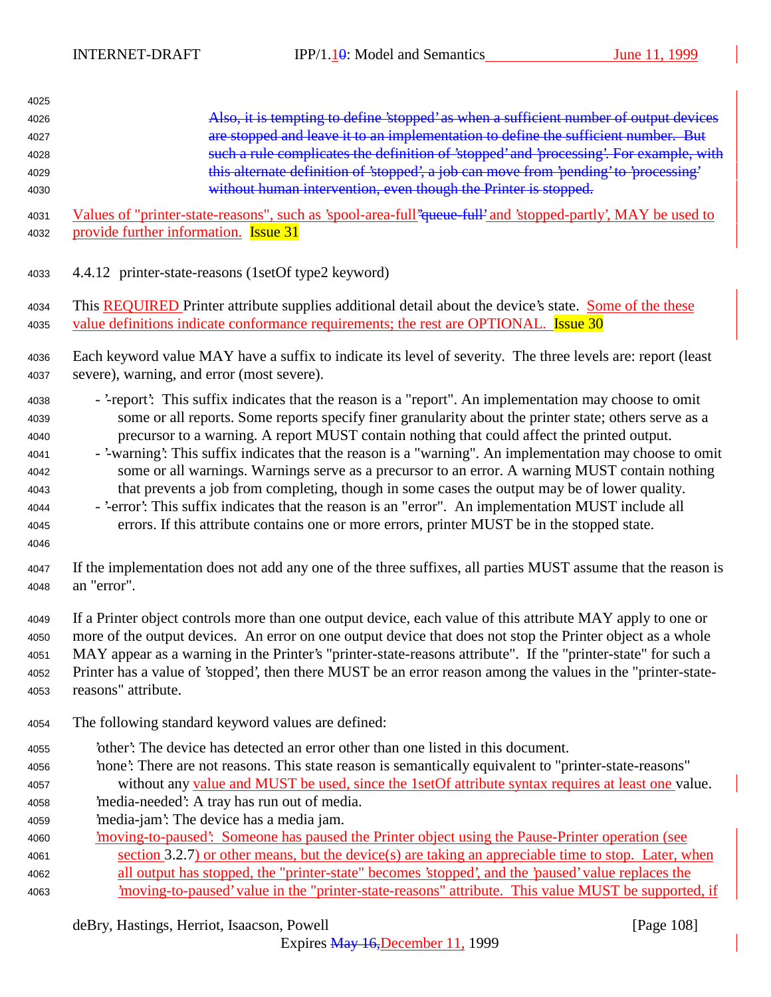| Also, it is tempting to define 'stopped' as when a sufficient number of output devices<br>are stopped and leave it to an implementation to define the sufficient number. But<br>such a rule complicates the definition of 'stopped' and 'processing'. For example, with<br>this alternate definition of 'stopped', a job can move from 'pending' to 'processing'<br>without human intervention, even though the Printer is stopped.<br>Values of "printer-state-reasons", such as 'spool-area-full" queue-full' and 'stopped-partly', MAY be used to<br>provide further information. <b>Issue 31</b>                                                                                                                                                                                                                                   |
|----------------------------------------------------------------------------------------------------------------------------------------------------------------------------------------------------------------------------------------------------------------------------------------------------------------------------------------------------------------------------------------------------------------------------------------------------------------------------------------------------------------------------------------------------------------------------------------------------------------------------------------------------------------------------------------------------------------------------------------------------------------------------------------------------------------------------------------|
| 4.4.12 printer-state-reasons (1setOf type2 keyword)                                                                                                                                                                                                                                                                                                                                                                                                                                                                                                                                                                                                                                                                                                                                                                                    |
| This <b>REQUIRED</b> Printer attribute supplies additional detail about the device's state. Some of the these<br>value definitions indicate conformance requirements; the rest are OPTIONAL. Issue 30                                                                                                                                                                                                                                                                                                                                                                                                                                                                                                                                                                                                                                  |
| Each keyword value MAY have a suffix to indicate its level of severity. The three levels are: report (least<br>severe), warning, and error (most severe).                                                                                                                                                                                                                                                                                                                                                                                                                                                                                                                                                                                                                                                                              |
| - '-report': This suffix indicates that the reason is a "report". An implementation may choose to omit<br>some or all reports. Some reports specify finer granularity about the printer state; others serve as a<br>precursor to a warning. A report MUST contain nothing that could affect the printed output.<br>- '-warning': This suffix indicates that the reason is a "warning". An implementation may choose to omit<br>some or all warnings. Warnings serve as a precursor to an error. A warning MUST contain nothing<br>that prevents a job from completing, though in some cases the output may be of lower quality.<br>- '-error': This suffix indicates that the reason is an "error". An implementation MUST include all<br>errors. If this attribute contains one or more errors, printer MUST be in the stopped state. |
| If the implementation does not add any one of the three suffixes, all parties MUST assume that the reason is<br>an "error".                                                                                                                                                                                                                                                                                                                                                                                                                                                                                                                                                                                                                                                                                                            |
| If a Printer object controls more than one output device, each value of this attribute MAY apply to one or<br>more of the output devices. An error on one output device that does not stop the Printer object as a whole<br>MAY appear as a warning in the Printer's "printer-state-reasons attribute". If the "printer-state" for such a<br>Printer has a value of 'stopped', then there MUST be an error reason among the values in the "printer-state-<br>reasons" attribute.                                                                                                                                                                                                                                                                                                                                                       |
| The following standard keyword values are defined:                                                                                                                                                                                                                                                                                                                                                                                                                                                                                                                                                                                                                                                                                                                                                                                     |
| other': The device has detected an error other than one listed in this document.<br>'none': There are not reasons. This state reason is semantically equivalent to "printer-state-reasons"<br>without any value and MUST be used, since the 1setOf attribute syntax requires at least one value.<br>'media-needed': A tray has run out of media.<br>'media-jam': The device has a media jam.<br>imoving-to-paused: Someone has paused the Printer object using the Pause-Printer operation (see<br>section 3.2.7) or other means, but the device(s) are taking an appreciable time to stop. Later, when<br>all output has stopped, the "printer-state" becomes 'stopped', and the 'paused' value replaces the<br>moving-to-paused' value in the "printer-state-reasons" attribute. This value MUST be supported, if                    |
|                                                                                                                                                                                                                                                                                                                                                                                                                                                                                                                                                                                                                                                                                                                                                                                                                                        |

deBry, Hastings, Herriot, Isaacson, Powell [Page 108]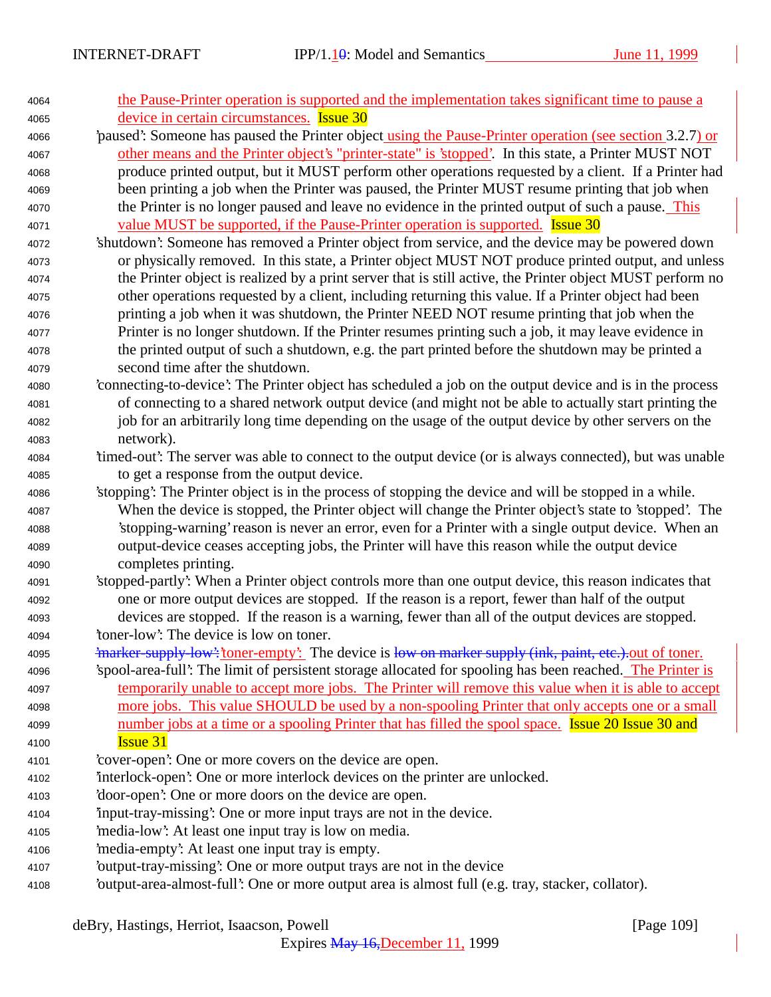| 4064 | the Pause-Printer operation is supported and the implementation takes significant time to pause a          |
|------|------------------------------------------------------------------------------------------------------------|
| 4065 | device in certain circumstances. Issue 30                                                                  |
| 4066 | paused: Someone has paused the Printer object using the Pause-Printer operation (see section 3.2.7) or     |
| 4067 | other means and the Printer object's "printer-state" is 'stopped'. In this state, a Printer MUST NOT       |
| 4068 | produce printed output, but it MUST perform other operations requested by a client. If a Printer had       |
| 4069 | been printing a job when the Printer was paused, the Printer MUST resume printing that job when            |
| 4070 | the Printer is no longer paused and leave no evidence in the printed output of such a pause. This          |
| 4071 | <u>value MUST be supported, if the Pause-Printer operation is supported.</u> Issue 30                      |
| 4072 | 'shutdown': Someone has removed a Printer object from service, and the device may be powered down          |
| 4073 | or physically removed. In this state, a Printer object MUST NOT produce printed output, and unless         |
| 4074 | the Printer object is realized by a print server that is still active, the Printer object MUST perform no  |
| 4075 | other operations requested by a client, including returning this value. If a Printer object had been       |
| 4076 | printing a job when it was shutdown, the Printer NEED NOT resume printing that job when the                |
| 4077 | Printer is no longer shutdown. If the Printer resumes printing such a job, it may leave evidence in        |
| 4078 | the printed output of such a shutdown, e.g. the part printed before the shutdown may be printed a          |
| 4079 | second time after the shutdown.                                                                            |
| 4080 | 'connecting-to-device': The Printer object has scheduled a job on the output device and is in the process  |
| 4081 | of connecting to a shared network output device (and might not be able to actually start printing the      |
| 4082 | job for an arbitrarily long time depending on the usage of the output device by other servers on the       |
| 4083 | network).                                                                                                  |
| 4084 | timed-out? The server was able to connect to the output device (or is always connected), but was unable    |
| 4085 | to get a response from the output device.                                                                  |
| 4086 | 'stopping': The Printer object is in the process of stopping the device and will be stopped in a while.    |
| 4087 | When the device is stopped, the Printer object will change the Printer object's state to 'stopped'. The    |
| 4088 | 'stopping-warning' reason is never an error, even for a Printer with a single output device. When an       |
| 4089 | output-device ceases accepting jobs, the Printer will have this reason while the output device             |
| 4090 | completes printing.                                                                                        |
| 4091 | 'stopped-partly': When a Printer object controls more than one output device, this reason indicates that   |
| 4092 | one or more output devices are stopped. If the reason is a report, fewer than half of the output           |
| 4093 | devices are stopped. If the reason is a warning, fewer than all of the output devices are stopped.         |
| 4094 | toner-low': The device is low on toner.                                                                    |
| 4095 | imarker-supply-low': toner-empty': The device is low on marker supply (ink, paint, etc.) out of toner.     |
| 4096 | 'spool-area-full': The limit of persistent storage allocated for spooling has been reached. The Printer is |
| 4097 | temporarily unable to accept more jobs. The Printer will remove this value when it is able to accept       |
| 4098 | more jobs. This value SHOULD be used by a non-spooling Printer that only accepts one or a small            |
| 4099 | number jobs at a time or a spooling Printer that has filled the spool space. Issue 20 Issue 30 and         |
| 4100 | <b>Issue 31</b>                                                                                            |
| 4101 | 'cover-open': One or more covers on the device are open.                                                   |
| 4102 | interlock-open: One or more interlock devices on the printer are unlocked.                                 |
| 4103 | 'door-open': One or more doors on the device are open.                                                     |
| 4104 | input-tray-missing: One or more input trays are not in the device.                                         |
| 4105 | 'media-low': At least one input tray is low on media.                                                      |
| 4106 | 'media-empty': At least one input tray is empty.                                                           |
| 4107 | 'output-tray-missing': One or more output trays are not in the device                                      |
| 4108 | 'output-area-almost-full': One or more output area is almost full (e.g. tray, stacker, collator).          |
|      |                                                                                                            |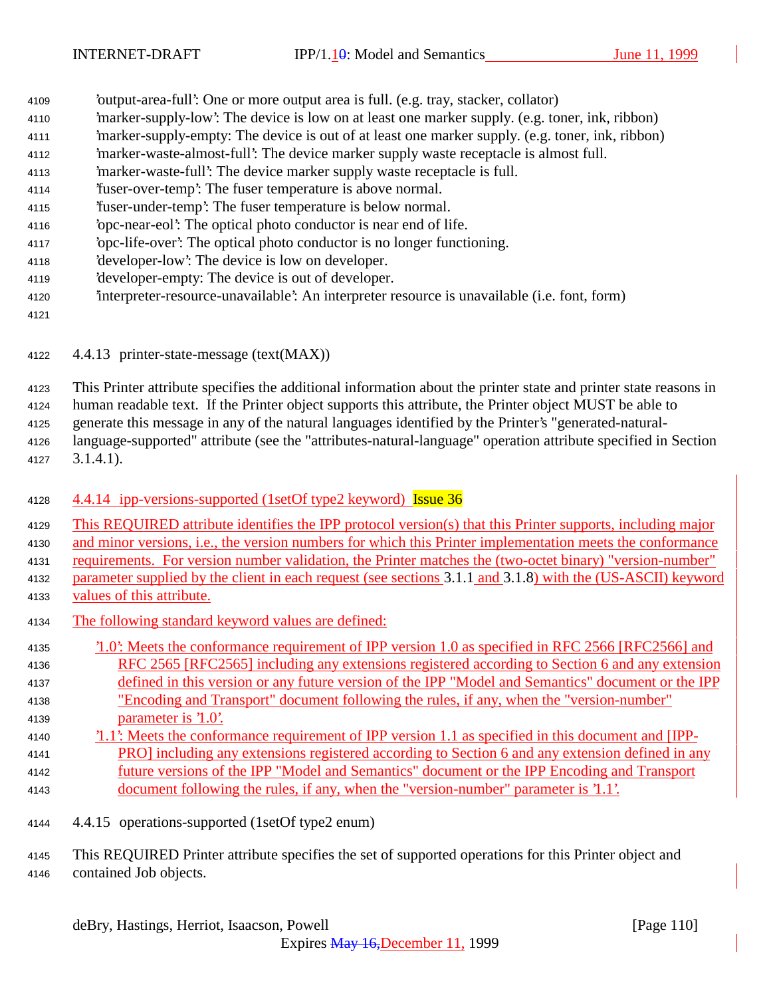- 'output-area-full': One or more output area is full. (e.g. tray, stacker, collator)
- 'marker-supply-low': The device is low on at least one marker supply. (e.g. toner, ink, ribbon)
- 'marker-supply-empty: The device is out of at least one marker supply. (e.g. toner, ink, ribbon)
- 'marker-waste-almost-full': The device marker supply waste receptacle is almost full.
- 'marker-waste-full': The device marker supply waste receptacle is full.
- 'fuser-over-temp': The fuser temperature is above normal.
- 'fuser-under-temp': The fuser temperature is below normal.
- 'opc-near-eol': The optical photo conductor is near end of life.
- 'opc-life-over': The optical photo conductor is no longer functioning.
- 'developer-low': The device is low on developer.
- 'developer-empty: The device is out of developer.
- 'interpreter-resource-unavailable': An interpreter resource is unavailable (i.e. font, form)
- 
- 4.4.13 printer-state-message (text(MAX))
- This Printer attribute specifies the additional information about the printer state and printer state reasons in
- human readable text. If the Printer object supports this attribute, the Printer object MUST be able to
- generate this message in any of the natural languages identified by the Printer's "generated-natural-
- language-supported" attribute (see the "attributes-natural-language" operation attribute specified in Section 3.1.4.1).
- 4128 4.4.14 ipp-versions-supported (1setOf type2 keyword) Issue 36
- This REQUIRED attribute identifies the IPP protocol version(s) that this Printer supports, including major and minor versions, i.e., the version numbers for which this Printer implementation meets the conformance requirements. For version number validation, the Printer matches the (two-octet binary) "version-number"
- parameter supplied by the client in each request (see sections 3.1.1 and 3.1.8) with the (US-ASCII) keyword values of this attribute.
- The following standard keyword values are defined:
- '1.0': Meets the conformance requirement of IPP version 1.0 as specified in RFC 2566 [RFC2566] and RFC 2565 [RFC2565] including any extensions registered according to Section 6 and any extension
- defined in this version or any future version of the IPP "Model and Semantics" document or the IPP "Encoding and Transport" document following the rules, if any, when the "version-number" parameter is '1.0'.
- '1.1': Meets the conformance requirement of IPP version 1.1 as specified in this document and [IPP- PRO] including any extensions registered according to Section 6 and any extension defined in any future versions of the IPP "Model and Semantics" document or the IPP Encoding and Transport document following the rules, if any, when the "version-number" parameter is '1.1'.
- 4.4.15 operations-supported (1setOf type2 enum)

 This REQUIRED Printer attribute specifies the set of supported operations for this Printer object and contained Job objects.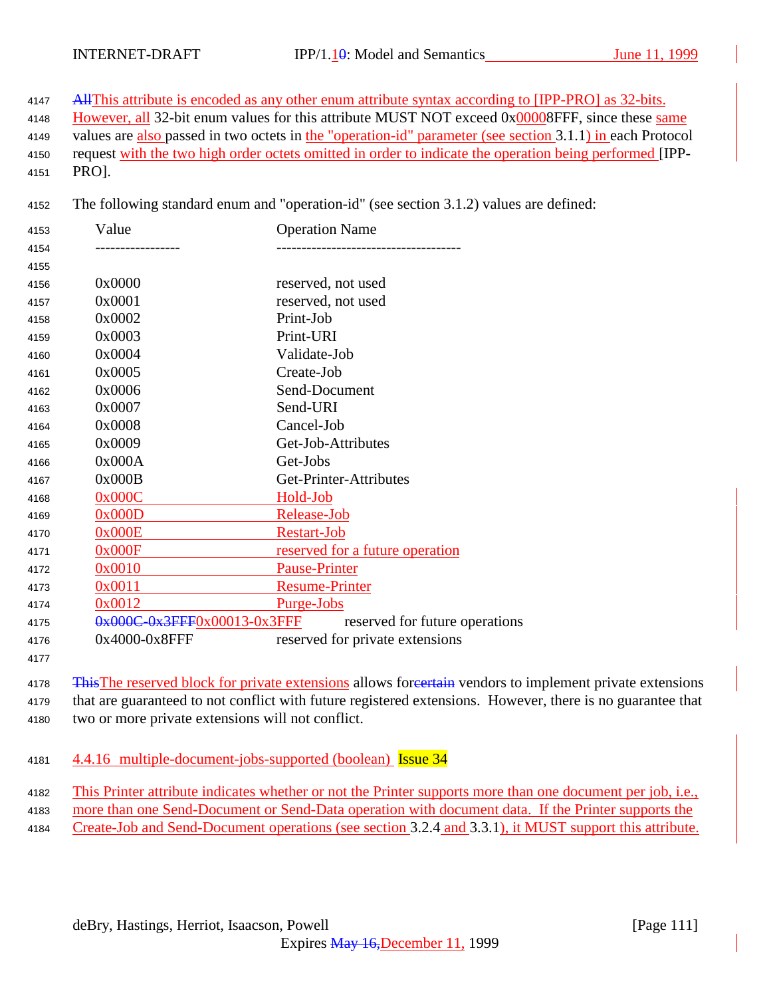4147 All This attribute is encoded as any other enum attribute syntax according to [IPP-PRO] as 32-bits.

- 4148 However, all 32-bit enum values for this attribute MUST NOT exceed 0x00008FFF, since these same
- values are also passed in two octets in the "operation-id" parameter (see section 3.1.1) in each Protocol
- request with the two high order octets omitted in order to indicate the operation being performed [IPP-PRO].
- The following standard enum and "operation-id" (see section 3.1.2) values are defined:

| 4153 | Value                       | <b>Operation Name</b>           |
|------|-----------------------------|---------------------------------|
| 4154 |                             |                                 |
| 4155 |                             |                                 |
| 4156 | 0x0000                      | reserved, not used              |
| 4157 | 0x0001                      | reserved, not used              |
| 4158 | 0x0002                      | Print-Job                       |
| 4159 | 0x0003                      | Print-URI                       |
| 4160 | 0x0004                      | Validate-Job                    |
| 4161 | 0x0005                      | Create-Job                      |
| 4162 | 0x0006                      | Send-Document                   |
| 4163 | 0x0007                      | Send-URI                        |
| 4164 | 0x0008                      | Cancel-Job                      |
| 4165 | 0x0009                      | Get-Job-Attributes              |
| 4166 | 0x000A                      | Get-Jobs                        |
| 4167 | 0x000B                      | Get-Printer-Attributes          |
| 4168 | 0x000C                      | Hold-Job                        |
| 4169 | 0x000D                      | Release-Job                     |
| 4170 | 0x000E                      | <b>Restart-Job</b>              |
| 4171 | 0x000F                      | reserved for a future operation |
| 4172 | 0x0010                      | <b>Pause-Printer</b>            |
| 4173 | 0x0011                      | <b>Resume-Printer</b>           |
| 4174 | 0x0012                      | <u>Purge-Jobs</u>               |
| 4175 | 0x000C-0x3FFF0x00013-0x3FFF | reserved for future operations  |
| 4176 | 0x4000-0x8FFF               | reserved for private extensions |

4178 This The reserved block for private extensions allows for extension vendors to implement private extensions that are guaranteed to not conflict with future registered extensions. However, there is no guarantee that

- two or more private extensions will not conflict.
- 4.4.16 multiple-document-jobs-supported (boolean) Issue 34
- This Printer attribute indicates whether or not the Printer supports more than one document per job, i.e.,
- more than one Send-Document or Send-Data operation with document data. If the Printer supports the
- Create-Job and Send-Document operations (see section 3.2.4 and 3.3.1), it MUST support this attribute.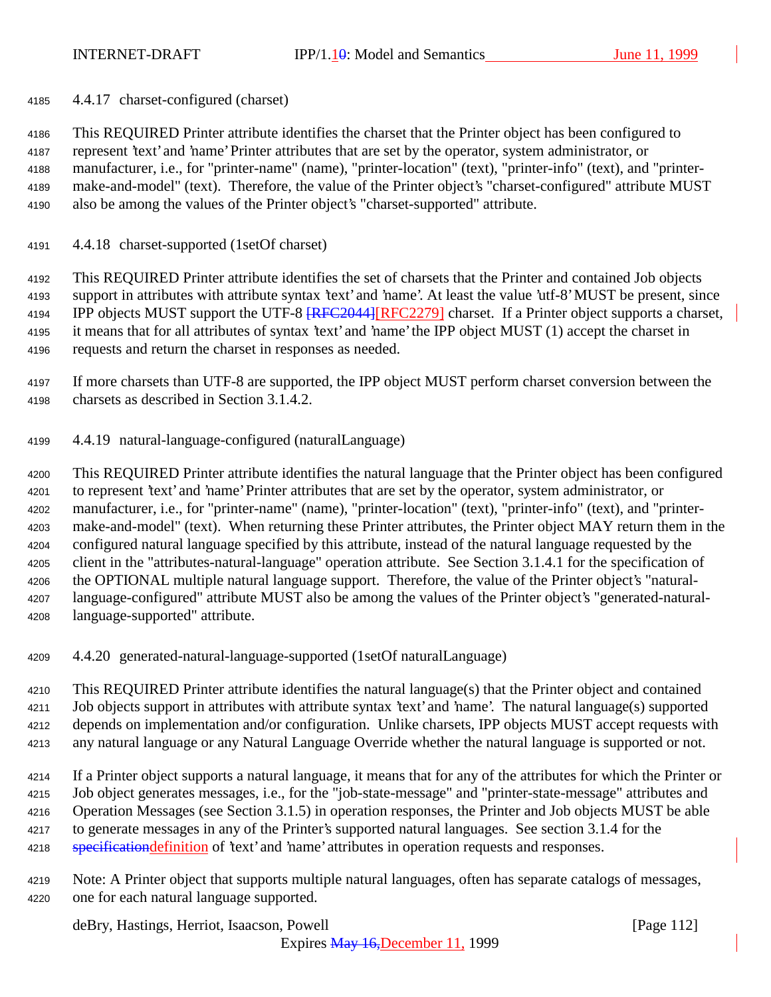4.4.17 charset-configured (charset)

 This REQUIRED Printer attribute identifies the charset that the Printer object has been configured to represent 'text' and 'name' Printer attributes that are set by the operator, system administrator, or manufacturer, i.e., for "printer-name" (name), "printer-location" (text), "printer-info" (text), and "printer- make-and-model" (text). Therefore, the value of the Printer object's "charset-configured" attribute MUST also be among the values of the Printer object's "charset-supported" attribute.

4.4.18 charset-supported (1setOf charset)

 This REQUIRED Printer attribute identifies the set of charsets that the Printer and contained Job objects support in attributes with attribute syntax 'text' and 'name'. At least the value 'utf-8' MUST be present, since 4194 IPP objects MUST support the UTF-8 **[RFC2044]**[RFC2279] charset. If a Printer object supports a charset, it means that for all attributes of syntax 'text' and 'name' the IPP object MUST (1) accept the charset in requests and return the charset in responses as needed.

- If more charsets than UTF-8 are supported, the IPP object MUST perform charset conversion between the charsets as described in Section 3.1.4.2.
- 4.4.19 natural-language-configured (naturalLanguage)

 This REQUIRED Printer attribute identifies the natural language that the Printer object has been configured to represent 'text' and 'name' Printer attributes that are set by the operator, system administrator, or manufacturer, i.e., for "printer-name" (name), "printer-location" (text), "printer-info" (text), and "printer- make-and-model" (text). When returning these Printer attributes, the Printer object MAY return them in the configured natural language specified by this attribute, instead of the natural language requested by the client in the "attributes-natural-language" operation attribute. See Section 3.1.4.1 for the specification of the OPTIONAL multiple natural language support. Therefore, the value of the Printer object's "natural- language-configured" attribute MUST also be among the values of the Printer object's "generated-natural-language-supported" attribute.

4.4.20 generated-natural-language-supported (1setOf naturalLanguage)

 This REQUIRED Printer attribute identifies the natural language(s) that the Printer object and contained Job objects support in attributes with attribute syntax 'text' and 'name'. The natural language(s) supported depends on implementation and/or configuration. Unlike charsets, IPP objects MUST accept requests with any natural language or any Natural Language Override whether the natural language is supported or not.

 If a Printer object supports a natural language, it means that for any of the attributes for which the Printer or Job object generates messages, i.e., for the "job-state-message" and "printer-state-message" attributes and Operation Messages (see Section 3.1.5) in operation responses, the Printer and Job objects MUST be able to generate messages in any of the Printer's supported natural languages. See section 3.1.4 for the 4218 specification definition of 'text' and 'name' attributes in operation requests and responses.

 Note: A Printer object that supports multiple natural languages, often has separate catalogs of messages, one for each natural language supported.

deBry, Hastings, Herriot, Isaacson, Powell [Page 112]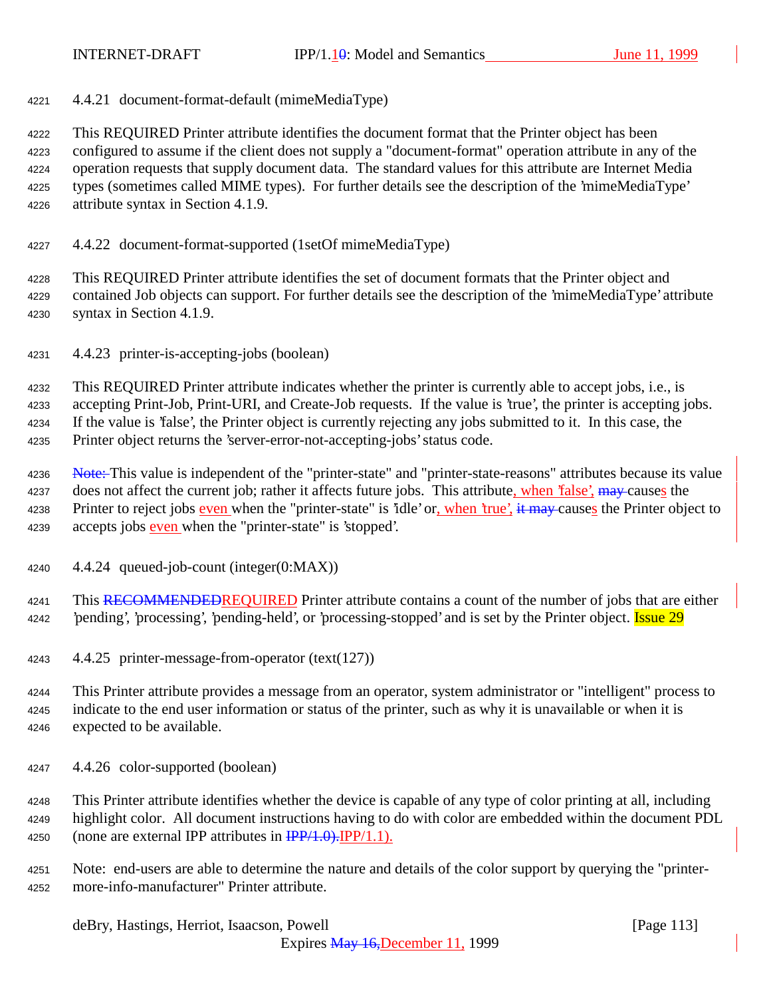4.4.21 document-format-default (mimeMediaType)

 This REQUIRED Printer attribute identifies the document format that the Printer object has been configured to assume if the client does not supply a "document-format" operation attribute in any of the operation requests that supply document data. The standard values for this attribute are Internet Media types (sometimes called MIME types). For further details see the description of the 'mimeMediaType' attribute syntax in Section 4.1.9.

4.4.22 document-format-supported (1setOf mimeMediaType)

 This REQUIRED Printer attribute identifies the set of document formats that the Printer object and contained Job objects can support. For further details see the description of the 'mimeMediaType' attribute syntax in Section 4.1.9.

4.4.23 printer-is-accepting-jobs (boolean)

 This REQUIRED Printer attribute indicates whether the printer is currently able to accept jobs, i.e., is accepting Print-Job, Print-URI, and Create-Job requests. If the value is 'true', the printer is accepting jobs. If the value is 'false', the Printer object is currently rejecting any jobs submitted to it. In this case, the Printer object returns the 'server-error-not-accepting-jobs' status code.

4236 Note: This value is independent of the "printer-state" and "printer-state-reasons" attributes because its value 4237 does not affect the current job; rather it affects future jobs. This attribute, when 'false', may causes the 4238 Printer to reject jobs even when the "printer-state" is 'idle' or, when 'true', it may causes the Printer object to 4239 accepts jobs even when the "printer-state" is 'stopped'.

4.4.24 queued-job-count (integer(0:MAX))

4241 This RECOMMENDEDREQUIRED Printer attribute contains a count of the number of jobs that are either 4242 'pending', 'processing', 'pending-held', or 'processing-stopped' and is set by the Printer object. **Issue 29** 

4.4.25 printer-message-from-operator (text(127))

 This Printer attribute provides a message from an operator, system administrator or "intelligent" process to indicate to the end user information or status of the printer, such as why it is unavailable or when it is expected to be available.

4.4.26 color-supported (boolean)

 This Printer attribute identifies whether the device is capable of any type of color printing at all, including highlight color. All document instructions having to do with color are embedded within the document PDL 4250 (none are external IPP attributes in  $\frac{IPP}{1.0}$ . IPP/1.1).

 Note: end-users are able to determine the nature and details of the color support by querying the "printer-more-info-manufacturer" Printer attribute.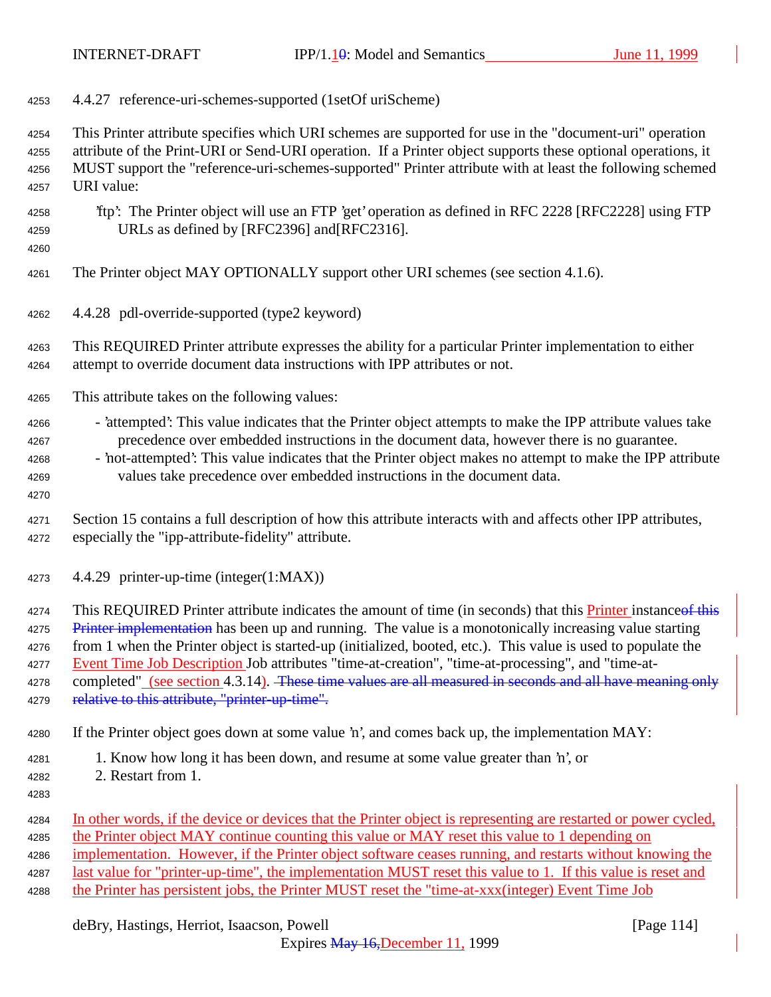| 4253                                         | 4.4.27 reference-uri-schemes-supported (1setOf uriScheme)                                                                                                                                                                                                                                                                                                                                                                                                                                                                                                                                                        |
|----------------------------------------------|------------------------------------------------------------------------------------------------------------------------------------------------------------------------------------------------------------------------------------------------------------------------------------------------------------------------------------------------------------------------------------------------------------------------------------------------------------------------------------------------------------------------------------------------------------------------------------------------------------------|
| 4254<br>4255<br>4256<br>4257                 | This Printer attribute specifies which URI schemes are supported for use in the "document-uri" operation<br>attribute of the Print-URI or Send-URI operation. If a Printer object supports these optional operations, it<br>MUST support the "reference-uri-schemes-supported" Printer attribute with at least the following schemed<br>URI value:                                                                                                                                                                                                                                                               |
| 4258<br>4259<br>4260                         | 'ftp': The Printer object will use an FTP 'get' operation as defined in RFC 2228 [RFC2228] using FTP<br>URLs as defined by [RFC2396] and [RFC2316].                                                                                                                                                                                                                                                                                                                                                                                                                                                              |
| 4261                                         | The Printer object MAY OPTIONALLY support other URI schemes (see section 4.1.6).                                                                                                                                                                                                                                                                                                                                                                                                                                                                                                                                 |
| 4262                                         | 4.4.28 pdl-override-supported (type2 keyword)                                                                                                                                                                                                                                                                                                                                                                                                                                                                                                                                                                    |
| 4263<br>4264                                 | This REQUIRED Printer attribute expresses the ability for a particular Printer implementation to either<br>attempt to override document data instructions with IPP attributes or not.                                                                                                                                                                                                                                                                                                                                                                                                                            |
| 4265                                         | This attribute takes on the following values:                                                                                                                                                                                                                                                                                                                                                                                                                                                                                                                                                                    |
| 4266<br>4267<br>4268<br>4269<br>4270         | - 'attempted': This value indicates that the Printer object attempts to make the IPP attribute values take<br>precedence over embedded instructions in the document data, however there is no guarantee.<br>- 'not-attempted': This value indicates that the Printer object makes no attempt to make the IPP attribute<br>values take precedence over embedded instructions in the document data.                                                                                                                                                                                                                |
| 4271<br>4272                                 | Section 15 contains a full description of how this attribute interacts with and affects other IPP attributes,<br>especially the "ipp-attribute-fidelity" attribute.                                                                                                                                                                                                                                                                                                                                                                                                                                              |
| 4273                                         | 4.4.29 printer-up-time (integer(1:MAX))                                                                                                                                                                                                                                                                                                                                                                                                                                                                                                                                                                          |
| 4274<br>4275<br>4276<br>4277<br>4278<br>4279 | This REQUIRED Printer attribute indicates the amount of time (in seconds) that this <b>Printer</b> instance of this<br>Printer implementation has been up and running. The value is a monotonically increasing value starting<br>from 1 when the Printer object is started-up (initialized, booted, etc.). This value is used to populate the<br>Event Time Job Description Job attributes "time-at-creation", "time-at-processing", and "time-at-<br>completed" (see section 4.3.14). These time values are all measured in seconds and all have meaning only<br>relative to this attribute, "printer-up-time". |
| 4280                                         | If the Printer object goes down at some value 'n', and comes back up, the implementation MAY:                                                                                                                                                                                                                                                                                                                                                                                                                                                                                                                    |
| 4281<br>4282<br>4283                         | 1. Know how long it has been down, and resume at some value greater than 'n', or<br>2. Restart from 1.                                                                                                                                                                                                                                                                                                                                                                                                                                                                                                           |
| 4284<br>4285<br>4286<br>4287<br>4288         | In other words, if the device or devices that the Printer object is representing are restarted or power cycled,<br>the Printer object MAY continue counting this value or MAY reset this value to 1 depending on<br>implementation. However, if the Printer object software ceases running, and restarts without knowing the<br>last value for "printer-up-time", the implementation MUST reset this value to 1. If this value is reset and<br>the Printer has persistent jobs, the Printer MUST reset the "time-at-xxx(integer) Event Time Job                                                                  |

deBry, Hastings, Herriot, Isaacson, Powell [Page 114]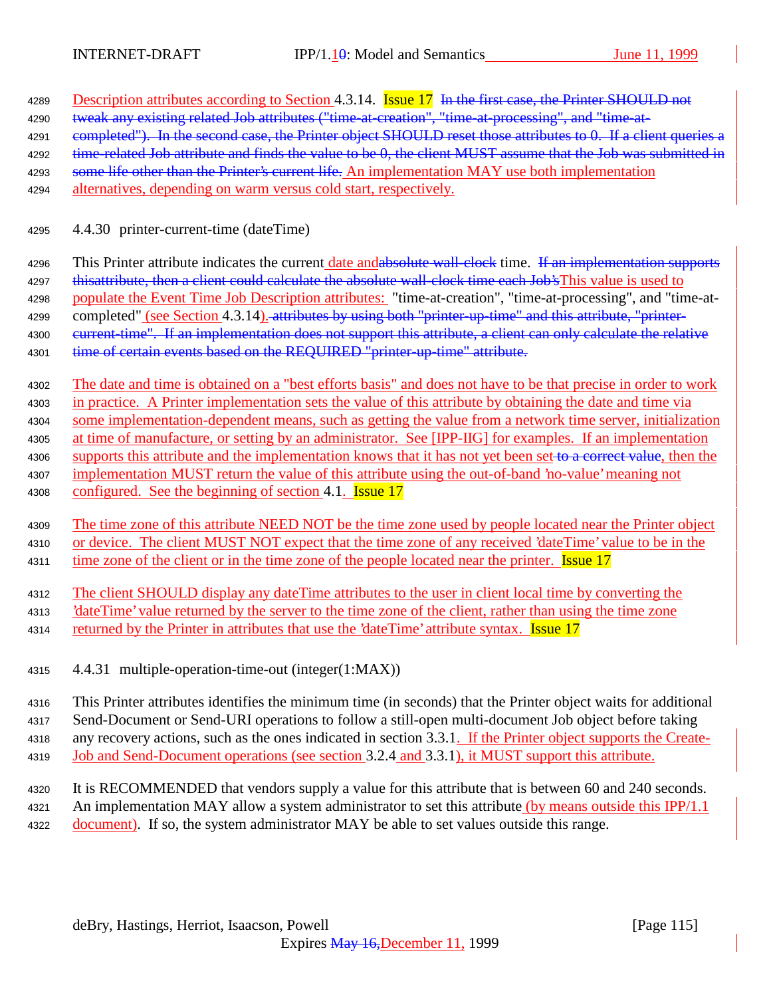| 4289 | Description attributes according to Section 4.3.14. Issue 17 In the first case, the Printer SHOULD not        |  |  |
|------|---------------------------------------------------------------------------------------------------------------|--|--|
| 4290 | tweak any existing related Job attributes ("time-at-creation", "time-at-processing", and "time-at-            |  |  |
| 4291 | eompleted"). In the second case, the Printer object SHOULD reset those attributes to 0. If a client queries a |  |  |
| 4292 | time related Job attribute and finds the value to be 0, the client MUST assume that the Job was submitted in  |  |  |
| 4293 | some life other than the Printer's current life. An implementation MAY use both implementation                |  |  |
| 4294 | alternatives, depending on warm versus cold start, respectively.                                              |  |  |
|      |                                                                                                               |  |  |
| 4295 | 4.4.30 printer-current-time (dateTime)                                                                        |  |  |
|      |                                                                                                               |  |  |
| 4296 | This Printer attribute indicates the current date and absolute wall clock time. If an implementation supports |  |  |
| 4297 | this attribute, then a client could calculate the absolute wall clock time each Job's This value is used to   |  |  |

4298 populate the Event Time Job Description attributes: "time-at-creation", "time-at-processing", and "time-at-

4299 completed" (see Section 4.3.14). attributes by using both "printer-up-time" and this attribute, "printer-4300 eurrent-time". If an implementation does not support this attribute, a client can only calculate the relative

4301 time of certain events based on the REQUIRED "printer-up-time" attribute.

<sup>4302</sup> The date and time is obtained on a "best efforts basis" and does not have to be that precise in order to work

<sup>4303</sup> in practice. A Printer implementation sets the value of this attribute by obtaining the date and time via

<sup>4304</sup> some implementation-dependent means, such as getting the value from a network time server, initialization

<sup>4305</sup> at time of manufacture, or setting by an administrator. See [IPP-IIG] for examples. If an implementation 4306 supports this attribute and the implementation knows that it has not yet been set to a correct value, then the

<sup>4307</sup> implementation MUST return the value of this attribute using the out-of-band 'no-value' meaning not 4308 configured. See the beginning of section 4.1. **Issue 17** 

<sup>4309</sup> The time zone of this attribute NEED NOT be the time zone used by people located near the Printer object <sup>4310</sup> or device. The client MUST NOT expect that the time zone of any received 'dateTime' value to be in the 4311 time zone of the client or in the time zone of the people located near the printer. **Issue 17** 

<sup>4312</sup> The client SHOULD display any dateTime attributes to the user in client local time by converting the

<sup>4313</sup> 'dateTime' value returned by the server to the time zone of the client, rather than using the time zone

- 4314 returned by the Printer in attributes that use the 'dateTime' attribute syntax. Issue 17
- <sup>4315</sup> 4.4.31 multiple-operation-time-out (integer(1:MAX))

 This Printer attributes identifies the minimum time (in seconds) that the Printer object waits for additional Send-Document or Send-URI operations to follow a still-open multi-document Job object before taking any recovery actions, such as the ones indicated in section 3.3.1. If the Printer object supports the Create-Job and Send-Document operations (see section 3.2.4 and 3.3.1), it MUST support this attribute.

<sup>4320</sup> It is RECOMMENDED that vendors supply a value for this attribute that is between 60 and 240 seconds. 4321 An implementation MAY allow a system administrator to set this attribute (by means outside this IPP/1.1) 4322 document). If so, the system administrator MAY be able to set values outside this range.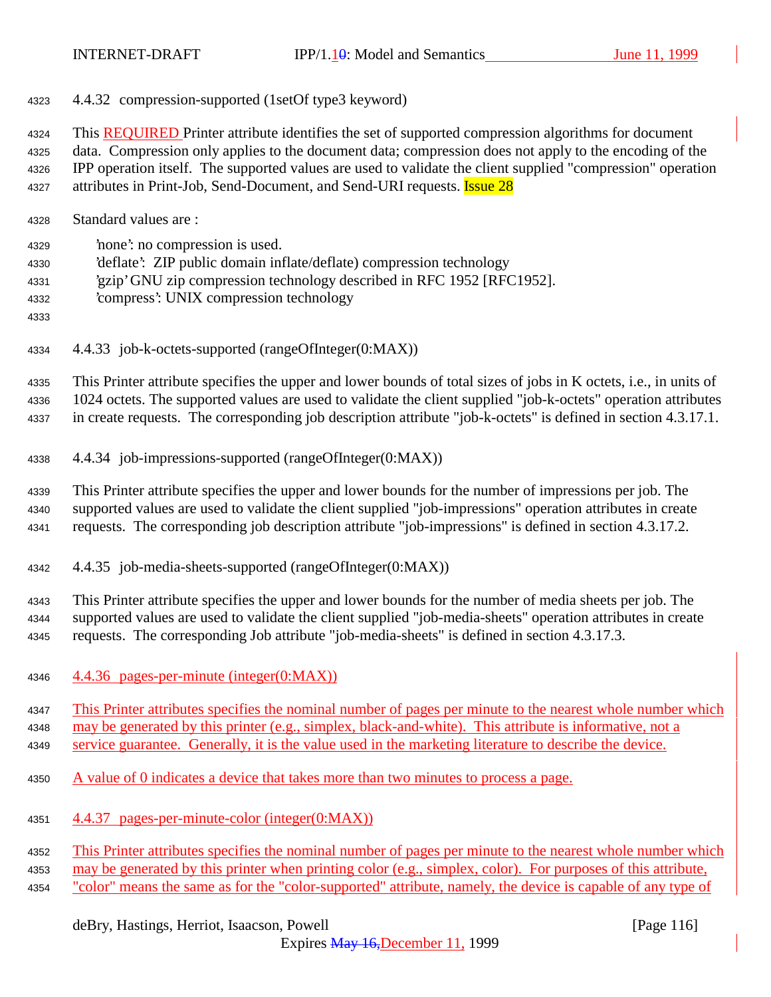4.4.32 compression-supported (1setOf type3 keyword)

 This REQUIRED Printer attribute identifies the set of supported compression algorithms for document data. Compression only applies to the document data; compression does not apply to the encoding of the IPP operation itself. The supported values are used to validate the client supplied "compression" operation 4327 attributes in Print-Job, Send-Document, and Send-URI requests. **Issue 28** 

- Standard values are :
- 'none': no compression is used.
- 'deflate': ZIP public domain inflate/deflate) compression technology
- 'gzip' GNU zip compression technology described in RFC 1952 [RFC1952].
- 'compress': UNIX compression technology
- 
- 4.4.33 job-k-octets-supported (rangeOfInteger(0:MAX))

 This Printer attribute specifies the upper and lower bounds of total sizes of jobs in K octets, i.e., in units of 1024 octets. The supported values are used to validate the client supplied "job-k-octets" operation attributes in create requests. The corresponding job description attribute "job-k-octets" is defined in section 4.3.17.1.

4.4.34 job-impressions-supported (rangeOfInteger(0:MAX))

 This Printer attribute specifies the upper and lower bounds for the number of impressions per job. The supported values are used to validate the client supplied "job-impressions" operation attributes in create requests. The corresponding job description attribute "job-impressions" is defined in section 4.3.17.2.

4.4.35 job-media-sheets-supported (rangeOfInteger(0:MAX))

 This Printer attribute specifies the upper and lower bounds for the number of media sheets per job. The supported values are used to validate the client supplied "job-media-sheets" operation attributes in create requests. The corresponding Job attribute "job-media-sheets" is defined in section 4.3.17.3.

4.4.36 pages-per-minute (integer(0:MAX))

 This Printer attributes specifies the nominal number of pages per minute to the nearest whole number which may be generated by this printer (e.g., simplex, black-and-white). This attribute is informative, not a

service guarantee. Generally, it is the value used in the marketing literature to describe the device.

- A value of 0 indicates a device that takes more than two minutes to process a page.
- 4.4.37 pages-per-minute-color (integer(0:MAX))

4352 This Printer attributes specifies the nominal number of pages per minute to the nearest whole number which

- may be generated by this printer when printing color (e.g., simplex, color). For purposes of this attribute,
- "color" means the same as for the "color-supported" attribute, namely, the device is capable of any type of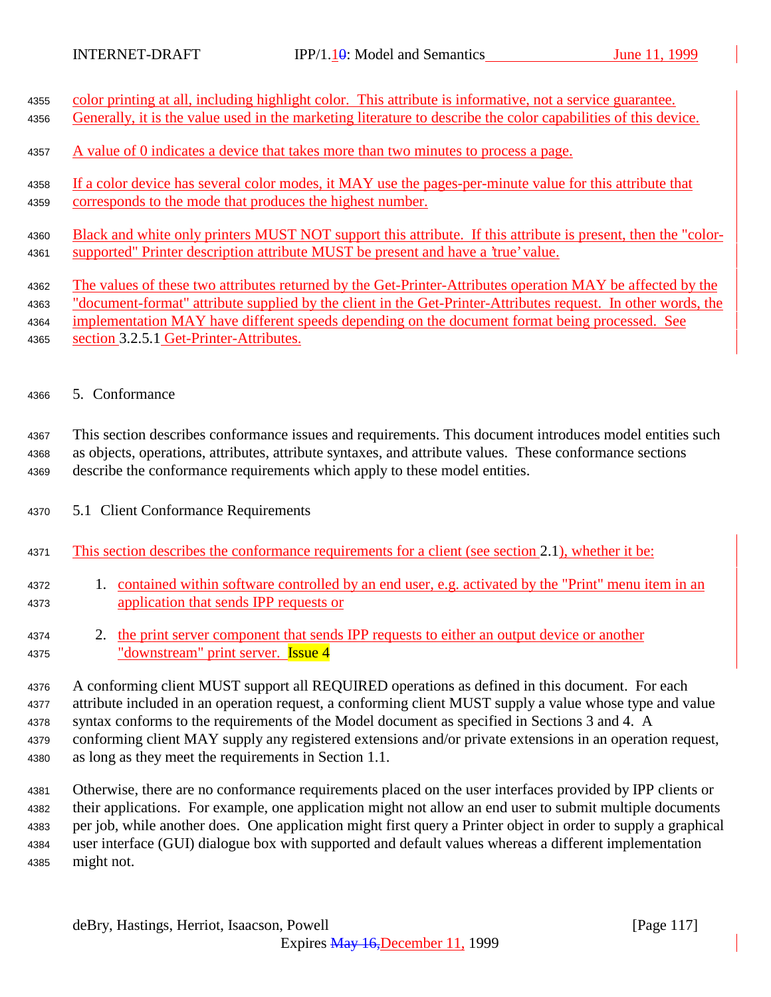| 4355 | color printing at all, including highlight color. This attribute is informative, not a service guarantee.      |
|------|----------------------------------------------------------------------------------------------------------------|
| 4356 | Generally, it is the value used in the marketing literature to describe the color capabilities of this device. |
| 4357 | A value of 0 indicates a device that takes more than two minutes to process a page.                            |
| 4358 | If a color device has several color modes, it MAY use the pages-per-minute value for this attribute that       |
| 4359 | corresponds to the mode that produces the highest number.                                                      |
| 4360 | Black and white only printers MUST NOT support this attribute. If this attribute is present, then the "color-  |
| 4361 | supported" Printer description attribute MUST be present and have a 'true' value.                              |

- <sup>4362</sup> The values of these two attributes returned by the Get-Printer-Attributes operation MAY be affected by the
- 4363 "document-format" attribute supplied by the client in the Get-Printer-Attributes request. In other words, the <sup>4364</sup> implementation MAY have different speeds depending on the document format being processed. See
- 4365 section 3.2.5.1 Get-Printer-Attributes.
- <sup>4366</sup> 5. Conformance

<sup>4367</sup> This section describes conformance issues and requirements. This document introduces model entities such <sup>4368</sup> as objects, operations, attributes, attribute syntaxes, and attribute values. These conformance sections <sup>4369</sup> describe the conformance requirements which apply to these model entities.

- <sup>4370</sup> 5.1 Client Conformance Requirements
- <sup>4371</sup> This section describes the conformance requirements for a client (see section 2.1), whether it be:
- <sup>4372</sup> 1. contained within software controlled by an end user, e.g. activated by the "Print" menu item in an <sup>4373</sup> application that sends IPP requests or
- 4374 2. the print server component that sends IPP requests to either an output device or another 4375 "downstream" print server. **Issue 4**

 A conforming client MUST support all REQUIRED operations as defined in this document. For each attribute included in an operation request, a conforming client MUST supply a value whose type and value syntax conforms to the requirements of the Model document as specified in Sections 3 and 4. A conforming client MAY supply any registered extensions and/or private extensions in an operation request, as long as they meet the requirements in Section 1.1.

 Otherwise, there are no conformance requirements placed on the user interfaces provided by IPP clients or their applications. For example, one application might not allow an end user to submit multiple documents per job, while another does. One application might first query a Printer object in order to supply a graphical user interface (GUI) dialogue box with supported and default values whereas a different implementation might not.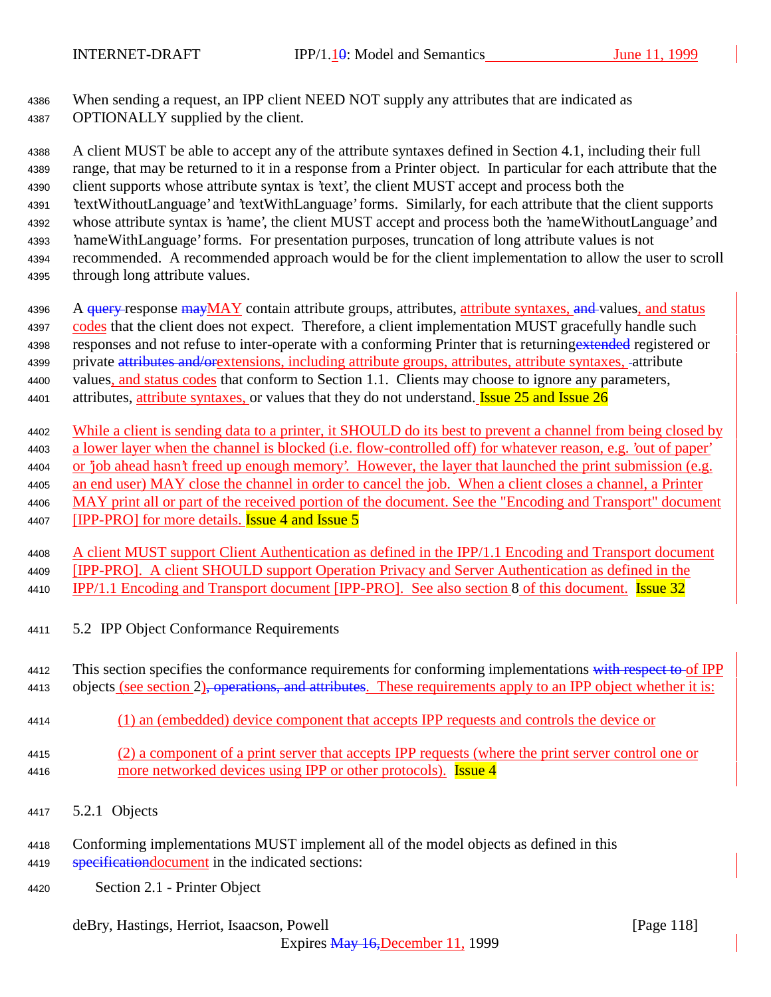<sup>4386</sup> When sending a request, an IPP client NEED NOT supply any attributes that are indicated as <sup>4387</sup> OPTIONALLY supplied by the client.

 A client MUST be able to accept any of the attribute syntaxes defined in Section 4.1, including their full range, that may be returned to it in a response from a Printer object. In particular for each attribute that the client supports whose attribute syntax is 'text', the client MUST accept and process both the 'textWithoutLanguage' and 'textWithLanguage' forms. Similarly, for each attribute that the client supports whose attribute syntax is 'name', the client MUST accept and process both the 'nameWithoutLanguage' and 'nameWithLanguage' forms. For presentation purposes, truncation of long attribute values is not recommended. A recommended approach would be for the client implementation to allow the user to scroll through long attribute values.

4396 A query response mayMAY contain attribute groups, attributes, attribute syntaxes, and values, and status 4397 codes that the client does not expect. Therefore, a client implementation MUST gracefully handle such 4398 responses and not refuse to inter-operate with a conforming Printer that is returning extended registered or 4399 private attributes and/orextensions, including attribute groups, attributes, attribute syntaxes. -attribute 4400 values, and status codes that conform to Section 1.1. Clients may choose to ignore any parameters, 4401 attributes, attribute syntaxes, or values that they do not understand. **Issue 25 and Issue 26** 

4402 While a client is sending data to a printer, it SHOULD do its best to prevent a channel from being closed by a lower layer when the channel is blocked (i.e. flow-controlled off) for whatever reason, e.g. 'out of paper' or 'job ahead hasn't freed up enough memory'. However, the layer that launched the print submission (e.g. an end user) MAY close the channel in order to cancel the job. When a client closes a channel, a Printer MAY print all or part of the received portion of the document. See the "Encoding and Transport" document 4407 [IPP-PRO] for more details. **Issue 4 and Issue 5** 

<sup>4408</sup> A client MUST support Client Authentication as defined in the IPP/1.1 Encoding and Transport document <sup>4409</sup> [IPP-PRO]. A client SHOULD support Operation Privacy and Server Authentication as defined in the 4410 IPP/1.1 Encoding and Transport document [IPP-PRO]. See also section 8 of this document. Issue 32

<sup>4411</sup> 5.2 IPP Object Conformance Requirements

4412 This section specifies the conformance requirements for conforming implementations with respect to of IPP 4413 objects (see section 2), operations, and attributes. These requirements apply to an IPP object whether it is:

- <sup>4414</sup> (1) an (embedded) device component that accepts IPP requests and controls the device or
- <sup>4415</sup> (2) a component of a print server that accepts IPP requests (where the print server control one or 4416 more networked devices using IPP or other protocols). **Issue 4**
- <sup>4417</sup> 5.2.1 Objects
- <sup>4418</sup> Conforming implementations MUST implement all of the model objects as defined in this 4419 specification document in the indicated sections:
- <sup>4420</sup> Section 2.1 Printer Object

deBry, Hastings, Herriot, Isaacson, Powell **contract and the Contract Contract Contract Contract Contract Contract Contract Contract Contract Contract Contract Contract Contract Contract Contract Contract Contract Contract**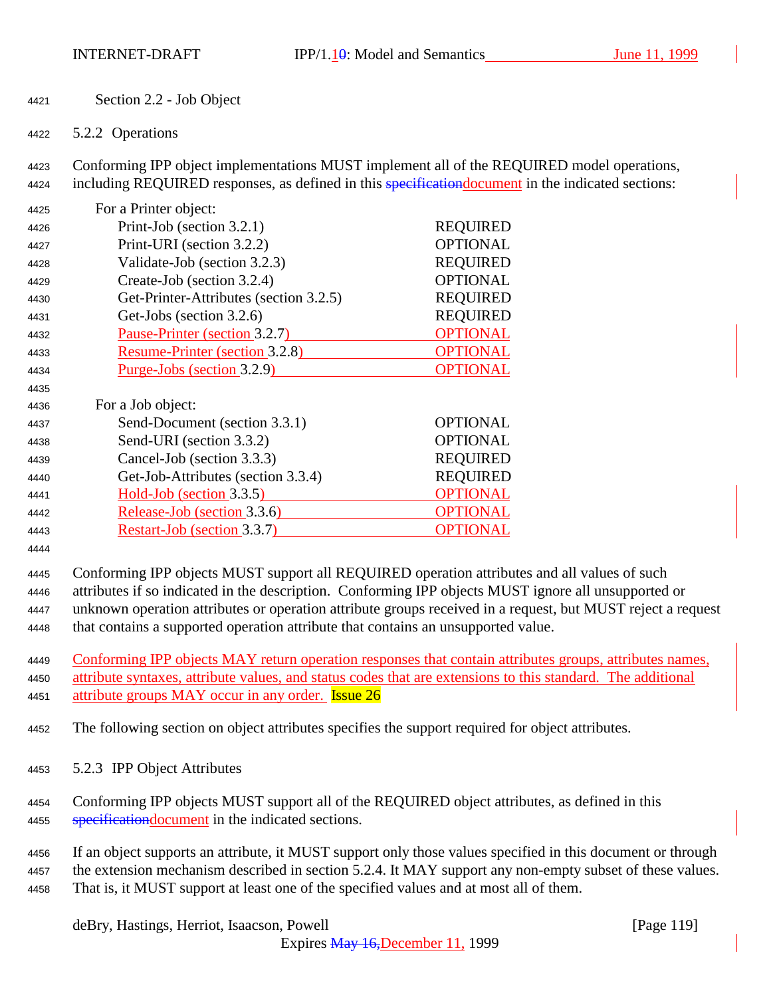- Section 2.2 Job Object
- 5.2.2 Operations

 Conforming IPP object implementations MUST implement all of the REQUIRED model operations, 4424 including REQUIRED responses, as defined in this **specification document** in the indicated sections:

| 4425 | For a Printer object:                  |                 |
|------|----------------------------------------|-----------------|
| 4426 | Print-Job (section 3.2.1)              | <b>REQUIRED</b> |
| 4427 | Print-URI (section 3.2.2)              | <b>OPTIONAL</b> |
| 4428 | Validate-Job (section 3.2.3)           | <b>REQUIRED</b> |
| 4429 | Create-Job (section 3.2.4)             | <b>OPTIONAL</b> |
| 4430 | Get-Printer-Attributes (section 3.2.5) | <b>REQUIRED</b> |
| 4431 | Get-Jobs (section 3.2.6)               | <b>REQUIRED</b> |
| 4432 | Pause-Printer (section 3.2.7)          | <b>OPTIONAL</b> |
| 4433 | Resume-Printer (section 3.2.8)         | <b>OPTIONAL</b> |
| 4434 | <u>Purge-Jobs (section 3.2.9)</u>      | <b>OPTIONAL</b> |
| 4435 |                                        |                 |
| 4436 | For a Job object:                      |                 |
| 4437 | Send-Document (section 3.3.1)          | <b>OPTIONAL</b> |
| 4438 | Send-URI (section 3.3.2)               | <b>OPTIONAL</b> |
| 4439 | Cancel-Job (section 3.3.3)             | <b>REQUIRED</b> |
| 4440 | Get-Job-Attributes (section 3.3.4)     | <b>REQUIRED</b> |
| 4441 | Hold-Job (section 3.3.5)               | <b>OPTIONAL</b> |
| 4442 | Release-Job (section 3.3.6)            | <b>OPTIONAL</b> |
| 4443 | Restart-Job (section 3.3.7)            | OPTIONAL        |

 Conforming IPP objects MUST support all REQUIRED operation attributes and all values of such attributes if so indicated in the description. Conforming IPP objects MUST ignore all unsupported or unknown operation attributes or operation attribute groups received in a request, but MUST reject a request that contains a supported operation attribute that contains an unsupported value.

 Conforming IPP objects MAY return operation responses that contain attributes groups, attributes names, attribute syntaxes, attribute values, and status codes that are extensions to this standard. The additional 4451 attribute groups MAY occur in any order. **Issue 26** 

- The following section on object attributes specifies the support required for object attributes.
- 5.2.3 IPP Object Attributes
- Conforming IPP objects MUST support all of the REQUIRED object attributes, as defined in this 4455 specification document in the indicated sections.
- If an object supports an attribute, it MUST support only those values specified in this document or through 4457 the extension mechanism described in section 5.2.4. It MAY support any non-empty subset of these values. That is, it MUST support at least one of the specified values and at most all of them.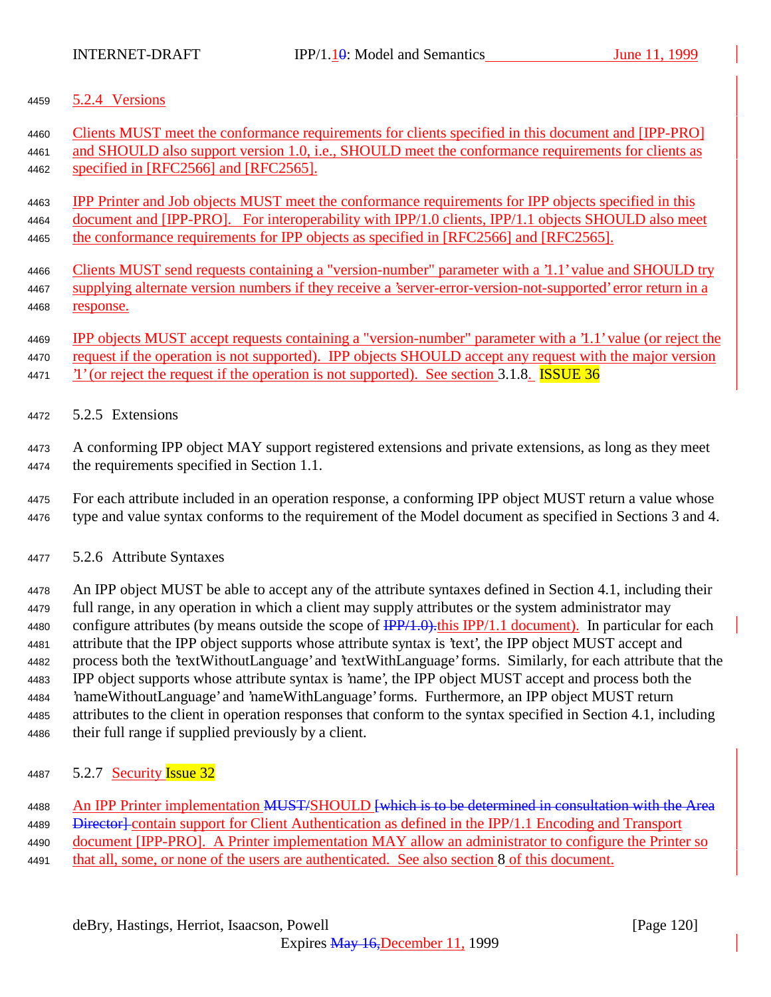5.2.4 Versions

 Clients MUST meet the conformance requirements for clients specified in this document and [IPP-PRO] and SHOULD also support version 1.0, i.e., SHOULD meet the conformance requirements for clients as specified in [RFC2566] and [RFC2565].

 IPP Printer and Job objects MUST meet the conformance requirements for IPP objects specified in this document and [IPP-PRO]. For interoperability with IPP/1.0 clients, IPP/1.1 objects SHOULD also meet the conformance requirements for IPP objects as specified in [RFC2566] and [RFC2565].

- Clients MUST send requests containing a "version-number" parameter with a '1.1' value and SHOULD try supplying alternate version numbers if they receive a 'server-error-version-not-supported' error return in a response.
- IPP objects MUST accept requests containing a "version-number" parameter with a '1.1' value (or reject the
- request if the operation is not supported). IPP objects SHOULD accept any request with the major version
- 4471  $\gamma$  '1' (or reject the request if the operation is not supported). See section 3.1.8. **ISSUE 36**
- 5.2.5 Extensions

 A conforming IPP object MAY support registered extensions and private extensions, as long as they meet the requirements specified in Section 1.1.

- For each attribute included in an operation response, a conforming IPP object MUST return a value whose type and value syntax conforms to the requirement of the Model document as specified in Sections 3 and 4.
- 5.2.6 Attribute Syntaxes

 An IPP object MUST be able to accept any of the attribute syntaxes defined in Section 4.1, including their full range, in any operation in which a client may supply attributes or the system administrator may 4480 configure attributes (by means outside the scope of  $\frac{IPP}{1.0}$ ). this IPP/1.1 document). In particular for each attribute that the IPP object supports whose attribute syntax is 'text', the IPP object MUST accept and process both the 'textWithoutLanguage' and 'textWithLanguage' forms. Similarly, for each attribute that the IPP object supports whose attribute syntax is 'name', the IPP object MUST accept and process both the 'nameWithoutLanguage' and 'nameWithLanguage' forms. Furthermore, an IPP object MUST return attributes to the client in operation responses that conform to the syntax specified in Section 4.1, including their full range if supplied previously by a client.

4487 5.2.7 Security **Issue 32** 

4488 An IPP Printer implementation MUST/SHOULD [which is to be determined in consultation with the Area 4489 <del>Director]</del> contain support for Client Authentication as defined in the IPP/1.1 Encoding and Transport document [IPP-PRO]. A Printer implementation MAY allow an administrator to configure the Printer so that all, some, or none of the users are authenticated. See also section 8 of this document.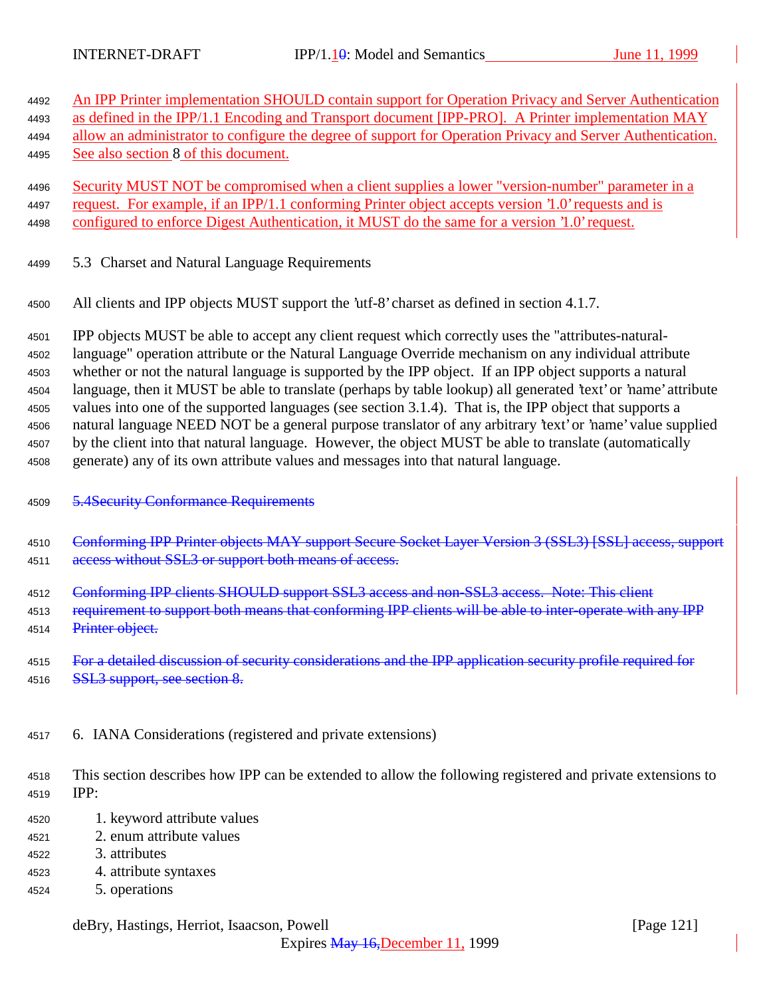| 4492 | An IPP Printer implementation SHOULD contain support for Operation Privacy and Server Authentication           |  |  |
|------|----------------------------------------------------------------------------------------------------------------|--|--|
| 4493 | as defined in the IPP/1.1 Encoding and Transport document [IPP-PRO]. A Printer implementation MAY              |  |  |
| 4494 | allow an administrator to configure the degree of support for Operation Privacy and Server Authentication.     |  |  |
| 4495 | See also section 8 of this document.                                                                           |  |  |
| 4496 | Security MUST NOT be compromised when a client supplies a lower "version-number" parameter in a                |  |  |
| 4497 | request. For example, if an IPP/1.1 conforming Printer object accepts version '1.0' requests and is            |  |  |
| 4498 | configured to enforce Digest Authentication, it MUST do the same for a version '1.0' request.                  |  |  |
| 4499 | 5.3 Charset and Natural Language Requirements                                                                  |  |  |
| 4500 | All clients and IPP objects MUST support the 'utf-8' charset as defined in section 4.1.7.                      |  |  |
| 4501 | IPP objects MUST be able to accept any client request which correctly uses the "attributes-natural-            |  |  |
| 4502 | language" operation attribute or the Natural Language Override mechanism on any individual attribute           |  |  |
| 4503 | whether or not the natural language is supported by the IPP object. If an IPP object supports a natural        |  |  |
| 4504 | language, then it MUST be able to translate (perhaps by table lookup) all generated 'text' or 'name' attribute |  |  |
| 4505 | values into one of the supported languages (see section 3.1.4). That is, the IPP object that supports a        |  |  |
| 4506 | natural language NEED NOT be a general purpose translator of any arbitrary 'text' or 'name' value supplied     |  |  |
| 4507 | by the client into that natural language. However, the object MUST be able to translate (automatically         |  |  |
| 4508 | generate) any of its own attribute values and messages into that natural language.                             |  |  |
| 4509 | <b>5.4Security Conformance Requirements</b>                                                                    |  |  |
| 4510 | Conforming IPP Printer objects MAY support Secure Socket Layer Version 3 (SSL3) [SSL] access, support          |  |  |
| 4511 | access without SSL3 or support both means of access.                                                           |  |  |
| 4512 | Conforming IPP clients SHOULD support SSL3 access and non-SSL3 access. Note: This client                       |  |  |
| 4513 | requirement to support both means that conforming IPP clients will be able to inter-operate with any IPP       |  |  |
| 4514 | Printer object.                                                                                                |  |  |
| 4515 | For a detailed discussion of security considerations and the IPP application security profile required for     |  |  |
| 4516 | SSL3 support, see section 8.                                                                                   |  |  |

<sup>4517</sup> 6. IANA Considerations (registered and private extensions)

<sup>4518</sup> This section describes how IPP can be extended to allow the following registered and private extensions to <sup>4519</sup> IPP:

- <sup>4520</sup> 1. keyword attribute values
- <sup>4521</sup> 2. enum attribute values
- <sup>4522</sup> 3. attributes
- <sup>4523</sup> 4. attribute syntaxes
- <sup>4524</sup> 5. operations

# deBry, Hastings, Herriot, Isaacson, Powell [Page 121]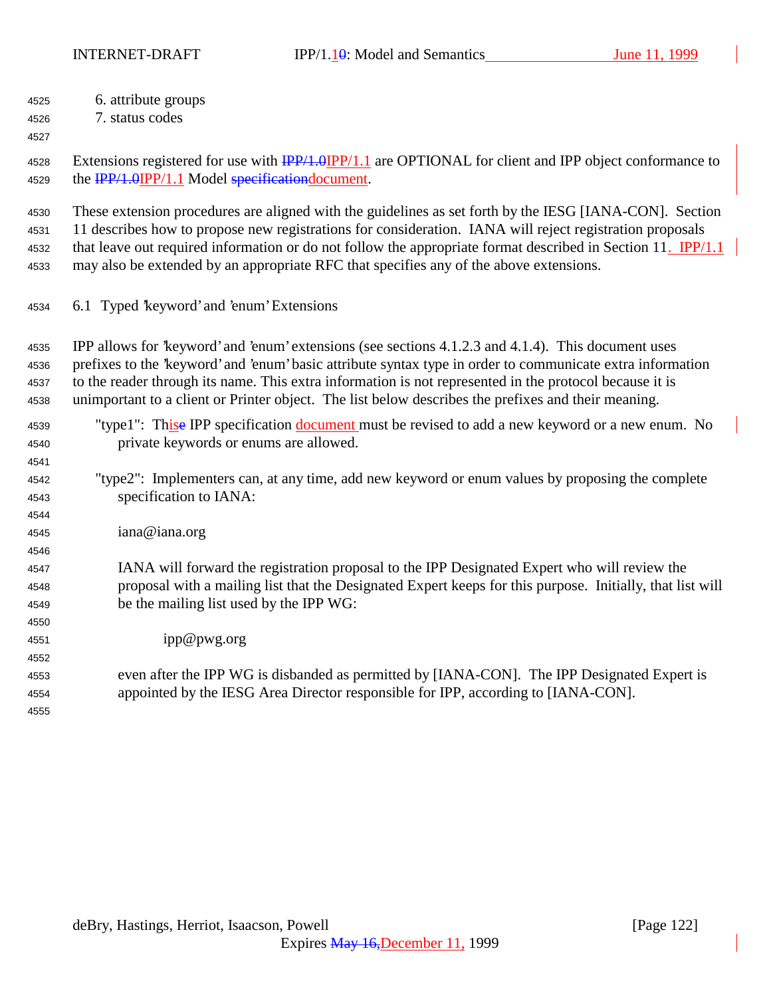INTERNET-DRAFT IPP/1.10: Model and Semantics June 11, 1999

| 6. attribute groups<br>4525 |  |
|-----------------------------|--|
|                             |  |

7. status codes

4528 Extensions registered for use with  $\frac{IPP}{1.0}$  are OPTIONAL for client and IPP object conformance to 4529 the **IPP/1.0IPP/1.1** Model specificationdocument.

 These extension procedures are aligned with the guidelines as set forth by the IESG [IANA-CON]. Section 11 describes how to propose new registrations for consideration. IANA will reject registration proposals that leave out required information or do not follow the appropriate format described in Section 11. IPP/1.1

may also be extended by an appropriate RFC that specifies any of the above extensions.

6.1 Typed 'keyword' and 'enum' Extensions

 IPP allows for 'keyword' and 'enum' extensions (see sections 4.1.2.3 and 4.1.4). This document uses prefixes to the 'keyword' and 'enum' basic attribute syntax type in order to communicate extra information to the reader through its name. This extra information is not represented in the protocol because it is unimportant to a client or Printer object. The list below describes the prefixes and their meaning.

## "type1": Thise IPP specification document must be revised to add a new keyword or a new enum. No private keywords or enums are allowed.

- "type2": Implementers can, at any time, add new keyword or enum values by proposing the complete specification to IANA:
- iana@iana.org

### IANA will forward the registration proposal to the IPP Designated Expert who will review the proposal with a mailing list that the Designated Expert keeps for this purpose. Initially, that list will be the mailing list used by the IPP WG:

ipp@pwg.org

# even after the IPP WG is disbanded as permitted by [IANA-CON]. The IPP Designated Expert is appointed by the IESG Area Director responsible for IPP, according to [IANA-CON].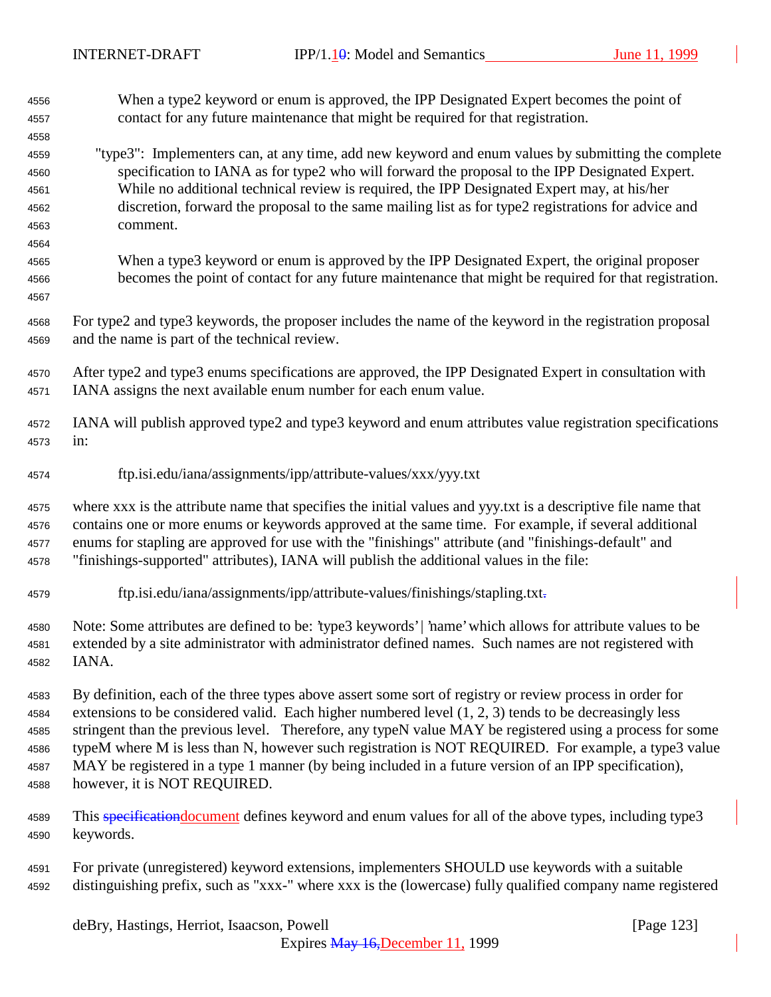| 4556                                                 | When a type2 keyword or enum is approved, the IPP Designated Expert becomes the point of                                                                                                                                                                                                                                                                                                                               |
|------------------------------------------------------|------------------------------------------------------------------------------------------------------------------------------------------------------------------------------------------------------------------------------------------------------------------------------------------------------------------------------------------------------------------------------------------------------------------------|
| 4557                                                 | contact for any future maintenance that might be required for that registration.                                                                                                                                                                                                                                                                                                                                       |
| 4558<br>4559<br>4560<br>4561<br>4562<br>4563<br>4564 | "type3": Implementers can, at any time, add new keyword and enum values by submitting the complete<br>specification to IANA as for type2 who will forward the proposal to the IPP Designated Expert.<br>While no additional technical review is required, the IPP Designated Expert may, at his/her<br>discretion, forward the proposal to the same mailing list as for type2 registrations for advice and<br>comment. |
| 4565<br>4566<br>4567                                 | When a type3 keyword or enum is approved by the IPP Designated Expert, the original proposer<br>becomes the point of contact for any future maintenance that might be required for that registration.                                                                                                                                                                                                                  |
| 4568                                                 | For type2 and type3 keywords, the proposer includes the name of the keyword in the registration proposal                                                                                                                                                                                                                                                                                                               |
| 4569                                                 | and the name is part of the technical review.                                                                                                                                                                                                                                                                                                                                                                          |
| 4570                                                 | After type2 and type3 enums specifications are approved, the IPP Designated Expert in consultation with                                                                                                                                                                                                                                                                                                                |
| 4571                                                 | IANA assigns the next available enum number for each enum value.                                                                                                                                                                                                                                                                                                                                                       |
| 4572                                                 | IANA will publish approved type2 and type3 keyword and enum attributes value registration specifications                                                                                                                                                                                                                                                                                                               |
| 4573                                                 | in:                                                                                                                                                                                                                                                                                                                                                                                                                    |
| 4574                                                 | ftp.isi.edu/iana/assignments/ipp/attribute-values/xxx/yyy.txt                                                                                                                                                                                                                                                                                                                                                          |
| 4575                                                 | where xxx is the attribute name that specifies the initial values and yyy.txt is a descriptive file name that                                                                                                                                                                                                                                                                                                          |
| 4576                                                 | contains one or more enums or keywords approved at the same time. For example, if several additional                                                                                                                                                                                                                                                                                                                   |
| 4577                                                 | enums for stapling are approved for use with the "finishings" attribute (and "finishings-default" and                                                                                                                                                                                                                                                                                                                  |
| 4578                                                 | "finishings-supported" attributes), IANA will publish the additional values in the file:                                                                                                                                                                                                                                                                                                                               |
| 4579                                                 | ftp.isi.edu/iana/assignments/ipp/attribute-values/finishings/stapling.txt-                                                                                                                                                                                                                                                                                                                                             |
| 4580                                                 | Note: Some attributes are defined to be: 'type3 keywords'   'name' which allows for attribute values to be                                                                                                                                                                                                                                                                                                             |
| 4581                                                 | extended by a site administrator with administrator defined names. Such names are not registered with                                                                                                                                                                                                                                                                                                                  |
| 4582                                                 | IANA.                                                                                                                                                                                                                                                                                                                                                                                                                  |
| 4583                                                 | By definition, each of the three types above assert some sort of registry or review process in order for                                                                                                                                                                                                                                                                                                               |
| 4584                                                 | extensions to be considered valid. Each higher numbered level $(1, 2, 3)$ tends to be decreasingly less                                                                                                                                                                                                                                                                                                                |
| 4585                                                 | stringent than the previous level. Therefore, any typeN value MAY be registered using a process for some                                                                                                                                                                                                                                                                                                               |
| 4586                                                 | typeM where M is less than N, however such registration is NOT REQUIRED. For example, a type3 value                                                                                                                                                                                                                                                                                                                    |
| 4587                                                 | MAY be registered in a type 1 manner (by being included in a future version of an IPP specification),                                                                                                                                                                                                                                                                                                                  |
| 4588                                                 | however, it is NOT REQUIRED.                                                                                                                                                                                                                                                                                                                                                                                           |
| 4589                                                 | This specification document defines keyword and enum values for all of the above types, including type3                                                                                                                                                                                                                                                                                                                |
| 4590                                                 | keywords.                                                                                                                                                                                                                                                                                                                                                                                                              |
| 4591                                                 | For private (unregistered) keyword extensions, implementers SHOULD use keywords with a suitable                                                                                                                                                                                                                                                                                                                        |
| 4592                                                 | distinguishing prefix, such as "xxx-" where xxx is the (lowercase) fully qualified company name registered                                                                                                                                                                                                                                                                                                             |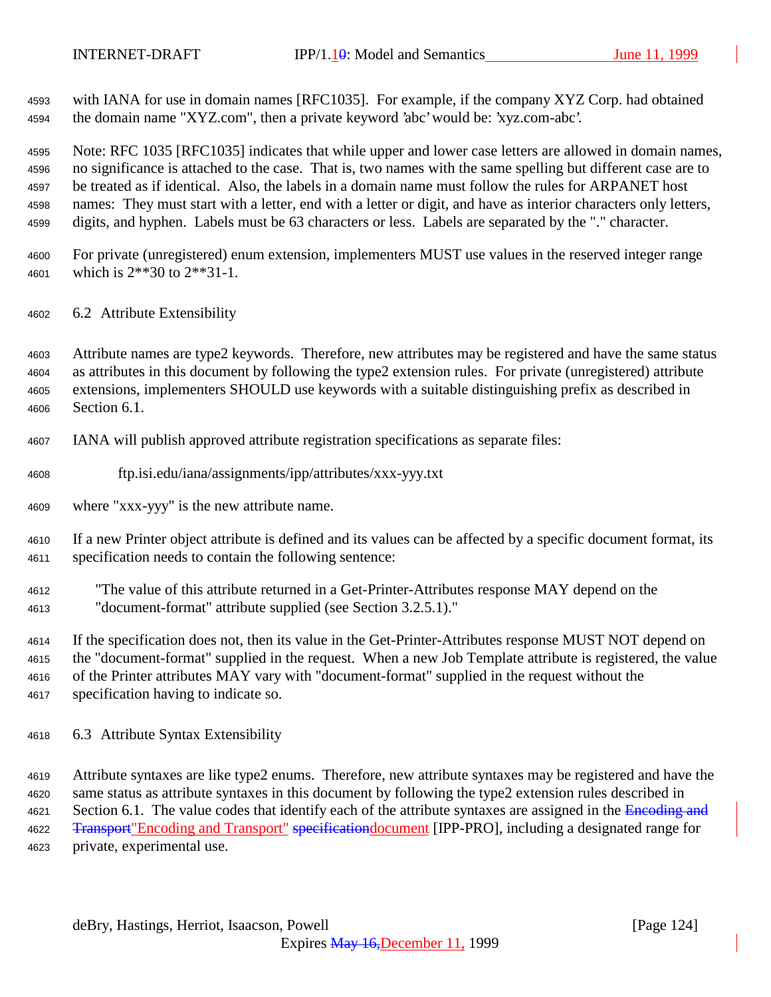with IANA for use in domain names [RFC1035]. For example, if the company XYZ Corp. had obtained the domain name "XYZ.com", then a private keyword 'abc' would be: 'xyz.com-abc'.

 Note: RFC 1035 [RFC1035] indicates that while upper and lower case letters are allowed in domain names, no significance is attached to the case. That is, two names with the same spelling but different case are to be treated as if identical. Also, the labels in a domain name must follow the rules for ARPANET host names: They must start with a letter, end with a letter or digit, and have as interior characters only letters, digits, and hyphen. Labels must be 63 characters or less. Labels are separated by the "." character.

- For private (unregistered) enum extension, implementers MUST use values in the reserved integer range which is 2\*\*30 to 2\*\*31-1.
- 6.2 Attribute Extensibility

 Attribute names are type2 keywords. Therefore, new attributes may be registered and have the same status as attributes in this document by following the type2 extension rules. For private (unregistered) attribute extensions, implementers SHOULD use keywords with a suitable distinguishing prefix as described in Section 6.1.

- IANA will publish approved attribute registration specifications as separate files:
- ftp.isi.edu/iana/assignments/ipp/attributes/xxx-yyy.txt
- where "xxx-yyy" is the new attribute name.

 If a new Printer object attribute is defined and its values can be affected by a specific document format, its specification needs to contain the following sentence:

 "The value of this attribute returned in a Get-Printer-Attributes response MAY depend on the "document-format" attribute supplied (see Section 3.2.5.1)."

 If the specification does not, then its value in the Get-Printer-Attributes response MUST NOT depend on the "document-format" supplied in the request. When a new Job Template attribute is registered, the value of the Printer attributes MAY vary with "document-format" supplied in the request without the specification having to indicate so.

6.3 Attribute Syntax Extensibility

 Attribute syntaxes are like type2 enums. Therefore, new attribute syntaxes may be registered and have the same status as attribute syntaxes in this document by following the type2 extension rules described in 4621 Section 6.1. The value codes that identify each of the attribute syntaxes are assigned in the Encoding and 4622 <del>Transport</del> "Encoding and Transport" specificationdocument [IPP-PRO], including a designated range for private, experimental use.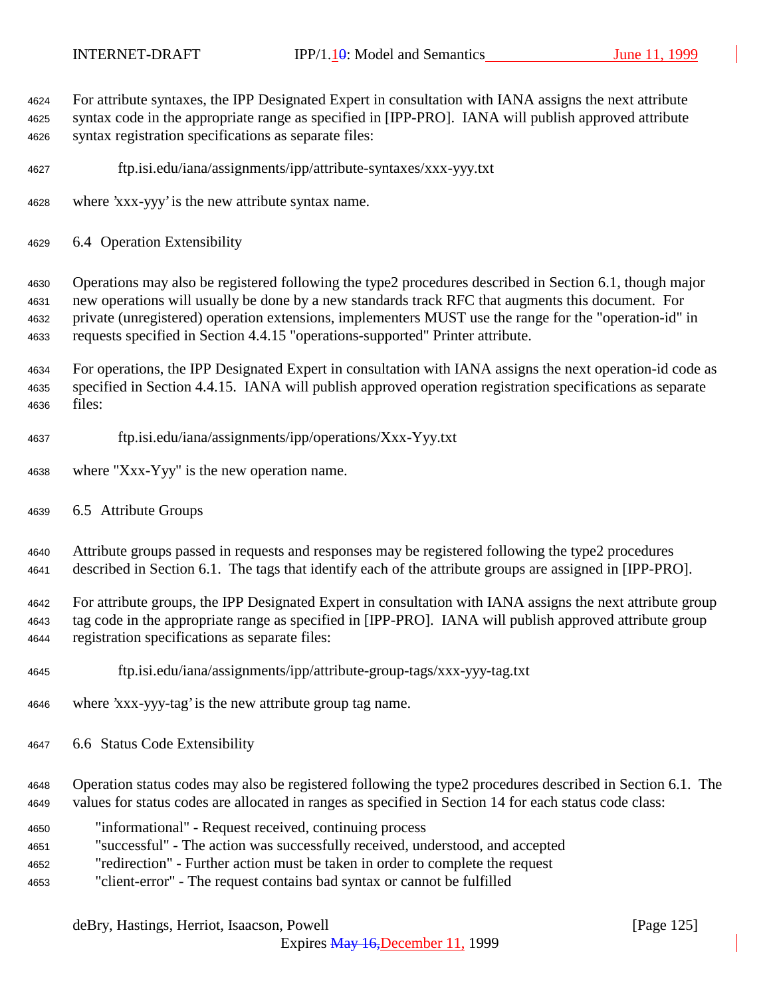| 4624<br>4625<br>4626         | For attribute syntaxes, the IPP Designated Expert in consultation with IANA assigns the next attribute<br>syntax code in the appropriate range as specified in [IPP-PRO]. IANA will publish approved attribute<br>syntax registration specifications as separate files:                                                                                                                                  |
|------------------------------|----------------------------------------------------------------------------------------------------------------------------------------------------------------------------------------------------------------------------------------------------------------------------------------------------------------------------------------------------------------------------------------------------------|
| 4627                         | ftp.isi.edu/iana/assignments/ipp/attribute-syntaxes/xxx-yyy.txt                                                                                                                                                                                                                                                                                                                                          |
| 4628                         | where 'xxx-yyy' is the new attribute syntax name.                                                                                                                                                                                                                                                                                                                                                        |
| 4629                         | 6.4 Operation Extensibility                                                                                                                                                                                                                                                                                                                                                                              |
| 4630<br>4631<br>4632<br>4633 | Operations may also be registered following the type2 procedures described in Section 6.1, though major<br>new operations will usually be done by a new standards track RFC that augments this document. For<br>private (unregistered) operation extensions, implementers MUST use the range for the "operation-id" in<br>requests specified in Section 4.4.15 "operations-supported" Printer attribute. |
| 4634<br>4635<br>4636         | For operations, the IPP Designated Expert in consultation with IANA assigns the next operation-id code as<br>specified in Section 4.4.15. IANA will publish approved operation registration specifications as separate<br>files:                                                                                                                                                                         |
| 4637                         | ftp.isi.edu/iana/assignments/ipp/operations/Xxx-Yyy.txt                                                                                                                                                                                                                                                                                                                                                  |
| 4638                         | where "Xxx-Yyy" is the new operation name.                                                                                                                                                                                                                                                                                                                                                               |
| 4639                         | 6.5 Attribute Groups                                                                                                                                                                                                                                                                                                                                                                                     |
| 4640<br>4641                 | Attribute groups passed in requests and responses may be registered following the type2 procedures<br>described in Section 6.1. The tags that identify each of the attribute groups are assigned in [IPP-PRO].                                                                                                                                                                                           |
| 4642<br>4643<br>4644         | For attribute groups, the IPP Designated Expert in consultation with IANA assigns the next attribute group<br>tag code in the appropriate range as specified in [IPP-PRO]. IANA will publish approved attribute group<br>registration specifications as separate files:                                                                                                                                  |
| 4645                         | ftp.isi.edu/iana/assignments/ipp/attribute-group-tags/xxx-yyy-tag.txt                                                                                                                                                                                                                                                                                                                                    |
| 4646                         | where 'xxx-yyy-tag' is the new attribute group tag name.                                                                                                                                                                                                                                                                                                                                                 |
| 4647                         | 6.6 Status Code Extensibility                                                                                                                                                                                                                                                                                                                                                                            |
| 4648<br>4649                 | Operation status codes may also be registered following the type2 procedures described in Section 6.1. The<br>values for status codes are allocated in ranges as specified in Section 14 for each status code class:                                                                                                                                                                                     |
| 4650<br>4651<br>4652<br>4653 | "informational" - Request received, continuing process<br>"successful" - The action was successfully received, understood, and accepted<br>"redirection" - Further action must be taken in order to complete the request<br>"client-error" - The request contains bad syntax or cannot be fulfilled                                                                                                      |
|                              |                                                                                                                                                                                                                                                                                                                                                                                                          |

# deBry, Hastings, Herriot, Isaacson, Powell [Page 125]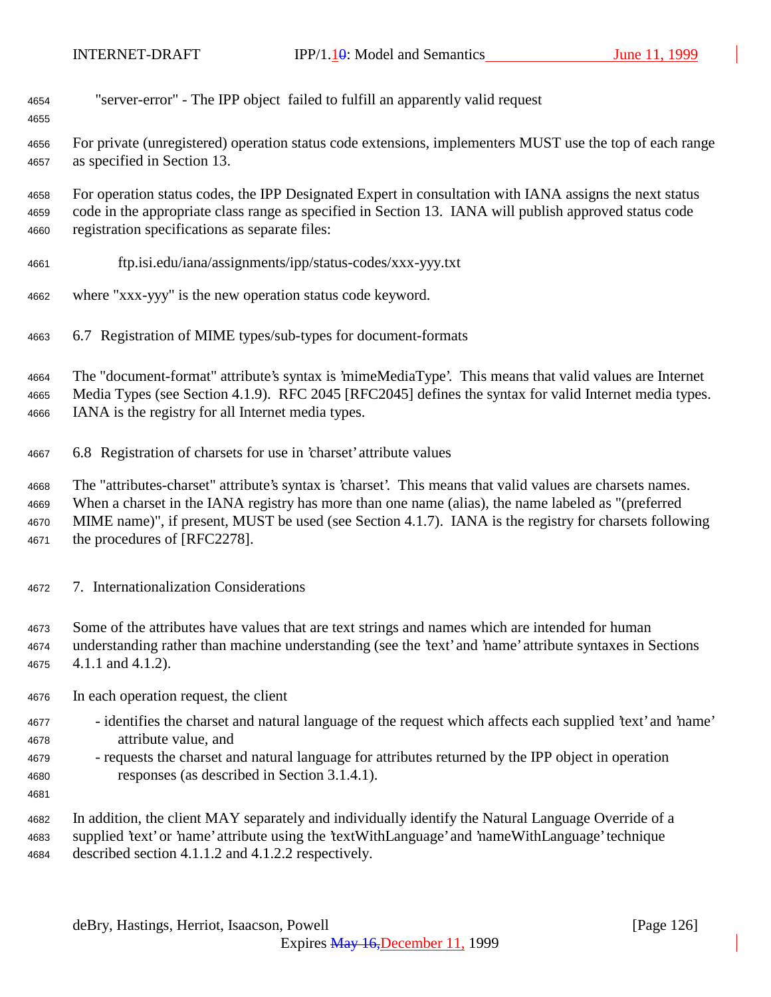| "server-error" - The IPP object failed to fulfill an apparently valid request<br>4654 |  |  |  |
|---------------------------------------------------------------------------------------|--|--|--|
|---------------------------------------------------------------------------------------|--|--|--|

 For private (unregistered) operation status code extensions, implementers MUST use the top of each range as specified in Section 13.

 For operation status codes, the IPP Designated Expert in consultation with IANA assigns the next status code in the appropriate class range as specified in Section 13. IANA will publish approved status code registration specifications as separate files:

- ftp.isi.edu/iana/assignments/ipp/status-codes/xxx-yyy.txt
- where "xxx-yyy" is the new operation status code keyword.
- 6.7 Registration of MIME types/sub-types for document-formats

 The "document-format" attribute's syntax is 'mimeMediaType'. This means that valid values are Internet Media Types (see Section 4.1.9). RFC 2045 [RFC2045] defines the syntax for valid Internet media types. IANA is the registry for all Internet media types.

6.8 Registration of charsets for use in 'charset' attribute values

 The "attributes-charset" attribute's syntax is 'charset'. This means that valid values are charsets names. When a charset in the IANA registry has more than one name (alias), the name labeled as "(preferred MIME name)", if present, MUST be used (see Section 4.1.7). IANA is the registry for charsets following

the procedures of [RFC2278].

- 7. Internationalization Considerations
- Some of the attributes have values that are text strings and names which are intended for human

 understanding rather than machine understanding (see the 'text' and 'name' attribute syntaxes in Sections 4.1.1 and 4.1.2).

- In each operation request, the client
- identifies the charset and natural language of the request which affects each supplied 'text' and 'name' attribute value, and
- requests the charset and natural language for attributes returned by the IPP object in operation responses (as described in Section 3.1.4.1).
- 

 In addition, the client MAY separately and individually identify the Natural Language Override of a supplied 'text' or 'name' attribute using the 'textWithLanguage' and 'nameWithLanguage' technique described section 4.1.1.2 and 4.1.2.2 respectively.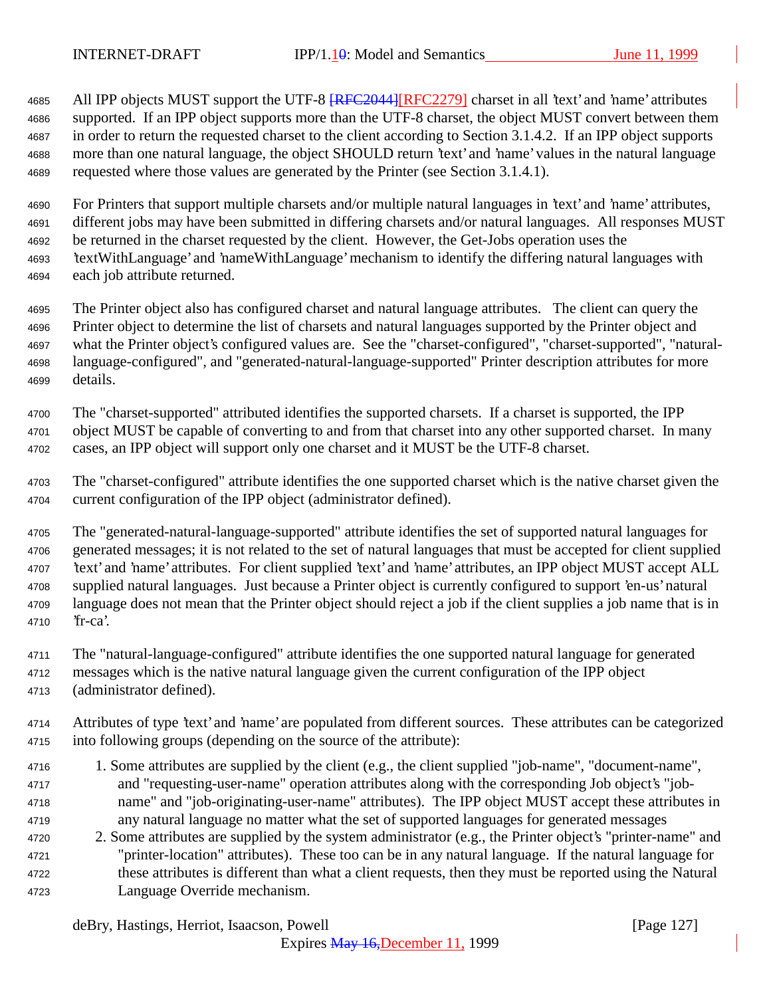4685 All IPP objects MUST support the UTF-8  $RFC2044$  [RFC2279] charset in all 'text' and 'name' attributes supported. If an IPP object supports more than the UTF-8 charset, the object MUST convert between them in order to return the requested charset to the client according to Section 3.1.4.2. If an IPP object supports more than one natural language, the object SHOULD return 'text' and 'name' values in the natural language requested where those values are generated by the Printer (see Section 3.1.4.1).

 For Printers that support multiple charsets and/or multiple natural languages in 'text' and 'name' attributes, different jobs may have been submitted in differing charsets and/or natural languages. All responses MUST be returned in the charset requested by the client. However, the Get-Jobs operation uses the 'textWithLanguage' and 'nameWithLanguage' mechanism to identify the differing natural languages with each job attribute returned.

 The Printer object also has configured charset and natural language attributes. The client can query the Printer object to determine the list of charsets and natural languages supported by the Printer object and what the Printer object's configured values are. See the "charset-configured", "charset-supported", "natural- language-configured", and "generated-natural-language-supported" Printer description attributes for more details.

 The "charset-supported" attributed identifies the supported charsets. If a charset is supported, the IPP object MUST be capable of converting to and from that charset into any other supported charset. In many cases, an IPP object will support only one charset and it MUST be the UTF-8 charset.

 The "charset-configured" attribute identifies the one supported charset which is the native charset given the current configuration of the IPP object (administrator defined).

 The "generated-natural-language-supported" attribute identifies the set of supported natural languages for generated messages; it is not related to the set of natural languages that must be accepted for client supplied 'text' and 'name' attributes. For client supplied 'text' and 'name' attributes, an IPP object MUST accept ALL supplied natural languages. Just because a Printer object is currently configured to support 'en-us' natural language does not mean that the Printer object should reject a job if the client supplies a job name that is in 'fr-ca'.

The "natural-language-configured" attribute identifies the one supported natural language for generated

 messages which is the native natural language given the current configuration of the IPP object (administrator defined).

 Attributes of type 'text' and 'name' are populated from different sources. These attributes can be categorized into following groups (depending on the source of the attribute):

- 1. Some attributes are supplied by the client (e.g., the client supplied "job-name", "document-name", and "requesting-user-name" operation attributes along with the corresponding Job object's "job- name" and "job-originating-user-name" attributes). The IPP object MUST accept these attributes in any natural language no matter what the set of supported languages for generated messages
- 2. Some attributes are supplied by the system administrator (e.g., the Printer object's "printer-name" and "printer-location" attributes). These too can be in any natural language. If the natural language for these attributes is different than what a client requests, then they must be reported using the Natural Language Override mechanism.

deBry, Hastings, Herriot, Isaacson, Powell [Page 127]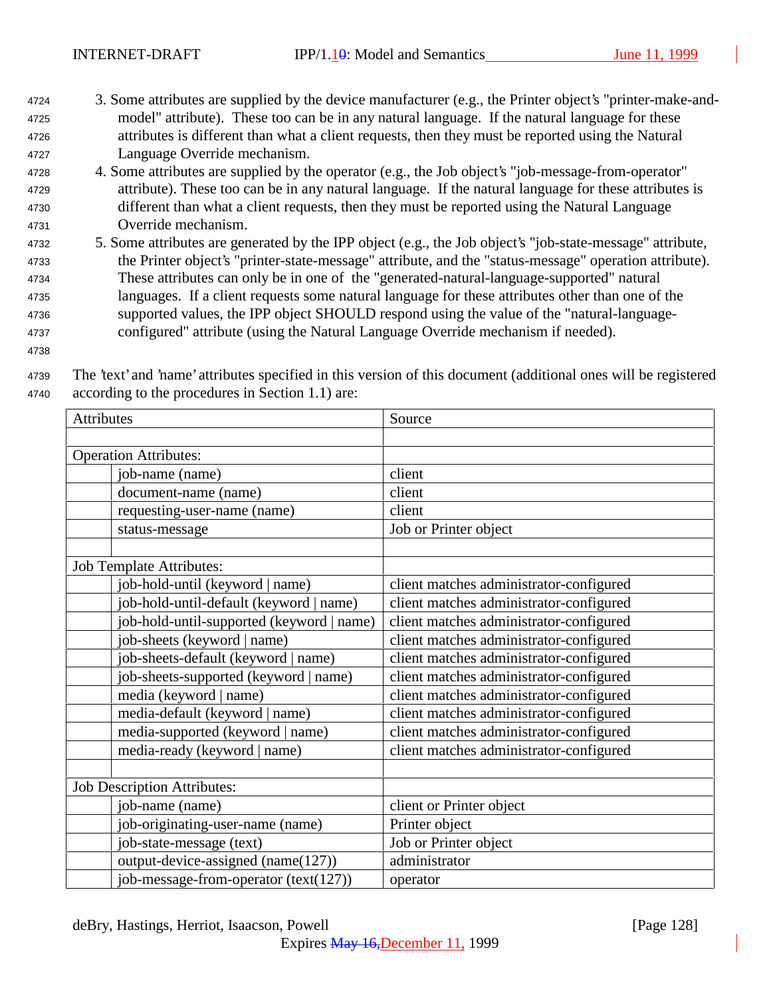- <sup>4724</sup> 3. Some attributes are supplied by the device manufacturer (e.g., the Printer object's "printer-make-and-<sup>4725</sup> model" attribute). These too can be in any natural language. If the natural language for these <sup>4726</sup> attributes is different than what a client requests, then they must be reported using the Natural <sup>4727</sup> Language Override mechanism.
- <sup>4728</sup> 4. Some attributes are supplied by the operator (e.g., the Job object's "job-message-from-operator" <sup>4729</sup> attribute). These too can be in any natural language. If the natural language for these attributes is <sup>4730</sup> different than what a client requests, then they must be reported using the Natural Language <sup>4731</sup> Override mechanism.
- <sup>4732</sup> 5. Some attributes are generated by the IPP object (e.g., the Job object's "job-state-message" attribute, <sup>4733</sup> the Printer object's "printer-state-message" attribute, and the "status-message" operation attribute). <sup>4734</sup> These attributes can only be in one of the "generated-natural-language-supported" natural <sup>4735</sup> languages. If a client requests some natural language for these attributes other than one of the <sup>4736</sup> supported values, the IPP object SHOULD respond using the value of the "natural-language-<sup>4737</sup> configured" attribute (using the Natural Language Override mechanism if needed).
- 4738

<sup>4739</sup> The 'text' and 'name' attributes specified in this version of this document (additional ones will be registered <sup>4740</sup> according to the procedures in Section 1.1) are:

| Attributes                                | Source                                  |  |
|-------------------------------------------|-----------------------------------------|--|
|                                           |                                         |  |
| <b>Operation Attributes:</b>              |                                         |  |
| job-name (name)                           | client                                  |  |
| document-name (name)                      | client                                  |  |
| requesting-user-name (name)               | client                                  |  |
| status-message                            | Job or Printer object                   |  |
| Job Template Attributes:                  |                                         |  |
| job-hold-until (keyword   name)           | client matches administrator-configured |  |
| job-hold-until-default (keyword   name)   | client matches administrator-configured |  |
| job-hold-until-supported (keyword   name) | client matches administrator-configured |  |
| job-sheets (keyword   name)               | client matches administrator-configured |  |
| job-sheets-default (keyword   name)       | client matches administrator-configured |  |
| job-sheets-supported (keyword   name)     | client matches administrator-configured |  |
| media (keyword   name)                    | client matches administrator-configured |  |
| media-default (keyword   name)            | client matches administrator-configured |  |
| media-supported (keyword   name)          | client matches administrator-configured |  |
| media-ready (keyword   name)              | client matches administrator-configured |  |
| <b>Job Description Attributes:</b>        |                                         |  |
| job-name (name)                           | client or Printer object                |  |
| job-originating-user-name (name)          | Printer object                          |  |
| job-state-message (text)                  | Job or Printer object                   |  |
| output-device-assigned (name(127))        | administrator                           |  |
| job-message-from-operator (text(127))     | operator                                |  |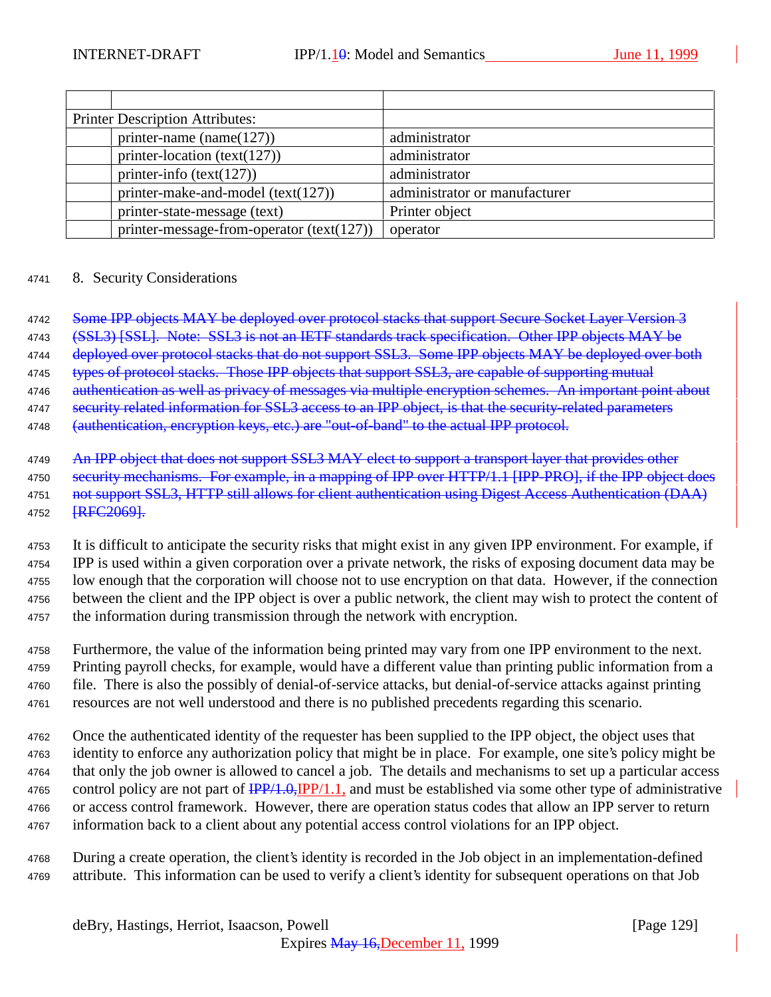| <b>Printer Description Attributes:</b> |                                           |                               |
|----------------------------------------|-------------------------------------------|-------------------------------|
|                                        | printer-name (name $(127)$ )              | administrator                 |
|                                        | printer-location (text(127))              | administrator                 |
|                                        | printer-info $(text(127))$                | administrator                 |
|                                        | printer-make-and-model $(text(127))$      | administrator or manufacturer |
|                                        | printer-state-message (text)              | Printer object                |
|                                        | printer-message-from-operator (text(127)) | operator                      |

#### <sup>4741</sup> 8. Security Considerations

4742 Some IPP objects MAY be deployed over protocol stacks that support Secure Socket Layer Version 3

4743 (SSL3) [SSL]. Note: SSL3 is not an IETF standards track specification. Other IPP objects MAY be

4744 deployed over protocol stacks that do not support SSL3. Some IPP objects MAY be deployed over both

4745 types of protocol stacks. Those IPP objects that support SSL3, are capable of supporting mutual

4746 authentication as well as privacy of messages via multiple encryption schemes. An important point about

4747 security related information for SSL3 access to an IPP object, is that the security-related parameters

4748 (authentication, encryption keys, etc.) are "out-of-band" to the actual IPP protocol.

 It is difficult to anticipate the security risks that might exist in any given IPP environment. For example, if IPP is used within a given corporation over a private network, the risks of exposing document data may be low enough that the corporation will choose not to use encryption on that data. However, if the connection between the client and the IPP object is over a public network, the client may wish to protect the content of the information during transmission through the network with encryption.

 Furthermore, the value of the information being printed may vary from one IPP environment to the next. Printing payroll checks, for example, would have a different value than printing public information from a file. There is also the possibly of denial-of-service attacks, but denial-of-service attacks against printing resources are not well understood and there is no published precedents regarding this scenario.

 Once the authenticated identity of the requester has been supplied to the IPP object, the object uses that identity to enforce any authorization policy that might be in place. For example, one site's policy might be that only the job owner is allowed to cancel a job. The details and mechanisms to set up a particular access 4765 control policy are not part of  $\frac{IPP}{1.0}$ ,  $\frac{IPP}{1.1}$ , and must be established via some other type of administrative or access control framework. However, there are operation status codes that allow an IPP server to return information back to a client about any potential access control violations for an IPP object.

<sup>4768</sup> During a create operation, the client's identity is recorded in the Job object in an implementation-defined <sup>4769</sup> attribute. This information can be used to verify a client's identity for subsequent operations on that Job

<sup>4749</sup> An IPP object that does not support SSL3 MAY elect to support a transport layer that provides other 4750 security mechanisms. For example, in a mapping of IPP over HTTP/1.1 [IPP-PRO], if the IPP object does 4751 not support SSL3, HTTP still allows for client authentication using Digest Access Authentication (DAA) 4752 [RFC2069].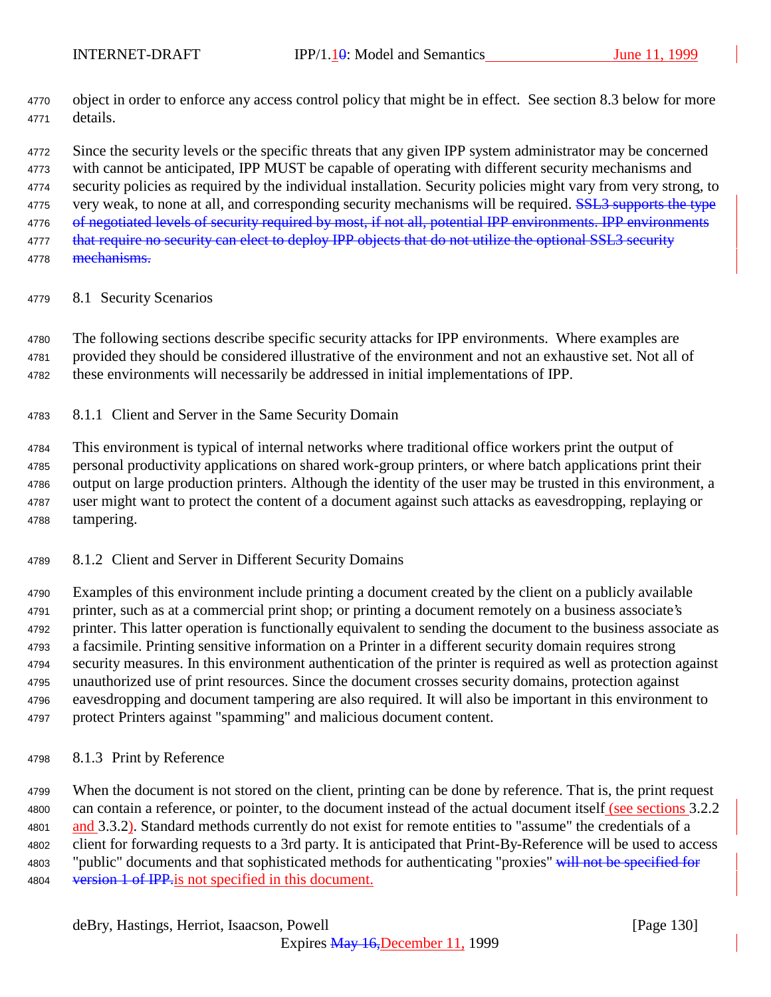object in order to enforce any access control policy that might be in effect. See section 8.3 below for more details.

4772 Since the security levels or the specific threats that any given IPP system administrator may be concerned with cannot be anticipated, IPP MUST be capable of operating with different security mechanisms and security policies as required by the individual installation. Security policies might vary from very strong, to 4775 very weak, to none at all, and corresponding security mechanisms will be required. **SSL3** supports the type 4776 of negotiated levels of security required by most, if not all, potential IPP environments. IPP environments 4777 that require no security can elect to deploy IPP objects that do not utilize the optional SSL3 security

- 4778 <del>mechanisms.</del>
- 8.1 Security Scenarios

 The following sections describe specific security attacks for IPP environments. Where examples are provided they should be considered illustrative of the environment and not an exhaustive set. Not all of these environments will necessarily be addressed in initial implementations of IPP.

8.1.1 Client and Server in the Same Security Domain

 This environment is typical of internal networks where traditional office workers print the output of personal productivity applications on shared work-group printers, or where batch applications print their output on large production printers. Although the identity of the user may be trusted in this environment, a user might want to protect the content of a document against such attacks as eavesdropping, replaying or tampering.

8.1.2 Client and Server in Different Security Domains

 Examples of this environment include printing a document created by the client on a publicly available printer, such as at a commercial print shop; or printing a document remotely on a business associate's printer. This latter operation is functionally equivalent to sending the document to the business associate as a facsimile. Printing sensitive information on a Printer in a different security domain requires strong security measures. In this environment authentication of the printer is required as well as protection against unauthorized use of print resources. Since the document crosses security domains, protection against eavesdropping and document tampering are also required. It will also be important in this environment to protect Printers against "spamming" and malicious document content.

8.1.3 Print by Reference

 When the document is not stored on the client, printing can be done by reference. That is, the print request can contain a reference, or pointer, to the document instead of the actual document itself (see sections 3.2.2 4801 and 3.3.2). Standard methods currently do not exist for remote entities to "assume" the credentials of a client for forwarding requests to a 3rd party. It is anticipated that Print-By-Reference will be used to access 4803 "public" documents and that sophisticated methods for authenticating "proxies" will not be specified for 4804 version 1 of IPP is not specified in this document.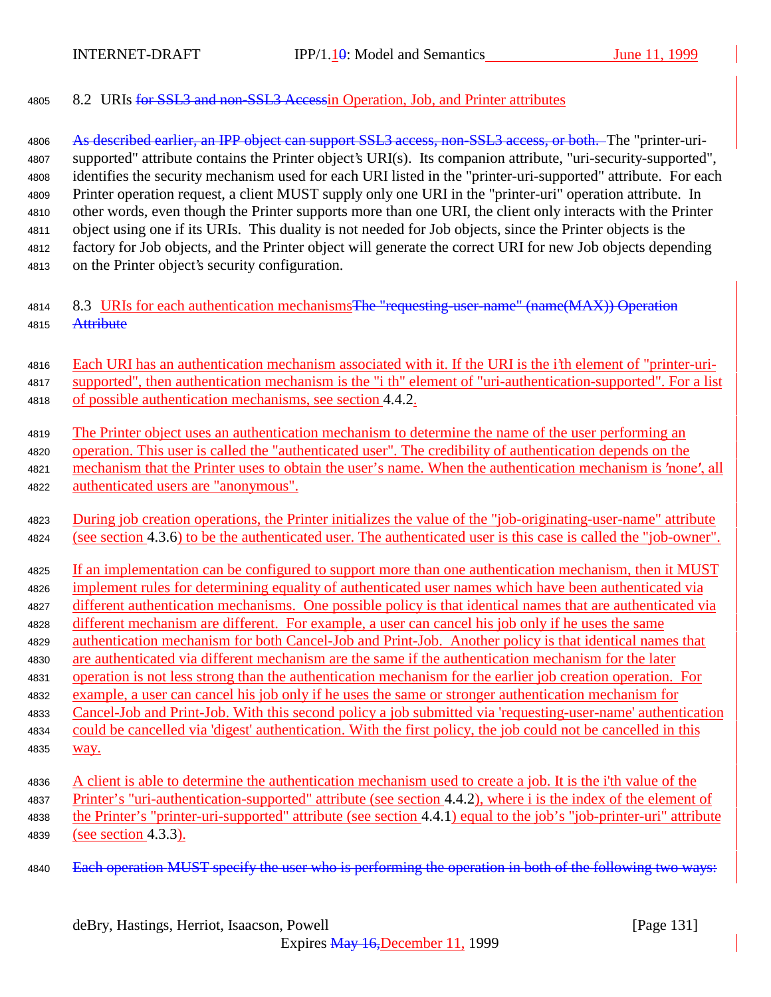8.2 URIs for SSL3 and non-SSL3 Accessin Operation, Job, and Printer attributes

4806 As described earlier, an IPP object can support SSL3 access, non-SSL3 access, or both. The "printer-uri- supported" attribute contains the Printer object's URI(s). Its companion attribute, "uri-security-supported", identifies the security mechanism used for each URI listed in the "printer-uri-supported" attribute. For each Printer operation request, a client MUST supply only one URI in the "printer-uri" operation attribute. In other words, even though the Printer supports more than one URI, the client only interacts with the Printer object using one if its URIs. This duality is not needed for Job objects, since the Printer objects is the factory for Job objects, and the Printer object will generate the correct URI for new Job objects depending on the Printer object's security configuration.

- 4814 8.3 URIs for each authentication mechanisms The "requesting-user-name" (name(MAX)) Operation 4815 Attribute
- Each URI has an authentication mechanism associated with it. If the URI is the i'th element of "printer-uri- supported", then authentication mechanism is the "i th" element of "uri-authentication-supported". For a list of possible authentication mechanisms, see section 4.4.2.
- The Printer object uses an authentication mechanism to determine the name of the user performing an operation. This user is called the "authenticated user". The credibility of authentication depends on the 4821 mechanism that the Printer uses to obtain the user's name. When the authentication mechanism is 'none', all authenticated users are "anonymous".
- 4823 During job creation operations, the Printer initializes the value of the "job-originating-user-name" attribute 4824 (see section 4.3.6) to be the authenticated user. The authenticated user is this case is called the "job-owner".
- If an implementation can be configured to support more than one authentication mechanism, then it MUST implement rules for determining equality of authenticated user names which have been authenticated via different authentication mechanisms. One possible policy is that identical names that are authenticated via different mechanism are different. For example, a user can cancel his job only if he uses the same
- authentication mechanism for both Cancel-Job and Print-Job. Another policy is that identical names that are authenticated via different mechanism are the same if the authentication mechanism for the later
- operation is not less strong than the authentication mechanism for the earlier job creation operation. For
- example, a user can cancel his job only if he uses the same or stronger authentication mechanism for
- Cancel-Job and Print-Job. With this second policy a job submitted via 'requesting-user-name' authentication could be cancelled via 'digest' authentication. With the first policy, the job could not be cancelled in this
- way.
- A client is able to determine the authentication mechanism used to create a job. It is the i'th value of the Printer's "uri-authentication-supported" attribute (see section 4.4.2), where i is the index of the element of the Printer's "printer-uri-supported" attribute (see section 4.4.1) equal to the job's "job-printer-uri" attribute (see section 4.3.3).
- 4840 Each operation MUST specify the user who is performing the operation in both of the following two ways: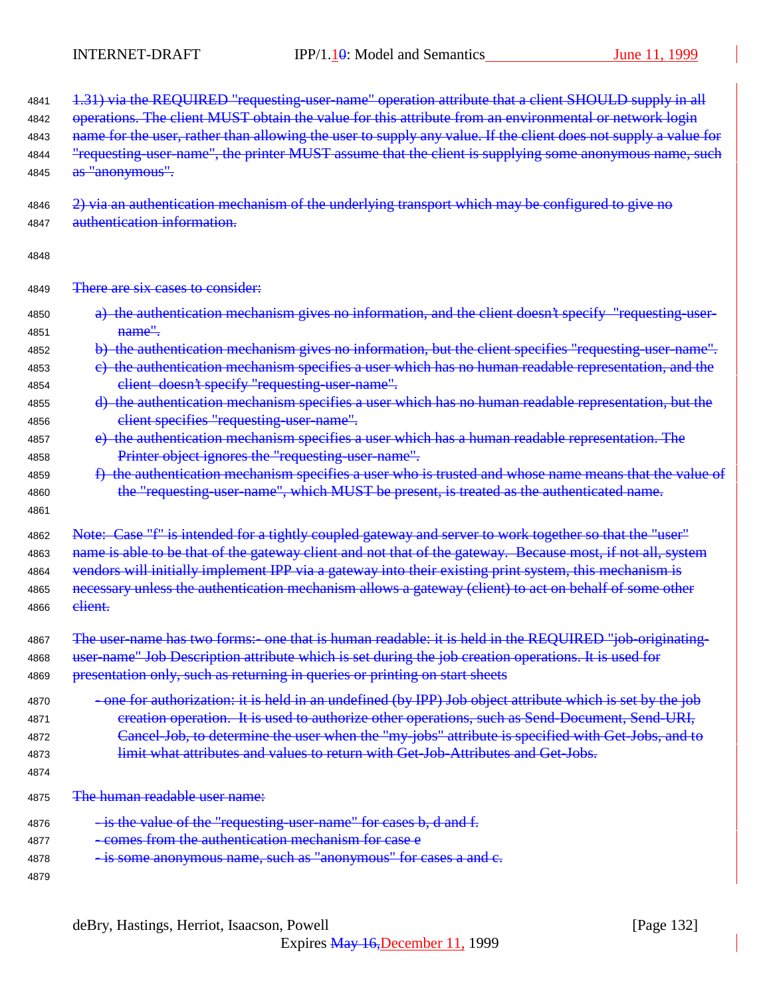| 4841 | 1.31) via the REQUIRED "requesting-user-name" operation attribute that a client SHOULD supply in all            |
|------|-----------------------------------------------------------------------------------------------------------------|
| 4842 | operations. The client MUST obtain the value for this attribute from an environmental or network login          |
| 4843 | name for the user, rather than allowing the user to supply any value. If the client does not supply a value for |
| 4844 | "requesting user name", the printer MUST assume that the client is supplying some anonymous name, such          |
| 4845 | as "anonymous".                                                                                                 |
| 4846 | 2) via an authentication mechanism of the underlying transport which may be configured to give no               |
| 4847 | authentication information.                                                                                     |
| 4848 |                                                                                                                 |
| 4849 | There are six cases to consider:                                                                                |
| 4850 | a) the authentication mechanism gives no information, and the client doesn't specify "requesting-user-          |
| 4851 | name".                                                                                                          |
| 4852 | b) the authentication mechanism gives no information, but the client specifies "requesting-user-name".          |
| 4853 | e) the authentication mechanism specifies a user which has no human readable representation, and the            |
| 4854 | client doesn't specify "requesting-user-name".                                                                  |
| 4855 | d) the authentication mechanism specifies a user which has no human readable representation, but the            |
| 4856 | client specifies "requesting-user-name".                                                                        |
| 4857 | e) the authentication mechanism specifies a user which has a human readable representation. The                 |
| 4858 | Printer object ignores the "requesting-user-name".                                                              |
| 4859 | f) the authentication mechanism specifies a user who is trusted and whose name means that the value of          |
| 4860 | the "requesting-user-name", which MUST be present, is treated as the authenticated name.                        |
| 4861 |                                                                                                                 |
| 4862 | Note: Case "f" is intended for a tightly coupled gateway and server to work together so that the "user"         |
| 4863 | name is able to be that of the gateway client and not that of the gateway. Because most, if not all, system     |
| 4864 | vendors will initially implement IPP via a gateway into their existing print system, this mechanism is          |
| 4865 | necessary unless the authentication mechanism allows a gateway (client) to act on behalf of some other          |
| 4866 | elient.                                                                                                         |
| 4867 | The user-name has two forms: one that is human readable: it is held in the REQUIRED "job-originatin             |
| 4868 | user-name" Job Description attribute which is set during the job creation operations. It is used for            |
| 4869 | presentation only, such as returning in queries or printing on start sheets                                     |
| 4870 | -one for authorization: it is held in an undefined (by IPP) Job object attribute which is set by the job        |
| 4871 | creation operation. It is used to authorize other operations, such as Send-Document, Send-URI,                  |
| 4872 | Cancel-Job, to determine the user when the "my-jobs" attribute is specified with Get-Jobs, and to               |
| 4873 | limit what attributes and values to return with Get Job Attributes and Get Jobs.                                |
| 4874 |                                                                                                                 |
| 4875 | The human readable user name:                                                                                   |
| 4876 | - is the value of the "requesting-user-name" for cases b, d and f.                                              |
| 4877 | - comes from the authentication mechanism for case e                                                            |
| 4878 | - is some anonymous name, such as "anonymous" for cases a and c.                                                |
| 4879 |                                                                                                                 |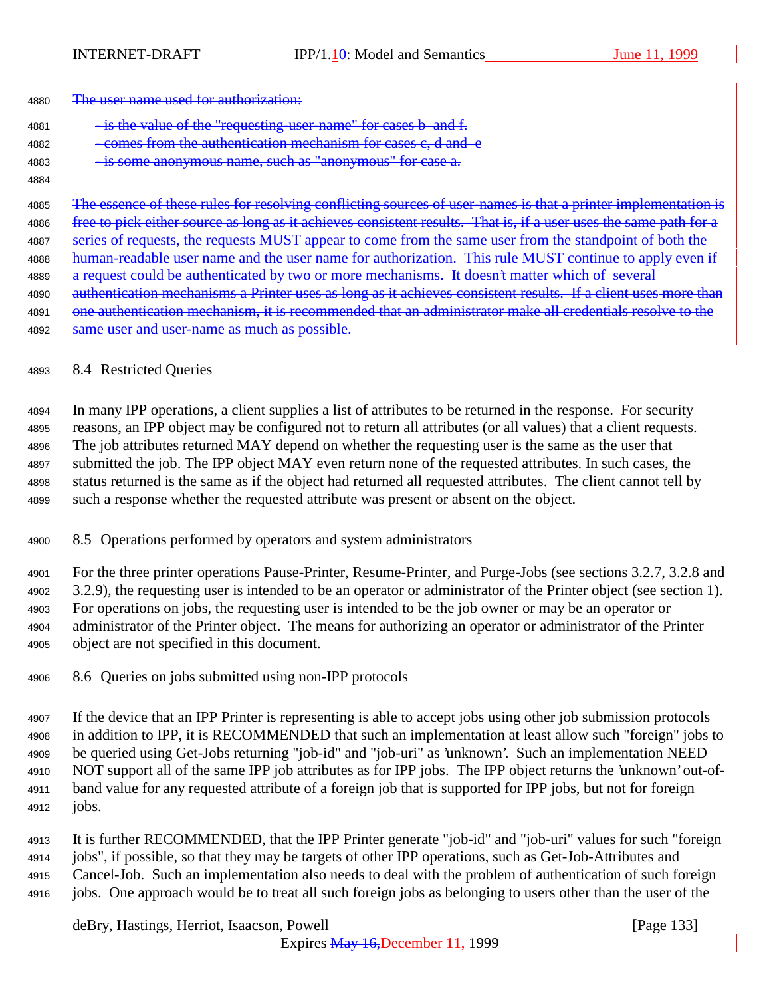| <del>The user hame used for authorization.</del> | 4880 | The user name used for authorization: |
|--------------------------------------------------|------|---------------------------------------|
|--------------------------------------------------|------|---------------------------------------|

|      |  | - is the value of the "requesting-user-name" for cases b and f. |  |  |  |
|------|--|-----------------------------------------------------------------|--|--|--|
| 4881 |  |                                                                 |  |  |  |

- 4882 comes from the authentication mechanism for cases e, d and e 4883 - is some anonymous name, such as "anonymous" for case a.
- 

4885 The essence of these rules for resolving conflicting sources of user-names is that a printer implementation is 4886 free to pick either source as long as it achieves consistent results. That is, if a user uses the same path for a 4887 series of requests, the requests MUST appear to come from the same user from the standpoint of both the 4888 human-readable user name and the user name for authorization. This rule MUST continue to apply even if 4889 a request could be authenticated by two or more mechanisms. It doesn't matter which of several 4890 authentication mechanisms a Printer uses as long as it achieves consistent results. If a client uses more than 4891 one authentication mechanism, it is recommended that an administrator make all credentials resolve to the 4892 same user and user-name as much as possible.

#### 8.4 Restricted Queries

 In many IPP operations, a client supplies a list of attributes to be returned in the response. For security reasons, an IPP object may be configured not to return all attributes (or all values) that a client requests. The job attributes returned MAY depend on whether the requesting user is the same as the user that submitted the job. The IPP object MAY even return none of the requested attributes. In such cases, the status returned is the same as if the object had returned all requested attributes. The client cannot tell by such a response whether the requested attribute was present or absent on the object.

### 8.5 Operations performed by operators and system administrators

 For the three printer operations Pause-Printer, Resume-Printer, and Purge-Jobs (see sections 3.2.7, 3.2.8 and 3.2.9), the requesting user is intended to be an operator or administrator of the Printer object (see section 1). For operations on jobs, the requesting user is intended to be the job owner or may be an operator or administrator of the Printer object. The means for authorizing an operator or administrator of the Printer object are not specified in this document.

8.6 Queries on jobs submitted using non-IPP protocols

 If the device that an IPP Printer is representing is able to accept jobs using other job submission protocols in addition to IPP, it is RECOMMENDED that such an implementation at least allow such "foreign" jobs to be queried using Get-Jobs returning "job-id" and "job-uri" as 'unknown'. Such an implementation NEED NOT support all of the same IPP job attributes as for IPP jobs. The IPP object returns the 'unknown' out-of- band value for any requested attribute of a foreign job that is supported for IPP jobs, but not for foreign jobs.

 It is further RECOMMENDED, that the IPP Printer generate "job-id" and "job-uri" values for such "foreign jobs", if possible, so that they may be targets of other IPP operations, such as Get-Job-Attributes and Cancel-Job. Such an implementation also needs to deal with the problem of authentication of such foreign jobs. One approach would be to treat all such foreign jobs as belonging to users other than the user of the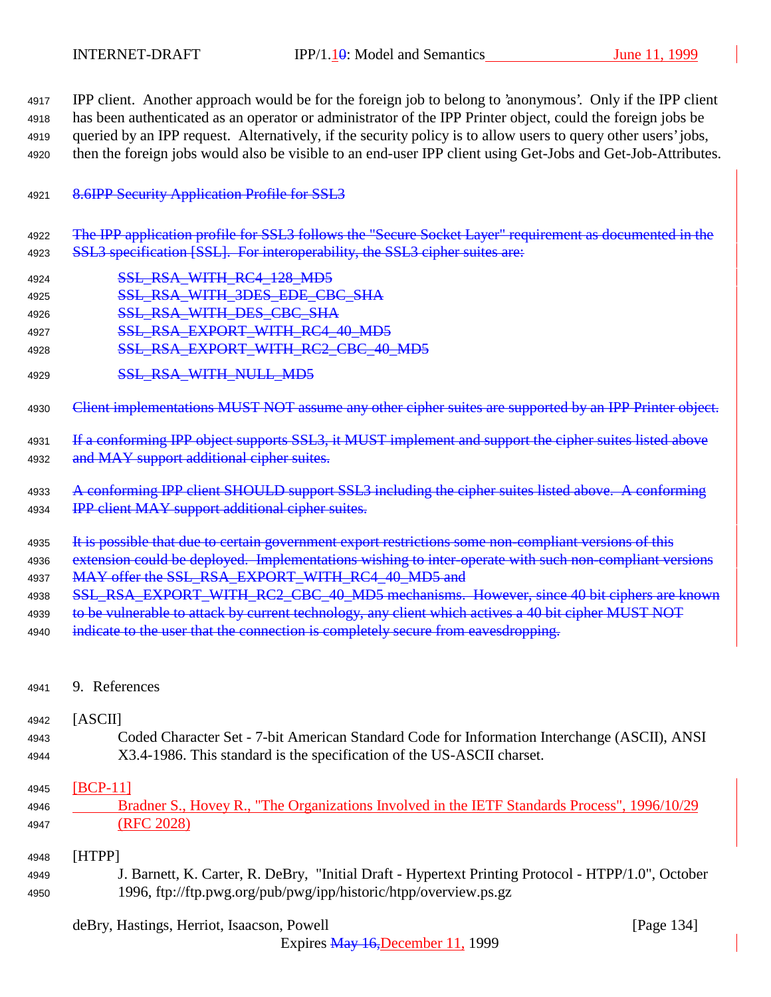IPP client. Another approach would be for the foreign job to belong to 'anonymous'. Only if the IPP client has been authenticated as an operator or administrator of the IPP Printer object, could the foreign jobs be queried by an IPP request. Alternatively, if the security policy is to allow users to query other users' jobs, then the foreign jobs would also be visible to an end-user IPP client using Get-Jobs and Get-Job-Attributes.

### 4921 8.6IPP Security Application Profile for SSL3

- 4922 The IPP application profile for SSL3 follows the "Secure Socket Layer" requirement as documented in the 4923 SSL3 specification [SSL]. For interoperability, the SSL3 cipher suites are:
- 4924 **SSL RSA\_WITH\_RC4\_128\_MD5**
- 4925 SSL RSA\_WITH\_3DES\_EDE\_CBC\_SHA
- 4926 **SSL RSA WITH DES CBC SHA**
- 4927 SSL RSA EXPORT WITH RC4 40 MD5
- 4928 SSL\_RSA\_EXPORT\_WITH\_RC2\_CBC\_40\_MD5
- 4929 **SSL\_RSA\_WITH\_NULL\_MD5**

4930 Client implementations MUST NOT assume any other cipher suites are supported by an IPP Printer object.

- 4931 If a conforming IPP object supports SSL3, it MUST implement and support the cipher suites listed above 4932 and MAY support additional cipher suites.
- 4933 A conforming IPP client SHOULD support SSL3 including the cipher suites listed above. A conforming 4934 **IPP client MAY support additional cipher suites.**
- 4935 It is possible that due to certain government export restrictions some non-compliant versions of this
- 4936 extension could be deployed. Implementations wishing to inter-operate with such non-compliant versions 4937 MAY offer the SSL\_RSA\_EXPORT\_WITH\_RC4\_40\_MD5 and
- 4938 SSL\_RSA\_EXPORT\_WITH\_RC2\_CBC\_40\_MD5 mechanisms. However, since 40 bit ciphers are known
- 4939 to be vulnerable to attack by current technology, any client which actives a 40 bit cipher MUST NOT
- 4940 indicate to the user that the connection is completely secure from eavesdropping.
- <sup>4941</sup> 9. References

#### <sup>4942</sup> [ASCII]

<sup>4943</sup> Coded Character Set - 7-bit American Standard Code for Information Interchange (ASCII), ANSI <sup>4944</sup> X3.4-1986. This standard is the specification of the US-ASCII charset.

### <sup>4945</sup> [BCP-11]

<sup>4946</sup> Bradner S., Hovey R., "The Organizations Involved in the IETF Standards Process", 1996/10/29 <sup>4947</sup> (RFC 2028)

### <sup>4948</sup> [HTPP]

<sup>4949</sup> J. Barnett, K. Carter, R. DeBry, "Initial Draft - Hypertext Printing Protocol - HTPP/1.0", October <sup>4950</sup> 1996, ftp://ftp.pwg.org/pub/pwg/ipp/historic/htpp/overview.ps.gz

### deBry, Hastings, Herriot, Isaacson, Powell [Page 134]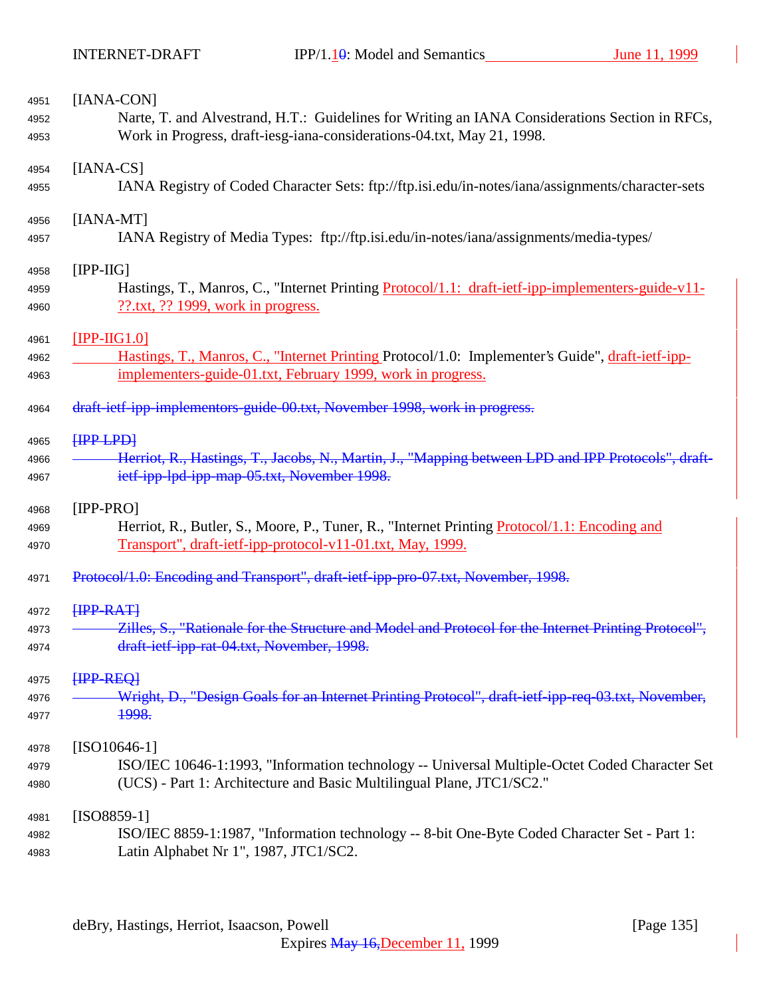| 4951         | [IANA-CON]                                                                                                                                 |
|--------------|--------------------------------------------------------------------------------------------------------------------------------------------|
| 4952         | Narte, T. and Alvestrand, H.T.: Guidelines for Writing an IANA Considerations Section in RFCs,                                             |
| 4953         | Work in Progress, draft-iesg-iana-considerations-04.txt, May 21, 1998.                                                                     |
| 4954         | $[IANA-CS]$                                                                                                                                |
| 4955         | IANA Registry of Coded Character Sets: ftp://ftp.isi.edu/in-notes/iana/assignments/character-sets                                          |
| 4956         | $[IANA-MT]$                                                                                                                                |
| 4957         | IANA Registry of Media Types: ftp://ftp.isi.edu/in-notes/iana/assignments/media-types/                                                     |
| 4958         | $[IPP-HG]$                                                                                                                                 |
| 4959<br>4960 | Hastings, T., Manros, C., "Internet Printing Protocol/1.1: draft-ietf-ipp-implementers-guide-v11-<br>$??$ .txt, ?? 1999, work in progress. |
| 4961         | $[IPP-HG1.0]$                                                                                                                              |
| 4962         | Hastings, T., Manros, C., "Internet Printing Protocol/1.0: Implementer's Guide", draft-ietf-ipp-                                           |
| 4963         | implementers-guide-01.txt, February 1999, work in progress.                                                                                |
| 4964         | draft-ietf-ipp-implementors-guide-00.txt, November 1998, work in progress.                                                                 |
| 4965         | HPP LPD                                                                                                                                    |
| 4966         | Herriot, R., Hastings, T., Jacobs, N., Martin, J., "Mapping between LPD and IPP Protocols", draft-                                         |
| 4967         | ietf-ipp-lpd-ipp-map-05.txt, November 1998.                                                                                                |
| 4968         | $[IPP-PRO]$                                                                                                                                |
| 4969         | Herriot, R., Butler, S., Moore, P., Tuner, R., "Internet Printing Protocol/1.1: Encoding and                                               |
| 4970         | Transport", draft-ietf-ipp-protocol-v11-01.txt, May, 1999.                                                                                 |
| 4971         | Protocol/1.0: Encoding and Transport", draft jetf ipp pro 07.txt, November, 1998.                                                          |
| 4972         | <b>HPP-RATH</b>                                                                                                                            |
| 4973         | Zilles, S., "Rationale for the Structure and Model and Protocol for the Internet Printing Protocol",                                       |
| 4974         | draft-ietf-ipp-rat-04.txt, November, 1998.                                                                                                 |
| 4975         | HPP-REO                                                                                                                                    |
| 4976         | Wright, D., "Design Goals for an Internet Printing Protocol", draft-ietf-ipp-req-03.txt, November,                                         |
| 4977         | <del>1998.</del>                                                                                                                           |
| 4978         | $[ISO10646-1]$                                                                                                                             |
| 4979         | ISO/IEC 10646-1:1993, "Information technology -- Universal Multiple-Octet Coded Character Set                                              |
| 4980         | (UCS) - Part 1: Architecture and Basic Multilingual Plane, JTC1/SC2."                                                                      |
| 4981         | $[ISO8859-1]$                                                                                                                              |
| 4982         | ISO/IEC 8859-1:1987, "Information technology -- 8-bit One-Byte Coded Character Set - Part 1:                                               |
| 4983         | Latin Alphabet Nr 1", 1987, JTC1/SC2.                                                                                                      |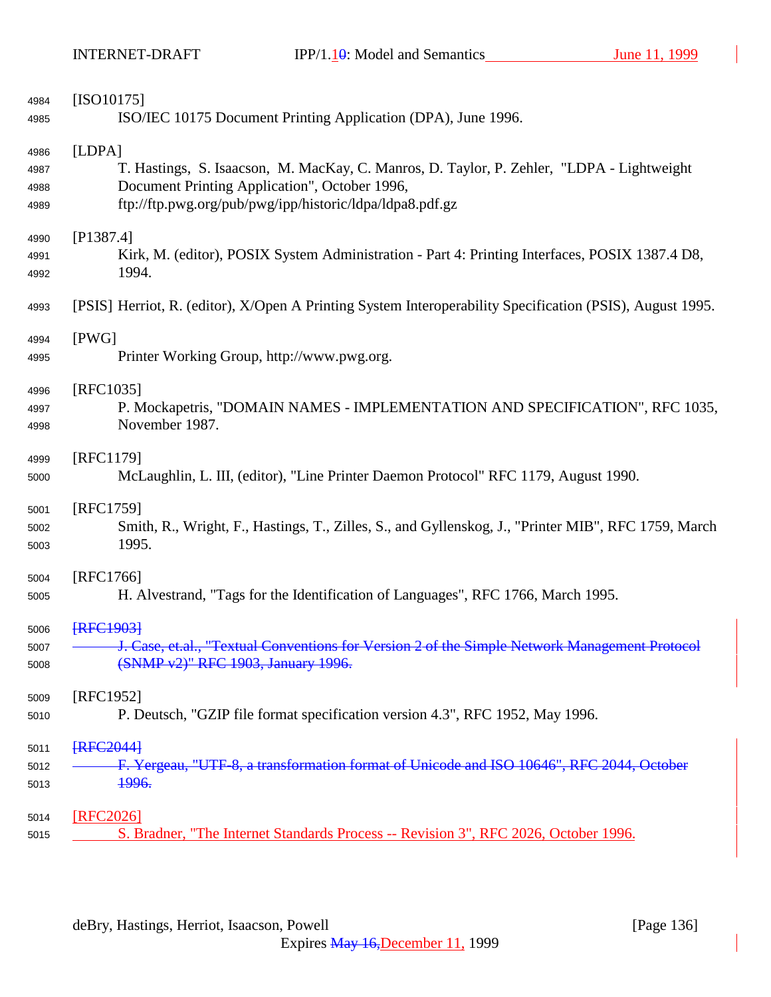| 4984 | $[ISO10175]$                                                                                              |
|------|-----------------------------------------------------------------------------------------------------------|
| 4985 | ISO/IEC 10175 Document Printing Application (DPA), June 1996.                                             |
| 4986 | [LDPA]                                                                                                    |
| 4987 | T. Hastings, S. Isaacson, M. MacKay, C. Manros, D. Taylor, P. Zehler, "LDPA - Lightweight                 |
| 4988 | Document Printing Application", October 1996,                                                             |
| 4989 | ftp://ftp.pwg.org/pub/pwg/ipp/historic/ldpa/ldpa8.pdf.gz                                                  |
| 4990 | [P1387.4]                                                                                                 |
| 4991 | Kirk, M. (editor), POSIX System Administration - Part 4: Printing Interfaces, POSIX 1387.4 D8,            |
| 4992 | 1994.                                                                                                     |
| 4993 | [PSIS] Herriot, R. (editor), X/Open A Printing System Interoperability Specification (PSIS), August 1995. |
| 4994 | [PWG]                                                                                                     |
| 4995 | Printer Working Group, http://www.pwg.org.                                                                |
| 4996 | [RFC1035]                                                                                                 |
| 4997 | P. Mockapetris, "DOMAIN NAMES - IMPLEMENTATION AND SPECIFICATION", RFC 1035,                              |
| 4998 | November 1987.                                                                                            |
| 4999 | [RFC1179]                                                                                                 |
| 5000 | McLaughlin, L. III, (editor), "Line Printer Daemon Protocol" RFC 1179, August 1990.                       |
| 5001 | [RFC1759]                                                                                                 |
| 5002 | Smith, R., Wright, F., Hastings, T., Zilles, S., and Gyllenskog, J., "Printer MIB", RFC 1759, March       |
| 5003 | 1995.                                                                                                     |
| 5004 | [RFC1766]                                                                                                 |
| 5005 | H. Alvestrand, "Tags for the Identification of Languages", RFC 1766, March 1995.                          |
| 5006 | <b>IRFC19031</b>                                                                                          |
| 5007 | J. Case, et.al., "Textual Conventions for Version 2 of the Simple Network Management Protocol             |
| 5008 | (SNMP v2)" RFC 1903, January 1996.                                                                        |
| 5009 | [RFC1952]                                                                                                 |
| 5010 | P. Deutsch, "GZIP file format specification version 4.3", RFC 1952, May 1996.                             |
| 5011 | <b>[RFC2044]</b>                                                                                          |
| 5012 | F. Yergeau, "UTF-8, a transformation format of Unicode and ISO 10646", RFC 2044, October                  |
| 5013 | 1996.                                                                                                     |
| 5014 | [RFC2026]                                                                                                 |
| 5015 | S. Bradner, "The Internet Standards Process -- Revision 3", RFC 2026, October 1996.                       |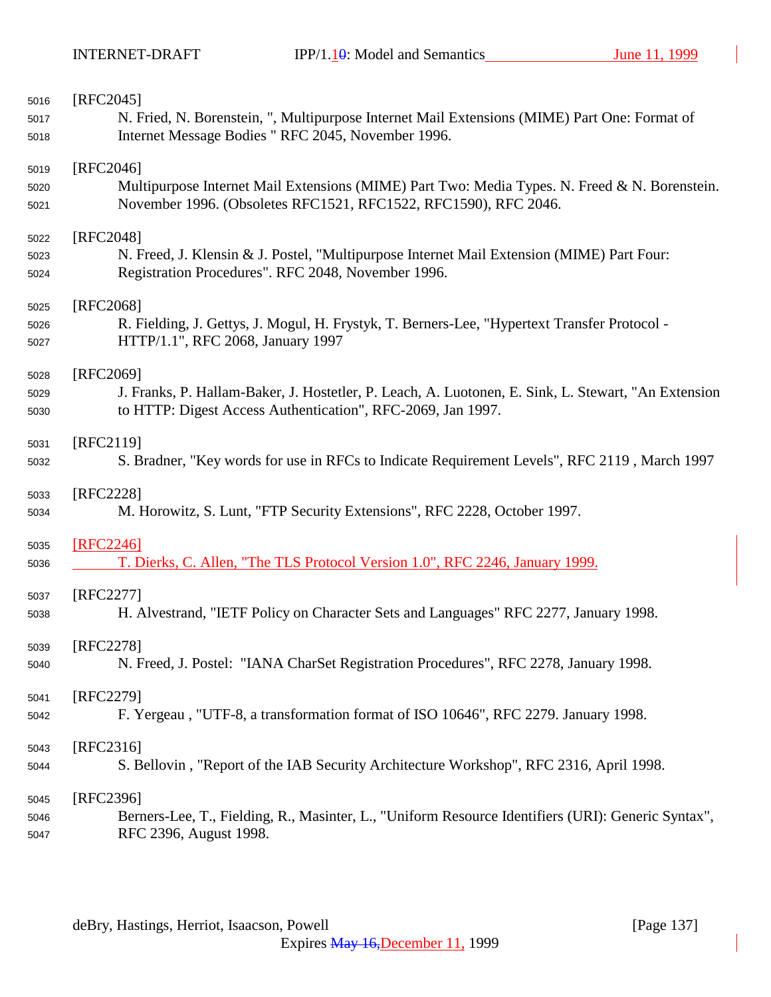| 5016 | $[RFC2045]$                                                                                         |
|------|-----------------------------------------------------------------------------------------------------|
| 5017 | N. Fried, N. Borenstein, ", Multipurpose Internet Mail Extensions (MIME) Part One: Format of        |
| 5018 | Internet Message Bodies " RFC 2045, November 1996.                                                  |
|      |                                                                                                     |
| 5019 | $[RFC2046]$                                                                                         |
| 5020 | Multipurpose Internet Mail Extensions (MIME) Part Two: Media Types. N. Freed & N. Borenstein.       |
| 5021 | November 1996. (Obsoletes RFC1521, RFC1522, RFC1590), RFC 2046.                                     |
|      |                                                                                                     |
| 5022 | [RFC2048]                                                                                           |
| 5023 | N. Freed, J. Klensin & J. Postel, "Multipurpose Internet Mail Extension (MIME) Part Four:           |
| 5024 | Registration Procedures". RFC 2048, November 1996.                                                  |
| 5025 | [RFC2068]                                                                                           |
| 5026 | R. Fielding, J. Gettys, J. Mogul, H. Frystyk, T. Berners-Lee, "Hypertext Transfer Protocol -        |
|      | HTTP/1.1", RFC 2068, January 1997                                                                   |
| 5027 |                                                                                                     |
| 5028 | [RFC2069]                                                                                           |
| 5029 | J. Franks, P. Hallam-Baker, J. Hostetler, P. Leach, A. Luotonen, E. Sink, L. Stewart, "An Extension |
| 5030 | to HTTP: Digest Access Authentication", RFC-2069, Jan 1997.                                         |
|      |                                                                                                     |
| 5031 | [RFC2119]                                                                                           |
| 5032 | S. Bradner, "Key words for use in RFCs to Indicate Requirement Levels", RFC 2119, March 1997        |
|      |                                                                                                     |
| 5033 | [RFC2228]                                                                                           |
| 5034 | M. Horowitz, S. Lunt, "FTP Security Extensions", RFC 2228, October 1997.                            |
| 5035 | [RFC2246]                                                                                           |
| 5036 | T. Dierks, C. Allen, "The TLS Protocol Version 1.0", RFC 2246, January 1999.                        |
|      |                                                                                                     |
| 5037 | [RFC2277]                                                                                           |
| 5038 | H. Alvestrand, "IETF Policy on Character Sets and Languages" RFC 2277, January 1998.                |
|      |                                                                                                     |
| 5039 | [RFC2278]                                                                                           |
| 5040 | N. Freed, J. Postel: "IANA CharSet Registration Procedures", RFC 2278, January 1998.                |
| 5041 | [RFC2279]                                                                                           |
| 5042 | F. Yergeau, "UTF-8, a transformation format of ISO 10646", RFC 2279. January 1998.                  |
|      |                                                                                                     |
| 5043 | $[RFC2316]$                                                                                         |
| 5044 | S. Bellovin, "Report of the IAB Security Architecture Workshop", RFC 2316, April 1998.              |
|      |                                                                                                     |
| 5045 | [RFC2396]                                                                                           |
| 5046 | Berners-Lee, T., Fielding, R., Masinter, L., "Uniform Resource Identifiers (URI): Generic Syntax",  |
| 5047 | RFC 2396, August 1998.                                                                              |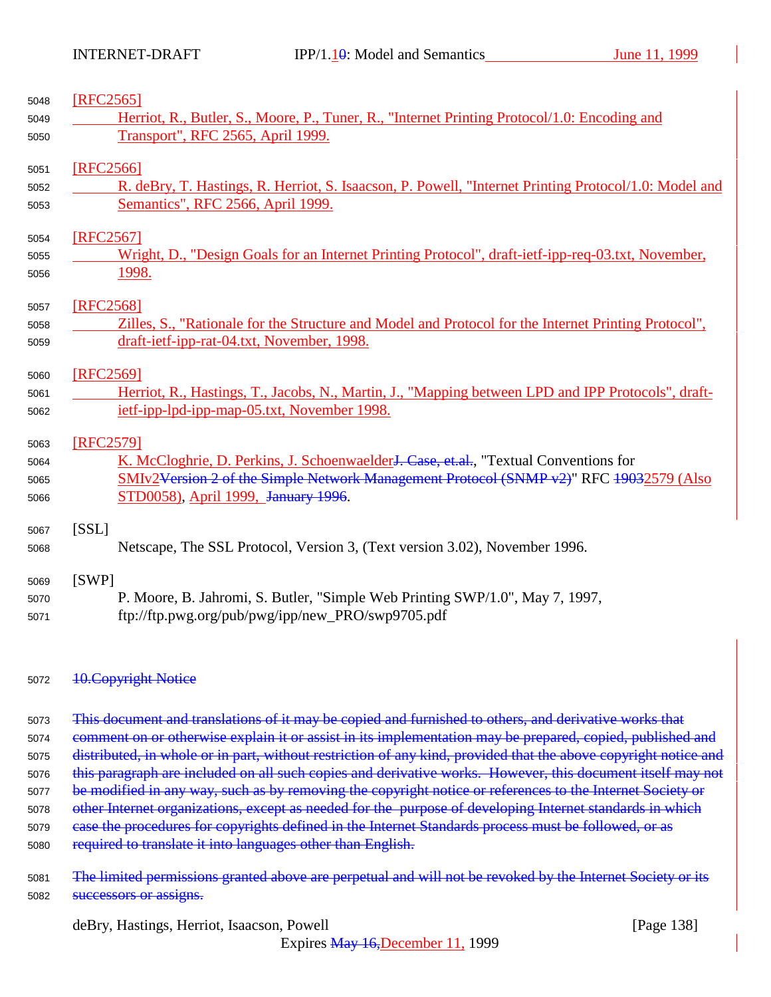| 5048 | [RFC2565]                                                                                                                                                                                                             |
|------|-----------------------------------------------------------------------------------------------------------------------------------------------------------------------------------------------------------------------|
| 5049 | Herriot, R., Butler, S., Moore, P., Tuner, R., "Internet Printing Protocol/1.0: Encoding and                                                                                                                          |
| 5050 | Transport", RFC 2565, April 1999.                                                                                                                                                                                     |
| 5051 | [RFC2566]                                                                                                                                                                                                             |
| 5052 | R. deBry, T. Hastings, R. Herriot, S. Isaacson, P. Powell, "Internet Printing Protocol/1.0: Model and                                                                                                                 |
| 5053 | Semantics", RFC 2566, April 1999.                                                                                                                                                                                     |
| 5054 | [RFC2567]                                                                                                                                                                                                             |
| 5055 | Wright, D., "Design Goals for an Internet Printing Protocol", draft-ietf-ipp-req-03.txt, November,                                                                                                                    |
| 5056 | <u>1998.</u>                                                                                                                                                                                                          |
| 5057 | [RFC2568]                                                                                                                                                                                                             |
| 5058 | Zilles, S., "Rationale for the Structure and Model and Protocol for the Internet Printing Protocol",                                                                                                                  |
| 5059 | draft-ietf-ipp-rat-04.txt, November, 1998.                                                                                                                                                                            |
| 5060 | [RFC2569]                                                                                                                                                                                                             |
| 5061 | Herriot, R., Hastings, T., Jacobs, N., Martin, J., "Mapping between LPD and IPP Protocols", draft-                                                                                                                    |
| 5062 | ietf-ipp-lpd-ipp-map-05.txt, November 1998.                                                                                                                                                                           |
| 5063 | [RFC2579]                                                                                                                                                                                                             |
| 5064 | K. McCloghrie, D. Perkins, J. Schoenwaelder <del>J. Case, et.al.</del> , "Textual Conventions for                                                                                                                     |
| 5065 | SMIv2Version 2 of the Simple Network Management Protocol (SNMP v2)" RFC 19032579 (Also                                                                                                                                |
| 5066 | STD0058), April 1999, January 1996.                                                                                                                                                                                   |
| 5067 | [SSL]                                                                                                                                                                                                                 |
| 5068 | Netscape, The SSL Protocol, Version 3, (Text version 3.02), November 1996.                                                                                                                                            |
| 5069 | [SWP]                                                                                                                                                                                                                 |
| 5070 | P. Moore, B. Jahromi, S. Butler, "Simple Web Printing SWP/1.0", May 7, 1997,                                                                                                                                          |
| 5071 | ftp://ftp.pwg.org/pub/pwg/ipp/new_PRO/swp9705.pdf                                                                                                                                                                     |
| 5072 | <b>10. Copyright Notice</b>                                                                                                                                                                                           |
|      |                                                                                                                                                                                                                       |
| 5073 | This document and translations of it may be copied and furnished to others, and derivative works that                                                                                                                 |
| 5074 | comment on or otherwise explain it or assist in its implementation may be prepared, copied, published and                                                                                                             |
| 5075 | distributed, in whole or in part, without restriction of any kind, provided that the above copyright notice and                                                                                                       |
| 5076 | this paragraph are included on all such copies and derivative works. However, this document itself may not                                                                                                            |
| 5077 | be modified in any way, such as by removing the copyright notice or references to the Internet Society or<br>other Internet organizations, except as needed for the purpose of developing Internet standards in which |
| 5078 |                                                                                                                                                                                                                       |

5079 case the procedures for copyrights defined in the Internet Standards process must be followed, or as 5080 required to translate it into languages other than English.

<sup>5081</sup> The limited permissions granted above are perpetual and will not be revoked by the Internet Society or its 5082 **successors or assigns.** 

deBry, Hastings, Herriot, Isaacson, Powell [Page 138]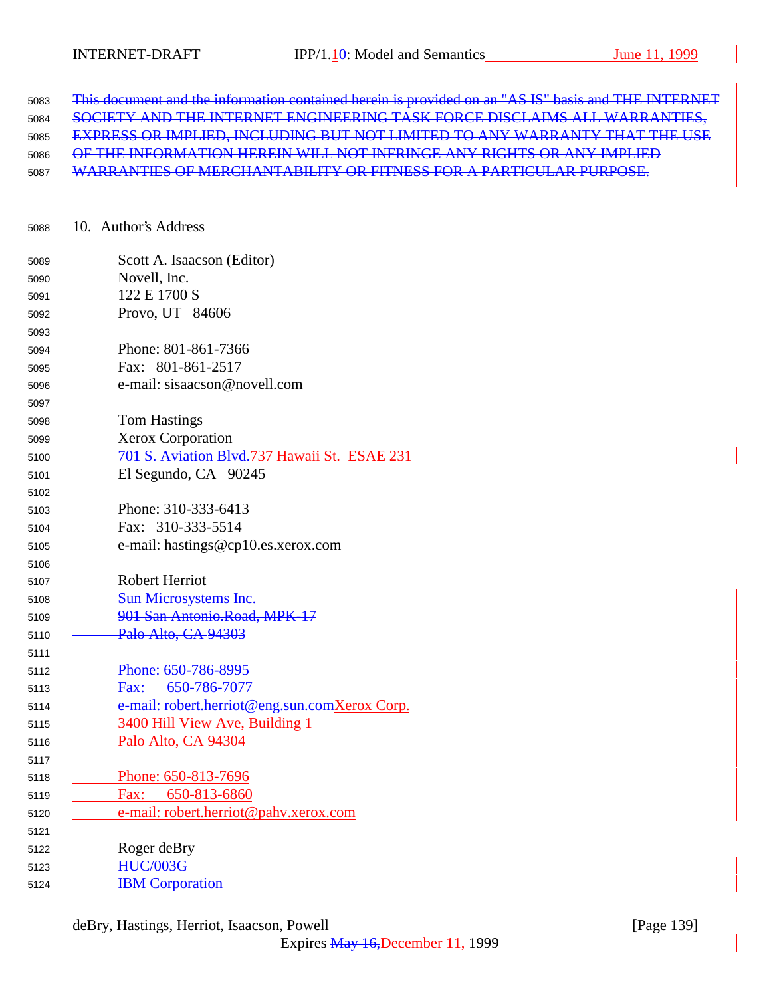| 5083 | This document and the information contained herein is provided on an "AS IS" basis and THE INTERNET |
|------|-----------------------------------------------------------------------------------------------------|
| 5084 | SOCIETY AND THE INTERNET ENGINEERING TASK FORCE DISCLAIMS ALL WARRANTIES,                           |
| 5085 | <b>EXPRESS OR IMPLIED, INCLUDING BUT NOT LIMITED TO ANY WARRANTY THAT THE USE</b>                   |
| 5086 | OF THE INFORMATION HEREIN WILL NOT INFRINGE ANY RIGHTS OR ANY IMPLIED                               |
| 5087 | WARRANTIES OF MERCHANTABILITY OR FITNESS FOR A PARTICULAR PURPOSE.                                  |

| 5088 |  | 10. Author's Address |
|------|--|----------------------|
|------|--|----------------------|

|      | Scott A. Isaacson (Editor)                    |
|------|-----------------------------------------------|
| 5089 | Novell, Inc.                                  |
| 5090 | 122 E 1700 S                                  |
| 5091 |                                               |
| 5092 | Provo, UT 84606                               |
| 5093 |                                               |
| 5094 | Phone: 801-861-7366                           |
| 5095 | Fax: 801-861-2517                             |
| 5096 | e-mail: sisaacson@novell.com                  |
| 5097 |                                               |
| 5098 | <b>Tom Hastings</b>                           |
| 5099 | <b>Xerox Corporation</b>                      |
| 5100 | 701 S. Aviation Blvd.737 Hawaii St. ESAE 231  |
| 5101 | El Segundo, CA 90245                          |
| 5102 |                                               |
| 5103 | Phone: 310-333-6413                           |
| 5104 | Fax: 310-333-5514                             |
| 5105 | e-mail: hastings@cp10.es.xerox.com            |
| 5106 |                                               |
| 5107 | <b>Robert Herriot</b>                         |
| 5108 | <b>Sun Microsystems Inc.</b>                  |
| 5109 | 901 San Antonio.Road, MPK-17                  |
| 5110 | Palo Alto, CA 94303                           |
| 5111 |                                               |
| 5112 | Phone: 650-786-8995                           |
| 5113 | Fax: 650-786-7077                             |
| 5114 | e-mail: robert.herriot@eng.sun.comXerox Corp. |
| 5115 | 3400 Hill View Ave, Building 1                |
| 5116 | Palo Alto, CA 94304                           |
| 5117 |                                               |
| 5118 | Phone: 650-813-7696                           |
| 5119 | Fax: 650-813-6860                             |
| 5120 | e-mail: robert.herriot@pahv.xerox.com         |
| 5121 |                                               |
| 5122 | Roger deBry                                   |
| 5123 | <b>HUC/003G</b>                               |
| 5124 | <b>IBM</b> Corporation                        |
|      |                                               |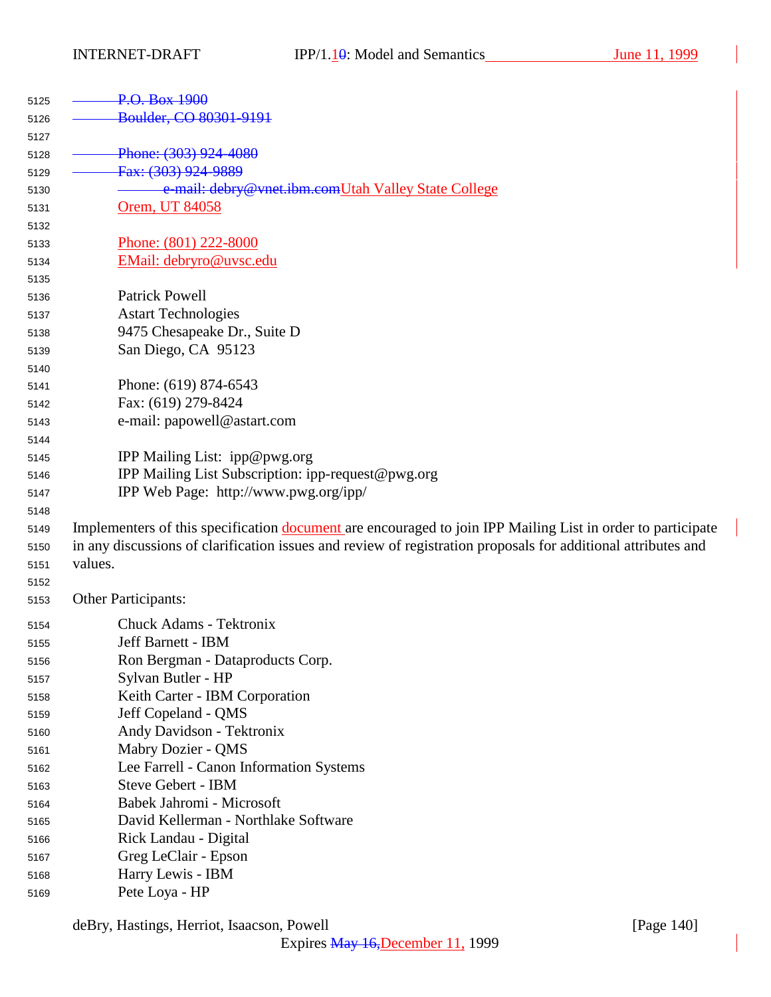| 5125 | P.O. Box 1900                                                                                                 |
|------|---------------------------------------------------------------------------------------------------------------|
| 5126 | Boulder, CO 80301-9191                                                                                        |
| 5127 |                                                                                                               |
| 5128 | Phone: (303) 924-4080                                                                                         |
| 5129 | Fax: (303) 924-9889                                                                                           |
| 5130 | e-mail: debry@vnet.ibm.comUtah Valley State College                                                           |
| 5131 | Orem, UT 84058                                                                                                |
| 5132 |                                                                                                               |
| 5133 | Phone: (801) 222-8000                                                                                         |
| 5134 | EMail: debryro@uvsc.edu                                                                                       |
| 5135 |                                                                                                               |
| 5136 | <b>Patrick Powell</b>                                                                                         |
| 5137 | <b>Astart Technologies</b>                                                                                    |
| 5138 | 9475 Chesapeake Dr., Suite D                                                                                  |
| 5139 | San Diego, CA 95123                                                                                           |
| 5140 |                                                                                                               |
| 5141 | Phone: (619) 874-6543                                                                                         |
| 5142 | Fax: (619) 279-8424                                                                                           |
| 5143 | e-mail: papowell@astart.com                                                                                   |
| 5144 |                                                                                                               |
| 5145 | IPP Mailing List: ipp@pwg.org                                                                                 |
| 5146 | IPP Mailing List Subscription: ipp-request@pwg.org                                                            |
| 5147 | IPP Web Page: http://www.pwg.org/ipp/                                                                         |
| 5148 |                                                                                                               |
| 5149 | Implementers of this specification document are encouraged to join IPP Mailing List in order to participate   |
| 5150 | in any discussions of clarification issues and review of registration proposals for additional attributes and |
| 5151 | values.                                                                                                       |
| 5152 |                                                                                                               |
| 5153 | <b>Other Participants:</b>                                                                                    |
| 5154 | <b>Chuck Adams - Tektronix</b>                                                                                |
| 5155 | Jeff Barnett - IBM                                                                                            |
| 5156 | Ron Bergman - Dataproducts Corp.                                                                              |
| 5157 | Sylvan Butler - HP                                                                                            |
| 5158 | Keith Carter - IBM Corporation                                                                                |
| 5159 | Jeff Copeland - QMS                                                                                           |
| 5160 | Andy Davidson - Tektronix                                                                                     |
| 5161 | Mabry Dozier - QMS                                                                                            |
| 5162 | Lee Farrell - Canon Information Systems                                                                       |
| 5163 | <b>Steve Gebert - IBM</b>                                                                                     |
| 5164 | Babek Jahromi - Microsoft                                                                                     |
| 5165 | David Kellerman - Northlake Software                                                                          |
| 5166 | Rick Landau - Digital                                                                                         |
| 5167 | Greg LeClair - Epson                                                                                          |
| 5168 | Harry Lewis - IBM                                                                                             |
| 5169 | Pete Loya - HP                                                                                                |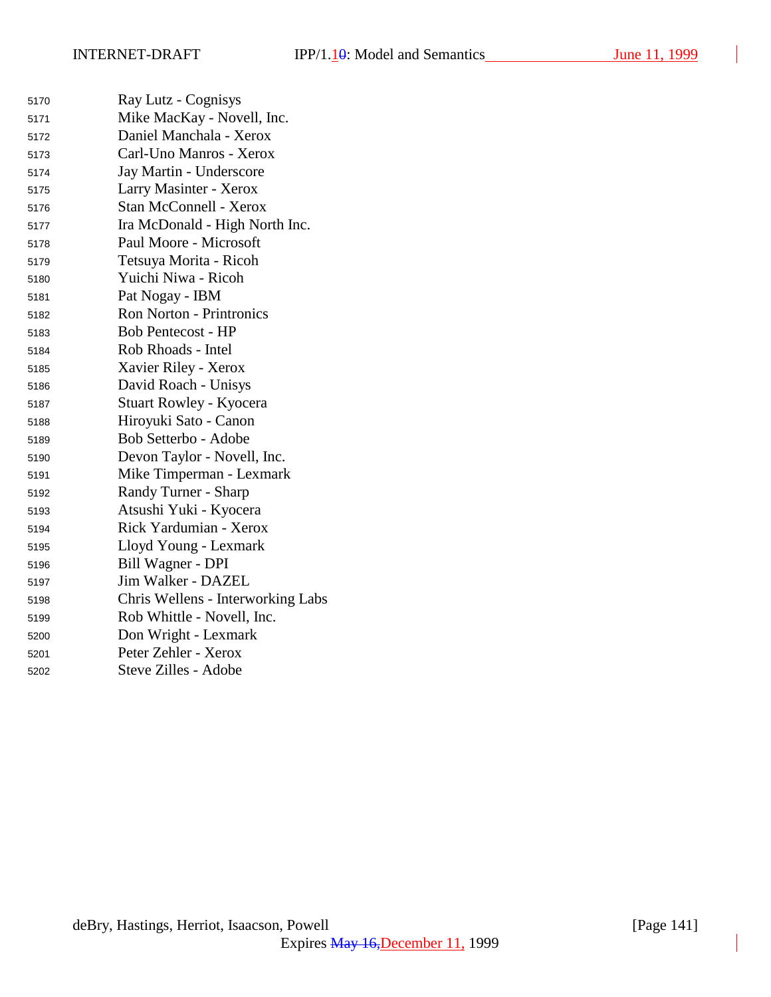$\overline{\phantom{a}}$ 

| 5170 | Ray Lutz - Cognisys               |
|------|-----------------------------------|
| 5171 | Mike MacKay - Novell, Inc.        |
| 5172 | Daniel Manchala - Xerox           |
| 5173 | Carl-Uno Manros - Xerox           |
| 5174 | Jay Martin - Underscore           |
| 5175 | Larry Masinter - Xerox            |
| 5176 | <b>Stan McConnell - Xerox</b>     |
| 5177 | Ira McDonald - High North Inc.    |
| 5178 | Paul Moore - Microsoft            |
| 5179 | Tetsuya Morita - Ricoh            |
| 5180 | Yuichi Niwa - Ricoh               |
| 5181 | Pat Nogay - IBM                   |
| 5182 | <b>Ron Norton - Printronics</b>   |
| 5183 | <b>Bob Pentecost - HP</b>         |
| 5184 | Rob Rhoads - Intel                |
| 5185 | Xavier Riley - Xerox              |
| 5186 | David Roach - Unisys              |
| 5187 | <b>Stuart Rowley - Kyocera</b>    |
| 5188 | Hiroyuki Sato - Canon             |
| 5189 | Bob Setterbo - Adobe              |
| 5190 | Devon Taylor - Novell, Inc.       |
| 5191 | Mike Timperman - Lexmark          |
| 5192 | Randy Turner - Sharp              |
| 5193 | Atsushi Yuki - Kyocera            |
| 5194 | Rick Yardumian - Xerox            |
| 5195 | Lloyd Young - Lexmark             |
| 5196 | Bill Wagner - DPI                 |
| 5197 | Jim Walker - DAZEL                |
| 5198 | Chris Wellens - Interworking Labs |
| 5199 | Rob Whittle - Novell, Inc.        |
| 5200 | Don Wright - Lexmark              |
| 5201 | Peter Zehler - Xerox              |
| 5202 | Steve Zilles - Adobe              |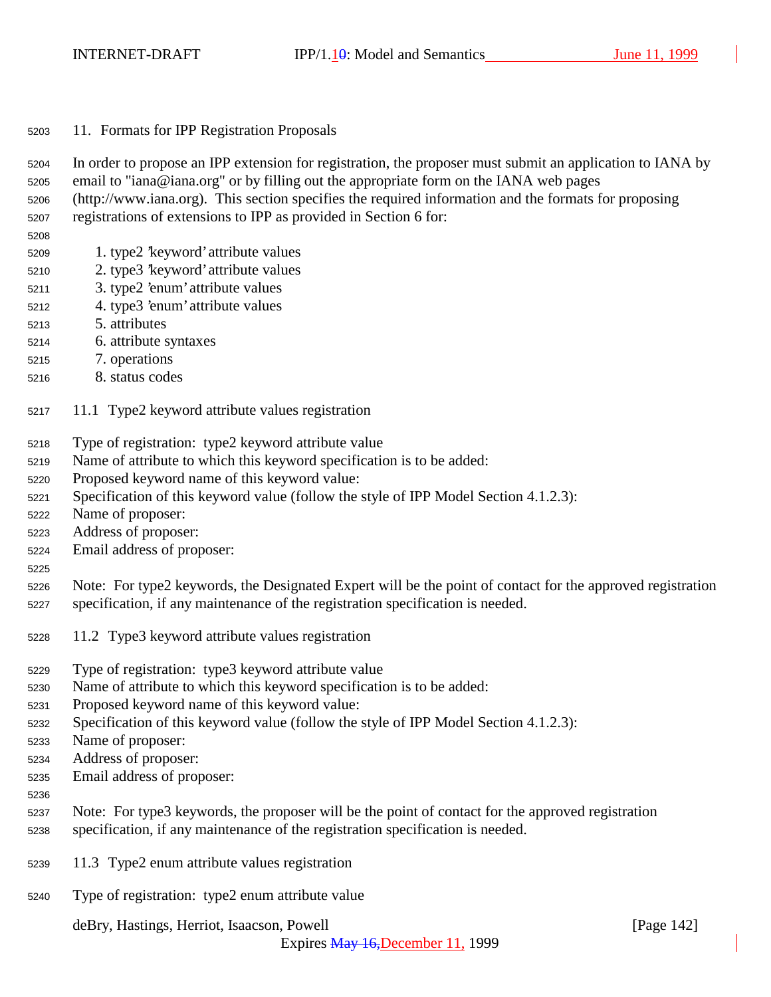| 11. Formats for IPP Registration Proposals | 5203 |  |  |  |  |  |  |
|--------------------------------------------|------|--|--|--|--|--|--|
|--------------------------------------------|------|--|--|--|--|--|--|

 In order to propose an IPP extension for registration, the proposer must submit an application to IANA by email to "iana@iana.org" or by filling out the appropriate form on the IANA web pages

- (http://www.iana.org). This section specifies the required information and the formats for proposing registrations of extensions to IPP as provided in Section 6 for:
- 
- 1. type2 'keyword' attribute values
- 2. type3 'keyword' attribute values
- 3. type2 'enum' attribute values
- 4. type3 'enum' attribute values
- 5. attributes
- 6. attribute syntaxes
- 7. operations
- 8. status codes
- 11.1 Type2 keyword attribute values registration
- Type of registration: type2 keyword attribute value
- Name of attribute to which this keyword specification is to be added:
- Proposed keyword name of this keyword value:
- Specification of this keyword value (follow the style of IPP Model Section 4.1.2.3):
- Name of proposer:
- Address of proposer:
- Email address of proposer:
- 

 Note: For type2 keywords, the Designated Expert will be the point of contact for the approved registration specification, if any maintenance of the registration specification is needed.

- 11.2 Type3 keyword attribute values registration
- Type of registration: type3 keyword attribute value
- Name of attribute to which this keyword specification is to be added:
- Proposed keyword name of this keyword value:
- Specification of this keyword value (follow the style of IPP Model Section 4.1.2.3):
- Name of proposer:
- Address of proposer:
- Email address of proposer:
- 
- Note: For type3 keywords, the proposer will be the point of contact for the approved registration specification, if any maintenance of the registration specification is needed.
- 
- 11.3 Type2 enum attribute values registration
- Type of registration: type2 enum attribute value

deBry, Hastings, Herriot, Isaacson, Powell [Page 142]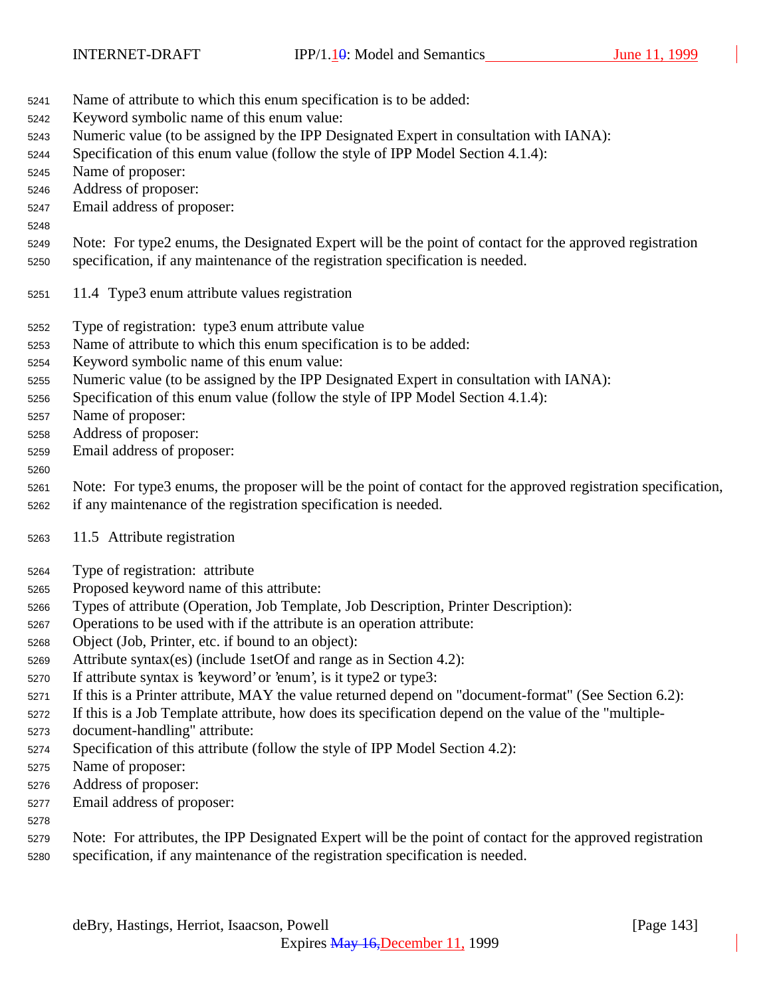- Name of attribute to which this enum specification is to be added:
- Keyword symbolic name of this enum value:
- Numeric value (to be assigned by the IPP Designated Expert in consultation with IANA):
- Specification of this enum value (follow the style of IPP Model Section 4.1.4):
- Name of proposer:
- Address of proposer:
- Email address of proposer:
- 

Note: For type2 enums, the Designated Expert will be the point of contact for the approved registration

- specification, if any maintenance of the registration specification is needed.
- 11.4 Type3 enum attribute values registration
- Type of registration: type3 enum attribute value
- Name of attribute to which this enum specification is to be added:
- Keyword symbolic name of this enum value:
- Numeric value (to be assigned by the IPP Designated Expert in consultation with IANA):
- Specification of this enum value (follow the style of IPP Model Section 4.1.4):
- Name of proposer:
- Address of proposer:
- Email address of proposer:

#### 

 Note: For type3 enums, the proposer will be the point of contact for the approved registration specification, if any maintenance of the registration specification is needed.

- 11.5 Attribute registration
- Type of registration: attribute
- Proposed keyword name of this attribute:
- Types of attribute (Operation, Job Template, Job Description, Printer Description):
- Operations to be used with if the attribute is an operation attribute:
- Object (Job, Printer, etc. if bound to an object):
- Attribute syntax(es) (include 1setOf and range as in Section 4.2):
- If attribute syntax is 'keyword' or 'enum', is it type2 or type3:
- If this is a Printer attribute, MAY the value returned depend on "document-format" (See Section 6.2):
- If this is a Job Template attribute, how does its specification depend on the value of the "multiple-
- document-handling" attribute:
- Specification of this attribute (follow the style of IPP Model Section 4.2):
- Name of proposer:
- Address of proposer:
- Email address of proposer:
- 
- Note: For attributes, the IPP Designated Expert will be the point of contact for the approved registration specification, if any maintenance of the registration specification is needed.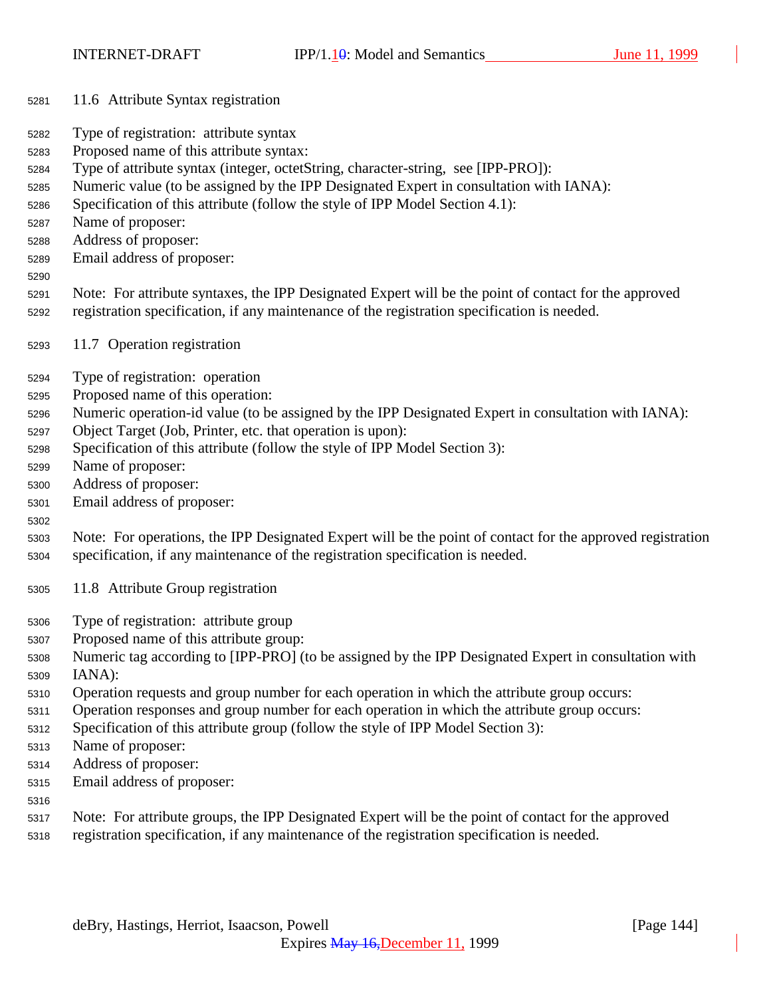- 11.6 Attribute Syntax registration
- Type of registration: attribute syntax
- Proposed name of this attribute syntax:
- Type of attribute syntax (integer, octetString, character-string, see [IPP-PRO]):
- Numeric value (to be assigned by the IPP Designated Expert in consultation with IANA):
- Specification of this attribute (follow the style of IPP Model Section 4.1):
- Name of proposer:
- Address of proposer:
- Email address of proposer:
- 
- Note: For attribute syntaxes, the IPP Designated Expert will be the point of contact for the approved registration specification, if any maintenance of the registration specification is needed.
- 11.7 Operation registration
- Type of registration: operation
- Proposed name of this operation:
- Numeric operation-id value (to be assigned by the IPP Designated Expert in consultation with IANA):
- Object Target (Job, Printer, etc. that operation is upon):
- Specification of this attribute (follow the style of IPP Model Section 3):
- Name of proposer:
- Address of proposer:
- Email address of proposer:
- 

 Note: For operations, the IPP Designated Expert will be the point of contact for the approved registration specification, if any maintenance of the registration specification is needed.

- 11.8 Attribute Group registration
- Type of registration: attribute group
- Proposed name of this attribute group:
- Numeric tag according to [IPP-PRO] (to be assigned by the IPP Designated Expert in consultation with IANA):
- Operation requests and group number for each operation in which the attribute group occurs:
- Operation responses and group number for each operation in which the attribute group occurs:
- Specification of this attribute group (follow the style of IPP Model Section 3):
- Name of proposer:
- Address of proposer:
- Email address of proposer:
- 
- Note: For attribute groups, the IPP Designated Expert will be the point of contact for the approved
- registration specification, if any maintenance of the registration specification is needed.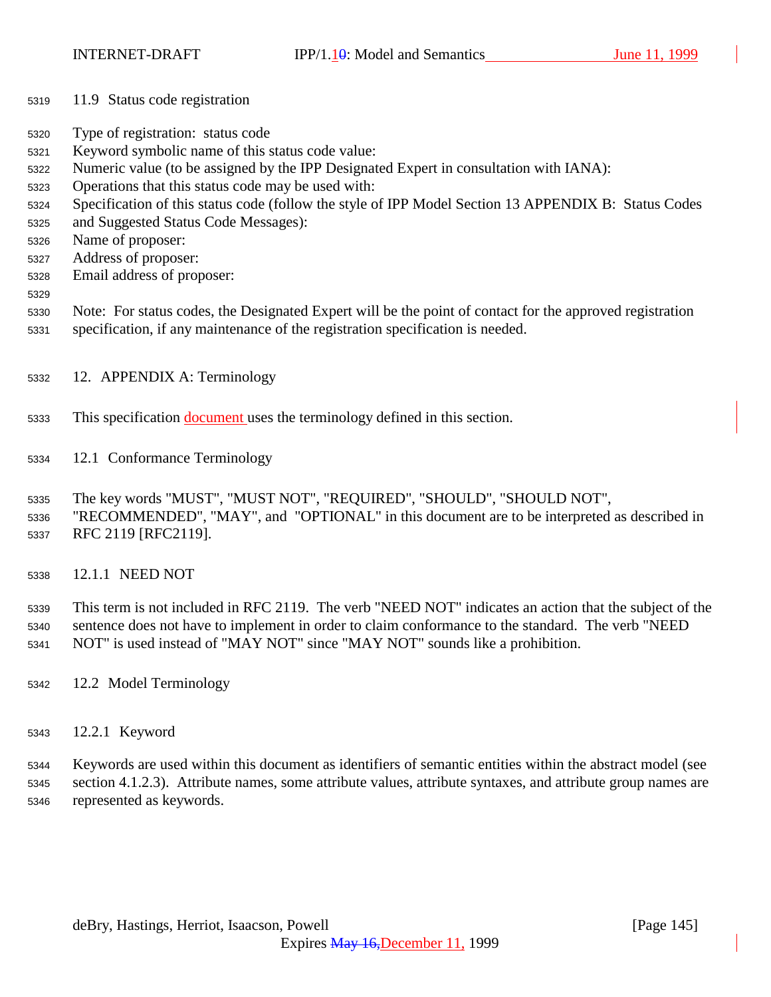INTERNET-DRAFT IPP/1.10: Model and Semantics June 11, 1999

- 11.9 Status code registration
- Type of registration: status code
- Keyword symbolic name of this status code value:
- Numeric value (to be assigned by the IPP Designated Expert in consultation with IANA):
- Operations that this status code may be used with:
- Specification of this status code (follow the style of IPP Model Section 13 APPENDIX B: Status Codes
- and Suggested Status Code Messages):
- Name of proposer:
- Address of proposer:
- Email address of proposer:
- 
- Note: For status codes, the Designated Expert will be the point of contact for the approved registration specification, if any maintenance of the registration specification is needed.
- 12. APPENDIX A: Terminology
- This specification document uses the terminology defined in this section.
- 12.1 Conformance Terminology
- The key words "MUST", "MUST NOT", "REQUIRED", "SHOULD", "SHOULD NOT",
- "RECOMMENDED", "MAY", and "OPTIONAL" in this document are to be interpreted as described in RFC 2119 [RFC2119].
- 12.1.1 NEED NOT

 This term is not included in RFC 2119. The verb "NEED NOT" indicates an action that the subject of the sentence does not have to implement in order to claim conformance to the standard. The verb "NEED NOT" is used instead of "MAY NOT" since "MAY NOT" sounds like a prohibition.

- 12.2 Model Terminology
- 12.2.1 Keyword

 Keywords are used within this document as identifiers of semantic entities within the abstract model (see section 4.1.2.3). Attribute names, some attribute values, attribute syntaxes, and attribute group names are represented as keywords.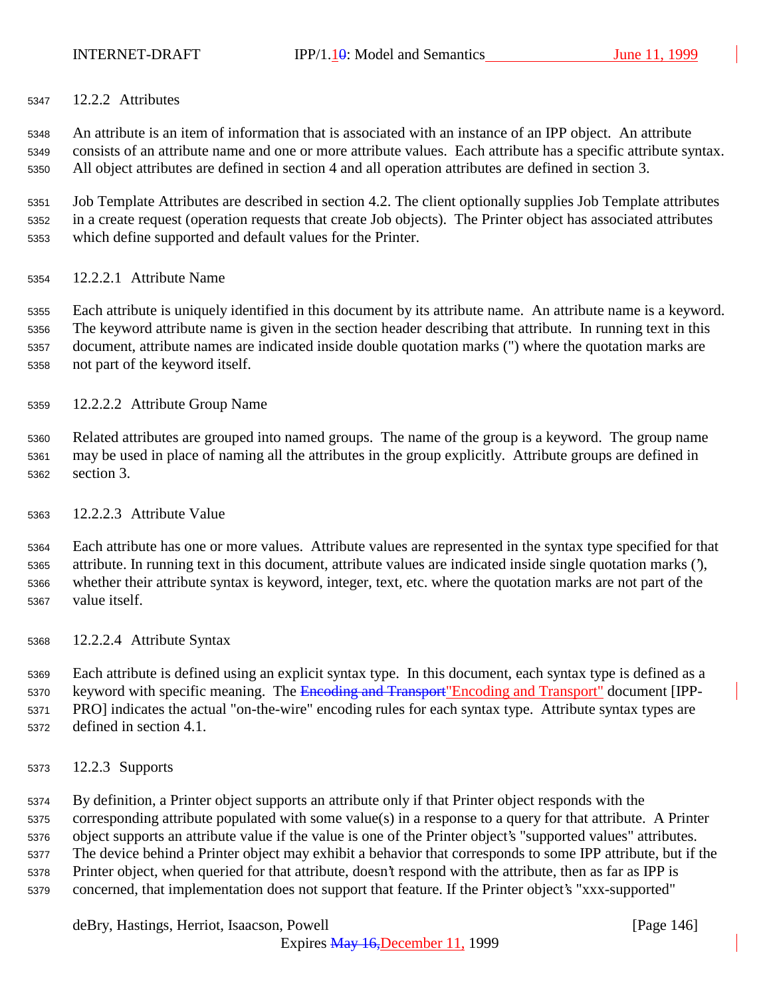12.2.2 Attributes

 An attribute is an item of information that is associated with an instance of an IPP object. An attribute consists of an attribute name and one or more attribute values. Each attribute has a specific attribute syntax. All object attributes are defined in section 4 and all operation attributes are defined in section 3.

 Job Template Attributes are described in section 4.2. The client optionally supplies Job Template attributes in a create request (operation requests that create Job objects). The Printer object has associated attributes which define supported and default values for the Printer.

12.2.2.1 Attribute Name

 Each attribute is uniquely identified in this document by its attribute name. An attribute name is a keyword. The keyword attribute name is given in the section header describing that attribute. In running text in this document, attribute names are indicated inside double quotation marks (") where the quotation marks are not part of the keyword itself.

12.2.2.2 Attribute Group Name

 Related attributes are grouped into named groups. The name of the group is a keyword. The group name may be used in place of naming all the attributes in the group explicitly. Attribute groups are defined in section 3.

12.2.2.3 Attribute Value

 Each attribute has one or more values. Attribute values are represented in the syntax type specified for that attribute. In running text in this document, attribute values are indicated inside single quotation marks ('), whether their attribute syntax is keyword, integer, text, etc. where the quotation marks are not part of the value itself.

12.2.2.4 Attribute Syntax

 Each attribute is defined using an explicit syntax type. In this document, each syntax type is defined as a 5370 keyword with specific meaning. The Encoding and Transport" Encoding and Transport" document [IPP- PRO] indicates the actual "on-the-wire" encoding rules for each syntax type. Attribute syntax types are defined in section 4.1.

12.2.3 Supports

 By definition, a Printer object supports an attribute only if that Printer object responds with the corresponding attribute populated with some value(s) in a response to a query for that attribute. A Printer object supports an attribute value if the value is one of the Printer object's "supported values" attributes. The device behind a Printer object may exhibit a behavior that corresponds to some IPP attribute, but if the Printer object, when queried for that attribute, doesn't respond with the attribute, then as far as IPP is concerned, that implementation does not support that feature. If the Printer object's "xxx-supported"

deBry, Hastings, Herriot, Isaacson, Powell **company** and the company of the company in the company of the company of the company of the company of the company of the company of the company of the company of the company of

Expires May 16,December 11, 1999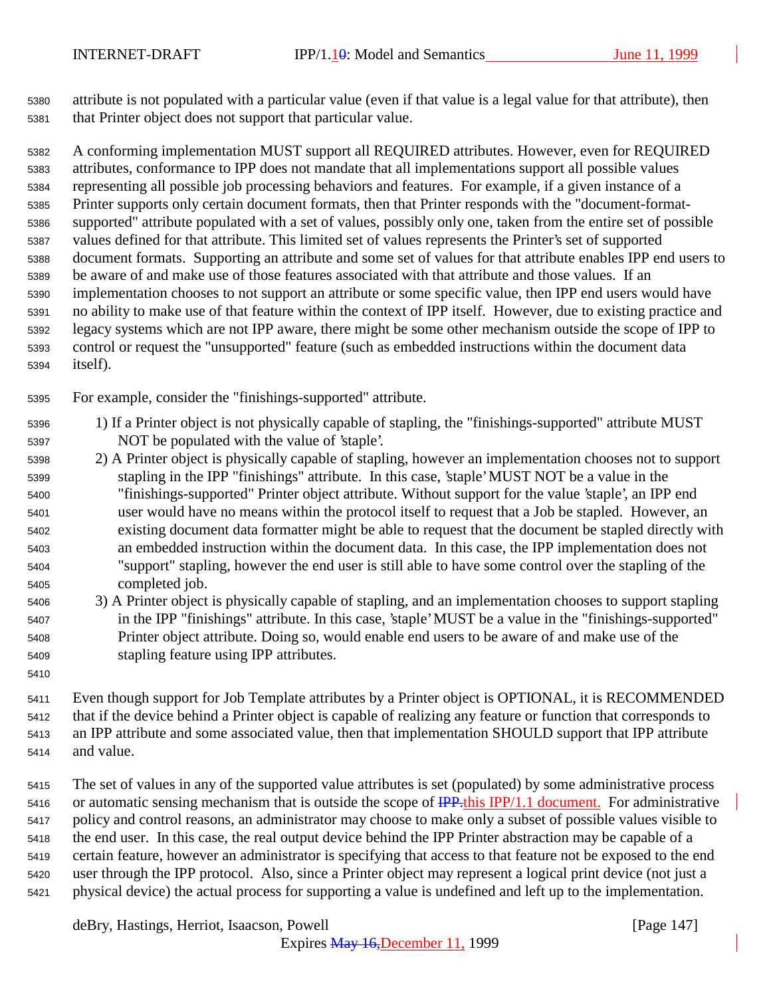attribute is not populated with a particular value (even if that value is a legal value for that attribute), then that Printer object does not support that particular value.

 A conforming implementation MUST support all REQUIRED attributes. However, even for REQUIRED attributes, conformance to IPP does not mandate that all implementations support all possible values representing all possible job processing behaviors and features. For example, if a given instance of a Printer supports only certain document formats, then that Printer responds with the "document-format- supported" attribute populated with a set of values, possibly only one, taken from the entire set of possible values defined for that attribute. This limited set of values represents the Printer's set of supported document formats. Supporting an attribute and some set of values for that attribute enables IPP end users to be aware of and make use of those features associated with that attribute and those values. If an implementation chooses to not support an attribute or some specific value, then IPP end users would have no ability to make use of that feature within the context of IPP itself. However, due to existing practice and legacy systems which are not IPP aware, there might be some other mechanism outside the scope of IPP to control or request the "unsupported" feature (such as embedded instructions within the document data itself).

For example, consider the "finishings-supported" attribute.

- 1) If a Printer object is not physically capable of stapling, the "finishings-supported" attribute MUST NOT be populated with the value of 'staple'.
- 2) A Printer object is physically capable of stapling, however an implementation chooses not to support stapling in the IPP "finishings" attribute. In this case, 'staple' MUST NOT be a value in the "finishings-supported" Printer object attribute. Without support for the value 'staple', an IPP end user would have no means within the protocol itself to request that a Job be stapled. However, an existing document data formatter might be able to request that the document be stapled directly with an embedded instruction within the document data. In this case, the IPP implementation does not "support" stapling, however the end user is still able to have some control over the stapling of the completed job.
- 3) A Printer object is physically capable of stapling, and an implementation chooses to support stapling in the IPP "finishings" attribute. In this case, 'staple' MUST be a value in the "finishings-supported" Printer object attribute. Doing so, would enable end users to be aware of and make use of the stapling feature using IPP attributes.
- 

 Even though support for Job Template attributes by a Printer object is OPTIONAL, it is RECOMMENDED that if the device behind a Printer object is capable of realizing any feature or function that corresponds to an IPP attribute and some associated value, then that implementation SHOULD support that IPP attribute and value.

 The set of values in any of the supported value attributes is set (populated) by some administrative process 5416 or automatic sensing mechanism that is outside the scope of  $\frac{IPP \cdot this IPP}{1.1}$  document. For administrative policy and control reasons, an administrator may choose to make only a subset of possible values visible to the end user. In this case, the real output device behind the IPP Printer abstraction may be capable of a certain feature, however an administrator is specifying that access to that feature not be exposed to the end user through the IPP protocol. Also, since a Printer object may represent a logical print device (not just a physical device) the actual process for supporting a value is undefined and left up to the implementation.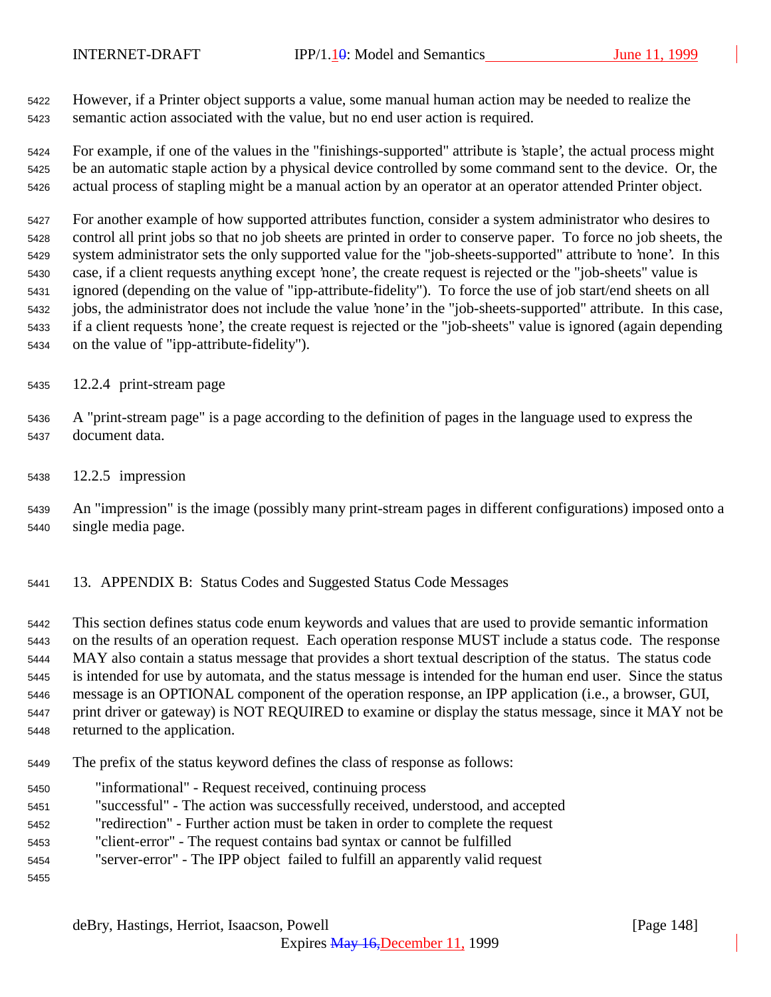However, if a Printer object supports a value, some manual human action may be needed to realize the semantic action associated with the value, but no end user action is required.

 For example, if one of the values in the "finishings-supported" attribute is 'staple', the actual process might be an automatic staple action by a physical device controlled by some command sent to the device. Or, the actual process of stapling might be a manual action by an operator at an operator attended Printer object.

 For another example of how supported attributes function, consider a system administrator who desires to control all print jobs so that no job sheets are printed in order to conserve paper. To force no job sheets, the system administrator sets the only supported value for the "job-sheets-supported" attribute to 'none'. In this case, if a client requests anything except 'none', the create request is rejected or the "job-sheets" value is ignored (depending on the value of "ipp-attribute-fidelity"). To force the use of job start/end sheets on all jobs, the administrator does not include the value 'none' in the "job-sheets-supported" attribute. In this case, if a client requests 'none', the create request is rejected or the "job-sheets" value is ignored (again depending on the value of "ipp-attribute-fidelity").

- 12.2.4 print-stream page
- A "print-stream page" is a page according to the definition of pages in the language used to express the document data.
- 12.2.5 impression

 An "impression" is the image (possibly many print-stream pages in different configurations) imposed onto a single media page.

13. APPENDIX B: Status Codes and Suggested Status Code Messages

 This section defines status code enum keywords and values that are used to provide semantic information on the results of an operation request. Each operation response MUST include a status code. The response MAY also contain a status message that provides a short textual description of the status. The status code is intended for use by automata, and the status message is intended for the human end user. Since the status message is an OPTIONAL component of the operation response, an IPP application (i.e., a browser, GUI, print driver or gateway) is NOT REQUIRED to examine or display the status message, since it MAY not be returned to the application.

- The prefix of the status keyword defines the class of response as follows:
- "informational" Request received, continuing process
- "successful" The action was successfully received, understood, and accepted
- "redirection" Further action must be taken in order to complete the request
- "client-error" The request contains bad syntax or cannot be fulfilled
- "server-error" The IPP object failed to fulfill an apparently valid request
-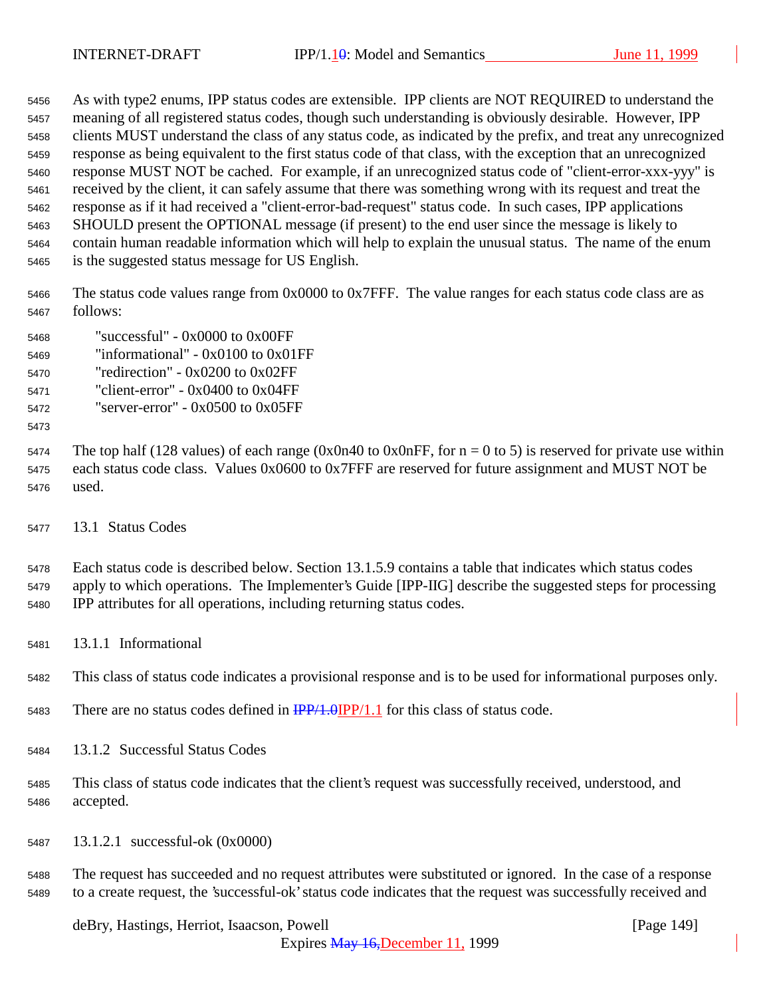As with type2 enums, IPP status codes are extensible. IPP clients are NOT REQUIRED to understand the meaning of all registered status codes, though such understanding is obviously desirable. However, IPP clients MUST understand the class of any status code, as indicated by the prefix, and treat any unrecognized response as being equivalent to the first status code of that class, with the exception that an unrecognized response MUST NOT be cached. For example, if an unrecognized status code of "client-error-xxx-yyy" is received by the client, it can safely assume that there was something wrong with its request and treat the response as if it had received a "client-error-bad-request" status code. In such cases, IPP applications SHOULD present the OPTIONAL message (if present) to the end user since the message is likely to contain human readable information which will help to explain the unusual status. The name of the enum is the suggested status message for US English.

 The status code values range from 0x0000 to 0x7FFF. The value ranges for each status code class are as follows:

- "successful" 0x0000 to 0x00FF
- "informational" 0x0100 to 0x01FF
- "redirection" 0x0200 to 0x02FF
- "client-error" 0x0400 to 0x04FF
- "server-error" 0x0500 to 0x05FF
- 

5474 The top half (128 values) of each range (0x0n40 to 0x0nFF, for  $n = 0$  to 5) is reserved for private use within each status code class. Values 0x0600 to 0x7FFF are reserved for future assignment and MUST NOT be used.

13.1 Status Codes

 Each status code is described below. Section 13.1.5.9 contains a table that indicates which status codes apply to which operations. The Implementer's Guide [IPP-IIG] describe the suggested steps for processing IPP attributes for all operations, including returning status codes.

13.1.1 Informational

This class of status code indicates a provisional response and is to be used for informational purposes only.

- 5483 There are no status codes defined in  $\frac{IPP}{1.0}IPP/1.1$  for this class of status code.
- 13.1.2 Successful Status Codes
- This class of status code indicates that the client's request was successfully received, understood, and accepted.
- 13.1.2.1 successful-ok (0x0000)

 The request has succeeded and no request attributes were substituted or ignored. In the case of a response to a create request, the 'successful-ok' status code indicates that the request was successfully received and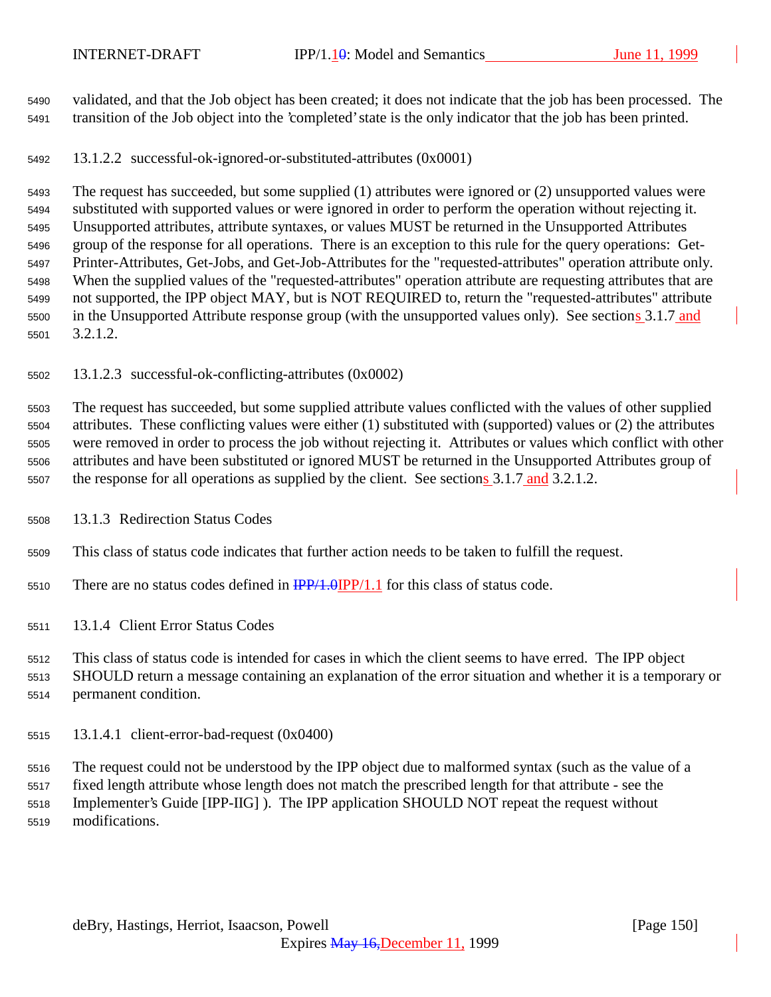validated, and that the Job object has been created; it does not indicate that the job has been processed. The transition of the Job object into the 'completed' state is the only indicator that the job has been printed.

13.1.2.2 successful-ok-ignored-or-substituted-attributes (0x0001)

 The request has succeeded, but some supplied (1) attributes were ignored or (2) unsupported values were substituted with supported values or were ignored in order to perform the operation without rejecting it. Unsupported attributes, attribute syntaxes, or values MUST be returned in the Unsupported Attributes group of the response for all operations. There is an exception to this rule for the query operations: Get- Printer-Attributes, Get-Jobs, and Get-Job-Attributes for the "requested-attributes" operation attribute only. When the supplied values of the "requested-attributes" operation attribute are requesting attributes that are not supported, the IPP object MAY, but is NOT REQUIRED to, return the "requested-attributes" attribute in the Unsupported Attribute response group (with the unsupported values only). See sections 3.1.7 and 3.2.1.2.

13.1.2.3 successful-ok-conflicting-attributes (0x0002)

 The request has succeeded, but some supplied attribute values conflicted with the values of other supplied attributes. These conflicting values were either (1) substituted with (supported) values or (2) the attributes were removed in order to process the job without rejecting it. Attributes or values which conflict with other attributes and have been substituted or ignored MUST be returned in the Unsupported Attributes group of 5507 the response for all operations as supplied by the client. See sections 3.1.7 and 3.2.1.2.

13.1.3 Redirection Status Codes

This class of status code indicates that further action needs to be taken to fulfill the request.

- 5510 There are no status codes defined in  $\frac{IPP}{1.0} \cdot \frac{IPP}{1.1}$  for this class of status code.
- 13.1.4 Client Error Status Codes

This class of status code is intended for cases in which the client seems to have erred. The IPP object

 SHOULD return a message containing an explanation of the error situation and whether it is a temporary or permanent condition.

13.1.4.1 client-error-bad-request (0x0400)

 The request could not be understood by the IPP object due to malformed syntax (such as the value of a fixed length attribute whose length does not match the prescribed length for that attribute - see the Implementer's Guide [IPP-IIG] ). The IPP application SHOULD NOT repeat the request without modifications.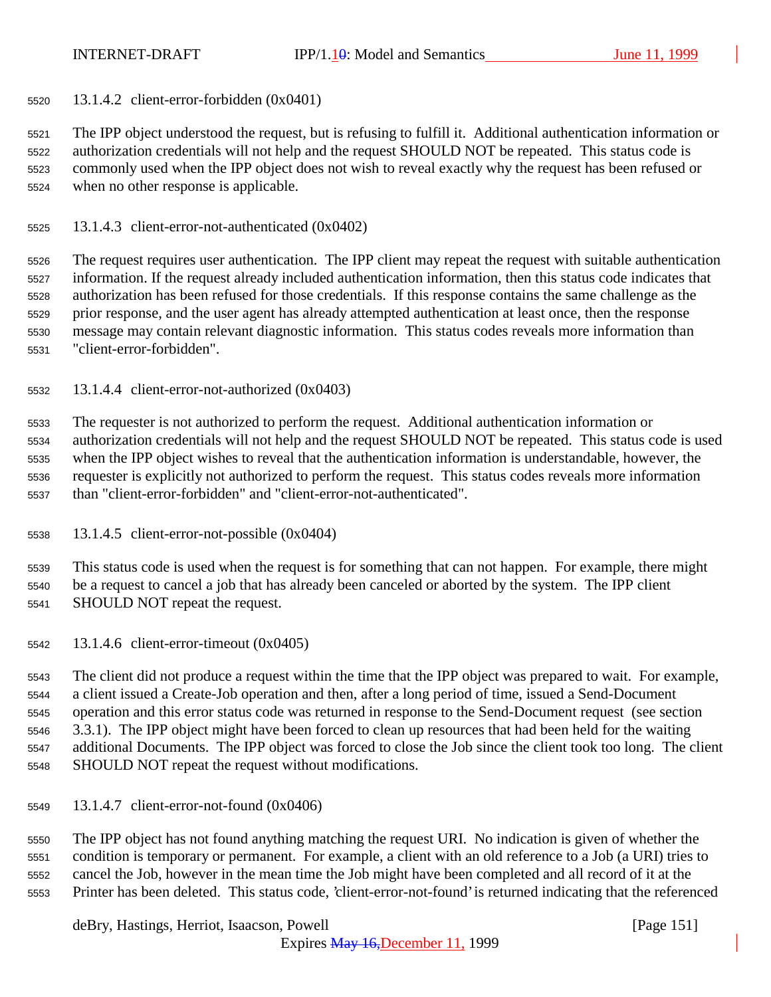13.1.4.2 client-error-forbidden (0x0401)

 The IPP object understood the request, but is refusing to fulfill it. Additional authentication information or authorization credentials will not help and the request SHOULD NOT be repeated. This status code is commonly used when the IPP object does not wish to reveal exactly why the request has been refused or when no other response is applicable.

13.1.4.3 client-error-not-authenticated (0x0402)

 The request requires user authentication. The IPP client may repeat the request with suitable authentication information. If the request already included authentication information, then this status code indicates that authorization has been refused for those credentials. If this response contains the same challenge as the prior response, and the user agent has already attempted authentication at least once, then the response message may contain relevant diagnostic information. This status codes reveals more information than "client-error-forbidden".

13.1.4.4 client-error-not-authorized (0x0403)

 The requester is not authorized to perform the request. Additional authentication information or authorization credentials will not help and the request SHOULD NOT be repeated. This status code is used when the IPP object wishes to reveal that the authentication information is understandable, however, the requester is explicitly not authorized to perform the request. This status codes reveals more information than "client-error-forbidden" and "client-error-not-authenticated".

13.1.4.5 client-error-not-possible (0x0404)

 This status code is used when the request is for something that can not happen. For example, there might be a request to cancel a job that has already been canceled or aborted by the system. The IPP client SHOULD NOT repeat the request.

13.1.4.6 client-error-timeout (0x0405)

 The client did not produce a request within the time that the IPP object was prepared to wait. For example, a client issued a Create-Job operation and then, after a long period of time, issued a Send-Document operation and this error status code was returned in response to the Send-Document request (see section 3.3.1). The IPP object might have been forced to clean up resources that had been held for the waiting additional Documents. The IPP object was forced to close the Job since the client took too long. The client SHOULD NOT repeat the request without modifications.

13.1.4.7 client-error-not-found (0x0406)

 The IPP object has not found anything matching the request URI. No indication is given of whether the condition is temporary or permanent. For example, a client with an old reference to a Job (a URI) tries to cancel the Job, however in the mean time the Job might have been completed and all record of it at the Printer has been deleted. This status code, 'client-error-not-found' is returned indicating that the referenced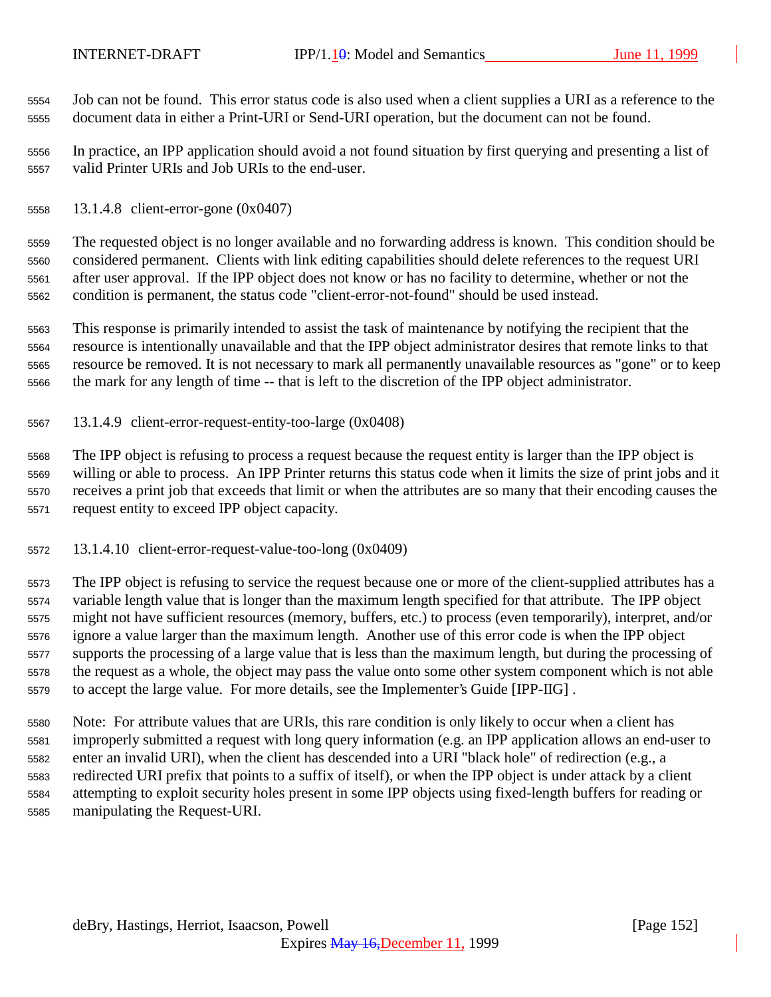Job can not be found. This error status code is also used when a client supplies a URI as a reference to the document data in either a Print-URI or Send-URI operation, but the document can not be found.

 In practice, an IPP application should avoid a not found situation by first querying and presenting a list of valid Printer URIs and Job URIs to the end-user.

13.1.4.8 client-error-gone (0x0407)

 The requested object is no longer available and no forwarding address is known. This condition should be considered permanent. Clients with link editing capabilities should delete references to the request URI after user approval. If the IPP object does not know or has no facility to determine, whether or not the condition is permanent, the status code "client-error-not-found" should be used instead.

 This response is primarily intended to assist the task of maintenance by notifying the recipient that the resource is intentionally unavailable and that the IPP object administrator desires that remote links to that resource be removed. It is not necessary to mark all permanently unavailable resources as "gone" or to keep the mark for any length of time -- that is left to the discretion of the IPP object administrator.

13.1.4.9 client-error-request-entity-too-large (0x0408)

 The IPP object is refusing to process a request because the request entity is larger than the IPP object is willing or able to process. An IPP Printer returns this status code when it limits the size of print jobs and it receives a print job that exceeds that limit or when the attributes are so many that their encoding causes the request entity to exceed IPP object capacity.

13.1.4.10 client-error-request-value-too-long (0x0409)

 The IPP object is refusing to service the request because one or more of the client-supplied attributes has a variable length value that is longer than the maximum length specified for that attribute. The IPP object might not have sufficient resources (memory, buffers, etc.) to process (even temporarily), interpret, and/or ignore a value larger than the maximum length. Another use of this error code is when the IPP object supports the processing of a large value that is less than the maximum length, but during the processing of the request as a whole, the object may pass the value onto some other system component which is not able to accept the large value. For more details, see the Implementer's Guide [IPP-IIG] .

 Note: For attribute values that are URIs, this rare condition is only likely to occur when a client has improperly submitted a request with long query information (e.g. an IPP application allows an end-user to enter an invalid URI), when the client has descended into a URI "black hole" of redirection (e.g., a redirected URI prefix that points to a suffix of itself), or when the IPP object is under attack by a client attempting to exploit security holes present in some IPP objects using fixed-length buffers for reading or manipulating the Request-URI.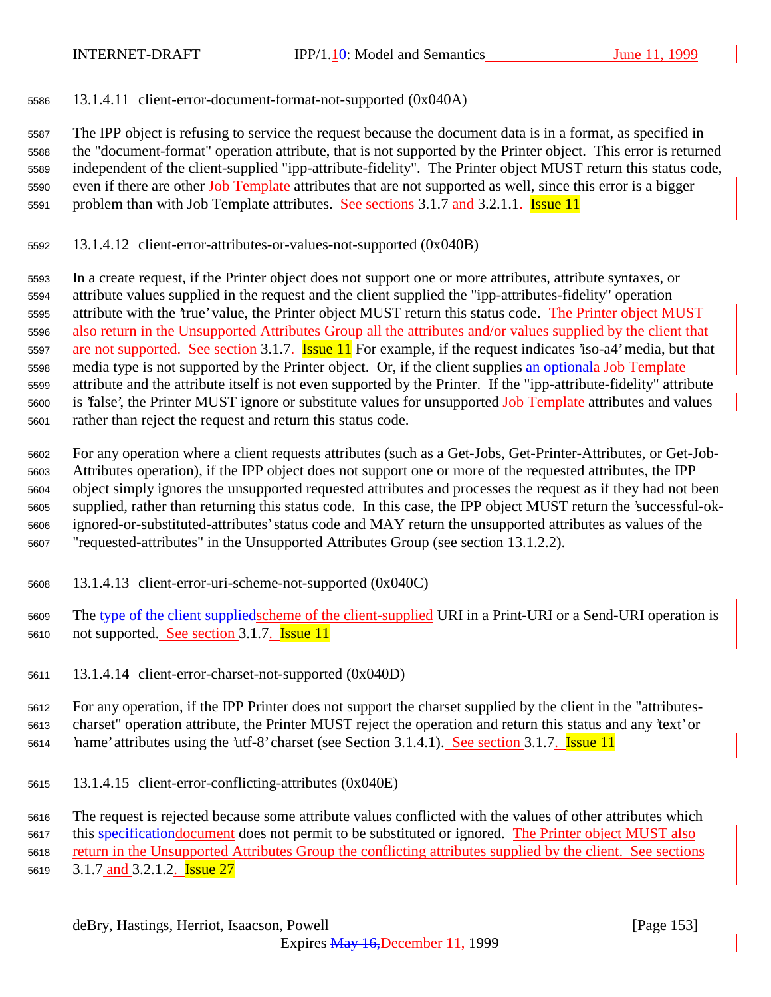13.1.4.11 client-error-document-format-not-supported (0x040A)

 The IPP object is refusing to service the request because the document data is in a format, as specified in the "document-format" operation attribute, that is not supported by the Printer object. This error is returned independent of the client-supplied "ipp-attribute-fidelity". The Printer object MUST return this status code, 5590 even if there are other Job Template attributes that are not supported as well, since this error is a bigger 5591 problem than with Job Template attributes. See sections 3.1.7 and 3.2.1.1. **Issue 11** 

13.1.4.12 client-error-attributes-or-values-not-supported (0x040B)

 In a create request, if the Printer object does not support one or more attributes, attribute syntaxes, or attribute values supplied in the request and the client supplied the "ipp-attributes-fidelity" operation attribute with the 'true' value, the Printer object MUST return this status code. The Printer object MUST also return in the Unsupported Attributes Group all the attributes and/or values supplied by the client that 5597 are not supported. See section 3.1.7. **Issue 11** For example, if the request indicates 'iso-a4' media, but that 5598 media type is not supported by the Printer object. Or, if the client supplies an optionala Job Template attribute and the attribute itself is not even supported by the Printer. If the "ipp-attribute-fidelity" attribute is 'false', the Printer MUST ignore or substitute values for unsupported Job Template attributes and values rather than reject the request and return this status code.

 For any operation where a client requests attributes (such as a Get-Jobs, Get-Printer-Attributes, or Get-Job- Attributes operation), if the IPP object does not support one or more of the requested attributes, the IPP object simply ignores the unsupported requested attributes and processes the request as if they had not been supplied, rather than returning this status code. In this case, the IPP object MUST return the 'successful-ok- ignored-or-substituted-attributes' status code and MAY return the unsupported attributes as values of the "requested-attributes" in the Unsupported Attributes Group (see section 13.1.2.2).

- 13.1.4.13 client-error-uri-scheme-not-supported (0x040C)
- 5609 The type of the client suppliedscheme of the client-supplied URI in a Print-URI or a Send-URI operation is not supported. See section 3.1.7. Issue 11
- 13.1.4.14 client-error-charset-not-supported (0x040D)

 For any operation, if the IPP Printer does not support the charset supplied by the client in the "attributes- charset" operation attribute, the Printer MUST reject the operation and return this status and any 'text' or 5614 hame' attributes using the 'utf-8' charset (see Section 3.1.4.1). See section 3.1.7. **Issue 11** 

13.1.4.15 client-error-conflicting-attributes (0x040E)

The request is rejected because some attribute values conflicted with the values of other attributes which

5617 this specification document does not permit to be substituted or ignored. The Printer object MUST also

 return in the Unsupported Attributes Group the conflicting attributes supplied by the client. See sections 5619 3.1.7 and 3.2.1.2. **Issue 27**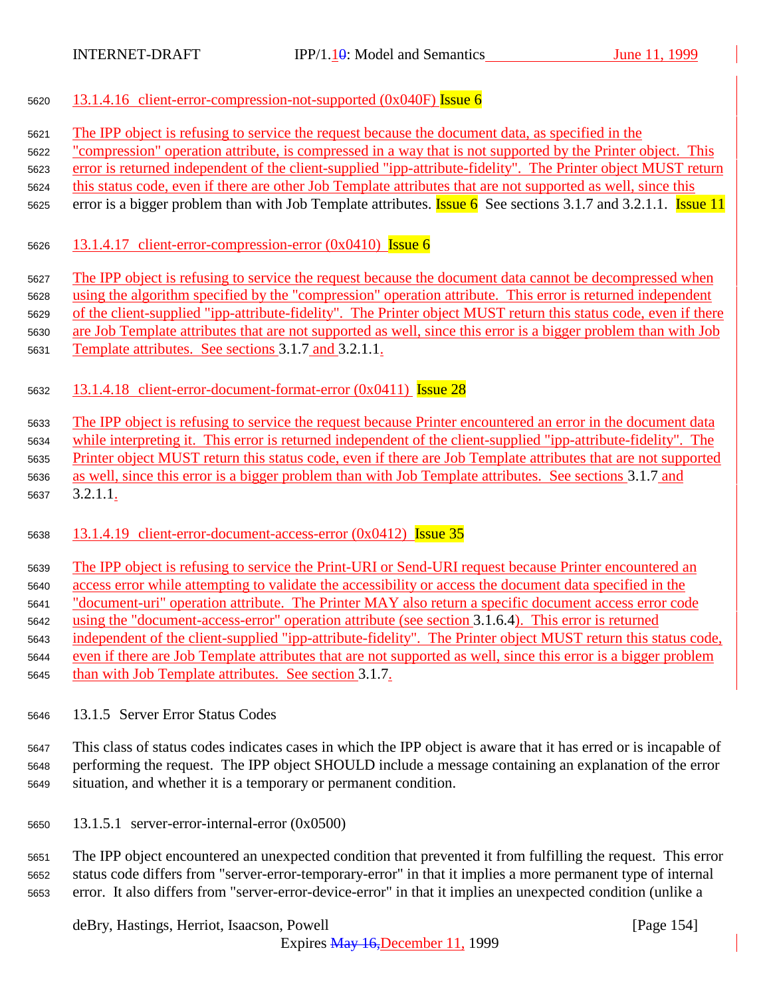- 13.1.4.16 client-error-compression-not-supported (0x040F) Issue 6
- The IPP object is refusing to service the request because the document data, as specified in the

"compression" operation attribute, is compressed in a way that is not supported by the Printer object. This

error is returned independent of the client-supplied "ipp-attribute-fidelity". The Printer object MUST return

this status code, even if there are other Job Template attributes that are not supported as well, since this

5625 error is a bigger problem than with Job Template attributes. **Issue 6** See sections 3.1.7 and 3.2.1.1. **Issue 11** 

5626 13.1.4.17 client-error-compression-error  $(0x0410)$  Issue 6

The IPP object is refusing to service the request because the document data cannot be decompressed when

using the algorithm specified by the "compression" operation attribute. This error is returned independent

of the client-supplied "ipp-attribute-fidelity". The Printer object MUST return this status code, even if there

are Job Template attributes that are not supported as well, since this error is a bigger problem than with Job

Template attributes. See sections 3.1.7 and 3.2.1.1.

13.1.4.18 client-error-document-format-error (0x0411) Issue 28

 The IPP object is refusing to service the request because Printer encountered an error in the document data while interpreting it. This error is returned independent of the client-supplied "ipp-attribute-fidelity". The Printer object MUST return this status code, even if there are Job Template attributes that are not supported as well, since this error is a bigger problem than with Job Template attributes. See sections 3.1.7 and 3.2.1.1.

13.1.4.19 client-error-document-access-error (0x0412) Issue 35

 The IPP object is refusing to service the Print-URI or Send-URI request because Printer encountered an access error while attempting to validate the accessibility or access the document data specified in the "document-uri" operation attribute. The Printer MAY also return a specific document access error code using the "document-access-error" operation attribute (see section 3.1.6.4). This error is returned independent of the client-supplied "ipp-attribute-fidelity". The Printer object MUST return this status code, even if there are Job Template attributes that are not supported as well, since this error is a bigger problem than with Job Template attributes. See section 3.1.7.

13.1.5 Server Error Status Codes

 This class of status codes indicates cases in which the IPP object is aware that it has erred or is incapable of performing the request. The IPP object SHOULD include a message containing an explanation of the error situation, and whether it is a temporary or permanent condition.

13.1.5.1 server-error-internal-error (0x0500)

 The IPP object encountered an unexpected condition that prevented it from fulfilling the request. This error status code differs from "server-error-temporary-error" in that it implies a more permanent type of internal error. It also differs from "server-error-device-error" in that it implies an unexpected condition (unlike a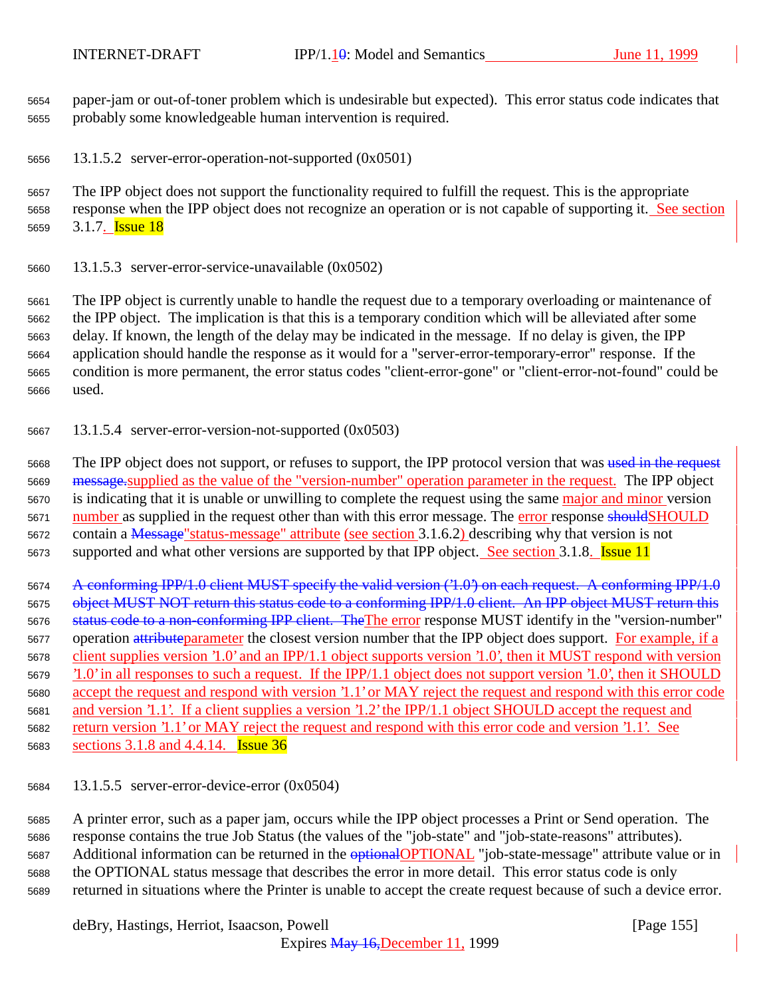paper-jam or out-of-toner problem which is undesirable but expected). This error status code indicates that probably some knowledgeable human intervention is required.

13.1.5.2 server-error-operation-not-supported (0x0501)

 The IPP object does not support the functionality required to fulfill the request. This is the appropriate response when the IPP object does not recognize an operation or is not capable of supporting it. See section 5659 3.1.7. **Issue 18** 

13.1.5.3 server-error-service-unavailable (0x0502)

 The IPP object is currently unable to handle the request due to a temporary overloading or maintenance of the IPP object. The implication is that this is a temporary condition which will be alleviated after some delay. If known, the length of the delay may be indicated in the message. If no delay is given, the IPP application should handle the response as it would for a "server-error-temporary-error" response. If the condition is more permanent, the error status codes "client-error-gone" or "client-error-not-found" could be used.

13.1.5.4 server-error-version-not-supported (0x0503)

5668 The IPP object does not support, or refuses to support, the IPP protocol version that was used in the request message.supplied as the value of the "version-number" operation parameter in the request. The IPP object 5670 is indicating that it is unable or unwilling to complete the request using the same major and minor version 5671 number as supplied in the request other than with this error message. The error response shouldSHOULD contain a Message"status-message" attribute (see section 3.1.6.2) describing why that version is not 5673 supported and what other versions are supported by that IPP object. See section 3.1.8. Issue 11

 A conforming IPP/1.0 client MUST specify the valid version ('1.0') on each request. A conforming IPP/1.0 5675 object MUST NOT return this status code to a conforming IPP/1.0 client. An IPP object MUST return this 5676 status code to a non-conforming IPP client. The The error response MUST identify in the "version-number" 5677 operation attributeparameter the closest version number that the IPP object does support. For example, if a client supplies version '1.0' and an IPP/1.1 object supports version '1.0', then it MUST respond with version '1.0' in all responses to such a request. If the IPP/1.1 object does not support version '1.0', then it SHOULD accept the request and respond with version '1.1' or MAY reject the request and respond with this error code and version '1.1'. If a client supplies a version '1.2' the IPP/1.1 object SHOULD accept the request and return version '1.1' or MAY reject the request and respond with this error code and version '1.1'. See sections 3.1.8 and 4.4.14. Issue 36

13.1.5.5 server-error-device-error (0x0504)

 A printer error, such as a paper jam, occurs while the IPP object processes a Print or Send operation. The response contains the true Job Status (the values of the "job-state" and "job-state-reasons" attributes). 5687 Additional information can be returned in the **optional OPTIONAL** "job-state-message" attribute value or in the OPTIONAL status message that describes the error in more detail. This error status code is only returned in situations where the Printer is unable to accept the create request because of such a device error.

deBry, Hastings, Herriot, Isaacson, Powell [Page 155]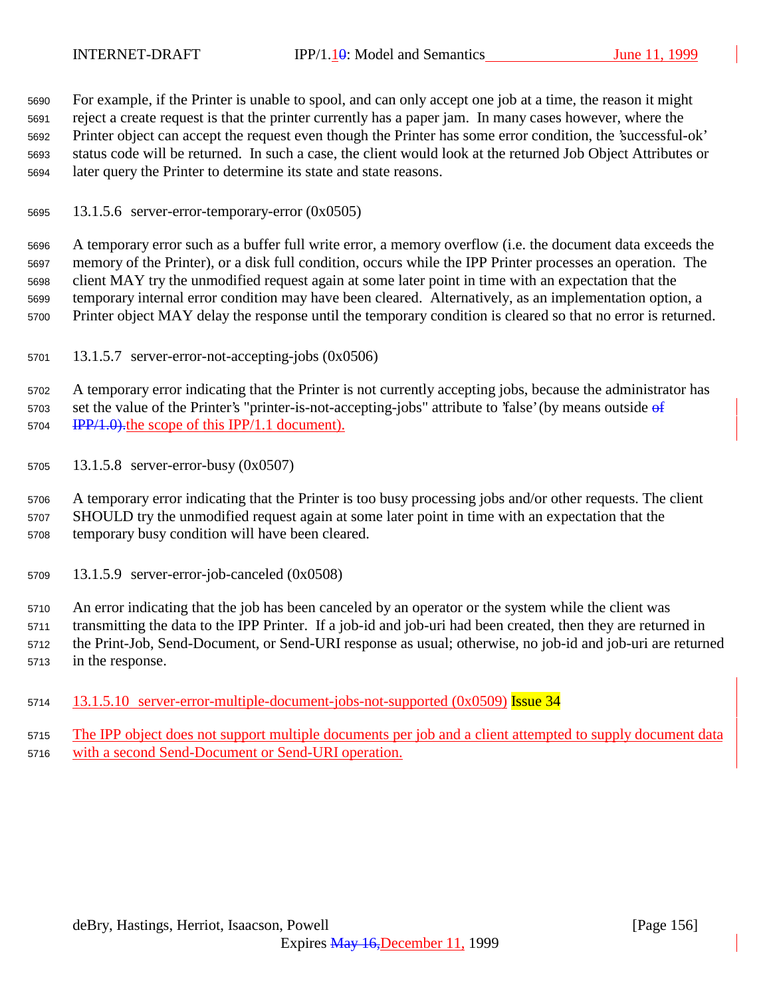For example, if the Printer is unable to spool, and can only accept one job at a time, the reason it might reject a create request is that the printer currently has a paper jam. In many cases however, where the Printer object can accept the request even though the Printer has some error condition, the 'successful-ok' status code will be returned. In such a case, the client would look at the returned Job Object Attributes or later query the Printer to determine its state and state reasons.

13.1.5.6 server-error-temporary-error (0x0505)

 A temporary error such as a buffer full write error, a memory overflow (i.e. the document data exceeds the memory of the Printer), or a disk full condition, occurs while the IPP Printer processes an operation. The client MAY try the unmodified request again at some later point in time with an expectation that the temporary internal error condition may have been cleared. Alternatively, as an implementation option, a Printer object MAY delay the response until the temporary condition is cleared so that no error is returned.

13.1.5.7 server-error-not-accepting-jobs (0x0506)

 A temporary error indicating that the Printer is not currently accepting jobs, because the administrator has 5703 set the value of the Printer's "printer-is-not-accepting-jobs" attribute to 'false' (by means outside of 5704 IPP/1.0). the scope of this IPP/1.1 document).

13.1.5.8 server-error-busy (0x0507)

 A temporary error indicating that the Printer is too busy processing jobs and/or other requests. The client SHOULD try the unmodified request again at some later point in time with an expectation that the temporary busy condition will have been cleared.

13.1.5.9 server-error-job-canceled (0x0508)

 An error indicating that the job has been canceled by an operator or the system while the client was transmitting the data to the IPP Printer. If a job-id and job-uri had been created, then they are returned in the Print-Job, Send-Document, or Send-URI response as usual; otherwise, no job-id and job-uri are returned in the response.

- 5714 13.1.5.10 server-error-multiple-document-jobs-not-supported (0x0509) Issue 34
- The IPP object does not support multiple documents per job and a client attempted to supply document data with a second Send-Document or Send-URI operation.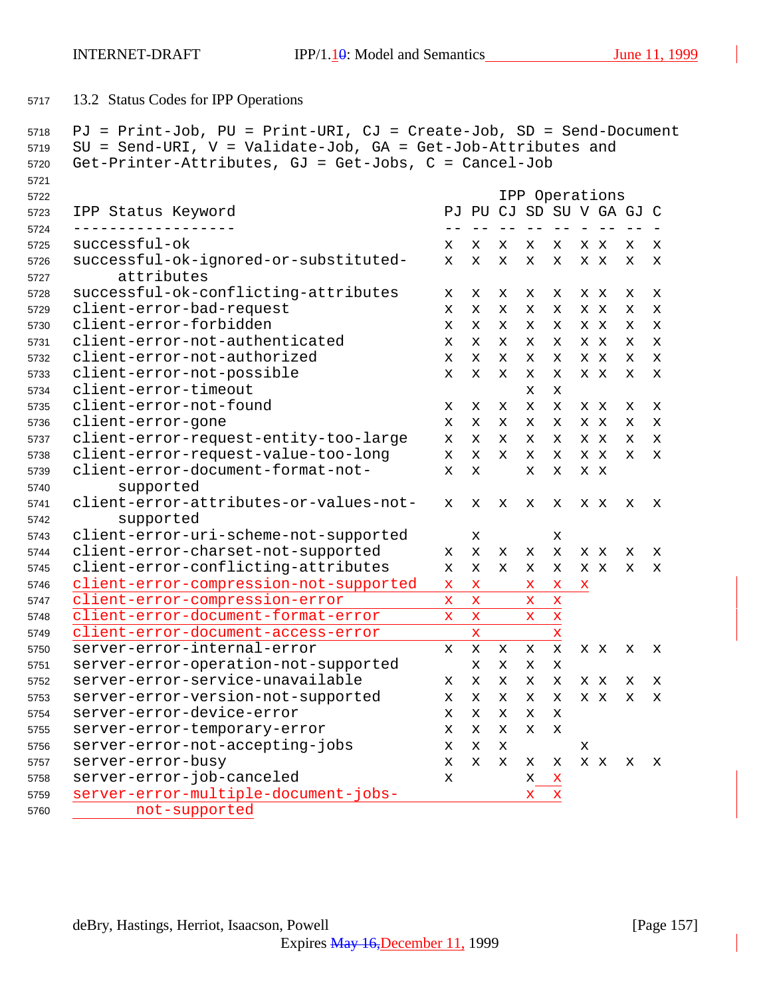13.2 Status Codes for IPP Operations

```
5718 PJ = Print-Job, PU = Print-URI, CJ = Create-Job, SD = Send-Document
5719 SU = Send-URI, V = Validate-Job, GA = Get-Job-Attributes and
5720 Get-Printer-Attributes, GJ = Get-Jobs, C = Cancel-Job
5721
5722 IPP Operations
5723 IPP Status Keyword PJ PU CJ SD SU V GA GJ C
5724 ------------------ -- -- -- -- -- - -- -- -
5725 successful-ok x x x x x x x x x
5726 successful-ok-ignored-or-substituted- x x x x x x x x x
5727 attributes
5728 successful-ok-conflicting-attributes x x x x x x x x x
5729 client-error-bad-request x x x x x x x x x
5730 client-error-forbidden x x x x x x x x x
5731 client-error-not-authenticated x x x x x x x x x
5732 client-error-not-authorized x x x x x x x x x
5733 client-error-not-possible x x x x x x x x x
5734 client-error-timeout x x
5735 client-error-not-found x x x x x x x x x
5736 client-error-gone x x x x x x x x x
5737 client-error-request-entity-too-large x x x x x x x x x
5738 client-error-request-value-too-long x x x x x x x x x
5739 client-error-document-format-not- x x x x x x
5740 supported
5741 client-error-attributes-or-values-not- x x x x x x x x x
5742 supported
5743 client-error-uri-scheme-not-supported x x
5744 client-error-charset-not-supported x x x x x x x x x
5745 client-error-conflicting-attributes x x x x x x x x x
5746 client-error-compression-not-supported x x x x x
5747 client-error-compression-error x x x x
5748 client-error-document-format-error x x x x
5749 client-error-document-access-error x x
5750 server-error-internal-error x x x x x x x x x
5751 server-error-operation-not-supported x x x x
5752 server-error-service-unavailable x x x x x x x x x
5753 server-error-version-not-supported x x x x x x x x x
5754 server-error-device-error x x x x x
5755 server-error-temporary-error x x x x x
5756 server-error-not-accepting-jobs x x x x
5757 server-error-busy x x x x x x x x x
5758 server-error-job-canceled x x x
5759 server-error-multiple-document-jobs- x x
5760 not-supported
```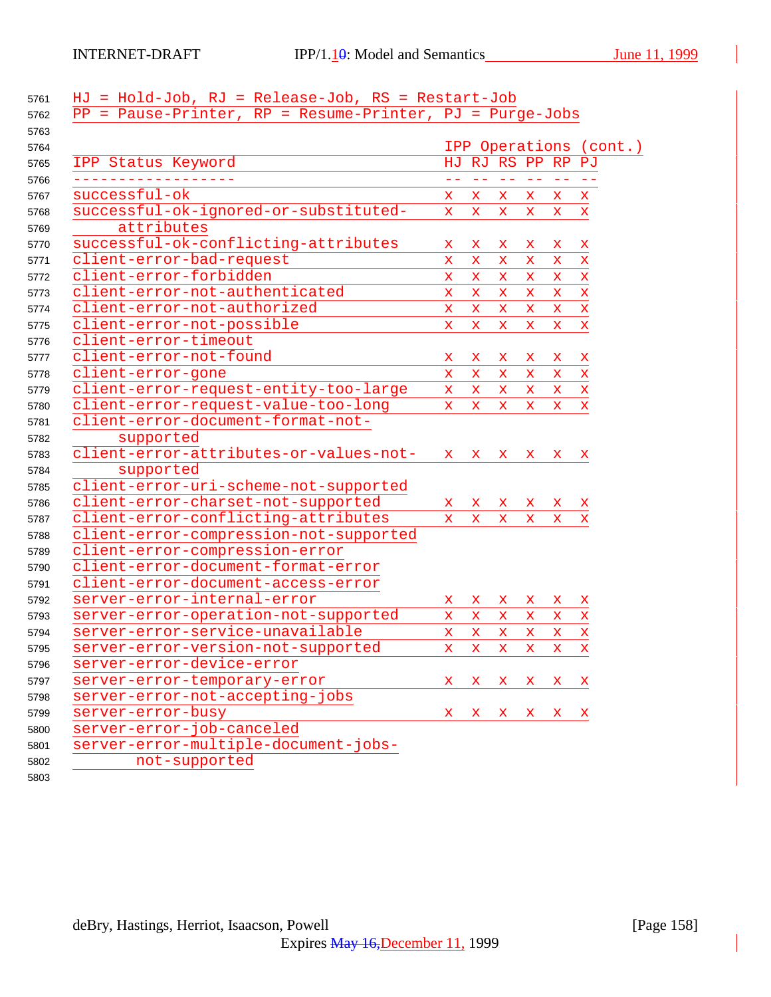| 5761 | HJ = Hold-Job, RJ = Release-Job, RS = Restart-Job          |              |                   |                   |                             |              |                        |
|------|------------------------------------------------------------|--------------|-------------------|-------------------|-----------------------------|--------------|------------------------|
| 5762 | $PP = Pause-Printer, RP = Resume-Printer, PJ = Purge-Jobs$ |              |                   |                   |                             |              |                        |
| 5763 |                                                            |              |                   |                   |                             |              |                        |
| 5764 |                                                            |              |                   |                   |                             |              | IPP Operations (cont.) |
| 5765 | IPP Status Keyword                                         |              |                   | HJ RJ RS PP RP PJ |                             |              |                        |
| 5766 |                                                            | $-1$         | $\equiv$ $\equiv$ | $\equiv$ $\equiv$ | $\rightarrow$ $\rightarrow$ | $\sim$ $-$   |                        |
| 5767 | successful-ok                                              | X.           | X.                | X.                | X.                          | X.           | $\mathbf x$            |
| 5768 | successful-ok-ignored-or-substituted-                      | $\mathbf x$  | $\mathbf x$       | $\mathbf x$       | $\mathbf x$                 | X.           | $\mathbf x$            |
| 5769 | attributes                                                 |              |                   |                   |                             |              |                        |
| 5770 | successful-ok-conflicting-attributes                       | x            | x                 | x                 | x                           | X.           | $\mathbf x$            |
| 5771 | client-error-bad-request                                   | $\mathbf x$  | $\mathbf x$       | $\mathbf{x}$      | X.                          | $\mathbf x$  | $\mathbf x$            |
| 5772 | client-error-forbidden                                     | $\mathbf x$  | $\mathbf x$       | X.                | X.                          | X.           | $\mathbf x$            |
| 5773 | client-error-not-authenticated                             | $\mathbf x$  | $\mathbf x$       | $\mathbf x$       | $\mathbf x$                 | $\mathbf x$  | $\mathbf x$            |
| 5774 | client-error-not-authorized                                | $\mathbf x$  | $\mathbf x$       | $\mathbf{x}$      | $\mathbf x$                 | $\mathbf x$  | $\mathbf x$            |
| 5775 | client-error-not-possible                                  | $\mathbf x$  | $\mathbf x$       | $\mathbf{x}$      | $\mathbf x$                 | $\mathbf{x}$ | $\mathbf x$            |
| 5776 | client-error-timeout                                       |              |                   |                   |                             |              |                        |
| 5777 | client-error-not-found                                     | x            | x                 | x                 | X                           | X.           | $\mathbf x$            |
| 5778 | client-error-gone                                          | $\mathbf x$  | $\mathbf x$       | $\mathbf x$       | X.                          | $\mathbf{x}$ | $\mathbf x$            |
| 5779 | client-error-request-entity-too-large                      | $\mathbf x$  | $\mathbf{x}$      | $\mathbf x$       | $\mathbf{x}$                | X.           | $\mathbf x$            |
| 5780 | client-error-request-value-too-long                        | $\mathbf{x}$ | $\mathbf x$       | $\mathbf x$       | $\mathbf x$                 | X.           | $\mathbf x$            |
| 5781 | client-error-document-format-not-                          |              |                   |                   |                             |              |                        |
| 5782 | supported                                                  |              |                   |                   |                             |              |                        |
| 5783 | client-error-attributes-or-values-not-                     | $\mathbf{x}$ | $\mathbf x$       | $\mathbf x$       | $\mathbf{x}$                | X.           | x                      |
| 5784 | supported                                                  |              |                   |                   |                             |              |                        |
| 5785 | client-error-uri-scheme-not-supported                      |              |                   |                   |                             |              |                        |
| 5786 | client-error-charset-not-supported                         | X.           | X.                | X.                | x                           | X.           | $\mathbf x$            |
| 5787 | client-error-conflicting-attributes                        | X.           | $\mathbf{x}$      | $\mathbf x$       | X.                          | X.           | x                      |
| 5788 | client-error-compression-not-supported                     |              |                   |                   |                             |              |                        |
| 5789 | client-error-compression-error                             |              |                   |                   |                             |              |                        |
| 5790 | client-error-document-format-error                         |              |                   |                   |                             |              |                        |
| 5791 | client-error-document-access-error                         |              |                   |                   |                             |              |                        |
| 5792 | server-error-internal-error                                | X.           | x                 | X.                | x                           | $\mathbf{x}$ | X                      |
| 5793 | server-error-operation-not-supported                       | $\mathbf x$  | X.                | X.                | X.                          | X.           | $\mathbf x$            |
| 5794 | server-error-service-unavailable                           | $\mathbf x$  | $\mathbf x$       | $\mathbf{x}$      | $\mathbf x$                 | x            | X                      |
| 5795 | server-error-version-not-supported                         | $\mathbf x$  | $\mathbf x$       | $\mathbf x$       | X.                          | x.           | $\mathbf x$            |
| 5796 | server-error-device-error                                  |              |                   |                   |                             |              |                        |
| 5797 | server-error-temporary-error                               | x            | X.                | x                 | X.                          | X.           | $\mathbf{x}$           |
| 5798 | server-error-not-accepting-jobs                            |              |                   |                   |                             |              |                        |
| 5799 | server-error-busy                                          | $\mathbf{x}$ | X                 | $\mathbf x$       | $\mathbf{x}$                | $\mathbf{x}$ | x                      |
| 5800 | server-error-job-canceled                                  |              |                   |                   |                             |              |                        |
| 5801 | server-error-multiple-document-jobs-                       |              |                   |                   |                             |              |                        |
| 5802 | not-supported                                              |              |                   |                   |                             |              |                        |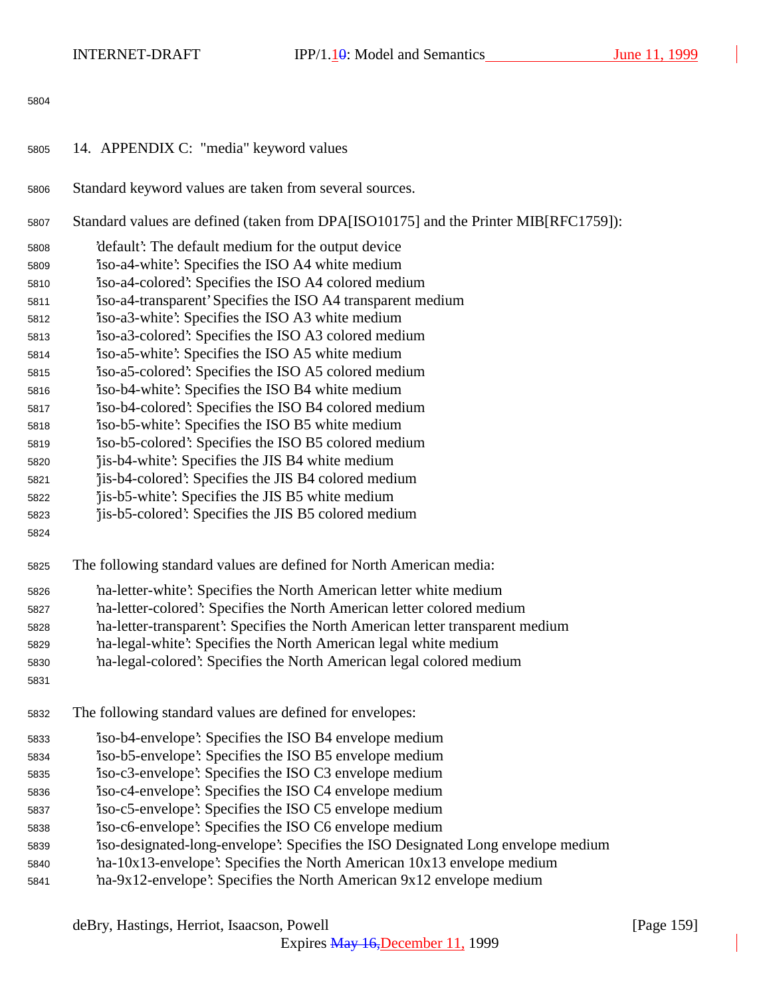| 5805 | 14. APPENDIX C: "media" keyword values                                               |
|------|--------------------------------------------------------------------------------------|
| 5806 | Standard keyword values are taken from several sources.                              |
| 5807 | Standard values are defined (taken from DPA[ISO10175] and the Printer MIB[RFC1759]): |
| 5808 | 'default': The default medium for the output device                                  |
| 5809 | iso-a4-white': Specifies the ISO A4 white medium                                     |
| 5810 | iso-a4-colored: Specifies the ISO A4 colored medium                                  |
| 5811 | iso-a4-transparent' Specifies the ISO A4 transparent medium                          |
| 5812 | iso-a3-white': Specifies the ISO A3 white medium                                     |
| 5813 | iso-a3-colored: Specifies the ISO A3 colored medium                                  |
| 5814 | iso-a5-white': Specifies the ISO A5 white medium                                     |
| 5815 | iso-a5-colored: Specifies the ISO A5 colored medium                                  |
| 5816 | iso-b4-white: Specifies the ISO B4 white medium                                      |
| 5817 | iso-b4-colored: Specifies the ISO B4 colored medium                                  |
| 5818 | iso-b5-white': Specifies the ISO B5 white medium                                     |
| 5819 | iso-b5-colored: Specifies the ISO B5 colored medium                                  |
| 5820 | 'jis-b4-white': Specifies the JIS B4 white medium                                    |
| 5821 | 'jis-b4-colored': Specifies the JIS B4 colored medium                                |
| 5822 | jis-b5-white': Specifies the JIS B5 white medium                                     |
| 5823 | jis-b5-colored: Specifies the JIS B5 colored medium                                  |
| 5824 |                                                                                      |
| 5825 | The following standard values are defined for North American media:                  |
| 5826 | 'na-letter-white': Specifies the North American letter white medium                  |
| 5827 | 'na-letter-colored': Specifies the North American letter colored medium              |
| 5828 | 'na-letter-transparent': Specifies the North American letter transparent medium      |
| 5829 | na-legal-white': Specifies the North American legal white medium                     |
| 5830 | 'na-legal-colored': Specifies the North American legal colored medium                |
| 5831 |                                                                                      |
| 5832 | The following standard values are defined for envelopes:                             |
| 5833 | iso-b4-envelope: Specifies the ISO B4 envelope medium                                |
| 5834 | iso-b5-envelope: Specifies the ISO B5 envelope medium                                |

- 'iso-c3-envelope': Specifies the ISO C3 envelope medium
- 'iso-c4-envelope': Specifies the ISO C4 envelope medium
- 'iso-c5-envelope': Specifies the ISO C5 envelope medium
- 'iso-c6-envelope': Specifies the ISO C6 envelope medium
- 'iso-designated-long-envelope': Specifies the ISO Designated Long envelope medium
- 'na-10x13-envelope': Specifies the North American 10x13 envelope medium
- 'na-9x12-envelope': Specifies the North American 9x12 envelope medium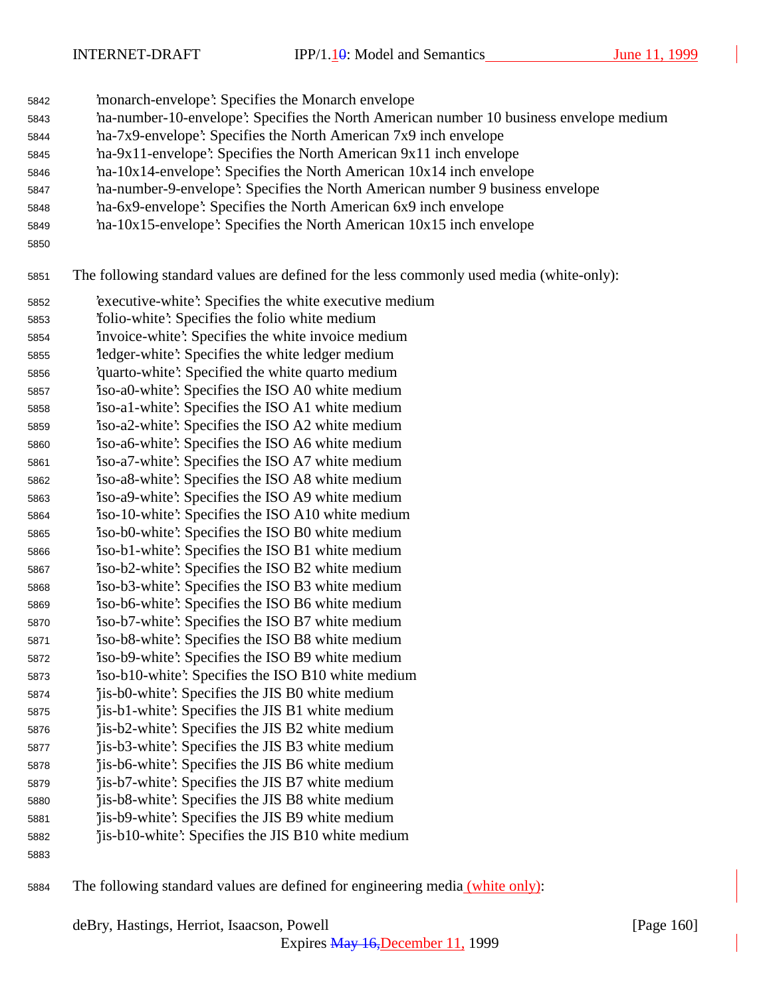INTERNET-DRAFT IPP/1. $\frac{1}{9}$ : Model and Semantics June 11, 1999

- 'monarch-envelope': Specifies the Monarch envelope 'na-number-10-envelope': Specifies the North American number 10 business envelope medium 'na-7x9-envelope': Specifies the North American 7x9 inch envelope 'na-9x11-envelope': Specifies the North American 9x11 inch envelope
- 'na-10x14-envelope': Specifies the North American 10x14 inch envelope
- 'na-number-9-envelope': Specifies the North American number 9 business envelope
- 'na-6x9-envelope': Specifies the North American 6x9 inch envelope
- 'na-10x15-envelope': Specifies the North American 10x15 inch envelope
- 

The following standard values are defined for the less commonly used media (white-only):

- 'executive-white': Specifies the white executive medium 'folio-white': Specifies the folio white medium
- 'invoice-white': Specifies the white invoice medium
- 'ledger-white': Specifies the white ledger medium
- 'quarto-white': Specified the white quarto medium
- 'iso-a0-white': Specifies the ISO A0 white medium
- 'iso-a1-white': Specifies the ISO A1 white medium
- 'iso-a2-white': Specifies the ISO A2 white medium
- 'iso-a6-white': Specifies the ISO A6 white medium 'iso-a7-white': Specifies the ISO A7 white medium
- 'iso-a8-white': Specifies the ISO A8 white medium
- 'iso-a9-white': Specifies the ISO A9 white medium
- 'iso-10-white': Specifies the ISO A10 white medium
- 'iso-b0-white': Specifies the ISO B0 white medium
- 'iso-b1-white': Specifies the ISO B1 white medium
- 'iso-b2-white': Specifies the ISO B2 white medium
- 'iso-b3-white': Specifies the ISO B3 white medium 'iso-b6-white': Specifies the ISO B6 white medium
- 'iso-b7-white': Specifies the ISO B7 white medium
- 'iso-b8-white': Specifies the ISO B8 white medium
- 'iso-b9-white': Specifies the ISO B9 white medium
- 'iso-b10-white': Specifies the ISO B10 white medium
- 'jis-b0-white': Specifies the JIS B0 white medium
- 'jis-b1-white': Specifies the JIS B1 white medium
- 'jis-b2-white': Specifies the JIS B2 white medium
- 'jis-b3-white': Specifies the JIS B3 white medium 'jis-b6-white': Specifies the JIS B6 white medium
- 'jis-b7-white': Specifies the JIS B7 white medium
- 'jis-b8-white': Specifies the JIS B8 white medium
- 'jis-b9-white': Specifies the JIS B9 white medium
- 'jis-b10-white': Specifies the JIS B10 white medium
- 
- The following standard values are defined for engineering media (white only):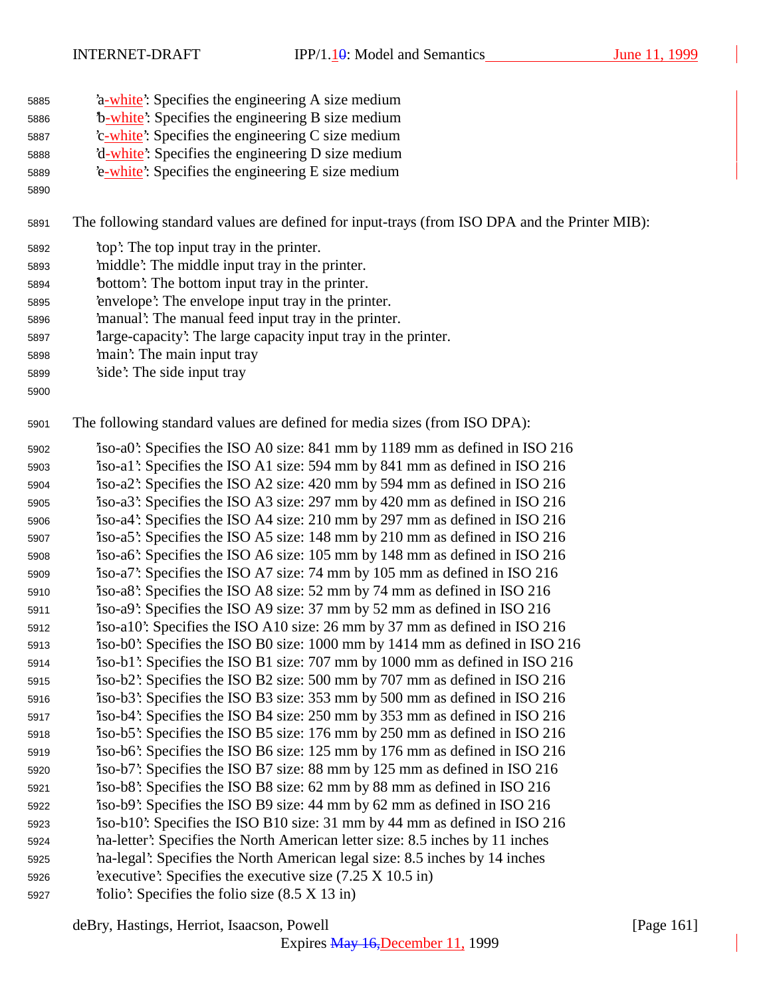| 5885 |  |  |  |  | 'a-white': Specifies the engineering A size medium |
|------|--|--|--|--|----------------------------------------------------|
|      |  |  |  |  |                                                    |

- 'b-white': Specifies the engineering B size medium
- 5887 <sup>'</sup>c-white': Specifies the engineering C size medium **'d-white':** Specifies the engineering D size medium
- 'e-white': Specifies the engineering E size medium
- 

The following standard values are defined for input-trays (from ISO DPA and the Printer MIB):

- 'top': The top input tray in the printer.
- 'middle': The middle input tray in the printer.
- 'bottom': The bottom input tray in the printer.
- 'envelope': The envelope input tray in the printer.
- 'manual': The manual feed input tray in the printer.
- 'large-capacity': The large capacity input tray in the printer.
- 'main': The main input tray
- 'side': The side input tray
- 

The following standard values are defined for media sizes (from ISO DPA):

 'iso-a0': Specifies the ISO A0 size: 841 mm by 1189 mm as defined in ISO 216 'iso-a1': Specifies the ISO A1 size: 594 mm by 841 mm as defined in ISO 216 'iso-a2': Specifies the ISO A2 size: 420 mm by 594 mm as defined in ISO 216 'iso-a3': Specifies the ISO A3 size: 297 mm by 420 mm as defined in ISO 216 'iso-a4': Specifies the ISO A4 size: 210 mm by 297 mm as defined in ISO 216 'iso-a5': Specifies the ISO A5 size: 148 mm by 210 mm as defined in ISO 216 'iso-a6': Specifies the ISO A6 size: 105 mm by 148 mm as defined in ISO 216 'iso-a7': Specifies the ISO A7 size: 74 mm by 105 mm as defined in ISO 216 'iso-a8': Specifies the ISO A8 size: 52 mm by 74 mm as defined in ISO 216 'iso-a9': Specifies the ISO A9 size: 37 mm by 52 mm as defined in ISO 216 'iso-a10': Specifies the ISO A10 size: 26 mm by 37 mm as defined in ISO 216 'iso-b0': Specifies the ISO B0 size: 1000 mm by 1414 mm as defined in ISO 216 'iso-b1': Specifies the ISO B1 size: 707 mm by 1000 mm as defined in ISO 216 'iso-b2': Specifies the ISO B2 size: 500 mm by 707 mm as defined in ISO 216 'iso-b3': Specifies the ISO B3 size: 353 mm by 500 mm as defined in ISO 216 'iso-b4': Specifies the ISO B4 size: 250 mm by 353 mm as defined in ISO 216 'iso-b5': Specifies the ISO B5 size: 176 mm by 250 mm as defined in ISO 216 'iso-b6': Specifies the ISO B6 size: 125 mm by 176 mm as defined in ISO 216 'iso-b7': Specifies the ISO B7 size: 88 mm by 125 mm as defined in ISO 216 'iso-b8': Specifies the ISO B8 size: 62 mm by 88 mm as defined in ISO 216 'iso-b9': Specifies the ISO B9 size: 44 mm by 62 mm as defined in ISO 216 'iso-b10': Specifies the ISO B10 size: 31 mm by 44 mm as defined in ISO 216 'na-letter': Specifies the North American letter size: 8.5 inches by 11 inches 'na-legal': Specifies the North American legal size: 8.5 inches by 14 inches 'executive': Specifies the executive size (7.25 X 10.5 in) 'folio': Specifies the folio size (8.5 X 13 in)

deBry, Hastings, Herriot, Isaacson, Powell [Page 161]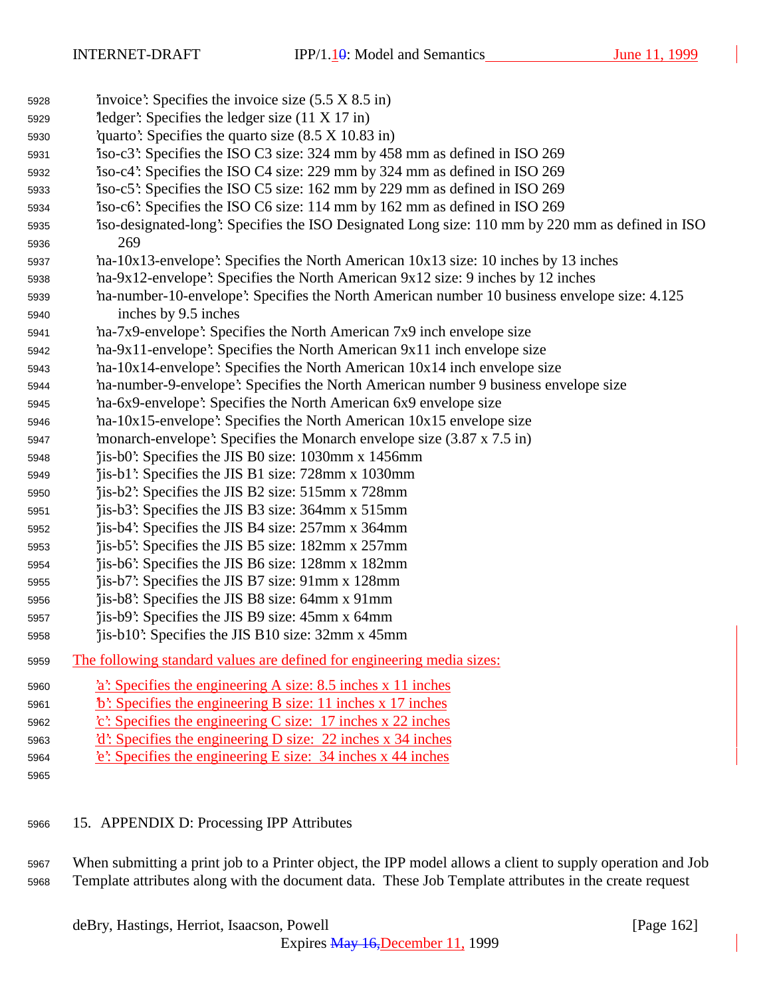| 5928 | 'invoice': Specifies the invoice size $(5.5 \times 8.5 \text{ in})$                             |
|------|-------------------------------------------------------------------------------------------------|
| 5929 | $1$ edger: Specifies the ledger size (11 X 17 in)                                               |
| 5930 | 'quarto': Specifies the quarto size $(8.5 \times 10.83 \text{ in})$                             |
| 5931 | iso-c3: Specifies the ISO C3 size: 324 mm by 458 mm as defined in ISO 269                       |
| 5932 | iso-c4: Specifies the ISO C4 size: 229 mm by 324 mm as defined in ISO 269                       |
| 5933 | iso-c5: Specifies the ISO C5 size: 162 mm by 229 mm as defined in ISO 269                       |
| 5934 | iso-c6: Specifies the ISO C6 size: 114 mm by 162 mm as defined in ISO 269                       |
| 5935 | iso-designated-long: Specifies the ISO Designated Long size: 110 mm by 220 mm as defined in ISO |
| 5936 | 269                                                                                             |
| 5937 | na-10x13-envelope: Specifies the North American 10x13 size: 10 inches by 13 inches              |
| 5938 | ha-9x12-envelope': Specifies the North American 9x12 size: 9 inches by 12 inches                |
| 5939 | ha-number-10-envelope': Specifies the North American number 10 business envelope size: 4.125    |
| 5940 | inches by 9.5 inches                                                                            |
| 5941 | 'ha-7x9-envelope': Specifies the North American 7x9 inch envelope size                          |
| 5942 | 'na-9x11-envelope': Specifies the North American 9x11 inch envelope size                        |
| 5943 | 'na-10x14-envelope': Specifies the North American 10x14 inch envelope size                      |
| 5944 | na-number-9-envelope': Specifies the North American number 9 business envelope size             |
| 5945 | `na-6x9-envelope': Specifies the North American 6x9 envelope size                               |
| 5946 | 'na-10x15-envelope': Specifies the North American 10x15 envelope size                           |
| 5947 | 'monarch-envelope': Specifies the Monarch envelope size (3.87 x 7.5 in)                         |
| 5948 | jis-b0: Specifies the JIS B0 size: 1030mm x 1456mm                                              |
| 5949 | "jis-b1": Specifies the JIS B1 size: 728mm x 1030mm                                             |
| 5950 | jis-b2: Specifies the JIS B2 size: 515mm x 728mm                                                |
| 5951 | 'jis-b3': Specifies the JIS B3 size: 364mm x 515mm                                              |
| 5952 | 'jis-b4': Specifies the JIS B4 size: 257mm x 364mm                                              |
| 5953 | 'jis-b5': Specifies the JIS B5 size: 182mm x 257mm                                              |
| 5954 | jis-b6: Specifies the JIS B6 size: 128mm x 182mm                                                |
| 5955 | jis-b7: Specifies the JIS B7 size: 91mm x 128mm                                                 |
| 5956 | 'jis-b8': Specifies the JIS B8 size: 64mm x 91mm                                                |
| 5957 | jis-b9: Specifies the JIS B9 size: 45mm x 64mm                                                  |
| 5958 | 'jis-b10': Specifies the JIS B10 size: 32mm x 45mm                                              |
| 5959 | The following standard values are defined for engineering media sizes:                          |
| 5960 | 'a': Specifies the engineering A size: 8.5 inches x 11 inches                                   |
| 5961 | $\mathbf{b}'$ : Specifies the engineering B size: 11 inches x 17 inches                         |
| 5962 | $\text{c}'$ : Specifies the engineering C size: 17 inches x 22 inches                           |
| 5963 | $d$ : Specifies the engineering D size: 22 inches x 34 inches                                   |
| 5964 | e: Specifies the engineering E size: 34 inches x 44 inches                                      |
| 5965 |                                                                                                 |
|      |                                                                                                 |

## 15. APPENDIX D: Processing IPP Attributes

 When submitting a print job to a Printer object, the IPP model allows a client to supply operation and Job Template attributes along with the document data. These Job Template attributes in the create request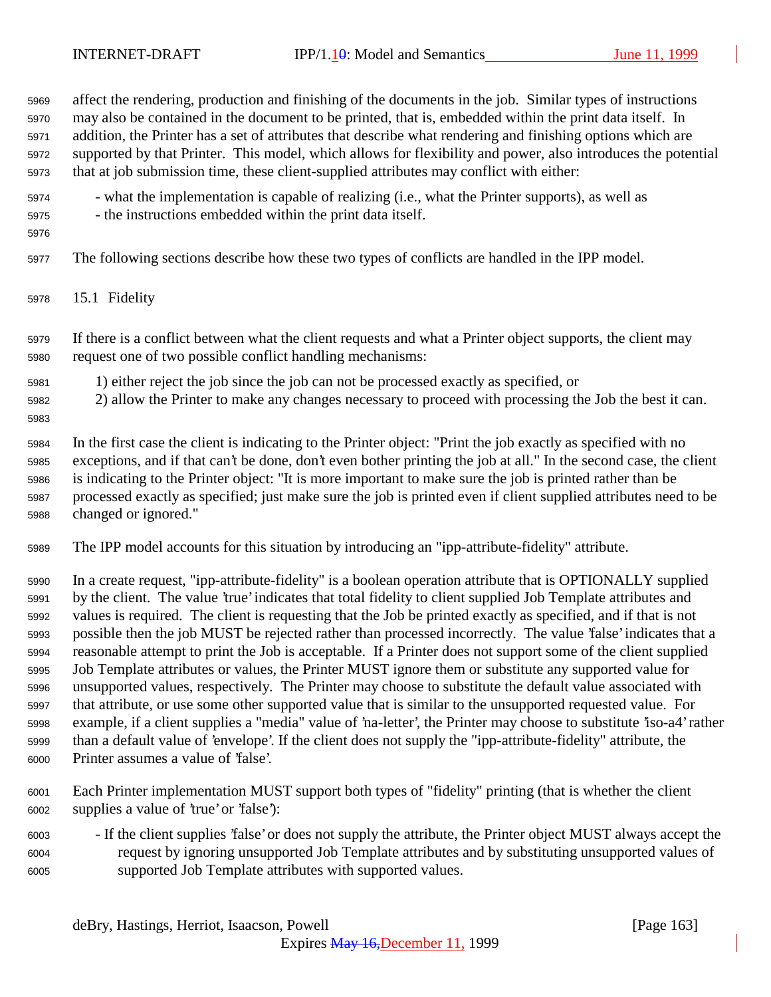affect the rendering, production and finishing of the documents in the job. Similar types of instructions may also be contained in the document to be printed, that is, embedded within the print data itself. In addition, the Printer has a set of attributes that describe what rendering and finishing options which are supported by that Printer. This model, which allows for flexibility and power, also introduces the potential that at job submission time, these client-supplied attributes may conflict with either: - what the implementation is capable of realizing (i.e., what the Printer supports), as well as - the instructions embedded within the print data itself. The following sections describe how these two types of conflicts are handled in the IPP model. 15.1 Fidelity If there is a conflict between what the client requests and what a Printer object supports, the client may request one of two possible conflict handling mechanisms: 1) either reject the job since the job can not be processed exactly as specified, or 2) allow the Printer to make any changes necessary to proceed with processing the Job the best it can. In the first case the client is indicating to the Printer object: "Print the job exactly as specified with no exceptions, and if that can't be done, don't even bother printing the job at all." In the second case, the client is indicating to the Printer object: "It is more important to make sure the job is printed rather than be processed exactly as specified; just make sure the job is printed even if client supplied attributes need to be changed or ignored." The IPP model accounts for this situation by introducing an "ipp-attribute-fidelity" attribute. In a create request, "ipp-attribute-fidelity" is a boolean operation attribute that is OPTIONALLY supplied by the client. The value 'true' indicates that total fidelity to client supplied Job Template attributes and values is required. The client is requesting that the Job be printed exactly as specified, and if that is not possible then the job MUST be rejected rather than processed incorrectly. The value 'false' indicates that a reasonable attempt to print the Job is acceptable. If a Printer does not support some of the client supplied Job Template attributes or values, the Printer MUST ignore them or substitute any supported value for unsupported values, respectively. The Printer may choose to substitute the default value associated with that attribute, or use some other supported value that is similar to the unsupported requested value. For example, if a client supplies a "media" value of 'na-letter', the Printer may choose to substitute 'iso-a4' rather than a default value of 'envelope'. If the client does not supply the "ipp-attribute-fidelity" attribute, the Printer assumes a value of 'false'.

- Each Printer implementation MUST support both types of "fidelity" printing (that is whether the client supplies a value of 'true' or 'false'):
- If the client supplies 'false' or does not supply the attribute, the Printer object MUST always accept the request by ignoring unsupported Job Template attributes and by substituting unsupported values of supported Job Template attributes with supported values.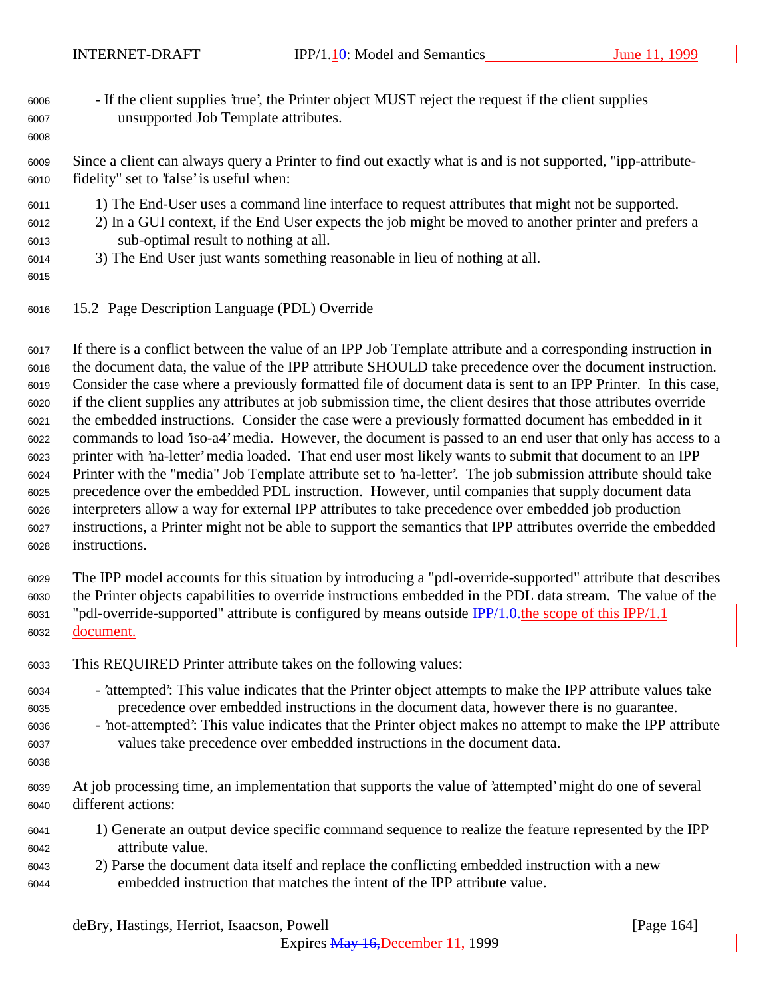- If the client supplies 'true', the Printer object MUST reject the request if the client supplies unsupported Job Template attributes.
- Since a client can always query a Printer to find out exactly what is and is not supported, "ipp-attribute-fidelity" set to 'false' is useful when:
- 1) The End-User uses a command line interface to request attributes that might not be supported.
- 2) In a GUI context, if the End User expects the job might be moved to another printer and prefers a sub-optimal result to nothing at all.
- 3) The End User just wants something reasonable in lieu of nothing at all.
- 

15.2 Page Description Language (PDL) Override

 If there is a conflict between the value of an IPP Job Template attribute and a corresponding instruction in the document data, the value of the IPP attribute SHOULD take precedence over the document instruction. Consider the case where a previously formatted file of document data is sent to an IPP Printer. In this case, if the client supplies any attributes at job submission time, the client desires that those attributes override the embedded instructions. Consider the case were a previously formatted document has embedded in it commands to load 'iso-a4' media. However, the document is passed to an end user that only has access to a printer with 'na-letter' media loaded. That end user most likely wants to submit that document to an IPP Printer with the "media" Job Template attribute set to 'na-letter'. The job submission attribute should take precedence over the embedded PDL instruction. However, until companies that supply document data interpreters allow a way for external IPP attributes to take precedence over embedded job production instructions, a Printer might not be able to support the semantics that IPP attributes override the embedded instructions.

 The IPP model accounts for this situation by introducing a "pdl-override-supported" attribute that describes the Printer objects capabilities to override instructions embedded in the PDL data stream. The value of the "pdl-override-supported" attribute is configured by means outside IPP/1.0.the scope of this IPP/1.1 document.

- This REQUIRED Printer attribute takes on the following values:
- 'attempted': This value indicates that the Printer object attempts to make the IPP attribute values take precedence over embedded instructions in the document data, however there is no guarantee.
- 'not-attempted': This value indicates that the Printer object makes no attempt to make the IPP attribute values take precedence over embedded instructions in the document data.
- 
- At job processing time, an implementation that supports the value of 'attempted' might do one of several different actions:
- 1) Generate an output device specific command sequence to realize the feature represented by the IPP attribute value.
- 2) Parse the document data itself and replace the conflicting embedded instruction with a new embedded instruction that matches the intent of the IPP attribute value.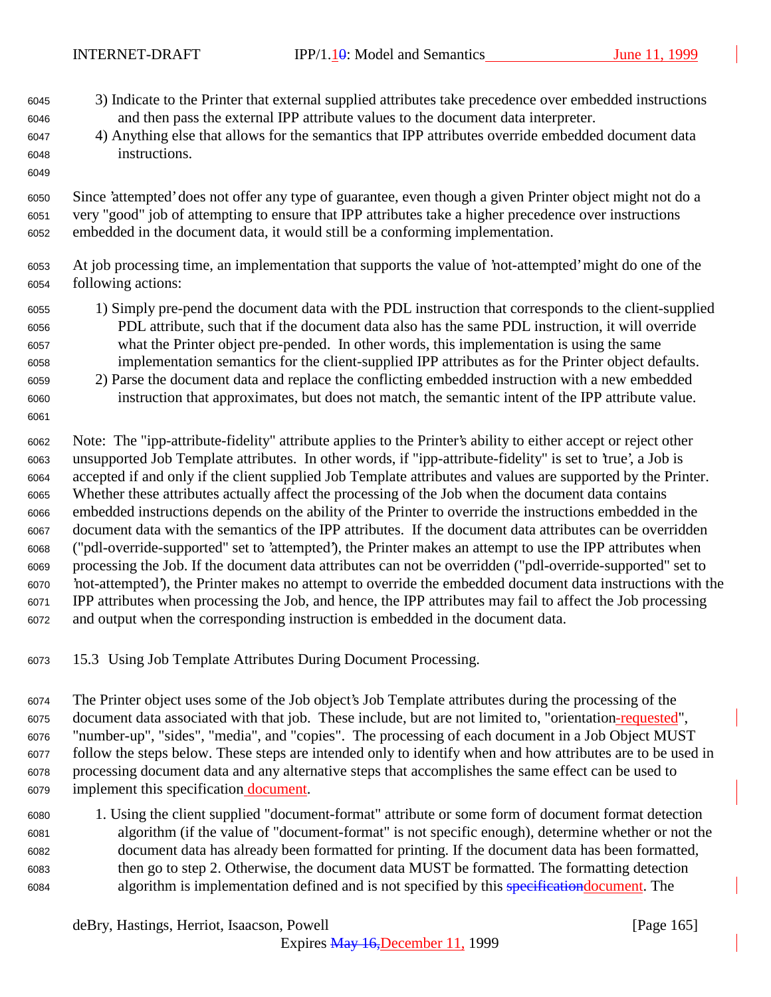- 3) Indicate to the Printer that external supplied attributes take precedence over embedded instructions and then pass the external IPP attribute values to the document data interpreter.
- 4) Anything else that allows for the semantics that IPP attributes override embedded document data instructions.

 Since 'attempted' does not offer any type of guarantee, even though a given Printer object might not do a very "good" job of attempting to ensure that IPP attributes take a higher precedence over instructions embedded in the document data, it would still be a conforming implementation.

- At job processing time, an implementation that supports the value of 'not-attempted' might do one of the following actions:
- 1) Simply pre-pend the document data with the PDL instruction that corresponds to the client-supplied PDL attribute, such that if the document data also has the same PDL instruction, it will override what the Printer object pre-pended. In other words, this implementation is using the same implementation semantics for the client-supplied IPP attributes as for the Printer object defaults.
- 2) Parse the document data and replace the conflicting embedded instruction with a new embedded instruction that approximates, but does not match, the semantic intent of the IPP attribute value.

 Note: The "ipp-attribute-fidelity" attribute applies to the Printer's ability to either accept or reject other unsupported Job Template attributes. In other words, if "ipp-attribute-fidelity" is set to 'true', a Job is accepted if and only if the client supplied Job Template attributes and values are supported by the Printer. Whether these attributes actually affect the processing of the Job when the document data contains embedded instructions depends on the ability of the Printer to override the instructions embedded in the document data with the semantics of the IPP attributes. If the document data attributes can be overridden ("pdl-override-supported" set to 'attempted'), the Printer makes an attempt to use the IPP attributes when processing the Job. If the document data attributes can not be overridden ("pdl-override-supported" set to 'not-attempted'), the Printer makes no attempt to override the embedded document data instructions with the IPP attributes when processing the Job, and hence, the IPP attributes may fail to affect the Job processing and output when the corresponding instruction is embedded in the document data.

15.3 Using Job Template Attributes During Document Processing.

 The Printer object uses some of the Job object's Job Template attributes during the processing of the document data associated with that job. These include, but are not limited to, "orientation-requested", "number-up", "sides", "media", and "copies". The processing of each document in a Job Object MUST follow the steps below. These steps are intended only to identify when and how attributes are to be used in processing document data and any alternative steps that accomplishes the same effect can be used to 6079 implement this specification document.

 1. Using the client supplied "document-format" attribute or some form of document format detection algorithm (if the value of "document-format" is not specific enough), determine whether or not the document data has already been formatted for printing. If the document data has been formatted, then go to step 2. Otherwise, the document data MUST be formatted. The formatting detection algorithm is implementation defined and is not specified by this specificationdocument. The

deBry, Hastings, Herriot, Isaacson, Powell [Page 165]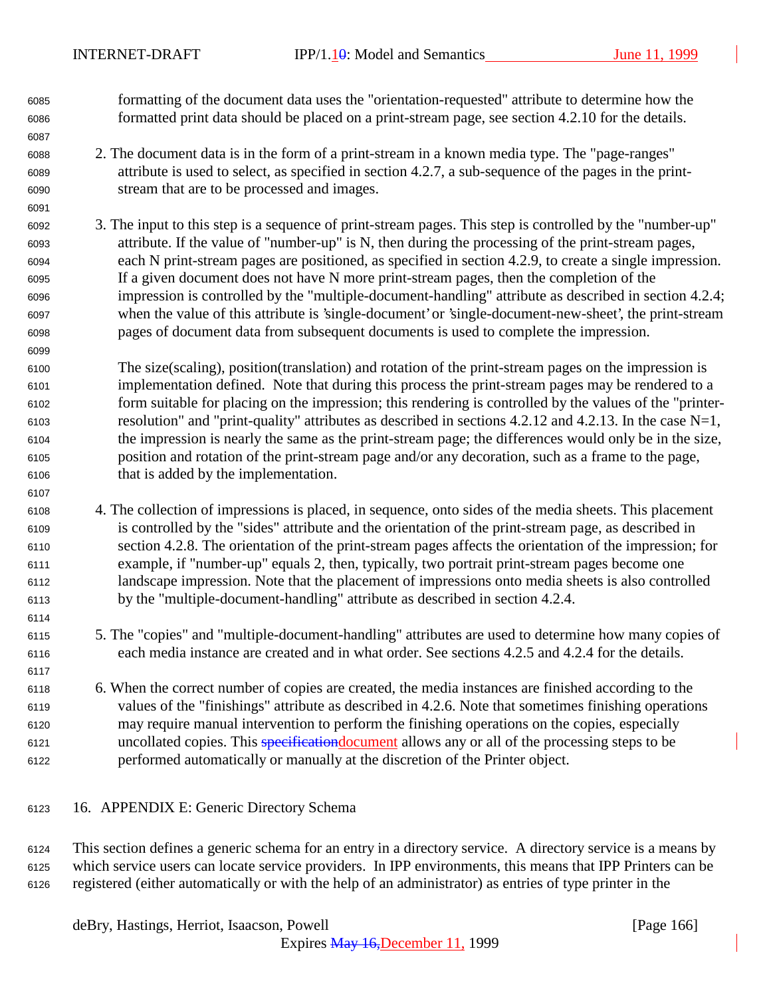formatting of the document data uses the "orientation-requested" attribute to determine how the formatted print data should be placed on a print-stream page, see section 4.2.10 for the details.

- 2. The document data is in the form of a print-stream in a known media type. The "page-ranges" attribute is used to select, as specified in section 4.2.7, a sub-sequence of the pages in the print-stream that are to be processed and images.
- 3. The input to this step is a sequence of print-stream pages. This step is controlled by the "number-up" attribute. If the value of "number-up" is N, then during the processing of the print-stream pages, each N print-stream pages are positioned, as specified in section 4.2.9, to create a single impression. If a given document does not have N more print-stream pages, then the completion of the impression is controlled by the "multiple-document-handling" attribute as described in section 4.2.4; when the value of this attribute is 'single-document' or 'single-document-new-sheet', the print-stream pages of document data from subsequent documents is used to complete the impression.
- The size(scaling), position(translation) and rotation of the print-stream pages on the impression is implementation defined. Note that during this process the print-stream pages may be rendered to a form suitable for placing on the impression; this rendering is controlled by the values of the "printer- resolution" and "print-quality" attributes as described in sections 4.2.12 and 4.2.13. In the case N=1, the impression is nearly the same as the print-stream page; the differences would only be in the size, position and rotation of the print-stream page and/or any decoration, such as a frame to the page, that is added by the implementation.
- 4. The collection of impressions is placed, in sequence, onto sides of the media sheets. This placement is controlled by the "sides" attribute and the orientation of the print-stream page, as described in section 4.2.8. The orientation of the print-stream pages affects the orientation of the impression; for example, if "number-up" equals 2, then, typically, two portrait print-stream pages become one landscape impression. Note that the placement of impressions onto media sheets is also controlled by the "multiple-document-handling" attribute as described in section 4.2.4.
- 5. The "copies" and "multiple-document-handling" attributes are used to determine how many copies of each media instance are created and in what order. See sections 4.2.5 and 4.2.4 for the details.
- 6. When the correct number of copies are created, the media instances are finished according to the values of the "finishings" attribute as described in 4.2.6. Note that sometimes finishing operations may require manual intervention to perform the finishing operations on the copies, especially uncollated copies. This specificationdocument allows any or all of the processing steps to be performed automatically or manually at the discretion of the Printer object.
- 16. APPENDIX E: Generic Directory Schema

 This section defines a generic schema for an entry in a directory service. A directory service is a means by which service users can locate service providers. In IPP environments, this means that IPP Printers can be registered (either automatically or with the help of an administrator) as entries of type printer in the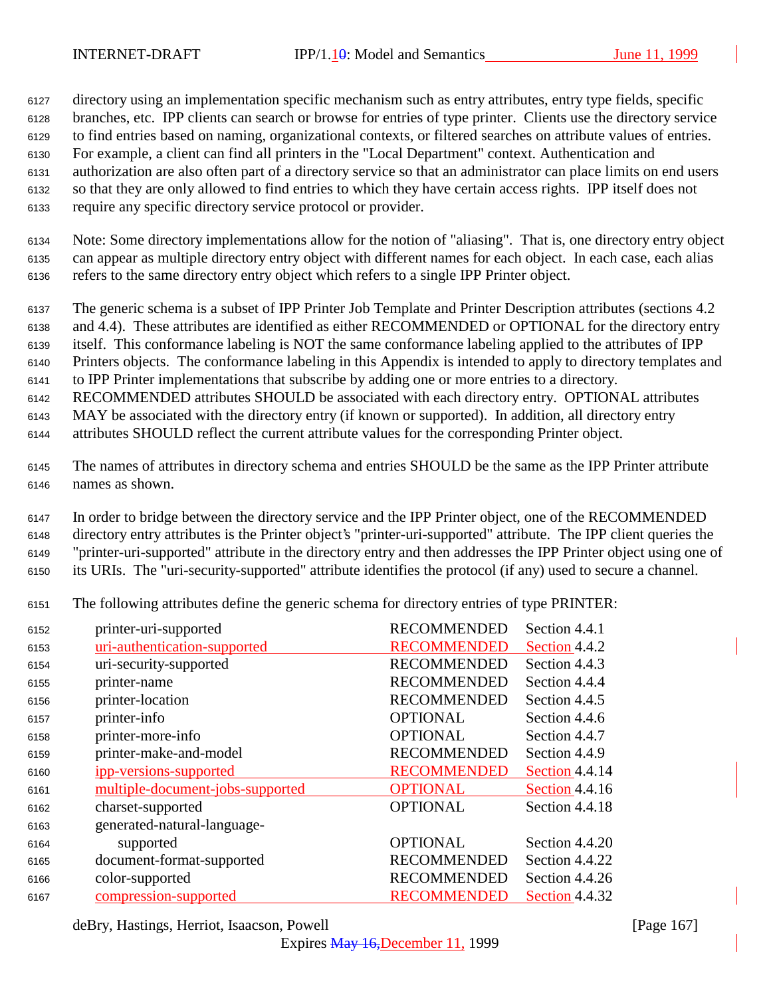directory using an implementation specific mechanism such as entry attributes, entry type fields, specific branches, etc. IPP clients can search or browse for entries of type printer. Clients use the directory service to find entries based on naming, organizational contexts, or filtered searches on attribute values of entries. For example, a client can find all printers in the "Local Department" context. Authentication and authorization are also often part of a directory service so that an administrator can place limits on end users so that they are only allowed to find entries to which they have certain access rights. IPP itself does not require any specific directory service protocol or provider.

 Note: Some directory implementations allow for the notion of "aliasing". That is, one directory entry object can appear as multiple directory entry object with different names for each object. In each case, each alias refers to the same directory entry object which refers to a single IPP Printer object.

 The generic schema is a subset of IPP Printer Job Template and Printer Description attributes (sections 4.2 and 4.4). These attributes are identified as either RECOMMENDED or OPTIONAL for the directory entry

itself. This conformance labeling is NOT the same conformance labeling applied to the attributes of IPP

Printers objects. The conformance labeling in this Appendix is intended to apply to directory templates and

to IPP Printer implementations that subscribe by adding one or more entries to a directory.

RECOMMENDED attributes SHOULD be associated with each directory entry. OPTIONAL attributes

MAY be associated with the directory entry (if known or supported). In addition, all directory entry

attributes SHOULD reflect the current attribute values for the corresponding Printer object.

 The names of attributes in directory schema and entries SHOULD be the same as the IPP Printer attribute names as shown.

 In order to bridge between the directory service and the IPP Printer object, one of the RECOMMENDED directory entry attributes is the Printer object's "printer-uri-supported" attribute. The IPP client queries the "printer-uri-supported" attribute in the directory entry and then addresses the IPP Printer object using one of its URIs. The "uri-security-supported" attribute identifies the protocol (if any) used to secure a channel.

The following attributes define the generic schema for directory entries of type PRINTER:

| uri-authentication-supported<br><b>RECOMMENDED</b><br>Section 4.4.2<br>6153<br><b>RECOMMENDED</b><br>uri-security-supported<br>Section 4.4.3<br>6154<br><b>RECOMMENDED</b><br>printer-name<br>Section 4.4.4<br>6155<br><b>RECOMMENDED</b><br>printer-location<br>Section 4.4.5<br>6156<br><b>OPTIONAL</b><br>printer-info<br>Section 4.4.6<br>6157<br>printer-more-info<br><b>OPTIONAL</b><br>Section 4.4.7<br>6158<br>printer-make-and-model<br><b>RECOMMENDED</b><br>Section 4.4.9<br>6159<br><b>RECOMMENDED</b><br>Section 4.4.14<br><u>ipp-versions-supported</u><br>6160<br>multiple-document-jobs-supported<br><b>OPTIONAL</b><br>Section 4.4.16<br>6161<br><b>OPTIONAL</b><br>Section 4.4.18<br>charset-supported<br>6162<br>generated-natural-language-<br>6163<br><b>OPTIONAL</b><br>Section 4.4.20<br>supported<br>6164<br><b>RECOMMENDED</b><br>document-format-supported<br>Section 4.4.22<br>6165<br><b>RECOMMENDED</b><br>Section 4.4.26<br>color-supported<br>6166<br><b>RECOMMENDED</b><br>compression-supported<br>Section 4.4.32<br>6167 | 6152 | printer-uri-supported | <b>RECOMMENDED</b> | Section 4.4.1 |
|------------------------------------------------------------------------------------------------------------------------------------------------------------------------------------------------------------------------------------------------------------------------------------------------------------------------------------------------------------------------------------------------------------------------------------------------------------------------------------------------------------------------------------------------------------------------------------------------------------------------------------------------------------------------------------------------------------------------------------------------------------------------------------------------------------------------------------------------------------------------------------------------------------------------------------------------------------------------------------------------------------------------------------------------------------|------|-----------------------|--------------------|---------------|
|                                                                                                                                                                                                                                                                                                                                                                                                                                                                                                                                                                                                                                                                                                                                                                                                                                                                                                                                                                                                                                                            |      |                       |                    |               |
|                                                                                                                                                                                                                                                                                                                                                                                                                                                                                                                                                                                                                                                                                                                                                                                                                                                                                                                                                                                                                                                            |      |                       |                    |               |
|                                                                                                                                                                                                                                                                                                                                                                                                                                                                                                                                                                                                                                                                                                                                                                                                                                                                                                                                                                                                                                                            |      |                       |                    |               |
|                                                                                                                                                                                                                                                                                                                                                                                                                                                                                                                                                                                                                                                                                                                                                                                                                                                                                                                                                                                                                                                            |      |                       |                    |               |
|                                                                                                                                                                                                                                                                                                                                                                                                                                                                                                                                                                                                                                                                                                                                                                                                                                                                                                                                                                                                                                                            |      |                       |                    |               |
|                                                                                                                                                                                                                                                                                                                                                                                                                                                                                                                                                                                                                                                                                                                                                                                                                                                                                                                                                                                                                                                            |      |                       |                    |               |
|                                                                                                                                                                                                                                                                                                                                                                                                                                                                                                                                                                                                                                                                                                                                                                                                                                                                                                                                                                                                                                                            |      |                       |                    |               |
|                                                                                                                                                                                                                                                                                                                                                                                                                                                                                                                                                                                                                                                                                                                                                                                                                                                                                                                                                                                                                                                            |      |                       |                    |               |
|                                                                                                                                                                                                                                                                                                                                                                                                                                                                                                                                                                                                                                                                                                                                                                                                                                                                                                                                                                                                                                                            |      |                       |                    |               |
|                                                                                                                                                                                                                                                                                                                                                                                                                                                                                                                                                                                                                                                                                                                                                                                                                                                                                                                                                                                                                                                            |      |                       |                    |               |
|                                                                                                                                                                                                                                                                                                                                                                                                                                                                                                                                                                                                                                                                                                                                                                                                                                                                                                                                                                                                                                                            |      |                       |                    |               |
|                                                                                                                                                                                                                                                                                                                                                                                                                                                                                                                                                                                                                                                                                                                                                                                                                                                                                                                                                                                                                                                            |      |                       |                    |               |
|                                                                                                                                                                                                                                                                                                                                                                                                                                                                                                                                                                                                                                                                                                                                                                                                                                                                                                                                                                                                                                                            |      |                       |                    |               |
|                                                                                                                                                                                                                                                                                                                                                                                                                                                                                                                                                                                                                                                                                                                                                                                                                                                                                                                                                                                                                                                            |      |                       |                    |               |
|                                                                                                                                                                                                                                                                                                                                                                                                                                                                                                                                                                                                                                                                                                                                                                                                                                                                                                                                                                                                                                                            |      |                       |                    |               |

deBry, Hastings, Herriot, Isaacson, Powell **contract and the Contract Contract Contract Contract Contract Contract Contract Contract Contract Contract Contract Contract Contract Contract Contract Contract Contract Contract**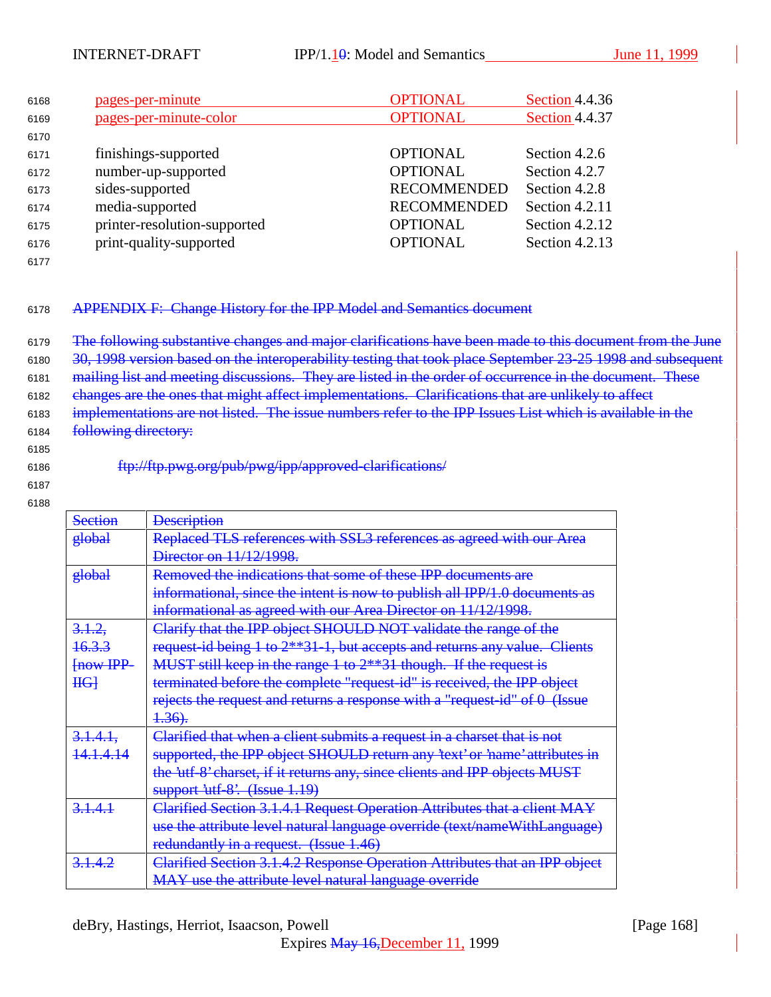| 6168 | pages-per-minute             | <b>OPTIONAL</b>    | Section 4.4.36 |
|------|------------------------------|--------------------|----------------|
| 6169 | pages-per-minute-color       | <b>OPTIONAL</b>    | Section 4.4.37 |
| 6170 |                              |                    |                |
| 6171 | finishings-supported         | <b>OPTIONAL</b>    | Section 4.2.6  |
| 6172 | number-up-supported          | <b>OPTIONAL</b>    | Section 4.2.7  |
| 6173 | sides-supported              | <b>RECOMMENDED</b> | Section 4.2.8  |
| 6174 | media-supported              | <b>RECOMMENDED</b> | Section 4.2.11 |
| 6175 | printer-resolution-supported | <b>OPTIONAL</b>    | Section 4.2.12 |
| 6176 | print-quality-supported      | <b>OPTIONAL</b>    | Section 4.2.13 |
|      |                              |                    |                |

## <sup>6178</sup> APPENDIX F: Change History for the IPP Model and Semantics document

6179 The following substantive changes and major clarifications have been made to this document from the June 30, 1998 version based on the interoperability testing that took place September 23-25 1998 and subsequent mailing list and meeting discussions. They are listed in the order of occurrence in the document. These changes are the ones that might affect implementations. Clarifications that are unlikely to affect implementations are not listed. The issue numbers refer to the IPP Issues List which is available in the 6184 following directory:

6185

<sup>6186</sup> ftp://ftp.pwg.org/pub/pwg/ipp/approved-clarifications/

6187 6188

| <b>Section</b>      | <b>Description</b>                                                         |
|---------------------|----------------------------------------------------------------------------|
| global              | Replaced TLS references with SSL3 references as agreed with our Area       |
|                     | Director on 11/12/1998.                                                    |
| global              | Removed the indications that some of these IPP documents are               |
|                     | informational, since the intent is now to publish all IPP/1.0 documents as |
|                     | informational as agreed with our Area Director on 11/12/1998.              |
| 3.1.2,              | Clarify that the IPP object SHOULD NOT validate the range of the           |
| <del>16.3.3</del>   | request-id being 1 to 2**31-1, but accepts and returns any value. Clients  |
| $H1$ $H1$ $H2$ $H3$ | MUST still keep in the range $1$ to $2**31$ though. If the request is      |
| $HG+$               | terminated before the complete "request-id" is received, the IPP object    |
|                     | rejects the request and returns a response with a "request-id" of 0 (Issue |
|                     | 4.36.                                                                      |
| $3.1.4.1$ ,         | Clarified that when a client submits a request in a charset that is not    |
| <u>14.1.4.14</u>    | supported, the IPP object SHOULD return any 'text' or 'name' attributes in |
|                     | the 'utf-8' charset, if it returns any, since clients and IPP objects MUST |
|                     | support utf-8'. (Issue 1.19)                                               |
| 3.1.4.1             | Clarified Section 3.1.4.1 Request Operation Attributes that a client MAY   |
|                     | use the attribute level natural language override (text/nameWithLanguage)  |
|                     | redundantly in a request. (Issue 1.46)                                     |
| 3.1.4.2             | Clarified Section 3.1.4.2 Response Operation Attributes that an IPP object |
|                     | MAY use the attribute level natural language override                      |
|                     |                                                                            |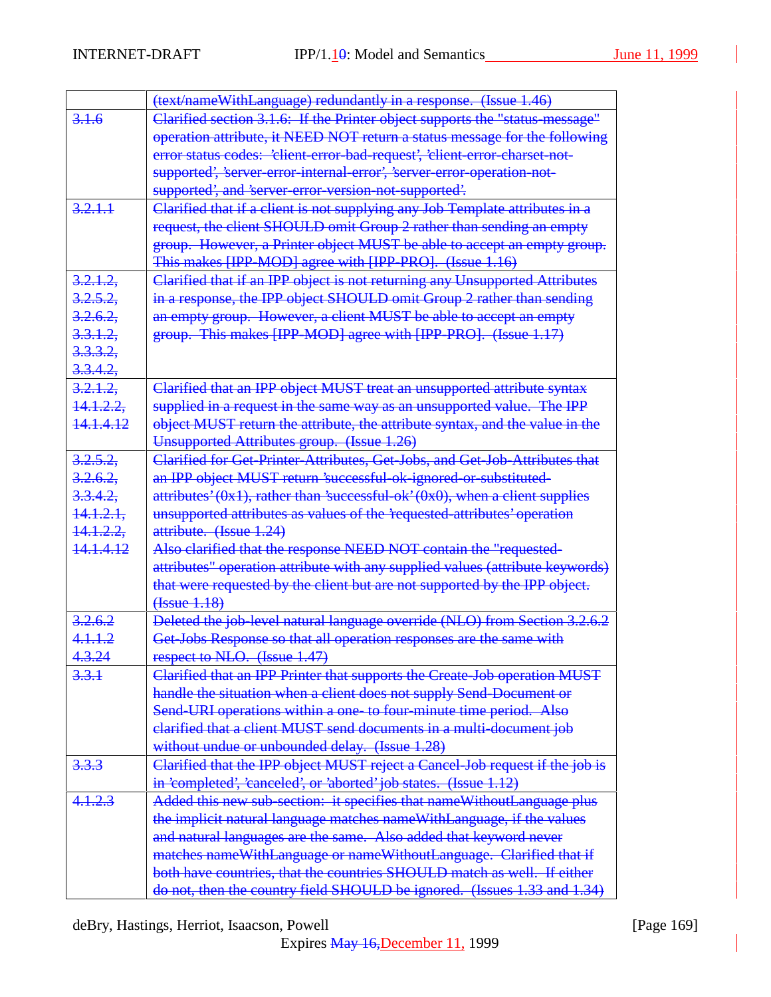|                      | (text/nameWithLanguage) redundantly in a response. (Issue 1.46)                    |
|----------------------|------------------------------------------------------------------------------------|
| 3.1.6                | Clarified section 3.1.6: If the Printer object supports the "status message"       |
|                      | operation attribute, it NEED NOT return a status message for the following         |
|                      | error status codes: 'client-error-bad-request', 'client-error-charset-not-         |
|                      | supported', 'server-error-internal-error', 'server-error-operation-not-            |
|                      | supported', and 'server-error-version-not-supported'.                              |
| 3,2,1,1              | Clarified that if a client is not supplying any Job Template attributes in a       |
|                      | request, the client SHOULD omit Group 2 rather than sending an empty               |
|                      | group. However, a Printer object MUST be able to accept an empty group.            |
|                      | This makes [IPP-MOD] agree with [IPP-PRO]. (Issue 1.16)                            |
| 3.2.1.2.             | Clarified that if an IPP object is not returning any Unsupported Attributes        |
| 3.2.5.2.             | in a response, the IPP object SHOULD omit Group 2 rather than sending              |
| 3.2.6.2.             | an empty group. However, a client MUST be able to accept an empty                  |
| 3.3.1.2              | group. This makes [IPP-MOD] agree with [IPP-PRO]. (Issue 1.17)                     |
| <del>3.3.3.2.</del>  |                                                                                    |
| 3.3.4.2              |                                                                                    |
| 3.2.1.2              | Clarified that an IPP object MUST treat an unsupported attribute syntax            |
| <del>14.1.2.2.</del> | supplied in a request in the same way as an unsupported value. The IPP             |
| <del>14.1.4.12</del> | object MUST return the attribute, the attribute syntax, and the value in the       |
|                      | Unsupported Attributes group. (Issue 1.26)                                         |
| 3.2.5.2              | Clarified for Get-Printer-Attributes, Get-Jobs, and Get-Job-Attributes that        |
| 3.2.6.2              | an IPP object MUST return 'successful-ok-ignored-or-substituted-                   |
| <del>3.3.4.2.</del>  | attributes' $(0x1)$ , rather than 'successful-ok' $(0x0)$ , when a client supplies |
| <del>14.1.2.1.</del> | unsupported attributes as values of the 'requested attributes' operation           |
| <del>14.1.2.2,</del> | attribute. (Issue 1.24)                                                            |
| <del>14.1.4.12</del> | Also clarified that the response NEED NOT contain the "requested-                  |
|                      | attributes" operation attribute with any supplied values (attribute keywords)      |
|                      | that were requested by the client but are not supported by the IPP object.         |
|                      | ( <i>Issue</i> 1.18)                                                               |
| 3.2.6.2              | Deleted the job-level natural language override (NLO) from Section 3.2.6.2         |
| 4.1.1.2              | Get-Jobs Response so that all operation responses are the same with                |
| 4.3.24               | respect to NLO. (Issue 1.47)                                                       |
| 3.3.1                | Clarified that an IPP Printer that supports the Create-Job operation MUST          |
|                      | handle the situation when a client does not supply Send-Document or                |
|                      | Send-URI operations within a one-to four-minute time period. Also                  |
|                      | elarified that a client MUST send documents in a multi-document job                |
|                      | without undue or unbounded delay. (Issue 1.28)                                     |
| 3.3.3                | Clarified that the IPP object MUST reject a Cancel-Job request if the job is       |
|                      | in 'completed', 'canceled', or 'aborted' job states. (Issue 1.12)                  |
| 4.1.2.3              | Added this new sub-section: it specifies that nameWithoutLanguage plus             |
|                      | the implicit natural language matches name With Language, if the values            |
|                      | and natural languages are the same. Also added that keyword never                  |
|                      | matches nameWithLanguage or nameWithoutLanguage. Clarified that if                 |
|                      | both have countries, that the countries SHOULD match as well. If either            |
|                      | do not, then the country field SHOULD be ignored. (Issues 1.33 and 1.34)           |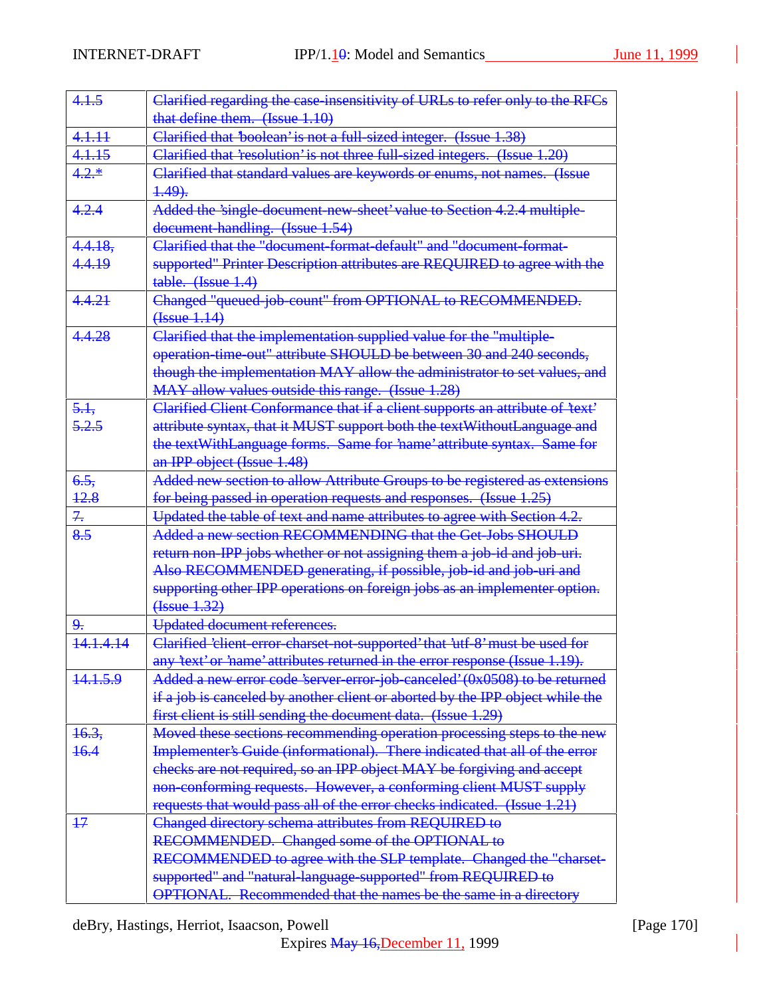| 4.1.5         | Clarified regarding the case insensitivity of URLs to refer only to the RFCs                                                                  |
|---------------|-----------------------------------------------------------------------------------------------------------------------------------------------|
|               | that define them. (Issue 1.10)                                                                                                                |
| 4.1.11        | Clarified that 'boolean' is not a full-sized integer. (Issue 1.38)                                                                            |
| 4.1.15        | Clarified that 'resolution' is not three full-sized integers. (Issue 1.20)                                                                    |
| $4.2.*$       | Clarified that standard values are keywords or enums, not names. (Issue                                                                       |
|               | $4.49$ .                                                                                                                                      |
| 4.2.4         | Added the 'single-document-new-sheet' value to Section 4.2.4 multiple-                                                                        |
|               | document-handling. (Issue 1.54)                                                                                                               |
| 4.4.18,       | Clarified that the "document-format-default" and "document-format-                                                                            |
| 4.4.19        | supported" Printer Description attributes are REQUIRED to agree with the                                                                      |
|               | table. (Issue 1.4)                                                                                                                            |
| 4.4.21        | Changed "queued-job-count" from OPTIONAL to RECOMMENDED.                                                                                      |
|               | ( <b>Issue</b> 1.14)                                                                                                                          |
| 4.4.28        | Clarified that the implementation supplied value for the "multiple-                                                                           |
|               | operation-time-out" attribute SHOULD be between 30 and 240 seconds,                                                                           |
|               | though the implementation MAY allow the administrator to set values, and                                                                      |
|               | MAY allow values outside this range. (Issue 1.28)                                                                                             |
| 5.1,          | Clarified Client Conformance that if a client supports an attribute of 'text'                                                                 |
| 5.2.5         | attribute syntax, that it MUST support both the text Without Language and                                                                     |
|               | the textWithLanguage forms. Same for 'name' attribute syntax. Same for                                                                        |
|               | an IPP object (Issue 1.48)                                                                                                                    |
| 6.5.          | Added new section to allow Attribute Groups to be registered as extensions                                                                    |
| 42.8          | for being passed in operation requests and responses. (Issue 1.25)                                                                            |
| 7.            | Updated the table of text and name attributes to agree with Section 4.2.                                                                      |
| 8.5           | Added a new section RECOMMENDING that the Get-Jobs SHOULD                                                                                     |
|               | return non-IPP jobs whether or not assigning them a job-id and job-uri.                                                                       |
|               | Also RECOMMENDED generating, if possible, job-id and job-uri and                                                                              |
|               | supporting other IPP operations on foreign jobs as an implementer option.                                                                     |
|               | (Issue 1.32)                                                                                                                                  |
| 9.            | Updated document references.                                                                                                                  |
| 14.1.4.14     | Clarified 'client-error-charset-not-supported' that 'utf-8' must be used for                                                                  |
|               | any 'text' or 'name' attributes returned in the error response (Issue 1.19).                                                                  |
| 14.1.5.9      | Added a new error code 'server-error-job-canceled' (0x0508) to be returned                                                                    |
|               | if a job is canceled by another client or aborted by the IPP object while the                                                                 |
|               | first client is still sending the document data. (Issue 1.29)                                                                                 |
| 16.3,<br>16.4 | Moved these sections recommending operation processing steps to the new                                                                       |
|               | Implementer's Guide (informational). There indicated that all of the error                                                                    |
|               | checks are not required, so an IPP object MAY be forgiving and accept                                                                         |
|               | non-conforming requests. However, a conforming client MUST supply<br>requests that would pass all of the error checks indicated. (Issue 1.21) |
| $+7$          | Changed directory schema attributes from REQUIRED to                                                                                          |
|               | RECOMMENDED. Changed some of the OPTIONAL to                                                                                                  |
|               |                                                                                                                                               |
|               | RECOMMENDED to agree with the SLP template. Changed the "charset-<br>supported" and "natural-language-supported" from REQUIRED to             |
|               | OPTIONAL. Recommended that the names be the same in a directory                                                                               |
|               |                                                                                                                                               |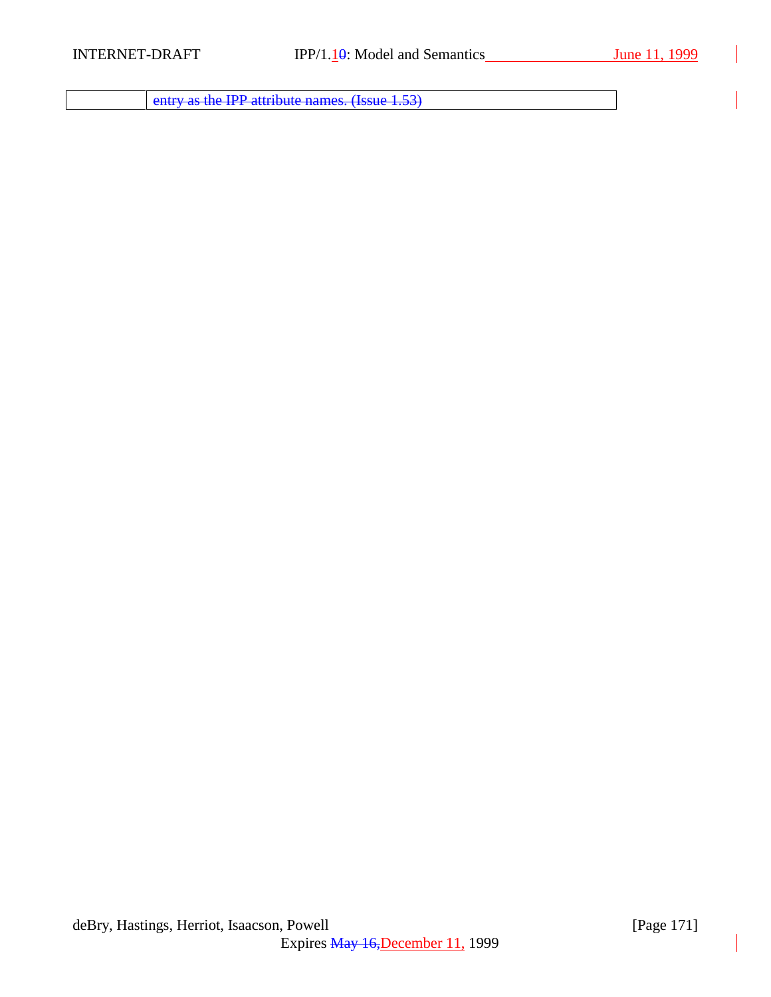entry as the IPP attribute names. (Issue 1.53)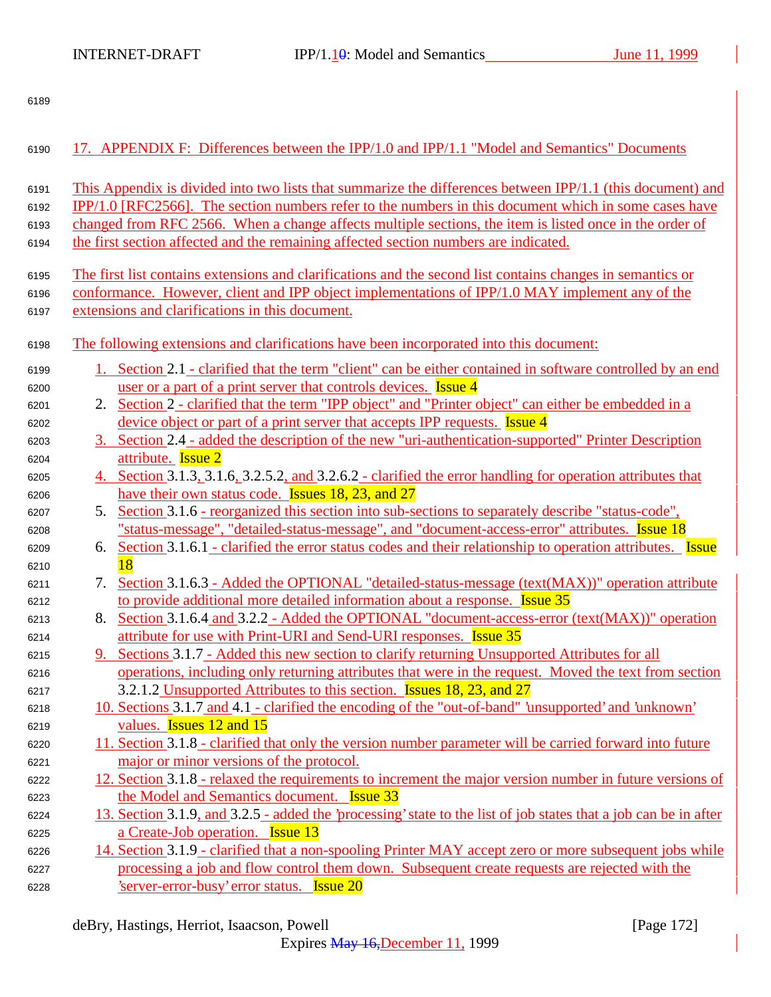| 6190 | 17. APPENDIX F: Differences between the IPP/1.0 and IPP/1.1 "Model and Semantics" Documents                           |
|------|-----------------------------------------------------------------------------------------------------------------------|
| 6191 | This Appendix is divided into two lists that summarize the differences between IPP/1.1 (this document) and            |
| 6192 | IPP/1.0 [RFC2566]. The section numbers refer to the numbers in this document which in some cases have                 |
| 6193 | changed from RFC 2566. When a change affects multiple sections, the item is listed once in the order of               |
| 6194 | the first section affected and the remaining affected section numbers are indicated.                                  |
|      |                                                                                                                       |
| 6195 | The first list contains extensions and clarifications and the second list contains changes in semantics or            |
| 6196 | conformance. However, client and IPP object implementations of IPP/1.0 MAY implement any of the                       |
| 6197 | extensions and clarifications in this document.                                                                       |
| 6198 | The following extensions and clarifications have been incorporated into this document:                                |
| 6199 | 1. Section 2.1 - clarified that the term "client" can be either contained in software controlled by an end            |
| 6200 | user or a part of a print server that controls devices. <b>Issue 4</b>                                                |
| 6201 | Section 2 - clarified that the term "IPP object" and "Printer object" can either be embedded in a<br>2.               |
| 6202 | device object or part of a print server that accepts IPP requests. <b>Issue 4</b>                                     |
| 6203 | 3. Section 2.4 - added the description of the new "uri-authentication-supported" Printer Description                  |
| 6204 | attribute. Issue 2                                                                                                    |
| 6205 | 4. Section 3.1.3, 3.1.6, 3.2.5.2, and 3.2.6.2 - clarified the error handling for operation attributes that            |
| 6206 | have their own status code. Issues 18, 23, and 27                                                                     |
| 6207 | Section 3.1.6 - reorganized this section into sub-sections to separately describe "status-code",<br>5.                |
| 6208 | "status-message", "detailed-status-message", and "document-access-error" attributes. Issue 18                         |
| 6209 | Section 3.1.6.1 - clarified the error status codes and their relationship to operation attributes. <b>Issue</b><br>6. |
| 6210 | 18                                                                                                                    |
| 6211 | Section 3.1.6.3 - Added the OPTIONAL "detailed-status-message (text(MAX))" operation attribute<br>7.                  |
| 6212 | to provide additional more detailed information about a response. <b>Issue 35</b>                                     |
| 6213 | Section 3.1.6.4 and 3.2.2 - Added the OPTIONAL "document-access-error (text(MAX))" operation<br>8.                    |
| 6214 | attribute for use with Print-URI and Send-URI responses. Issue 35                                                     |
| 6215 | 9. Sections 3.1.7 - Added this new section to clarify returning Unsupported Attributes for all                        |
| 6216 | operations, including only returning attributes that were in the request. Moved the text from section                 |
| 6217 | 3.2.1.2 Unsupported Attributes to this section. <b>Issues 18, 23, and 27</b>                                          |
| 6218 | 10. Sections 3.1.7 and 4.1 - clarified the encoding of the "out-of-band" 'unsupported' and 'unknown'                  |
| 6219 | values. <b>Issues</b> 12 and 15                                                                                       |
| 6220 | 11. Section 3.1.8 - clarified that only the version number parameter will be carried forward into future              |
| 6221 | major or minor versions of the protocol.                                                                              |
| 6222 | 12. Section 3.1.8 - relaxed the requirements to increment the major version number in future versions of              |
| 6223 | the Model and Semantics document. <b>Issue 33</b>                                                                     |
| 6224 | 13. Section 3.1.9, and 3.2.5 - added the 'processing' state to the list of job states that a job can be in after      |
| 6225 | a Create-Job operation. <b>Issue 13</b>                                                                               |
| 6226 | 14. Section 3.1.9 - clarified that a non-spooling Printer MAY accept zero or more subsequent jobs while               |
| 6227 | processing a job and flow control them down. Subsequent create requests are rejected with the                         |
| 6228 | Server-error-busy' error status. <b>Issue 20</b>                                                                      |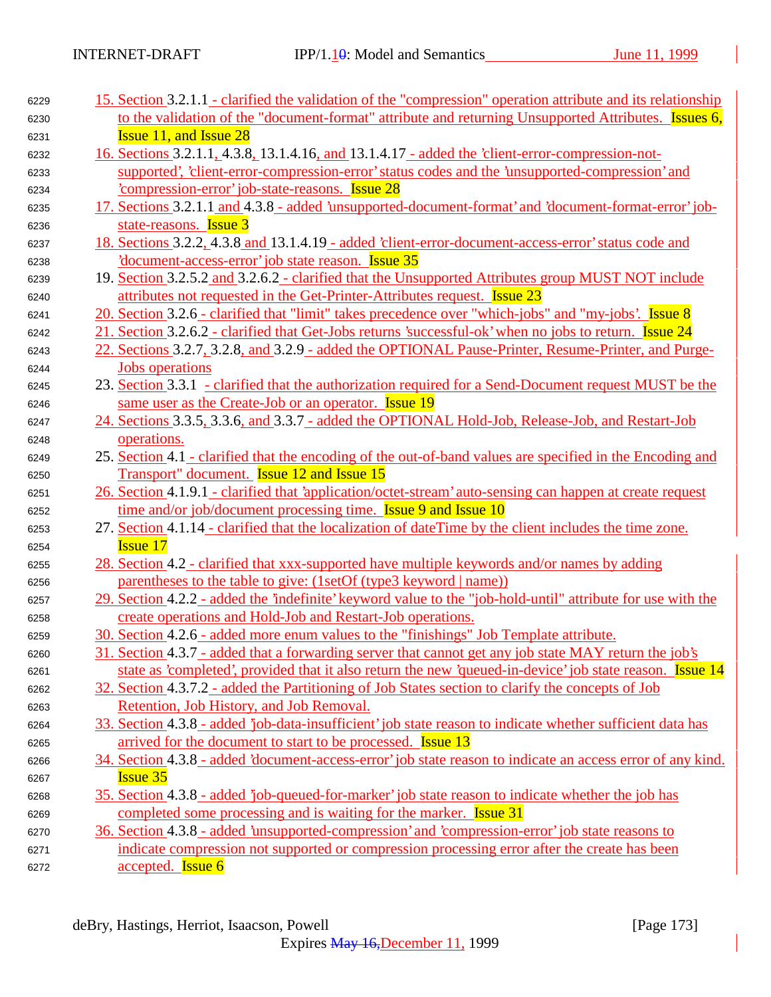| 6229 | 15. Section 3.2.1.1 - clarified the validation of the "compression" operation attribute and its relationship |
|------|--------------------------------------------------------------------------------------------------------------|
| 6230 | to the validation of the "document-format" attribute and returning Unsupported Attributes. Issues 6,         |
| 6231 | <b>Issue 11, and Issue 28</b>                                                                                |
| 6232 | 16. Sections 3.2.1.1, 4.3.8, 13.1.4.16, and 13.1.4.17 - added the 'client-error-compression-not-             |
| 6233 | supported', 'client-error-compression-error' status codes and the 'unsupported-compression' and              |
| 6234 | compression-error iob-state-reasons. Issue 28                                                                |
| 6235 | 17. Sections 3.2.1.1 and 4.3.8 - added 'unsupported-document-format' and 'document-format-error' job-        |
| 6236 | state-reasons. <b>Issue 3</b>                                                                                |
| 6237 | 18. Sections 3.2.2, 4.3.8 and 13.1.4.19 - added 'client-error-document-access-error' status code and         |
| 6238 | document-access-error job state reason. Issue 35                                                             |
| 6239 | 19. Section 3.2.5.2 and 3.2.6.2 - clarified that the Unsupported Attributes group MUST NOT include           |
| 6240 | attributes not requested in the Get-Printer-Attributes request. Issue 23                                     |
| 6241 | 20. Section 3.2.6 - clarified that "limit" takes precedence over "which-jobs" and "my-jobs'. Issue 8         |
| 6242 | 21. Section 3.2.6.2 - clarified that Get-Jobs returns 'successful-ok' when no jobs to return. Issue 24       |
| 6243 | 22. Sections 3.2.7, 3.2.8, and 3.2.9 - added the OPTIONAL Pause-Printer, Resume-Printer, and Purge-          |
| 6244 | <b>Jobs</b> operations                                                                                       |
| 6245 | 23. Section 3.3.1 - clarified that the authorization required for a Send-Document request MUST be the        |
| 6246 | same user as the Create-Job or an operator. Issue 19                                                         |
| 6247 | 24. Sections 3.3.5, 3.3.6, and 3.3.7 - added the OPTIONAL Hold-Job, Release-Job, and Restart-Job             |
| 6248 | operations.                                                                                                  |
| 6249 | 25. Section 4.1 - clarified that the encoding of the out-of-band values are specified in the Encoding and    |
| 6250 | Transport" document. <b>Issue 12 and Issue 15</b>                                                            |
| 6251 | 26. Section 4.1.9.1 - clarified that 'application/octet-stream' auto-sensing can happen at create request    |
| 6252 | time and/or job/document processing time. <b>Issue 9 and Issue 10</b>                                        |
| 6253 | 27. Section 4.1.14 - clarified that the localization of dateTime by the client includes the time zone.       |
| 6254 | <b>Issue 17</b>                                                                                              |
| 6255 | 28. Section 4.2 - clarified that xxx-supported have multiple keywords and/or names by adding                 |
| 6256 | parentheses to the table to give: (1setOf (type3 keyword   name))                                            |
| 6257 | 29. Section 4.2.2 - added the 'indefinite' keyword value to the "job-hold-until" attribute for use with the  |
| 6258 | create operations and Hold-Job and Restart-Job operations.                                                   |
| 6259 | 30. Section 4.2.6 - added more enum values to the "finishings" Job Template attribute.                       |
| 6260 | 31. Section 4.3.7 - added that a forwarding server that cannot get any job state MAY return the job's        |
| 6261 | state as 'completed', provided that it also return the new 'queued-in-device' job state reason. Issue 14     |
| 6262 | 32. Section 4.3.7.2 - added the Partitioning of Job States section to clarify the concepts of Job            |
| 6263 | Retention, Job History, and Job Removal.                                                                     |
| 6264 | 33. Section 4.3.8 - added 'job-data-insufficient' job state reason to indicate whether sufficient data has   |
| 6265 | arrived for the document to start to be processed. <b>Issue 13</b>                                           |
| 6266 | 34. Section 4.3.8 - added 'document-access-error' job state reason to indicate an access error of any kind.  |
| 6267 | <b>Issue 35</b>                                                                                              |
| 6268 | 35. Section 4.3.8 - added 'job-queued-for-marker' job state reason to indicate whether the job has           |
| 6269 | completed some processing and is waiting for the marker. <b>Issue 31</b>                                     |
| 6270 | 36. Section 4.3.8 - added 'unsupported-compression' and 'compression-error' job state reasons to             |
| 6271 | indicate compression not supported or compression processing error after the create has been                 |
| 6272 | accepted. <b>Issue 6</b>                                                                                     |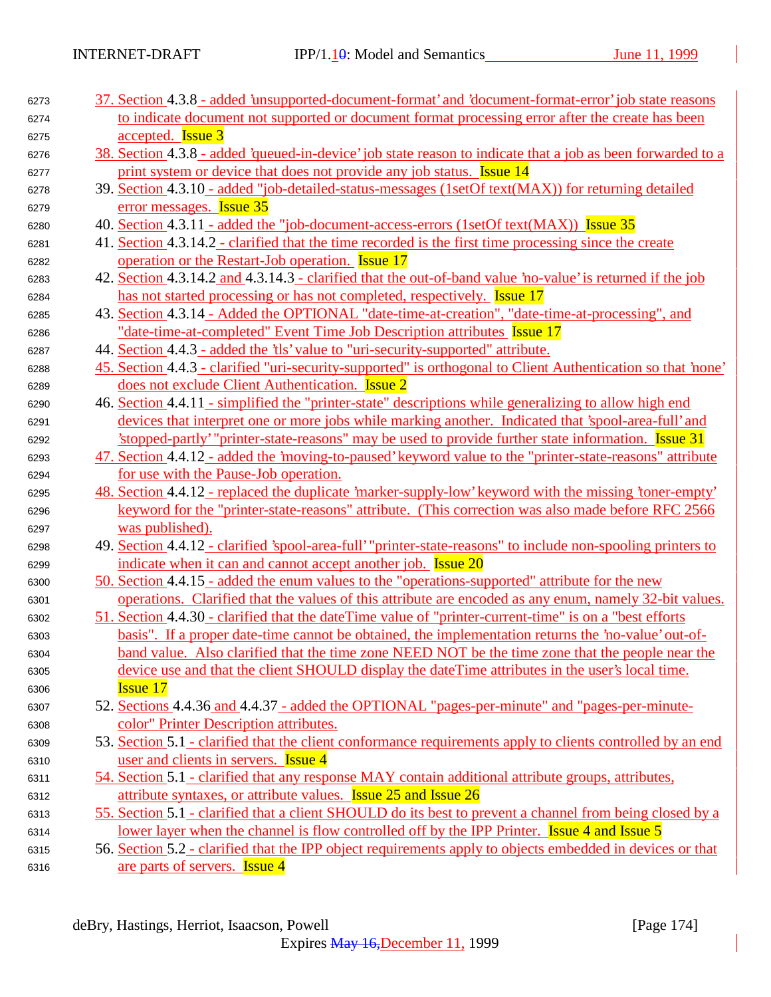| 6273 | 37. Section 4.3.8 - added 'unsupported-document-format' and 'document-format-error' job state reasons        |
|------|--------------------------------------------------------------------------------------------------------------|
| 6274 | to indicate document not supported or document format processing error after the create has been             |
| 6275 | accepted. <b>Issue 3</b>                                                                                     |
| 6276 | 38. Section 4.3.8 - added 'queued-in-device' job state reason to indicate that a job as been forwarded to a  |
| 6277 | print system or device that does not provide any job status. Issue 14                                        |
| 6278 | 39. Section 4.3.10 - added "job-detailed-status-messages (1setOf text(MAX)) for returning detailed           |
| 6279 | error messages. <b>Issue 35</b>                                                                              |
| 6280 | 40. Section 4.3.11 - added the "job-document-access-errors (1setOf text(MAX)) Issue 35                       |
| 6281 | 41. Section 4.3.14.2 - clarified that the time recorded is the first time processing since the create        |
| 6282 | operation or the Restart-Job operation. <b>Issue 17</b>                                                      |
| 6283 | 42. Section 4.3.14.2 and 4.3.14.3 - clarified that the out-of-band value 'no-value' is returned if the job   |
| 6284 | has not started processing or has not completed, respectively. Issue 17                                      |
| 6285 | 43. Section 4.3.14 - Added the OPTIONAL "date-time-at-creation", "date-time-at-processing", and              |
| 6286 | "date-time-at-completed" Event Time Job Description attributes Issue 17                                      |
| 6287 | 44. Section 4.4.3 - added the 'tls' value to "uri-security-supported" attribute.                             |
| 6288 | 45. Section 4.4.3 - clarified "uri-security-supported" is orthogonal to Client Authentication so that 'none' |
| 6289 | does not exclude Client Authentication. <b>Issue 2</b>                                                       |
| 6290 | 46. Section 4.4.11 - simplified the "printer-state" descriptions while generalizing to allow high end        |
| 6291 | devices that interpret one or more jobs while marking another. Indicated that 'spool-area-full' and          |
| 6292 | stopped-partly' "printer-state-reasons" may be used to provide further state information. Issue 31           |
| 6293 | 47. Section 4.4.12 - added the 'moving-to-paused' keyword value to the "printer-state-reasons" attribute     |
| 6294 | for use with the Pause-Job operation.                                                                        |
| 6295 | 48. Section 4.4.12 - replaced the duplicate 'marker-supply-low' keyword with the missing 'toner-empty'       |
| 6296 | keyword for the "printer-state-reasons" attribute. (This correction was also made before RFC 2566            |
| 6297 | was published).                                                                                              |
| 6298 | 49. Section 4.4.12 - clarified 'spool-area-full' "printer-state-reasons" to include non-spooling printers to |
| 6299 | indicate when it can and cannot accept another job. <b>Issue 20</b>                                          |
| 6300 | <u>50. Section</u> 4.4.15 - added the enum values to the "operations-supported" attribute for the new        |
| 6301 | operations. Clarified that the values of this attribute are encoded as any enum, namely 32-bit values.       |
| 6302 | 51. Section 4.4.30 - clarified that the date Time value of "printer-current-time" is on a "best efforts"     |
| 6303 | basis". If a proper date-time cannot be obtained, the implementation returns the 'no-value' out-of-          |
| 6304 | band value. Also clarified that the time zone NEED NOT be the time zone that the people near the             |
| 6305 | device use and that the client SHOULD display the dateTime attributes in the user's local time.              |
| 6306 | <b>Issue 17</b>                                                                                              |
| 6307 | 52. Sections 4.4.36 and 4.4.37 - added the OPTIONAL "pages-per-minute" and "pages-per-minute-                |
| 6308 | color" Printer Description attributes.                                                                       |
| 6309 | 53. Section 5.1 - clarified that the client conformance requirements apply to clients controlled by an end   |
| 6310 | user and clients in servers. Issue 4                                                                         |
| 6311 | 54. Section 5.1 - clarified that any response MAY contain additional attribute groups, attributes,           |
| 6312 | attribute syntaxes, or attribute values. <b>Issue 25 and Issue 26</b>                                        |
| 6313 | 55. Section 5.1 - clarified that a client SHOULD do its best to prevent a channel from being closed by a     |
| 6314 | lower layer when the channel is flow controlled off by the IPP Printer. Issue 4 and Issue 5                  |
| 6315 | 56. Section 5.2 - clarified that the IPP object requirements apply to objects embedded in devices or that    |
| 6316 | are parts of servers. <b>Issue 4</b>                                                                         |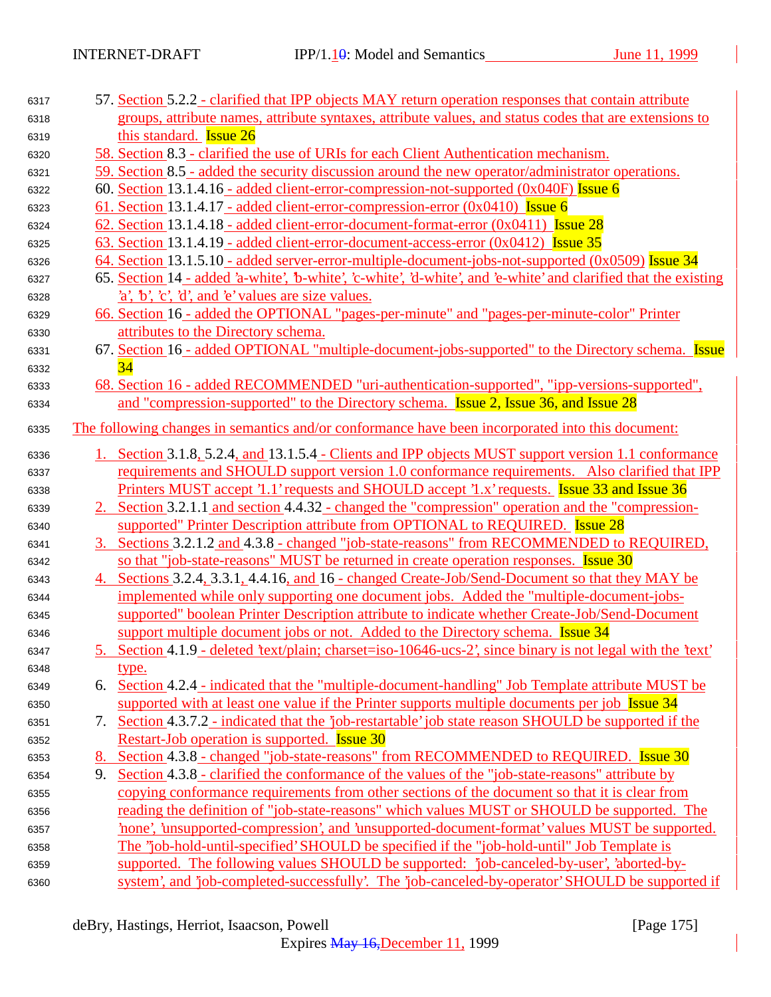| 6317 |    | 57. Section 5.2.2 - clarified that IPP objects MAY return operation responses that contain attribute             |
|------|----|------------------------------------------------------------------------------------------------------------------|
| 6318 |    | groups, attribute names, attribute syntaxes, attribute values, and status codes that are extensions to           |
| 6319 |    | this standard. <b>Issue 26</b>                                                                                   |
| 6320 |    | <u>58. Section 8.3 - clarified the use of URIs for each Client Authentication mechanism.</u>                     |
| 6321 |    | 59. Section 8.5 - added the security discussion around the new operator/administrator operations.                |
| 6322 |    | 60. Section 13.1.4.16 - added client-error-compression-not-supported $(0x040F)$ Issue 6                          |
| 6323 |    | 61. Section 13.1.4.17 - added client-error-compression-error $(0x0410)$ Issue 6                                  |
| 6324 |    | 62. Section 13.1.4.18 - added client-error-document-format-error $(0x0411)$ Issue 28                             |
| 6325 |    | 63. Section 13.1.4.19 - added client-error-document-access-error (0x0412) Issue 35                               |
| 6326 |    | 64. Section 13.1.5.10 - added server-error-multiple-document-jobs-not-supported (0x0509) Issue 34                |
| 6327 |    | 65. Section 14 - added 'a-white', 'b-white', 'c-white', 'd-white', and 'e-white' and clarified that the existing |
| 6328 |    | $a, b, c, d,$ and $e$ values are size values.                                                                    |
| 6329 |    | 66. Section 16 - added the OPTIONAL "pages-per-minute" and "pages-per-minute-color" Printer                      |
| 6330 |    | attributes to the Directory schema.                                                                              |
| 6331 |    | 67. Section 16 - added OPTIONAL "multiple-document-jobs-supported" to the Directory schema. Issue                |
| 6332 |    | 34                                                                                                               |
| 6333 |    | 68. Section 16 - added RECOMMENDED "uri-authentication-supported", "ipp-versions-supported",                     |
| 6334 |    | and "compression-supported" to the Directory schema. <b>Issue 2, Issue 36, and Issue 28</b>                      |
| 6335 |    | The following changes in semantics and/or conformance have been incorporated into this document:                 |
| 6336 |    | 1. Section 3.1.8, 5.2.4, and 13.1.5.4 - Clients and IPP objects MUST support version 1.1 conformance             |
| 6337 |    | requirements and SHOULD support version 1.0 conformance requirements. Also clarified that IPP                    |
| 6338 |    | Printers MUST accept '1.1' requests and SHOULD accept '1.x' requests. Issue 33 and Issue 36                      |
| 6339 |    | 2. Section 3.2.1.1 and section 4.4.32 - changed the "compression" operation and the "compression-                |
| 6340 |    | supported" Printer Description attribute from OPTIONAL to REQUIRED. <b>Issue 28</b>                              |
| 6341 |    | 3. Sections 3.2.1.2 and 4.3.8 - changed "job-state-reasons" from RECOMMENDED to REQUIRED,                        |
| 6342 |    | so that "job-state-reasons" MUST be returned in create operation responses. Issue 30                             |
| 6343 |    | 4. Sections 3.2.4, 3.3.1, 4.4.16, and 16 - changed Create-Job/Send-Document so that they MAY be                  |
| 6344 |    | implemented while only supporting one document jobs. Added the "multiple-document-jobs-                          |
| 6345 |    | supported" boolean Printer Description attribute to indicate whether Create-Job/Send-Document                    |
| 6346 |    | support multiple document jobs or not. Added to the Directory schema. <b>Issue 34</b>                            |
| 6347 |    | 5. Section 4.1.9 - deleted 'text/plain; charset=iso-10646-ucs-2', since binary is not legal with the 'text'      |
| 6348 |    | <u>type.</u>                                                                                                     |
| 6349 | 6. | Section 4.2.4 - indicated that the "multiple-document-handling" Job Template attribute MUST be                   |
| 6350 |    | supported with at least one value if the Printer supports multiple documents per job Issue 34                    |
| 6351 | 7. | Section 4.3.7.2 - indicated that the 'job-restartable' job state reason SHOULD be supported if the               |
| 6352 |    | Restart-Job operation is supported. <b>Issue 30</b>                                                              |
| 6353 | 8. | Section 4.3.8 - changed "job-state-reasons" from RECOMMENDED to REQUIRED. Issue 30                               |
| 6354 | 9. | Section 4.3.8 - clarified the conformance of the values of the "job-state-reasons" attribute by                  |
| 6355 |    | copying conformance requirements from other sections of the document so that it is clear from                    |
| 6356 |    | reading the definition of "job-state-reasons" which values MUST or SHOULD be supported. The                      |
| 6357 |    | none', 'unsupported-compression', and 'unsupported-document-format' values MUST be supported.                    |
| 6358 |    | The "job-hold-until-specified' SHOULD be specified if the "job-hold-until" Job Template is                       |
| 6359 |    | supported. The following values SHOULD be supported: 'job-canceled-by-user', 'aborted-by-                        |
| 6360 |    | system', and 'job-completed-successfully'. The 'job-canceled-by-operator' SHOULD be supported if                 |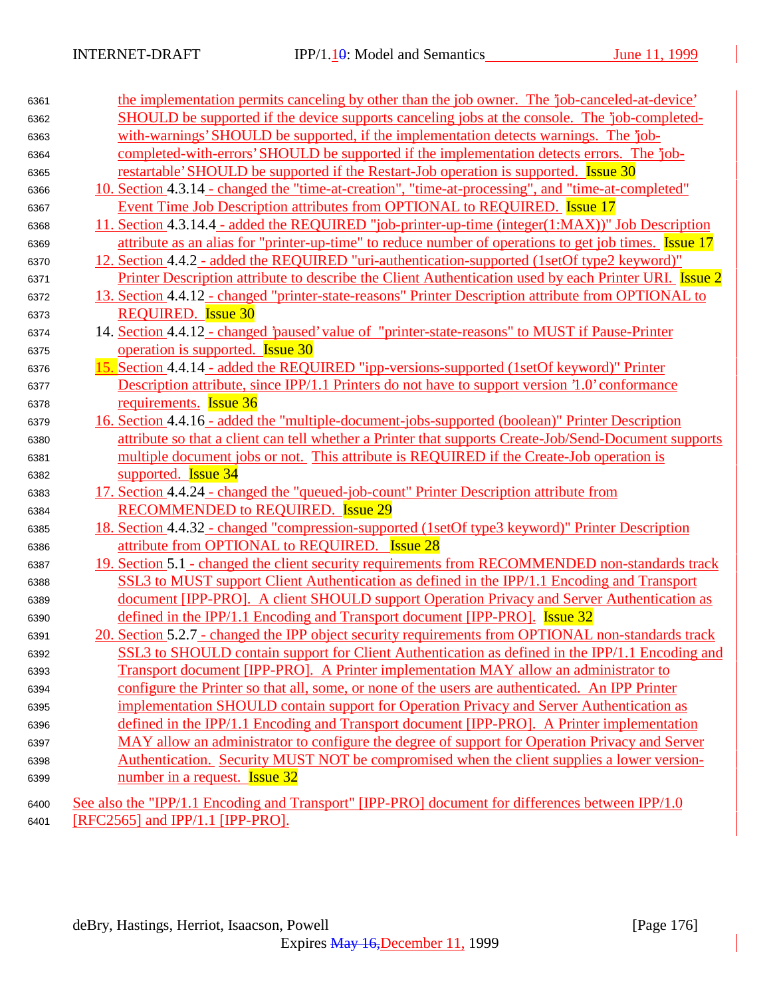| SHOULD be supported if the device supports canceling jobs at the console. The 'job-completed-<br>6362         |  |
|---------------------------------------------------------------------------------------------------------------|--|
|                                                                                                               |  |
| with-warnings' SHOULD be supported, if the implementation detects warnings. The 'job-<br>6363                 |  |
| completed-with-errors' SHOULD be supported if the implementation detects errors. The 'job-<br>6364            |  |
| restartable' SHOULD be supported if the Restart-Job operation is supported. Issue 30<br>6365                  |  |
| 10. Section 4.3.14 - changed the "time-at-creation", "time-at-processing", and "time-at-completed"<br>6366    |  |
| Event Time Job Description attributes from OPTIONAL to REQUIRED. Issue 17<br>6367                             |  |
| 11. Section 4.3.14.4 - added the REQUIRED "job-printer-up-time (integer(1:MAX))" Job Description<br>6368      |  |
| attribute as an alias for "printer-up-time" to reduce number of operations to get job times. Issue 17<br>6369 |  |
| 12. Section 4.4.2 - added the REQUIRED "uri-authentication-supported (1setOf type2 keyword)"<br>6370          |  |
| Printer Description attribute to describe the Client Authentication used by each Printer URI. Issue 2<br>6371 |  |
| 13. Section 4.4.12 - changed "printer-state-reasons" Printer Description attribute from OPTIONAL to<br>6372   |  |
| <b>REQUIRED.</b> Issue 30<br>6373                                                                             |  |
| 14. Section 4.4.12 - changed 'paused' value of "printer-state-reasons" to MUST if Pause-Printer<br>6374       |  |
| operation is supported. <b>Issue 30</b><br>6375                                                               |  |
| 15. Section 4.4.14 - added the REQUIRED "ipp-versions-supported (1setOf keyword)" Printer<br>6376             |  |
| Description attribute, since IPP/1.1 Printers do not have to support version '1.0' conformance<br>6377        |  |
| requirements. <b>Issue 36</b><br>6378                                                                         |  |
| 16. Section 4.4.16 - added the "multiple-document-jobs-supported (boolean)" Printer Description<br>6379       |  |
| attribute so that a client can tell whether a Printer that supports Create-Job/Send-Document supports<br>6380 |  |
| multiple document jobs or not. This attribute is REQUIRED if the Create-Job operation is<br>6381              |  |
| supported. <b>Issue 34</b><br>6382                                                                            |  |
| 17. Section 4.4.24 - changed the "queued-job-count" Printer Description attribute from<br>6383                |  |
| <b>RECOMMENDED to REQUIRED.</b> Issue 29<br>6384                                                              |  |
| 18. Section 4.4.32 - changed "compression-supported (1setOf type3 keyword)" Printer Description<br>6385       |  |
| attribute from OPTIONAL to REQUIRED. Issue 28<br>6386                                                         |  |
| 19. Section 5.1 - changed the client security requirements from RECOMMENDED non-standards track<br>6387       |  |
| SSL3 to MUST support Client Authentication as defined in the IPP/1.1 Encoding and Transport<br>6388           |  |
| document [IPP-PRO]. A client SHOULD support Operation Privacy and Server Authentication as<br>6389            |  |
| defined in the IPP/1.1 Encoding and Transport document [IPP-PRO]. Issue 32<br>6390                            |  |
| 20. Section 5.2.7 - changed the IPP object security requirements from OPTIONAL non-standards track<br>6391    |  |
| SSL3 to SHOULD contain support for Client Authentication as defined in the IPP/1.1 Encoding and<br>6392       |  |
| Transport document [IPP-PRO]. A Printer implementation MAY allow an administrator to<br>6393                  |  |
| configure the Printer so that all, some, or none of the users are authenticated. An IPP Printer<br>6394       |  |
| implementation SHOULD contain support for Operation Privacy and Server Authentication as<br>6395              |  |
| defined in the IPP/1.1 Encoding and Transport document [IPP-PRO]. A Printer implementation<br>6396            |  |
| MAY allow an administrator to configure the degree of support for Operation Privacy and Server<br>6397        |  |
| Authentication. Security MUST NOT be compromised when the client supplies a lower version-<br>6398            |  |
| number in a request. <b>Issue 32</b><br>6399                                                                  |  |
| See also the "IPP/1.1 Encoding and Transport" [IPP-PRO] document for differences between IPP/1.0<br>6400      |  |
| [RFC2565] and IPP/1.1 [IPP-PRO].<br>6401                                                                      |  |